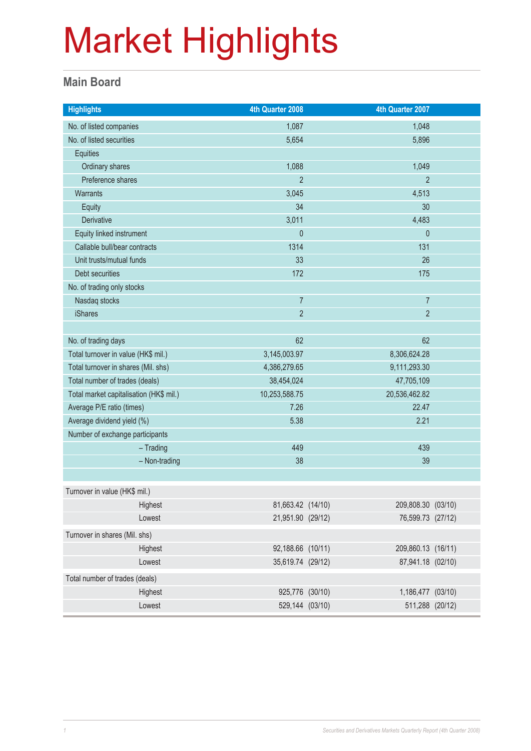#### **Main Board**

| <b>Highlights</b>                       |               | 4th Quarter 2008  |               | 4th Quarter 2007   |  |
|-----------------------------------------|---------------|-------------------|---------------|--------------------|--|
| No. of listed companies                 |               | 1,087             |               | 1,048              |  |
| No. of listed securities                |               | 5,654             |               | 5,896              |  |
| Equities                                |               |                   |               |                    |  |
| Ordinary shares                         |               | 1,088             |               | 1,049              |  |
| Preference shares                       |               | $\overline{2}$    |               | $\overline{2}$     |  |
| Warrants                                |               | 3,045             |               | 4,513              |  |
| Equity                                  |               | 34                |               | 30                 |  |
| Derivative                              |               | 3,011             |               | 4,483              |  |
| Equity linked instrument                |               | $\pmb{0}$         |               | $\theta$           |  |
| Callable bull/bear contracts            |               | 1314              |               | 131                |  |
| Unit trusts/mutual funds                |               | 33                |               | 26                 |  |
| Debt securities                         |               | 172               |               | 175                |  |
| No. of trading only stocks              |               |                   |               |                    |  |
| Nasdaq stocks                           |               | $\overline{7}$    |               | $\overline{7}$     |  |
| <b>iShares</b>                          |               | $\overline{2}$    |               | $\overline{2}$     |  |
|                                         |               |                   |               |                    |  |
| No. of trading days                     |               | 62                |               | 62                 |  |
| Total turnover in value (HK\$ mil.)     |               | 3,145,003.97      | 8,306,624.28  |                    |  |
| Total turnover in shares (Mil. shs)     |               | 4,386,279.65      | 9,111,293.30  |                    |  |
| Total number of trades (deals)          |               | 38,454,024        | 47,705,109    |                    |  |
| Total market capitalisation (HK\$ mil.) |               | 10,253,588.75     | 20,536,462.82 |                    |  |
| Average P/E ratio (times)               |               | 7.26              |               | 22.47              |  |
| Average dividend yield (%)              |               | 5.38              | 2.21          |                    |  |
| Number of exchange participants         |               |                   |               |                    |  |
|                                         | $-$ Trading   | 449               |               | 439                |  |
|                                         | - Non-trading | 38                |               | 39                 |  |
|                                         |               |                   |               |                    |  |
| Turnover in value (HK\$ mil.)           |               |                   |               |                    |  |
|                                         | Highest       | 81,663.42 (14/10) |               | 209,808.30 (03/10) |  |
|                                         | Lowest        | 21,951.90 (29/12) |               | 76,599.73 (27/12)  |  |
| Turnover in shares (Mil. shs)           |               |                   |               |                    |  |
|                                         | Highest       | 92,188.66 (10/11) |               | 209,860.13 (16/11) |  |
|                                         | Lowest        | 35,619.74 (29/12) |               | 87,941.18 (02/10)  |  |
| Total number of trades (deals)          |               |                   |               |                    |  |
|                                         | Highest       | 925,776 (30/10)   |               | 1,186,477 (03/10)  |  |
|                                         | Lowest        | 529,144 (03/10)   |               | 511,288 (20/12)    |  |
|                                         |               |                   |               |                    |  |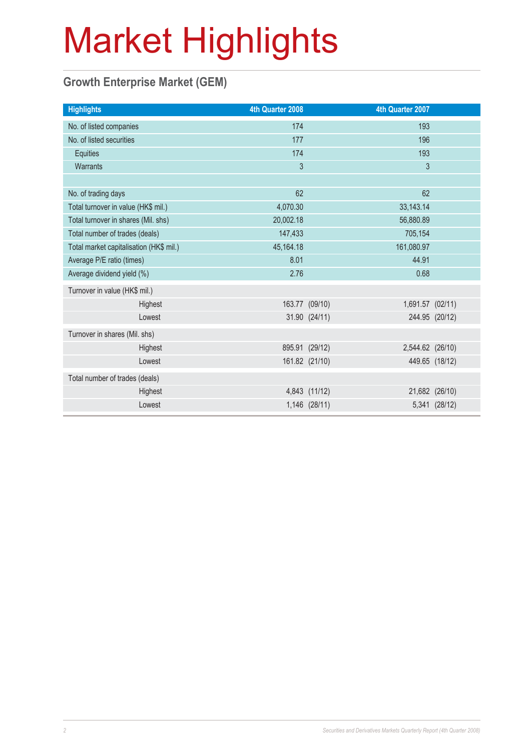#### **Growth Enterprise Market (GEM)**

| 4th Quarter 2008 | 4th Quarter 2007                                                                                      |                |
|------------------|-------------------------------------------------------------------------------------------------------|----------------|
| 174              | 193                                                                                                   |                |
| 177              | 196                                                                                                   |                |
| 174              | 193                                                                                                   |                |
| 3                | $\mathfrak{S}$                                                                                        |                |
|                  |                                                                                                       |                |
| 62               | 62                                                                                                    |                |
| 4,070.30         | 33, 143. 14                                                                                           |                |
| 20,002.18        | 56,880.89                                                                                             |                |
| 147,433          | 705,154                                                                                               |                |
| 45, 164. 18      | 161,080.97                                                                                            |                |
| 8.01             | 44.91                                                                                                 |                |
| 2.76             | 0.68                                                                                                  |                |
|                  |                                                                                                       |                |
|                  | 1,691.57 (02/11)                                                                                      |                |
|                  |                                                                                                       | 244.95 (20/12) |
|                  |                                                                                                       |                |
|                  | 2,544.62 (26/10)                                                                                      |                |
|                  |                                                                                                       | 449.65 (18/12) |
|                  |                                                                                                       |                |
|                  |                                                                                                       | 21,682 (26/10) |
|                  |                                                                                                       | 5,341 (28/12)  |
|                  | 163.77 (09/10)<br>31.90 (24/11)<br>895.91 (29/12)<br>161.82 (21/10)<br>4,843 (11/12)<br>1,146 (28/11) |                |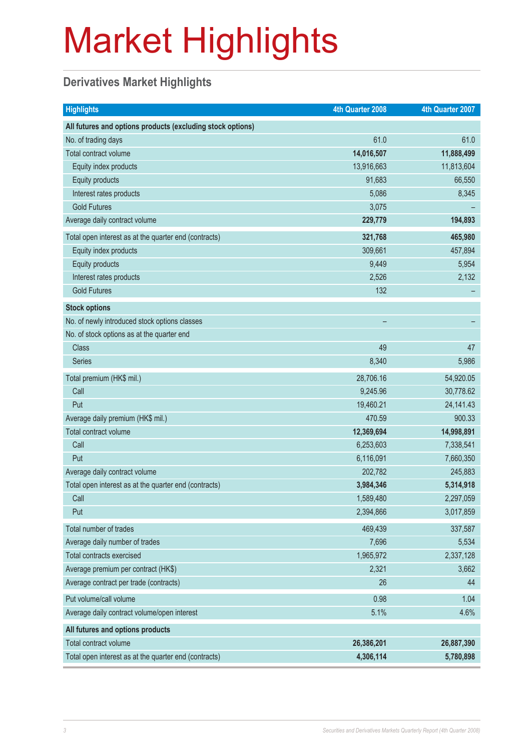#### **Derivatives Market Highlights**

| <b>Highlights</b>                                          | 4th Quarter 2008 | 4th Quarter 2007 |
|------------------------------------------------------------|------------------|------------------|
| All futures and options products (excluding stock options) |                  |                  |
| No. of trading days                                        | 61.0             | 61.0             |
| Total contract volume                                      | 14,016,507       | 11,888,499       |
| Equity index products                                      | 13,916,663       | 11,813,604       |
| Equity products                                            | 91,683           | 66,550           |
| Interest rates products                                    | 5,086            | 8,345            |
| <b>Gold Futures</b>                                        | 3,075            |                  |
| Average daily contract volume                              | 229,779          | 194,893          |
| Total open interest as at the quarter end (contracts)      | 321,768          | 465,980          |
| Equity index products                                      | 309,661          | 457,894          |
| Equity products                                            | 9,449            | 5,954            |
| Interest rates products                                    | 2,526            | 2,132            |
| <b>Gold Futures</b>                                        | 132              |                  |
| <b>Stock options</b>                                       |                  |                  |
| No. of newly introduced stock options classes              |                  |                  |
| No. of stock options as at the quarter end                 |                  |                  |
| <b>Class</b>                                               | 49               | 47               |
| Series                                                     | 8,340            | 5,986            |
| Total premium (HK\$ mil.)                                  | 28,706.16        | 54,920.05        |
| Call                                                       | 9,245.96         | 30,778.62        |
| Put                                                        | 19,460.21        | 24, 141. 43      |
| Average daily premium (HK\$ mil.)                          | 470.59           | 900.33           |
| Total contract volume                                      | 12,369,694       | 14,998,891       |
| Call                                                       | 6,253,603        | 7,338,541        |
| Put                                                        | 6,116,091        | 7,660,350        |
| Average daily contract volume                              | 202,782          | 245,883          |
| Total open interest as at the quarter end (contracts)      | 3,984,346        | 5,314,918        |
| Call                                                       | 1,589,480        | 2,297,059        |
| Put                                                        | 2,394,866        | 3,017,859        |
| Total number of trades                                     | 469,439          | 337,587          |
| Average daily number of trades                             | 7,696            | 5,534            |
| Total contracts exercised                                  | 1,965,972        | 2,337,128        |
| Average premium per contract (HK\$)                        | 2,321            | 3,662            |
| Average contract per trade (contracts)                     | 26               | 44               |
| Put volume/call volume                                     | 0.98             | 1.04             |
| Average daily contract volume/open interest                | 5.1%             | 4.6%             |
| All futures and options products                           |                  |                  |
| Total contract volume                                      | 26,386,201       | 26,887,390       |
| Total open interest as at the quarter end (contracts)      | 4,306,114        | 5,780,898        |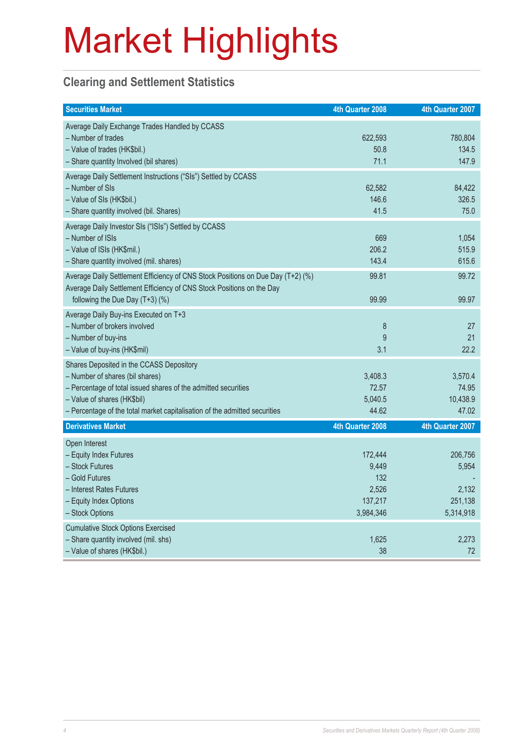#### **Clearing and Settlement Statistics**

| <b>Securities Market</b>                                                                                                                                                                                                                                   | 4th Quarter 2008                                         | 4th Quarter 2007                                  |
|------------------------------------------------------------------------------------------------------------------------------------------------------------------------------------------------------------------------------------------------------------|----------------------------------------------------------|---------------------------------------------------|
| Average Daily Exchange Trades Handled by CCASS<br>- Number of trades<br>- Value of trades (HK\$bil.)<br>- Share quantity Involved (bil shares)                                                                                                             | 622,593<br>50.8<br>71.1                                  | 780,804<br>134.5<br>147.9                         |
| Average Daily Settlement Instructions ("SIs") Settled by CCASS<br>- Number of SIs<br>- Value of SIs (HK\$bil.)<br>- Share quantity involved (bil. Shares)                                                                                                  | 62,582<br>146.6<br>41.5                                  | 84,422<br>326.5<br>75.0                           |
| Average Daily Investor SIs ("ISIs") Settled by CCASS<br>- Number of ISIs<br>- Value of ISIs (HK\$mil.)<br>- Share quantity involved (mil. shares)                                                                                                          | 669<br>206.2<br>143.4                                    | 1,054<br>515.9<br>615.6                           |
| Average Daily Settlement Efficiency of CNS Stock Positions on Due Day (T+2) (%)<br>Average Daily Settlement Efficiency of CNS Stock Positions on the Day<br>following the Due Day (T+3) (%)                                                                | 99.81<br>99.99                                           | 99.72<br>99.97                                    |
| Average Daily Buy-ins Executed on T+3<br>- Number of brokers involved<br>- Number of buy-ins<br>- Value of buy-ins (HK\$mil)                                                                                                                               | $\bf 8$<br>9<br>3.1                                      | 27<br>21<br>22.2                                  |
| Shares Deposited in the CCASS Depository<br>- Number of shares (bil shares)<br>- Percentage of total issued shares of the admitted securities<br>- Value of shares (HK\$bil)<br>- Percentage of the total market capitalisation of the admitted securities | 3,408.3<br>72.57<br>5,040.5<br>44.62                     | 3,570.4<br>74.95<br>10,438.9<br>47.02             |
| <b>Derivatives Market</b>                                                                                                                                                                                                                                  | 4th Quarter 2008                                         | 4th Quarter 2007                                  |
| Open Interest<br>- Equity Index Futures<br>- Stock Futures<br>- Gold Futures<br>- Interest Rates Futures<br>- Equity Index Options<br>- Stock Options                                                                                                      | 172,444<br>9,449<br>132<br>2,526<br>137,217<br>3,984,346 | 206,756<br>5,954<br>2,132<br>251,138<br>5,314,918 |
| <b>Cumulative Stock Options Exercised</b><br>- Share quantity involved (mil. shs)<br>- Value of shares (HK\$bil.)                                                                                                                                          | 1,625<br>38                                              | 2,273<br>72                                       |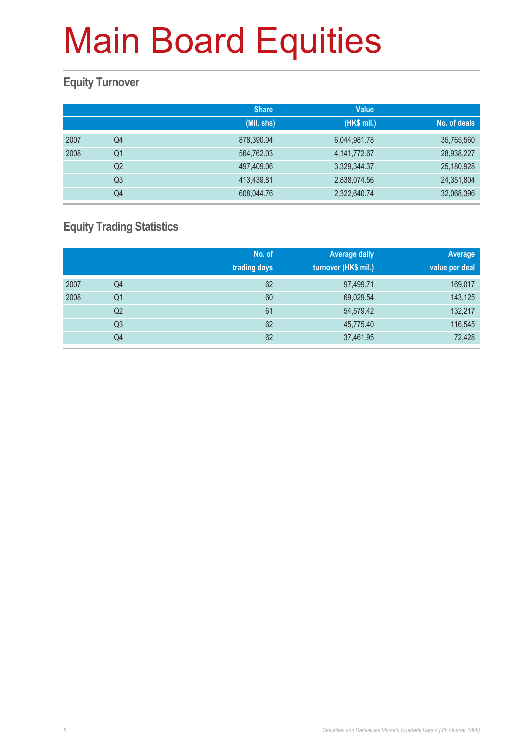#### **Equity Turnover**

|      |                | <b>Share</b> | <b>Value</b>    |              |
|------|----------------|--------------|-----------------|--------------|
|      |                | (Mil. shs)   | (HK\$ mil.)     | No. of deals |
| 2007 | Q4             | 878,390.04   | 6,044,981.78    | 35,765,560   |
| 2008 | Q <sub>1</sub> | 564,762.03   | 4, 141, 772. 67 | 28,938,227   |
|      | Q <sub>2</sub> | 497,409.06   | 3,329,344.37    | 25,180,928   |
|      | Q <sub>3</sub> | 413,439.81   | 2,838,074.56    | 24,351,804   |
|      | Q4             | 608,044.76   | 2,322,640.74    | 32,068,396   |

#### **Equity Trading Statistics**

|      |                | No. of<br>trading days | <b>Average daily</b><br>turnover (HK\$ mil.) | Average<br>value per deal |
|------|----------------|------------------------|----------------------------------------------|---------------------------|
| 2007 | Q4             | 62                     | 97,499.71                                    | 169,017                   |
| 2008 | Q <sub>1</sub> | 60                     | 69,029.54                                    | 143,125                   |
|      | Q2             | 61                     | 54,579.42                                    | 132,217                   |
|      | Q <sub>3</sub> | 62                     | 45,775.40                                    | 116,545                   |
|      | Q4             | 62                     | 37,461.95                                    | 72,428                    |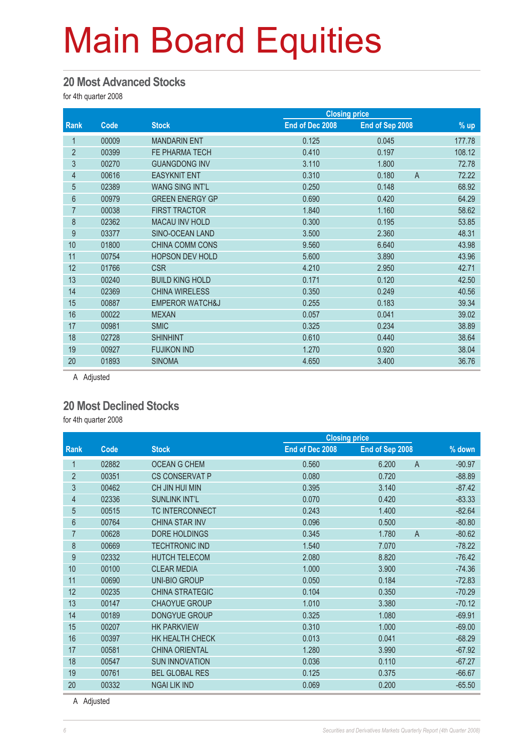#### **20 Most Advanced Stocks**

for 4th quarter 2008

|                |       |                            |                 | <b>Closing price</b> |                       |
|----------------|-------|----------------------------|-----------------|----------------------|-----------------------|
| Rank           | Code  | <b>Stock</b>               | End of Dec 2008 | End of Sep 2008      | $%$ up                |
| 1              | 00009 | <b>MANDARIN ENT</b>        | 0.125           | 0.045                | 177.78                |
| $\overline{2}$ | 00399 | FE PHARMA TECH             | 0.410           | 0.197                | 108.12                |
| 3              | 00270 | <b>GUANGDONG INV</b>       | 3.110           | 1.800                | 72.78                 |
| 4              | 00616 | <b>EASYKNIT ENT</b>        | 0.310           | 0.180                | $\mathsf{A}$<br>72.22 |
| $\overline{5}$ | 02389 | <b>WANG SING INT'L</b>     | 0.250           | 0.148                | 68.92                 |
| 6              | 00979 | <b>GREEN ENERGY GP</b>     | 0.690           | 0.420                | 64.29                 |
| $\overline{7}$ | 00038 | <b>FIRST TRACTOR</b>       | 1.840           | 1.160                | 58.62                 |
| 8              | 02362 | <b>MACAU INV HOLD</b>      | 0.300           | 0.195                | 53.85                 |
| 9              | 03377 | SINO-OCEAN LAND            | 3.500           | 2.360                | 48.31                 |
| 10             | 01800 | <b>CHINA COMM CONS</b>     | 9.560           | 6.640                | 43.98                 |
| 11             | 00754 | HOPSON DEV HOLD            | 5.600           | 3.890                | 43.96                 |
| 12             | 01766 | <b>CSR</b>                 | 4.210           | 2.950                | 42.71                 |
| 13             | 00240 | <b>BUILD KING HOLD</b>     | 0.171           | 0.120                | 42.50                 |
| 14             | 02369 | <b>CHINA WIRELESS</b>      | 0.350           | 0.249                | 40.56                 |
| 15             | 00887 | <b>EMPEROR WATCH&amp;J</b> | 0.255           | 0.183                | 39.34                 |
| 16             | 00022 | <b>MEXAN</b>               | 0.057           | 0.041                | 39.02                 |
| 17             | 00981 | <b>SMIC</b>                | 0.325           | 0.234                | 38.89                 |
| 18             | 02728 | <b>SHINHINT</b>            | 0.610           | 0.440                | 38.64                 |
| 19             | 00927 | <b>FUJIKON IND</b>         | 1.270           | 0.920                | 38.04                 |
| 20             | 01893 | <b>SINOMA</b>              | 4.650           | 3.400                | 36.76                 |

A Adjusted

#### **20 Most Declined Stocks**

for 4th quarter 2008

|                |       |                        | <b>Closing price</b> |                         |          |
|----------------|-------|------------------------|----------------------|-------------------------|----------|
| Rank           | Code  | <b>Stock</b>           | End of Dec 2008      | End of Sep 2008         | % down   |
|                | 02882 | <b>OCEAN G CHEM</b>    | 0.560                | $\overline{A}$<br>6.200 | $-90.97$ |
| $\overline{2}$ | 00351 | <b>CS CONSERVAT P</b>  | 0.080                | 0.720                   | $-88.89$ |
| 3              | 00462 | CH JIN HUI MIN         | 0.395                | 3.140                   | $-87.42$ |
| $\overline{4}$ | 02336 | <b>SUNLINK INT'L</b>   | 0.070                | 0.420                   | $-83.33$ |
| $\overline{5}$ | 00515 | <b>TC INTERCONNECT</b> | 0.243                | 1.400                   | $-82.64$ |
| $6\phantom{a}$ | 00764 | <b>CHINA STAR INV</b>  | 0.096                | 0.500                   | $-80.80$ |
| 7              | 00628 | DORE HOLDINGS          | 0.345                | $\overline{A}$<br>1.780 | $-80.62$ |
| 8              | 00669 | <b>TECHTRONIC IND</b>  | 1.540                | 7.070                   | $-78.22$ |
| 9              | 02332 | <b>HUTCH TELECOM</b>   | 2.080                | 8.820                   | $-76.42$ |
| 10             | 00100 | <b>CLEAR MEDIA</b>     | 1.000                | 3.900                   | $-74.36$ |
| 11             | 00690 | UNI-BIO GROUP          | 0.050                | 0.184                   | $-72.83$ |
| 12             | 00235 | <b>CHINA STRATEGIC</b> | 0.104                | 0.350                   | $-70.29$ |
| 13             | 00147 | <b>CHAOYUE GROUP</b>   | 1.010                | 3.380                   | $-70.12$ |
| 14             | 00189 | <b>DONGYUE GROUP</b>   | 0.325                | 1.080                   | $-69.91$ |
| 15             | 00207 | <b>HK PARKVIEW</b>     | 0.310                | 1.000                   | $-69.00$ |
| 16             | 00397 | HK HEALTH CHECK        | 0.013                | 0.041                   | $-68.29$ |
| 17             | 00581 | <b>CHINA ORIENTAL</b>  | 1.280                | 3.990                   | $-67.92$ |
| 18             | 00547 | <b>SUN INNOVATION</b>  | 0.036                | 0.110                   | $-67.27$ |
| 19             | 00761 | <b>BEL GLOBAL RES</b>  | 0.125                | 0.375                   | $-66.67$ |
| 20             | 00332 | <b>NGAI LIK IND</b>    | 0.069                | 0.200                   | $-65.50$ |
|                |       |                        |                      |                         |          |

A Adjusted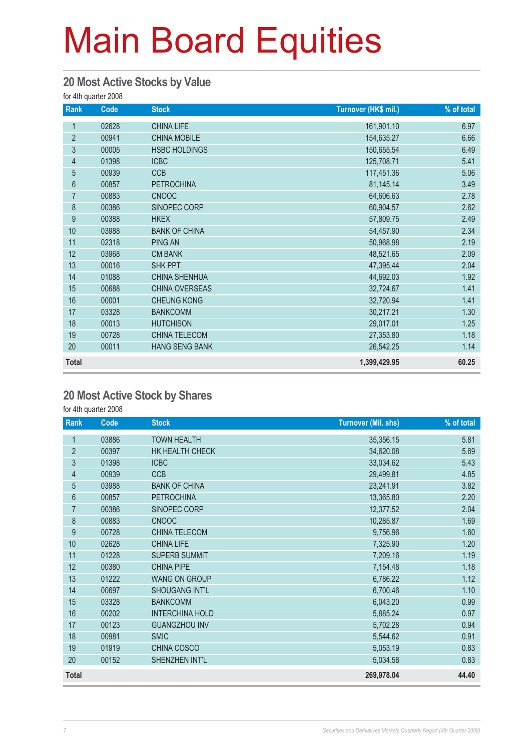#### **20 Most Active Stocks by Value**

for 4th quarter 2008

| Rank           | Code  | <b>Stock</b>          | Turnover (HK\$ mil.) | % of total |
|----------------|-------|-----------------------|----------------------|------------|
| 1              | 02628 | <b>CHINA LIFE</b>     | 161,901.10           | 6.97       |
| $\overline{2}$ | 00941 | <b>CHINA MOBILE</b>   | 154,635.27           | 6.66       |
| 3              | 00005 | <b>HSBC HOLDINGS</b>  | 150,655.54           | 6.49       |
| 4              | 01398 | <b>ICBC</b>           | 125,708.71           | 5.41       |
| $\overline{5}$ | 00939 | <b>CCB</b>            | 117,451.36           | 5.06       |
| $6\phantom{a}$ | 00857 | <b>PETROCHINA</b>     | 81,145.14            | 3.49       |
| $\overline{7}$ | 00883 | <b>CNOOC</b>          | 64,606.63            | 2.78       |
| 8              | 00386 | SINOPEC CORP          | 60,904.57            | 2.62       |
| 9              | 00388 | <b>HKEX</b>           | 57,809.75            | 2.49       |
| 10             | 03988 | <b>BANK OF CHINA</b>  | 54,457.90            | 2.34       |
| 11             | 02318 | <b>PING AN</b>        | 50,968.98            | 2.19       |
| 12             | 03968 | <b>CM BANK</b>        | 48,521.65            | 2.09       |
| 13             | 00016 | <b>SHK PPT</b>        | 47,395.44            | 2.04       |
| 14             | 01088 | <b>CHINA SHENHUA</b>  | 44,692.03            | 1.92       |
| 15             | 00688 | CHINA OVERSEAS        | 32,724.67            | 1.41       |
| 16             | 00001 | <b>CHEUNG KONG</b>    | 32,720.94            | 1.41       |
| 17             | 03328 | <b>BANKCOMM</b>       | 30,217.21            | 1.30       |
| 18             | 00013 | <b>HUTCHISON</b>      | 29,017.01            | 1.25       |
| 19             | 00728 | CHINA TELECOM         | 27,353.80            | 1.18       |
| 20             | 00011 | <b>HANG SENG BANK</b> | 26,542.25            | 1.14       |
| <b>Total</b>   |       |                       | 1,399,429.95         | 60.25      |

#### **20 Most Active Stock by Shares**

for 4th quarter 2008

| Rank           | Code  | <b>Stock</b>           | <b>Turnover (Mil. shs)</b> | % of total |
|----------------|-------|------------------------|----------------------------|------------|
| 1              | 03886 | <b>TOWN HEALTH</b>     | 35,356.15                  | 5.81       |
| $\overline{2}$ | 00397 | HK HEALTH CHECK        | 34,620.08                  | 5.69       |
| 3              | 01398 | <b>ICBC</b>            | 33,034.62                  | 5.43       |
| $\overline{4}$ | 00939 | <b>CCB</b>             | 29,499.81                  | 4.85       |
| 5              | 03988 | <b>BANK OF CHINA</b>   | 23,241.91                  | 3.82       |
| 6              | 00857 | <b>PETROCHINA</b>      | 13,365.80                  | 2.20       |
| $\overline{7}$ | 00386 | SINOPEC CORP           | 12,377.52                  | 2.04       |
| 8              | 00883 | <b>CNOOC</b>           | 10,285.87                  | 1.69       |
| 9              | 00728 | <b>CHINA TELECOM</b>   | 9,756.96                   | 1.60       |
| 10             | 02628 | <b>CHINA LIFE</b>      | 7,325.90                   | 1.20       |
| 11             | 01228 | <b>SUPERB SUMMIT</b>   | 7,209.16                   | 1.19       |
| 12             | 00380 | <b>CHINA PIPE</b>      | 7,154.48                   | 1.18       |
| 13             | 01222 | <b>WANG ON GROUP</b>   | 6,786.22                   | 1.12       |
| 14             | 00697 | <b>SHOUGANG INT'L</b>  | 6,700.46                   | 1.10       |
| 15             | 03328 | <b>BANKCOMM</b>        | 6,043.20                   | 0.99       |
| 16             | 00202 | <b>INTERCHINA HOLD</b> | 5,885.24                   | 0.97       |
| 17             | 00123 | <b>GUANGZHOU INV</b>   | 5,702.28                   | 0.94       |
| 18             | 00981 | <b>SMIC</b>            | 5,544.62                   | 0.91       |
| 19             | 01919 | CHINA COSCO            | 5,053.19                   | 0.83       |
| 20             | 00152 | SHENZHEN INT'L         | 5,034.58                   | 0.83       |
| <b>Total</b>   |       |                        | 269,978.04                 | 44.40      |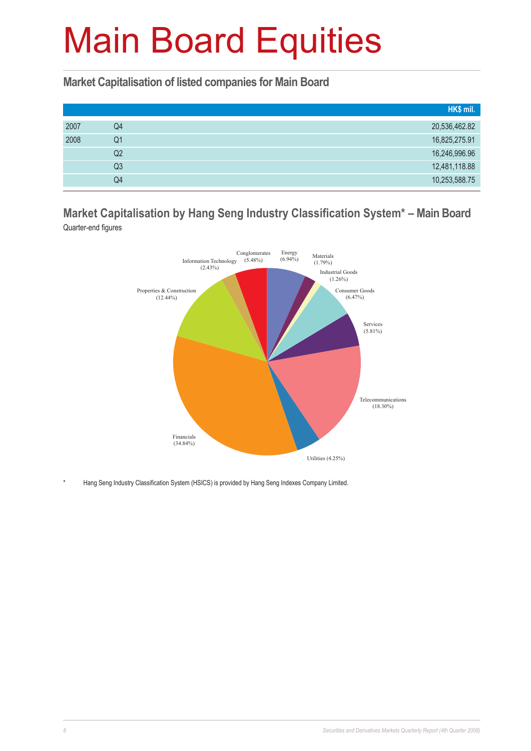**Market Capitalisation of listed companies for Main Board**

|      |    | HK\$ mil.     |
|------|----|---------------|
| 2007 | Q4 | 20,536,462.82 |
| 2008 | Q1 | 16,825,275.91 |
|      | Q2 | 16,246,996.96 |
|      | Q3 | 12,481,118.88 |
|      | Q4 | 10,253,588.75 |

#### **Market Capitalisation by Hang Seng Industry Classification System\* – Main Board** Quarter-end figures



Hang Seng Industry Classification System (HSICS) is provided by Hang Seng Indexes Company Limited.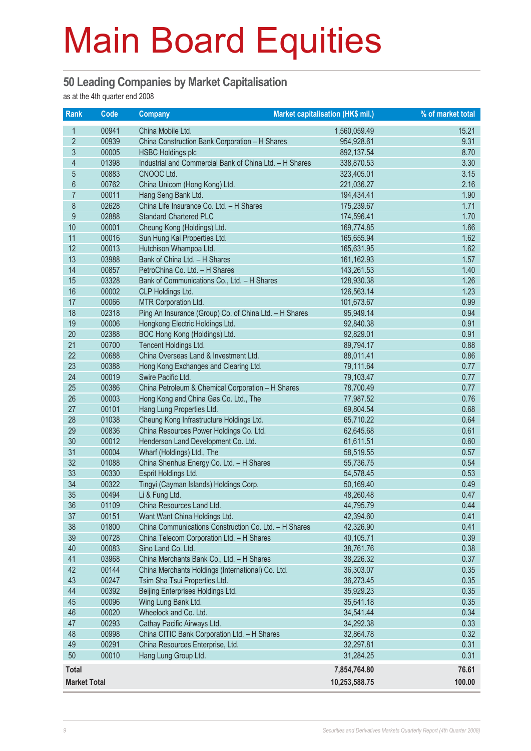#### **50 Leading Companies by Market Capitalisation**

as at the 4th quarter end 2008

| <b>Rank</b>         | $\overline{Code}$ | <b>Company</b>                                             | Market capitalisation (HK\$ mil.) | % of market total |
|---------------------|-------------------|------------------------------------------------------------|-----------------------------------|-------------------|
| 1                   | 00941             | China Mobile Ltd.                                          | 1,560,059.49                      | 15.21             |
| $\overline{2}$      | 00939             | China Construction Bank Corporation - H Shares             | 954,928.61                        | 9.31              |
| $\mathfrak{S}$      | 00005             | <b>HSBC Holdings plc</b>                                   | 892,137.54                        | 8.70              |
| $\overline{4}$      | 01398             | Industrial and Commercial Bank of China Ltd. - H Shares    | 338,870.53                        | 3.30              |
| $\overline{5}$      | 00883             | CNOOC Ltd.                                                 | 323,405.01                        | 3.15              |
| $6\,$               | 00762             | China Unicom (Hong Kong) Ltd.                              | 221,036.27                        | 2.16              |
| $\overline{7}$      | 00011             | Hang Seng Bank Ltd.                                        | 194,434.41                        | 1.90              |
| 8                   | 02628             | China Life Insurance Co. Ltd. - H Shares                   | 175,239.67                        | 1.71              |
| 9                   | 02888             | <b>Standard Chartered PLC</b>                              | 174,596.41                        | 1.70              |
| 10                  | 00001             | Cheung Kong (Holdings) Ltd.                                | 169,774.85                        | 1.66              |
| 11                  | 00016             | Sun Hung Kai Properties Ltd.                               | 165,655.94                        | 1.62              |
| 12                  | 00013             | Hutchison Whampoa Ltd.                                     | 165,631.95                        | 1.62              |
| 13                  | 03988             | Bank of China Ltd. - H Shares                              | 161, 162.93                       | 1.57              |
| 14                  | 00857             | PetroChina Co. Ltd. - H Shares                             | 143,261.53                        | 1.40              |
| 15                  | 03328             | Bank of Communications Co., Ltd. - H Shares                | 128,930.38                        | 1.26              |
| 16                  | 00002             | CLP Holdings Ltd.                                          | 126,563.14                        | 1.23              |
| 17                  | 00066             | MTR Corporation Ltd.                                       | 101,673.67                        | 0.99              |
| 18                  | 02318             | Ping An Insurance (Group) Co. of China Ltd. - H Shares     | 95,949.14                         | 0.94              |
| 19                  | 00006             | Hongkong Electric Holdings Ltd.                            | 92,840.38                         | 0.91              |
| 20                  | 02388             | BOC Hong Kong (Holdings) Ltd.                              | 92,829.01                         | 0.91              |
| 21                  | 00700             | Tencent Holdings Ltd.                                      | 89,794.17                         | 0.88              |
| 22                  | 00688             | China Overseas Land & Investment Ltd.                      | 88,011.41                         | 0.86              |
| 23                  | 00388             | Hong Kong Exchanges and Clearing Ltd.                      | 79,111.64                         | 0.77              |
| 24                  | 00019             | Swire Pacific Ltd.                                         | 79,103.47                         | 0.77              |
| 25                  | 00386             | China Petroleum & Chemical Corporation - H Shares          | 78,700.49                         | 0.77              |
| 26                  | 00003             | Hong Kong and China Gas Co. Ltd., The                      | 77,987.52                         | 0.76              |
| 27                  | 00101             | Hang Lung Properties Ltd.                                  | 69,804.54                         | 0.68              |
| 28                  | 01038             | Cheung Kong Infrastructure Holdings Ltd.                   | 65,710.22                         | 0.64              |
| 29                  | 00836             | China Resources Power Holdings Co. Ltd.                    | 62,645.68                         | 0.61              |
| 30                  | 00012             | Henderson Land Development Co. Ltd.                        | 61,611.51                         | 0.60              |
| 31                  | 00004             | Wharf (Holdings) Ltd., The                                 | 58,519.55                         | 0.57              |
| 32                  | 01088             | China Shenhua Energy Co. Ltd. - H Shares                   | 55,736.75                         | 0.54              |
| 33<br>34            | 00330             | Esprit Holdings Ltd.                                       | 54,578.45                         | 0.53              |
| 35                  | 00322<br>00494    | Tingyi (Cayman Islands) Holdings Corp.<br>Li & Fung Ltd.   | 50,169.40<br>48,260.48            | 0.49<br>0.47      |
| 36                  |                   |                                                            | 44,795.79                         |                   |
| 37                  | 01109<br>00151    | China Resources Land Ltd.<br>Want Want China Holdings Ltd. | 42,394.60                         | 0.44<br>0.41      |
| 38                  | 01800             | China Communications Construction Co. Ltd. - H Shares      | 42,326.90                         | 0.41              |
| 39                  | 00728             | China Telecom Corporation Ltd. - H Shares                  | 40,105.71                         | 0.39              |
| 40                  | 00083             | Sino Land Co. Ltd.                                         | 38,761.76                         | 0.38              |
| 41                  | 03968             | China Merchants Bank Co., Ltd. - H Shares                  | 38,226.32                         | 0.37              |
| 42                  | 00144             | China Merchants Holdings (International) Co. Ltd.          | 36,303.07                         | 0.35              |
| 43                  | 00247             | Tsim Sha Tsui Properties Ltd.                              | 36,273.45                         | 0.35              |
| 44                  | 00392             | Beijing Enterprises Holdings Ltd.                          | 35,929.23                         | 0.35              |
| 45                  | 00096             | Wing Lung Bank Ltd.                                        | 35,641.18                         | 0.35              |
| 46                  | 00020             | Wheelock and Co. Ltd.                                      | 34,541.44                         | 0.34              |
| 47                  | 00293             | Cathay Pacific Airways Ltd.                                | 34,292.38                         | 0.33              |
| 48                  | 00998             | China CITIC Bank Corporation Ltd. - H Shares               | 32,864.78                         | 0.32              |
| 49                  | 00291             | China Resources Enterprise, Ltd.                           | 32,297.81                         | 0.31              |
| 50                  | 00010             | Hang Lung Group Ltd.                                       | 31,284.25                         | 0.31              |
|                     |                   |                                                            |                                   |                   |
| <b>Total</b>        |                   |                                                            | 7,854,764.80                      | 76.61             |
| <b>Market Total</b> |                   |                                                            | 10,253,588.75                     | 100.00            |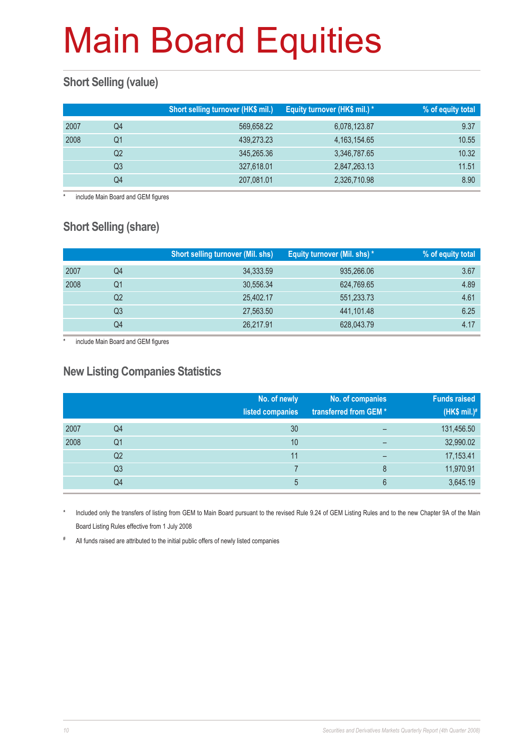#### **Short Selling (value)**

|      |    | Short selling turnover (HK\$ mil.) | Equity turnover (HK\$ mil.) * | % of equity total |
|------|----|------------------------------------|-------------------------------|-------------------|
| 2007 | Q4 | 569,658.22                         | 6,078,123.87                  | 9.37              |
| 2008 | Q1 | 439,273.23                         | 4, 163, 154, 65               | 10.55             |
|      | Q2 | 345,265.36                         | 3,346,787.65                  | 10.32             |
|      | Q3 | 327,618.01                         | 2,847,263.13                  | 11.51             |
|      | Q4 | 207,081.01                         | 2,326,710.98                  | 8.90              |

include Main Board and GEM figures

#### **Short Selling (share)**

|      |                | <b>Short selling turnover (Mil. shs)</b> | Equity turnover (Mil. shs) * | % of equity total |
|------|----------------|------------------------------------------|------------------------------|-------------------|
| 2007 | Q4             | 34,333.59                                | 935,266.06                   | 3.67              |
| 2008 | Q1             | 30,556.34                                | 624,769.65                   | 4.89              |
|      | Q2             | 25,402.17                                | 551,233.73                   | 4.61              |
|      | Q <sub>3</sub> | 27,563.50                                | 441,101.48                   | 6.25              |
|      | Q4             | 26,217.91                                | 628,043.79                   | 4.17              |

include Main Board and GEM figures

#### **New Listing Companies Statistics**

|      |                | No. of newly<br>listed companies | No. of companies<br>transferred from GEM* | <b>Funds raised</b><br>(HK\$ mil.) $#$ |
|------|----------------|----------------------------------|-------------------------------------------|----------------------------------------|
| 2007 | Q4             | 30                               |                                           | 131,456.50                             |
| 2008 | Q <sub>1</sub> | 10                               | $\overline{\phantom{0}}$                  | 32,990.02                              |
|      | Q <sub>2</sub> | 11                               | $\overline{\phantom{0}}$                  | 17,153.41                              |
|      | Q <sub>3</sub> |                                  | 8                                         | 11,970.91                              |
|      | Q4             | 5                                | 6                                         | 3,645.19                               |

Included only the transfers of listing from GEM to Main Board pursuant to the revised Rule 9.24 of GEM Listing Rules and to the new Chapter 9A of the Main Board Listing Rules effective from 1 July 2008

# All funds raised are attributed to the initial public offers of newly listed companies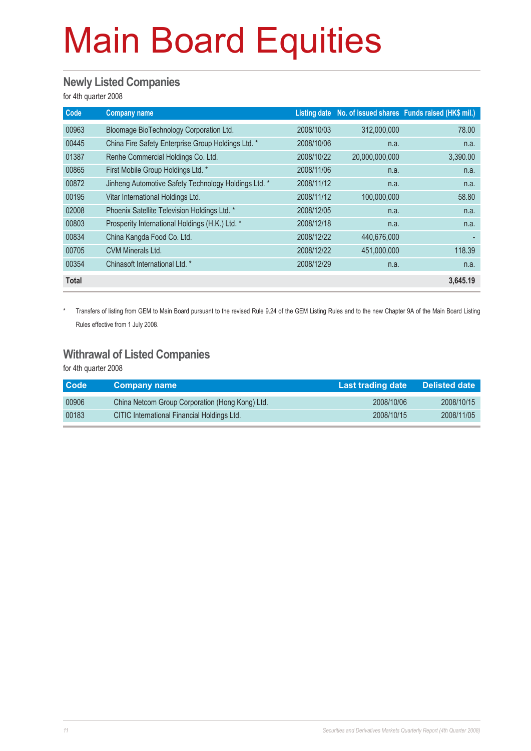#### **Newly Listed Companies**

for 4th quarter 2008

| Code         | <b>Company name</b>                                  |            |                | Listing date No. of issued shares Funds raised (HK\$ mil.) |
|--------------|------------------------------------------------------|------------|----------------|------------------------------------------------------------|
| 00963        | Bloomage BioTechnology Corporation Ltd.              | 2008/10/03 | 312,000,000    | 78.00                                                      |
| 00445        | China Fire Safety Enterprise Group Holdings Ltd. *   | 2008/10/06 | n.a.           | n.a.                                                       |
| 01387        | Renhe Commercial Holdings Co. Ltd.                   | 2008/10/22 | 20,000,000,000 | 3,390.00                                                   |
| 00865        | First Mobile Group Holdings Ltd. *                   | 2008/11/06 | n.a.           | n.a.                                                       |
| 00872        | Jinheng Automotive Safety Technology Holdings Ltd. * | 2008/11/12 | n.a.           | n.a.                                                       |
| 00195        | Vitar International Holdings Ltd.                    | 2008/11/12 | 100,000,000    | 58.80                                                      |
| 02008        | Phoenix Satellite Television Holdings Ltd. *         | 2008/12/05 | n.a.           | n.a.                                                       |
| 00803        | Prosperity International Holdings (H.K.) Ltd. *      | 2008/12/18 | n.a.           | n.a.                                                       |
| 00834        | China Kangda Food Co. Ltd.                           | 2008/12/22 | 440,676,000    |                                                            |
| 00705        | <b>CVM Minerals Ltd.</b>                             | 2008/12/22 | 451,000,000    | 118.39                                                     |
| 00354        | Chinasoft International Ltd. *                       | 2008/12/29 | n.a.           | n.a.                                                       |
| <b>Total</b> |                                                      |            |                | 3,645.19                                                   |

\* Transfers of listing from GEM to Main Board pursuant to the revised Rule 9.24 of the GEM Listing Rules and to the new Chapter 9A of the Main Board Listing Rules effective from 1 July 2008.

#### **Withrawal of Listed Companies**

for 4th quarter 2008

| <b>Code</b> | Company name                                    | Last trading date | <b>Delisted date</b> |
|-------------|-------------------------------------------------|-------------------|----------------------|
| 00906       | China Netcom Group Corporation (Hong Kong) Ltd. | 2008/10/06        | 2008/10/15           |
| 00183       | CITIC International Financial Holdings Ltd.     | 2008/10/15        | 2008/11/05           |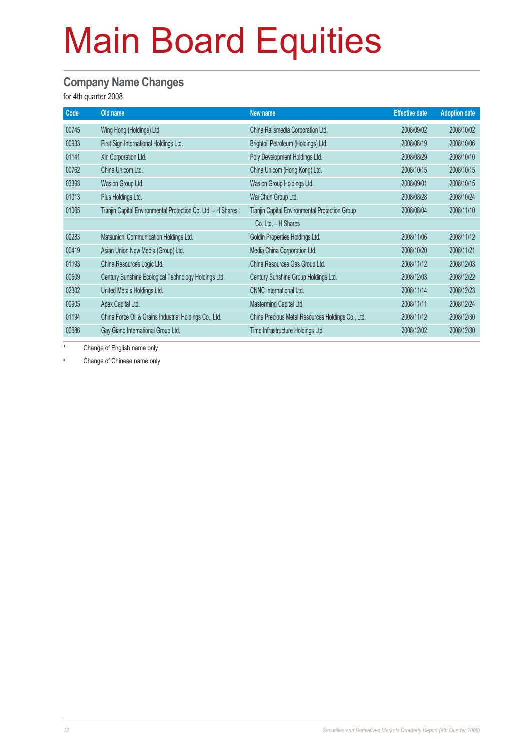#### **Company Name Changes**

for 4th quarter 2008

| Code  | Old name                                                     | New name                                          | <b>Effective date</b> | <b>Adoption date</b> |
|-------|--------------------------------------------------------------|---------------------------------------------------|-----------------------|----------------------|
| 00745 | Wing Hong (Holdings) Ltd.                                    | China Railsmedia Corporation Ltd.                 | 2008/09/02            | 2008/10/02           |
| 00933 | First Sign International Holdings Ltd.                       | Brightoil Petroleum (Holdings) Ltd.               | 2008/08/19            | 2008/10/06           |
| 01141 | Xin Corporation Ltd.                                         | Poly Development Holdings Ltd.                    | 2008/08/29            | 2008/10/10           |
| 00762 | China Unicom Ltd.                                            | China Unicom (Hong Kong) Ltd.                     | 2008/10/15            | 2008/10/15           |
| 03393 | Wasion Group Ltd.                                            | Wasion Group Holdings Ltd.                        | 2008/09/01            | 2008/10/15           |
| 01013 | Plus Holdings Ltd.                                           | Wai Chun Group Ltd.                               | 2008/08/28            | 2008/10/24           |
| 01065 | Tianjin Capital Environmental Protection Co. Ltd. - H Shares | Tianjin Capital Environmental Protection Group    | 2008/08/04            | 2008/11/10           |
|       |                                                              | Co. Ltd. - H Shares                               |                       |                      |
| 00283 | Matsunichi Communication Holdings Ltd.                       | Goldin Properties Holdings Ltd.                   | 2008/11/06            | 2008/11/12           |
| 00419 | Asian Union New Media (Group) Ltd.                           | Media China Corporation Ltd.                      | 2008/10/20            | 2008/11/21           |
| 01193 | China Resources Logic Ltd.                                   | China Resources Gas Group Ltd.                    | 2008/11/12            | 2008/12/03           |
| 00509 | Century Sunshine Ecological Technology Holdings Ltd.         | Century Sunshine Group Holdings Ltd.              | 2008/12/03            | 2008/12/22           |
| 02302 | United Metals Holdings Ltd.                                  | <b>CNNC</b> International Ltd.                    | 2008/11/14            | 2008/12/23           |
| 00905 | Apex Capital Ltd.                                            | Mastermind Capital Ltd.                           | 2008/11/11            | 2008/12/24           |
| 01194 | China Force Oil & Grains Industrial Holdings Co., Ltd.       | China Precious Metal Resources Holdings Co., Ltd. | 2008/11/12            | 2008/12/30           |
| 00686 | Gay Giano International Group Ltd.                           | Time Infrastructure Holdings Ltd.                 | 2008/12/02            | 2008/12/30           |

Change of English name only

# Change of Chinese name only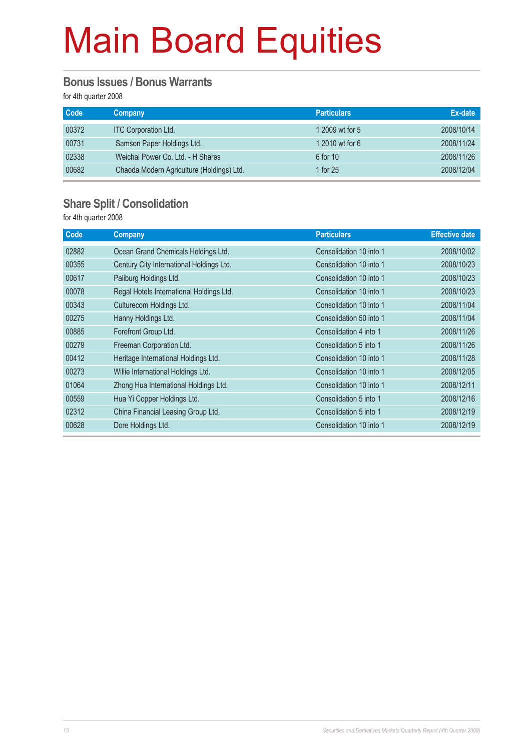#### **Bonus Issues / Bonus Warrants**

for 4th quarter 2008

| <b>Code</b> | <b>Company</b>                            | <b>Particulars</b> | Ex-date    |
|-------------|-------------------------------------------|--------------------|------------|
| 00372       | <b>ITC Corporation Ltd.</b>               | 1 2009 wt for 5    | 2008/10/14 |
| 00731       | Samson Paper Holdings Ltd.                | 1 2010 wt for 6    | 2008/11/24 |
| 02338       | Weichai Power Co. Ltd. - H Shares         | 6 for 10           | 2008/11/26 |
| 00682       | Chaoda Modern Agriculture (Holdings) Ltd. | 1 for 25           | 2008/12/04 |

#### **Share Split / Consolidation**

for 4th quarter 2008

| <b>Code</b> | <b>Company</b>                           | <b>Particulars</b>      | <b>Effective date</b> |
|-------------|------------------------------------------|-------------------------|-----------------------|
| 02882       | Ocean Grand Chemicals Holdings Ltd.      | Consolidation 10 into 1 | 2008/10/02            |
| 00355       | Century City International Holdings Ltd. | Consolidation 10 into 1 | 2008/10/23            |
| 00617       | Paliburg Holdings Ltd.                   | Consolidation 10 into 1 | 2008/10/23            |
| 00078       | Regal Hotels International Holdings Ltd. | Consolidation 10 into 1 | 2008/10/23            |
| 00343       | Culturecom Holdings Ltd.                 | Consolidation 10 into 1 | 2008/11/04            |
| 00275       | Hanny Holdings Ltd.                      | Consolidation 50 into 1 | 2008/11/04            |
| 00885       | Forefront Group Ltd.                     | Consolidation 4 into 1  | 2008/11/26            |
| 00279       | Freeman Corporation Ltd.                 | Consolidation 5 into 1  | 2008/11/26            |
| 00412       | Heritage International Holdings Ltd.     | Consolidation 10 into 1 | 2008/11/28            |
| 00273       | Willie International Holdings Ltd.       | Consolidation 10 into 1 | 2008/12/05            |
| 01064       | Zhong Hua International Holdings Ltd.    | Consolidation 10 into 1 | 2008/12/11            |
| 00559       | Hua Yi Copper Holdings Ltd.              | Consolidation 5 into 1  | 2008/12/16            |
| 02312       | China Financial Leasing Group Ltd.       | Consolidation 5 into 1  | 2008/12/19            |
| 00628       | Dore Holdings Ltd.                       | Consolidation 10 into 1 | 2008/12/19            |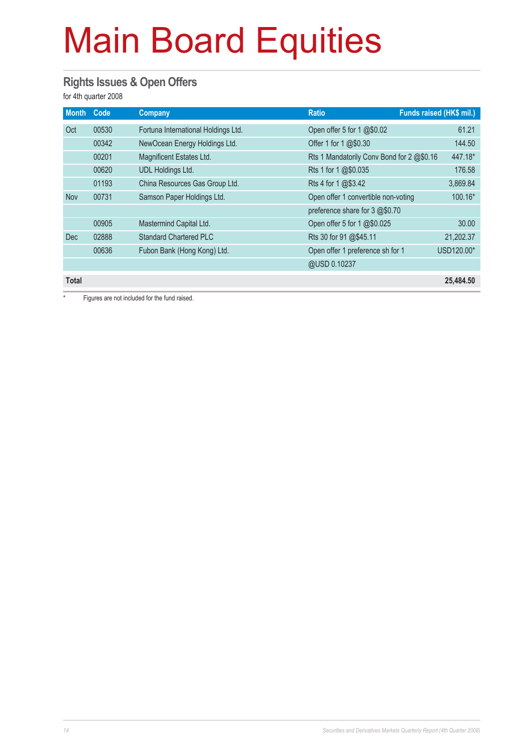#### **Rights Issues & Open Offers**

for 4th quarter 2008

| <b>Month</b> | Code  | Company                             | <b>Ratio</b>                              | Funds raised (HK\$ mil.) |
|--------------|-------|-------------------------------------|-------------------------------------------|--------------------------|
| Oct          | 00530 | Fortuna International Holdings Ltd. | Open offer 5 for 1 @\$0.02                | 61.21                    |
|              | 00342 | NewOcean Energy Holdings Ltd.       | Offer 1 for 1 @\$0.30                     | 144.50                   |
|              | 00201 | Magnificent Estates Ltd.            | Rts 1 Mandatorily Conv Bond for 2 @\$0.16 | 447.18*                  |
|              | 00620 | <b>UDL Holdings Ltd.</b>            | Rts 1 for 1 @\$0.035                      | 176.58                   |
|              | 01193 | China Resources Gas Group Ltd.      | Rts 4 for 1 @\$3.42                       | 3,869.84                 |
| <b>Nov</b>   | 00731 | Samson Paper Holdings Ltd.          | Open offer 1 convertible non-voting       | 100.16*                  |
|              |       |                                     | preference share for 3 @\$0.70            |                          |
|              | 00905 | Mastermind Capital Ltd.             | Open offer 5 for 1 @\$0.025               | 30.00                    |
| <b>Dec</b>   | 02888 | <b>Standard Chartered PLC</b>       | Rts 30 for 91 @\$45.11                    | 21,202.37                |
|              | 00636 | Fubon Bank (Hong Kong) Ltd.         | Open offer 1 preference sh for 1          | USD120.00*               |
|              |       |                                     | @USD 0.10237                              |                          |
| <b>Total</b> |       |                                     |                                           | 25.484.50                |

Figures are not included for the fund raised.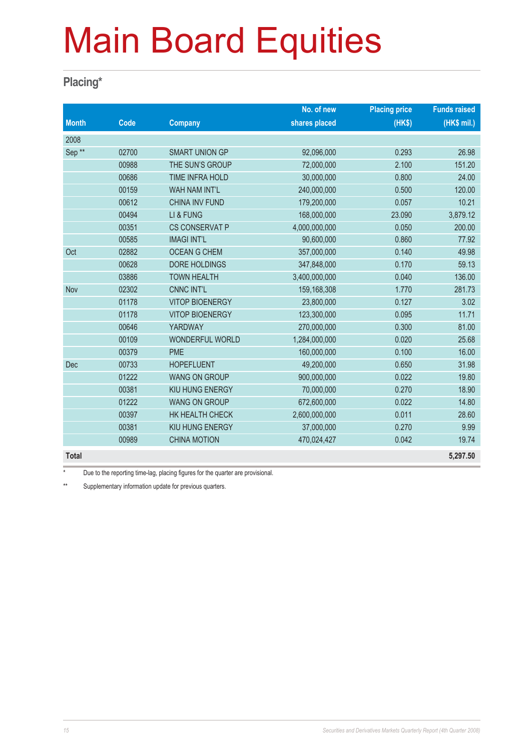#### **Placing\***

|                   |       |                        | No. of new    | <b>Placing price</b> | <b>Funds raised</b> |
|-------------------|-------|------------------------|---------------|----------------------|---------------------|
| <b>Month</b>      | Code  | <b>Company</b>         | shares placed | (HKS)                | (HK\$ mil.)         |
| 2008              |       |                        |               |                      |                     |
| Sep <sup>**</sup> | 02700 | <b>SMART UNION GP</b>  | 92,096,000    | 0.293                | 26.98               |
|                   | 00988 | THE SUN'S GROUP        | 72,000,000    | 2.100                | 151.20              |
|                   | 00686 | TIME INFRA HOLD        | 30,000,000    | 0.800                | 24.00               |
|                   | 00159 | WAH NAM INT'L          | 240,000,000   | 0.500                | 120.00              |
|                   | 00612 | <b>CHINA INV FUND</b>  | 179,200,000   | 0.057                | 10.21               |
|                   | 00494 | LI & FUNG              | 168,000,000   | 23.090               | 3,879.12            |
|                   | 00351 | CS CONSERVAT P         | 4,000,000,000 | 0.050                | 200.00              |
|                   | 00585 | <b>IMAGI INT'L</b>     | 90,600,000    | 0.860                | 77.92               |
| Oct               | 02882 | <b>OCEAN G CHEM</b>    | 357,000,000   | 0.140                | 49.98               |
|                   | 00628 | DORE HOLDINGS          | 347,848,000   | 0.170                | 59.13               |
|                   | 03886 | <b>TOWN HEALTH</b>     | 3,400,000,000 | 0.040                | 136.00              |
| Nov               | 02302 | <b>CNNC INT'L</b>      | 159,168,308   | 1.770                | 281.73              |
|                   | 01178 | <b>VITOP BIOENERGY</b> | 23,800,000    | 0.127                | 3.02                |
|                   | 01178 | <b>VITOP BIOENERGY</b> | 123,300,000   | 0.095                | 11.71               |
|                   | 00646 | <b>YARDWAY</b>         | 270,000,000   | 0.300                | 81.00               |
|                   | 00109 | WONDERFUL WORLD        | 1,284,000,000 | 0.020                | 25.68               |
|                   | 00379 | <b>PME</b>             | 160,000,000   | 0.100                | 16.00               |
| <b>Dec</b>        | 00733 | <b>HOPEFLUENT</b>      | 49,200,000    | 0.650                | 31.98               |
|                   | 01222 | <b>WANG ON GROUP</b>   | 900,000,000   | 0.022                | 19.80               |
|                   | 00381 | KIU HUNG ENERGY        | 70,000,000    | 0.270                | 18.90               |
|                   | 01222 | <b>WANG ON GROUP</b>   | 672,600,000   | 0.022                | 14.80               |
|                   | 00397 | HK HEALTH CHECK        | 2,600,000,000 | 0.011                | 28.60               |
|                   | 00381 | KIU HUNG ENERGY        | 37,000,000    | 0.270                | 9.99                |
|                   | 00989 | <b>CHINA MOTION</b>    | 470,024,427   | 0.042                | 19.74               |
| <b>Total</b>      |       |                        |               |                      | 5,297.50            |

\* Due to the reporting time-lag, placing figures for the quarter are provisional.

\*\* Supplementary information update for previous quarters.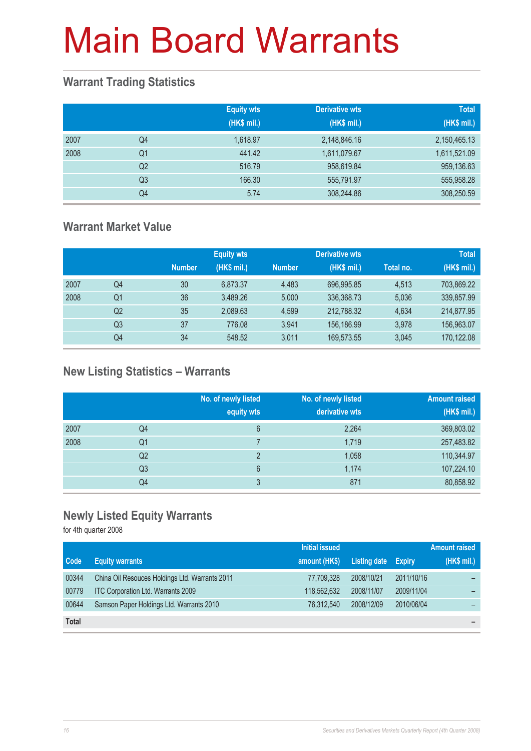#### **Warrant Trading Statistics**

|      |                | <b>Equity wts</b><br>(HK\$ mil.) | Derivative wts<br>(HK\$ mil.) | <b>Total</b><br>(HK\$ mil.) |
|------|----------------|----------------------------------|-------------------------------|-----------------------------|
| 2007 | Q4             | 1,618.97                         | 2,148,846.16                  | 2,150,465.13                |
| 2008 | Q <sub>1</sub> | 441.42                           | 1,611,079.67                  | 1,611,521.09                |
|      | Q <sub>2</sub> | 516.79                           | 958,619.84                    | 959,136.63                  |
|      | Q <sub>3</sub> | 166.30                           | 555,791.97                    | 555,958.28                  |
|      | Q <sub>4</sub> | 5.74                             | 308,244.86                    | 308,250.59                  |

#### **Warrant Market Value**

|      |                |               | <b>Equity wts</b> |               | Derivative wts |           | <b>Total</b> |
|------|----------------|---------------|-------------------|---------------|----------------|-----------|--------------|
|      |                | <b>Number</b> | (HK\$ mil.)       | <b>Number</b> | (HK\$ mil.)    | Total no. | (HK\$ mil.)  |
| 2007 | Q4             | 30            | 6.873.37          | 4.483         | 696.995.85     | 4.513     | 703.869.22   |
| 2008 | Q1             | 36            | 3.489.26          | 5.000         | 336,368.73     | 5,036     | 339,857.99   |
|      | Q2             | 35            | 2,089.63          | 4.599         | 212,788.32     | 4,634     | 214,877.95   |
|      | Q <sub>3</sub> | 37            | 776.08            | 3.941         | 156,186.99     | 3,978     | 156,963.07   |
|      | Q4             | 34            | 548.52            | 3.011         | 169,573.55     | 3,045     | 170,122.08   |

#### **New Listing Statistics – Warrants**

|      |                | No. of newly listed<br>equity wts | No. of newly listed<br>derivative wts | <b>Amount raised</b><br>(HK\$ mil.) |
|------|----------------|-----------------------------------|---------------------------------------|-------------------------------------|
| 2007 | Q4             | 6                                 | 2,264                                 | 369,803.02                          |
| 2008 | Q1             |                                   | 1,719                                 | 257,483.82                          |
|      | Q <sub>2</sub> | っ                                 | 1,058                                 | 110,344.97                          |
|      | Q <sub>3</sub> | 6                                 | 1,174                                 | 107,224.10                          |
|      | Q4             | 3                                 | 871                                   | 80,858.92                           |

#### **Newly Listed Equity Warrants**

for 4th quarter 2008

|              |                                                | <b>Initial issued</b> |              |               | <b>Amount raised</b> |
|--------------|------------------------------------------------|-----------------------|--------------|---------------|----------------------|
| <b>Code</b>  | <b>Equity warrants</b>                         | amount (HK\$)         | Listing date | <b>Expiry</b> | (HK\$ mil.)          |
| 00344        | China Oil Resouces Holdings Ltd. Warrants 2011 | 77,709,328            | 2008/10/21   | 2011/10/16    |                      |
| 00779        | ITC Corporation Ltd. Warrants 2009             | 118.562.632           | 2008/11/07   | 2009/11/04    |                      |
| 00644        | Samson Paper Holdings Ltd. Warrants 2010       | 76.312.540            | 2008/12/09   | 2010/06/04    |                      |
| <b>Total</b> |                                                |                       |              |               | -                    |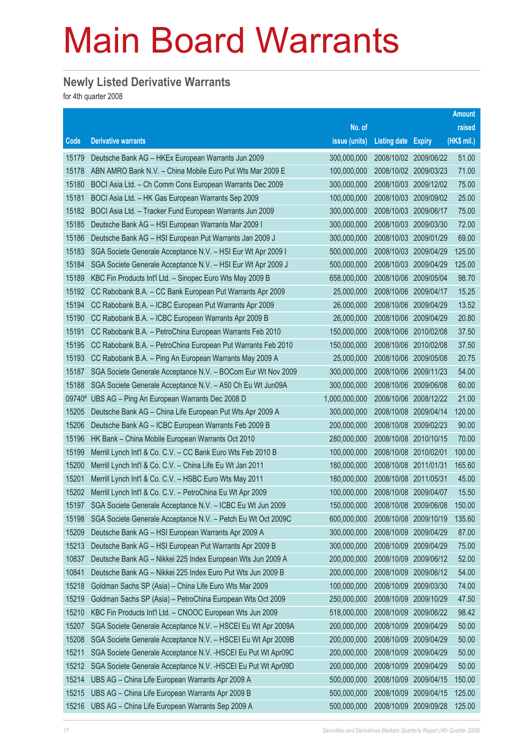#### **Newly Listed Derivative Warrants**

for 4th quarter 2008

|        |                                                               |               |                            |                       | <b>Amount</b> |
|--------|---------------------------------------------------------------|---------------|----------------------------|-----------------------|---------------|
|        |                                                               | No. of        |                            |                       | raised        |
| Code   | <b>Derivative warrants</b>                                    | issue (units) | <b>Listing date Expiry</b> |                       | (HK\$ mil.)   |
| 15179  | Deutsche Bank AG - HKEx European Warrants Jun 2009            | 300,000,000   |                            | 2008/10/02 2009/06/22 | 51.00         |
| 15178  | ABN AMRO Bank N.V. - China Mobile Euro Put Wts Mar 2009 E     | 100,000,000   | 2008/10/02 2009/03/23      |                       | 71.00         |
| 15180  | BOCI Asia Ltd. - Ch Comm Cons European Warrants Dec 2009      | 300,000,000   |                            | 2008/10/03 2009/12/02 | 75.00         |
| 15181  | BOCI Asia Ltd. - HK Gas European Warrants Sep 2009            | 100,000,000   |                            | 2008/10/03 2009/09/02 | 25.00         |
| 15182  | BOCI Asia Ltd. - Tracker Fund European Warrants Jun 2009      | 300,000,000   | 2008/10/03                 | 2009/06/17            | 75.00         |
| 15185  | Deutsche Bank AG - HSI European Warrants Mar 2009 I           | 300,000,000   | 2008/10/03 2009/03/30      |                       | 72.00         |
| 15186  | Deutsche Bank AG - HSI European Put Warrants Jan 2009 J       | 300,000,000   |                            | 2008/10/03 2009/01/29 | 69.00         |
| 15183  | SGA Societe Generale Acceptance N.V. - HSI Eur Wt Apr 2009 I  | 500,000,000   |                            | 2008/10/03 2009/04/29 | 125.00        |
| 15184  | SGA Societe Generale Acceptance N.V. - HSI Eur Wt Apr 2009 J  | 500,000,000   | 2008/10/03                 | 2009/04/29            | 125.00        |
| 15189  | KBC Fin Products Int'l Ltd. - Sinopec Euro Wts May 2009 B     | 658,000,000   | 2008/10/06 2009/05/04      |                       | 98.70         |
| 15192  | CC Rabobank B.A. - CC Bank European Put Warrants Apr 2009     | 25,000,000    |                            | 2008/10/06 2009/04/17 | 15.25         |
| 15194  | CC Rabobank B.A. - ICBC European Put Warrants Apr 2009        | 26,000,000    | 2008/10/06 2009/04/29      |                       | 13.52         |
| 15190  | CC Rabobank B.A. - ICBC European Warrants Apr 2009 B          | 26,000,000    |                            | 2008/10/06 2009/04/29 | 20.80         |
| 15191  | CC Rabobank B.A. - PetroChina European Warrants Feb 2010      | 150,000,000   | 2008/10/06 2010/02/08      |                       | 37.50         |
| 15195  | CC Rabobank B.A. - PetroChina European Put Warrants Feb 2010  | 150,000,000   | 2008/10/06 2010/02/08      |                       | 37.50         |
| 15193  | CC Rabobank B.A. - Ping An European Warrants May 2009 A       | 25,000,000    | 2008/10/06 2009/05/08      |                       | 20.75         |
| 15187  | SGA Societe Generale Acceptance N.V. - BOCom Eur Wt Nov 2009  | 300,000,000   |                            | 2008/10/06 2009/11/23 | 54.00         |
| 15188  | SGA Societe Generale Acceptance N.V. - A50 Ch Eu Wt Jun09A    | 300,000,000   | 2008/10/06 2009/06/08      |                       | 60.00         |
| 09740# | UBS AG - Ping An European Warrants Dec 2008 D                 | 1,000,000,000 |                            | 2008/10/06 2008/12/22 | 21.00         |
| 15205  | Deutsche Bank AG - China Life European Put Wts Apr 2009 A     | 300,000,000   |                            | 2008/10/08 2009/04/14 | 120.00        |
| 15206  | Deutsche Bank AG - ICBC European Warrants Feb 2009 B          | 200,000,000   |                            | 2008/10/08 2009/02/23 | 90.00         |
| 15196  | HK Bank - China Mobile European Warrants Oct 2010             | 280,000,000   | 2008/10/08 2010/10/15      |                       | 70.00         |
| 15199  | Merrill Lynch Int'l & Co. C.V. - CC Bank Euro Wts Feb 2010 B  | 100,000,000   |                            | 2008/10/08 2010/02/01 | 100.00        |
| 15200  | Merrill Lynch Int'l & Co. C.V. - China Life Eu Wt Jan 2011    | 180,000,000   | 2008/10/08 2011/01/31      |                       | 165.60        |
| 15201  | Merrill Lynch Int'l & Co. C.V. - HSBC Euro Wts May 2011       | 180,000,000   | 2008/10/08                 | 2011/05/31            | 45.00         |
| 15202  | Merrill Lynch Int'l & Co. C.V. - PetroChina Eu Wt Apr 2009    | 100,000,000   |                            | 2008/10/08 2009/04/07 | 15.50         |
| 15197  | SGA Societe Generale Acceptance N.V. - ICBC Eu Wt Jun 2009    | 150,000,000   |                            | 2008/10/08 2009/06/08 | 150.00        |
| 15198  | SGA Societe Generale Acceptance N.V. - Petch Eu Wt Oct 2009C  | 600,000,000   | 2008/10/08                 | 2009/10/19            | 135.60        |
| 15209  | Deutsche Bank AG - HSI European Warrants Apr 2009 A           | 300,000,000   | 2008/10/09                 | 2009/04/29            | 87.00         |
| 15213  | Deutsche Bank AG - HSI European Put Warrants Apr 2009 B       | 300,000,000   | 2008/10/09                 | 2009/04/29            | 75.00         |
| 10837  | Deutsche Bank AG - Nikkei 225 Index European Wts Jun 2009 A   | 200,000,000   | 2008/10/09                 | 2009/06/12            | 52.00         |
| 10841  | Deutsche Bank AG - Nikkei 225 Index Euro Put Wts Jun 2009 B   | 200,000,000   | 2008/10/09                 | 2009/06/12            | 54.00         |
| 15218  | Goldman Sachs SP (Asia) - China Life Euro Wts Mar 2009        | 100,000,000   | 2008/10/09                 | 2009/03/30            | 74.00         |
| 15219  | Goldman Sachs SP (Asia) - PetroChina European Wts Oct 2009    | 250,000,000   | 2008/10/09                 | 2009/10/29            | 47.50         |
| 15210  | KBC Fin Products Int'l Ltd. - CNOOC European Wts Jun 2009     | 518,000,000   | 2008/10/09                 | 2009/06/22            | 98.42         |
| 15207  | SGA Societe Generale Acceptance N.V. - HSCEI Eu Wt Apr 2009A  | 200,000,000   | 2008/10/09                 | 2009/04/29            | 50.00         |
| 15208  | SGA Societe Generale Acceptance N.V. - HSCEI Eu Wt Apr 2009B  | 200,000,000   | 2008/10/09                 | 2009/04/29            | 50.00         |
| 15211  | SGA Societe Generale Acceptance N.V. - HSCEI Eu Put Wt Apr09C | 200,000,000   | 2008/10/09                 | 2009/04/29            | 50.00         |
| 15212  | SGA Societe Generale Acceptance N.V. - HSCEI Eu Put Wt Apr09D | 200,000,000   | 2008/10/09                 | 2009/04/29            | 50.00         |
| 15214  | UBS AG - China Life European Warrants Apr 2009 A              | 500,000,000   | 2008/10/09                 | 2009/04/15            | 150.00        |
| 15215  | UBS AG - China Life European Warrants Apr 2009 B              | 500,000,000   | 2008/10/09                 | 2009/04/15            | 125.00        |
| 15216  | UBS AG - China Life European Warrants Sep 2009 A              | 500,000,000   | 2008/10/09                 | 2009/09/28            | 125.00        |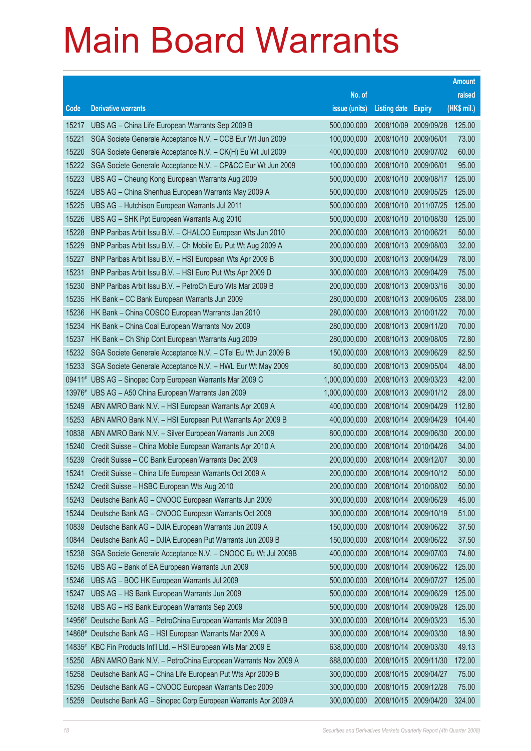|        |                                                              |               |                       |               | <b>Amount</b> |
|--------|--------------------------------------------------------------|---------------|-----------------------|---------------|---------------|
|        |                                                              | No. of        |                       |               | raised        |
| Code   | <b>Derivative warrants</b>                                   | issue (units) | <b>Listing date</b>   | <b>Expiry</b> | (HK\$ mil.)   |
| 15217  | UBS AG - China Life European Warrants Sep 2009 B             | 500,000,000   | 2008/10/09            | 2009/09/28    | 125.00        |
| 15221  | SGA Societe Generale Acceptance N.V. - CCB Eur Wt Jun 2009   | 100,000,000   | 2008/10/10            | 2009/06/01    | 73.00         |
| 15220  | SGA Societe Generale Acceptance N.V. - CK(H) Eu Wt Jul 2009  | 400,000,000   | 2008/10/10            | 2009/07/02    | 60.00         |
| 15222  | SGA Societe Generale Acceptance N.V. - CP&CC Eur Wt Jun 2009 | 100,000,000   | 2008/10/10            | 2009/06/01    | 95.00         |
| 15223  | UBS AG - Cheung Kong European Warrants Aug 2009              | 500,000,000   | 2008/10/10            | 2009/08/17    | 125.00        |
| 15224  | UBS AG - China Shenhua European Warrants May 2009 A          | 500,000,000   | 2008/10/10 2009/05/25 |               | 125.00        |
| 15225  | UBS AG - Hutchison European Warrants Jul 2011                | 500,000,000   | 2008/10/10            | 2011/07/25    | 125.00        |
| 15226  | UBS AG - SHK Ppt European Warrants Aug 2010                  | 500,000,000   | 2008/10/10            | 2010/08/30    | 125.00        |
| 15228  | BNP Paribas Arbit Issu B.V. - CHALCO European Wts Jun 2010   | 200,000,000   | 2008/10/13            | 2010/06/21    | 50.00         |
| 15229  | BNP Paribas Arbit Issu B.V. - Ch Mobile Eu Put Wt Aug 2009 A | 200,000,000   | 2008/10/13 2009/08/03 |               | 32.00         |
| 15227  | BNP Paribas Arbit Issu B.V. - HSI European Wts Apr 2009 B    | 300,000,000   | 2008/10/13            | 2009/04/29    | 78.00         |
| 15231  | BNP Paribas Arbit Issu B.V. - HSI Euro Put Wts Apr 2009 D    | 300,000,000   | 2008/10/13 2009/04/29 |               | 75.00         |
| 15230  | BNP Paribas Arbit Issu B.V. - PetroCh Euro Wts Mar 2009 B    | 200,000,000   | 2008/10/13            | 2009/03/16    | 30.00         |
| 15235  | HK Bank - CC Bank European Warrants Jun 2009                 | 280,000,000   | 2008/10/13 2009/06/05 |               | 238.00        |
| 15236  | HK Bank - China COSCO European Warrants Jan 2010             | 280,000,000   | 2008/10/13            | 2010/01/22    | 70.00         |
| 15234  | HK Bank - China Coal European Warrants Nov 2009              | 280,000,000   | 2008/10/13 2009/11/20 |               | 70.00         |
| 15237  | HK Bank - Ch Ship Cont European Warrants Aug 2009            | 280,000,000   | 2008/10/13            | 2009/08/05    | 72.80         |
| 15232  | SGA Societe Generale Acceptance N.V. - CTel Eu Wt Jun 2009 B | 150,000,000   | 2008/10/13            | 2009/06/29    | 82.50         |
| 15233  | SGA Societe Generale Acceptance N.V. - HWL Eur Wt May 2009   | 80,000,000    | 2008/10/13            | 2009/05/04    | 48.00         |
|        | 09411# UBS AG - Sinopec Corp European Warrants Mar 2009 C    | 1,000,000,000 | 2008/10/13            | 2009/03/23    | 42.00         |
|        | 13976# UBS AG - A50 China European Warrants Jan 2009         | 1,000,000,000 | 2008/10/13            | 2009/01/12    | 28.00         |
| 15249  | ABN AMRO Bank N.V. - HSI European Warrants Apr 2009 A        | 400,000,000   | 2008/10/14            | 2009/04/29    | 112.80        |
| 15253  | ABN AMRO Bank N.V. - HSI European Put Warrants Apr 2009 B    | 400,000,000   | 2008/10/14            | 2009/04/29    | 104.40        |
| 10838  | ABN AMRO Bank N.V. - Silver European Warrants Jun 2009       | 800,000,000   | 2008/10/14            | 2009/06/30    | 200.00        |
| 15240  | Credit Suisse - China Mobile European Warrants Apr 2010 A    | 200,000,000   | 2008/10/14            | 2010/04/26    | 34.00         |
| 15239  | Credit Suisse - CC Bank European Warrants Dec 2009           | 200,000,000   | 2008/10/14            | 2009/12/07    | 30.00         |
| 15241  | Credit Suisse - China Life European Warrants Oct 2009 A      | 200,000,000   | 2008/10/14            | 2009/10/12    | 50.00         |
| 15242  | Credit Suisse - HSBC European Wts Aug 2010                   | 200,000,000   | 2008/10/14            | 2010/08/02    | 50.00         |
| 15243  | Deutsche Bank AG - CNOOC European Warrants Jun 2009          | 300,000,000   | 2008/10/14            | 2009/06/29    | 45.00         |
| 15244  | Deutsche Bank AG - CNOOC European Warrants Oct 2009          | 300,000,000   | 2008/10/14            | 2009/10/19    | 51.00         |
| 10839  | Deutsche Bank AG - DJIA European Warrants Jun 2009 A         | 150,000,000   | 2008/10/14            | 2009/06/22    | 37.50         |
| 10844  | Deutsche Bank AG - DJIA European Put Warrants Jun 2009 B     | 150,000,000   | 2008/10/14            | 2009/06/22    | 37.50         |
| 15238  | SGA Societe Generale Acceptance N.V. - CNOOC Eu Wt Jul 2009B | 400,000,000   | 2008/10/14            | 2009/07/03    | 74.80         |
| 15245  | UBS AG - Bank of EA European Warrants Jun 2009               | 500,000,000   | 2008/10/14            | 2009/06/22    | 125.00        |
| 15246  | UBS AG - BOC HK European Warrants Jul 2009                   | 500,000,000   | 2008/10/14            | 2009/07/27    | 125.00        |
| 15247  | UBS AG - HS Bank European Warrants Jun 2009                  | 500,000,000   | 2008/10/14            | 2009/06/29    | 125.00        |
| 15248  | UBS AG - HS Bank European Warrants Sep 2009                  | 500,000,000   | 2008/10/14            | 2009/09/28    | 125.00        |
| 14956# | Deutsche Bank AG - PetroChina European Warrants Mar 2009 B   | 300,000,000   | 2008/10/14            | 2009/03/23    | 15.30         |
| 14868# | Deutsche Bank AG - HSI European Warrants Mar 2009 A          | 300,000,000   | 2008/10/14            | 2009/03/30    | 18.90         |
| 14835# | KBC Fin Products Int'l Ltd. - HSI European Wts Mar 2009 E    | 638,000,000   | 2008/10/14            | 2009/03/30    | 49.13         |
| 15250  | ABN AMRO Bank N.V. - PetroChina European Warrants Nov 2009 A | 688,000,000   | 2008/10/15            | 2009/11/30    | 172.00        |
| 15258  | Deutsche Bank AG - China Life European Put Wts Apr 2009 B    | 300,000,000   | 2008/10/15            | 2009/04/27    | 75.00         |
| 15295  | Deutsche Bank AG - CNOOC European Warrants Dec 2009          | 300,000,000   | 2008/10/15            | 2009/12/28    | 75.00         |
| 15259  | Deutsche Bank AG - Sinopec Corp European Warrants Apr 2009 A | 300,000,000   | 2008/10/15 2009/04/20 |               | 324.00        |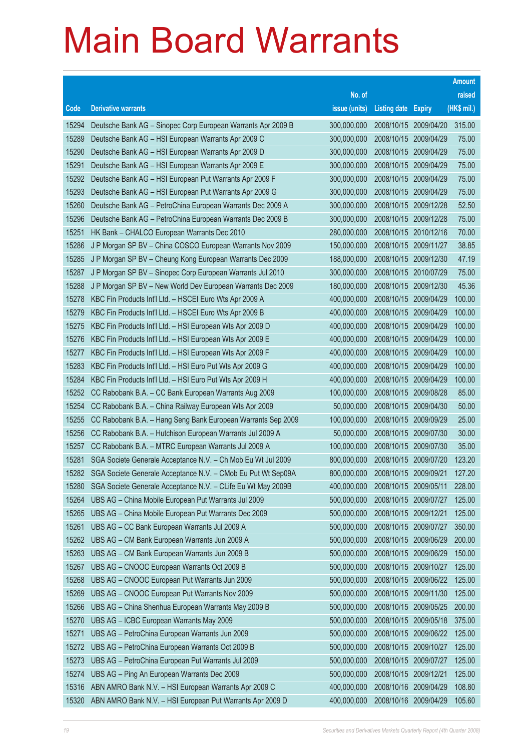|       |                                                              |               |                            |                       | <b>Amount</b> |
|-------|--------------------------------------------------------------|---------------|----------------------------|-----------------------|---------------|
|       |                                                              | No. of        |                            |                       | raised        |
| Code  | <b>Derivative warrants</b>                                   | issue (units) | <b>Listing date Expiry</b> |                       | (HK\$ mil.)   |
| 15294 | Deutsche Bank AG - Sinopec Corp European Warrants Apr 2009 B | 300,000,000   | 2008/10/15                 | 2009/04/20            | 315.00        |
| 15289 | Deutsche Bank AG - HSI European Warrants Apr 2009 C          | 300,000,000   | 2008/10/15                 | 2009/04/29            | 75.00         |
| 15290 | Deutsche Bank AG - HSI European Warrants Apr 2009 D          | 300,000,000   | 2008/10/15                 | 2009/04/29            | 75.00         |
| 15291 | Deutsche Bank AG - HSI European Warrants Apr 2009 E          | 300,000,000   | 2008/10/15                 | 2009/04/29            | 75.00         |
| 15292 | Deutsche Bank AG - HSI European Put Warrants Apr 2009 F      | 300,000,000   | 2008/10/15                 | 2009/04/29            | 75.00         |
| 15293 | Deutsche Bank AG - HSI European Put Warrants Apr 2009 G      | 300,000,000   | 2008/10/15                 | 2009/04/29            | 75.00         |
| 15260 | Deutsche Bank AG - PetroChina European Warrants Dec 2009 A   | 300,000,000   | 2008/10/15                 | 2009/12/28            | 52.50         |
| 15296 | Deutsche Bank AG - PetroChina European Warrants Dec 2009 B   | 300,000,000   | 2008/10/15                 | 2009/12/28            | 75.00         |
| 15251 | HK Bank - CHALCO European Warrants Dec 2010                  | 280,000,000   |                            | 2008/10/15 2010/12/16 | 70.00         |
| 15286 | J P Morgan SP BV - China COSCO European Warrants Nov 2009    | 150,000,000   | 2008/10/15                 | 2009/11/27            | 38.85         |
| 15285 | J P Morgan SP BV - Cheung Kong European Warrants Dec 2009    | 188,000,000   | 2008/10/15                 | 2009/12/30            | 47.19         |
| 15287 | J P Morgan SP BV - Sinopec Corp European Warrants Jul 2010   | 300,000,000   | 2008/10/15                 | 2010/07/29            | 75.00         |
| 15288 | J P Morgan SP BV - New World Dev European Warrants Dec 2009  | 180,000,000   | 2008/10/15                 | 2009/12/30            | 45.36         |
| 15278 | KBC Fin Products Int'l Ltd. - HSCEI Euro Wts Apr 2009 A      | 400,000,000   | 2008/10/15                 | 2009/04/29            | 100.00        |
| 15279 | KBC Fin Products Int'l Ltd. - HSCEI Euro Wts Apr 2009 B      | 400,000,000   | 2008/10/15                 | 2009/04/29            | 100.00        |
| 15275 | KBC Fin Products Int'l Ltd. - HSI European Wts Apr 2009 D    | 400,000,000   | 2008/10/15                 | 2009/04/29            | 100.00        |
| 15276 | KBC Fin Products Int'l Ltd. - HSI European Wts Apr 2009 E    | 400,000,000   | 2008/10/15                 | 2009/04/29            | 100.00        |
| 15277 | KBC Fin Products Int'l Ltd. - HSI European Wts Apr 2009 F    | 400,000,000   | 2008/10/15                 | 2009/04/29            | 100.00        |
| 15283 | KBC Fin Products Int'l Ltd. - HSI Euro Put Wts Apr 2009 G    | 400,000,000   | 2008/10/15                 | 2009/04/29            | 100.00        |
| 15284 | KBC Fin Products Int'l Ltd. - HSI Euro Put Wts Apr 2009 H    | 400,000,000   | 2008/10/15                 | 2009/04/29            | 100.00        |
| 15252 | CC Rabobank B.A. - CC Bank European Warrants Aug 2009        | 100,000,000   | 2008/10/15                 | 2009/08/28            | 85.00         |
| 15254 | CC Rabobank B.A. - China Railway European Wts Apr 2009       | 50,000,000    |                            | 2008/10/15 2009/04/30 | 50.00         |
| 15255 | CC Rabobank B.A. - Hang Seng Bank European Warrants Sep 2009 | 100,000,000   | 2008/10/15                 | 2009/09/29            | 25.00         |
| 15256 | CC Rabobank B.A. - Hutchison European Warrants Jul 2009 A    | 50,000,000    | 2008/10/15                 | 2009/07/30            | 30.00         |
| 15257 | CC Rabobank B.A. - MTRC European Warrants Jul 2009 A         | 100,000,000   | 2008/10/15                 | 2009/07/30            | 35.00         |
| 15281 | SGA Societe Generale Acceptance N.V. - Ch Mob Eu Wt Jul 2009 | 800,000,000   |                            | 2008/10/15 2009/07/20 | 123.20        |
| 15282 | SGA Societe Generale Acceptance N.V. - CMob Eu Put Wt Sep09A | 800,000,000   | 2008/10/15 2009/09/21      |                       | 127.20        |
| 15280 | SGA Societe Generale Acceptance N.V. - CLife Eu Wt May 2009B | 400,000,000   |                            | 2008/10/15 2009/05/11 | 228.00        |
| 15264 | UBS AG - China Mobile European Put Warrants Jul 2009         | 500,000,000   | 2008/10/15                 | 2009/07/27            | 125.00        |
| 15265 | UBS AG - China Mobile European Put Warrants Dec 2009         | 500,000,000   | 2008/10/15 2009/12/21      |                       | 125.00        |
| 15261 | UBS AG - CC Bank European Warrants Jul 2009 A                | 500,000,000   | 2008/10/15                 | 2009/07/27            | 350.00        |
| 15262 | UBS AG - CM Bank European Warrants Jun 2009 A                | 500,000,000   | 2008/10/15                 | 2009/06/29            | 200.00        |
| 15263 | UBS AG - CM Bank European Warrants Jun 2009 B                | 500,000,000   | 2008/10/15                 | 2009/06/29            | 150.00        |
| 15267 | UBS AG - CNOOC European Warrants Oct 2009 B                  | 500,000,000   | 2008/10/15                 | 2009/10/27            | 125.00        |
| 15268 | UBS AG - CNOOC European Put Warrants Jun 2009                | 500,000,000   | 2008/10/15                 | 2009/06/22            | 125.00        |
| 15269 | UBS AG - CNOOC European Put Warrants Nov 2009                | 500,000,000   | 2008/10/15                 | 2009/11/30            | 125.00        |
| 15266 | UBS AG - China Shenhua European Warrants May 2009 B          | 500,000,000   | 2008/10/15                 | 2009/05/25            | 200.00        |
| 15270 | UBS AG - ICBC European Warrants May 2009                     | 500,000,000   | 2008/10/15                 | 2009/05/18            | 375.00        |
| 15271 | UBS AG - PetroChina European Warrants Jun 2009               | 500,000,000   | 2008/10/15                 | 2009/06/22            | 125.00        |
| 15272 | UBS AG - PetroChina European Warrants Oct 2009 B             | 500,000,000   | 2008/10/15                 | 2009/10/27            | 125.00        |
| 15273 | UBS AG - PetroChina European Put Warrants Jul 2009           | 500,000,000   | 2008/10/15                 | 2009/07/27            | 125.00        |
| 15274 | UBS AG - Ping An European Warrants Dec 2009                  | 500,000,000   | 2008/10/15                 | 2009/12/21            | 125.00        |
| 15316 | ABN AMRO Bank N.V. - HSI European Warrants Apr 2009 C        | 400,000,000   | 2008/10/16                 | 2009/04/29            | 108.80        |
| 15320 | ABN AMRO Bank N.V. - HSI European Put Warrants Apr 2009 D    | 400,000,000   | 2008/10/16 2009/04/29      |                       | 105.60        |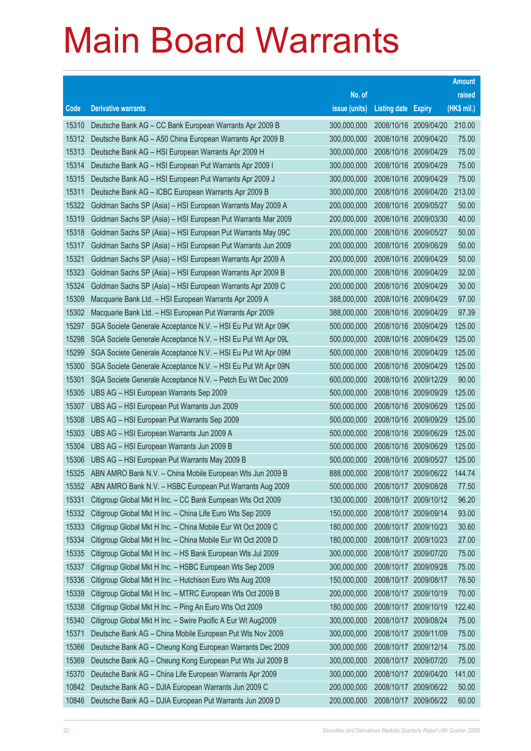| No. of<br>raised<br>(HK\$ mil.)<br><b>Derivative warrants</b><br>issue (units)<br>Code<br><b>Listing date Expiry</b><br>210.00<br>15310<br>Deutsche Bank AG - CC Bank European Warrants Apr 2009 B<br>300,000,000<br>2008/10/16<br>2009/04/20<br>15312<br>2008/10/16<br>Deutsche Bank AG - A50 China European Warrants Apr 2009 B<br>300,000,000<br>2009/04/20<br>75.00<br>15313<br>Deutsche Bank AG - HSI European Warrants Apr 2009 H<br>300,000,000<br>2008/10/16<br>75.00<br>2009/04/29<br>15314<br>2008/10/16<br>75.00<br>Deutsche Bank AG - HSI European Put Warrants Apr 2009 I<br>300,000,000<br>2009/04/29<br>75.00<br>15315<br>Deutsche Bank AG - HSI European Put Warrants Apr 2009 J<br>300,000,000<br>2008/10/16<br>2009/04/29<br>15311<br>2008/10/16<br>213.00<br>Deutsche Bank AG - ICBC European Warrants Apr 2009 B<br>300,000,000<br>2009/04/20<br>50.00<br>15322<br>Goldman Sachs SP (Asia) - HSI European Warrants May 2009 A<br>200,000,000<br>2008/10/16<br>2009/05/27<br>15319<br>2008/10/16<br>40.00<br>Goldman Sachs SP (Asia) - HSI European Put Warrants Mar 2009<br>200,000,000<br>2009/03/30<br>50.00<br>15318<br>Goldman Sachs SP (Asia) - HSI European Put Warrants May 09C<br>200,000,000<br>2008/10/16 2009/05/27<br>2008/10/16<br>50.00<br>15317<br>Goldman Sachs SP (Asia) - HSI European Put Warrants Jun 2009<br>200,000,000<br>2009/06/29<br>50.00<br>15321<br>Goldman Sachs SP (Asia) - HSI European Warrants Apr 2009 A<br>200,000,000<br>2008/10/16<br>2009/04/29<br>15323<br>2008/10/16<br>32.00<br>Goldman Sachs SP (Asia) - HSI European Warrants Apr 2009 B<br>200,000,000<br>2009/04/29<br>30.00<br>15324<br>Goldman Sachs SP (Asia) - HSI European Warrants Apr 2009 C<br>200,000,000<br>2008/10/16<br>2009/04/29<br>15309<br>2008/10/16<br>97.00<br>Macquarie Bank Ltd. - HSI European Warrants Apr 2009 A<br>388,000,000<br>2009/04/29<br>97.39<br>15302<br>Macquarie Bank Ltd. - HSI European Put Warrants Apr 2009<br>388,000,000<br>2008/10/16<br>2009/04/29<br>2008/10/16<br>125.00<br>15297<br>SGA Societe Generale Acceptance N.V. - HSI Eu Put Wt Apr 09K<br>500,000,000<br>2009/04/29 |
|------------------------------------------------------------------------------------------------------------------------------------------------------------------------------------------------------------------------------------------------------------------------------------------------------------------------------------------------------------------------------------------------------------------------------------------------------------------------------------------------------------------------------------------------------------------------------------------------------------------------------------------------------------------------------------------------------------------------------------------------------------------------------------------------------------------------------------------------------------------------------------------------------------------------------------------------------------------------------------------------------------------------------------------------------------------------------------------------------------------------------------------------------------------------------------------------------------------------------------------------------------------------------------------------------------------------------------------------------------------------------------------------------------------------------------------------------------------------------------------------------------------------------------------------------------------------------------------------------------------------------------------------------------------------------------------------------------------------------------------------------------------------------------------------------------------------------------------------------------------------------------------------------------------------------------------------------------------------------------------------------------------------------------------------------------------------------------------------------------------------------------------------|
|                                                                                                                                                                                                                                                                                                                                                                                                                                                                                                                                                                                                                                                                                                                                                                                                                                                                                                                                                                                                                                                                                                                                                                                                                                                                                                                                                                                                                                                                                                                                                                                                                                                                                                                                                                                                                                                                                                                                                                                                                                                                                                                                                |
|                                                                                                                                                                                                                                                                                                                                                                                                                                                                                                                                                                                                                                                                                                                                                                                                                                                                                                                                                                                                                                                                                                                                                                                                                                                                                                                                                                                                                                                                                                                                                                                                                                                                                                                                                                                                                                                                                                                                                                                                                                                                                                                                                |
|                                                                                                                                                                                                                                                                                                                                                                                                                                                                                                                                                                                                                                                                                                                                                                                                                                                                                                                                                                                                                                                                                                                                                                                                                                                                                                                                                                                                                                                                                                                                                                                                                                                                                                                                                                                                                                                                                                                                                                                                                                                                                                                                                |
|                                                                                                                                                                                                                                                                                                                                                                                                                                                                                                                                                                                                                                                                                                                                                                                                                                                                                                                                                                                                                                                                                                                                                                                                                                                                                                                                                                                                                                                                                                                                                                                                                                                                                                                                                                                                                                                                                                                                                                                                                                                                                                                                                |
|                                                                                                                                                                                                                                                                                                                                                                                                                                                                                                                                                                                                                                                                                                                                                                                                                                                                                                                                                                                                                                                                                                                                                                                                                                                                                                                                                                                                                                                                                                                                                                                                                                                                                                                                                                                                                                                                                                                                                                                                                                                                                                                                                |
|                                                                                                                                                                                                                                                                                                                                                                                                                                                                                                                                                                                                                                                                                                                                                                                                                                                                                                                                                                                                                                                                                                                                                                                                                                                                                                                                                                                                                                                                                                                                                                                                                                                                                                                                                                                                                                                                                                                                                                                                                                                                                                                                                |
|                                                                                                                                                                                                                                                                                                                                                                                                                                                                                                                                                                                                                                                                                                                                                                                                                                                                                                                                                                                                                                                                                                                                                                                                                                                                                                                                                                                                                                                                                                                                                                                                                                                                                                                                                                                                                                                                                                                                                                                                                                                                                                                                                |
|                                                                                                                                                                                                                                                                                                                                                                                                                                                                                                                                                                                                                                                                                                                                                                                                                                                                                                                                                                                                                                                                                                                                                                                                                                                                                                                                                                                                                                                                                                                                                                                                                                                                                                                                                                                                                                                                                                                                                                                                                                                                                                                                                |
|                                                                                                                                                                                                                                                                                                                                                                                                                                                                                                                                                                                                                                                                                                                                                                                                                                                                                                                                                                                                                                                                                                                                                                                                                                                                                                                                                                                                                                                                                                                                                                                                                                                                                                                                                                                                                                                                                                                                                                                                                                                                                                                                                |
|                                                                                                                                                                                                                                                                                                                                                                                                                                                                                                                                                                                                                                                                                                                                                                                                                                                                                                                                                                                                                                                                                                                                                                                                                                                                                                                                                                                                                                                                                                                                                                                                                                                                                                                                                                                                                                                                                                                                                                                                                                                                                                                                                |
|                                                                                                                                                                                                                                                                                                                                                                                                                                                                                                                                                                                                                                                                                                                                                                                                                                                                                                                                                                                                                                                                                                                                                                                                                                                                                                                                                                                                                                                                                                                                                                                                                                                                                                                                                                                                                                                                                                                                                                                                                                                                                                                                                |
|                                                                                                                                                                                                                                                                                                                                                                                                                                                                                                                                                                                                                                                                                                                                                                                                                                                                                                                                                                                                                                                                                                                                                                                                                                                                                                                                                                                                                                                                                                                                                                                                                                                                                                                                                                                                                                                                                                                                                                                                                                                                                                                                                |
|                                                                                                                                                                                                                                                                                                                                                                                                                                                                                                                                                                                                                                                                                                                                                                                                                                                                                                                                                                                                                                                                                                                                                                                                                                                                                                                                                                                                                                                                                                                                                                                                                                                                                                                                                                                                                                                                                                                                                                                                                                                                                                                                                |
|                                                                                                                                                                                                                                                                                                                                                                                                                                                                                                                                                                                                                                                                                                                                                                                                                                                                                                                                                                                                                                                                                                                                                                                                                                                                                                                                                                                                                                                                                                                                                                                                                                                                                                                                                                                                                                                                                                                                                                                                                                                                                                                                                |
|                                                                                                                                                                                                                                                                                                                                                                                                                                                                                                                                                                                                                                                                                                                                                                                                                                                                                                                                                                                                                                                                                                                                                                                                                                                                                                                                                                                                                                                                                                                                                                                                                                                                                                                                                                                                                                                                                                                                                                                                                                                                                                                                                |
|                                                                                                                                                                                                                                                                                                                                                                                                                                                                                                                                                                                                                                                                                                                                                                                                                                                                                                                                                                                                                                                                                                                                                                                                                                                                                                                                                                                                                                                                                                                                                                                                                                                                                                                                                                                                                                                                                                                                                                                                                                                                                                                                                |
|                                                                                                                                                                                                                                                                                                                                                                                                                                                                                                                                                                                                                                                                                                                                                                                                                                                                                                                                                                                                                                                                                                                                                                                                                                                                                                                                                                                                                                                                                                                                                                                                                                                                                                                                                                                                                                                                                                                                                                                                                                                                                                                                                |
|                                                                                                                                                                                                                                                                                                                                                                                                                                                                                                                                                                                                                                                                                                                                                                                                                                                                                                                                                                                                                                                                                                                                                                                                                                                                                                                                                                                                                                                                                                                                                                                                                                                                                                                                                                                                                                                                                                                                                                                                                                                                                                                                                |
| 125.00<br>15298<br>SGA Societe Generale Acceptance N.V. - HSI Eu Put Wt Apr 09L<br>500,000,000<br>2008/10/16<br>2009/04/29                                                                                                                                                                                                                                                                                                                                                                                                                                                                                                                                                                                                                                                                                                                                                                                                                                                                                                                                                                                                                                                                                                                                                                                                                                                                                                                                                                                                                                                                                                                                                                                                                                                                                                                                                                                                                                                                                                                                                                                                                     |
| 125.00<br>15299<br>SGA Societe Generale Acceptance N.V. - HSI Eu Put Wt Apr 09M<br>500,000,000<br>2008/10/16<br>2009/04/29                                                                                                                                                                                                                                                                                                                                                                                                                                                                                                                                                                                                                                                                                                                                                                                                                                                                                                                                                                                                                                                                                                                                                                                                                                                                                                                                                                                                                                                                                                                                                                                                                                                                                                                                                                                                                                                                                                                                                                                                                     |
| 125.00<br>15300<br>SGA Societe Generale Acceptance N.V. - HSI Eu Put Wt Apr 09N<br>500,000,000<br>2008/10/16<br>2009/04/29                                                                                                                                                                                                                                                                                                                                                                                                                                                                                                                                                                                                                                                                                                                                                                                                                                                                                                                                                                                                                                                                                                                                                                                                                                                                                                                                                                                                                                                                                                                                                                                                                                                                                                                                                                                                                                                                                                                                                                                                                     |
| 15301<br>2008/10/16<br>90.00<br>SGA Societe Generale Acceptance N.V. - Petch Eu Wt Dec 2009<br>600,000,000<br>2009/12/29                                                                                                                                                                                                                                                                                                                                                                                                                                                                                                                                                                                                                                                                                                                                                                                                                                                                                                                                                                                                                                                                                                                                                                                                                                                                                                                                                                                                                                                                                                                                                                                                                                                                                                                                                                                                                                                                                                                                                                                                                       |
| 125.00<br>15305<br>UBS AG - HSI European Warrants Sep 2009<br>500,000,000<br>2008/10/16<br>2009/09/29                                                                                                                                                                                                                                                                                                                                                                                                                                                                                                                                                                                                                                                                                                                                                                                                                                                                                                                                                                                                                                                                                                                                                                                                                                                                                                                                                                                                                                                                                                                                                                                                                                                                                                                                                                                                                                                                                                                                                                                                                                          |
| 125.00<br>15307<br>UBS AG - HSI European Put Warrants Jun 2009<br>500,000,000<br>2008/10/16<br>2009/06/29                                                                                                                                                                                                                                                                                                                                                                                                                                                                                                                                                                                                                                                                                                                                                                                                                                                                                                                                                                                                                                                                                                                                                                                                                                                                                                                                                                                                                                                                                                                                                                                                                                                                                                                                                                                                                                                                                                                                                                                                                                      |
| 125.00<br>15308<br>UBS AG - HSI European Put Warrants Sep 2009<br>500,000,000<br>2008/10/16<br>2009/09/29                                                                                                                                                                                                                                                                                                                                                                                                                                                                                                                                                                                                                                                                                                                                                                                                                                                                                                                                                                                                                                                                                                                                                                                                                                                                                                                                                                                                                                                                                                                                                                                                                                                                                                                                                                                                                                                                                                                                                                                                                                      |
| 15303<br>2008/10/16<br>125.00<br>UBS AG - HSI European Warrants Jun 2009 A<br>500,000,000<br>2009/06/29<br>125.00                                                                                                                                                                                                                                                                                                                                                                                                                                                                                                                                                                                                                                                                                                                                                                                                                                                                                                                                                                                                                                                                                                                                                                                                                                                                                                                                                                                                                                                                                                                                                                                                                                                                                                                                                                                                                                                                                                                                                                                                                              |
| 15304<br>UBS AG - HSI European Warrants Jun 2009 B<br>500,000,000<br>2008/10/16 2009/06/29<br>2008/10/16 2009/05/27<br>125.00                                                                                                                                                                                                                                                                                                                                                                                                                                                                                                                                                                                                                                                                                                                                                                                                                                                                                                                                                                                                                                                                                                                                                                                                                                                                                                                                                                                                                                                                                                                                                                                                                                                                                                                                                                                                                                                                                                                                                                                                                  |
| 15306<br>UBS AG - HSI European Put Warrants May 2009 B<br>500,000,000<br>888,000,000<br>144.74<br>15325<br>ABN AMRO Bank N.V. - China Mobile European Wts Jun 2009 B<br>2008/10/17 2009/06/22                                                                                                                                                                                                                                                                                                                                                                                                                                                                                                                                                                                                                                                                                                                                                                                                                                                                                                                                                                                                                                                                                                                                                                                                                                                                                                                                                                                                                                                                                                                                                                                                                                                                                                                                                                                                                                                                                                                                                  |
| ABN AMRO Bank N.V. - HSBC European Put Warrants Aug 2009<br>500,000,000<br>2008/10/17 2009/08/28<br>15352<br>77.50                                                                                                                                                                                                                                                                                                                                                                                                                                                                                                                                                                                                                                                                                                                                                                                                                                                                                                                                                                                                                                                                                                                                                                                                                                                                                                                                                                                                                                                                                                                                                                                                                                                                                                                                                                                                                                                                                                                                                                                                                             |
| 15331<br>Citigroup Global Mkt H Inc. - CC Bank European Wts Oct 2009<br>130,000,000<br>2008/10/17<br>96.20<br>2009/10/12                                                                                                                                                                                                                                                                                                                                                                                                                                                                                                                                                                                                                                                                                                                                                                                                                                                                                                                                                                                                                                                                                                                                                                                                                                                                                                                                                                                                                                                                                                                                                                                                                                                                                                                                                                                                                                                                                                                                                                                                                       |
| 15332<br>150,000,000<br>2008/10/17<br>93.00<br>Citigroup Global Mkt H Inc. - China Life Euro Wts Sep 2009<br>2009/09/14                                                                                                                                                                                                                                                                                                                                                                                                                                                                                                                                                                                                                                                                                                                                                                                                                                                                                                                                                                                                                                                                                                                                                                                                                                                                                                                                                                                                                                                                                                                                                                                                                                                                                                                                                                                                                                                                                                                                                                                                                        |
| 15333<br>Citigroup Global Mkt H Inc. - China Mobile Eur Wt Oct 2009 C<br>180,000,000<br>2008/10/17<br>2009/10/23<br>30.60                                                                                                                                                                                                                                                                                                                                                                                                                                                                                                                                                                                                                                                                                                                                                                                                                                                                                                                                                                                                                                                                                                                                                                                                                                                                                                                                                                                                                                                                                                                                                                                                                                                                                                                                                                                                                                                                                                                                                                                                                      |
| 15334<br>Citigroup Global Mkt H Inc. - China Mobile Eur Wt Oct 2009 D<br>180,000,000<br>2008/10/17<br>27.00<br>2009/10/23                                                                                                                                                                                                                                                                                                                                                                                                                                                                                                                                                                                                                                                                                                                                                                                                                                                                                                                                                                                                                                                                                                                                                                                                                                                                                                                                                                                                                                                                                                                                                                                                                                                                                                                                                                                                                                                                                                                                                                                                                      |
| 15335<br>Citigroup Global Mkt H Inc. - HS Bank European Wts Jul 2009<br>300,000,000<br>2008/10/17<br>75.00<br>2009/07/20                                                                                                                                                                                                                                                                                                                                                                                                                                                                                                                                                                                                                                                                                                                                                                                                                                                                                                                                                                                                                                                                                                                                                                                                                                                                                                                                                                                                                                                                                                                                                                                                                                                                                                                                                                                                                                                                                                                                                                                                                       |
| 15337<br>300,000,000<br>2008/10/17<br>75.00<br>Citigroup Global Mkt H Inc. - HSBC European Wts Sep 2009<br>2009/09/28                                                                                                                                                                                                                                                                                                                                                                                                                                                                                                                                                                                                                                                                                                                                                                                                                                                                                                                                                                                                                                                                                                                                                                                                                                                                                                                                                                                                                                                                                                                                                                                                                                                                                                                                                                                                                                                                                                                                                                                                                          |
| 15336<br>Citigroup Global Mkt H Inc. - Hutchison Euro Wts Aug 2009<br>150,000,000<br>2008/10/17<br>2009/08/17<br>76.50                                                                                                                                                                                                                                                                                                                                                                                                                                                                                                                                                                                                                                                                                                                                                                                                                                                                                                                                                                                                                                                                                                                                                                                                                                                                                                                                                                                                                                                                                                                                                                                                                                                                                                                                                                                                                                                                                                                                                                                                                         |
| 15339<br>70.00<br>Citigroup Global Mkt H Inc. - MTRC European Wts Oct 2009 B<br>200,000,000<br>2008/10/17<br>2009/10/19                                                                                                                                                                                                                                                                                                                                                                                                                                                                                                                                                                                                                                                                                                                                                                                                                                                                                                                                                                                                                                                                                                                                                                                                                                                                                                                                                                                                                                                                                                                                                                                                                                                                                                                                                                                                                                                                                                                                                                                                                        |
| 15338<br>Citigroup Global Mkt H Inc. - Ping An Euro Wts Oct 2009<br>180,000,000<br>2008/10/17<br>122.40<br>2009/10/19                                                                                                                                                                                                                                                                                                                                                                                                                                                                                                                                                                                                                                                                                                                                                                                                                                                                                                                                                                                                                                                                                                                                                                                                                                                                                                                                                                                                                                                                                                                                                                                                                                                                                                                                                                                                                                                                                                                                                                                                                          |
| 15340<br>300,000,000<br>2008/10/17<br>75.00<br>Citigroup Global Mkt H Inc. - Swire Pacific A Eur Wt Aug2009<br>2009/08/24                                                                                                                                                                                                                                                                                                                                                                                                                                                                                                                                                                                                                                                                                                                                                                                                                                                                                                                                                                                                                                                                                                                                                                                                                                                                                                                                                                                                                                                                                                                                                                                                                                                                                                                                                                                                                                                                                                                                                                                                                      |
| 15371<br>Deutsche Bank AG - China Mobile European Put Wts Nov 2009<br>300,000,000<br>2008/10/17<br>2009/11/09<br>75.00                                                                                                                                                                                                                                                                                                                                                                                                                                                                                                                                                                                                                                                                                                                                                                                                                                                                                                                                                                                                                                                                                                                                                                                                                                                                                                                                                                                                                                                                                                                                                                                                                                                                                                                                                                                                                                                                                                                                                                                                                         |
| 15366<br>Deutsche Bank AG - Cheung Kong European Warrants Dec 2009<br>300,000,000<br>2008/10/17<br>75.00<br>2009/12/14                                                                                                                                                                                                                                                                                                                                                                                                                                                                                                                                                                                                                                                                                                                                                                                                                                                                                                                                                                                                                                                                                                                                                                                                                                                                                                                                                                                                                                                                                                                                                                                                                                                                                                                                                                                                                                                                                                                                                                                                                         |
| 15369<br>Deutsche Bank AG - Cheung Kong European Put Wts Jul 2009 B<br>300,000,000<br>2008/10/17<br>75.00<br>2009/07/20                                                                                                                                                                                                                                                                                                                                                                                                                                                                                                                                                                                                                                                                                                                                                                                                                                                                                                                                                                                                                                                                                                                                                                                                                                                                                                                                                                                                                                                                                                                                                                                                                                                                                                                                                                                                                                                                                                                                                                                                                        |
| 15370<br>300,000,000<br>2008/10/17<br>141.00<br>Deutsche Bank AG - China Life European Warrants Apr 2009<br>2009/04/20                                                                                                                                                                                                                                                                                                                                                                                                                                                                                                                                                                                                                                                                                                                                                                                                                                                                                                                                                                                                                                                                                                                                                                                                                                                                                                                                                                                                                                                                                                                                                                                                                                                                                                                                                                                                                                                                                                                                                                                                                         |
| 200,000,000<br>10842<br>Deutsche Bank AG - DJIA European Warrants Jun 2009 C<br>2008/10/17<br>2009/06/22<br>50.00                                                                                                                                                                                                                                                                                                                                                                                                                                                                                                                                                                                                                                                                                                                                                                                                                                                                                                                                                                                                                                                                                                                                                                                                                                                                                                                                                                                                                                                                                                                                                                                                                                                                                                                                                                                                                                                                                                                                                                                                                              |
| Deutsche Bank AG - DJIA European Put Warrants Jun 2009 D<br>200,000,000<br>60.00<br>10846<br>2008/10/17<br>2009/06/22                                                                                                                                                                                                                                                                                                                                                                                                                                                                                                                                                                                                                                                                                                                                                                                                                                                                                                                                                                                                                                                                                                                                                                                                                                                                                                                                                                                                                                                                                                                                                                                                                                                                                                                                                                                                                                                                                                                                                                                                                          |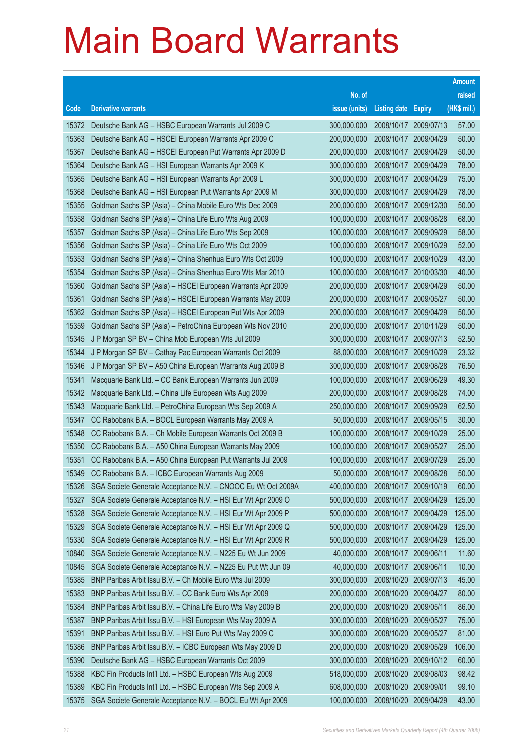|       |                                                              |               |                            |                       | <b>Amount</b> |
|-------|--------------------------------------------------------------|---------------|----------------------------|-----------------------|---------------|
|       |                                                              | No. of        |                            |                       | raised        |
| Code  | <b>Derivative warrants</b>                                   | issue (units) | <b>Listing date Expiry</b> |                       | (HK\$ mil.)   |
| 15372 | Deutsche Bank AG - HSBC European Warrants Jul 2009 C         | 300,000,000   | 2008/10/17                 | 2009/07/13            | 57.00         |
| 15363 | Deutsche Bank AG - HSCEI European Warrants Apr 2009 C        | 200,000,000   | 2008/10/17                 | 2009/04/29            | 50.00         |
| 15367 | Deutsche Bank AG - HSCEI European Put Warrants Apr 2009 D    | 200,000,000   | 2008/10/17                 | 2009/04/29            | 50.00         |
| 15364 | Deutsche Bank AG - HSI European Warrants Apr 2009 K          | 300,000,000   | 2008/10/17                 | 2009/04/29            | 78.00         |
| 15365 | Deutsche Bank AG - HSI European Warrants Apr 2009 L          | 300,000,000   |                            | 2008/10/17 2009/04/29 | 75.00         |
| 15368 | Deutsche Bank AG - HSI European Put Warrants Apr 2009 M      | 300,000,000   | 2008/10/17                 | 2009/04/29            | 78.00         |
| 15355 | Goldman Sachs SP (Asia) – China Mobile Euro Wts Dec 2009     | 200,000,000   | 2008/10/17                 | 2009/12/30            | 50.00         |
| 15358 | Goldman Sachs SP (Asia) - China Life Euro Wts Aug 2009       | 100,000,000   | 2008/10/17                 | 2009/08/28            | 68.00         |
| 15357 | Goldman Sachs SP (Asia) - China Life Euro Wts Sep 2009       | 100,000,000   |                            | 2008/10/17 2009/09/29 | 58.00         |
| 15356 | Goldman Sachs SP (Asia) - China Life Euro Wts Oct 2009       | 100,000,000   |                            | 2008/10/17 2009/10/29 | 52.00         |
| 15353 | Goldman Sachs SP (Asia) - China Shenhua Euro Wts Oct 2009    | 100,000,000   | 2008/10/17                 | 2009/10/29            | 43.00         |
| 15354 | Goldman Sachs SP (Asia) - China Shenhua Euro Wts Mar 2010    | 100,000,000   | 2008/10/17                 | 2010/03/30            | 40.00         |
| 15360 | Goldman Sachs SP (Asia) - HSCEI European Warrants Apr 2009   | 200,000,000   |                            | 2008/10/17 2009/04/29 | 50.00         |
| 15361 | Goldman Sachs SP (Asia) - HSCEI European Warrants May 2009   | 200,000,000   |                            | 2008/10/17 2009/05/27 | 50.00         |
| 15362 | Goldman Sachs SP (Asia) - HSCEI European Put Wts Apr 2009    | 200,000,000   | 2008/10/17                 | 2009/04/29            | 50.00         |
| 15359 | Goldman Sachs SP (Asia) - PetroChina European Wts Nov 2010   | 200,000,000   |                            | 2008/10/17 2010/11/29 | 50.00         |
| 15345 | J P Morgan SP BV - China Mob European Wts Jul 2009           | 300,000,000   |                            | 2008/10/17 2009/07/13 | 52.50         |
| 15344 | J P Morgan SP BV - Cathay Pac European Warrants Oct 2009     | 88,000,000    |                            | 2008/10/17 2009/10/29 | 23.32         |
| 15346 | J P Morgan SP BV - A50 China European Warrants Aug 2009 B    | 300,000,000   | 2008/10/17                 | 2009/08/28            | 76.50         |
| 15341 | Macquarie Bank Ltd. - CC Bank European Warrants Jun 2009     | 100,000,000   | 2008/10/17                 | 2009/06/29            | 49.30         |
| 15342 | Macquarie Bank Ltd. - China Life European Wts Aug 2009       | 200,000,000   | 2008/10/17                 | 2009/08/28            | 74.00         |
| 15343 | Macquarie Bank Ltd. - PetroChina European Wts Sep 2009 A     | 250,000,000   |                            | 2008/10/17 2009/09/29 | 62.50         |
| 15347 | CC Rabobank B.A. - BOCL European Warrants May 2009 A         | 50,000,000    | 2008/10/17                 | 2009/05/15            | 30.00         |
| 15348 | CC Rabobank B.A. - Ch Mobile European Warrants Oct 2009 B    | 100,000,000   | 2008/10/17                 | 2009/10/29            | 25.00         |
| 15350 | CC Rabobank B.A. - A50 China European Warrants May 2009      | 100,000,000   | 2008/10/17                 | 2009/05/27            | 25.00         |
| 15351 | CC Rabobank B.A. - A50 China European Put Warrants Jul 2009  | 100,000,000   | 2008/10/17                 | 2009/07/29            | 25.00         |
| 15349 | CC Rabobank B.A. - ICBC European Warrants Aug 2009           | 50,000,000    | 2008/10/17                 | 2009/08/28            | 50.00         |
| 15326 | SGA Societe Generale Acceptance N.V. - CNOOC Eu Wt Oct 2009A | 400,000,000   | 2008/10/17 2009/10/19      |                       | 60.00         |
| 15327 | SGA Societe Generale Acceptance N.V. - HSI Eur Wt Apr 2009 O | 500,000,000   | 2008/10/17                 | 2009/04/29            | 125.00        |
| 15328 | SGA Societe Generale Acceptance N.V. - HSI Eur Wt Apr 2009 P | 500,000,000   | 2008/10/17                 | 2009/04/29            | 125.00        |
| 15329 | SGA Societe Generale Acceptance N.V. - HSI Eur Wt Apr 2009 Q | 500,000,000   | 2008/10/17                 | 2009/04/29            | 125.00        |
| 15330 | SGA Societe Generale Acceptance N.V. - HSI Eur Wt Apr 2009 R | 500,000,000   | 2008/10/17                 | 2009/04/29            | 125.00        |
| 10840 | SGA Societe Generale Acceptance N.V. - N225 Eu Wt Jun 2009   | 40,000,000    | 2008/10/17                 | 2009/06/11            | 11.60         |
| 10845 | SGA Societe Generale Acceptance N.V. - N225 Eu Put Wt Jun 09 | 40,000,000    | 2008/10/17                 | 2009/06/11            | 10.00         |
| 15385 | BNP Paribas Arbit Issu B.V. - Ch Mobile Euro Wts Jul 2009    | 300,000,000   | 2008/10/20                 | 2009/07/13            | 45.00         |
| 15383 | BNP Paribas Arbit Issu B.V. - CC Bank Euro Wts Apr 2009      | 200,000,000   | 2008/10/20                 | 2009/04/27            | 80.00         |
| 15384 | BNP Paribas Arbit Issu B.V. - China Life Euro Wts May 2009 B | 200,000,000   | 2008/10/20                 | 2009/05/11            | 86.00         |
| 15387 | BNP Paribas Arbit Issu B.V. - HSI European Wts May 2009 A    | 300,000,000   | 2008/10/20                 | 2009/05/27            | 75.00         |
| 15391 | BNP Paribas Arbit Issu B.V. - HSI Euro Put Wts May 2009 C    | 300,000,000   | 2008/10/20                 | 2009/05/27            | 81.00         |
| 15386 | BNP Paribas Arbit Issu B.V. - ICBC European Wts May 2009 D   | 200,000,000   | 2008/10/20                 | 2009/05/29            | 106.00        |
| 15390 | Deutsche Bank AG - HSBC European Warrants Oct 2009           | 300,000,000   | 2008/10/20                 | 2009/10/12            | 60.00         |
| 15388 | KBC Fin Products Int'l Ltd. - HSBC European Wts Aug 2009     | 518,000,000   | 2008/10/20                 | 2009/08/03            | 98.42         |
| 15389 | KBC Fin Products Int'l Ltd. - HSBC European Wts Sep 2009 A   | 608,000,000   | 2008/10/20                 | 2009/09/01            | 99.10         |
| 15375 | SGA Societe Generale Acceptance N.V. - BOCL Eu Wt Apr 2009   | 100,000,000   | 2008/10/20                 | 2009/04/29            | 43.00         |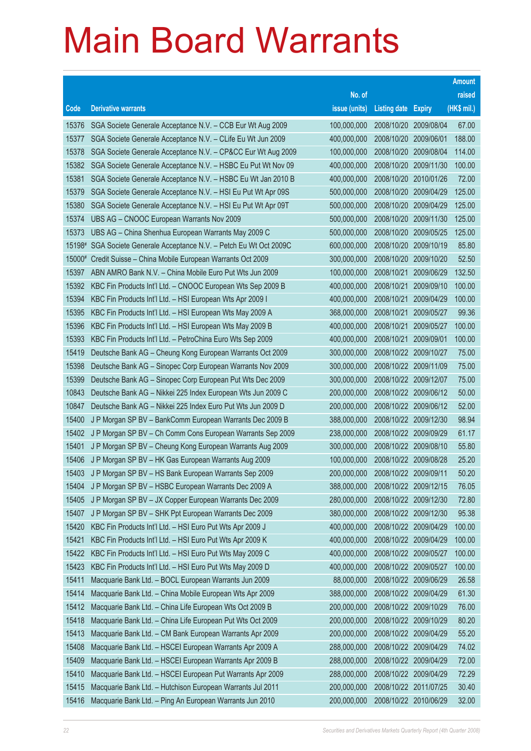|        |                                                              |               |                            |                       | <b>Amount</b> |
|--------|--------------------------------------------------------------|---------------|----------------------------|-----------------------|---------------|
|        |                                                              | No. of        |                            |                       | raised        |
| Code   | <b>Derivative warrants</b>                                   | issue (units) | <b>Listing date Expiry</b> |                       | (HK\$ mil.)   |
| 15376  | SGA Societe Generale Acceptance N.V. - CCB Eur Wt Aug 2009   | 100,000,000   | 2008/10/20 2009/08/04      |                       | 67.00         |
| 15377  | SGA Societe Generale Acceptance N.V. - CLife Eu Wt Jun 2009  | 400,000,000   | 2008/10/20 2009/06/01      |                       | 188.00        |
| 15378  | SGA Societe Generale Acceptance N.V. - CP&CC Eur Wt Aug 2009 | 100,000,000   | 2008/10/20                 | 2009/08/04            | 114.00        |
| 15382  | SGA Societe Generale Acceptance N.V. - HSBC Eu Put Wt Nov 09 | 400,000,000   |                            | 2008/10/20 2009/11/30 | 100.00        |
| 15381  | SGA Societe Generale Acceptance N.V. - HSBC Eu Wt Jan 2010 B | 400,000,000   | 2008/10/20 2010/01/26      |                       | 72.00         |
| 15379  | SGA Societe Generale Acceptance N.V. - HSI Eu Put Wt Apr 09S | 500,000,000   | 2008/10/20                 | 2009/04/29            | 125.00        |
| 15380  | SGA Societe Generale Acceptance N.V. - HSI Eu Put Wt Apr 09T | 500,000,000   | 2008/10/20                 | 2009/04/29            | 125.00        |
| 15374  | UBS AG - CNOOC European Warrants Nov 2009                    | 500,000,000   |                            | 2008/10/20 2009/11/30 | 125.00        |
| 15373  | UBS AG - China Shenhua European Warrants May 2009 C          | 500,000,000   |                            | 2008/10/20 2009/05/25 | 125.00        |
| 15198# | SGA Societe Generale Acceptance N.V. - Petch Eu Wt Oct 2009C | 600,000,000   | 2008/10/20 2009/10/19      |                       | 85.80         |
| 15000# | Credit Suisse - China Mobile European Warrants Oct 2009      | 300,000,000   | 2008/10/20                 | 2009/10/20            | 52.50         |
| 15397  | ABN AMRO Bank N.V. - China Mobile Euro Put Wts Jun 2009      | 100,000,000   | 2008/10/21                 | 2009/06/29            | 132.50        |
| 15392  | KBC Fin Products Int'l Ltd. - CNOOC European Wts Sep 2009 B  | 400,000,000   | 2008/10/21                 | 2009/09/10            | 100.00        |
| 15394  | KBC Fin Products Int'l Ltd. - HSI European Wts Apr 2009 I    | 400,000,000   | 2008/10/21                 | 2009/04/29            | 100.00        |
| 15395  | KBC Fin Products Int'l Ltd. - HSI European Wts May 2009 A    | 368,000,000   | 2008/10/21                 | 2009/05/27            | 99.36         |
| 15396  | KBC Fin Products Int'l Ltd. - HSI European Wts May 2009 B    | 400,000,000   | 2008/10/21                 | 2009/05/27            | 100.00        |
| 15393  | KBC Fin Products Int'l Ltd. - PetroChina Euro Wts Sep 2009   | 400,000,000   | 2008/10/21                 | 2009/09/01            | 100.00        |
| 15419  | Deutsche Bank AG - Cheung Kong European Warrants Oct 2009    | 300,000,000   |                            | 2008/10/22 2009/10/27 | 75.00         |
| 15398  | Deutsche Bank AG - Sinopec Corp European Warrants Nov 2009   | 300,000,000   | 2008/10/22 2009/11/09      |                       | 75.00         |
| 15399  | Deutsche Bank AG - Sinopec Corp European Put Wts Dec 2009    | 300,000,000   |                            | 2008/10/22 2009/12/07 | 75.00         |
| 10843  | Deutsche Bank AG - Nikkei 225 Index European Wts Jun 2009 C  | 200,000,000   |                            | 2008/10/22 2009/06/12 | 50.00         |
| 10847  | Deutsche Bank AG - Nikkei 225 Index Euro Put Wts Jun 2009 D  | 200,000,000   |                            | 2008/10/22 2009/06/12 | 52.00         |
| 15400  | J P Morgan SP BV - BankComm European Warrants Dec 2009 B     | 388,000,000   |                            | 2008/10/22 2009/12/30 | 98.94         |
| 15402  | J P Morgan SP BV - Ch Comm Cons European Warrants Sep 2009   | 238,000,000   | 2008/10/22 2009/09/29      |                       | 61.17         |
| 15401  | J P Morgan SP BV - Cheung Kong European Warrants Aug 2009    | 300,000,000   | 2008/10/22 2009/08/10      |                       | 55.80         |
| 15406  | J P Morgan SP BV - HK Gas European Warrants Aug 2009         | 100,000,000   | 2008/10/22 2009/08/28      |                       | 25.20         |
| 15403  | J P Morgan SP BV - HS Bank European Warrants Sep 2009        | 200,000,000   | 2008/10/22 2009/09/11      |                       | 50.20         |
| 15404  | J P Morgan SP BV - HSBC European Warrants Dec 2009 A         | 388,000,000   | 2008/10/22 2009/12/15      |                       | 76.05         |
| 15405  | J P Morgan SP BV - JX Copper European Warrants Dec 2009      | 280,000,000   | 2008/10/22 2009/12/30      |                       | 72.80         |
| 15407  | J P Morgan SP BV - SHK Ppt European Warrants Dec 2009        | 380,000,000   |                            | 2008/10/22 2009/12/30 | 95.38         |
| 15420  | KBC Fin Products Int'l Ltd. - HSI Euro Put Wts Apr 2009 J    | 400,000,000   | 2008/10/22 2009/04/29      |                       | 100.00        |
| 15421  | KBC Fin Products Int'l Ltd. - HSI Euro Put Wts Apr 2009 K    | 400,000,000   | 2008/10/22 2009/04/29      |                       | 100.00        |
| 15422  | KBC Fin Products Int'l Ltd. - HSI Euro Put Wts May 2009 C    | 400,000,000   | 2008/10/22 2009/05/27      |                       | 100.00        |
| 15423  | KBC Fin Products Int'l Ltd. - HSI Euro Put Wts May 2009 D    | 400,000,000   |                            | 2008/10/22 2009/05/27 | 100.00        |
| 15411  | Macquarie Bank Ltd. - BOCL European Warrants Jun 2009        | 88,000,000    | 2008/10/22 2009/06/29      |                       | 26.58         |
| 15414  | Macquarie Bank Ltd. - China Mobile European Wts Apr 2009     | 388,000,000   | 2008/10/22 2009/04/29      |                       | 61.30         |
| 15412  | Macquarie Bank Ltd. - China Life European Wts Oct 2009 B     | 200,000,000   | 2008/10/22 2009/10/29      |                       | 76.00         |
| 15418  | Macquarie Bank Ltd. - China Life European Put Wts Oct 2009   | 200,000,000   | 2008/10/22 2009/10/29      |                       | 80.20         |
| 15413  | Macquarie Bank Ltd. - CM Bank European Warrants Apr 2009     | 200,000,000   | 2008/10/22 2009/04/29      |                       | 55.20         |
| 15408  | Macquarie Bank Ltd. - HSCEI European Warrants Apr 2009 A     | 288,000,000   | 2008/10/22 2009/04/29      |                       | 74.02         |
| 15409  | Macquarie Bank Ltd. - HSCEI European Warrants Apr 2009 B     | 288,000,000   | 2008/10/22 2009/04/29      |                       | 72.00         |
| 15410  | Macquarie Bank Ltd. - HSCEI European Put Warrants Apr 2009   | 288,000,000   | 2008/10/22 2009/04/29      |                       | 72.29         |
| 15415  | Macquarie Bank Ltd. - Hutchison European Warrants Jul 2011   | 200,000,000   | 2008/10/22 2011/07/25      |                       | 30.40         |
| 15416  | Macquarie Bank Ltd. - Ping An European Warrants Jun 2010     | 200,000,000   | 2008/10/22 2010/06/29      |                       | 32.00         |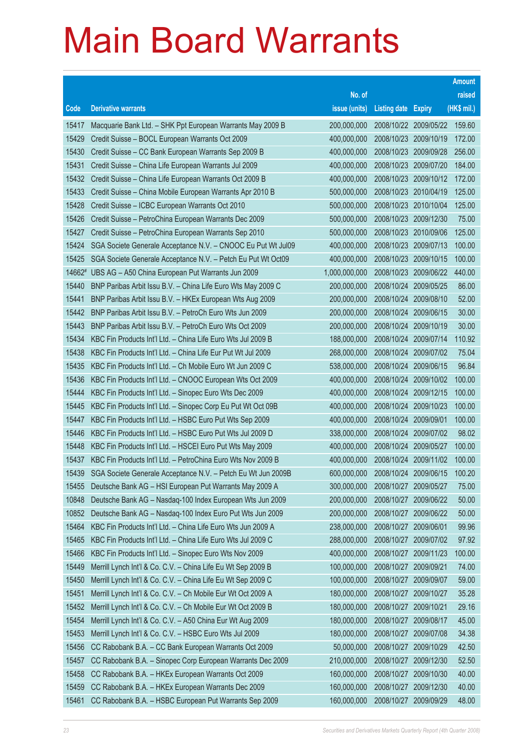|                |                                                                                                                      |                            |                                     |                       | <b>Amount</b>  |
|----------------|----------------------------------------------------------------------------------------------------------------------|----------------------------|-------------------------------------|-----------------------|----------------|
|                |                                                                                                                      | No. of                     |                                     |                       | raised         |
| Code           | <b>Derivative warrants</b>                                                                                           | issue (units)              | <b>Listing date Expiry</b>          |                       | (HK\$ mil.)    |
| 15417          | Macquarie Bank Ltd. - SHK Ppt European Warrants May 2009 B                                                           | 200,000,000                |                                     | 2008/10/22 2009/05/22 | 159.60         |
| 15429          | Credit Suisse - BOCL European Warrants Oct 2009                                                                      | 400,000,000                |                                     | 2008/10/23 2009/10/19 | 172.00         |
| 15430          | Credit Suisse - CC Bank European Warrants Sep 2009 B                                                                 | 400,000,000                |                                     | 2008/10/23 2009/09/28 | 256.00         |
| 15431          | Credit Suisse - China Life European Warrants Jul 2009                                                                | 400,000,000                |                                     | 2008/10/23 2009/07/20 | 184.00         |
| 15432          | Credit Suisse - China Life European Warrants Oct 2009 B                                                              | 400,000,000                |                                     | 2008/10/23 2009/10/12 | 172.00         |
| 15433          | Credit Suisse - China Mobile European Warrants Apr 2010 B                                                            | 500,000,000                |                                     | 2008/10/23 2010/04/19 | 125.00         |
| 15428          | Credit Suisse - ICBC European Warrants Oct 2010                                                                      | 500,000,000                | 2008/10/23 2010/10/04               |                       | 125.00         |
| 15426          | Credit Suisse - PetroChina European Warrants Dec 2009                                                                | 500,000,000                |                                     | 2008/10/23 2009/12/30 | 75.00          |
| 15427          | Credit Suisse - PetroChina European Warrants Sep 2010                                                                | 500,000,000                |                                     | 2008/10/23 2010/09/06 | 125.00         |
| 15424          | SGA Societe Generale Acceptance N.V. - CNOOC Eu Put Wt Jul09                                                         | 400,000,000                |                                     | 2008/10/23 2009/07/13 | 100.00         |
| 15425          | SGA Societe Generale Acceptance N.V. - Petch Eu Put Wt Oct09                                                         | 400,000,000                | 2008/10/23                          | 2009/10/15            | 100.00         |
|                | 14662# UBS AG - A50 China European Put Warrants Jun 2009                                                             | 1,000,000,000              |                                     | 2008/10/23 2009/06/22 | 440.00         |
| 15440          | BNP Paribas Arbit Issu B.V. - China Life Euro Wts May 2009 C                                                         | 200,000,000                |                                     | 2008/10/24 2009/05/25 | 86.00          |
| 15441          | BNP Paribas Arbit Issu B.V. - HKEx European Wts Aug 2009                                                             | 200,000,000                |                                     | 2008/10/24 2009/08/10 | 52.00          |
| 15442          | BNP Paribas Arbit Issu B.V. - PetroCh Euro Wts Jun 2009                                                              | 200,000,000                | 2008/10/24                          | 2009/06/15            | 30.00          |
| 15443          | BNP Paribas Arbit Issu B.V. - PetroCh Euro Wts Oct 2009                                                              | 200,000,000                | 2008/10/24 2009/10/19               |                       | 30.00          |
| 15434          | KBC Fin Products Int'l Ltd. - China Life Euro Wts Jul 2009 B                                                         | 188,000,000                |                                     | 2008/10/24 2009/07/14 | 110.92         |
| 15438          | KBC Fin Products Int'l Ltd. - China Life Eur Put Wt Jul 2009                                                         | 268,000,000                |                                     | 2008/10/24 2009/07/02 | 75.04          |
| 15435          | KBC Fin Products Int'l Ltd. - Ch Mobile Euro Wt Jun 2009 C                                                           | 538,000,000                | 2008/10/24                          | 2009/06/15            | 96.84          |
| 15436          | KBC Fin Products Int'l Ltd. - CNOOC European Wts Oct 2009                                                            | 400,000,000                |                                     | 2008/10/24 2009/10/02 | 100.00         |
| 15444          | KBC Fin Products Int'l Ltd. - Sinopec Euro Wts Dec 2009                                                              | 400,000,000                |                                     | 2008/10/24 2009/12/15 | 100.00         |
| 15445          | KBC Fin Products Int'l Ltd. - Sinopec Corp Eu Put Wt Oct 09B                                                         | 400,000,000                |                                     | 2008/10/24 2009/10/23 | 100.00         |
| 15447          | KBC Fin Products Int'l Ltd. - HSBC Euro Put Wts Sep 2009                                                             | 400,000,000                | 2008/10/24                          | 2009/09/01            | 100.00         |
| 15446          | KBC Fin Products Int'l Ltd. - HSBC Euro Put Wts Jul 2009 D                                                           | 338,000,000                |                                     | 2008/10/24 2009/07/02 | 98.02          |
| 15448          | KBC Fin Products Int'l Ltd. - HSCEI Euro Put Wts May 2009                                                            | 400,000,000                |                                     | 2008/10/24 2009/05/27 | 100.00         |
| 15437          | KBC Fin Products Int'l Ltd. - PetroChina Euro Wts Nov 2009 B                                                         | 400,000,000                |                                     | 2008/10/24 2009/11/02 | 100.00         |
| 15439          | SGA Societe Generale Acceptance N.V. - Petch Eu Wt Jun 2009B                                                         | 600,000,000                |                                     | 2008/10/24 2009/06/15 | 100.20         |
| 15455<br>10848 | Deutsche Bank AG - HSI European Put Warrants May 2009 A<br>Deutsche Bank AG - Nasdaq-100 Index European Wts Jun 2009 | 300,000,000<br>200,000,000 | 2008/10/27 2009/05/27<br>2008/10/27 | 2009/06/22            | 75.00<br>50.00 |
| 10852          | Deutsche Bank AG - Nasdaq-100 Index Euro Put Wts Jun 2009                                                            | 200,000,000                | 2008/10/27                          | 2009/06/22            | 50.00          |
| 15464          | KBC Fin Products Int'l Ltd. - China Life Euro Wts Jun 2009 A                                                         | 238,000,000                | 2008/10/27                          | 2009/06/01            | 99.96          |
| 15465          | KBC Fin Products Int'l Ltd. - China Life Euro Wts Jul 2009 C                                                         | 288,000,000                | 2008/10/27                          | 2009/07/02            | 97.92          |
| 15466          | KBC Fin Products Int'l Ltd. - Sinopec Euro Wts Nov 2009                                                              | 400,000,000                | 2008/10/27                          | 2009/11/23            | 100.00         |
| 15449          | Merrill Lynch Int'l & Co. C.V. - China Life Eu Wt Sep 2009 B                                                         | 100,000,000                | 2008/10/27                          | 2009/09/21            | 74.00          |
| 15450          | Merrill Lynch Int'l & Co. C.V. - China Life Eu Wt Sep 2009 C                                                         | 100,000,000                | 2008/10/27                          | 2009/09/07            | 59.00          |
| 15451          | Merrill Lynch Int'l & Co. C.V. - Ch Mobile Eur Wt Oct 2009 A                                                         | 180,000,000                | 2008/10/27                          | 2009/10/27            | 35.28          |
| 15452          | Merrill Lynch Int'l & Co. C.V. - Ch Mobile Eur Wt Oct 2009 B                                                         | 180,000,000                | 2008/10/27                          | 2009/10/21            | 29.16          |
| 15454          | Merrill Lynch Int'l & Co. C.V. - A50 China Eur Wt Aug 2009                                                           | 180,000,000                | 2008/10/27                          | 2009/08/17            | 45.00          |
| 15453          | Merrill Lynch Int'l & Co. C.V. - HSBC Euro Wts Jul 2009                                                              | 180,000,000                | 2008/10/27                          | 2009/07/08            | 34.38          |
| 15456          | CC Rabobank B.A. - CC Bank European Warrants Oct 2009                                                                | 50,000,000                 | 2008/10/27                          | 2009/10/29            | 42.50          |
| 15457          | CC Rabobank B.A. - Sinopec Corp European Warrants Dec 2009                                                           | 210,000,000                | 2008/10/27                          | 2009/12/30            | 52.50          |
| 15458          | CC Rabobank B.A. - HKEx European Warrants Oct 2009                                                                   | 160,000,000                | 2008/10/27                          | 2009/10/30            | 40.00          |
| 15459          | CC Rabobank B.A. - HKEx European Warrants Dec 2009                                                                   | 160,000,000                | 2008/10/27                          | 2009/12/30            | 40.00          |
| 15461          | CC Rabobank B.A. - HSBC European Put Warrants Sep 2009                                                               | 160,000,000                | 2008/10/27                          |                       | 48.00          |
|                |                                                                                                                      |                            |                                     | 2009/09/29            |                |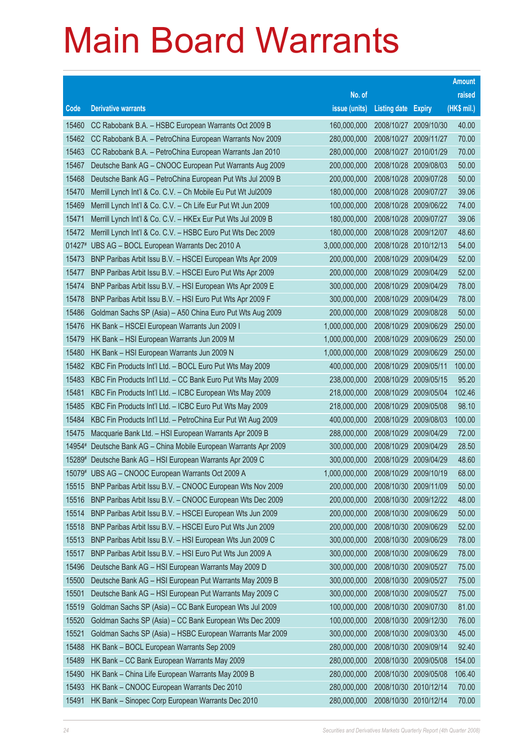|                                                                                                                                                                           |                                                                                                                                                                                                                                                                                                                                                                                                                                                                                                                                                                                                                                                                                                                                                                                                                                                                                                                                                                                                                                                                                                                                                                                                                                      |                                                                                                                                                                                                                                                                                                                           |                                                                                                                                                                                                                                                                                                                          |                                                                                                                                                                                                                                                                        | <b>Amount</b>                                                                                                                                                                               |
|---------------------------------------------------------------------------------------------------------------------------------------------------------------------------|--------------------------------------------------------------------------------------------------------------------------------------------------------------------------------------------------------------------------------------------------------------------------------------------------------------------------------------------------------------------------------------------------------------------------------------------------------------------------------------------------------------------------------------------------------------------------------------------------------------------------------------------------------------------------------------------------------------------------------------------------------------------------------------------------------------------------------------------------------------------------------------------------------------------------------------------------------------------------------------------------------------------------------------------------------------------------------------------------------------------------------------------------------------------------------------------------------------------------------------|---------------------------------------------------------------------------------------------------------------------------------------------------------------------------------------------------------------------------------------------------------------------------------------------------------------------------|--------------------------------------------------------------------------------------------------------------------------------------------------------------------------------------------------------------------------------------------------------------------------------------------------------------------------|------------------------------------------------------------------------------------------------------------------------------------------------------------------------------------------------------------------------------------------------------------------------|---------------------------------------------------------------------------------------------------------------------------------------------------------------------------------------------|
|                                                                                                                                                                           |                                                                                                                                                                                                                                                                                                                                                                                                                                                                                                                                                                                                                                                                                                                                                                                                                                                                                                                                                                                                                                                                                                                                                                                                                                      | No. of                                                                                                                                                                                                                                                                                                                    |                                                                                                                                                                                                                                                                                                                          |                                                                                                                                                                                                                                                                        | raised                                                                                                                                                                                      |
| Code                                                                                                                                                                      | <b>Derivative warrants</b>                                                                                                                                                                                                                                                                                                                                                                                                                                                                                                                                                                                                                                                                                                                                                                                                                                                                                                                                                                                                                                                                                                                                                                                                           | issue (units)                                                                                                                                                                                                                                                                                                             | <b>Listing date Expiry</b>                                                                                                                                                                                                                                                                                               |                                                                                                                                                                                                                                                                        | (HK\$ mil.)                                                                                                                                                                                 |
| 15460                                                                                                                                                                     | CC Rabobank B.A. - HSBC European Warrants Oct 2009 B                                                                                                                                                                                                                                                                                                                                                                                                                                                                                                                                                                                                                                                                                                                                                                                                                                                                                                                                                                                                                                                                                                                                                                                 | 160,000,000                                                                                                                                                                                                                                                                                                               | 2008/10/27                                                                                                                                                                                                                                                                                                               | 2009/10/30                                                                                                                                                                                                                                                             | 40.00                                                                                                                                                                                       |
| 15462                                                                                                                                                                     | CC Rabobank B.A. - PetroChina European Warrants Nov 2009                                                                                                                                                                                                                                                                                                                                                                                                                                                                                                                                                                                                                                                                                                                                                                                                                                                                                                                                                                                                                                                                                                                                                                             | 280,000,000                                                                                                                                                                                                                                                                                                               |                                                                                                                                                                                                                                                                                                                          | 2008/10/27 2009/11/27                                                                                                                                                                                                                                                  | 70.00                                                                                                                                                                                       |
| 15463                                                                                                                                                                     | CC Rabobank B.A. - PetroChina European Warrants Jan 2010                                                                                                                                                                                                                                                                                                                                                                                                                                                                                                                                                                                                                                                                                                                                                                                                                                                                                                                                                                                                                                                                                                                                                                             | 280,000,000                                                                                                                                                                                                                                                                                                               | 2008/10/27                                                                                                                                                                                                                                                                                                               | 2010/01/29                                                                                                                                                                                                                                                             | 70.00                                                                                                                                                                                       |
| 15467                                                                                                                                                                     | Deutsche Bank AG - CNOOC European Put Warrants Aug 2009                                                                                                                                                                                                                                                                                                                                                                                                                                                                                                                                                                                                                                                                                                                                                                                                                                                                                                                                                                                                                                                                                                                                                                              | 200,000,000                                                                                                                                                                                                                                                                                                               | 2008/10/28                                                                                                                                                                                                                                                                                                               | 2009/08/03                                                                                                                                                                                                                                                             | 50.00                                                                                                                                                                                       |
| 15468                                                                                                                                                                     | Deutsche Bank AG - PetroChina European Put Wts Jul 2009 B                                                                                                                                                                                                                                                                                                                                                                                                                                                                                                                                                                                                                                                                                                                                                                                                                                                                                                                                                                                                                                                                                                                                                                            | 200,000,000                                                                                                                                                                                                                                                                                                               | 2008/10/28 2009/07/28                                                                                                                                                                                                                                                                                                    |                                                                                                                                                                                                                                                                        | 50.00                                                                                                                                                                                       |
| 15470                                                                                                                                                                     | Merrill Lynch Int'l & Co. C.V. - Ch Mobile Eu Put Wt Jul2009                                                                                                                                                                                                                                                                                                                                                                                                                                                                                                                                                                                                                                                                                                                                                                                                                                                                                                                                                                                                                                                                                                                                                                         | 180,000,000                                                                                                                                                                                                                                                                                                               |                                                                                                                                                                                                                                                                                                                          | 2008/10/28 2009/07/27                                                                                                                                                                                                                                                  | 39.06                                                                                                                                                                                       |
| 15469                                                                                                                                                                     | Merrill Lynch Int'l & Co. C.V. - Ch Life Eur Put Wt Jun 2009                                                                                                                                                                                                                                                                                                                                                                                                                                                                                                                                                                                                                                                                                                                                                                                                                                                                                                                                                                                                                                                                                                                                                                         | 100,000,000                                                                                                                                                                                                                                                                                                               | 2008/10/28                                                                                                                                                                                                                                                                                                               | 2009/06/22                                                                                                                                                                                                                                                             | 74.00                                                                                                                                                                                       |
| 15471                                                                                                                                                                     | Merrill Lynch Int'l & Co. C.V. - HKEx Eur Put Wts Jul 2009 B                                                                                                                                                                                                                                                                                                                                                                                                                                                                                                                                                                                                                                                                                                                                                                                                                                                                                                                                                                                                                                                                                                                                                                         | 180,000,000                                                                                                                                                                                                                                                                                                               | 2008/10/28                                                                                                                                                                                                                                                                                                               | 2009/07/27                                                                                                                                                                                                                                                             | 39.06                                                                                                                                                                                       |
| 15472                                                                                                                                                                     | Merrill Lynch Int'l & Co. C.V. - HSBC Euro Put Wts Dec 2009                                                                                                                                                                                                                                                                                                                                                                                                                                                                                                                                                                                                                                                                                                                                                                                                                                                                                                                                                                                                                                                                                                                                                                          | 180,000,000                                                                                                                                                                                                                                                                                                               | 2008/10/28 2009/12/07                                                                                                                                                                                                                                                                                                    |                                                                                                                                                                                                                                                                        | 48.60                                                                                                                                                                                       |
| 01427#                                                                                                                                                                    | UBS AG - BOCL European Warrants Dec 2010 A                                                                                                                                                                                                                                                                                                                                                                                                                                                                                                                                                                                                                                                                                                                                                                                                                                                                                                                                                                                                                                                                                                                                                                                           | 3,000,000,000                                                                                                                                                                                                                                                                                                             |                                                                                                                                                                                                                                                                                                                          | 2008/10/28 2010/12/13                                                                                                                                                                                                                                                  | 54.00                                                                                                                                                                                       |
| 15473                                                                                                                                                                     | BNP Paribas Arbit Issu B.V. - HSCEI European Wts Apr 2009                                                                                                                                                                                                                                                                                                                                                                                                                                                                                                                                                                                                                                                                                                                                                                                                                                                                                                                                                                                                                                                                                                                                                                            | 200,000,000                                                                                                                                                                                                                                                                                                               | 2008/10/29                                                                                                                                                                                                                                                                                                               | 2009/04/29                                                                                                                                                                                                                                                             | 52.00                                                                                                                                                                                       |
| 15477                                                                                                                                                                     | BNP Paribas Arbit Issu B.V. - HSCEI Euro Put Wts Apr 2009                                                                                                                                                                                                                                                                                                                                                                                                                                                                                                                                                                                                                                                                                                                                                                                                                                                                                                                                                                                                                                                                                                                                                                            | 200,000,000                                                                                                                                                                                                                                                                                                               | 2008/10/29                                                                                                                                                                                                                                                                                                               | 2009/04/29                                                                                                                                                                                                                                                             | 52.00                                                                                                                                                                                       |
| 15474                                                                                                                                                                     | BNP Paribas Arbit Issu B.V. - HSI European Wts Apr 2009 E                                                                                                                                                                                                                                                                                                                                                                                                                                                                                                                                                                                                                                                                                                                                                                                                                                                                                                                                                                                                                                                                                                                                                                            | 300,000,000                                                                                                                                                                                                                                                                                                               | 2008/10/29                                                                                                                                                                                                                                                                                                               | 2009/04/29                                                                                                                                                                                                                                                             | 78.00                                                                                                                                                                                       |
| 15478                                                                                                                                                                     | BNP Paribas Arbit Issu B.V. - HSI Euro Put Wts Apr 2009 F                                                                                                                                                                                                                                                                                                                                                                                                                                                                                                                                                                                                                                                                                                                                                                                                                                                                                                                                                                                                                                                                                                                                                                            | 300,000,000                                                                                                                                                                                                                                                                                                               | 2008/10/29                                                                                                                                                                                                                                                                                                               | 2009/04/29                                                                                                                                                                                                                                                             | 78.00                                                                                                                                                                                       |
| 15486                                                                                                                                                                     | Goldman Sachs SP (Asia) - A50 China Euro Put Wts Aug 2009                                                                                                                                                                                                                                                                                                                                                                                                                                                                                                                                                                                                                                                                                                                                                                                                                                                                                                                                                                                                                                                                                                                                                                            | 200,000,000                                                                                                                                                                                                                                                                                                               | 2008/10/29                                                                                                                                                                                                                                                                                                               | 2009/08/28                                                                                                                                                                                                                                                             | 50.00                                                                                                                                                                                       |
| 15476                                                                                                                                                                     | HK Bank - HSCEI European Warrants Jun 2009 I                                                                                                                                                                                                                                                                                                                                                                                                                                                                                                                                                                                                                                                                                                                                                                                                                                                                                                                                                                                                                                                                                                                                                                                         | 1,000,000,000                                                                                                                                                                                                                                                                                                             | 2008/10/29                                                                                                                                                                                                                                                                                                               | 2009/06/29                                                                                                                                                                                                                                                             | 250.00                                                                                                                                                                                      |
| 15479                                                                                                                                                                     | HK Bank - HSI European Warrants Jun 2009 M                                                                                                                                                                                                                                                                                                                                                                                                                                                                                                                                                                                                                                                                                                                                                                                                                                                                                                                                                                                                                                                                                                                                                                                           | 1,000,000,000                                                                                                                                                                                                                                                                                                             | 2008/10/29                                                                                                                                                                                                                                                                                                               | 2009/06/29                                                                                                                                                                                                                                                             | 250.00                                                                                                                                                                                      |
| 15480                                                                                                                                                                     | HK Bank - HSI European Warrants Jun 2009 N                                                                                                                                                                                                                                                                                                                                                                                                                                                                                                                                                                                                                                                                                                                                                                                                                                                                                                                                                                                                                                                                                                                                                                                           | 1,000,000,000                                                                                                                                                                                                                                                                                                             | 2008/10/29                                                                                                                                                                                                                                                                                                               | 2009/06/29                                                                                                                                                                                                                                                             | 250.00                                                                                                                                                                                      |
| 15482                                                                                                                                                                     | KBC Fin Products Int'l Ltd. - BOCL Euro Put Wts May 2009                                                                                                                                                                                                                                                                                                                                                                                                                                                                                                                                                                                                                                                                                                                                                                                                                                                                                                                                                                                                                                                                                                                                                                             | 400,000,000                                                                                                                                                                                                                                                                                                               | 2008/10/29                                                                                                                                                                                                                                                                                                               | 2009/05/11                                                                                                                                                                                                                                                             | 100.00                                                                                                                                                                                      |
| 15483                                                                                                                                                                     | KBC Fin Products Int'l Ltd. - CC Bank Euro Put Wts May 2009                                                                                                                                                                                                                                                                                                                                                                                                                                                                                                                                                                                                                                                                                                                                                                                                                                                                                                                                                                                                                                                                                                                                                                          | 238,000,000                                                                                                                                                                                                                                                                                                               | 2008/10/29                                                                                                                                                                                                                                                                                                               | 2009/05/15                                                                                                                                                                                                                                                             | 95.20                                                                                                                                                                                       |
| 15481                                                                                                                                                                     | KBC Fin Products Int'l Ltd. - ICBC European Wts May 2009                                                                                                                                                                                                                                                                                                                                                                                                                                                                                                                                                                                                                                                                                                                                                                                                                                                                                                                                                                                                                                                                                                                                                                             | 218,000,000                                                                                                                                                                                                                                                                                                               | 2008/10/29                                                                                                                                                                                                                                                                                                               | 2009/05/04                                                                                                                                                                                                                                                             | 102.46                                                                                                                                                                                      |
| 15485                                                                                                                                                                     | KBC Fin Products Int'l Ltd. - ICBC Euro Put Wts May 2009                                                                                                                                                                                                                                                                                                                                                                                                                                                                                                                                                                                                                                                                                                                                                                                                                                                                                                                                                                                                                                                                                                                                                                             | 218,000,000                                                                                                                                                                                                                                                                                                               | 2008/10/29                                                                                                                                                                                                                                                                                                               | 2009/05/08                                                                                                                                                                                                                                                             | 98.10                                                                                                                                                                                       |
| 15484                                                                                                                                                                     | KBC Fin Products Int'l Ltd. - PetroChina Eur Put Wt Aug 2009                                                                                                                                                                                                                                                                                                                                                                                                                                                                                                                                                                                                                                                                                                                                                                                                                                                                                                                                                                                                                                                                                                                                                                         | 400,000,000                                                                                                                                                                                                                                                                                                               | 2008/10/29                                                                                                                                                                                                                                                                                                               | 2009/08/03                                                                                                                                                                                                                                                             | 100.00                                                                                                                                                                                      |
|                                                                                                                                                                           |                                                                                                                                                                                                                                                                                                                                                                                                                                                                                                                                                                                                                                                                                                                                                                                                                                                                                                                                                                                                                                                                                                                                                                                                                                      |                                                                                                                                                                                                                                                                                                                           |                                                                                                                                                                                                                                                                                                                          |                                                                                                                                                                                                                                                                        |                                                                                                                                                                                             |
|                                                                                                                                                                           |                                                                                                                                                                                                                                                                                                                                                                                                                                                                                                                                                                                                                                                                                                                                                                                                                                                                                                                                                                                                                                                                                                                                                                                                                                      |                                                                                                                                                                                                                                                                                                                           |                                                                                                                                                                                                                                                                                                                          |                                                                                                                                                                                                                                                                        |                                                                                                                                                                                             |
|                                                                                                                                                                           |                                                                                                                                                                                                                                                                                                                                                                                                                                                                                                                                                                                                                                                                                                                                                                                                                                                                                                                                                                                                                                                                                                                                                                                                                                      |                                                                                                                                                                                                                                                                                                                           |                                                                                                                                                                                                                                                                                                                          |                                                                                                                                                                                                                                                                        |                                                                                                                                                                                             |
|                                                                                                                                                                           |                                                                                                                                                                                                                                                                                                                                                                                                                                                                                                                                                                                                                                                                                                                                                                                                                                                                                                                                                                                                                                                                                                                                                                                                                                      |                                                                                                                                                                                                                                                                                                                           |                                                                                                                                                                                                                                                                                                                          |                                                                                                                                                                                                                                                                        |                                                                                                                                                                                             |
|                                                                                                                                                                           |                                                                                                                                                                                                                                                                                                                                                                                                                                                                                                                                                                                                                                                                                                                                                                                                                                                                                                                                                                                                                                                                                                                                                                                                                                      |                                                                                                                                                                                                                                                                                                                           |                                                                                                                                                                                                                                                                                                                          |                                                                                                                                                                                                                                                                        |                                                                                                                                                                                             |
|                                                                                                                                                                           |                                                                                                                                                                                                                                                                                                                                                                                                                                                                                                                                                                                                                                                                                                                                                                                                                                                                                                                                                                                                                                                                                                                                                                                                                                      |                                                                                                                                                                                                                                                                                                                           |                                                                                                                                                                                                                                                                                                                          |                                                                                                                                                                                                                                                                        |                                                                                                                                                                                             |
|                                                                                                                                                                           |                                                                                                                                                                                                                                                                                                                                                                                                                                                                                                                                                                                                                                                                                                                                                                                                                                                                                                                                                                                                                                                                                                                                                                                                                                      |                                                                                                                                                                                                                                                                                                                           |                                                                                                                                                                                                                                                                                                                          |                                                                                                                                                                                                                                                                        |                                                                                                                                                                                             |
|                                                                                                                                                                           |                                                                                                                                                                                                                                                                                                                                                                                                                                                                                                                                                                                                                                                                                                                                                                                                                                                                                                                                                                                                                                                                                                                                                                                                                                      |                                                                                                                                                                                                                                                                                                                           |                                                                                                                                                                                                                                                                                                                          |                                                                                                                                                                                                                                                                        |                                                                                                                                                                                             |
|                                                                                                                                                                           |                                                                                                                                                                                                                                                                                                                                                                                                                                                                                                                                                                                                                                                                                                                                                                                                                                                                                                                                                                                                                                                                                                                                                                                                                                      |                                                                                                                                                                                                                                                                                                                           |                                                                                                                                                                                                                                                                                                                          |                                                                                                                                                                                                                                                                        |                                                                                                                                                                                             |
|                                                                                                                                                                           |                                                                                                                                                                                                                                                                                                                                                                                                                                                                                                                                                                                                                                                                                                                                                                                                                                                                                                                                                                                                                                                                                                                                                                                                                                      |                                                                                                                                                                                                                                                                                                                           |                                                                                                                                                                                                                                                                                                                          |                                                                                                                                                                                                                                                                        |                                                                                                                                                                                             |
|                                                                                                                                                                           |                                                                                                                                                                                                                                                                                                                                                                                                                                                                                                                                                                                                                                                                                                                                                                                                                                                                                                                                                                                                                                                                                                                                                                                                                                      |                                                                                                                                                                                                                                                                                                                           |                                                                                                                                                                                                                                                                                                                          |                                                                                                                                                                                                                                                                        |                                                                                                                                                                                             |
|                                                                                                                                                                           |                                                                                                                                                                                                                                                                                                                                                                                                                                                                                                                                                                                                                                                                                                                                                                                                                                                                                                                                                                                                                                                                                                                                                                                                                                      |                                                                                                                                                                                                                                                                                                                           |                                                                                                                                                                                                                                                                                                                          |                                                                                                                                                                                                                                                                        |                                                                                                                                                                                             |
|                                                                                                                                                                           |                                                                                                                                                                                                                                                                                                                                                                                                                                                                                                                                                                                                                                                                                                                                                                                                                                                                                                                                                                                                                                                                                                                                                                                                                                      |                                                                                                                                                                                                                                                                                                                           |                                                                                                                                                                                                                                                                                                                          |                                                                                                                                                                                                                                                                        |                                                                                                                                                                                             |
|                                                                                                                                                                           |                                                                                                                                                                                                                                                                                                                                                                                                                                                                                                                                                                                                                                                                                                                                                                                                                                                                                                                                                                                                                                                                                                                                                                                                                                      |                                                                                                                                                                                                                                                                                                                           |                                                                                                                                                                                                                                                                                                                          |                                                                                                                                                                                                                                                                        |                                                                                                                                                                                             |
|                                                                                                                                                                           |                                                                                                                                                                                                                                                                                                                                                                                                                                                                                                                                                                                                                                                                                                                                                                                                                                                                                                                                                                                                                                                                                                                                                                                                                                      |                                                                                                                                                                                                                                                                                                                           |                                                                                                                                                                                                                                                                                                                          |                                                                                                                                                                                                                                                                        |                                                                                                                                                                                             |
|                                                                                                                                                                           |                                                                                                                                                                                                                                                                                                                                                                                                                                                                                                                                                                                                                                                                                                                                                                                                                                                                                                                                                                                                                                                                                                                                                                                                                                      |                                                                                                                                                                                                                                                                                                                           |                                                                                                                                                                                                                                                                                                                          |                                                                                                                                                                                                                                                                        |                                                                                                                                                                                             |
|                                                                                                                                                                           |                                                                                                                                                                                                                                                                                                                                                                                                                                                                                                                                                                                                                                                                                                                                                                                                                                                                                                                                                                                                                                                                                                                                                                                                                                      |                                                                                                                                                                                                                                                                                                                           |                                                                                                                                                                                                                                                                                                                          |                                                                                                                                                                                                                                                                        |                                                                                                                                                                                             |
|                                                                                                                                                                           |                                                                                                                                                                                                                                                                                                                                                                                                                                                                                                                                                                                                                                                                                                                                                                                                                                                                                                                                                                                                                                                                                                                                                                                                                                      |                                                                                                                                                                                                                                                                                                                           |                                                                                                                                                                                                                                                                                                                          |                                                                                                                                                                                                                                                                        |                                                                                                                                                                                             |
|                                                                                                                                                                           |                                                                                                                                                                                                                                                                                                                                                                                                                                                                                                                                                                                                                                                                                                                                                                                                                                                                                                                                                                                                                                                                                                                                                                                                                                      |                                                                                                                                                                                                                                                                                                                           |                                                                                                                                                                                                                                                                                                                          |                                                                                                                                                                                                                                                                        |                                                                                                                                                                                             |
| 15491                                                                                                                                                                     |                                                                                                                                                                                                                                                                                                                                                                                                                                                                                                                                                                                                                                                                                                                                                                                                                                                                                                                                                                                                                                                                                                                                                                                                                                      |                                                                                                                                                                                                                                                                                                                           |                                                                                                                                                                                                                                                                                                                          |                                                                                                                                                                                                                                                                        |                                                                                                                                                                                             |
| 15475<br>14954#<br>15289#<br>15515<br>15516<br>15514<br>15518<br>15513<br>15517<br>15496<br>15500<br>15501<br>15519<br>15520<br>15521<br>15488<br>15489<br>15490<br>15493 | Macquarie Bank Ltd. - HSI European Warrants Apr 2009 B<br>Deutsche Bank AG - China Mobile European Warrants Apr 2009<br>Deutsche Bank AG - HSI European Warrants Apr 2009 C<br>15079# UBS AG - CNOOC European Warrants Oct 2009 A<br>BNP Paribas Arbit Issu B.V. - CNOOC European Wts Nov 2009<br>BNP Paribas Arbit Issu B.V. - CNOOC European Wts Dec 2009<br>BNP Paribas Arbit Issu B.V. - HSCEI European Wts Jun 2009<br>BNP Paribas Arbit Issu B.V. - HSCEI Euro Put Wts Jun 2009<br>BNP Paribas Arbit Issu B.V. - HSI European Wts Jun 2009 C<br>BNP Paribas Arbit Issu B.V. - HSI Euro Put Wts Jun 2009 A<br>Deutsche Bank AG - HSI European Warrants May 2009 D<br>Deutsche Bank AG - HSI European Put Warrants May 2009 B<br>Deutsche Bank AG - HSI European Put Warrants May 2009 C<br>Goldman Sachs SP (Asia) - CC Bank European Wts Jul 2009<br>Goldman Sachs SP (Asia) - CC Bank European Wts Dec 2009<br>Goldman Sachs SP (Asia) - HSBC European Warrants Mar 2009<br>HK Bank - BOCL European Warrants Sep 2009<br>HK Bank - CC Bank European Warrants May 2009<br>HK Bank - China Life European Warrants May 2009 B<br>HK Bank - CNOOC European Warrants Dec 2010<br>HK Bank - Sinopec Corp European Warrants Dec 2010 | 288,000,000<br>300,000,000<br>300,000,000<br>1,000,000,000<br>200,000,000<br>200,000,000<br>200,000,000<br>200,000,000<br>300,000,000<br>300,000,000<br>300,000,000<br>300,000,000<br>300,000,000<br>100,000,000<br>100,000,000<br>300,000,000<br>280,000,000<br>280,000,000<br>280,000,000<br>280,000,000<br>280,000,000 | 2008/10/29<br>2008/10/29<br>2008/10/29<br>2008/10/29<br>2008/10/30 2009/11/09<br>2008/10/30<br>2008/10/30<br>2008/10/30<br>2008/10/30<br>2008/10/30<br>2008/10/30<br>2008/10/30<br>2008/10/30<br>2008/10/30<br>2008/10/30<br>2008/10/30<br>2008/10/30<br>2008/10/30<br>2008/10/30<br>2008/10/30<br>2008/10/30 2010/12/14 | 2009/04/29<br>2009/04/29<br>2009/04/29<br>2009/10/19<br>2009/12/22<br>2009/06/29<br>2009/06/29<br>2009/06/29<br>2009/06/29<br>2009/05/27<br>2009/05/27<br>2009/05/27<br>2009/07/30<br>2009/12/30<br>2009/03/30<br>2009/09/14<br>2009/05/08<br>2009/05/08<br>2010/12/14 | 72.00<br>28.50<br>48.60<br>68.00<br>50.00<br>48.00<br>50.00<br>52.00<br>78.00<br>78.00<br>75.00<br>75.00<br>75.00<br>81.00<br>76.00<br>45.00<br>92.40<br>154.00<br>106.40<br>70.00<br>70.00 |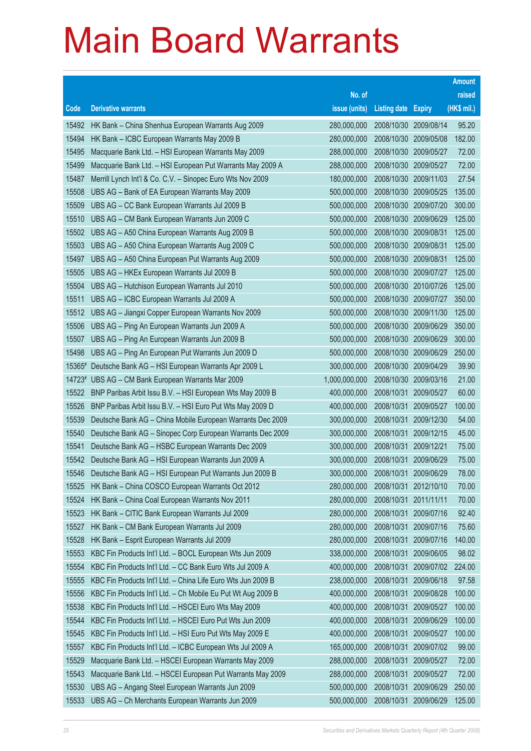|                |                                                                                                                        |                            |                            |                          | <b>Amount</b>   |
|----------------|------------------------------------------------------------------------------------------------------------------------|----------------------------|----------------------------|--------------------------|-----------------|
|                |                                                                                                                        | No. of                     |                            |                          | raised          |
| Code           | <b>Derivative warrants</b>                                                                                             | issue (units)              | <b>Listing date Expiry</b> |                          | (HK\$ mil.)     |
| 15492          | HK Bank - China Shenhua European Warrants Aug 2009                                                                     | 280,000,000                | 2008/10/30                 | 2009/08/14               | 95.20           |
| 15494          | HK Bank - ICBC European Warrants May 2009 B                                                                            | 280,000,000                | 2008/10/30                 | 2009/05/08               | 182.00          |
| 15495          | Macquarie Bank Ltd. - HSI European Warrants May 2009                                                                   | 288,000,000                | 2008/10/30                 | 2009/05/27               | 72.00           |
| 15499          | Macquarie Bank Ltd. - HSI European Put Warrants May 2009 A                                                             | 288,000,000                | 2008/10/30                 | 2009/05/27               | 72.00           |
| 15487          | Merrill Lynch Int'l & Co. C.V. - Sinopec Euro Wts Nov 2009                                                             | 180,000,000                | 2008/10/30 2009/11/03      |                          | 27.54           |
| 15508          | UBS AG - Bank of EA European Warrants May 2009                                                                         | 500,000,000                | 2008/10/30                 | 2009/05/25               | 135.00          |
| 15509          | UBS AG - CC Bank European Warrants Jul 2009 B                                                                          | 500,000,000                | 2008/10/30                 | 2009/07/20               | 300.00          |
| 15510          | UBS AG - CM Bank European Warrants Jun 2009 C                                                                          | 500,000,000                | 2008/10/30                 | 2009/06/29               | 125.00          |
| 15502          | UBS AG - A50 China European Warrants Aug 2009 B                                                                        | 500,000,000                | 2008/10/30                 | 2009/08/31               | 125.00          |
| 15503          | UBS AG - A50 China European Warrants Aug 2009 C                                                                        | 500,000,000                | 2008/10/30                 | 2009/08/31               | 125.00          |
| 15497          | UBS AG - A50 China European Put Warrants Aug 2009                                                                      | 500,000,000                | 2008/10/30                 | 2009/08/31               | 125.00          |
| 15505          | UBS AG - HKEx European Warrants Jul 2009 B                                                                             | 500,000,000                | 2008/10/30                 | 2009/07/27               | 125.00          |
| 15504          | UBS AG - Hutchison European Warrants Jul 2010                                                                          | 500,000,000                | 2008/10/30                 | 2010/07/26               | 125.00          |
| 15511          | UBS AG - ICBC European Warrants Jul 2009 A                                                                             | 500,000,000                | 2008/10/30                 | 2009/07/27               | 350.00          |
| 15512          | UBS AG - Jiangxi Copper European Warrants Nov 2009                                                                     | 500,000,000                | 2008/10/30                 | 2009/11/30               | 125.00          |
| 15506          | UBS AG - Ping An European Warrants Jun 2009 A                                                                          | 500,000,000                | 2008/10/30                 | 2009/06/29               | 350.00          |
| 15507          | UBS AG - Ping An European Warrants Jun 2009 B                                                                          | 500,000,000                | 2008/10/30                 | 2009/06/29               | 300.00          |
| 15498          | UBS AG - Ping An European Put Warrants Jun 2009 D                                                                      | 500,000,000                | 2008/10/30                 | 2009/06/29               | 250.00          |
| 15365#         | Deutsche Bank AG - HSI European Warrants Apr 2009 L                                                                    | 300,000,000                | 2008/10/30                 | 2009/04/29               | 39.90           |
| 14723#         | UBS AG - CM Bank European Warrants Mar 2009                                                                            | 1,000,000,000              | 2008/10/30                 | 2009/03/16               | 21.00           |
| 15522<br>15526 | BNP Paribas Arbit Issu B.V. - HSI European Wts May 2009 B<br>BNP Paribas Arbit Issu B.V. - HSI Euro Put Wts May 2009 D | 400,000,000<br>400,000,000 | 2008/10/31<br>2008/10/31   | 2009/05/27<br>2009/05/27 | 60.00<br>100.00 |
| 15539          | Deutsche Bank AG - China Mobile European Warrants Dec 2009                                                             | 300,000,000                | 2008/10/31                 | 2009/12/30               | 54.00           |
| 15540          | Deutsche Bank AG - Sinopec Corp European Warrants Dec 2009                                                             | 300,000,000                | 2008/10/31                 | 2009/12/15               | 45.00           |
| 15541          | Deutsche Bank AG - HSBC European Warrants Dec 2009                                                                     | 300,000,000                | 2008/10/31                 | 2009/12/21               | 75.00           |
| 15542          | Deutsche Bank AG - HSI European Warrants Jun 2009 A                                                                    | 300,000,000                | 2008/10/31                 | 2009/06/29               | 75.00           |
| 15546          | Deutsche Bank AG - HSI European Put Warrants Jun 2009 B                                                                | 300,000,000                | 2008/10/31                 | 2009/06/29               | 78.00           |
| 15525          | HK Bank – China COSCO European Warrants Oct 2012                                                                       | 280,000,000                | 2008/10/31                 | 2012/10/10               | 70.00           |
| 15524          | HK Bank - China Coal European Warrants Nov 2011                                                                        | 280,000,000                | 2008/10/31                 | 2011/11/11               | 70.00           |
| 15523          | HK Bank - CITIC Bank European Warrants Jul 2009                                                                        | 280,000,000                | 2008/10/31                 | 2009/07/16               | 92.40           |
| 15527          | HK Bank - CM Bank European Warrants Jul 2009                                                                           | 280,000,000                | 2008/10/31                 | 2009/07/16               | 75.60           |
| 15528          | HK Bank - Esprit European Warrants Jul 2009                                                                            | 280,000,000                | 2008/10/31                 | 2009/07/16               | 140.00          |
| 15553          | KBC Fin Products Int'l Ltd. - BOCL European Wts Jun 2009                                                               | 338,000,000                | 2008/10/31                 | 2009/06/05               | 98.02           |
| 15554          | KBC Fin Products Int'l Ltd. - CC Bank Euro Wts Jul 2009 A                                                              | 400,000,000                | 2008/10/31                 | 2009/07/02               | 224.00          |
| 15555          | KBC Fin Products Int'l Ltd. - China Life Euro Wts Jun 2009 B                                                           | 238,000,000                | 2008/10/31                 | 2009/06/18               | 97.58           |
| 15556          | KBC Fin Products Int'l Ltd. - Ch Mobile Eu Put Wt Aug 2009 B                                                           | 400,000,000                | 2008/10/31                 | 2009/08/28               | 100.00          |
| 15538          | KBC Fin Products Int'l Ltd. - HSCEI Euro Wts May 2009                                                                  | 400,000,000                | 2008/10/31                 | 2009/05/27               | 100.00          |
| 15544          | KBC Fin Products Int'l Ltd. - HSCEI Euro Put Wts Jun 2009                                                              | 400,000,000                | 2008/10/31                 | 2009/06/29               | 100.00          |
| 15545          | KBC Fin Products Int'l Ltd. - HSI Euro Put Wts May 2009 E                                                              | 400,000,000                | 2008/10/31                 | 2009/05/27               | 100.00          |
| 15557          | KBC Fin Products Int'l Ltd. - ICBC European Wts Jul 2009 A                                                             | 165,000,000                | 2008/10/31                 | 2009/07/02               | 99.00           |
| 15529          | Macquarie Bank Ltd. - HSCEI European Warrants May 2009                                                                 | 288,000,000                | 2008/10/31                 | 2009/05/27               | 72.00           |
| 15543          | Macquarie Bank Ltd. - HSCEI European Put Warrants May 2009                                                             | 288,000,000                | 2008/10/31                 | 2009/05/27               | 72.00           |
| 15530          | UBS AG - Angang Steel European Warrants Jun 2009                                                                       | 500,000,000                | 2008/10/31                 | 2009/06/29               | 250.00          |
| 15533          | UBS AG - Ch Merchants European Warrants Jun 2009                                                                       | 500,000,000                | 2008/10/31                 | 2009/06/29               | 125.00          |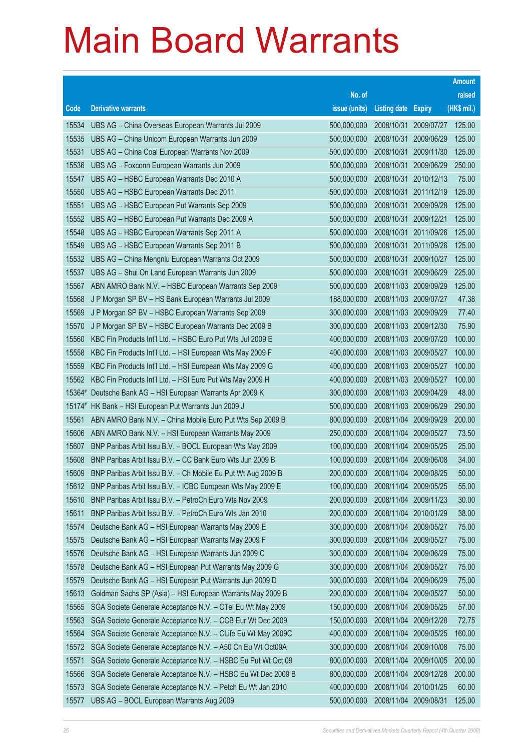|        |                                                                                                                         |                            |                            |                                     | <b>Amount</b>    |
|--------|-------------------------------------------------------------------------------------------------------------------------|----------------------------|----------------------------|-------------------------------------|------------------|
|        |                                                                                                                         | No. of                     |                            |                                     | raised           |
| Code   | <b>Derivative warrants</b>                                                                                              | issue (units)              | <b>Listing date Expiry</b> |                                     | (HK\$ mil.)      |
| 15534  | UBS AG - China Overseas European Warrants Jul 2009                                                                      | 500,000,000                | 2008/10/31                 | 2009/07/27                          | 125.00           |
| 15535  | UBS AG - China Unicom European Warrants Jun 2009                                                                        | 500,000,000                | 2008/10/31                 | 2009/06/29                          | 125.00           |
| 15531  | UBS AG - China Coal European Warrants Nov 2009                                                                          | 500,000,000                | 2008/10/31                 | 2009/11/30                          | 125.00           |
| 15536  | UBS AG - Foxconn European Warrants Jun 2009                                                                             | 500,000,000                | 2008/10/31                 | 2009/06/29                          | 250.00           |
| 15547  | UBS AG - HSBC European Warrants Dec 2010 A                                                                              | 500,000,000                | 2008/10/31                 | 2010/12/13                          | 75.00            |
| 15550  | UBS AG - HSBC European Warrants Dec 2011                                                                                | 500,000,000                | 2008/10/31                 | 2011/12/19                          | 125.00           |
| 15551  | UBS AG - HSBC European Put Warrants Sep 2009                                                                            | 500,000,000                | 2008/10/31                 | 2009/09/28                          | 125.00           |
| 15552  | UBS AG - HSBC European Put Warrants Dec 2009 A                                                                          | 500,000,000                | 2008/10/31                 | 2009/12/21                          | 125.00           |
| 15548  | UBS AG - HSBC European Warrants Sep 2011 A                                                                              | 500,000,000                | 2008/10/31                 | 2011/09/26                          | 125.00           |
| 15549  | UBS AG - HSBC European Warrants Sep 2011 B                                                                              | 500,000,000                | 2008/10/31                 | 2011/09/26                          | 125.00           |
| 15532  | UBS AG - China Mengniu European Warrants Oct 2009                                                                       | 500,000,000                | 2008/10/31                 | 2009/10/27                          | 125.00           |
| 15537  | UBS AG - Shui On Land European Warrants Jun 2009                                                                        | 500,000,000                | 2008/10/31                 | 2009/06/29                          | 225.00           |
| 15567  | ABN AMRO Bank N.V. - HSBC European Warrants Sep 2009                                                                    | 500,000,000                |                            | 2008/11/03 2009/09/29               | 125.00           |
| 15568  | J P Morgan SP BV - HS Bank European Warrants Jul 2009                                                                   | 188,000,000                |                            | 2008/11/03 2009/07/27               | 47.38            |
| 15569  | J P Morgan SP BV - HSBC European Warrants Sep 2009                                                                      | 300,000,000                | 2008/11/03                 | 2009/09/29                          | 77.40            |
| 15570  | J P Morgan SP BV - HSBC European Warrants Dec 2009 B                                                                    | 300,000,000                |                            | 2008/11/03 2009/12/30               | 75.90            |
| 15560  | KBC Fin Products Int'l Ltd. - HSBC Euro Put Wts Jul 2009 E                                                              | 400,000,000                |                            | 2008/11/03 2009/07/20               | 100.00           |
| 15558  | KBC Fin Products Int'l Ltd. - HSI European Wts May 2009 F                                                               | 400,000,000                |                            | 2008/11/03 2009/05/27               | 100.00<br>100.00 |
| 15559  | KBC Fin Products Int'l Ltd. - HSI European Wts May 2009 G                                                               | 400,000,000                | 2008/11/03                 | 2009/05/27<br>2008/11/03 2009/05/27 | 100.00           |
| 15562  | KBC Fin Products Int'l Ltd. - HSI Euro Put Wts May 2009 H<br>15364# Deutsche Bank AG - HSI European Warrants Apr 2009 K | 400,000,000<br>300,000,000 | 2008/11/03                 | 2009/04/29                          | 48.00            |
| 15174# | HK Bank - HSI European Put Warrants Jun 2009 J                                                                          | 500,000,000                |                            | 2008/11/03 2009/06/29               | 290.00           |
| 15561  | ABN AMRO Bank N.V. - China Mobile Euro Put Wts Sep 2009 B                                                               | 800,000,000                | 2008/11/04                 | 2009/09/29                          | 200.00           |
| 15606  | ABN AMRO Bank N.V. - HSI European Warrants May 2009                                                                     | 250,000,000                | 2008/11/04                 | 2009/05/27                          | 73.50            |
| 15607  | BNP Paribas Arbit Issu B.V. - BOCL European Wts May 2009                                                                | 100,000,000                | 2008/11/04                 | 2009/05/25                          | 25.00            |
| 15608  | BNP Paribas Arbit Issu B.V. - CC Bank Euro Wts Jun 2009 B                                                               | 100,000,000                | 2008/11/04                 | 2009/06/08                          | 34.00            |
| 15609  | BNP Paribas Arbit Issu B.V. - Ch Mobile Eu Put Wt Aug 2009 B                                                            | 200,000,000                |                            | 2008/11/04 2009/08/25               | 50.00            |
| 15612  | BNP Paribas Arbit Issu B.V. - ICBC European Wts May 2009 E                                                              | 100,000,000                |                            | 2008/11/04 2009/05/25               | 55.00            |
| 15610  | BNP Paribas Arbit Issu B.V. - PetroCh Euro Wts Nov 2009                                                                 | 200,000,000                | 2008/11/04                 | 2009/11/23                          | 30.00            |
| 15611  | BNP Paribas Arbit Issu B.V. - PetroCh Euro Wts Jan 2010                                                                 | 200,000,000                | 2008/11/04                 | 2010/01/29                          | 38.00            |
| 15574  | Deutsche Bank AG - HSI European Warrants May 2009 E                                                                     | 300,000,000                | 2008/11/04                 | 2009/05/27                          | 75.00            |
| 15575  | Deutsche Bank AG - HSI European Warrants May 2009 F                                                                     | 300,000,000                | 2008/11/04                 | 2009/05/27                          | 75.00            |
| 15576  | Deutsche Bank AG - HSI European Warrants Jun 2009 C                                                                     | 300,000,000                | 2008/11/04                 | 2009/06/29                          | 75.00            |
| 15578  | Deutsche Bank AG - HSI European Put Warrants May 2009 G                                                                 | 300,000,000                | 2008/11/04                 | 2009/05/27                          | 75.00            |
| 15579  | Deutsche Bank AG - HSI European Put Warrants Jun 2009 D                                                                 | 300,000,000                | 2008/11/04                 | 2009/06/29                          | 75.00            |
| 15613  | Goldman Sachs SP (Asia) - HSI European Warrants May 2009 B                                                              | 200,000,000                | 2008/11/04                 | 2009/05/27                          | 50.00            |
| 15565  | SGA Societe Generale Acceptance N.V. - CTel Eu Wt May 2009                                                              | 150,000,000                | 2008/11/04                 | 2009/05/25                          | 57.00            |
| 15563  | SGA Societe Generale Acceptance N.V. - CCB Eur Wt Dec 2009                                                              | 150,000,000                | 2008/11/04                 | 2009/12/28                          | 72.75            |
| 15564  | SGA Societe Generale Acceptance N.V. - CLife Eu Wt May 2009C                                                            | 400,000,000                | 2008/11/04                 | 2009/05/25                          | 160.00           |
| 15572  | SGA Societe Generale Acceptance N.V. - A50 Ch Eu Wt Oct09A                                                              | 300,000,000                | 2008/11/04                 | 2009/10/08                          | 75.00            |
| 15571  | SGA Societe Generale Acceptance N.V. - HSBC Eu Put Wt Oct 09                                                            | 800,000,000                | 2008/11/04                 | 2009/10/05                          | 200.00           |
| 15566  | SGA Societe Generale Acceptance N.V. - HSBC Eu Wt Dec 2009 B                                                            | 800,000,000                | 2008/11/04                 | 2009/12/28                          | 200.00           |
| 15573  | SGA Societe Generale Acceptance N.V. - Petch Eu Wt Jan 2010                                                             | 400,000,000                | 2008/11/04                 | 2010/01/25                          | 60.00            |
| 15577  | UBS AG - BOCL European Warrants Aug 2009                                                                                | 500,000,000                | 2008/11/04                 | 2009/08/31                          | 125.00           |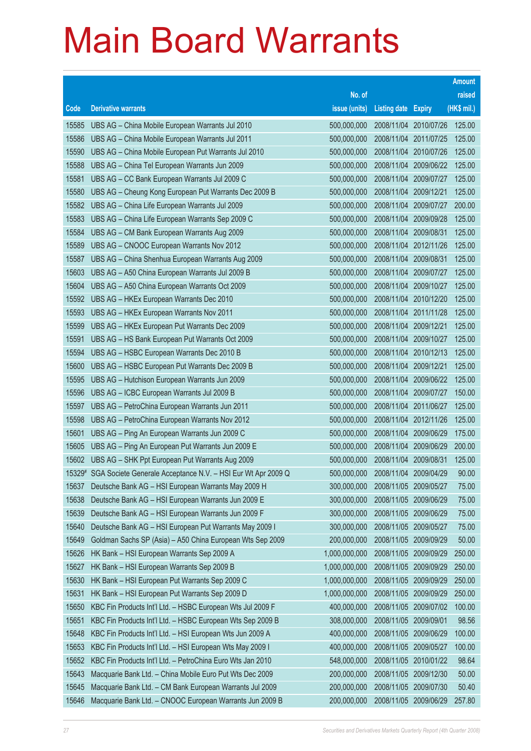|        |                                                              |               |                            |                       | <b>Amount</b> |
|--------|--------------------------------------------------------------|---------------|----------------------------|-----------------------|---------------|
|        |                                                              | No. of        |                            |                       | raised        |
| Code   | <b>Derivative warrants</b>                                   | issue (units) | <b>Listing date Expiry</b> |                       | (HK\$ mil.)   |
| 15585  | UBS AG - China Mobile European Warrants Jul 2010             | 500,000,000   |                            | 2008/11/04 2010/07/26 | 125.00        |
| 15586  | UBS AG - China Mobile European Warrants Jul 2011             | 500,000,000   | 2008/11/04 2011/07/25      |                       | 125.00        |
| 15590  | UBS AG - China Mobile European Put Warrants Jul 2010         | 500,000,000   | 2008/11/04                 | 2010/07/26            | 125.00        |
| 15588  | UBS AG - China Tel European Warrants Jun 2009                | 500,000,000   | 2008/11/04                 | 2009/06/22            | 125.00        |
| 15581  | UBS AG - CC Bank European Warrants Jul 2009 C                | 500,000,000   |                            | 2008/11/04 2009/07/27 | 125.00        |
| 15580  | UBS AG - Cheung Kong European Put Warrants Dec 2009 B        | 500,000,000   | 2008/11/04                 | 2009/12/21            | 125.00        |
| 15582  | UBS AG - China Life European Warrants Jul 2009               | 500,000,000   | 2008/11/04                 | 2009/07/27            | 200.00        |
| 15583  | UBS AG - China Life European Warrants Sep 2009 C             | 500,000,000   | 2008/11/04                 | 2009/09/28            | 125.00        |
| 15584  | UBS AG - CM Bank European Warrants Aug 2009                  | 500,000,000   | 2008/11/04 2009/08/31      |                       | 125.00        |
| 15589  | UBS AG - CNOOC European Warrants Nov 2012                    | 500,000,000   | 2008/11/04                 | 2012/11/26            | 125.00        |
| 15587  | UBS AG - China Shenhua European Warrants Aug 2009            | 500,000,000   | 2008/11/04                 | 2009/08/31            | 125.00        |
| 15603  | UBS AG - A50 China European Warrants Jul 2009 B              | 500,000,000   | 2008/11/04                 | 2009/07/27            | 125.00        |
| 15604  | UBS AG - A50 China European Warrants Oct 2009                | 500,000,000   | 2008/11/04                 | 2009/10/27            | 125.00        |
| 15592  | UBS AG - HKEx European Warrants Dec 2010                     | 500,000,000   | 2008/11/04 2010/12/20      |                       | 125.00        |
| 15593  | UBS AG - HKEx European Warrants Nov 2011                     | 500,000,000   | 2008/11/04                 | 2011/11/28            | 125.00        |
| 15599  | UBS AG - HKEx European Put Warrants Dec 2009                 | 500,000,000   | 2008/11/04 2009/12/21      |                       | 125.00        |
| 15591  | UBS AG - HS Bank European Put Warrants Oct 2009              | 500,000,000   | 2008/11/04                 | 2009/10/27            | 125.00        |
| 15594  | UBS AG - HSBC European Warrants Dec 2010 B                   | 500,000,000   |                            | 2008/11/04 2010/12/13 | 125.00        |
| 15600  | UBS AG - HSBC European Put Warrants Dec 2009 B               | 500,000,000   | 2008/11/04                 | 2009/12/21            | 125.00        |
| 15595  | UBS AG - Hutchison European Warrants Jun 2009                | 500,000,000   |                            | 2008/11/04 2009/06/22 | 125.00        |
| 15596  | UBS AG - ICBC European Warrants Jul 2009 B                   | 500,000,000   | 2008/11/04                 | 2009/07/27            | 150.00        |
| 15597  | UBS AG - PetroChina European Warrants Jun 2011               | 500,000,000   | 2008/11/04                 | 2011/06/27            | 125.00        |
| 15598  | UBS AG - PetroChina European Warrants Nov 2012               | 500,000,000   | 2008/11/04                 | 2012/11/26            | 125.00        |
| 15601  | UBS AG - Ping An European Warrants Jun 2009 C                | 500,000,000   |                            | 2008/11/04 2009/06/29 | 175.00        |
| 15605  | UBS AG - Ping An European Put Warrants Jun 2009 E            | 500,000,000   |                            | 2008/11/04 2009/06/29 | 200.00        |
| 15602  | UBS AG - SHK Ppt European Put Warrants Aug 2009              | 500,000,000   | 2008/11/04 2009/08/31      |                       | 125.00        |
| 15329# | SGA Societe Generale Acceptance N.V. - HSI Eur Wt Apr 2009 Q | 500,000,000   | 2008/11/04 2009/04/29      |                       | 90.00         |
| 15637  | Deutsche Bank AG - HSI European Warrants May 2009 H          | 300,000,000   | 2008/11/05 2009/05/27      |                       | 75.00         |
| 15638  | Deutsche Bank AG - HSI European Warrants Jun 2009 E          | 300,000,000   | 2008/11/05                 | 2009/06/29            | 75.00         |
| 15639  | Deutsche Bank AG - HSI European Warrants Jun 2009 F          | 300,000,000   | 2008/11/05 2009/06/29      |                       | 75.00         |
| 15640  | Deutsche Bank AG - HSI European Put Warrants May 2009 I      | 300,000,000   | 2008/11/05 2009/05/27      |                       | 75.00         |
| 15649  | Goldman Sachs SP (Asia) - A50 China European Wts Sep 2009    | 200,000,000   | 2008/11/05                 | 2009/09/29            | 50.00         |
| 15626  | HK Bank - HSI European Warrants Sep 2009 A                   | 1,000,000,000 | 2008/11/05                 | 2009/09/29            | 250.00        |
| 15627  | HK Bank - HSI European Warrants Sep 2009 B                   | 1,000,000,000 | 2008/11/05                 | 2009/09/29            | 250.00        |
| 15630  | HK Bank - HSI European Put Warrants Sep 2009 C               | 1,000,000,000 | 2008/11/05                 | 2009/09/29            | 250.00        |
| 15631  | HK Bank - HSI European Put Warrants Sep 2009 D               | 1,000,000,000 | 2008/11/05                 | 2009/09/29            | 250.00        |
| 15650  | KBC Fin Products Int'l Ltd. - HSBC European Wts Jul 2009 F   | 400,000,000   | 2008/11/05                 | 2009/07/02            | 100.00        |
| 15651  | KBC Fin Products Int'l Ltd. - HSBC European Wts Sep 2009 B   | 308,000,000   | 2008/11/05 2009/09/01      |                       | 98.56         |
| 15648  | KBC Fin Products Int'l Ltd. - HSI European Wts Jun 2009 A    | 400,000,000   | 2008/11/05 2009/06/29      |                       | 100.00        |
| 15653  | KBC Fin Products Int'l Ltd. - HSI European Wts May 2009 I    | 400,000,000   |                            | 2008/11/05 2009/05/27 | 100.00        |
| 15652  | KBC Fin Products Int'l Ltd. - PetroChina Euro Wts Jan 2010   | 548,000,000   | 2008/11/05                 | 2010/01/22            | 98.64         |
| 15643  | Macquarie Bank Ltd. - China Mobile Euro Put Wts Dec 2009     | 200,000,000   | 2008/11/05                 | 2009/12/30            | 50.00         |
| 15645  | Macquarie Bank Ltd. - CM Bank European Warrants Jul 2009     | 200,000,000   | 2008/11/05                 | 2009/07/30            | 50.40         |
| 15646  | Macquarie Bank Ltd. - CNOOC European Warrants Jun 2009 B     | 200,000,000   |                            | 2008/11/05 2009/06/29 | 257.80        |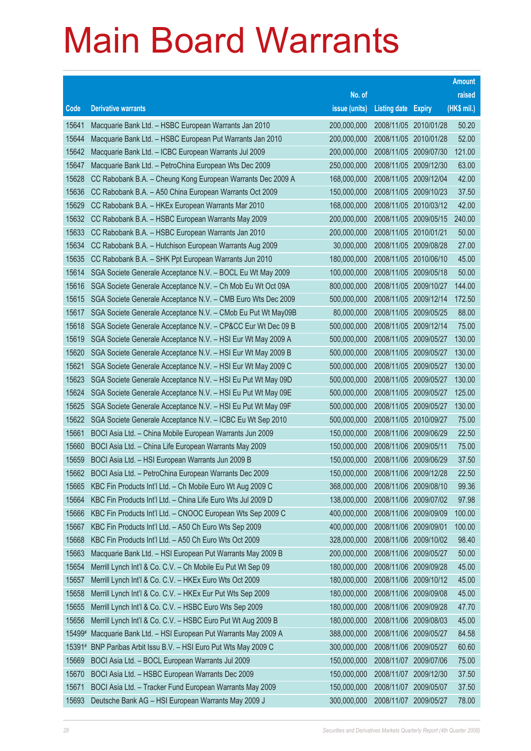|        |                                                              |               |                            |            | <b>Amount</b> |
|--------|--------------------------------------------------------------|---------------|----------------------------|------------|---------------|
|        |                                                              | No. of        |                            |            | raised        |
| Code   | <b>Derivative warrants</b>                                   | issue (units) | <b>Listing date Expiry</b> |            | (HK\$ mil.)   |
| 15641  | Macquarie Bank Ltd. - HSBC European Warrants Jan 2010        | 200,000,000   | 2008/11/05 2010/01/28      |            | 50.20         |
| 15644  | Macquarie Bank Ltd. - HSBC European Put Warrants Jan 2010    | 200,000,000   | 2008/11/05 2010/01/28      |            | 52.00         |
| 15642  | Macquarie Bank Ltd. - ICBC European Warrants Jul 2009        | 200,000,000   | 2008/11/05 2009/07/30      |            | 121.00        |
| 15647  | Macquarie Bank Ltd. - PetroChina European Wts Dec 2009       | 250,000,000   | 2008/11/05 2009/12/30      |            | 63.00         |
| 15628  | CC Rabobank B.A. - Cheung Kong European Warrants Dec 2009 A  | 168,000,000   | 2008/11/05 2009/12/04      |            | 42.00         |
| 15636  | CC Rabobank B.A. - A50 China European Warrants Oct 2009      | 150,000,000   | 2008/11/05 2009/10/23      |            | 37.50         |
| 15629  | CC Rabobank B.A. - HKEx European Warrants Mar 2010           | 168,000,000   | 2008/11/05 2010/03/12      |            | 42.00         |
| 15632  | CC Rabobank B.A. - HSBC European Warrants May 2009           | 200,000,000   | 2008/11/05 2009/05/15      |            | 240.00        |
| 15633  | CC Rabobank B.A. - HSBC European Warrants Jan 2010           | 200,000,000   | 2008/11/05 2010/01/21      |            | 50.00         |
| 15634  | CC Rabobank B.A. - Hutchison European Warrants Aug 2009      | 30,000,000    | 2008/11/05 2009/08/28      |            | 27.00         |
| 15635  | CC Rabobank B.A. - SHK Ppt European Warrants Jun 2010        | 180,000,000   | 2008/11/05 2010/06/10      |            | 45.00         |
| 15614  | SGA Societe Generale Acceptance N.V. - BOCL Eu Wt May 2009   | 100,000,000   | 2008/11/05 2009/05/18      |            | 50.00         |
| 15616  | SGA Societe Generale Acceptance N.V. - Ch Mob Eu Wt Oct 09A  | 800,000,000   | 2008/11/05 2009/10/27      |            | 144.00        |
| 15615  | SGA Societe Generale Acceptance N.V. - CMB Euro Wts Dec 2009 | 500,000,000   | 2008/11/05 2009/12/14      |            | 172.50        |
| 15617  | SGA Societe Generale Acceptance N.V. - CMob Eu Put Wt May09B | 80,000,000    | 2008/11/05 2009/05/25      |            | 88.00         |
| 15618  | SGA Societe Generale Acceptance N.V. - CP&CC Eur Wt Dec 09 B | 500,000,000   | 2008/11/05 2009/12/14      |            | 75.00         |
| 15619  | SGA Societe Generale Acceptance N.V. - HSI Eur Wt May 2009 A | 500,000,000   | 2008/11/05 2009/05/27      |            | 130.00        |
| 15620  | SGA Societe Generale Acceptance N.V. - HSI Eur Wt May 2009 B | 500,000,000   | 2008/11/05 2009/05/27      |            | 130.00        |
| 15621  | SGA Societe Generale Acceptance N.V. - HSI Eur Wt May 2009 C | 500,000,000   | 2008/11/05                 | 2009/05/27 | 130.00        |
| 15623  | SGA Societe Generale Acceptance N.V. - HSI Eu Put Wt May 09D | 500,000,000   | 2008/11/05 2009/05/27      |            | 130.00        |
| 15624  | SGA Societe Generale Acceptance N.V. - HSI Eu Put Wt May 09E | 500,000,000   | 2008/11/05 2009/05/27      |            | 125.00        |
| 15625  | SGA Societe Generale Acceptance N.V. - HSI Eu Put Wt May 09F | 500,000,000   | 2008/11/05 2009/05/27      |            | 130.00        |
| 15622  | SGA Societe Generale Acceptance N.V. - ICBC Eu Wt Sep 2010   | 500,000,000   | 2008/11/05                 | 2010/09/27 | 75.00         |
| 15661  | BOCI Asia Ltd. - China Mobile European Warrants Jun 2009     | 150,000,000   | 2008/11/06 2009/06/29      |            | 22.50         |
| 15660  | BOCI Asia Ltd. - China Life European Warrants May 2009       | 150,000,000   | 2008/11/06 2009/05/11      |            | 75.00         |
| 15659  | BOCI Asia Ltd. - HSI European Warrants Jun 2009 B            | 150,000,000   | 2008/11/06 2009/06/29      |            | 37.50         |
| 15662  | BOCI Asia Ltd. - PetroChina European Warrants Dec 2009       | 150,000,000   | 2008/11/06 2009/12/28      |            | 22.50         |
| 15665  | KBC Fin Products Int'l Ltd. - Ch Mobile Euro Wt Aug 2009 C   | 368,000,000   | 2008/11/06 2009/08/10      |            | 99.36         |
| 15664  | KBC Fin Products Int'l Ltd. - China Life Euro Wts Jul 2009 D | 138,000,000   | 2008/11/06 2009/07/02      |            | 97.98         |
| 15666  | KBC Fin Products Int'l Ltd. - CNOOC European Wts Sep 2009 C  | 400,000,000   | 2008/11/06 2009/09/09      |            | 100.00        |
| 15667  | KBC Fin Products Int'l Ltd. - A50 Ch Euro Wts Sep 2009       | 400,000,000   | 2008/11/06 2009/09/01      |            | 100.00        |
| 15668  | KBC Fin Products Int'l Ltd. - A50 Ch Euro Wts Oct 2009       | 328,000,000   | 2008/11/06                 | 2009/10/02 | 98.40         |
| 15663  | Macquarie Bank Ltd. - HSI European Put Warrants May 2009 B   | 200,000,000   | 2008/11/06 2009/05/27      |            | 50.00         |
| 15654  | Merrill Lynch Int'l & Co. C.V. - Ch Mobile Eu Put Wt Sep 09  | 180,000,000   | 2008/11/06 2009/09/28      |            | 45.00         |
| 15657  | Merrill Lynch Int'l & Co. C.V. - HKEx Euro Wts Oct 2009      | 180,000,000   | 2008/11/06 2009/10/12      |            | 45.00         |
| 15658  | Merrill Lynch Int'l & Co. C.V. - HKEx Eur Put Wts Sep 2009   | 180,000,000   | 2008/11/06                 | 2009/09/08 | 45.00         |
| 15655  | Merrill Lynch Int'l & Co. C.V. - HSBC Euro Wts Sep 2009      | 180,000,000   | 2008/11/06 2009/09/28      |            | 47.70         |
| 15656  | Merrill Lynch Int'l & Co. C.V. - HSBC Euro Put Wt Aug 2009 B | 180,000,000   | 2008/11/06                 | 2009/08/03 | 45.00         |
| 15499# | Macquarie Bank Ltd. - HSI European Put Warrants May 2009 A   | 388,000,000   | 2008/11/06 2009/05/27      |            | 84.58         |
| 15391# | BNP Paribas Arbit Issu B.V. - HSI Euro Put Wts May 2009 C    | 300,000,000   | 2008/11/06 2009/05/27      |            | 60.60         |
| 15669  | BOCI Asia Ltd. - BOCL European Warrants Jul 2009             | 150,000,000   | 2008/11/07                 | 2009/07/06 | 75.00         |
| 15670  | BOCI Asia Ltd. - HSBC European Warrants Dec 2009             | 150,000,000   | 2008/11/07                 | 2009/12/30 | 37.50         |
| 15671  | BOCI Asia Ltd. - Tracker Fund European Warrants May 2009     | 150,000,000   | 2008/11/07                 | 2009/05/07 | 37.50         |
| 15693  | Deutsche Bank AG - HSI European Warrants May 2009 J          | 300,000,000   | 2008/11/07 2009/05/27      |            | 78.00         |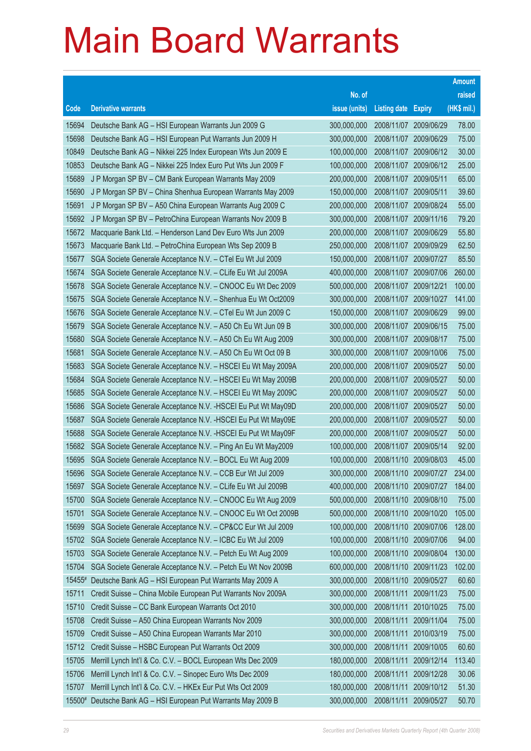|                    |                                                                                                                                |                            |                                     |                       | <b>Amount</b>  |
|--------------------|--------------------------------------------------------------------------------------------------------------------------------|----------------------------|-------------------------------------|-----------------------|----------------|
|                    |                                                                                                                                | No. of                     |                                     |                       | raised         |
| Code               | <b>Derivative warrants</b>                                                                                                     | issue (units)              | <b>Listing date Expiry</b>          |                       | (HK\$ mil.)    |
| 15694              | Deutsche Bank AG - HSI European Warrants Jun 2009 G                                                                            | 300,000,000                | 2008/11/07 2009/06/29               |                       | 78.00          |
| 15698              | Deutsche Bank AG - HSI European Put Warrants Jun 2009 H                                                                        | 300,000,000                | 2008/11/07 2009/06/29               |                       | 75.00          |
| 10849              | Deutsche Bank AG - Nikkei 225 Index European Wts Jun 2009 E                                                                    | 100,000,000                | 2008/11/07 2009/06/12               |                       | 30.00          |
| 10853              | Deutsche Bank AG - Nikkei 225 Index Euro Put Wts Jun 2009 F                                                                    | 100,000,000                |                                     | 2008/11/07 2009/06/12 | 25.00          |
| 15689              | J P Morgan SP BV - CM Bank European Warrants May 2009                                                                          | 200,000,000                | 2008/11/07 2009/05/11               |                       | 65.00          |
| 15690              | J P Morgan SP BV - China Shenhua European Warrants May 2009                                                                    | 150,000,000                | 2008/11/07 2009/05/11               |                       | 39.60          |
| 15691              | J P Morgan SP BV - A50 China European Warrants Aug 2009 C                                                                      | 200,000,000                | 2008/11/07 2009/08/24               |                       | 55.00          |
| 15692              | J P Morgan SP BV - PetroChina European Warrants Nov 2009 B                                                                     | 300,000,000                |                                     | 2008/11/07 2009/11/16 | 79.20          |
| 15672              | Macquarie Bank Ltd. - Henderson Land Dev Euro Wts Jun 2009                                                                     | 200,000,000                |                                     | 2008/11/07 2009/06/29 | 55.80          |
| 15673              | Macquarie Bank Ltd. - PetroChina European Wts Sep 2009 B                                                                       | 250,000,000                |                                     | 2008/11/07 2009/09/29 | 62.50          |
| 15677              | SGA Societe Generale Acceptance N.V. - CTel Eu Wt Jul 2009                                                                     | 150,000,000                | 2008/11/07 2009/07/27               |                       | 85.50          |
| 15674              | SGA Societe Generale Acceptance N.V. - CLife Eu Wt Jul 2009A                                                                   | 400,000,000                |                                     | 2008/11/07 2009/07/06 | 260.00         |
| 15678              | SGA Societe Generale Acceptance N.V. - CNOOC Eu Wt Dec 2009                                                                    | 500,000,000                | 2008/11/07 2009/12/21               |                       | 100.00         |
| 15675              | SGA Societe Generale Acceptance N.V. - Shenhua Eu Wt Oct2009                                                                   | 300,000,000                |                                     | 2008/11/07 2009/10/27 | 141.00         |
| 15676              | SGA Societe Generale Acceptance N.V. - CTel Eu Wt Jun 2009 C                                                                   | 150,000,000                | 2008/11/07 2009/06/29               |                       | 99.00          |
| 15679              | SGA Societe Generale Acceptance N.V. - A50 Ch Eu Wt Jun 09 B                                                                   | 300,000,000                |                                     | 2008/11/07 2009/06/15 | 75.00          |
| 15680              | SGA Societe Generale Acceptance N.V. - A50 Ch Eu Wt Aug 2009                                                                   | 300,000,000                | 2008/11/07 2009/08/17               |                       | 75.00          |
| 15681              | SGA Societe Generale Acceptance N.V. - A50 Ch Eu Wt Oct 09 B                                                                   | 300,000,000                |                                     | 2008/11/07 2009/10/06 | 75.00          |
| 15683              | SGA Societe Generale Acceptance N.V. - HSCEI Eu Wt May 2009A                                                                   | 200,000,000                | 2008/11/07                          | 2009/05/27            | 50.00          |
| 15684              | SGA Societe Generale Acceptance N.V. - HSCEI Eu Wt May 2009B                                                                   | 200,000,000                | 2008/11/07 2009/05/27               |                       | 50.00          |
| 15685              | SGA Societe Generale Acceptance N.V. - HSCEI Eu Wt May 2009C                                                                   | 200,000,000                | 2008/11/07 2009/05/27               |                       | 50.00          |
| 15686              | SGA Societe Generale Acceptance N.V. - HSCEI Eu Put Wt May09D                                                                  | 200,000,000                |                                     | 2008/11/07 2009/05/27 | 50.00<br>50.00 |
| 15687<br>15688     | SGA Societe Generale Acceptance N.V. - HSCEI Eu Put Wt May09E<br>SGA Societe Generale Acceptance N.V. - HSCEI Eu Put Wt May09F | 200,000,000<br>200,000,000 | 2008/11/07<br>2008/11/07 2009/05/27 | 2009/05/27            | 50.00          |
| 15682              | SGA Societe Generale Acceptance N.V. - Ping An Eu Wt May2009                                                                   | 100,000,000                | 2008/11/07 2009/05/14               |                       | 92.00          |
| 15695              | SGA Societe Generale Acceptance N.V. - BOCL Eu Wt Aug 2009                                                                     | 100,000,000                | 2008/11/10                          | 2009/08/03            | 45.00          |
| 15696              | SGA Societe Generale Acceptance N.V. - CCB Eur Wt Jul 2009                                                                     | 300,000,000                | 2008/11/10 2009/07/27               |                       | 234.00         |
| 15697              | SGA Societe Generale Acceptance N.V. - CLife Eu Wt Jul 2009B                                                                   | 400,000,000                |                                     | 2008/11/10 2009/07/27 | 184.00         |
| 15700              | SGA Societe Generale Acceptance N.V. - CNOOC Eu Wt Aug 2009                                                                    | 500,000,000                | 2008/11/10 2009/08/10               |                       | 75.00          |
| 15701              | SGA Societe Generale Acceptance N.V. - CNOOC Eu Wt Oct 2009B                                                                   | 500,000,000                | 2008/11/10                          | 2009/10/20            | 105.00         |
| 15699              | SGA Societe Generale Acceptance N.V. - CP&CC Eur Wt Jul 2009                                                                   | 100,000,000                | 2008/11/10 2009/07/06               |                       | 128.00         |
| 15702              | SGA Societe Generale Acceptance N.V. - ICBC Eu Wt Jul 2009                                                                     | 100,000,000                | 2008/11/10                          | 2009/07/06            | 94.00          |
| 15703              | SGA Societe Generale Acceptance N.V. - Petch Eu Wt Aug 2009                                                                    | 100,000,000                | 2008/11/10                          | 2009/08/04            | 130.00         |
| 15704              | SGA Societe Generale Acceptance N.V. - Petch Eu Wt Nov 2009B                                                                   | 600,000,000                | 2008/11/10                          | 2009/11/23            | 102.00         |
| $15455^{\text{*}}$ | Deutsche Bank AG - HSI European Put Warrants May 2009 A                                                                        | 300,000,000                | 2008/11/10 2009/05/27               |                       | 60.60          |
| 15711              | Credit Suisse - China Mobile European Put Warrants Nov 2009A                                                                   | 300,000,000                | 2008/11/11                          | 2009/11/23            | 75.00          |
| 15710              | Credit Suisse - CC Bank European Warrants Oct 2010                                                                             | 300,000,000                | 2008/11/11                          | 2010/10/25            | 75.00          |
| 15708              | Credit Suisse - A50 China European Warrants Nov 2009                                                                           | 300,000,000                | 2008/11/11                          | 2009/11/04            | 75.00          |
| 15709              | Credit Suisse - A50 China European Warrants Mar 2010                                                                           | 300,000,000                | 2008/11/11                          | 2010/03/19            | 75.00          |
| 15712              | Credit Suisse - HSBC European Put Warrants Oct 2009                                                                            | 300,000,000                | 2008/11/11                          | 2009/10/05            | 60.60          |
| 15705              | Merrill Lynch Int'l & Co. C.V. - BOCL European Wts Dec 2009                                                                    | 180,000,000                | 2008/11/11                          | 2009/12/14            | 113.40         |
| 15706              | Merrill Lynch Int'l & Co. C.V. - Sinopec Euro Wts Dec 2009                                                                     | 180,000,000                | 2008/11/11                          | 2009/12/28            | 30.06          |
| 15707              | Merrill Lynch Int'l & Co. C.V. - HKEx Eur Put Wts Oct 2009                                                                     | 180,000,000                | 2008/11/11                          | 2009/10/12            | 51.30          |
| 15500#             | Deutsche Bank AG - HSI European Put Warrants May 2009 B                                                                        | 300,000,000                | 2008/11/11                          | 2009/05/27            | 50.70          |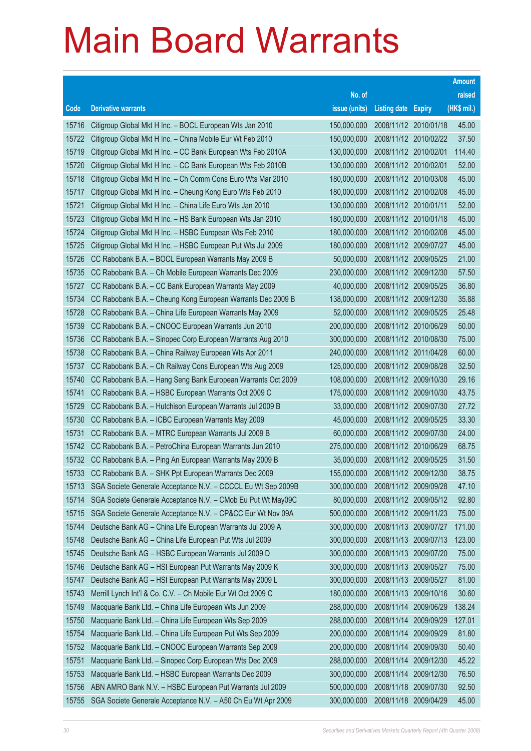|       |                                                              |               |                            |                       | <b>Amount</b> |
|-------|--------------------------------------------------------------|---------------|----------------------------|-----------------------|---------------|
|       |                                                              | No. of        |                            |                       | raised        |
| Code  | <b>Derivative warrants</b>                                   | issue (units) | <b>Listing date Expiry</b> |                       | (HK\$ mil.)   |
| 15716 | Citigroup Global Mkt H Inc. - BOCL European Wts Jan 2010     | 150,000,000   | 2008/11/12 2010/01/18      |                       | 45.00         |
| 15722 | Citigroup Global Mkt H Inc. - China Mobile Eur Wt Feb 2010   | 150,000,000   |                            | 2008/11/12 2010/02/22 | 37.50         |
| 15719 | Citigroup Global Mkt H Inc. - CC Bank European Wts Feb 2010A | 130,000,000   | 2008/11/12 2010/02/01      |                       | 114.40        |
| 15720 | Citigroup Global Mkt H Inc. - CC Bank European Wts Feb 2010B | 130,000,000   | 2008/11/12 2010/02/01      |                       | 52.00         |
| 15718 | Citigroup Global Mkt H Inc. - Ch Comm Cons Euro Wts Mar 2010 | 180,000,000   | 2008/11/12 2010/03/08      |                       | 45.00         |
| 15717 | Citigroup Global Mkt H Inc. - Cheung Kong Euro Wts Feb 2010  | 180,000,000   |                            | 2008/11/12 2010/02/08 | 45.00         |
| 15721 | Citigroup Global Mkt H Inc. - China Life Euro Wts Jan 2010   | 130,000,000   | 2008/11/12 2010/01/11      |                       | 52.00         |
| 15723 | Citigroup Global Mkt H Inc. - HS Bank European Wts Jan 2010  | 180,000,000   | 2008/11/12 2010/01/18      |                       | 45.00         |
| 15724 | Citigroup Global Mkt H Inc. - HSBC European Wts Feb 2010     | 180,000,000   |                            | 2008/11/12 2010/02/08 | 45.00         |
| 15725 | Citigroup Global Mkt H Inc. - HSBC European Put Wts Jul 2009 | 180,000,000   |                            | 2008/11/12 2009/07/27 | 45.00         |
| 15726 | CC Rabobank B.A. - BOCL European Warrants May 2009 B         | 50,000,000    | 2008/11/12 2009/05/25      |                       | 21.00         |
| 15735 | CC Rabobank B.A. - Ch Mobile European Warrants Dec 2009      | 230,000,000   |                            | 2008/11/12 2009/12/30 | 57.50         |
| 15727 | CC Rabobank B.A. - CC Bank European Warrants May 2009        | 40,000,000    |                            | 2008/11/12 2009/05/25 | 36.80         |
| 15734 | CC Rabobank B.A. - Cheung Kong European Warrants Dec 2009 B  | 138,000,000   |                            | 2008/11/12 2009/12/30 | 35.88         |
| 15728 | CC Rabobank B.A. - China Life European Warrants May 2009     | 52,000,000    | 2008/11/12 2009/05/25      |                       | 25.48         |
| 15739 | CC Rabobank B.A. - CNOOC European Warrants Jun 2010          | 200,000,000   |                            | 2008/11/12 2010/06/29 | 50.00         |
| 15736 | CC Rabobank B.A. - Sinopec Corp European Warrants Aug 2010   | 300,000,000   |                            | 2008/11/12 2010/08/30 | 75.00         |
| 15738 | CC Rabobank B.A. - China Railway European Wts Apr 2011       | 240,000,000   |                            | 2008/11/12 2011/04/28 | 60.00         |
| 15737 | CC Rabobank B.A. - Ch Railway Cons European Wts Aug 2009     | 125,000,000   | 2008/11/12 2009/08/28      |                       | 32.50         |
| 15740 | CC Rabobank B.A. - Hang Seng Bank European Warrants Oct 2009 | 108,000,000   |                            | 2008/11/12 2009/10/30 | 29.16         |
| 15741 | CC Rabobank B.A. - HSBC European Warrants Oct 2009 C         | 175,000,000   |                            | 2008/11/12 2009/10/30 | 43.75         |
| 15729 | CC Rabobank B.A. - Hutchison European Warrants Jul 2009 B    | 33,000,000    |                            | 2008/11/12 2009/07/30 | 27.72         |
| 15730 | CC Rabobank B.A. - ICBC European Warrants May 2009           | 45,000,000    | 2008/11/12 2009/05/25      |                       | 33.30         |
| 15731 | CC Rabobank B.A. - MTRC European Warrants Jul 2009 B         | 60,000,000    |                            | 2008/11/12 2009/07/30 | 24.00         |
| 15742 | CC Rabobank B.A. - PetroChina European Warrants Jun 2010     | 275,000,000   |                            | 2008/11/12 2010/06/29 | 68.75         |
| 15732 | CC Rabobank B.A. - Ping An European Warrants May 2009 B      | 35,000,000    | 2008/11/12 2009/05/25      |                       | 31.50         |
| 15733 | CC Rabobank B.A. - SHK Ppt European Warrants Dec 2009        | 155,000,000   |                            | 2008/11/12 2009/12/30 | 38.75         |
| 15713 | SGA Societe Generale Acceptance N.V. - CCCCL Eu Wt Sep 2009B | 300,000,000   | 2008/11/12 2009/09/28      |                       | 47.10         |
| 15714 | SGA Societe Generale Acceptance N.V. - CMob Eu Put Wt May09C | 80,000,000    |                            | 2008/11/12 2009/05/12 | 92.80         |
| 15715 | SGA Societe Generale Acceptance N.V. - CP&CC Eur Wt Nov 09A  | 500,000,000   |                            | 2008/11/12 2009/11/23 | 75.00         |
| 15744 | Deutsche Bank AG - China Life European Warrants Jul 2009 A   | 300,000,000   | 2008/11/13 2009/07/27      |                       | 171.00        |
| 15748 | Deutsche Bank AG - China Life European Put Wts Jul 2009      | 300,000,000   |                            | 2008/11/13 2009/07/13 | 123.00        |
| 15745 | Deutsche Bank AG - HSBC European Warrants Jul 2009 D         | 300,000,000   | 2008/11/13                 | 2009/07/20            | 75.00         |
| 15746 | Deutsche Bank AG - HSI European Put Warrants May 2009 K      | 300,000,000   | 2008/11/13 2009/05/27      |                       | 75.00         |
| 15747 | Deutsche Bank AG - HSI European Put Warrants May 2009 L      | 300,000,000   | 2008/11/13                 | 2009/05/27            | 81.00         |
| 15743 | Merrill Lynch Int'l & Co. C.V. - Ch Mobile Eur Wt Oct 2009 C | 180,000,000   | 2008/11/13                 | 2009/10/16            | 30.60         |
| 15749 | Macquarie Bank Ltd. - China Life European Wts Jun 2009       | 288,000,000   | 2008/11/14                 | 2009/06/29            | 138.24        |
| 15750 | Macquarie Bank Ltd. - China Life European Wts Sep 2009       | 288,000,000   | 2008/11/14                 | 2009/09/29            | 127.01        |
| 15754 | Macquarie Bank Ltd. - China Life European Put Wts Sep 2009   | 200,000,000   | 2008/11/14                 | 2009/09/29            | 81.80         |
| 15752 | Macquarie Bank Ltd. - CNOOC European Warrants Sep 2009       | 200,000,000   | 2008/11/14                 | 2009/09/30            | 50.40         |
| 15751 | Macquarie Bank Ltd. - Sinopec Corp European Wts Dec 2009     | 288,000,000   | 2008/11/14                 | 2009/12/30            | 45.22         |
| 15753 | Macquarie Bank Ltd. - HSBC European Warrants Dec 2009        | 300,000,000   | 2008/11/14                 | 2009/12/30            | 76.50         |
| 15756 | ABN AMRO Bank N.V. - HSBC European Put Warrants Jul 2009     | 500,000,000   | 2008/11/18                 | 2009/07/30            | 92.50         |
| 15755 | SGA Societe Generale Acceptance N.V. - A50 Ch Eu Wt Apr 2009 | 300,000,000   | 2008/11/18                 | 2009/04/29            | 45.00         |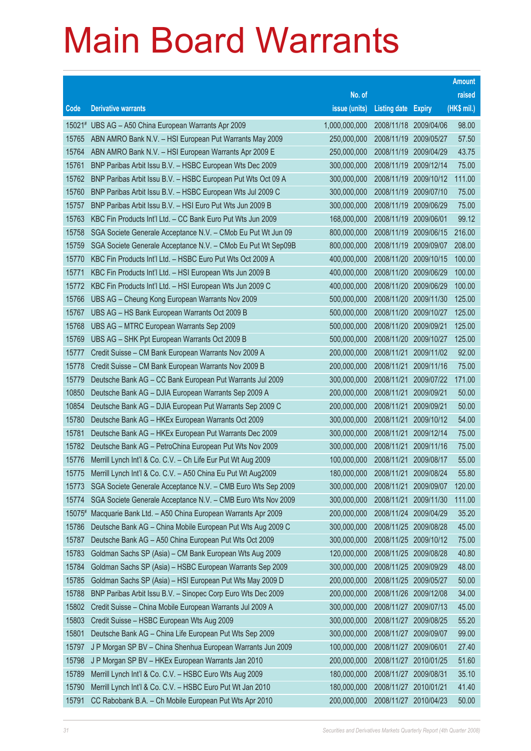|                |                                                                                                                |                            |                            |                          | <b>Amount</b>  |
|----------------|----------------------------------------------------------------------------------------------------------------|----------------------------|----------------------------|--------------------------|----------------|
|                |                                                                                                                | No. of                     |                            |                          | raised         |
| Code           | <b>Derivative warrants</b>                                                                                     | issue (units)              | <b>Listing date Expiry</b> |                          | (HK\$ mil.)    |
|                | 15021# UBS AG - A50 China European Warrants Apr 2009                                                           | 1,000,000,000              | 2008/11/18 2009/04/06      |                          | 98.00          |
| 15765          | ABN AMRO Bank N.V. - HSI European Put Warrants May 2009                                                        | 250,000,000                | 2008/11/19                 | 2009/05/27               | 57.50          |
| 15764          | ABN AMRO Bank N.V. - HSI European Warrants Apr 2009 E                                                          | 250,000,000                | 2008/11/19                 | 2009/04/29               | 43.75          |
| 15761          | BNP Paribas Arbit Issu B.V. - HSBC European Wts Dec 2009                                                       | 300,000,000                | 2008/11/19                 | 2009/12/14               | 75.00          |
| 15762          | BNP Paribas Arbit Issu B.V. - HSBC European Put Wts Oct 09 A                                                   | 300,000,000                | 2008/11/19                 | 2009/10/12               | 111.00         |
| 15760          | BNP Paribas Arbit Issu B.V. - HSBC European Wts Jul 2009 C                                                     | 300,000,000                | 2008/11/19                 | 2009/07/10               | 75.00          |
| 15757          | BNP Paribas Arbit Issu B.V. - HSI Euro Put Wts Jun 2009 B                                                      | 300,000,000                | 2008/11/19                 | 2009/06/29               | 75.00          |
| 15763          | KBC Fin Products Int'l Ltd. - CC Bank Euro Put Wts Jun 2009                                                    | 168,000,000                | 2008/11/19                 | 2009/06/01               | 99.12          |
| 15758          | SGA Societe Generale Acceptance N.V. - CMob Eu Put Wt Jun 09                                                   | 800,000,000                | 2008/11/19                 | 2009/06/15               | 216.00         |
| 15759          | SGA Societe Generale Acceptance N.V. - CMob Eu Put Wt Sep09B                                                   | 800,000,000                | 2008/11/19                 | 2009/09/07               | 208.00         |
| 15770          | KBC Fin Products Int'l Ltd. - HSBC Euro Put Wts Oct 2009 A                                                     | 400,000,000                | 2008/11/20                 | 2009/10/15               | 100.00         |
| 15771          | KBC Fin Products Int'l Ltd. - HSI European Wts Jun 2009 B                                                      | 400,000,000                |                            | 2008/11/20 2009/06/29    | 100.00         |
| 15772          | KBC Fin Products Int'l Ltd. - HSI European Wts Jun 2009 C                                                      | 400,000,000                |                            | 2008/11/20 2009/06/29    | 100.00         |
| 15766          | UBS AG - Cheung Kong European Warrants Nov 2009                                                                | 500,000,000                | 2008/11/20                 | 2009/11/30               | 125.00         |
| 15767          | UBS AG - HS Bank European Warrants Oct 2009 B                                                                  | 500,000,000                | 2008/11/20                 | 2009/10/27               | 125.00         |
| 15768          | UBS AG - MTRC European Warrants Sep 2009                                                                       | 500,000,000                | 2008/11/20 2009/09/21      |                          | 125.00         |
| 15769          | UBS AG - SHK Ppt European Warrants Oct 2009 B                                                                  | 500,000,000                |                            | 2008/11/20 2009/10/27    | 125.00         |
| 15777          | Credit Suisse - CM Bank European Warrants Nov 2009 A                                                           | 200,000,000                | 2008/11/21                 | 2009/11/02               | 92.00          |
| 15778          | Credit Suisse - CM Bank European Warrants Nov 2009 B                                                           | 200,000,000                | 2008/11/21                 | 2009/11/16               | 75.00          |
| 15779          | Deutsche Bank AG - CC Bank European Put Warrants Jul 2009                                                      | 300,000,000                | 2008/11/21                 | 2009/07/22               | 171.00         |
| 10850<br>10854 | Deutsche Bank AG - DJIA European Warrants Sep 2009 A                                                           | 200,000,000<br>200,000,000 | 2008/11/21<br>2008/11/21   | 2009/09/21               | 50.00<br>50.00 |
| 15780          | Deutsche Bank AG - DJIA European Put Warrants Sep 2009 C<br>Deutsche Bank AG - HKEx European Warrants Oct 2009 | 300,000,000                | 2008/11/21                 | 2009/09/21<br>2009/10/12 | 54.00          |
| 15781          | Deutsche Bank AG - HKEx European Put Warrants Dec 2009                                                         | 300,000,000                | 2008/11/21                 | 2009/12/14               | 75.00          |
| 15782          | Deutsche Bank AG - PetroChina European Put Wts Nov 2009                                                        | 300,000,000                | 2008/11/21                 | 2009/11/16               | 75.00          |
| 15776          | Merrill Lynch Int'l & Co. C.V. - Ch Life Eur Put Wt Aug 2009                                                   | 100,000,000                | 2008/11/21                 | 2009/08/17               | 55.00          |
| 15775          | Merrill Lynch Int'l & Co. C.V. - A50 China Eu Put Wt Aug2009                                                   | 180,000,000                | 2008/11/21                 | 2009/08/24               | 55.80          |
| 15773          | SGA Societe Generale Acceptance N.V. - CMB Euro Wts Sep 2009                                                   | 300,000,000                | 2008/11/21 2009/09/07      |                          | 120.00         |
| 15774          | SGA Societe Generale Acceptance N.V. - CMB Euro Wts Nov 2009                                                   | 300,000,000                | 2008/11/21                 | 2009/11/30               | 111.00         |
| 15075#         | Macquarie Bank Ltd. - A50 China European Warrants Apr 2009                                                     | 200,000,000                | 2008/11/24                 | 2009/04/29               | 35.20          |
| 15786          | Deutsche Bank AG - China Mobile European Put Wts Aug 2009 C                                                    | 300,000,000                | 2008/11/25 2009/08/28      |                          | 45.00          |
| 15787          | Deutsche Bank AG - A50 China European Put Wts Oct 2009                                                         | 300,000,000                | 2008/11/25                 | 2009/10/12               | 75.00          |
| 15783          | Goldman Sachs SP (Asia) - CM Bank European Wts Aug 2009                                                        | 120,000,000                | 2008/11/25                 | 2009/08/28               | 40.80          |
| 15784          | Goldman Sachs SP (Asia) - HSBC European Warrants Sep 2009                                                      | 300,000,000                | 2008/11/25                 | 2009/09/29               | 48.00          |
| 15785          | Goldman Sachs SP (Asia) - HSI European Put Wts May 2009 D                                                      | 200,000,000                | 2008/11/25 2009/05/27      |                          | 50.00          |
| 15788          | BNP Paribas Arbit Issu B.V. - Sinopec Corp Euro Wts Dec 2009                                                   | 200,000,000                | 2008/11/26                 | 2009/12/08               | 34.00          |
| 15802          | Credit Suisse - China Mobile European Warrants Jul 2009 A                                                      | 300,000,000                | 2008/11/27                 | 2009/07/13               | 45.00          |
| 15803          | Credit Suisse - HSBC European Wts Aug 2009                                                                     | 300,000,000                | 2008/11/27                 | 2009/08/25               | 55.20          |
| 15801          | Deutsche Bank AG - China Life European Put Wts Sep 2009                                                        | 300,000,000                | 2008/11/27 2009/09/07      |                          | 99.00          |
| 15797          | J P Morgan SP BV - China Shenhua European Warrants Jun 2009                                                    | 100,000,000                | 2008/11/27                 | 2009/06/01               | 27.40          |
| 15798          | J P Morgan SP BV - HKEx European Warrants Jan 2010                                                             | 200,000,000                | 2008/11/27                 | 2010/01/25               | 51.60          |
| 15789          | Merrill Lynch Int'l & Co. C.V. - HSBC Euro Wts Aug 2009                                                        | 180,000,000                | 2008/11/27                 | 2009/08/31               | 35.10          |
| 15790          | Merrill Lynch Int'l & Co. C.V. - HSBC Euro Put Wt Jan 2010                                                     | 180,000,000                | 2008/11/27                 | 2010/01/21               | 41.40          |
| 15791          | CC Rabobank B.A. - Ch Mobile European Put Wts Apr 2010                                                         | 200,000,000                | 2008/11/27                 | 2010/04/23               | 50.00          |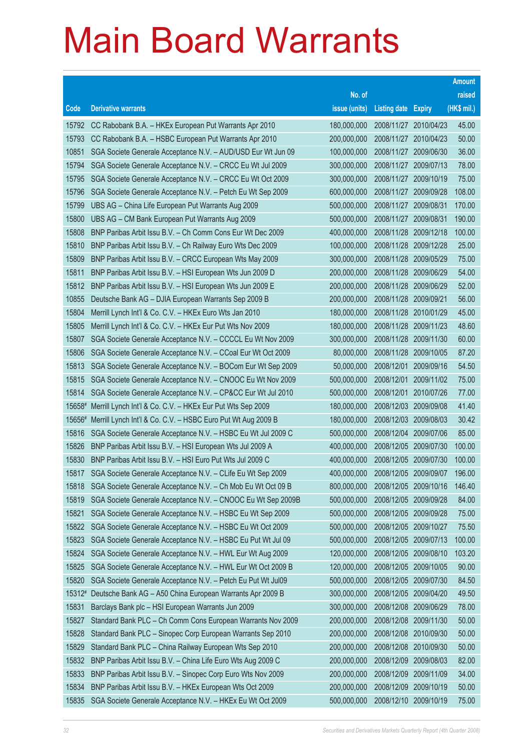|        |                                                              |               |                            |                       | <b>Amount</b> |
|--------|--------------------------------------------------------------|---------------|----------------------------|-----------------------|---------------|
|        |                                                              | No. of        |                            |                       | raised        |
| Code   | <b>Derivative warrants</b>                                   | issue (units) | <b>Listing date Expiry</b> |                       | (HK\$ mil.)   |
| 15792  | CC Rabobank B.A. - HKEx European Put Warrants Apr 2010       | 180,000,000   | 2008/11/27 2010/04/23      |                       | 45.00         |
| 15793  | CC Rabobank B.A. - HSBC European Put Warrants Apr 2010       | 200,000,000   |                            | 2008/11/27 2010/04/23 | 50.00         |
| 10851  | SGA Societe Generale Acceptance N.V. - AUD/USD Eur Wt Jun 09 | 100,000,000   |                            | 2008/11/27 2009/06/30 | 36.00         |
| 15794  | SGA Societe Generale Acceptance N.V. - CRCC Eu Wt Jul 2009   | 300,000,000   |                            | 2008/11/27 2009/07/13 | 78.00         |
| 15795  | SGA Societe Generale Acceptance N.V. - CRCC Eu Wt Oct 2009   | 300,000,000   | 2008/11/27 2009/10/19      |                       | 75.00         |
| 15796  | SGA Societe Generale Acceptance N.V. - Petch Eu Wt Sep 2009  | 600,000,000   |                            | 2008/11/27 2009/09/28 | 108.00        |
| 15799  | UBS AG - China Life European Put Warrants Aug 2009           | 500,000,000   | 2008/11/27                 | 2009/08/31            | 170.00        |
| 15800  | UBS AG - CM Bank European Put Warrants Aug 2009              | 500,000,000   | 2008/11/27 2009/08/31      |                       | 190.00        |
| 15808  | BNP Paribas Arbit Issu B.V. - Ch Comm Cons Eur Wt Dec 2009   | 400,000,000   |                            | 2008/11/28 2009/12/18 | 100.00        |
| 15810  | BNP Paribas Arbit Issu B.V. - Ch Railway Euro Wts Dec 2009   | 100,000,000   | 2008/11/28 2009/12/28      |                       | 25.00         |
| 15809  | BNP Paribas Arbit Issu B.V. - CRCC European Wts May 2009     | 300,000,000   | 2008/11/28                 | 2009/05/29            | 75.00         |
| 15811  | BNP Paribas Arbit Issu B.V. - HSI European Wts Jun 2009 D    | 200,000,000   | 2008/11/28 2009/06/29      |                       | 54.00         |
| 15812  | BNP Paribas Arbit Issu B.V. - HSI European Wts Jun 2009 E    | 200,000,000   |                            | 2008/11/28 2009/06/29 | 52.00         |
| 10855  | Deutsche Bank AG - DJIA European Warrants Sep 2009 B         | 200,000,000   | 2008/11/28 2009/09/21      |                       | 56.00         |
| 15804  | Merrill Lynch Int'l & Co. C.V. - HKEx Euro Wts Jan 2010      | 180,000,000   | 2008/11/28                 | 2010/01/29            | 45.00         |
| 15805  | Merrill Lynch Int'l & Co. C.V. - HKEx Eur Put Wts Nov 2009   | 180,000,000   | 2008/11/28                 | 2009/11/23            | 48.60         |
| 15807  | SGA Societe Generale Acceptance N.V. - CCCCL Eu Wt Nov 2009  | 300,000,000   |                            | 2008/11/28 2009/11/30 | 60.00         |
| 15806  | SGA Societe Generale Acceptance N.V. - CCoal Eur Wt Oct 2009 | 80,000,000    |                            | 2008/11/28 2009/10/05 | 87.20         |
| 15813  | SGA Societe Generale Acceptance N.V. - BOCom Eur Wt Sep 2009 | 50,000,000    | 2008/12/01                 | 2009/09/16            | 54.50         |
| 15815  | SGA Societe Generale Acceptance N.V. - CNOOC Eu Wt Nov 2009  | 500,000,000   | 2008/12/01                 | 2009/11/02            | 75.00         |
| 15814  | SGA Societe Generale Acceptance N.V. - CP&CC Eur Wt Jul 2010 | 500,000,000   | 2008/12/01                 | 2010/07/26            | 77.00         |
| 15658# | Merrill Lynch Int'l & Co. C.V. - HKEx Eur Put Wts Sep 2009   | 180,000,000   |                            | 2008/12/03 2009/09/08 | 41.40         |
| 15656# | Merrill Lynch Int'l & Co. C.V. - HSBC Euro Put Wt Aug 2009 B | 180,000,000   | 2008/12/03                 | 2009/08/03            | 30.42         |
| 15816  | SGA Societe Generale Acceptance N.V. - HSBC Eu Wt Jul 2009 C | 500,000,000   |                            | 2008/12/04 2009/07/06 | 85.00         |
| 15826  | BNP Paribas Arbit Issu B.V. - HSI European Wts Jul 2009 A    | 400,000,000   | 2008/12/05                 | 2009/07/30            | 100.00        |
| 15830  | BNP Paribas Arbit Issu B.V. - HSI Euro Put Wts Jul 2009 C    | 400,000,000   | 2008/12/05 2009/07/30      |                       | 100.00        |
| 15817  | SGA Societe Generale Acceptance N.V. - CLife Eu Wt Sep 2009  | 400,000,000   | 2008/12/05 2009/09/07      |                       | 196.00        |
| 15818  | SGA Societe Generale Acceptance N.V. - Ch Mob Eu Wt Oct 09 B | 800,000,000   |                            | 2008/12/05 2009/10/16 | 146.40        |
| 15819  | SGA Societe Generale Acceptance N.V. - CNOOC Eu Wt Sep 2009B | 500,000,000   | 2008/12/05 2009/09/28      |                       | 84.00         |
| 15821  | SGA Societe Generale Acceptance N.V. - HSBC Eu Wt Sep 2009   | 500,000,000   | 2008/12/05 2009/09/28      |                       | 75.00         |
| 15822  | SGA Societe Generale Acceptance N.V. - HSBC Eu Wt Oct 2009   | 500,000,000   | 2008/12/05 2009/10/27      |                       | 75.50         |
| 15823  | SGA Societe Generale Acceptance N.V. - HSBC Eu Put Wt Jul 09 | 500,000,000   | 2008/12/05                 | 2009/07/13            | 100.00        |
| 15824  | SGA Societe Generale Acceptance N.V. - HWL Eur Wt Aug 2009   | 120,000,000   | 2008/12/05                 | 2009/08/10            | 103.20        |
| 15825  | SGA Societe Generale Acceptance N.V. - HWL Eur Wt Oct 2009 B | 120,000,000   | 2008/12/05                 | 2009/10/05            | 90.00         |
| 15820  | SGA Societe Generale Acceptance N.V. - Petch Eu Put Wt Jul09 | 500,000,000   | 2008/12/05                 | 2009/07/30            | 84.50         |
| 15312# | Deutsche Bank AG - A50 China European Warrants Apr 2009 B    | 300,000,000   | 2008/12/05                 | 2009/04/20            | 49.50         |
| 15831  | Barclays Bank plc - HSI European Warrants Jun 2009           | 300,000,000   | 2008/12/08                 | 2009/06/29            | 78.00         |
| 15827  | Standard Bank PLC - Ch Comm Cons European Warrants Nov 2009  | 200,000,000   | 2008/12/08                 | 2009/11/30            | 50.00         |
| 15828  | Standard Bank PLC - Sinopec Corp European Warrants Sep 2010  | 200,000,000   | 2008/12/08                 | 2010/09/30            | 50.00         |
| 15829  | Standard Bank PLC - China Railway European Wts Sep 2010      | 200,000,000   | 2008/12/08                 | 2010/09/30            | 50.00         |
| 15832  | BNP Paribas Arbit Issu B.V. - China Life Euro Wts Aug 2009 C | 200,000,000   | 2008/12/09                 | 2009/08/03            | 82.00         |
| 15833  | BNP Paribas Arbit Issu B.V. - Sinopec Corp Euro Wts Nov 2009 | 200,000,000   | 2008/12/09                 | 2009/11/09            | 34.00         |
| 15834  | BNP Paribas Arbit Issu B.V. - HKEx European Wts Oct 2009     | 200,000,000   | 2008/12/09                 | 2009/10/19            | 50.00         |
| 15835  | SGA Societe Generale Acceptance N.V. - HKEx Eu Wt Oct 2009   | 500,000,000   | 2008/12/10 2009/10/19      |                       | 75.00         |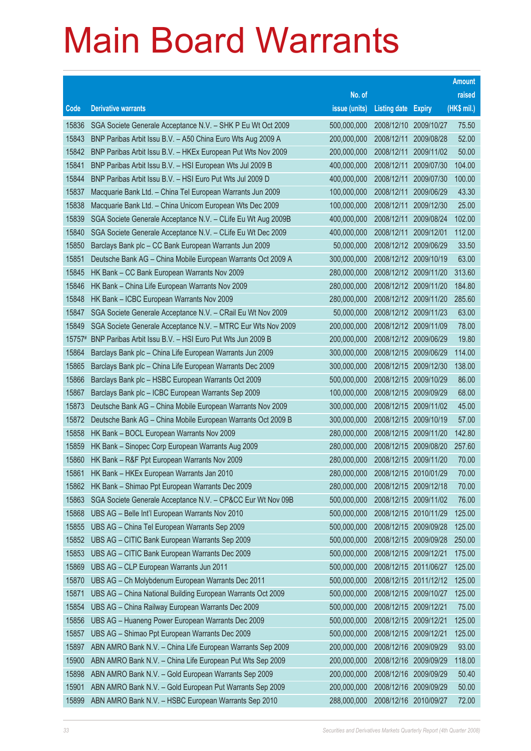|        |                                                              |               |                            |            | <b>Amount</b> |
|--------|--------------------------------------------------------------|---------------|----------------------------|------------|---------------|
|        |                                                              | No. of        |                            |            | raised        |
| Code   | <b>Derivative warrants</b>                                   | issue (units) | <b>Listing date Expiry</b> |            | (HK\$ mil.)   |
| 15836  | SGA Societe Generale Acceptance N.V. - SHK P Eu Wt Oct 2009  | 500,000,000   | 2008/12/10                 | 2009/10/27 | 75.50         |
| 15843  | BNP Paribas Arbit Issu B.V. - A50 China Euro Wts Aug 2009 A  | 200,000,000   | 2008/12/11                 | 2009/08/28 | 52.00         |
| 15842  | BNP Paribas Arbit Issu B.V. - HKEx European Put Wts Nov 2009 | 200,000,000   | 2008/12/11                 | 2009/11/02 | 50.00         |
| 15841  | BNP Paribas Arbit Issu B.V. - HSI European Wts Jul 2009 B    | 400,000,000   | 2008/12/11                 | 2009/07/30 | 104.00        |
| 15844  | BNP Paribas Arbit Issu B.V. - HSI Euro Put Wts Jul 2009 D    | 400,000,000   | 2008/12/11                 | 2009/07/30 | 100.00        |
| 15837  | Macquarie Bank Ltd. - China Tel European Warrants Jun 2009   | 100,000,000   | 2008/12/11                 | 2009/06/29 | 43.30         |
| 15838  | Macquarie Bank Ltd. - China Unicom European Wts Dec 2009     | 100,000,000   | 2008/12/11                 | 2009/12/30 | 25.00         |
| 15839  | SGA Societe Generale Acceptance N.V. - CLife Eu Wt Aug 2009B | 400,000,000   | 2008/12/11                 | 2009/08/24 | 102.00        |
| 15840  | SGA Societe Generale Acceptance N.V. - CLife Eu Wt Dec 2009  | 400,000,000   | 2008/12/11                 | 2009/12/01 | 112.00        |
| 15850  | Barclays Bank plc - CC Bank European Warrants Jun 2009       | 50,000,000    | 2008/12/12 2009/06/29      |            | 33.50         |
| 15851  | Deutsche Bank AG - China Mobile European Warrants Oct 2009 A | 300,000,000   | 2008/12/12 2009/10/19      |            | 63.00         |
| 15845  | HK Bank - CC Bank European Warrants Nov 2009                 | 280,000,000   | 2008/12/12 2009/11/20      |            | 313.60        |
| 15846  | HK Bank - China Life European Warrants Nov 2009              | 280,000,000   | 2008/12/12 2009/11/20      |            | 184.80        |
| 15848  | HK Bank - ICBC European Warrants Nov 2009                    | 280,000,000   | 2008/12/12 2009/11/20      |            | 285.60        |
| 15847  | SGA Societe Generale Acceptance N.V. - CRail Eu Wt Nov 2009  | 50,000,000    | 2008/12/12 2009/11/23      |            | 63.00         |
| 15849  | SGA Societe Generale Acceptance N.V. - MTRC Eur Wts Nov 2009 | 200,000,000   | 2008/12/12 2009/11/09      |            | 78.00         |
| 15757# | BNP Paribas Arbit Issu B.V. - HSI Euro Put Wts Jun 2009 B    | 200,000,000   | 2008/12/12 2009/06/29      |            | 19.80         |
| 15864  | Barclays Bank plc - China Life European Warrants Jun 2009    | 300,000,000   | 2008/12/15 2009/06/29      |            | 114.00        |
| 15865  | Barclays Bank plc - China Life European Warrants Dec 2009    | 300,000,000   | 2008/12/15                 | 2009/12/30 | 138.00        |
| 15866  | Barclays Bank plc - HSBC European Warrants Oct 2009          | 500,000,000   | 2008/12/15 2009/10/29      |            | 86.00         |
| 15867  | Barclays Bank plc - ICBC European Warrants Sep 2009          | 100,000,000   | 2008/12/15 2009/09/29      |            | 68.00         |
| 15873  | Deutsche Bank AG - China Mobile European Warrants Nov 2009   | 300,000,000   | 2008/12/15 2009/11/02      |            | 45.00         |
| 15872  | Deutsche Bank AG - China Mobile European Warrants Oct 2009 B | 300,000,000   | 2008/12/15                 | 2009/10/19 | 57.00         |
| 15858  | HK Bank - BOCL European Warrants Nov 2009                    | 280,000,000   | 2008/12/15 2009/11/20      |            | 142.80        |
| 15859  | HK Bank - Sinopec Corp European Warrants Aug 2009            | 280,000,000   | 2008/12/15 2009/08/20      |            | 257.60        |
| 15860  | HK Bank - R&F Ppt European Warrants Nov 2009                 | 280,000,000   | 2008/12/15 2009/11/20      |            | 70.00         |
| 15861  | HK Bank – HKEx European Warrants Jan 2010                    | 280,000,000   | 2008/12/15 2010/01/29      |            | 70.00         |
| 15862  | HK Bank - Shimao Ppt European Warrants Dec 2009              | 280,000,000   | 2008/12/15 2009/12/18      |            | 70.00         |
| 15863  | SGA Societe Generale Acceptance N.V. - CP&CC Eur Wt Nov 09B  | 500,000,000   | 2008/12/15                 | 2009/11/02 | 76.00         |
| 15868  | UBS AG - Belle Int'l European Warrants Nov 2010              | 500,000,000   | 2008/12/15 2010/11/29      |            | 125.00        |
| 15855  | UBS AG - China Tel European Warrants Sep 2009                | 500,000,000   | 2008/12/15                 | 2009/09/28 | 125.00        |
| 15852  | UBS AG - CITIC Bank European Warrants Sep 2009               | 500,000,000   | 2008/12/15 2009/09/28      |            | 250.00        |
| 15853  | UBS AG - CITIC Bank European Warrants Dec 2009               | 500,000,000   | 2008/12/15                 | 2009/12/21 | 175.00        |
| 15869  | UBS AG - CLP European Warrants Jun 2011                      | 500,000,000   | 2008/12/15 2011/06/27      |            | 125.00        |
| 15870  | UBS AG - Ch Molybdenum European Warrants Dec 2011            | 500,000,000   | 2008/12/15 2011/12/12      |            | 125.00        |
| 15871  | UBS AG - China National Building European Warrants Oct 2009  | 500,000,000   | 2008/12/15 2009/10/27      |            | 125.00        |
| 15854  | UBS AG - China Railway European Warrants Dec 2009            | 500,000,000   | 2008/12/15                 | 2009/12/21 | 75.00         |
| 15856  | UBS AG - Huaneng Power European Warrants Dec 2009            | 500,000,000   | 2008/12/15 2009/12/21      |            | 125.00        |
| 15857  | UBS AG - Shimao Ppt European Warrants Dec 2009               | 500,000,000   | 2008/12/15                 | 2009/12/21 | 125.00        |
| 15897  | ABN AMRO Bank N.V. - China Life European Warrants Sep 2009   | 200,000,000   | 2008/12/16 2009/09/29      |            | 93.00         |
| 15900  | ABN AMRO Bank N.V. - China Life European Put Wts Sep 2009    | 200,000,000   | 2008/12/16                 | 2009/09/29 | 118.00        |
| 15898  | ABN AMRO Bank N.V. - Gold European Warrants Sep 2009         | 200,000,000   | 2008/12/16                 | 2009/09/29 | 50.40         |
| 15901  | ABN AMRO Bank N.V. - Gold European Put Warrants Sep 2009     | 200,000,000   | 2008/12/16                 | 2009/09/29 | 50.00         |
| 15899  | ABN AMRO Bank N.V. - HSBC European Warrants Sep 2010         | 288,000,000   | 2008/12/16 2010/09/27      |            | 72.00         |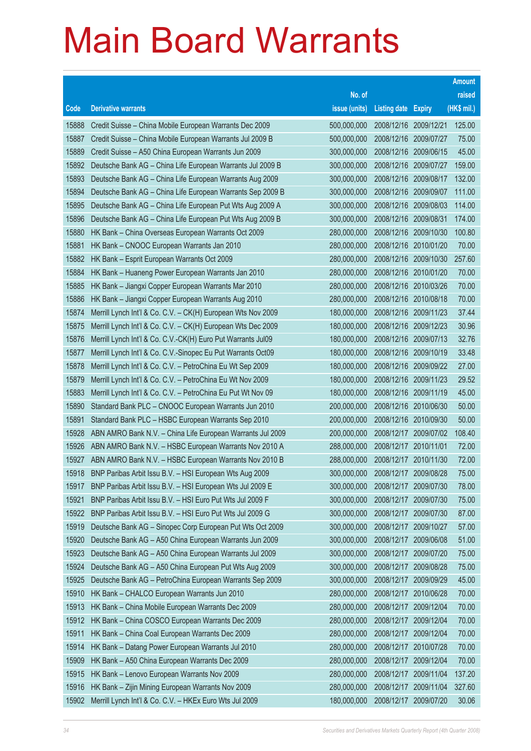|       |                                                              |               |                            |            | <b>Amount</b> |
|-------|--------------------------------------------------------------|---------------|----------------------------|------------|---------------|
|       |                                                              | No. of        |                            |            | raised        |
| Code  | <b>Derivative warrants</b>                                   | issue (units) | <b>Listing date Expiry</b> |            | (HK\$ mil.)   |
| 15888 | Credit Suisse - China Mobile European Warrants Dec 2009      | 500,000,000   | 2008/12/16 2009/12/21      |            | 125.00        |
| 15887 | Credit Suisse - China Mobile European Warrants Jul 2009 B    | 500,000,000   | 2008/12/16 2009/07/27      |            | 75.00         |
| 15889 | Credit Suisse - A50 China European Warrants Jun 2009         | 300,000,000   | 2008/12/16 2009/06/15      |            | 45.00         |
| 15892 | Deutsche Bank AG - China Life European Warrants Jul 2009 B   | 300,000,000   | 2008/12/16 2009/07/27      |            | 159.00        |
| 15893 | Deutsche Bank AG - China Life European Warrants Aug 2009     | 300,000,000   | 2008/12/16 2009/08/17      |            | 132.00        |
| 15894 | Deutsche Bank AG - China Life European Warrants Sep 2009 B   | 300,000,000   | 2008/12/16 2009/09/07      |            | 111.00        |
| 15895 | Deutsche Bank AG - China Life European Put Wts Aug 2009 A    | 300,000,000   | 2008/12/16 2009/08/03      |            | 114.00        |
| 15896 | Deutsche Bank AG - China Life European Put Wts Aug 2009 B    | 300,000,000   | 2008/12/16 2009/08/31      |            | 174.00        |
| 15880 | HK Bank - China Overseas European Warrants Oct 2009          | 280,000,000   | 2008/12/16 2009/10/30      |            | 100.80        |
| 15881 | HK Bank - CNOOC European Warrants Jan 2010                   | 280,000,000   | 2008/12/16 2010/01/20      |            | 70.00         |
| 15882 | HK Bank - Esprit European Warrants Oct 2009                  | 280,000,000   | 2008/12/16 2009/10/30      |            | 257.60        |
| 15884 | HK Bank - Huaneng Power European Warrants Jan 2010           | 280,000,000   | 2008/12/16 2010/01/20      |            | 70.00         |
| 15885 | HK Bank - Jiangxi Copper European Warrants Mar 2010          | 280,000,000   | 2008/12/16 2010/03/26      |            | 70.00         |
| 15886 | HK Bank - Jiangxi Copper European Warrants Aug 2010          | 280,000,000   | 2008/12/16 2010/08/18      |            | 70.00         |
| 15874 | Merrill Lynch Int'l & Co. C.V. - CK(H) European Wts Nov 2009 | 180,000,000   | 2008/12/16 2009/11/23      |            | 37.44         |
| 15875 | Merrill Lynch Int'l & Co. C.V. - CK(H) European Wts Dec 2009 | 180,000,000   | 2008/12/16 2009/12/23      |            | 30.96         |
| 15876 | Merrill Lynch Int'l & Co. C.V.-CK(H) Euro Put Warrants Jul09 | 180,000,000   | 2008/12/16 2009/07/13      |            | 32.76         |
| 15877 | Merrill Lynch Int'l & Co. C.V.-Sinopec Eu Put Warrants Oct09 | 180,000,000   | 2008/12/16 2009/10/19      |            | 33.48         |
| 15878 | Merrill Lynch Int'l & Co. C.V. - PetroChina Eu Wt Sep 2009   | 180,000,000   | 2008/12/16 2009/09/22      |            | 27.00         |
| 15879 | Merrill Lynch Int'l & Co. C.V. - PetroChina Eu Wt Nov 2009   | 180,000,000   | 2008/12/16 2009/11/23      |            | 29.52         |
| 15883 | Merrill Lynch Int'l & Co. C.V. - PetroChina Eu Put Wt Nov 09 | 180,000,000   | 2008/12/16 2009/11/19      |            | 45.00         |
| 15890 | Standard Bank PLC - CNOOC European Warrants Jun 2010         | 200,000,000   | 2008/12/16 2010/06/30      |            | 50.00         |
| 15891 | Standard Bank PLC - HSBC European Warrants Sep 2010          | 200,000,000   | 2008/12/16 2010/09/30      |            | 50.00         |
| 15928 | ABN AMRO Bank N.V. - China Life European Warrants Jul 2009   | 200,000,000   | 2008/12/17 2009/07/02      |            | 108.40        |
| 15926 | ABN AMRO Bank N.V. - HSBC European Warrants Nov 2010 A       | 288,000,000   | 2008/12/17 2010/11/01      |            | 72.00         |
| 15927 | ABN AMRO Bank N.V. - HSBC European Warrants Nov 2010 B       | 288,000,000   | 2008/12/17 2010/11/30      |            | 72.00         |
| 15918 | BNP Paribas Arbit Issu B.V. - HSI European Wts Aug 2009      | 300,000,000   | 2008/12/17 2009/08/28      |            | 75.00         |
| 15917 | BNP Paribas Arbit Issu B.V. - HSI European Wts Jul 2009 E    | 300,000,000   | 2008/12/17 2009/07/30      |            | 78.00         |
| 15921 | BNP Paribas Arbit Issu B.V. - HSI Euro Put Wts Jul 2009 F    | 300,000,000   | 2008/12/17                 | 2009/07/30 | 75.00         |
| 15922 | BNP Paribas Arbit Issu B.V. - HSI Euro Put Wts Jul 2009 G    | 300,000,000   | 2008/12/17                 | 2009/07/30 | 87.00         |
| 15919 | Deutsche Bank AG - Sinopec Corp European Put Wts Oct 2009    | 300,000,000   | 2008/12/17                 | 2009/10/27 | 57.00         |
| 15920 | Deutsche Bank AG - A50 China European Warrants Jun 2009      | 300,000,000   | 2008/12/17                 | 2009/06/08 | 51.00         |
| 15923 | Deutsche Bank AG - A50 China European Warrants Jul 2009      | 300,000,000   | 2008/12/17                 | 2009/07/20 | 75.00         |
| 15924 | Deutsche Bank AG - A50 China European Put Wts Aug 2009       | 300,000,000   | 2008/12/17                 | 2009/08/28 | 75.00         |
| 15925 | Deutsche Bank AG - PetroChina European Warrants Sep 2009     | 300,000,000   | 2008/12/17                 | 2009/09/29 | 45.00         |
| 15910 | HK Bank - CHALCO European Warrants Jun 2010                  | 280,000,000   | 2008/12/17                 | 2010/06/28 | 70.00         |
| 15913 | HK Bank - China Mobile European Warrants Dec 2009            | 280,000,000   | 2008/12/17                 | 2009/12/04 | 70.00         |
| 15912 | HK Bank - China COSCO European Warrants Dec 2009             | 280,000,000   | 2008/12/17                 | 2009/12/04 | 70.00         |
| 15911 | HK Bank - China Coal European Warrants Dec 2009              | 280,000,000   | 2008/12/17                 | 2009/12/04 | 70.00         |
| 15914 | HK Bank - Datang Power European Warrants Jul 2010            | 280,000,000   | 2008/12/17                 | 2010/07/28 | 70.00         |
| 15909 | HK Bank - A50 China European Warrants Dec 2009               | 280,000,000   | 2008/12/17                 | 2009/12/04 | 70.00         |
| 15915 | HK Bank - Lenovo European Warrants Nov 2009                  | 280,000,000   | 2008/12/17                 | 2009/11/04 | 137.20        |
| 15916 | HK Bank - Zijin Mining European Warrants Nov 2009            | 280,000,000   | 2008/12/17                 | 2009/11/04 | 327.60        |
| 15902 | Merrill Lynch Int'l & Co. C.V. - HKEx Euro Wts Jul 2009      | 180,000,000   | 2008/12/17                 | 2009/07/20 | 30.06         |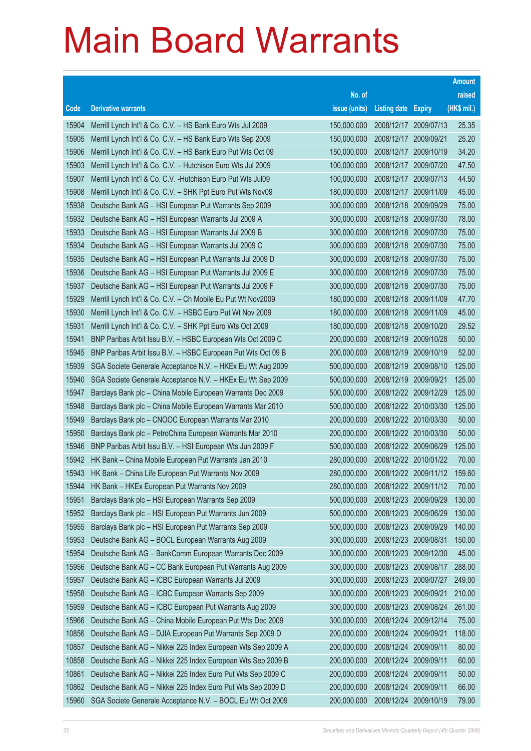|       |                                                               |               |                            |                       | <b>Amount</b> |
|-------|---------------------------------------------------------------|---------------|----------------------------|-----------------------|---------------|
|       |                                                               | No. of        |                            |                       | raised        |
| Code  | <b>Derivative warrants</b>                                    | issue (units) | <b>Listing date Expiry</b> |                       | (HK\$ mil.)   |
| 15904 | Merrill Lynch Int'l & Co. C.V. - HS Bank Euro Wts Jul 2009    | 150,000,000   | 2008/12/17 2009/07/13      |                       | 25.35         |
| 15905 | Merrill Lynch Int'l & Co. C.V. - HS Bank Euro Wts Sep 2009    | 150,000,000   | 2008/12/17 2009/09/21      |                       | 25.20         |
| 15906 | Merrill Lynch Int'l & Co. C.V. - HS Bank Euro Put Wts Oct 09  | 150,000,000   | 2008/12/17                 | 2009/10/19            | 34.20         |
| 15903 | Merrill Lynch Int'l & Co. C.V. - Hutchison Euro Wts Jul 2009  | 100,000,000   | 2008/12/17                 | 2009/07/20            | 47.50         |
| 15907 | Merrill Lynch Int'l & Co. C.V. - Hutchison Euro Put Wts Jul09 | 100,000,000   | 2008/12/17 2009/07/13      |                       | 44.50         |
| 15908 | Merrill Lynch Int'l & Co. C.V. - SHK Ppt Euro Put Wts Nov09   | 180,000,000   | 2008/12/17                 | 2009/11/09            | 45.00         |
| 15938 | Deutsche Bank AG - HSI European Put Warrants Sep 2009         | 300,000,000   | 2008/12/18                 | 2009/09/29            | 75.00         |
| 15932 | Deutsche Bank AG - HSI European Warrants Jul 2009 A           | 300,000,000   |                            | 2008/12/18 2009/07/30 | 78.00         |
| 15933 | Deutsche Bank AG - HSI European Warrants Jul 2009 B           | 300,000,000   | 2008/12/18                 | 2009/07/30            | 75.00         |
| 15934 | Deutsche Bank AG - HSI European Warrants Jul 2009 C           | 300,000,000   |                            | 2008/12/18 2009/07/30 | 75.00         |
| 15935 | Deutsche Bank AG - HSI European Put Warrants Jul 2009 D       | 300,000,000   | 2008/12/18                 | 2009/07/30            | 75.00         |
| 15936 | Deutsche Bank AG - HSI European Put Warrants Jul 2009 E       | 300,000,000   | 2008/12/18                 | 2009/07/30            | 75.00         |
| 15937 | Deutsche Bank AG - HSI European Put Warrants Jul 2009 F       | 300,000,000   | 2008/12/18                 | 2009/07/30            | 75.00         |
| 15929 | Merrill Lynch Int'l & Co. C.V. - Ch Mobile Eu Put Wt Nov2009  | 180,000,000   |                            | 2008/12/18 2009/11/09 | 47.70         |
| 15930 | Merrill Lynch Int'l & Co. C.V. - HSBC Euro Put Wt Nov 2009    | 180,000,000   | 2008/12/18                 | 2009/11/09            | 45.00         |
| 15931 | Merrill Lynch Int'l & Co. C.V. - SHK Ppt Euro Wts Oct 2009    | 180,000,000   |                            | 2008/12/18 2009/10/20 | 29.52         |
| 15941 | BNP Paribas Arbit Issu B.V. - HSBC European Wts Oct 2009 C    | 200,000,000   | 2008/12/19                 | 2009/10/28            | 50.00         |
| 15945 | BNP Paribas Arbit Issu B.V. - HSBC European Put Wts Oct 09 B  | 200,000,000   | 2008/12/19                 | 2009/10/19            | 52.00         |
| 15939 | SGA Societe Generale Acceptance N.V. - HKEx Eu Wt Aug 2009    | 500,000,000   | 2008/12/19                 | 2009/08/10            | 125.00        |
| 15940 | SGA Societe Generale Acceptance N.V. - HKEx Eu Wt Sep 2009    | 500,000,000   | 2008/12/19                 | 2009/09/21            | 125.00        |
| 15947 | Barclays Bank plc - China Mobile European Warrants Dec 2009   | 500,000,000   |                            | 2008/12/22 2009/12/29 | 125.00        |
| 15948 | Barclays Bank plc - China Mobile European Warrants Mar 2010   | 500,000,000   |                            | 2008/12/22 2010/03/30 | 125.00        |
| 15949 | Barclays Bank plc - CNOOC European Warrants Mar 2010          | 200,000,000   |                            | 2008/12/22 2010/03/30 | 50.00         |
| 15950 | Barclays Bank plc - PetroChina European Warrants Mar 2010     | 200,000,000   |                            | 2008/12/22 2010/03/30 | 50.00         |
| 15946 | BNP Paribas Arbit Issu B.V. - HSI European Wts Jun 2009 F     | 500,000,000   |                            | 2008/12/22 2009/06/29 | 125.00        |
| 15942 | HK Bank - China Mobile European Put Warrants Jan 2010         | 280,000,000   |                            | 2008/12/22 2010/01/22 | 70.00         |
| 15943 | HK Bank - China Life European Put Warrants Nov 2009           | 280,000,000   |                            | 2008/12/22 2009/11/12 | 159.60        |
| 15944 | HK Bank - HKEx European Put Warrants Nov 2009                 | 280,000,000   |                            | 2008/12/22 2009/11/12 | 70.00         |
| 15951 | Barclays Bank plc - HSI European Warrants Sep 2009            | 500,000,000   | 2008/12/23                 | 2009/09/29            | 130.00        |
| 15952 | Barclays Bank plc - HSI European Put Warrants Jun 2009        | 500,000,000   | 2008/12/23 2009/06/29      |                       | 130.00        |
| 15955 | Barclays Bank plc - HSI European Put Warrants Sep 2009        | 500,000,000   | 2008/12/23                 | 2009/09/29            | 140.00        |
| 15953 | Deutsche Bank AG - BOCL European Warrants Aug 2009            | 300,000,000   | 2008/12/23                 | 2009/08/31            | 150.00        |
| 15954 | Deutsche Bank AG - BankComm European Warrants Dec 2009        | 300,000,000   | 2008/12/23                 | 2009/12/30            | 45.00         |
| 15956 | Deutsche Bank AG - CC Bank European Put Warrants Aug 2009     | 300,000,000   | 2008/12/23                 | 2009/08/17            | 288.00        |
| 15957 | Deutsche Bank AG - ICBC European Warrants Jul 2009            | 300,000,000   | 2008/12/23                 | 2009/07/27            | 249.00        |
| 15958 | Deutsche Bank AG - ICBC European Warrants Sep 2009            | 300,000,000   | 2008/12/23 2009/09/21      |                       | 210.00        |
| 15959 | Deutsche Bank AG - ICBC European Put Warrants Aug 2009        | 300,000,000   | 2008/12/23                 | 2009/08/24            | 261.00        |
| 15966 | Deutsche Bank AG - China Mobile European Put Wts Dec 2009     | 300,000,000   | 2008/12/24                 | 2009/12/14            | 75.00         |
| 10856 | Deutsche Bank AG - DJIA European Put Warrants Sep 2009 D      | 200,000,000   | 2008/12/24                 | 2009/09/21            | 118.00        |
| 10857 | Deutsche Bank AG - Nikkei 225 Index European Wts Sep 2009 A   | 200,000,000   | 2008/12/24                 | 2009/09/11            | 80.00         |
| 10858 | Deutsche Bank AG - Nikkei 225 Index European Wts Sep 2009 B   | 200,000,000   | 2008/12/24                 | 2009/09/11            | 60.00         |
| 10861 | Deutsche Bank AG - Nikkei 225 Index Euro Put Wts Sep 2009 C   | 200,000,000   | 2008/12/24                 | 2009/09/11            | 50.00         |
| 10862 | Deutsche Bank AG - Nikkei 225 Index Euro Put Wts Sep 2009 D   | 200,000,000   | 2008/12/24                 | 2009/09/11            | 66.00         |
| 15960 | SGA Societe Generale Acceptance N.V. - BOCL Eu Wt Oct 2009    | 200,000,000   | 2008/12/24 2009/10/19      |                       | 79.00         |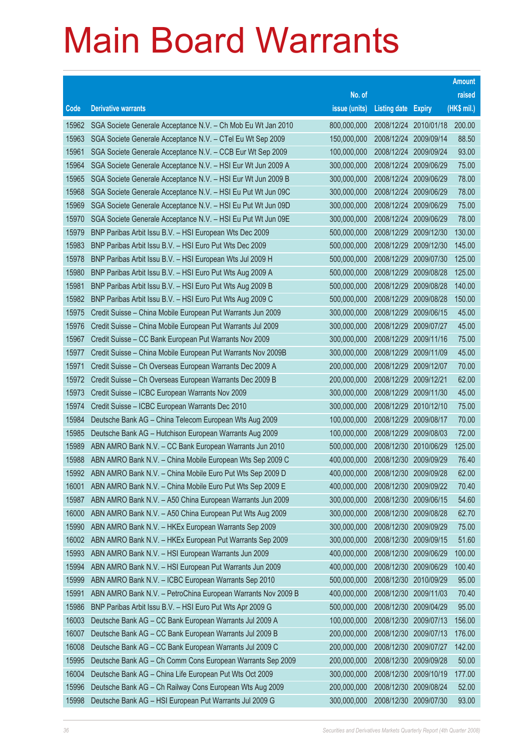| No. of<br>raised<br>(HK\$ mil.)<br><b>Derivative warrants</b><br>issue (units)<br><b>Listing date</b><br>Code<br><b>Expiry</b><br>200.00<br>SGA Societe Generale Acceptance N.V. - Ch Mob Eu Wt Jan 2010<br>800,000,000<br>2008/12/24<br>2010/01/18<br>15962<br>SGA Societe Generale Acceptance N.V. - CTel Eu Wt Sep 2009<br>2008/12/24 2009/09/14<br>88.50<br>15963<br>150,000,000<br>93.00<br>15961<br>SGA Societe Generale Acceptance N.V. - CCB Eur Wt Sep 2009<br>100,000,000<br>2008/12/24<br>2009/09/24<br>2008/12/24 2009/06/29<br>75.00<br>15964<br>SGA Societe Generale Acceptance N.V. - HSI Eur Wt Jun 2009 A<br>300,000,000<br>300,000,000<br>78.00<br>15965<br>SGA Societe Generale Acceptance N.V. - HSI Eur Wt Jun 2009 B<br>2008/12/24 2009/06/29<br>2008/12/24 2009/06/29<br>78.00<br>15968<br>SGA Societe Generale Acceptance N.V. - HSI Eu Put Wt Jun 09C<br>300,000,000<br>15969<br>SGA Societe Generale Acceptance N.V. - HSI Eu Put Wt Jun 09D<br>300,000,000<br>2008/12/24<br>75.00<br>2009/06/29<br>2008/12/24<br>78.00<br>15970<br>SGA Societe Generale Acceptance N.V. - HSI Eu Put Wt Jun 09E<br>300,000,000<br>2009/06/29<br>130.00<br>15979<br>BNP Paribas Arbit Issu B.V. - HSI European Wts Dec 2009<br>500,000,000<br>2008/12/29<br>2009/12/30<br>2008/12/29<br>145.00<br>15983<br>BNP Paribas Arbit Issu B.V. - HSI Euro Put Wts Dec 2009<br>500,000,000<br>2009/12/30<br>125.00<br>BNP Paribas Arbit Issu B.V. - HSI European Wts Jul 2009 H<br>500,000,000<br>2008/12/29<br>2009/07/30<br>15978<br>15980<br>2008/12/29<br>125.00<br>BNP Paribas Arbit Issu B.V. - HSI Euro Put Wts Aug 2009 A<br>500,000,000<br>2009/08/28<br>140.00<br>15981<br>BNP Paribas Arbit Issu B.V. - HSI Euro Put Wts Aug 2009 B<br>500,000,000<br>2008/12/29<br>2009/08/28<br>150.00<br>15982<br>BNP Paribas Arbit Issu B.V. - HSI Euro Put Wts Aug 2009 C<br>500,000,000<br>2008/12/29<br>2009/08/28<br>45.00<br>Credit Suisse - China Mobile European Put Warrants Jun 2009<br>300,000,000<br>2008/12/29<br>2009/06/15<br>15975<br>2008/12/29<br>45.00<br>15976<br>Credit Suisse - China Mobile European Put Warrants Jul 2009<br>300,000,000<br>2009/07/27<br>75.00<br>15967<br>Credit Suisse - CC Bank European Put Warrants Nov 2009<br>300,000,000<br>2008/12/29<br>2009/11/16<br>2008/12/29<br>45.00<br>15977<br>Credit Suisse - China Mobile European Put Warrants Nov 2009B<br>300,000,000<br>2009/11/09<br>15971<br>200,000,000<br>2008/12/29<br>70.00<br>Credit Suisse - Ch Overseas European Warrants Dec 2009 A<br>2009/12/07<br>2008/12/29<br>62.00<br>15972<br>Credit Suisse - Ch Overseas European Warrants Dec 2009 B<br>200,000,000<br>2009/12/21<br>45.00<br>15973<br>Credit Suisse - ICBC European Warrants Nov 2009<br>300,000,000<br>2008/12/29<br>2009/11/30<br>2008/12/29<br>75.00<br>15974<br>Credit Suisse - ICBC European Warrants Dec 2010<br>300,000,000<br>2010/12/10<br>15984<br>Deutsche Bank AG - China Telecom European Wts Aug 2009<br>100,000,000<br>2008/12/29<br>70.00<br>2009/08/17<br>2008/12/29<br>72.00<br>15985<br>Deutsche Bank AG - Hutchison European Warrants Aug 2009<br>100,000,000<br>2009/08/03<br>125.00<br>15989<br>ABN AMRO Bank N.V. - CC Bank European Warrants Jun 2010<br>500,000,000<br>2008/12/30<br>2010/06/29<br>2008/12/30<br>76.40<br>15988<br>ABN AMRO Bank N.V. - China Mobile European Wts Sep 2009 C<br>400,000,000<br>2009/09/29<br>400,000,000<br>2008/12/30<br>62.00<br>ABN AMRO Bank N.V. - China Mobile Euro Put Wts Sep 2009 D<br>2009/09/28<br>15992<br>ABN AMRO Bank N.V. - China Mobile Euro Put Wts Sep 2009 E<br>2008/12/30 2009/09/22<br>70.40<br>16001<br>400,000,000<br>15987<br>ABN AMRO Bank N.V. - A50 China European Warrants Jun 2009<br>300,000,000<br>2008/12/30<br>54.60<br>2009/06/15<br>16000<br>300,000,000<br>2008/12/30<br>62.70<br>ABN AMRO Bank N.V. - A50 China European Put Wts Aug 2009<br>2009/08/28<br>15990<br>ABN AMRO Bank N.V. - HKEx European Warrants Sep 2009<br>300,000,000<br>2008/12/30<br>75.00<br>2009/09/29<br>51.60<br>16002<br>ABN AMRO Bank N.V. - HKEx European Put Warrants Sep 2009<br>300,000,000<br>2008/12/30<br>2009/09/15<br>100.00<br>15993<br>ABN AMRO Bank N.V. - HSI European Warrants Jun 2009<br>400,000,000<br>2008/12/30<br>2009/06/29<br>15994<br>400,000,000<br>100.40<br>ABN AMRO Bank N.V. - HSI European Put Warrants Jun 2009<br>2008/12/30<br>2009/06/29<br>95.00<br>15999<br>ABN AMRO Bank N.V. - ICBC European Warrants Sep 2010<br>500,000,000<br>2008/12/30<br>2010/09/29<br>70.40<br>15991<br>ABN AMRO Bank N.V. - PetroChina European Warrants Nov 2009 B<br>400,000,000<br>2008/12/30<br>2009/11/03<br>95.00<br>15986<br>BNP Paribas Arbit Issu B.V. - HSI Euro Put Wts Apr 2009 G<br>500,000,000<br>2008/12/30<br>2009/04/29<br>16003<br>Deutsche Bank AG - CC Bank European Warrants Jul 2009 A<br>100,000,000<br>2008/12/30<br>156.00<br>2009/07/13<br>16007<br>Deutsche Bank AG - CC Bank European Warrants Jul 2009 B<br>200,000,000<br>2008/12/30<br>176.00<br>2009/07/13<br>16008<br>Deutsche Bank AG - CC Bank European Warrants Jul 2009 C<br>200,000,000<br>2008/12/30<br>2009/07/27<br>142.00 |  |  | <b>Amount</b> |
|------------------------------------------------------------------------------------------------------------------------------------------------------------------------------------------------------------------------------------------------------------------------------------------------------------------------------------------------------------------------------------------------------------------------------------------------------------------------------------------------------------------------------------------------------------------------------------------------------------------------------------------------------------------------------------------------------------------------------------------------------------------------------------------------------------------------------------------------------------------------------------------------------------------------------------------------------------------------------------------------------------------------------------------------------------------------------------------------------------------------------------------------------------------------------------------------------------------------------------------------------------------------------------------------------------------------------------------------------------------------------------------------------------------------------------------------------------------------------------------------------------------------------------------------------------------------------------------------------------------------------------------------------------------------------------------------------------------------------------------------------------------------------------------------------------------------------------------------------------------------------------------------------------------------------------------------------------------------------------------------------------------------------------------------------------------------------------------------------------------------------------------------------------------------------------------------------------------------------------------------------------------------------------------------------------------------------------------------------------------------------------------------------------------------------------------------------------------------------------------------------------------------------------------------------------------------------------------------------------------------------------------------------------------------------------------------------------------------------------------------------------------------------------------------------------------------------------------------------------------------------------------------------------------------------------------------------------------------------------------------------------------------------------------------------------------------------------------------------------------------------------------------------------------------------------------------------------------------------------------------------------------------------------------------------------------------------------------------------------------------------------------------------------------------------------------------------------------------------------------------------------------------------------------------------------------------------------------------------------------------------------------------------------------------------------------------------------------------------------------------------------------------------------------------------------------------------------------------------------------------------------------------------------------------------------------------------------------------------------------------------------------------------------------------------------------------------------------------------------------------------------------------------------------------------------------------------------------------------------------------------------------------------------------------------------------------------------------------------------------------------------------------------------------------------------------------------------------------------------------------------------------------------------------------------------------------------------------------------------------------------------------------------------------------------------------------------------------------------------------------------------------------------------------------------------------------------------------------------------------------------------------------------------------------------------------------------------------------------------------------------------------------------------------------------------------------------------------------------------------------------------------------------------------------------|--|--|---------------|
|                                                                                                                                                                                                                                                                                                                                                                                                                                                                                                                                                                                                                                                                                                                                                                                                                                                                                                                                                                                                                                                                                                                                                                                                                                                                                                                                                                                                                                                                                                                                                                                                                                                                                                                                                                                                                                                                                                                                                                                                                                                                                                                                                                                                                                                                                                                                                                                                                                                                                                                                                                                                                                                                                                                                                                                                                                                                                                                                                                                                                                                                                                                                                                                                                                                                                                                                                                                                                                                                                                                                                                                                                                                                                                                                                                                                                                                                                                                                                                                                                                                                                                                                                                                                                                                                                                                                                                                                                                                                                                                                                                                                                                                                                                                                                                                                                                                                                                                                                                                                                                                                                                                                                                              |  |  |               |
|                                                                                                                                                                                                                                                                                                                                                                                                                                                                                                                                                                                                                                                                                                                                                                                                                                                                                                                                                                                                                                                                                                                                                                                                                                                                                                                                                                                                                                                                                                                                                                                                                                                                                                                                                                                                                                                                                                                                                                                                                                                                                                                                                                                                                                                                                                                                                                                                                                                                                                                                                                                                                                                                                                                                                                                                                                                                                                                                                                                                                                                                                                                                                                                                                                                                                                                                                                                                                                                                                                                                                                                                                                                                                                                                                                                                                                                                                                                                                                                                                                                                                                                                                                                                                                                                                                                                                                                                                                                                                                                                                                                                                                                                                                                                                                                                                                                                                                                                                                                                                                                                                                                                                                              |  |  |               |
|                                                                                                                                                                                                                                                                                                                                                                                                                                                                                                                                                                                                                                                                                                                                                                                                                                                                                                                                                                                                                                                                                                                                                                                                                                                                                                                                                                                                                                                                                                                                                                                                                                                                                                                                                                                                                                                                                                                                                                                                                                                                                                                                                                                                                                                                                                                                                                                                                                                                                                                                                                                                                                                                                                                                                                                                                                                                                                                                                                                                                                                                                                                                                                                                                                                                                                                                                                                                                                                                                                                                                                                                                                                                                                                                                                                                                                                                                                                                                                                                                                                                                                                                                                                                                                                                                                                                                                                                                                                                                                                                                                                                                                                                                                                                                                                                                                                                                                                                                                                                                                                                                                                                                                              |  |  |               |
|                                                                                                                                                                                                                                                                                                                                                                                                                                                                                                                                                                                                                                                                                                                                                                                                                                                                                                                                                                                                                                                                                                                                                                                                                                                                                                                                                                                                                                                                                                                                                                                                                                                                                                                                                                                                                                                                                                                                                                                                                                                                                                                                                                                                                                                                                                                                                                                                                                                                                                                                                                                                                                                                                                                                                                                                                                                                                                                                                                                                                                                                                                                                                                                                                                                                                                                                                                                                                                                                                                                                                                                                                                                                                                                                                                                                                                                                                                                                                                                                                                                                                                                                                                                                                                                                                                                                                                                                                                                                                                                                                                                                                                                                                                                                                                                                                                                                                                                                                                                                                                                                                                                                                                              |  |  |               |
|                                                                                                                                                                                                                                                                                                                                                                                                                                                                                                                                                                                                                                                                                                                                                                                                                                                                                                                                                                                                                                                                                                                                                                                                                                                                                                                                                                                                                                                                                                                                                                                                                                                                                                                                                                                                                                                                                                                                                                                                                                                                                                                                                                                                                                                                                                                                                                                                                                                                                                                                                                                                                                                                                                                                                                                                                                                                                                                                                                                                                                                                                                                                                                                                                                                                                                                                                                                                                                                                                                                                                                                                                                                                                                                                                                                                                                                                                                                                                                                                                                                                                                                                                                                                                                                                                                                                                                                                                                                                                                                                                                                                                                                                                                                                                                                                                                                                                                                                                                                                                                                                                                                                                                              |  |  |               |
|                                                                                                                                                                                                                                                                                                                                                                                                                                                                                                                                                                                                                                                                                                                                                                                                                                                                                                                                                                                                                                                                                                                                                                                                                                                                                                                                                                                                                                                                                                                                                                                                                                                                                                                                                                                                                                                                                                                                                                                                                                                                                                                                                                                                                                                                                                                                                                                                                                                                                                                                                                                                                                                                                                                                                                                                                                                                                                                                                                                                                                                                                                                                                                                                                                                                                                                                                                                                                                                                                                                                                                                                                                                                                                                                                                                                                                                                                                                                                                                                                                                                                                                                                                                                                                                                                                                                                                                                                                                                                                                                                                                                                                                                                                                                                                                                                                                                                                                                                                                                                                                                                                                                                                              |  |  |               |
|                                                                                                                                                                                                                                                                                                                                                                                                                                                                                                                                                                                                                                                                                                                                                                                                                                                                                                                                                                                                                                                                                                                                                                                                                                                                                                                                                                                                                                                                                                                                                                                                                                                                                                                                                                                                                                                                                                                                                                                                                                                                                                                                                                                                                                                                                                                                                                                                                                                                                                                                                                                                                                                                                                                                                                                                                                                                                                                                                                                                                                                                                                                                                                                                                                                                                                                                                                                                                                                                                                                                                                                                                                                                                                                                                                                                                                                                                                                                                                                                                                                                                                                                                                                                                                                                                                                                                                                                                                                                                                                                                                                                                                                                                                                                                                                                                                                                                                                                                                                                                                                                                                                                                                              |  |  |               |
|                                                                                                                                                                                                                                                                                                                                                                                                                                                                                                                                                                                                                                                                                                                                                                                                                                                                                                                                                                                                                                                                                                                                                                                                                                                                                                                                                                                                                                                                                                                                                                                                                                                                                                                                                                                                                                                                                                                                                                                                                                                                                                                                                                                                                                                                                                                                                                                                                                                                                                                                                                                                                                                                                                                                                                                                                                                                                                                                                                                                                                                                                                                                                                                                                                                                                                                                                                                                                                                                                                                                                                                                                                                                                                                                                                                                                                                                                                                                                                                                                                                                                                                                                                                                                                                                                                                                                                                                                                                                                                                                                                                                                                                                                                                                                                                                                                                                                                                                                                                                                                                                                                                                                                              |  |  |               |
|                                                                                                                                                                                                                                                                                                                                                                                                                                                                                                                                                                                                                                                                                                                                                                                                                                                                                                                                                                                                                                                                                                                                                                                                                                                                                                                                                                                                                                                                                                                                                                                                                                                                                                                                                                                                                                                                                                                                                                                                                                                                                                                                                                                                                                                                                                                                                                                                                                                                                                                                                                                                                                                                                                                                                                                                                                                                                                                                                                                                                                                                                                                                                                                                                                                                                                                                                                                                                                                                                                                                                                                                                                                                                                                                                                                                                                                                                                                                                                                                                                                                                                                                                                                                                                                                                                                                                                                                                                                                                                                                                                                                                                                                                                                                                                                                                                                                                                                                                                                                                                                                                                                                                                              |  |  |               |
|                                                                                                                                                                                                                                                                                                                                                                                                                                                                                                                                                                                                                                                                                                                                                                                                                                                                                                                                                                                                                                                                                                                                                                                                                                                                                                                                                                                                                                                                                                                                                                                                                                                                                                                                                                                                                                                                                                                                                                                                                                                                                                                                                                                                                                                                                                                                                                                                                                                                                                                                                                                                                                                                                                                                                                                                                                                                                                                                                                                                                                                                                                                                                                                                                                                                                                                                                                                                                                                                                                                                                                                                                                                                                                                                                                                                                                                                                                                                                                                                                                                                                                                                                                                                                                                                                                                                                                                                                                                                                                                                                                                                                                                                                                                                                                                                                                                                                                                                                                                                                                                                                                                                                                              |  |  |               |
|                                                                                                                                                                                                                                                                                                                                                                                                                                                                                                                                                                                                                                                                                                                                                                                                                                                                                                                                                                                                                                                                                                                                                                                                                                                                                                                                                                                                                                                                                                                                                                                                                                                                                                                                                                                                                                                                                                                                                                                                                                                                                                                                                                                                                                                                                                                                                                                                                                                                                                                                                                                                                                                                                                                                                                                                                                                                                                                                                                                                                                                                                                                                                                                                                                                                                                                                                                                                                                                                                                                                                                                                                                                                                                                                                                                                                                                                                                                                                                                                                                                                                                                                                                                                                                                                                                                                                                                                                                                                                                                                                                                                                                                                                                                                                                                                                                                                                                                                                                                                                                                                                                                                                                              |  |  |               |
|                                                                                                                                                                                                                                                                                                                                                                                                                                                                                                                                                                                                                                                                                                                                                                                                                                                                                                                                                                                                                                                                                                                                                                                                                                                                                                                                                                                                                                                                                                                                                                                                                                                                                                                                                                                                                                                                                                                                                                                                                                                                                                                                                                                                                                                                                                                                                                                                                                                                                                                                                                                                                                                                                                                                                                                                                                                                                                                                                                                                                                                                                                                                                                                                                                                                                                                                                                                                                                                                                                                                                                                                                                                                                                                                                                                                                                                                                                                                                                                                                                                                                                                                                                                                                                                                                                                                                                                                                                                                                                                                                                                                                                                                                                                                                                                                                                                                                                                                                                                                                                                                                                                                                                              |  |  |               |
|                                                                                                                                                                                                                                                                                                                                                                                                                                                                                                                                                                                                                                                                                                                                                                                                                                                                                                                                                                                                                                                                                                                                                                                                                                                                                                                                                                                                                                                                                                                                                                                                                                                                                                                                                                                                                                                                                                                                                                                                                                                                                                                                                                                                                                                                                                                                                                                                                                                                                                                                                                                                                                                                                                                                                                                                                                                                                                                                                                                                                                                                                                                                                                                                                                                                                                                                                                                                                                                                                                                                                                                                                                                                                                                                                                                                                                                                                                                                                                                                                                                                                                                                                                                                                                                                                                                                                                                                                                                                                                                                                                                                                                                                                                                                                                                                                                                                                                                                                                                                                                                                                                                                                                              |  |  |               |
|                                                                                                                                                                                                                                                                                                                                                                                                                                                                                                                                                                                                                                                                                                                                                                                                                                                                                                                                                                                                                                                                                                                                                                                                                                                                                                                                                                                                                                                                                                                                                                                                                                                                                                                                                                                                                                                                                                                                                                                                                                                                                                                                                                                                                                                                                                                                                                                                                                                                                                                                                                                                                                                                                                                                                                                                                                                                                                                                                                                                                                                                                                                                                                                                                                                                                                                                                                                                                                                                                                                                                                                                                                                                                                                                                                                                                                                                                                                                                                                                                                                                                                                                                                                                                                                                                                                                                                                                                                                                                                                                                                                                                                                                                                                                                                                                                                                                                                                                                                                                                                                                                                                                                                              |  |  |               |
|                                                                                                                                                                                                                                                                                                                                                                                                                                                                                                                                                                                                                                                                                                                                                                                                                                                                                                                                                                                                                                                                                                                                                                                                                                                                                                                                                                                                                                                                                                                                                                                                                                                                                                                                                                                                                                                                                                                                                                                                                                                                                                                                                                                                                                                                                                                                                                                                                                                                                                                                                                                                                                                                                                                                                                                                                                                                                                                                                                                                                                                                                                                                                                                                                                                                                                                                                                                                                                                                                                                                                                                                                                                                                                                                                                                                                                                                                                                                                                                                                                                                                                                                                                                                                                                                                                                                                                                                                                                                                                                                                                                                                                                                                                                                                                                                                                                                                                                                                                                                                                                                                                                                                                              |  |  |               |
|                                                                                                                                                                                                                                                                                                                                                                                                                                                                                                                                                                                                                                                                                                                                                                                                                                                                                                                                                                                                                                                                                                                                                                                                                                                                                                                                                                                                                                                                                                                                                                                                                                                                                                                                                                                                                                                                                                                                                                                                                                                                                                                                                                                                                                                                                                                                                                                                                                                                                                                                                                                                                                                                                                                                                                                                                                                                                                                                                                                                                                                                                                                                                                                                                                                                                                                                                                                                                                                                                                                                                                                                                                                                                                                                                                                                                                                                                                                                                                                                                                                                                                                                                                                                                                                                                                                                                                                                                                                                                                                                                                                                                                                                                                                                                                                                                                                                                                                                                                                                                                                                                                                                                                              |  |  |               |
|                                                                                                                                                                                                                                                                                                                                                                                                                                                                                                                                                                                                                                                                                                                                                                                                                                                                                                                                                                                                                                                                                                                                                                                                                                                                                                                                                                                                                                                                                                                                                                                                                                                                                                                                                                                                                                                                                                                                                                                                                                                                                                                                                                                                                                                                                                                                                                                                                                                                                                                                                                                                                                                                                                                                                                                                                                                                                                                                                                                                                                                                                                                                                                                                                                                                                                                                                                                                                                                                                                                                                                                                                                                                                                                                                                                                                                                                                                                                                                                                                                                                                                                                                                                                                                                                                                                                                                                                                                                                                                                                                                                                                                                                                                                                                                                                                                                                                                                                                                                                                                                                                                                                                                              |  |  |               |
|                                                                                                                                                                                                                                                                                                                                                                                                                                                                                                                                                                                                                                                                                                                                                                                                                                                                                                                                                                                                                                                                                                                                                                                                                                                                                                                                                                                                                                                                                                                                                                                                                                                                                                                                                                                                                                                                                                                                                                                                                                                                                                                                                                                                                                                                                                                                                                                                                                                                                                                                                                                                                                                                                                                                                                                                                                                                                                                                                                                                                                                                                                                                                                                                                                                                                                                                                                                                                                                                                                                                                                                                                                                                                                                                                                                                                                                                                                                                                                                                                                                                                                                                                                                                                                                                                                                                                                                                                                                                                                                                                                                                                                                                                                                                                                                                                                                                                                                                                                                                                                                                                                                                                                              |  |  |               |
|                                                                                                                                                                                                                                                                                                                                                                                                                                                                                                                                                                                                                                                                                                                                                                                                                                                                                                                                                                                                                                                                                                                                                                                                                                                                                                                                                                                                                                                                                                                                                                                                                                                                                                                                                                                                                                                                                                                                                                                                                                                                                                                                                                                                                                                                                                                                                                                                                                                                                                                                                                                                                                                                                                                                                                                                                                                                                                                                                                                                                                                                                                                                                                                                                                                                                                                                                                                                                                                                                                                                                                                                                                                                                                                                                                                                                                                                                                                                                                                                                                                                                                                                                                                                                                                                                                                                                                                                                                                                                                                                                                                                                                                                                                                                                                                                                                                                                                                                                                                                                                                                                                                                                                              |  |  |               |
|                                                                                                                                                                                                                                                                                                                                                                                                                                                                                                                                                                                                                                                                                                                                                                                                                                                                                                                                                                                                                                                                                                                                                                                                                                                                                                                                                                                                                                                                                                                                                                                                                                                                                                                                                                                                                                                                                                                                                                                                                                                                                                                                                                                                                                                                                                                                                                                                                                                                                                                                                                                                                                                                                                                                                                                                                                                                                                                                                                                                                                                                                                                                                                                                                                                                                                                                                                                                                                                                                                                                                                                                                                                                                                                                                                                                                                                                                                                                                                                                                                                                                                                                                                                                                                                                                                                                                                                                                                                                                                                                                                                                                                                                                                                                                                                                                                                                                                                                                                                                                                                                                                                                                                              |  |  |               |
|                                                                                                                                                                                                                                                                                                                                                                                                                                                                                                                                                                                                                                                                                                                                                                                                                                                                                                                                                                                                                                                                                                                                                                                                                                                                                                                                                                                                                                                                                                                                                                                                                                                                                                                                                                                                                                                                                                                                                                                                                                                                                                                                                                                                                                                                                                                                                                                                                                                                                                                                                                                                                                                                                                                                                                                                                                                                                                                                                                                                                                                                                                                                                                                                                                                                                                                                                                                                                                                                                                                                                                                                                                                                                                                                                                                                                                                                                                                                                                                                                                                                                                                                                                                                                                                                                                                                                                                                                                                                                                                                                                                                                                                                                                                                                                                                                                                                                                                                                                                                                                                                                                                                                                              |  |  |               |
|                                                                                                                                                                                                                                                                                                                                                                                                                                                                                                                                                                                                                                                                                                                                                                                                                                                                                                                                                                                                                                                                                                                                                                                                                                                                                                                                                                                                                                                                                                                                                                                                                                                                                                                                                                                                                                                                                                                                                                                                                                                                                                                                                                                                                                                                                                                                                                                                                                                                                                                                                                                                                                                                                                                                                                                                                                                                                                                                                                                                                                                                                                                                                                                                                                                                                                                                                                                                                                                                                                                                                                                                                                                                                                                                                                                                                                                                                                                                                                                                                                                                                                                                                                                                                                                                                                                                                                                                                                                                                                                                                                                                                                                                                                                                                                                                                                                                                                                                                                                                                                                                                                                                                                              |  |  |               |
|                                                                                                                                                                                                                                                                                                                                                                                                                                                                                                                                                                                                                                                                                                                                                                                                                                                                                                                                                                                                                                                                                                                                                                                                                                                                                                                                                                                                                                                                                                                                                                                                                                                                                                                                                                                                                                                                                                                                                                                                                                                                                                                                                                                                                                                                                                                                                                                                                                                                                                                                                                                                                                                                                                                                                                                                                                                                                                                                                                                                                                                                                                                                                                                                                                                                                                                                                                                                                                                                                                                                                                                                                                                                                                                                                                                                                                                                                                                                                                                                                                                                                                                                                                                                                                                                                                                                                                                                                                                                                                                                                                                                                                                                                                                                                                                                                                                                                                                                                                                                                                                                                                                                                                              |  |  |               |
|                                                                                                                                                                                                                                                                                                                                                                                                                                                                                                                                                                                                                                                                                                                                                                                                                                                                                                                                                                                                                                                                                                                                                                                                                                                                                                                                                                                                                                                                                                                                                                                                                                                                                                                                                                                                                                                                                                                                                                                                                                                                                                                                                                                                                                                                                                                                                                                                                                                                                                                                                                                                                                                                                                                                                                                                                                                                                                                                                                                                                                                                                                                                                                                                                                                                                                                                                                                                                                                                                                                                                                                                                                                                                                                                                                                                                                                                                                                                                                                                                                                                                                                                                                                                                                                                                                                                                                                                                                                                                                                                                                                                                                                                                                                                                                                                                                                                                                                                                                                                                                                                                                                                                                              |  |  |               |
|                                                                                                                                                                                                                                                                                                                                                                                                                                                                                                                                                                                                                                                                                                                                                                                                                                                                                                                                                                                                                                                                                                                                                                                                                                                                                                                                                                                                                                                                                                                                                                                                                                                                                                                                                                                                                                                                                                                                                                                                                                                                                                                                                                                                                                                                                                                                                                                                                                                                                                                                                                                                                                                                                                                                                                                                                                                                                                                                                                                                                                                                                                                                                                                                                                                                                                                                                                                                                                                                                                                                                                                                                                                                                                                                                                                                                                                                                                                                                                                                                                                                                                                                                                                                                                                                                                                                                                                                                                                                                                                                                                                                                                                                                                                                                                                                                                                                                                                                                                                                                                                                                                                                                                              |  |  |               |
|                                                                                                                                                                                                                                                                                                                                                                                                                                                                                                                                                                                                                                                                                                                                                                                                                                                                                                                                                                                                                                                                                                                                                                                                                                                                                                                                                                                                                                                                                                                                                                                                                                                                                                                                                                                                                                                                                                                                                                                                                                                                                                                                                                                                                                                                                                                                                                                                                                                                                                                                                                                                                                                                                                                                                                                                                                                                                                                                                                                                                                                                                                                                                                                                                                                                                                                                                                                                                                                                                                                                                                                                                                                                                                                                                                                                                                                                                                                                                                                                                                                                                                                                                                                                                                                                                                                                                                                                                                                                                                                                                                                                                                                                                                                                                                                                                                                                                                                                                                                                                                                                                                                                                                              |  |  |               |
|                                                                                                                                                                                                                                                                                                                                                                                                                                                                                                                                                                                                                                                                                                                                                                                                                                                                                                                                                                                                                                                                                                                                                                                                                                                                                                                                                                                                                                                                                                                                                                                                                                                                                                                                                                                                                                                                                                                                                                                                                                                                                                                                                                                                                                                                                                                                                                                                                                                                                                                                                                                                                                                                                                                                                                                                                                                                                                                                                                                                                                                                                                                                                                                                                                                                                                                                                                                                                                                                                                                                                                                                                                                                                                                                                                                                                                                                                                                                                                                                                                                                                                                                                                                                                                                                                                                                                                                                                                                                                                                                                                                                                                                                                                                                                                                                                                                                                                                                                                                                                                                                                                                                                                              |  |  |               |
|                                                                                                                                                                                                                                                                                                                                                                                                                                                                                                                                                                                                                                                                                                                                                                                                                                                                                                                                                                                                                                                                                                                                                                                                                                                                                                                                                                                                                                                                                                                                                                                                                                                                                                                                                                                                                                                                                                                                                                                                                                                                                                                                                                                                                                                                                                                                                                                                                                                                                                                                                                                                                                                                                                                                                                                                                                                                                                                                                                                                                                                                                                                                                                                                                                                                                                                                                                                                                                                                                                                                                                                                                                                                                                                                                                                                                                                                                                                                                                                                                                                                                                                                                                                                                                                                                                                                                                                                                                                                                                                                                                                                                                                                                                                                                                                                                                                                                                                                                                                                                                                                                                                                                                              |  |  |               |
|                                                                                                                                                                                                                                                                                                                                                                                                                                                                                                                                                                                                                                                                                                                                                                                                                                                                                                                                                                                                                                                                                                                                                                                                                                                                                                                                                                                                                                                                                                                                                                                                                                                                                                                                                                                                                                                                                                                                                                                                                                                                                                                                                                                                                                                                                                                                                                                                                                                                                                                                                                                                                                                                                                                                                                                                                                                                                                                                                                                                                                                                                                                                                                                                                                                                                                                                                                                                                                                                                                                                                                                                                                                                                                                                                                                                                                                                                                                                                                                                                                                                                                                                                                                                                                                                                                                                                                                                                                                                                                                                                                                                                                                                                                                                                                                                                                                                                                                                                                                                                                                                                                                                                                              |  |  |               |
|                                                                                                                                                                                                                                                                                                                                                                                                                                                                                                                                                                                                                                                                                                                                                                                                                                                                                                                                                                                                                                                                                                                                                                                                                                                                                                                                                                                                                                                                                                                                                                                                                                                                                                                                                                                                                                                                                                                                                                                                                                                                                                                                                                                                                                                                                                                                                                                                                                                                                                                                                                                                                                                                                                                                                                                                                                                                                                                                                                                                                                                                                                                                                                                                                                                                                                                                                                                                                                                                                                                                                                                                                                                                                                                                                                                                                                                                                                                                                                                                                                                                                                                                                                                                                                                                                                                                                                                                                                                                                                                                                                                                                                                                                                                                                                                                                                                                                                                                                                                                                                                                                                                                                                              |  |  |               |
|                                                                                                                                                                                                                                                                                                                                                                                                                                                                                                                                                                                                                                                                                                                                                                                                                                                                                                                                                                                                                                                                                                                                                                                                                                                                                                                                                                                                                                                                                                                                                                                                                                                                                                                                                                                                                                                                                                                                                                                                                                                                                                                                                                                                                                                                                                                                                                                                                                                                                                                                                                                                                                                                                                                                                                                                                                                                                                                                                                                                                                                                                                                                                                                                                                                                                                                                                                                                                                                                                                                                                                                                                                                                                                                                                                                                                                                                                                                                                                                                                                                                                                                                                                                                                                                                                                                                                                                                                                                                                                                                                                                                                                                                                                                                                                                                                                                                                                                                                                                                                                                                                                                                                                              |  |  |               |
|                                                                                                                                                                                                                                                                                                                                                                                                                                                                                                                                                                                                                                                                                                                                                                                                                                                                                                                                                                                                                                                                                                                                                                                                                                                                                                                                                                                                                                                                                                                                                                                                                                                                                                                                                                                                                                                                                                                                                                                                                                                                                                                                                                                                                                                                                                                                                                                                                                                                                                                                                                                                                                                                                                                                                                                                                                                                                                                                                                                                                                                                                                                                                                                                                                                                                                                                                                                                                                                                                                                                                                                                                                                                                                                                                                                                                                                                                                                                                                                                                                                                                                                                                                                                                                                                                                                                                                                                                                                                                                                                                                                                                                                                                                                                                                                                                                                                                                                                                                                                                                                                                                                                                                              |  |  |               |
|                                                                                                                                                                                                                                                                                                                                                                                                                                                                                                                                                                                                                                                                                                                                                                                                                                                                                                                                                                                                                                                                                                                                                                                                                                                                                                                                                                                                                                                                                                                                                                                                                                                                                                                                                                                                                                                                                                                                                                                                                                                                                                                                                                                                                                                                                                                                                                                                                                                                                                                                                                                                                                                                                                                                                                                                                                                                                                                                                                                                                                                                                                                                                                                                                                                                                                                                                                                                                                                                                                                                                                                                                                                                                                                                                                                                                                                                                                                                                                                                                                                                                                                                                                                                                                                                                                                                                                                                                                                                                                                                                                                                                                                                                                                                                                                                                                                                                                                                                                                                                                                                                                                                                                              |  |  |               |
|                                                                                                                                                                                                                                                                                                                                                                                                                                                                                                                                                                                                                                                                                                                                                                                                                                                                                                                                                                                                                                                                                                                                                                                                                                                                                                                                                                                                                                                                                                                                                                                                                                                                                                                                                                                                                                                                                                                                                                                                                                                                                                                                                                                                                                                                                                                                                                                                                                                                                                                                                                                                                                                                                                                                                                                                                                                                                                                                                                                                                                                                                                                                                                                                                                                                                                                                                                                                                                                                                                                                                                                                                                                                                                                                                                                                                                                                                                                                                                                                                                                                                                                                                                                                                                                                                                                                                                                                                                                                                                                                                                                                                                                                                                                                                                                                                                                                                                                                                                                                                                                                                                                                                                              |  |  |               |
|                                                                                                                                                                                                                                                                                                                                                                                                                                                                                                                                                                                                                                                                                                                                                                                                                                                                                                                                                                                                                                                                                                                                                                                                                                                                                                                                                                                                                                                                                                                                                                                                                                                                                                                                                                                                                                                                                                                                                                                                                                                                                                                                                                                                                                                                                                                                                                                                                                                                                                                                                                                                                                                                                                                                                                                                                                                                                                                                                                                                                                                                                                                                                                                                                                                                                                                                                                                                                                                                                                                                                                                                                                                                                                                                                                                                                                                                                                                                                                                                                                                                                                                                                                                                                                                                                                                                                                                                                                                                                                                                                                                                                                                                                                                                                                                                                                                                                                                                                                                                                                                                                                                                                                              |  |  |               |
|                                                                                                                                                                                                                                                                                                                                                                                                                                                                                                                                                                                                                                                                                                                                                                                                                                                                                                                                                                                                                                                                                                                                                                                                                                                                                                                                                                                                                                                                                                                                                                                                                                                                                                                                                                                                                                                                                                                                                                                                                                                                                                                                                                                                                                                                                                                                                                                                                                                                                                                                                                                                                                                                                                                                                                                                                                                                                                                                                                                                                                                                                                                                                                                                                                                                                                                                                                                                                                                                                                                                                                                                                                                                                                                                                                                                                                                                                                                                                                                                                                                                                                                                                                                                                                                                                                                                                                                                                                                                                                                                                                                                                                                                                                                                                                                                                                                                                                                                                                                                                                                                                                                                                                              |  |  |               |
|                                                                                                                                                                                                                                                                                                                                                                                                                                                                                                                                                                                                                                                                                                                                                                                                                                                                                                                                                                                                                                                                                                                                                                                                                                                                                                                                                                                                                                                                                                                                                                                                                                                                                                                                                                                                                                                                                                                                                                                                                                                                                                                                                                                                                                                                                                                                                                                                                                                                                                                                                                                                                                                                                                                                                                                                                                                                                                                                                                                                                                                                                                                                                                                                                                                                                                                                                                                                                                                                                                                                                                                                                                                                                                                                                                                                                                                                                                                                                                                                                                                                                                                                                                                                                                                                                                                                                                                                                                                                                                                                                                                                                                                                                                                                                                                                                                                                                                                                                                                                                                                                                                                                                                              |  |  |               |
|                                                                                                                                                                                                                                                                                                                                                                                                                                                                                                                                                                                                                                                                                                                                                                                                                                                                                                                                                                                                                                                                                                                                                                                                                                                                                                                                                                                                                                                                                                                                                                                                                                                                                                                                                                                                                                                                                                                                                                                                                                                                                                                                                                                                                                                                                                                                                                                                                                                                                                                                                                                                                                                                                                                                                                                                                                                                                                                                                                                                                                                                                                                                                                                                                                                                                                                                                                                                                                                                                                                                                                                                                                                                                                                                                                                                                                                                                                                                                                                                                                                                                                                                                                                                                                                                                                                                                                                                                                                                                                                                                                                                                                                                                                                                                                                                                                                                                                                                                                                                                                                                                                                                                                              |  |  |               |
|                                                                                                                                                                                                                                                                                                                                                                                                                                                                                                                                                                                                                                                                                                                                                                                                                                                                                                                                                                                                                                                                                                                                                                                                                                                                                                                                                                                                                                                                                                                                                                                                                                                                                                                                                                                                                                                                                                                                                                                                                                                                                                                                                                                                                                                                                                                                                                                                                                                                                                                                                                                                                                                                                                                                                                                                                                                                                                                                                                                                                                                                                                                                                                                                                                                                                                                                                                                                                                                                                                                                                                                                                                                                                                                                                                                                                                                                                                                                                                                                                                                                                                                                                                                                                                                                                                                                                                                                                                                                                                                                                                                                                                                                                                                                                                                                                                                                                                                                                                                                                                                                                                                                                                              |  |  |               |
|                                                                                                                                                                                                                                                                                                                                                                                                                                                                                                                                                                                                                                                                                                                                                                                                                                                                                                                                                                                                                                                                                                                                                                                                                                                                                                                                                                                                                                                                                                                                                                                                                                                                                                                                                                                                                                                                                                                                                                                                                                                                                                                                                                                                                                                                                                                                                                                                                                                                                                                                                                                                                                                                                                                                                                                                                                                                                                                                                                                                                                                                                                                                                                                                                                                                                                                                                                                                                                                                                                                                                                                                                                                                                                                                                                                                                                                                                                                                                                                                                                                                                                                                                                                                                                                                                                                                                                                                                                                                                                                                                                                                                                                                                                                                                                                                                                                                                                                                                                                                                                                                                                                                                                              |  |  |               |
|                                                                                                                                                                                                                                                                                                                                                                                                                                                                                                                                                                                                                                                                                                                                                                                                                                                                                                                                                                                                                                                                                                                                                                                                                                                                                                                                                                                                                                                                                                                                                                                                                                                                                                                                                                                                                                                                                                                                                                                                                                                                                                                                                                                                                                                                                                                                                                                                                                                                                                                                                                                                                                                                                                                                                                                                                                                                                                                                                                                                                                                                                                                                                                                                                                                                                                                                                                                                                                                                                                                                                                                                                                                                                                                                                                                                                                                                                                                                                                                                                                                                                                                                                                                                                                                                                                                                                                                                                                                                                                                                                                                                                                                                                                                                                                                                                                                                                                                                                                                                                                                                                                                                                                              |  |  |               |
| 15995<br>Deutsche Bank AG - Ch Comm Cons European Warrants Sep 2009<br>200,000,000<br>2008/12/30<br>50.00<br>2009/09/28                                                                                                                                                                                                                                                                                                                                                                                                                                                                                                                                                                                                                                                                                                                                                                                                                                                                                                                                                                                                                                                                                                                                                                                                                                                                                                                                                                                                                                                                                                                                                                                                                                                                                                                                                                                                                                                                                                                                                                                                                                                                                                                                                                                                                                                                                                                                                                                                                                                                                                                                                                                                                                                                                                                                                                                                                                                                                                                                                                                                                                                                                                                                                                                                                                                                                                                                                                                                                                                                                                                                                                                                                                                                                                                                                                                                                                                                                                                                                                                                                                                                                                                                                                                                                                                                                                                                                                                                                                                                                                                                                                                                                                                                                                                                                                                                                                                                                                                                                                                                                                                      |  |  |               |
| 16004<br>Deutsche Bank AG - China Life European Put Wts Oct 2009<br>300,000,000<br>2008/12/30<br>177.00<br>2009/10/19                                                                                                                                                                                                                                                                                                                                                                                                                                                                                                                                                                                                                                                                                                                                                                                                                                                                                                                                                                                                                                                                                                                                                                                                                                                                                                                                                                                                                                                                                                                                                                                                                                                                                                                                                                                                                                                                                                                                                                                                                                                                                                                                                                                                                                                                                                                                                                                                                                                                                                                                                                                                                                                                                                                                                                                                                                                                                                                                                                                                                                                                                                                                                                                                                                                                                                                                                                                                                                                                                                                                                                                                                                                                                                                                                                                                                                                                                                                                                                                                                                                                                                                                                                                                                                                                                                                                                                                                                                                                                                                                                                                                                                                                                                                                                                                                                                                                                                                                                                                                                                                        |  |  |               |
| 200,000,000<br>52.00<br>15996<br>Deutsche Bank AG - Ch Railway Cons European Wts Aug 2009<br>2008/12/30<br>2009/08/24                                                                                                                                                                                                                                                                                                                                                                                                                                                                                                                                                                                                                                                                                                                                                                                                                                                                                                                                                                                                                                                                                                                                                                                                                                                                                                                                                                                                                                                                                                                                                                                                                                                                                                                                                                                                                                                                                                                                                                                                                                                                                                                                                                                                                                                                                                                                                                                                                                                                                                                                                                                                                                                                                                                                                                                                                                                                                                                                                                                                                                                                                                                                                                                                                                                                                                                                                                                                                                                                                                                                                                                                                                                                                                                                                                                                                                                                                                                                                                                                                                                                                                                                                                                                                                                                                                                                                                                                                                                                                                                                                                                                                                                                                                                                                                                                                                                                                                                                                                                                                                                        |  |  |               |
| Deutsche Bank AG - HSI European Put Warrants Jul 2009 G<br>93.00<br>15998<br>300,000,000<br>2008/12/30<br>2009/07/30                                                                                                                                                                                                                                                                                                                                                                                                                                                                                                                                                                                                                                                                                                                                                                                                                                                                                                                                                                                                                                                                                                                                                                                                                                                                                                                                                                                                                                                                                                                                                                                                                                                                                                                                                                                                                                                                                                                                                                                                                                                                                                                                                                                                                                                                                                                                                                                                                                                                                                                                                                                                                                                                                                                                                                                                                                                                                                                                                                                                                                                                                                                                                                                                                                                                                                                                                                                                                                                                                                                                                                                                                                                                                                                                                                                                                                                                                                                                                                                                                                                                                                                                                                                                                                                                                                                                                                                                                                                                                                                                                                                                                                                                                                                                                                                                                                                                                                                                                                                                                                                         |  |  |               |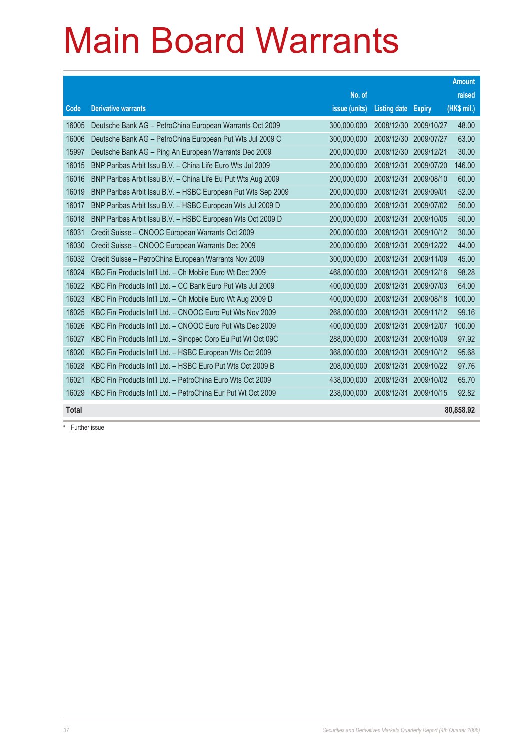### Main Board Warrants

|              |                                                              |               |                     |               | <b>Amount</b> |
|--------------|--------------------------------------------------------------|---------------|---------------------|---------------|---------------|
|              |                                                              | No. of        |                     |               | raised        |
| Code         | <b>Derivative warrants</b>                                   | issue (units) | <b>Listing date</b> | <b>Expiry</b> | (HK\$ mil.)   |
| 16005        | Deutsche Bank AG - PetroChina European Warrants Oct 2009     | 300,000,000   | 2008/12/30          | 2009/10/27    | 48.00         |
| 16006        | Deutsche Bank AG - PetroChina European Put Wts Jul 2009 C    | 300,000,000   | 2008/12/30          | 2009/07/27    | 63.00         |
| 15997        | Deutsche Bank AG - Ping An European Warrants Dec 2009        | 200,000,000   | 2008/12/30          | 2009/12/21    | 30.00         |
| 16015        | BNP Paribas Arbit Issu B.V. - China Life Euro Wts Jul 2009   | 200,000,000   | 2008/12/31          | 2009/07/20    | 146.00        |
| 16016        | BNP Paribas Arbit Issu B.V. - China Life Eu Put Wts Aug 2009 | 200,000,000   | 2008/12/31          | 2009/08/10    | 60.00         |
| 16019        | BNP Paribas Arbit Issu B.V. - HSBC European Put Wts Sep 2009 | 200,000,000   | 2008/12/31          | 2009/09/01    | 52.00         |
| 16017        | BNP Paribas Arbit Issu B.V. - HSBC European Wts Jul 2009 D   | 200,000,000   | 2008/12/31          | 2009/07/02    | 50.00         |
| 16018        | BNP Paribas Arbit Issu B.V. - HSBC European Wts Oct 2009 D   | 200,000,000   | 2008/12/31          | 2009/10/05    | 50.00         |
| 16031        | Credit Suisse - CNOOC European Warrants Oct 2009             | 200,000,000   | 2008/12/31          | 2009/10/12    | 30.00         |
| 16030        | Credit Suisse - CNOOC European Warrants Dec 2009             | 200,000,000   | 2008/12/31          | 2009/12/22    | 44.00         |
| 16032        | Credit Suisse - PetroChina European Warrants Nov 2009        | 300,000,000   | 2008/12/31          | 2009/11/09    | 45.00         |
| 16024        | KBC Fin Products Int'l Ltd. - Ch Mobile Euro Wt Dec 2009     | 468,000,000   | 2008/12/31          | 2009/12/16    | 98.28         |
| 16022        | KBC Fin Products Int'l Ltd. - CC Bank Euro Put Wts Jul 2009  | 400,000,000   | 2008/12/31          | 2009/07/03    | 64.00         |
| 16023        | KBC Fin Products Int'l Ltd. - Ch Mobile Euro Wt Aug 2009 D   | 400,000,000   | 2008/12/31          | 2009/08/18    | 100.00        |
| 16025        | KBC Fin Products Int'l Ltd. - CNOOC Euro Put Wts Nov 2009    | 268,000,000   | 2008/12/31          | 2009/11/12    | 99.16         |
| 16026        | KBC Fin Products Int'l Ltd. - CNOOC Euro Put Wts Dec 2009    | 400,000,000   | 2008/12/31          | 2009/12/07    | 100.00        |
| 16027        | KBC Fin Products Int'l Ltd. - Sinopec Corp Eu Put Wt Oct 09C | 288,000,000   | 2008/12/31          | 2009/10/09    | 97.92         |
| 16020        | KBC Fin Products Int'l Ltd. - HSBC European Wts Oct 2009     | 368,000,000   | 2008/12/31          | 2009/10/12    | 95.68         |
| 16028        | KBC Fin Products Int'l Ltd. - HSBC Euro Put Wts Oct 2009 B   | 208,000,000   | 2008/12/31          | 2009/10/22    | 97.76         |
| 16021        | KBC Fin Products Int'l Ltd. - PetroChina Euro Wts Oct 2009   | 438,000,000   | 2008/12/31          | 2009/10/02    | 65.70         |
| 16029        | KBC Fin Products Int'l Ltd. - PetroChina Eur Put Wt Oct 2009 | 238,000,000   | 2008/12/31          | 2009/10/15    | 92.82         |
| <b>Total</b> |                                                              |               |                     |               | 80,858.92     |

# Further issue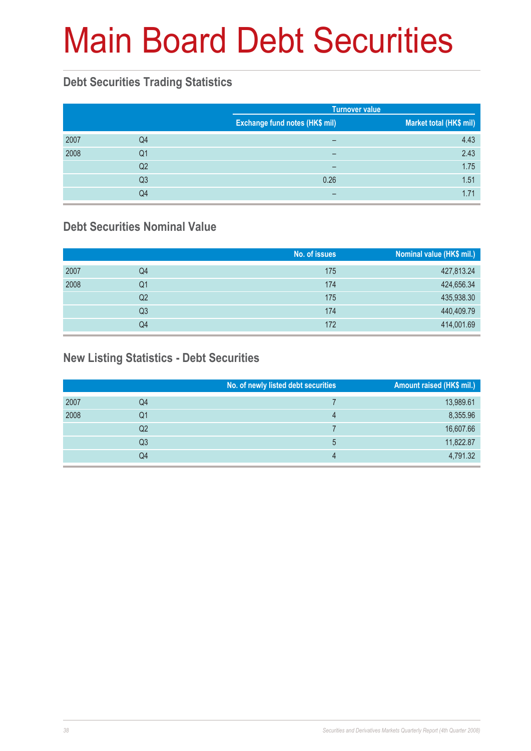# Main Board Debt Securities

#### **Debt Securities Trading Statistics**

|      |    |                                | <b>Turnover value</b>   |  |  |
|------|----|--------------------------------|-------------------------|--|--|
|      |    | Exchange fund notes (HK\$ mil) | Market total (HK\$ mil) |  |  |
| 2007 | Q4 | $\overline{\phantom{0}}$       | 4.43                    |  |  |
| 2008 | Q1 | -                              | 2.43                    |  |  |
|      | Q2 | -                              | 1.75                    |  |  |
|      | Q3 | 0.26                           | 1.51                    |  |  |
|      | Q4 |                                | 1.71                    |  |  |

#### **Debt Securities Nominal Value**

|      |                | No. of issues | Nominal value (HK\$ mil.) |
|------|----------------|---------------|---------------------------|
| 2007 | Q4             | 175           | 427,813.24                |
| 2008 | Q1             | 174           | 424,656.34                |
|      | Q2             | 175           | 435,938.30                |
|      | Q <sub>3</sub> | 174           | 440,409.79                |
|      | Q4             | 172           | 414,001.69                |

#### **New Listing Statistics - Debt Securities**

|      |    | No. of newly listed debt securities | Amount raised (HK\$ mil.) |
|------|----|-------------------------------------|---------------------------|
| 2007 | Q4 |                                     | 13,989.61                 |
| 2008 | Q1 | 4                                   | 8,355.96                  |
|      | Q2 |                                     | 16,607.66                 |
|      | Q3 | 5                                   | 11,822.87                 |
|      | Q4 | 4                                   | 4,791.32                  |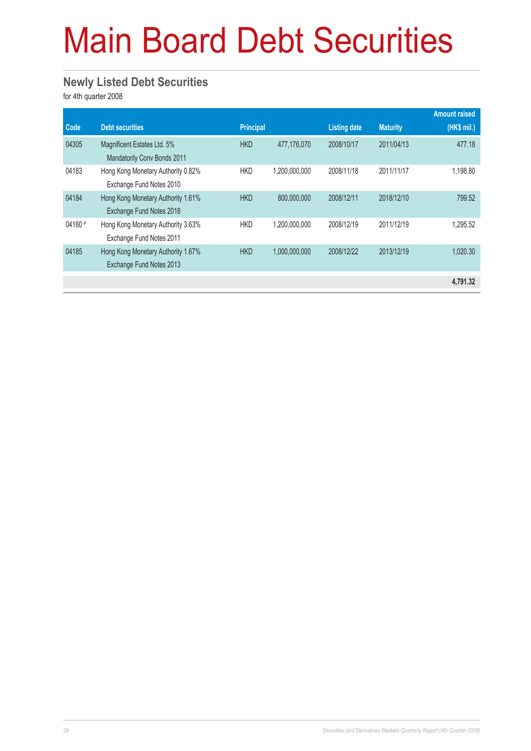# Main Board Debt Securities

#### **Newly Listed Debt Securities**

for 4th quarter 2008

|          |                                                                |                  |               |                     |                 | <b>Amount raised</b> |
|----------|----------------------------------------------------------------|------------------|---------------|---------------------|-----------------|----------------------|
| Code     | <b>Debt securities</b>                                         | <b>Principal</b> |               | <b>Listing date</b> | <b>Maturity</b> | (HK\$ mil.)          |
| 04305    | Magnificent Estates Ltd. 5%<br>Mandatorily Conv Bonds 2011     | <b>HKD</b>       | 477.176.070   | 2008/10/17          | 2011/04/13      | 477.18               |
| 04183    | Hong Kong Monetary Authority 0.82%<br>Exchange Fund Notes 2010 | <b>HKD</b>       | 1,200,000,000 | 2008/11/18          | 2011/11/17      | 1,198.80             |
| 04184    | Hong Kong Monetary Authority 1.61%<br>Exchange Fund Notes 2018 | <b>HKD</b>       | 800.000.000   | 2008/12/11          | 2018/12/10      | 799.52               |
| $04160*$ | Hong Kong Monetary Authority 3.63%<br>Exchange Fund Notes 2011 | <b>HKD</b>       | 1,200,000,000 | 2008/12/19          | 2011/12/19      | 1.295.52             |
| 04185    | Hong Kong Monetary Authority 1.67%<br>Exchange Fund Notes 2013 | <b>HKD</b>       | 1.000.000.000 | 2008/12/22          | 2013/12/19      | 1.020.30             |
|          |                                                                |                  |               |                     |                 | 4,791.32             |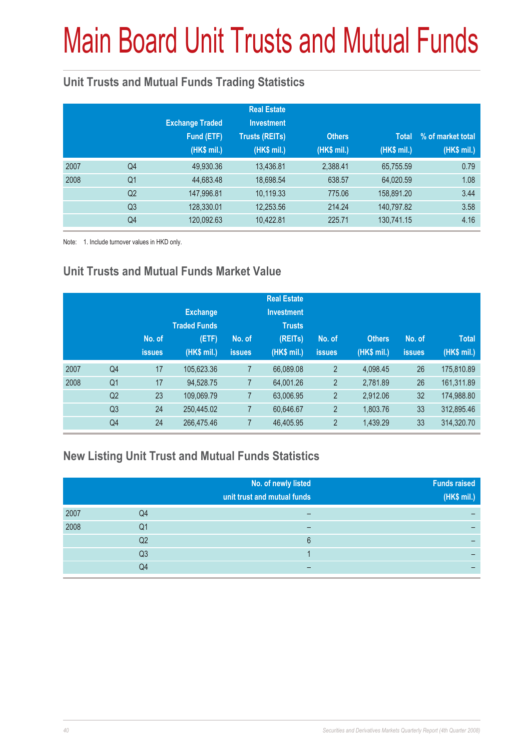# Main Board Unit Trusts and Mutual Funds

#### **Unit Trusts and Mutual Funds Trading Statistics**

|      |                | <b>Exchange Traded</b><br>Fund (ETF)<br>(HK\$ mil.) | <b>Real Estate</b><br><b>Investment</b><br><b>Trusts (REITs)</b><br>(HK\$ mil.) | <b>Others</b><br>(HK\$ mil.) | <b>Total</b><br>(HK\$ mil.) | % of market total<br>(HK\$ mil.) |
|------|----------------|-----------------------------------------------------|---------------------------------------------------------------------------------|------------------------------|-----------------------------|----------------------------------|
| 2007 | Q4             | 49,930.36                                           | 13,436.81                                                                       | 2,388.41                     | 65,755.59                   | 0.79                             |
| 2008 | Q <sub>1</sub> | 44,683.48                                           | 18,698.54                                                                       | 638.57                       | 64,020.59                   | 1.08                             |
|      | Q <sub>2</sub> | 147,996.81                                          | 10,119.33                                                                       | 775.06                       | 158,891.20                  | 3.44                             |
|      | Q <sub>3</sub> | 128,330.01                                          | 12,253.56                                                                       | 214.24                       | 140,797.82                  | 3.58                             |
|      | Q4             | 120,092.63                                          | 10,422.81                                                                       | 225.71                       | 130,741.15                  | 4.16                             |

Note: 1. Include turnover values in HKD only.

#### **Unit Trusts and Mutual Funds Market Value**

|      |                | No. of<br><b>issues</b> | <b>Exchange</b><br><b>Traded Funds</b><br>(ETF)<br>(HK\$ mil.) | No. of<br><b>issues</b> | <b>Real Estate</b><br><b>Investment</b><br><b>Trusts</b><br>(REITs)<br>(HK\$ mil.) | No. of<br><b>issues</b> | <b>Others</b><br>(HK\$ mil.) | No. of<br><b>issues</b> | <b>Total</b><br>(HK\$ mil.) |
|------|----------------|-------------------------|----------------------------------------------------------------|-------------------------|------------------------------------------------------------------------------------|-------------------------|------------------------------|-------------------------|-----------------------------|
| 2007 | Q <sub>4</sub> | 17                      | 105,623.36                                                     | $\overline{7}$          | 66,089.08                                                                          | $\overline{2}$          | 4.098.45                     | 26                      | 175,810.89                  |
| 2008 | Q <sub>1</sub> | 17                      | 94.528.75                                                      | 7                       | 64,001.26                                                                          | $\overline{2}$          | 2,781.89                     | 26                      | 161,311.89                  |
|      | Q2             | 23                      | 109,069.79                                                     | $\overline{7}$          | 63,006.95                                                                          | $\overline{2}$          | 2.912.06                     | 32                      | 174,988.80                  |
|      | Q <sub>3</sub> | 24                      | 250.445.02                                                     | 7                       | 60,646.67                                                                          | $\overline{2}$          | 1,803.76                     | 33                      | 312.895.46                  |
|      | Q4             | 24                      | 266,475.46                                                     | 7                       | 46,405.95                                                                          | $\overline{2}$          | 1,439.29                     | 33                      | 314,320.70                  |

#### **New Listing Unit Trust and Mutual Funds Statistics**

|      |                | No. of newly listed<br>unit trust and mutual funds | <b>Funds raised</b><br>(HK\$ mil.) |
|------|----------------|----------------------------------------------------|------------------------------------|
| 2007 | Q4             |                                                    |                                    |
| 2008 | Q1             | –                                                  | –                                  |
|      | Q2             | 6                                                  |                                    |
|      | Q <sub>3</sub> |                                                    |                                    |
|      | Q4             |                                                    |                                    |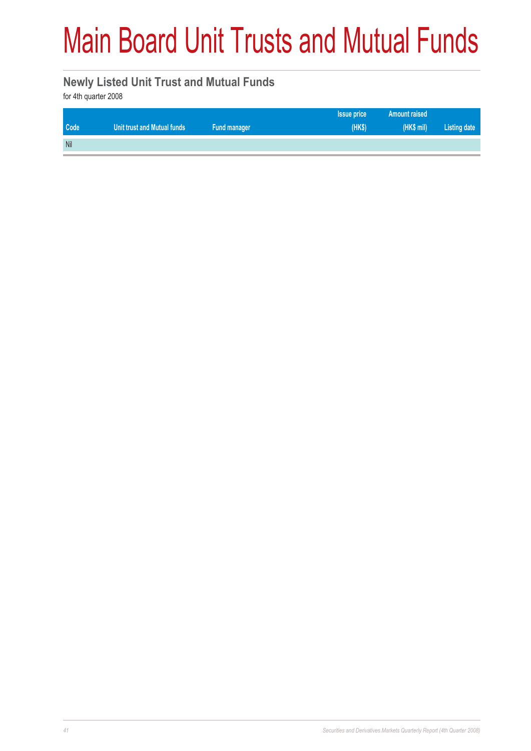## Main Board Unit Trusts and Mutual Funds

#### **Newly Listed Unit Trust and Mutual Funds**

for 4th quarter 2008

|      |                             |              | <b>Issue price</b> | <b>Amount raised</b> |              |
|------|-----------------------------|--------------|--------------------|----------------------|--------------|
| Code | Unit trust and Mutual funds | Fund manager | (HKS)              | (HK\$ mil)           | Listing date |
| Nil  |                             |              |                    |                      |              |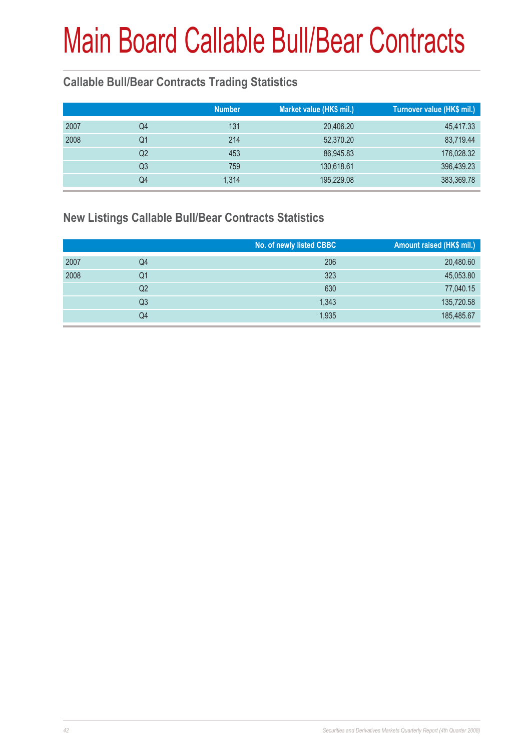#### **Callable Bull/Bear Contracts Trading Statistics**

|      |    | <b>Number</b> | Market value (HK\$ mil.) | Turnover value (HK\$ mil.) |
|------|----|---------------|--------------------------|----------------------------|
| 2007 | Q4 | 131           | 20,406.20                | 45,417.33                  |
| 2008 | Q1 | 214           | 52,370.20                | 83,719.44                  |
|      | Q2 | 453           | 86,945.83                | 176,028.32                 |
|      | Q3 | 759           | 130,618.61               | 396,439.23                 |
|      | Q4 | 1,314         | 195,229.08               | 383,369.78                 |
|      |    |               |                          |                            |

#### **New Listings Callable Bull/Bear Contracts Statistics**

|      |                | No. of newly listed CBBC | Amount raised (HK\$ mil.) |
|------|----------------|--------------------------|---------------------------|
| 2007 | Q4             | 206                      | 20,480.60                 |
| 2008 | Q1             | 323                      | 45,053.80                 |
|      | Q <sub>2</sub> | 630                      | 77,040.15                 |
|      | Q <sub>3</sub> | 1,343                    | 135,720.58                |
|      | Q4             | 1,935                    | 185,485.67                |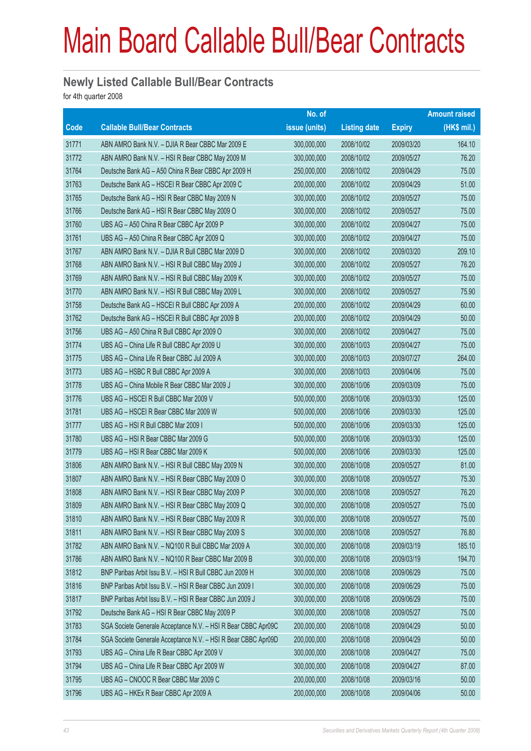#### **Newly Listed Callable Bull/Bear Contracts**

for 4th quarter 2008

|             |                                                               | No. of        |                     |               | <b>Amount raised</b> |
|-------------|---------------------------------------------------------------|---------------|---------------------|---------------|----------------------|
| <b>Code</b> | <b>Callable Bull/Bear Contracts</b>                           | issue (units) | <b>Listing date</b> | <b>Expiry</b> | (HK\$ mil.)          |
| 31771       | ABN AMRO Bank N.V. - DJIA R Bear CBBC Mar 2009 E              | 300,000,000   | 2008/10/02          | 2009/03/20    | 164.10               |
| 31772       | ABN AMRO Bank N.V. - HSI R Bear CBBC May 2009 M               | 300,000,000   | 2008/10/02          | 2009/05/27    | 76.20                |
| 31764       | Deutsche Bank AG - A50 China R Bear CBBC Apr 2009 H           | 250,000,000   | 2008/10/02          | 2009/04/29    | 75.00                |
| 31763       | Deutsche Bank AG - HSCEI R Bear CBBC Apr 2009 C               | 200,000,000   | 2008/10/02          | 2009/04/29    | 51.00                |
| 31765       | Deutsche Bank AG - HSI R Bear CBBC May 2009 N                 | 300,000,000   | 2008/10/02          | 2009/05/27    | 75.00                |
| 31766       | Deutsche Bank AG - HSI R Bear CBBC May 2009 O                 | 300,000,000   | 2008/10/02          | 2009/05/27    | 75.00                |
| 31760       | UBS AG - A50 China R Bear CBBC Apr 2009 P                     | 300,000,000   | 2008/10/02          | 2009/04/27    | 75.00                |
| 31761       | UBS AG - A50 China R Bear CBBC Apr 2009 Q                     | 300,000,000   | 2008/10/02          | 2009/04/27    | 75.00                |
| 31767       | ABN AMRO Bank N.V. - DJIA R Bull CBBC Mar 2009 D              | 300,000,000   | 2008/10/02          | 2009/03/20    | 209.10               |
| 31768       | ABN AMRO Bank N.V. - HSI R Bull CBBC May 2009 J               | 300,000,000   | 2008/10/02          | 2009/05/27    | 76.20                |
| 31769       | ABN AMRO Bank N.V. - HSI R Bull CBBC May 2009 K               | 300,000,000   | 2008/10/02          | 2009/05/27    | 75.00                |
| 31770       | ABN AMRO Bank N.V. - HSI R Bull CBBC May 2009 L               | 300,000,000   | 2008/10/02          | 2009/05/27    | 75.90                |
| 31758       | Deutsche Bank AG - HSCEI R Bull CBBC Apr 2009 A               | 200,000,000   | 2008/10/02          | 2009/04/29    | 60.00                |
| 31762       | Deutsche Bank AG - HSCEI R Bull CBBC Apr 2009 B               | 200,000,000   | 2008/10/02          | 2009/04/29    | 50.00                |
| 31756       | UBS AG - A50 China R Bull CBBC Apr 2009 O                     | 300,000,000   | 2008/10/02          | 2009/04/27    | 75.00                |
| 31774       | UBS AG - China Life R Bull CBBC Apr 2009 U                    | 300,000,000   | 2008/10/03          | 2009/04/27    | 75.00                |
| 31775       | UBS AG - China Life R Bear CBBC Jul 2009 A                    | 300,000,000   | 2008/10/03          | 2009/07/27    | 264.00               |
| 31773       | UBS AG - HSBC R Bull CBBC Apr 2009 A                          | 300,000,000   | 2008/10/03          | 2009/04/06    | 75.00                |
| 31778       | UBS AG - China Mobile R Bear CBBC Mar 2009 J                  | 300,000,000   | 2008/10/06          | 2009/03/09    | 75.00                |
| 31776       | UBS AG - HSCEI R Bull CBBC Mar 2009 V                         | 500,000,000   | 2008/10/06          | 2009/03/30    | 125.00               |
| 31781       | UBS AG - HSCEI R Bear CBBC Mar 2009 W                         | 500,000,000   | 2008/10/06          | 2009/03/30    | 125.00               |
| 31777       | UBS AG - HSI R Bull CBBC Mar 2009 I                           | 500,000,000   | 2008/10/06          | 2009/03/30    | 125.00               |
| 31780       | UBS AG - HSI R Bear CBBC Mar 2009 G                           | 500,000,000   | 2008/10/06          | 2009/03/30    | 125.00               |
| 31779       | UBS AG - HSI R Bear CBBC Mar 2009 K                           | 500,000,000   | 2008/10/06          | 2009/03/30    | 125.00               |
| 31806       | ABN AMRO Bank N.V. - HSI R Bull CBBC May 2009 N               | 300,000,000   | 2008/10/08          | 2009/05/27    | 81.00                |
| 31807       | ABN AMRO Bank N.V. - HSI R Bear CBBC May 2009 O               | 300,000,000   | 2008/10/08          | 2009/05/27    | 75.30                |
| 31808       | ABN AMRO Bank N.V. - HSI R Bear CBBC May 2009 P               | 300,000,000   | 2008/10/08          | 2009/05/27    | 76.20                |
| 31809       | ABN AMRO Bank N.V. - HSI R Bear CBBC May 2009 Q               | 300,000,000   | 2008/10/08          | 2009/05/27    | 75.00                |
| 31810       | ABN AMRO Bank N.V. - HSI R Bear CBBC May 2009 R               | 300,000,000   | 2008/10/08          | 2009/05/27    | 75.00                |
| 31811       | ABN AMRO Bank N.V. - HSI R Bear CBBC May 2009 S               | 300,000,000   | 2008/10/08          | 2009/05/27    | 76.80                |
| 31782       | ABN AMRO Bank N.V. - NQ100 R Bull CBBC Mar 2009 A             | 300,000,000   | 2008/10/08          | 2009/03/19    | 185.10               |
| 31786       | ABN AMRO Bank N.V. - NQ100 R Bear CBBC Mar 2009 B             | 300,000,000   | 2008/10/08          | 2009/03/19    | 194.70               |
| 31812       | BNP Paribas Arbit Issu B.V. - HSI R Bull CBBC Jun 2009 H      | 300,000,000   | 2008/10/08          | 2009/06/29    | 75.00                |
| 31816       | BNP Paribas Arbit Issu B.V. - HSI R Bear CBBC Jun 2009 I      | 300,000,000   | 2008/10/08          | 2009/06/29    | 75.00                |
| 31817       | BNP Paribas Arbit Issu B.V. - HSI R Bear CBBC Jun 2009 J      | 300,000,000   | 2008/10/08          | 2009/06/29    | 75.00                |
| 31792       | Deutsche Bank AG - HSI R Bear CBBC May 2009 P                 | 300,000,000   | 2008/10/08          | 2009/05/27    | 75.00                |
| 31783       | SGA Societe Generale Acceptance N.V. - HSI R Bear CBBC Apr09C | 200,000,000   | 2008/10/08          | 2009/04/29    | 50.00                |
| 31784       | SGA Societe Generale Acceptance N.V. - HSI R Bear CBBC Apr09D | 200,000,000   | 2008/10/08          | 2009/04/29    | 50.00                |
| 31793       | UBS AG - China Life R Bear CBBC Apr 2009 V                    | 300,000,000   | 2008/10/08          | 2009/04/27    | 75.00                |
| 31794       | UBS AG - China Life R Bear CBBC Apr 2009 W                    | 300,000,000   | 2008/10/08          | 2009/04/27    | 87.00                |
| 31795       | UBS AG - CNOOC R Bear CBBC Mar 2009 C                         | 200,000,000   | 2008/10/08          | 2009/03/16    | 50.00                |
| 31796       | UBS AG - HKEx R Bear CBBC Apr 2009 A                          | 200,000,000   | 2008/10/08          | 2009/04/06    | 50.00                |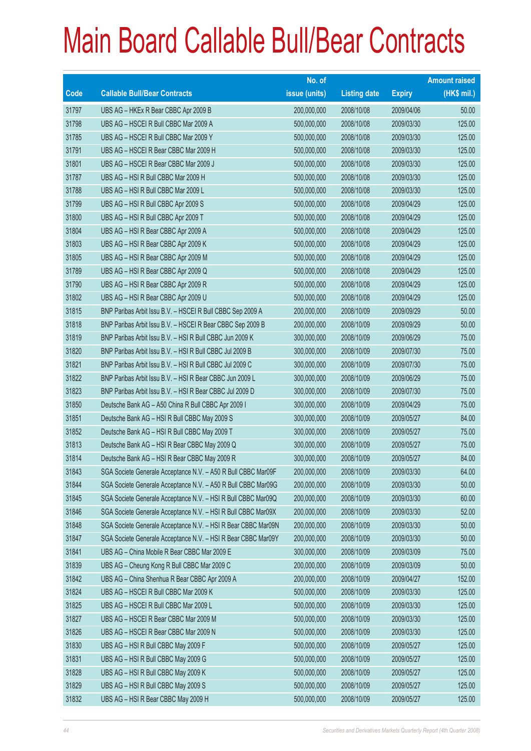|                          |                                                               | No. of        |                     |               | <b>Amount raised</b> |
|--------------------------|---------------------------------------------------------------|---------------|---------------------|---------------|----------------------|
| $\overline{\text{Code}}$ | <b>Callable Bull/Bear Contracts</b>                           | issue (units) | <b>Listing date</b> | <b>Expiry</b> | $(HK$$ mil.)         |
| 31797                    | UBS AG - HKEx R Bear CBBC Apr 2009 B                          | 200,000,000   | 2008/10/08          | 2009/04/06    | 50.00                |
| 31798                    | UBS AG - HSCEI R Bull CBBC Mar 2009 A                         | 500,000,000   | 2008/10/08          | 2009/03/30    | 125.00               |
| 31785                    | UBS AG - HSCEI R Bull CBBC Mar 2009 Y                         | 500,000,000   | 2008/10/08          | 2009/03/30    | 125.00               |
| 31791                    | UBS AG - HSCEI R Bear CBBC Mar 2009 H                         | 500,000,000   | 2008/10/08          | 2009/03/30    | 125.00               |
| 31801                    | UBS AG - HSCEI R Bear CBBC Mar 2009 J                         | 500,000,000   | 2008/10/08          | 2009/03/30    | 125.00               |
| 31787                    | UBS AG - HSI R Bull CBBC Mar 2009 H                           | 500,000,000   | 2008/10/08          | 2009/03/30    | 125.00               |
| 31788                    | UBS AG - HSI R Bull CBBC Mar 2009 L                           | 500,000,000   | 2008/10/08          | 2009/03/30    | 125.00               |
| 31799                    | UBS AG - HSI R Bull CBBC Apr 2009 S                           | 500,000,000   | 2008/10/08          | 2009/04/29    | 125.00               |
| 31800                    | UBS AG - HSI R Bull CBBC Apr 2009 T                           | 500,000,000   | 2008/10/08          | 2009/04/29    | 125.00               |
| 31804                    | UBS AG - HSI R Bear CBBC Apr 2009 A                           | 500,000,000   | 2008/10/08          | 2009/04/29    | 125.00               |
| 31803                    | UBS AG - HSI R Bear CBBC Apr 2009 K                           | 500,000,000   | 2008/10/08          | 2009/04/29    | 125.00               |
| 31805                    | UBS AG - HSI R Bear CBBC Apr 2009 M                           | 500,000,000   | 2008/10/08          | 2009/04/29    | 125.00               |
| 31789                    | UBS AG - HSI R Bear CBBC Apr 2009 Q                           | 500,000,000   | 2008/10/08          | 2009/04/29    | 125.00               |
| 31790                    | UBS AG - HSI R Bear CBBC Apr 2009 R                           | 500,000,000   | 2008/10/08          | 2009/04/29    | 125.00               |
| 31802                    | UBS AG - HSI R Bear CBBC Apr 2009 U                           | 500,000,000   | 2008/10/08          | 2009/04/29    | 125.00               |
| 31815                    | BNP Paribas Arbit Issu B.V. - HSCEI R Bull CBBC Sep 2009 A    | 200,000,000   | 2008/10/09          | 2009/09/29    | 50.00                |
| 31818                    | BNP Paribas Arbit Issu B.V. - HSCEI R Bear CBBC Sep 2009 B    | 200,000,000   | 2008/10/09          | 2009/09/29    | 50.00                |
| 31819                    | BNP Paribas Arbit Issu B.V. - HSI R Bull CBBC Jun 2009 K      | 300,000,000   | 2008/10/09          | 2009/06/29    | 75.00                |
| 31820                    | BNP Paribas Arbit Issu B.V. - HSI R Bull CBBC Jul 2009 B      | 300,000,000   | 2008/10/09          | 2009/07/30    | 75.00                |
| 31821                    | BNP Paribas Arbit Issu B.V. - HSI R Bull CBBC Jul 2009 C      | 300,000,000   | 2008/10/09          | 2009/07/30    | 75.00                |
| 31822                    | BNP Paribas Arbit Issu B.V. - HSI R Bear CBBC Jun 2009 L      | 300,000,000   | 2008/10/09          | 2009/06/29    | 75.00                |
| 31823                    | BNP Paribas Arbit Issu B.V. - HSI R Bear CBBC Jul 2009 D      | 300,000,000   | 2008/10/09          | 2009/07/30    | 75.00                |
| 31850                    | Deutsche Bank AG - A50 China R Bull CBBC Apr 2009 I           | 300,000,000   | 2008/10/09          | 2009/04/29    | 75.00                |
| 31851                    | Deutsche Bank AG - HSI R Bull CBBC May 2009 S                 | 300,000,000   | 2008/10/09          | 2009/05/27    | 84.00                |
| 31852                    | Deutsche Bank AG - HSI R Bull CBBC May 2009 T                 | 300,000,000   | 2008/10/09          | 2009/05/27    | 75.00                |
| 31813                    | Deutsche Bank AG - HSI R Bear CBBC May 2009 Q                 | 300,000,000   | 2008/10/09          | 2009/05/27    | 75.00                |
| 31814                    | Deutsche Bank AG - HSI R Bear CBBC May 2009 R                 | 300,000,000   | 2008/10/09          | 2009/05/27    | 84.00                |
| 31843                    | SGA Societe Generale Acceptance N.V. - A50 R Bull CBBC Mar09F | 200,000,000   | 2008/10/09          | 2009/03/30    | 64.00                |
| 31844                    | SGA Societe Generale Acceptance N.V. - A50 R Bull CBBC Mar09G | 200,000,000   | 2008/10/09          | 2009/03/30    | 50.00                |
| 31845                    | SGA Societe Generale Acceptance N.V. - HSI R Bull CBBC Mar09Q | 200,000,000   | 2008/10/09          | 2009/03/30    | 60.00                |
| 31846                    | SGA Societe Generale Acceptance N.V. - HSI R Bull CBBC Mar09X | 200,000,000   | 2008/10/09          | 2009/03/30    | 52.00                |
| 31848                    | SGA Societe Generale Acceptance N.V. - HSI R Bear CBBC Mar09N | 200,000,000   | 2008/10/09          | 2009/03/30    | 50.00                |
| 31847                    | SGA Societe Generale Acceptance N.V. - HSI R Bear CBBC Mar09Y | 200,000,000   | 2008/10/09          | 2009/03/30    | 50.00                |
| 31841                    | UBS AG - China Mobile R Bear CBBC Mar 2009 E                  | 300,000,000   | 2008/10/09          | 2009/03/09    | 75.00                |
| 31839                    | UBS AG - Cheung Kong R Bull CBBC Mar 2009 C                   | 200,000,000   | 2008/10/09          | 2009/03/09    | 50.00                |
| 31842                    | UBS AG - China Shenhua R Bear CBBC Apr 2009 A                 | 200,000,000   | 2008/10/09          | 2009/04/27    | 152.00               |
| 31824                    | UBS AG - HSCEI R Bull CBBC Mar 2009 K                         | 500,000,000   | 2008/10/09          | 2009/03/30    | 125.00               |
| 31825                    | UBS AG - HSCEI R Bull CBBC Mar 2009 L                         | 500,000,000   | 2008/10/09          | 2009/03/30    | 125.00               |
| 31827                    | UBS AG - HSCEI R Bear CBBC Mar 2009 M                         | 500,000,000   | 2008/10/09          | 2009/03/30    | 125.00               |
| 31826                    | UBS AG - HSCEI R Bear CBBC Mar 2009 N                         | 500,000,000   | 2008/10/09          | 2009/03/30    | 125.00               |
| 31830                    | UBS AG - HSI R Bull CBBC May 2009 F                           | 500,000,000   | 2008/10/09          | 2009/05/27    | 125.00               |
| 31831                    | UBS AG - HSI R Bull CBBC May 2009 G                           | 500,000,000   | 2008/10/09          | 2009/05/27    | 125.00               |
| 31828                    | UBS AG - HSI R Bull CBBC May 2009 K                           | 500,000,000   | 2008/10/09          | 2009/05/27    | 125.00               |
| 31829                    | UBS AG - HSI R Bull CBBC May 2009 S                           | 500,000,000   | 2008/10/09          | 2009/05/27    | 125.00               |
| 31832                    | UBS AG - HSI R Bear CBBC May 2009 H                           | 500,000,000   | 2008/10/09          | 2009/05/27    | 125.00               |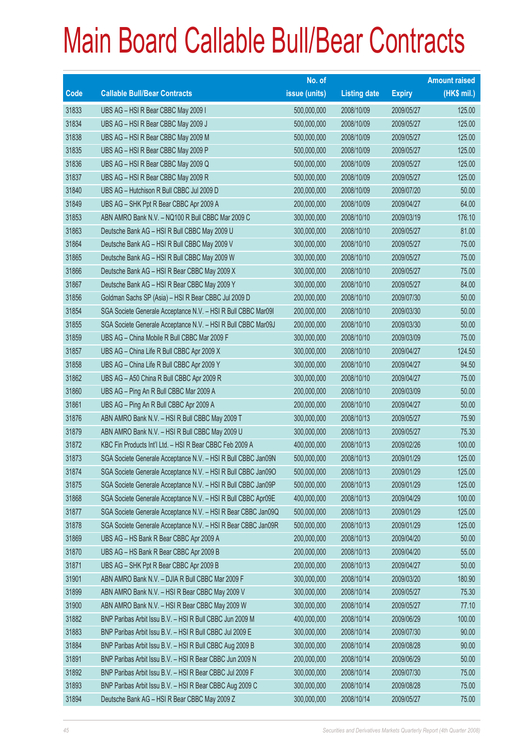|       |                                                               | No. of        |                     |               | <b>Amount raised</b> |
|-------|---------------------------------------------------------------|---------------|---------------------|---------------|----------------------|
| Code  | <b>Callable Bull/Bear Contracts</b>                           | issue (units) | <b>Listing date</b> | <b>Expiry</b> | (HK\$ mil.)          |
| 31833 | UBS AG - HSI R Bear CBBC May 2009 I                           | 500,000,000   | 2008/10/09          | 2009/05/27    | 125.00               |
| 31834 | UBS AG - HSI R Bear CBBC May 2009 J                           | 500,000,000   | 2008/10/09          | 2009/05/27    | 125.00               |
| 31838 | UBS AG - HSI R Bear CBBC May 2009 M                           | 500,000,000   | 2008/10/09          | 2009/05/27    | 125.00               |
| 31835 | UBS AG - HSI R Bear CBBC May 2009 P                           | 500,000,000   | 2008/10/09          | 2009/05/27    | 125.00               |
| 31836 | UBS AG - HSI R Bear CBBC May 2009 Q                           | 500,000,000   | 2008/10/09          | 2009/05/27    | 125.00               |
| 31837 | UBS AG - HSI R Bear CBBC May 2009 R                           | 500,000,000   | 2008/10/09          | 2009/05/27    | 125.00               |
| 31840 | UBS AG - Hutchison R Bull CBBC Jul 2009 D                     | 200,000,000   | 2008/10/09          | 2009/07/20    | 50.00                |
| 31849 | UBS AG - SHK Ppt R Bear CBBC Apr 2009 A                       | 200,000,000   | 2008/10/09          | 2009/04/27    | 64.00                |
| 31853 | ABN AMRO Bank N.V. - NQ100 R Bull CBBC Mar 2009 C             | 300,000,000   | 2008/10/10          | 2009/03/19    | 176.10               |
| 31863 | Deutsche Bank AG - HSI R Bull CBBC May 2009 U                 | 300,000,000   | 2008/10/10          | 2009/05/27    | 81.00                |
| 31864 | Deutsche Bank AG - HSI R Bull CBBC May 2009 V                 | 300,000,000   | 2008/10/10          | 2009/05/27    | 75.00                |
| 31865 | Deutsche Bank AG - HSI R Bull CBBC May 2009 W                 | 300,000,000   | 2008/10/10          | 2009/05/27    | 75.00                |
| 31866 | Deutsche Bank AG - HSI R Bear CBBC May 2009 X                 | 300,000,000   | 2008/10/10          | 2009/05/27    | 75.00                |
| 31867 | Deutsche Bank AG - HSI R Bear CBBC May 2009 Y                 | 300,000,000   | 2008/10/10          | 2009/05/27    | 84.00                |
| 31856 | Goldman Sachs SP (Asia) - HSI R Bear CBBC Jul 2009 D          | 200,000,000   | 2008/10/10          | 2009/07/30    | 50.00                |
| 31854 | SGA Societe Generale Acceptance N.V. - HSI R Bull CBBC Mar091 | 200,000,000   | 2008/10/10          | 2009/03/30    | 50.00                |
| 31855 | SGA Societe Generale Acceptance N.V. - HSI R Bull CBBC Mar09J | 200,000,000   | 2008/10/10          | 2009/03/30    | 50.00                |
| 31859 | UBS AG - China Mobile R Bull CBBC Mar 2009 F                  | 300,000,000   | 2008/10/10          | 2009/03/09    | 75.00                |
| 31857 | UBS AG - China Life R Bull CBBC Apr 2009 X                    | 300,000,000   | 2008/10/10          | 2009/04/27    | 124.50               |
| 31858 | UBS AG - China Life R Bull CBBC Apr 2009 Y                    | 300,000,000   | 2008/10/10          | 2009/04/27    | 94.50                |
| 31862 | UBS AG - A50 China R Bull CBBC Apr 2009 R                     | 300,000,000   | 2008/10/10          | 2009/04/27    | 75.00                |
| 31860 | UBS AG - Ping An R Bull CBBC Mar 2009 A                       | 200,000,000   | 2008/10/10          | 2009/03/09    | 50.00                |
| 31861 | UBS AG - Ping An R Bull CBBC Apr 2009 A                       | 200,000,000   | 2008/10/10          | 2009/04/27    | 50.00                |
| 31876 | ABN AMRO Bank N.V. - HSI R Bull CBBC May 2009 T               | 300,000,000   | 2008/10/13          | 2009/05/27    | 75.90                |
| 31879 | ABN AMRO Bank N.V. - HSI R Bull CBBC May 2009 U               | 300,000,000   | 2008/10/13          | 2009/05/27    | 75.30                |
| 31872 | KBC Fin Products Int'l Ltd. - HSI R Bear CBBC Feb 2009 A      | 400,000,000   | 2008/10/13          | 2009/02/26    | 100.00               |
| 31873 | SGA Societe Generale Acceptance N.V. - HSI R Bull CBBC Jan09N | 500,000,000   | 2008/10/13          | 2009/01/29    | 125.00               |
| 31874 | SGA Societe Generale Acceptance N.V. - HSI R Bull CBBC Jan090 | 500,000,000   | 2008/10/13          | 2009/01/29    | 125.00               |
| 31875 | SGA Societe Generale Acceptance N.V. - HSI R Bull CBBC Jan09P | 500,000,000   | 2008/10/13          | 2009/01/29    | 125.00               |
| 31868 | SGA Societe Generale Acceptance N.V. - HSI R Bull CBBC Apr09E | 400,000,000   | 2008/10/13          | 2009/04/29    | 100.00               |
| 31877 | SGA Societe Generale Acceptance N.V. - HSI R Bear CBBC Jan09Q | 500,000,000   | 2008/10/13          | 2009/01/29    | 125.00               |
| 31878 | SGA Societe Generale Acceptance N.V. - HSI R Bear CBBC Jan09R | 500,000,000   | 2008/10/13          | 2009/01/29    | 125.00               |
| 31869 | UBS AG - HS Bank R Bear CBBC Apr 2009 A                       | 200,000,000   | 2008/10/13          | 2009/04/20    | 50.00                |
| 31870 | UBS AG - HS Bank R Bear CBBC Apr 2009 B                       | 200,000,000   | 2008/10/13          | 2009/04/20    | 55.00                |
| 31871 | UBS AG - SHK Ppt R Bear CBBC Apr 2009 B                       | 200,000,000   | 2008/10/13          | 2009/04/27    | 50.00                |
| 31901 | ABN AMRO Bank N.V. - DJIA R Bull CBBC Mar 2009 F              | 300,000,000   | 2008/10/14          | 2009/03/20    | 180.90               |
| 31899 | ABN AMRO Bank N.V. - HSI R Bear CBBC May 2009 V               | 300,000,000   | 2008/10/14          | 2009/05/27    | 75.30                |
| 31900 | ABN AMRO Bank N.V. - HSI R Bear CBBC May 2009 W               | 300,000,000   | 2008/10/14          | 2009/05/27    | 77.10                |
| 31882 | BNP Paribas Arbit Issu B.V. - HSI R Bull CBBC Jun 2009 M      | 400,000,000   | 2008/10/14          | 2009/06/29    | 100.00               |
| 31883 | BNP Paribas Arbit Issu B.V. - HSI R Bull CBBC Jul 2009 E      | 300,000,000   | 2008/10/14          | 2009/07/30    | 90.00                |
| 31884 | BNP Paribas Arbit Issu B.V. - HSI R Bull CBBC Aug 2009 B      | 300,000,000   | 2008/10/14          | 2009/08/28    | 90.00                |
| 31891 | BNP Paribas Arbit Issu B.V. - HSI R Bear CBBC Jun 2009 N      | 200,000,000   | 2008/10/14          | 2009/06/29    | 50.00                |
| 31892 | BNP Paribas Arbit Issu B.V. - HSI R Bear CBBC Jul 2009 F      | 300,000,000   | 2008/10/14          | 2009/07/30    | 75.00                |
| 31893 | BNP Paribas Arbit Issu B.V. - HSI R Bear CBBC Aug 2009 C      | 300,000,000   | 2008/10/14          | 2009/08/28    | 75.00                |
| 31894 | Deutsche Bank AG - HSI R Bear CBBC May 2009 Z                 | 300,000,000   | 2008/10/14          | 2009/05/27    | 75.00                |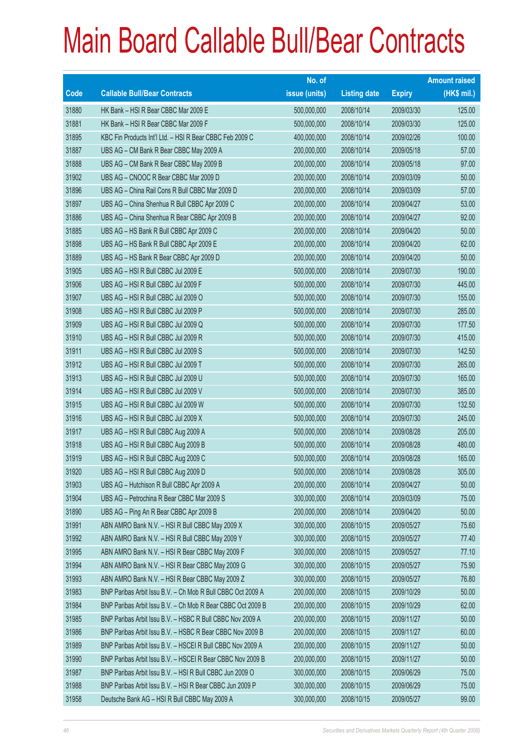|       |                                                             | No. of        |                     |               | <b>Amount raised</b> |
|-------|-------------------------------------------------------------|---------------|---------------------|---------------|----------------------|
| Code  | <b>Callable Bull/Bear Contracts</b>                         | issue (units) | <b>Listing date</b> | <b>Expiry</b> | (HK\$ mil.)          |
| 31880 | HK Bank - HSI R Bear CBBC Mar 2009 E                        | 500,000,000   | 2008/10/14          | 2009/03/30    | 125.00               |
| 31881 | HK Bank - HSI R Bear CBBC Mar 2009 F                        | 500,000,000   | 2008/10/14          | 2009/03/30    | 125.00               |
| 31895 | KBC Fin Products Int'l Ltd. - HSI R Bear CBBC Feb 2009 C    | 400,000,000   | 2008/10/14          | 2009/02/26    | 100.00               |
| 31887 | UBS AG - CM Bank R Bear CBBC May 2009 A                     | 200,000,000   | 2008/10/14          | 2009/05/18    | 57.00                |
| 31888 | UBS AG - CM Bank R Bear CBBC May 2009 B                     | 200,000,000   | 2008/10/14          | 2009/05/18    | 97.00                |
| 31902 | UBS AG - CNOOC R Bear CBBC Mar 2009 D                       | 200,000,000   | 2008/10/14          | 2009/03/09    | 50.00                |
| 31896 | UBS AG - China Rail Cons R Bull CBBC Mar 2009 D             | 200,000,000   | 2008/10/14          | 2009/03/09    | 57.00                |
| 31897 | UBS AG - China Shenhua R Bull CBBC Apr 2009 C               | 200,000,000   | 2008/10/14          | 2009/04/27    | 53.00                |
| 31886 | UBS AG - China Shenhua R Bear CBBC Apr 2009 B               | 200,000,000   | 2008/10/14          | 2009/04/27    | 92.00                |
| 31885 | UBS AG - HS Bank R Bull CBBC Apr 2009 C                     | 200,000,000   | 2008/10/14          | 2009/04/20    | 50.00                |
| 31898 | UBS AG - HS Bank R Bull CBBC Apr 2009 E                     | 200,000,000   | 2008/10/14          | 2009/04/20    | 62.00                |
| 31889 | UBS AG - HS Bank R Bear CBBC Apr 2009 D                     | 200,000,000   | 2008/10/14          | 2009/04/20    | 50.00                |
| 31905 | UBS AG - HSI R Bull CBBC Jul 2009 E                         | 500,000,000   | 2008/10/14          | 2009/07/30    | 190.00               |
| 31906 | UBS AG - HSI R Bull CBBC Jul 2009 F                         | 500,000,000   | 2008/10/14          | 2009/07/30    | 445.00               |
| 31907 | UBS AG - HSI R Bull CBBC Jul 2009 O                         | 500,000,000   | 2008/10/14          | 2009/07/30    | 155.00               |
| 31908 | UBS AG - HSI R Bull CBBC Jul 2009 P                         | 500,000,000   | 2008/10/14          | 2009/07/30    | 285.00               |
| 31909 | UBS AG - HSI R Bull CBBC Jul 2009 Q                         | 500,000,000   | 2008/10/14          | 2009/07/30    | 177.50               |
| 31910 | UBS AG - HSI R Bull CBBC Jul 2009 R                         | 500,000,000   | 2008/10/14          | 2009/07/30    | 415.00               |
| 31911 | UBS AG - HSI R Bull CBBC Jul 2009 S                         | 500,000,000   | 2008/10/14          | 2009/07/30    | 142.50               |
| 31912 | UBS AG - HSI R Bull CBBC Jul 2009 T                         | 500,000,000   | 2008/10/14          | 2009/07/30    | 265.00               |
| 31913 | UBS AG - HSI R Bull CBBC Jul 2009 U                         | 500,000,000   | 2008/10/14          | 2009/07/30    | 165.00               |
| 31914 | UBS AG - HSI R Bull CBBC Jul 2009 V                         | 500,000,000   | 2008/10/14          | 2009/07/30    | 385.00               |
| 31915 | UBS AG - HSI R Bull CBBC Jul 2009 W                         | 500,000,000   | 2008/10/14          | 2009/07/30    | 132.50               |
| 31916 | UBS AG - HSI R Bull CBBC Jul 2009 X                         | 500,000,000   | 2008/10/14          | 2009/07/30    | 245.00               |
| 31917 | UBS AG - HSI R Bull CBBC Aug 2009 A                         | 500,000,000   | 2008/10/14          | 2009/08/28    | 205.00               |
| 31918 | UBS AG - HSI R Bull CBBC Aug 2009 B                         | 500,000,000   | 2008/10/14          | 2009/08/28    | 480.00               |
| 31919 | UBS AG - HSI R Bull CBBC Aug 2009 C                         | 500,000,000   | 2008/10/14          | 2009/08/28    | 165.00               |
| 31920 | UBS AG - HSI R Bull CBBC Aug 2009 D                         | 500,000,000   | 2008/10/14          | 2009/08/28    | 305.00               |
| 31903 | UBS AG - Hutchison R Bull CBBC Apr 2009 A                   | 200,000,000   | 2008/10/14          | 2009/04/27    | 50.00                |
| 31904 | UBS AG - Petrochina R Bear CBBC Mar 2009 S                  | 300,000,000   | 2008/10/14          | 2009/03/09    | 75.00                |
| 31890 | UBS AG - Ping An R Bear CBBC Apr 2009 B                     | 200,000,000   | 2008/10/14          | 2009/04/20    | 50.00                |
| 31991 | ABN AMRO Bank N.V. - HSI R Bull CBBC May 2009 X             | 300,000,000   | 2008/10/15          | 2009/05/27    | 75.60                |
| 31992 | ABN AMRO Bank N.V. - HSI R Bull CBBC May 2009 Y             | 300,000,000   | 2008/10/15          | 2009/05/27    | 77.40                |
| 31995 | ABN AMRO Bank N.V. - HSI R Bear CBBC May 2009 F             | 300,000,000   | 2008/10/15          | 2009/05/27    | 77.10                |
| 31994 | ABN AMRO Bank N.V. - HSI R Bear CBBC May 2009 G             | 300,000,000   | 2008/10/15          | 2009/05/27    | 75.90                |
| 31993 | ABN AMRO Bank N.V. - HSI R Bear CBBC May 2009 Z             | 300,000,000   | 2008/10/15          | 2009/05/27    | 76.80                |
| 31983 | BNP Paribas Arbit Issu B.V. - Ch Mob R Bull CBBC Oct 2009 A | 200,000,000   | 2008/10/15          | 2009/10/29    | 50.00                |
| 31984 | BNP Paribas Arbit Issu B.V. - Ch Mob R Bear CBBC Oct 2009 B | 200,000,000   | 2008/10/15          | 2009/10/29    | 62.00                |
| 31985 | BNP Paribas Arbit Issu B.V. - HSBC R Bull CBBC Nov 2009 A   | 200,000,000   | 2008/10/15          | 2009/11/27    | 50.00                |
| 31986 | BNP Paribas Arbit Issu B.V. - HSBC R Bear CBBC Nov 2009 B   | 200,000,000   | 2008/10/15          | 2009/11/27    | 60.00                |
| 31989 | BNP Paribas Arbit Issu B.V. - HSCEI R Bull CBBC Nov 2009 A  | 200,000,000   | 2008/10/15          | 2009/11/27    | 50.00                |
| 31990 | BNP Paribas Arbit Issu B.V. - HSCEI R Bear CBBC Nov 2009 B  | 200,000,000   | 2008/10/15          | 2009/11/27    | 50.00                |
| 31987 | BNP Paribas Arbit Issu B.V. - HSI R Bull CBBC Jun 2009 O    | 300,000,000   | 2008/10/15          | 2009/06/29    | 75.00                |
| 31988 | BNP Paribas Arbit Issu B.V. - HSI R Bear CBBC Jun 2009 P    | 300,000,000   | 2008/10/15          | 2009/06/29    | 75.00                |
| 31958 | Deutsche Bank AG - HSI R Bull CBBC May 2009 A               | 300,000,000   | 2008/10/15          | 2009/05/27    | 99.00                |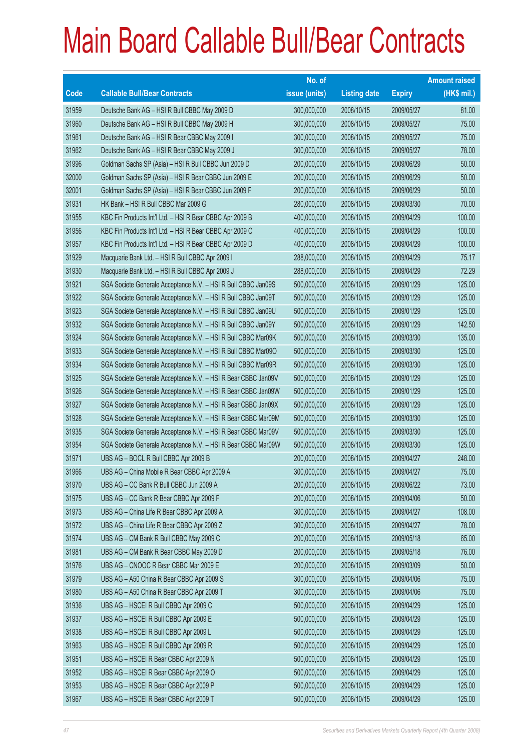|       |                                                               | No. of        |                     |               | <b>Amount raised</b> |
|-------|---------------------------------------------------------------|---------------|---------------------|---------------|----------------------|
| Code  | <b>Callable Bull/Bear Contracts</b>                           | issue (units) | <b>Listing date</b> | <b>Expiry</b> | (HK\$ mil.)          |
| 31959 | Deutsche Bank AG - HSI R Bull CBBC May 2009 D                 | 300,000,000   | 2008/10/15          | 2009/05/27    | 81.00                |
| 31960 | Deutsche Bank AG - HSI R Bull CBBC May 2009 H                 | 300,000,000   | 2008/10/15          | 2009/05/27    | 75.00                |
| 31961 | Deutsche Bank AG - HSI R Bear CBBC May 2009 I                 | 300,000,000   | 2008/10/15          | 2009/05/27    | 75.00                |
| 31962 | Deutsche Bank AG - HSI R Bear CBBC May 2009 J                 | 300,000,000   | 2008/10/15          | 2009/05/27    | 78.00                |
| 31996 | Goldman Sachs SP (Asia) - HSI R Bull CBBC Jun 2009 D          | 200,000,000   | 2008/10/15          | 2009/06/29    | 50.00                |
| 32000 | Goldman Sachs SP (Asia) - HSI R Bear CBBC Jun 2009 E          | 200,000,000   | 2008/10/15          | 2009/06/29    | 50.00                |
| 32001 | Goldman Sachs SP (Asia) - HSI R Bear CBBC Jun 2009 F          | 200,000,000   | 2008/10/15          | 2009/06/29    | 50.00                |
| 31931 | HK Bank - HSI R Bull CBBC Mar 2009 G                          | 280,000,000   | 2008/10/15          | 2009/03/30    | 70.00                |
| 31955 | KBC Fin Products Int'l Ltd. - HSI R Bear CBBC Apr 2009 B      | 400,000,000   | 2008/10/15          | 2009/04/29    | 100.00               |
| 31956 | KBC Fin Products Int'l Ltd. - HSI R Bear CBBC Apr 2009 C      | 400,000,000   | 2008/10/15          | 2009/04/29    | 100.00               |
| 31957 | KBC Fin Products Int'l Ltd. - HSI R Bear CBBC Apr 2009 D      | 400,000,000   | 2008/10/15          | 2009/04/29    | 100.00               |
| 31929 | Macquarie Bank Ltd. - HSI R Bull CBBC Apr 2009 I              | 288,000,000   | 2008/10/15          | 2009/04/29    | 75.17                |
| 31930 | Macquarie Bank Ltd. - HSI R Bull CBBC Apr 2009 J              | 288,000,000   | 2008/10/15          | 2009/04/29    | 72.29                |
| 31921 | SGA Societe Generale Acceptance N.V. - HSI R Bull CBBC Jan09S | 500,000,000   | 2008/10/15          | 2009/01/29    | 125.00               |
| 31922 | SGA Societe Generale Acceptance N.V. - HSI R Bull CBBC Jan09T | 500,000,000   | 2008/10/15          | 2009/01/29    | 125.00               |
| 31923 | SGA Societe Generale Acceptance N.V. - HSI R Bull CBBC Jan09U | 500,000,000   | 2008/10/15          | 2009/01/29    | 125.00               |
| 31932 | SGA Societe Generale Acceptance N.V. - HSI R Bull CBBC Jan09Y | 500,000,000   | 2008/10/15          | 2009/01/29    | 142.50               |
| 31924 | SGA Societe Generale Acceptance N.V. - HSI R Bull CBBC Mar09K | 500,000,000   | 2008/10/15          | 2009/03/30    | 135.00               |
| 31933 | SGA Societe Generale Acceptance N.V. - HSI R Bull CBBC Mar090 | 500,000,000   | 2008/10/15          | 2009/03/30    | 125.00               |
| 31934 | SGA Societe Generale Acceptance N.V. - HSI R Bull CBBC Mar09R | 500,000,000   | 2008/10/15          | 2009/03/30    | 125.00               |
| 31925 | SGA Societe Generale Acceptance N.V. - HSI R Bear CBBC Jan09V | 500,000,000   | 2008/10/15          | 2009/01/29    | 125.00               |
| 31926 | SGA Societe Generale Acceptance N.V. - HSI R Bear CBBC Jan09W | 500,000,000   | 2008/10/15          | 2009/01/29    | 125.00               |
| 31927 | SGA Societe Generale Acceptance N.V. - HSI R Bear CBBC Jan09X | 500,000,000   | 2008/10/15          | 2009/01/29    | 125.00               |
| 31928 | SGA Societe Generale Acceptance N.V. - HSI R Bear CBBC Mar09M | 500,000,000   | 2008/10/15          | 2009/03/30    | 125.00               |
| 31935 | SGA Societe Generale Acceptance N.V. - HSI R Bear CBBC Mar09V | 500,000,000   | 2008/10/15          | 2009/03/30    | 125.00               |
| 31954 | SGA Societe Generale Acceptance N.V. - HSI R Bear CBBC Mar09W | 500,000,000   | 2008/10/15          | 2009/03/30    | 125.00               |
| 31971 | UBS AG - BOCL R Bull CBBC Apr 2009 B                          | 200,000,000   | 2008/10/15          | 2009/04/27    | 248.00               |
| 31966 | UBS AG - China Mobile R Bear CBBC Apr 2009 A                  | 300,000,000   | 2008/10/15          | 2009/04/27    | 75.00                |
| 31970 | UBS AG - CC Bank R Bull CBBC Jun 2009 A                       | 200,000,000   | 2008/10/15          | 2009/06/22    | 73.00                |
| 31975 | UBS AG - CC Bank R Bear CBBC Apr 2009 F                       | 200,000,000   | 2008/10/15          | 2009/04/06    | 50.00                |
| 31973 | UBS AG - China Life R Bear CBBC Apr 2009 A                    | 300,000,000   | 2008/10/15          | 2009/04/27    | 108.00               |
| 31972 | UBS AG - China Life R Bear CBBC Apr 2009 Z                    | 300,000,000   | 2008/10/15          | 2009/04/27    | 78.00                |
| 31974 | UBS AG - CM Bank R Bull CBBC May 2009 C                       | 200,000,000   | 2008/10/15          | 2009/05/18    | 65.00                |
| 31981 | UBS AG - CM Bank R Bear CBBC May 2009 D                       | 200,000,000   | 2008/10/15          | 2009/05/18    | 76.00                |
| 31976 | UBS AG - CNOOC R Bear CBBC Mar 2009 E                         | 200,000,000   | 2008/10/15          | 2009/03/09    | 50.00                |
| 31979 | UBS AG - A50 China R Bear CBBC Apr 2009 S                     | 300,000,000   | 2008/10/15          | 2009/04/06    | 75.00                |
| 31980 | UBS AG - A50 China R Bear CBBC Apr 2009 T                     | 300,000,000   | 2008/10/15          | 2009/04/06    | 75.00                |
| 31936 | UBS AG - HSCEI R Bull CBBC Apr 2009 C                         | 500,000,000   | 2008/10/15          | 2009/04/29    | 125.00               |
| 31937 | UBS AG - HSCEI R Bull CBBC Apr 2009 E                         | 500,000,000   | 2008/10/15          | 2009/04/29    | 125.00               |
| 31938 | UBS AG - HSCEI R Bull CBBC Apr 2009 L                         | 500,000,000   | 2008/10/15          | 2009/04/29    | 125.00               |
| 31963 | UBS AG - HSCEI R Bull CBBC Apr 2009 R                         | 500,000,000   | 2008/10/15          | 2009/04/29    | 125.00               |
| 31951 | UBS AG - HSCEI R Bear CBBC Apr 2009 N                         | 500,000,000   | 2008/10/15          | 2009/04/29    | 125.00               |
| 31952 | UBS AG - HSCEI R Bear CBBC Apr 2009 O                         | 500,000,000   | 2008/10/15          | 2009/04/29    | 125.00               |
| 31953 | UBS AG - HSCEI R Bear CBBC Apr 2009 P                         | 500,000,000   | 2008/10/15          | 2009/04/29    | 125.00               |
| 31967 | UBS AG - HSCEI R Bear CBBC Apr 2009 T                         | 500,000,000   | 2008/10/15          | 2009/04/29    | 125.00               |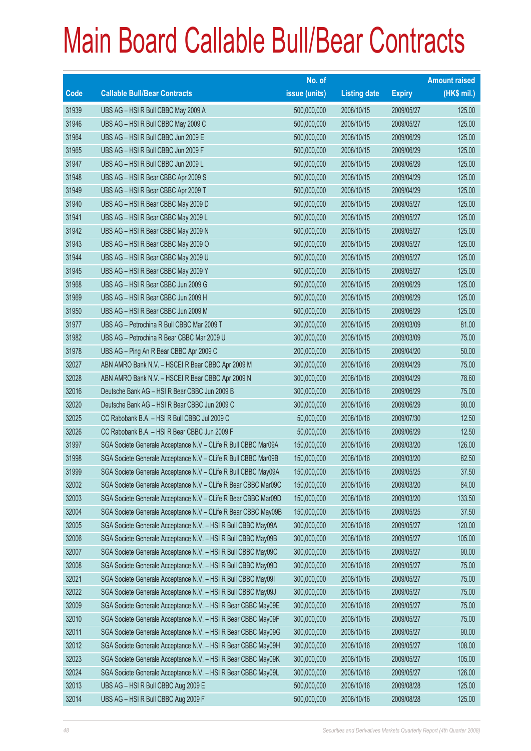|       |                                                                | No. of        |                     |               | <b>Amount raised</b> |
|-------|----------------------------------------------------------------|---------------|---------------------|---------------|----------------------|
| Code  | <b>Callable Bull/Bear Contracts</b>                            | issue (units) | <b>Listing date</b> | <b>Expiry</b> | $(HK$$ mil.)         |
| 31939 | UBS AG - HSI R Bull CBBC May 2009 A                            | 500,000,000   | 2008/10/15          | 2009/05/27    | 125.00               |
| 31946 | UBS AG - HSI R Bull CBBC May 2009 C                            | 500,000,000   | 2008/10/15          | 2009/05/27    | 125.00               |
| 31964 | UBS AG - HSI R Bull CBBC Jun 2009 E                            | 500,000,000   | 2008/10/15          | 2009/06/29    | 125.00               |
| 31965 | UBS AG - HSI R Bull CBBC Jun 2009 F                            | 500,000,000   | 2008/10/15          | 2009/06/29    | 125.00               |
| 31947 | UBS AG - HSI R Bull CBBC Jun 2009 L                            | 500,000,000   | 2008/10/15          | 2009/06/29    | 125.00               |
| 31948 | UBS AG - HSI R Bear CBBC Apr 2009 S                            | 500,000,000   | 2008/10/15          | 2009/04/29    | 125.00               |
| 31949 | UBS AG - HSI R Bear CBBC Apr 2009 T                            | 500,000,000   | 2008/10/15          | 2009/04/29    | 125.00               |
| 31940 | UBS AG - HSI R Bear CBBC May 2009 D                            | 500,000,000   | 2008/10/15          | 2009/05/27    | 125.00               |
| 31941 | UBS AG - HSI R Bear CBBC May 2009 L                            | 500,000,000   | 2008/10/15          | 2009/05/27    | 125.00               |
| 31942 | UBS AG - HSI R Bear CBBC May 2009 N                            | 500,000,000   | 2008/10/15          | 2009/05/27    | 125.00               |
| 31943 | UBS AG - HSI R Bear CBBC May 2009 O                            | 500,000,000   | 2008/10/15          | 2009/05/27    | 125.00               |
| 31944 | UBS AG - HSI R Bear CBBC May 2009 U                            | 500,000,000   | 2008/10/15          | 2009/05/27    | 125.00               |
| 31945 | UBS AG - HSI R Bear CBBC May 2009 Y                            | 500,000,000   | 2008/10/15          | 2009/05/27    | 125.00               |
| 31968 | UBS AG - HSI R Bear CBBC Jun 2009 G                            | 500,000,000   | 2008/10/15          | 2009/06/29    | 125.00               |
| 31969 | UBS AG - HSI R Bear CBBC Jun 2009 H                            | 500,000,000   | 2008/10/15          | 2009/06/29    | 125.00               |
| 31950 | UBS AG - HSI R Bear CBBC Jun 2009 M                            | 500,000,000   | 2008/10/15          | 2009/06/29    | 125.00               |
| 31977 | UBS AG - Petrochina R Bull CBBC Mar 2009 T                     | 300,000,000   | 2008/10/15          | 2009/03/09    | 81.00                |
| 31982 | UBS AG - Petrochina R Bear CBBC Mar 2009 U                     | 300,000,000   | 2008/10/15          | 2009/03/09    | 75.00                |
| 31978 | UBS AG - Ping An R Bear CBBC Apr 2009 C                        | 200,000,000   | 2008/10/15          | 2009/04/20    | 50.00                |
| 32027 | ABN AMRO Bank N.V. - HSCEI R Bear CBBC Apr 2009 M              | 300,000,000   | 2008/10/16          | 2009/04/29    | 75.00                |
| 32028 | ABN AMRO Bank N.V. - HSCEI R Bear CBBC Apr 2009 N              | 300,000,000   | 2008/10/16          | 2009/04/29    | 78.60                |
| 32016 | Deutsche Bank AG - HSI R Bear CBBC Jun 2009 B                  | 300,000,000   | 2008/10/16          | 2009/06/29    | 75.00                |
| 32020 | Deutsche Bank AG - HSI R Bear CBBC Jun 2009 C                  | 300,000,000   | 2008/10/16          | 2009/06/29    | 90.00                |
| 32025 | CC Rabobank B.A. - HSI R Bull CBBC Jul 2009 C                  | 50,000,000    | 2008/10/16          | 2009/07/30    | 12.50                |
| 32026 | CC Rabobank B.A. - HSI R Bear CBBC Jun 2009 F                  | 50,000,000    | 2008/10/16          | 2009/06/29    | 12.50                |
| 31997 | SGA Societe Generale Acceptance N.V - CLife R Bull CBBC Mar09A | 150,000,000   | 2008/10/16          | 2009/03/20    | 126.00               |
| 31998 | SGA Societe Generale Acceptance N.V - CLife R Bull CBBC Mar09B | 150,000,000   | 2008/10/16          | 2009/03/20    | 82.50                |
| 31999 | SGA Societe Generale Acceptance N.V - CLife R Bull CBBC May09A | 150,000,000   | 2008/10/16          | 2009/05/25    | 37.50                |
| 32002 | SGA Societe Generale Acceptance N.V - CLife R Bear CBBC Mar09C | 150,000,000   | 2008/10/16          | 2009/03/20    | 84.00                |
| 32003 | SGA Societe Generale Acceptance N.V - CLife R Bear CBBC Mar09D | 150,000,000   | 2008/10/16          | 2009/03/20    | 133.50               |
| 32004 | SGA Societe Generale Acceptance N.V - CLife R Bear CBBC May09B | 150,000,000   | 2008/10/16          | 2009/05/25    | 37.50                |
| 32005 | SGA Societe Generale Acceptance N.V. - HSI R Bull CBBC May09A  | 300,000,000   | 2008/10/16          | 2009/05/27    | 120.00               |
| 32006 | SGA Societe Generale Acceptance N.V. - HSI R Bull CBBC May09B  | 300,000,000   | 2008/10/16          | 2009/05/27    | 105.00               |
| 32007 | SGA Societe Generale Acceptance N.V. - HSI R Bull CBBC May09C  | 300,000,000   | 2008/10/16          | 2009/05/27    | 90.00                |
| 32008 | SGA Societe Generale Acceptance N.V. - HSI R Bull CBBC May09D  | 300,000,000   | 2008/10/16          | 2009/05/27    | 75.00                |
| 32021 | SGA Societe Generale Acceptance N.V. - HSI R Bull CBBC May09I  | 300,000,000   | 2008/10/16          | 2009/05/27    | 75.00                |
| 32022 | SGA Societe Generale Acceptance N.V. - HSI R Bull CBBC May09J  | 300,000,000   | 2008/10/16          | 2009/05/27    | 75.00                |
| 32009 | SGA Societe Generale Acceptance N.V. - HSI R Bear CBBC May09E  | 300,000,000   | 2008/10/16          | 2009/05/27    | 75.00                |
| 32010 | SGA Societe Generale Acceptance N.V. - HSI R Bear CBBC May09F  | 300,000,000   | 2008/10/16          | 2009/05/27    | 75.00                |
| 32011 | SGA Societe Generale Acceptance N.V. - HSI R Bear CBBC May09G  | 300,000,000   | 2008/10/16          | 2009/05/27    | 90.00                |
| 32012 | SGA Societe Generale Acceptance N.V. - HSI R Bear CBBC May09H  | 300,000,000   | 2008/10/16          | 2009/05/27    | 108.00               |
| 32023 | SGA Societe Generale Acceptance N.V. - HSI R Bear CBBC May09K  | 300,000,000   | 2008/10/16          | 2009/05/27    | 105.00               |
| 32024 | SGA Societe Generale Acceptance N.V. - HSI R Bear CBBC May09L  | 300,000,000   | 2008/10/16          | 2009/05/27    | 126.00               |
| 32013 | UBS AG - HSI R Bull CBBC Aug 2009 E                            | 500,000,000   | 2008/10/16          | 2009/08/28    | 125.00               |
| 32014 | UBS AG - HSI R Bull CBBC Aug 2009 F                            | 500,000,000   | 2008/10/16          | 2009/08/28    | 125.00               |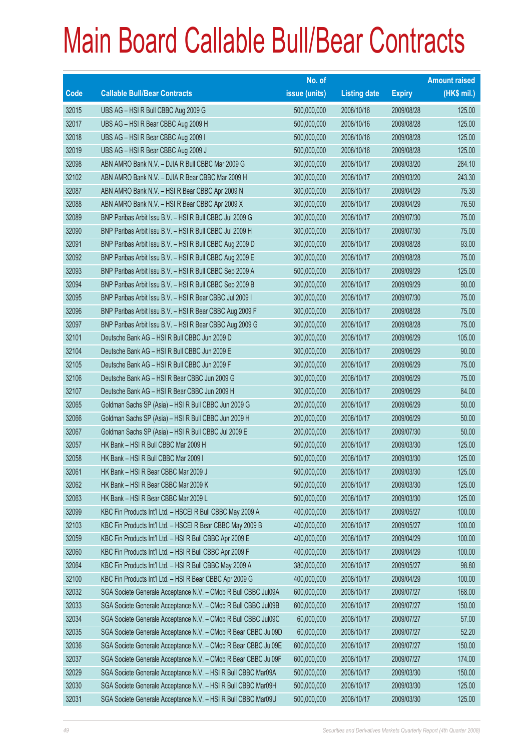|       |                                                                | No. of        |                     |               | <b>Amount raised</b> |
|-------|----------------------------------------------------------------|---------------|---------------------|---------------|----------------------|
| Code  | <b>Callable Bull/Bear Contracts</b>                            | issue (units) | <b>Listing date</b> | <b>Expiry</b> | (HK\$ mil.)          |
| 32015 | UBS AG - HSI R Bull CBBC Aug 2009 G                            | 500,000,000   | 2008/10/16          | 2009/08/28    | 125.00               |
| 32017 | UBS AG - HSI R Bear CBBC Aug 2009 H                            | 500,000,000   | 2008/10/16          | 2009/08/28    | 125.00               |
| 32018 | UBS AG - HSI R Bear CBBC Aug 2009 I                            | 500,000,000   | 2008/10/16          | 2009/08/28    | 125.00               |
| 32019 | UBS AG - HSI R Bear CBBC Aug 2009 J                            | 500,000,000   | 2008/10/16          | 2009/08/28    | 125.00               |
| 32098 | ABN AMRO Bank N.V. - DJIA R Bull CBBC Mar 2009 G               | 300,000,000   | 2008/10/17          | 2009/03/20    | 284.10               |
| 32102 | ABN AMRO Bank N.V. - DJIA R Bear CBBC Mar 2009 H               | 300,000,000   | 2008/10/17          | 2009/03/20    | 243.30               |
| 32087 | ABN AMRO Bank N.V. - HSI R Bear CBBC Apr 2009 N                | 300,000,000   | 2008/10/17          | 2009/04/29    | 75.30                |
| 32088 | ABN AMRO Bank N.V. - HSI R Bear CBBC Apr 2009 X                | 300,000,000   | 2008/10/17          | 2009/04/29    | 76.50                |
| 32089 | BNP Paribas Arbit Issu B.V. - HSI R Bull CBBC Jul 2009 G       | 300,000,000   | 2008/10/17          | 2009/07/30    | 75.00                |
| 32090 | BNP Paribas Arbit Issu B.V. - HSI R Bull CBBC Jul 2009 H       | 300,000,000   | 2008/10/17          | 2009/07/30    | 75.00                |
| 32091 | BNP Paribas Arbit Issu B.V. - HSI R Bull CBBC Aug 2009 D       | 300,000,000   | 2008/10/17          | 2009/08/28    | 93.00                |
| 32092 | BNP Paribas Arbit Issu B.V. - HSI R Bull CBBC Aug 2009 E       | 300,000,000   | 2008/10/17          | 2009/08/28    | 75.00                |
| 32093 | BNP Paribas Arbit Issu B.V. - HSI R Bull CBBC Sep 2009 A       | 500,000,000   | 2008/10/17          | 2009/09/29    | 125.00               |
| 32094 | BNP Paribas Arbit Issu B.V. - HSI R Bull CBBC Sep 2009 B       | 300,000,000   | 2008/10/17          | 2009/09/29    | 90.00                |
| 32095 | BNP Paribas Arbit Issu B.V. - HSI R Bear CBBC Jul 2009 I       | 300,000,000   | 2008/10/17          | 2009/07/30    | 75.00                |
| 32096 | BNP Paribas Arbit Issu B.V. - HSI R Bear CBBC Aug 2009 F       | 300,000,000   | 2008/10/17          | 2009/08/28    | 75.00                |
| 32097 | BNP Paribas Arbit Issu B.V. - HSI R Bear CBBC Aug 2009 G       | 300,000,000   | 2008/10/17          | 2009/08/28    | 75.00                |
| 32101 | Deutsche Bank AG - HSI R Bull CBBC Jun 2009 D                  | 300,000,000   | 2008/10/17          | 2009/06/29    | 105.00               |
| 32104 | Deutsche Bank AG - HSI R Bull CBBC Jun 2009 E                  | 300,000,000   | 2008/10/17          | 2009/06/29    | 90.00                |
| 32105 | Deutsche Bank AG - HSI R Bull CBBC Jun 2009 F                  | 300,000,000   | 2008/10/17          | 2009/06/29    | 75.00                |
| 32106 | Deutsche Bank AG - HSI R Bear CBBC Jun 2009 G                  | 300,000,000   | 2008/10/17          | 2009/06/29    | 75.00                |
| 32107 | Deutsche Bank AG - HSI R Bear CBBC Jun 2009 H                  | 300,000,000   | 2008/10/17          | 2009/06/29    | 84.00                |
| 32065 | Goldman Sachs SP (Asia) - HSI R Bull CBBC Jun 2009 G           | 200,000,000   | 2008/10/17          | 2009/06/29    | 50.00                |
| 32066 | Goldman Sachs SP (Asia) - HSI R Bull CBBC Jun 2009 H           | 200,000,000   | 2008/10/17          | 2009/06/29    | 50.00                |
| 32067 | Goldman Sachs SP (Asia) - HSI R Bull CBBC Jul 2009 E           | 200,000,000   | 2008/10/17          | 2009/07/30    | 50.00                |
| 32057 | HK Bank - HSI R Bull CBBC Mar 2009 H                           | 500,000,000   | 2008/10/17          | 2009/03/30    | 125.00               |
| 32058 | HK Bank - HSI R Bull CBBC Mar 2009 I                           | 500,000,000   | 2008/10/17          | 2009/03/30    | 125.00               |
| 32061 | HK Bank - HSI R Bear CBBC Mar 2009 J                           | 500,000,000   | 2008/10/17          | 2009/03/30    | 125.00               |
| 32062 | HK Bank - HSI R Bear CBBC Mar 2009 K                           | 500,000,000   | 2008/10/17          | 2009/03/30    | 125.00               |
| 32063 | HK Bank - HSI R Bear CBBC Mar 2009 L                           | 500,000,000   | 2008/10/17          | 2009/03/30    | 125.00               |
| 32099 | KBC Fin Products Int'l Ltd. - HSCEI R Bull CBBC May 2009 A     | 400,000,000   | 2008/10/17          | 2009/05/27    | 100.00               |
| 32103 | KBC Fin Products Int'l Ltd. - HSCEI R Bear CBBC May 2009 B     | 400,000,000   | 2008/10/17          | 2009/05/27    | 100.00               |
| 32059 | KBC Fin Products Int'l Ltd. - HSI R Bull CBBC Apr 2009 E       | 400,000,000   | 2008/10/17          | 2009/04/29    | 100.00               |
| 32060 | KBC Fin Products Int'l Ltd. - HSI R Bull CBBC Apr 2009 F       | 400,000,000   | 2008/10/17          | 2009/04/29    | 100.00               |
| 32064 | KBC Fin Products Int'l Ltd. - HSI R Bull CBBC May 2009 A       | 380,000,000   | 2008/10/17          | 2009/05/27    | 98.80                |
| 32100 | KBC Fin Products Int'l Ltd. - HSI R Bear CBBC Apr 2009 G       | 400,000,000   | 2008/10/17          | 2009/04/29    | 100.00               |
| 32032 | SGA Societe Generale Acceptance N.V. - CMob R Bull CBBC Jul09A | 600,000,000   | 2008/10/17          | 2009/07/27    | 168.00               |
| 32033 | SGA Societe Generale Acceptance N.V. - CMob R Bull CBBC Jul09B | 600,000,000   | 2008/10/17          | 2009/07/27    | 150.00               |
| 32034 | SGA Societe Generale Acceptance N.V. - CMob R Bull CBBC Jul09C | 60,000,000    | 2008/10/17          | 2009/07/27    | 57.00                |
| 32035 | SGA Societe Generale Acceptance N.V. - CMob R Bear CBBC Jul09D | 60,000,000    | 2008/10/17          | 2009/07/27    | 52.20                |
| 32036 | SGA Societe Generale Acceptance N.V. - CMob R Bear CBBC Jul09E | 600,000,000   | 2008/10/17          | 2009/07/27    | 150.00               |
| 32037 | SGA Societe Generale Acceptance N.V. - CMob R Bear CBBC Jul09F | 600,000,000   | 2008/10/17          | 2009/07/27    | 174.00               |
| 32029 | SGA Societe Generale Acceptance N.V. - HSI R Bull CBBC Mar09A  | 500,000,000   | 2008/10/17          | 2009/03/30    | 150.00               |
| 32030 | SGA Societe Generale Acceptance N.V. - HSI R Bull CBBC Mar09H  | 500,000,000   | 2008/10/17          | 2009/03/30    | 125.00               |
| 32031 | SGA Societe Generale Acceptance N.V. - HSI R Bull CBBC Mar09U  | 500,000,000   | 2008/10/17          | 2009/03/30    | 125.00               |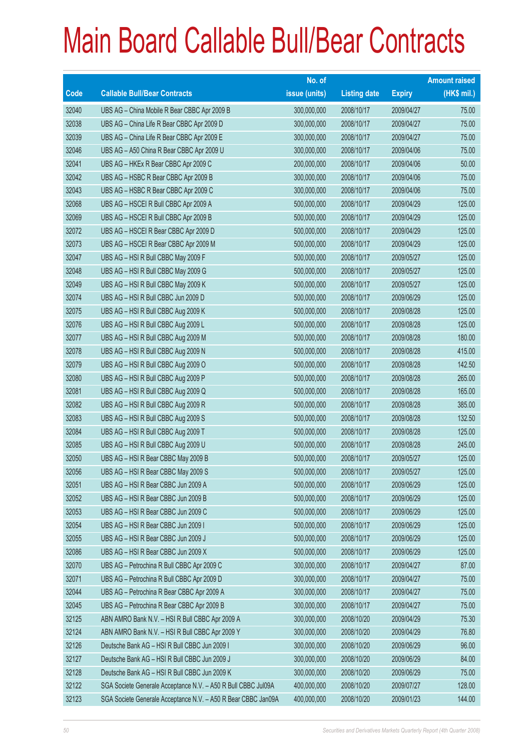|       |                                                               | No. of        |                     |               | <b>Amount raised</b> |
|-------|---------------------------------------------------------------|---------------|---------------------|---------------|----------------------|
| Code  | <b>Callable Bull/Bear Contracts</b>                           | issue (units) | <b>Listing date</b> | <b>Expiry</b> | (HK\$ mil.)          |
| 32040 | UBS AG - China Mobile R Bear CBBC Apr 2009 B                  | 300,000,000   | 2008/10/17          | 2009/04/27    | 75.00                |
| 32038 | UBS AG - China Life R Bear CBBC Apr 2009 D                    | 300,000,000   | 2008/10/17          | 2009/04/27    | 75.00                |
| 32039 | UBS AG - China Life R Bear CBBC Apr 2009 E                    | 300,000,000   | 2008/10/17          | 2009/04/27    | 75.00                |
| 32046 | UBS AG - A50 China R Bear CBBC Apr 2009 U                     | 300,000,000   | 2008/10/17          | 2009/04/06    | 75.00                |
| 32041 | UBS AG - HKEx R Bear CBBC Apr 2009 C                          | 200,000,000   | 2008/10/17          | 2009/04/06    | 50.00                |
| 32042 | UBS AG - HSBC R Bear CBBC Apr 2009 B                          | 300,000,000   | 2008/10/17          | 2009/04/06    | 75.00                |
| 32043 | UBS AG - HSBC R Bear CBBC Apr 2009 C                          | 300,000,000   | 2008/10/17          | 2009/04/06    | 75.00                |
| 32068 | UBS AG - HSCEI R Bull CBBC Apr 2009 A                         | 500,000,000   | 2008/10/17          | 2009/04/29    | 125.00               |
| 32069 | UBS AG - HSCEI R Bull CBBC Apr 2009 B                         | 500,000,000   | 2008/10/17          | 2009/04/29    | 125.00               |
| 32072 | UBS AG - HSCEI R Bear CBBC Apr 2009 D                         | 500,000,000   | 2008/10/17          | 2009/04/29    | 125.00               |
| 32073 | UBS AG - HSCEI R Bear CBBC Apr 2009 M                         | 500,000,000   | 2008/10/17          | 2009/04/29    | 125.00               |
| 32047 | UBS AG - HSI R Bull CBBC May 2009 F                           | 500,000,000   | 2008/10/17          | 2009/05/27    | 125.00               |
| 32048 | UBS AG - HSI R Bull CBBC May 2009 G                           | 500,000,000   | 2008/10/17          | 2009/05/27    | 125.00               |
| 32049 | UBS AG - HSI R Bull CBBC May 2009 K                           | 500,000,000   | 2008/10/17          | 2009/05/27    | 125.00               |
| 32074 | UBS AG - HSI R Bull CBBC Jun 2009 D                           | 500,000,000   | 2008/10/17          | 2009/06/29    | 125.00               |
| 32075 | UBS AG - HSI R Bull CBBC Aug 2009 K                           | 500,000,000   | 2008/10/17          | 2009/08/28    | 125.00               |
| 32076 | UBS AG - HSI R Bull CBBC Aug 2009 L                           | 500,000,000   | 2008/10/17          | 2009/08/28    | 125.00               |
| 32077 | UBS AG - HSI R Bull CBBC Aug 2009 M                           | 500,000,000   | 2008/10/17          | 2009/08/28    | 180.00               |
| 32078 | UBS AG - HSI R Bull CBBC Aug 2009 N                           | 500,000,000   | 2008/10/17          | 2009/08/28    | 415.00               |
| 32079 | UBS AG - HSI R Bull CBBC Aug 2009 O                           | 500,000,000   | 2008/10/17          | 2009/08/28    | 142.50               |
| 32080 | UBS AG - HSI R Bull CBBC Aug 2009 P                           | 500,000,000   | 2008/10/17          | 2009/08/28    | 265.00               |
| 32081 | UBS AG - HSI R Bull CBBC Aug 2009 Q                           | 500,000,000   | 2008/10/17          | 2009/08/28    | 165.00               |
| 32082 | UBS AG - HSI R Bull CBBC Aug 2009 R                           | 500,000,000   | 2008/10/17          | 2009/08/28    | 385.00               |
| 32083 | UBS AG - HSI R Bull CBBC Aug 2009 S                           | 500,000,000   | 2008/10/17          | 2009/08/28    | 132.50               |
| 32084 | UBS AG - HSI R Bull CBBC Aug 2009 T                           | 500,000,000   | 2008/10/17          | 2009/08/28    | 125.00               |
| 32085 | UBS AG - HSI R Bull CBBC Aug 2009 U                           | 500,000,000   | 2008/10/17          | 2009/08/28    | 245.00               |
| 32050 | UBS AG - HSI R Bear CBBC May 2009 B                           | 500,000,000   | 2008/10/17          | 2009/05/27    | 125.00               |
| 32056 | UBS AG - HSI R Bear CBBC May 2009 S                           | 500,000,000   | 2008/10/17          | 2009/05/27    | 125.00               |
| 32051 | UBS AG - HSI R Bear CBBC Jun 2009 A                           | 500,000,000   | 2008/10/17          | 2009/06/29    | 125.00               |
| 32052 | UBS AG - HSI R Bear CBBC Jun 2009 B                           | 500,000,000   | 2008/10/17          | 2009/06/29    | 125.00               |
| 32053 | UBS AG - HSI R Bear CBBC Jun 2009 C                           | 500,000,000   | 2008/10/17          | 2009/06/29    | 125.00               |
| 32054 | UBS AG - HSI R Bear CBBC Jun 2009 I                           | 500,000,000   | 2008/10/17          | 2009/06/29    | 125.00               |
| 32055 | UBS AG - HSI R Bear CBBC Jun 2009 J                           | 500,000,000   | 2008/10/17          | 2009/06/29    | 125.00               |
| 32086 | UBS AG - HSI R Bear CBBC Jun 2009 X                           | 500,000,000   | 2008/10/17          | 2009/06/29    | 125.00               |
| 32070 | UBS AG - Petrochina R Bull CBBC Apr 2009 C                    | 300,000,000   | 2008/10/17          | 2009/04/27    | 87.00                |
| 32071 | UBS AG - Petrochina R Bull CBBC Apr 2009 D                    | 300,000,000   | 2008/10/17          | 2009/04/27    | 75.00                |
| 32044 | UBS AG - Petrochina R Bear CBBC Apr 2009 A                    | 300,000,000   | 2008/10/17          | 2009/04/27    | 75.00                |
| 32045 | UBS AG - Petrochina R Bear CBBC Apr 2009 B                    | 300,000,000   | 2008/10/17          | 2009/04/27    | 75.00                |
| 32125 | ABN AMRO Bank N.V. - HSI R Bull CBBC Apr 2009 A               | 300,000,000   | 2008/10/20          | 2009/04/29    | 75.30                |
| 32124 | ABN AMRO Bank N.V. - HSI R Bull CBBC Apr 2009 Y               | 300,000,000   | 2008/10/20          | 2009/04/29    | 76.80                |
| 32126 | Deutsche Bank AG - HSI R Bull CBBC Jun 2009 I                 | 300,000,000   | 2008/10/20          | 2009/06/29    | 96.00                |
| 32127 | Deutsche Bank AG - HSI R Bull CBBC Jun 2009 J                 | 300,000,000   | 2008/10/20          | 2009/06/29    | 84.00                |
| 32128 | Deutsche Bank AG - HSI R Bull CBBC Jun 2009 K                 | 300,000,000   | 2008/10/20          | 2009/06/29    | 75.00                |
| 32122 | SGA Societe Generale Acceptance N.V. - A50 R Bull CBBC Jul09A | 400,000,000   | 2008/10/20          | 2009/07/27    | 128.00               |
| 32123 | SGA Societe Generale Acceptance N.V. - A50 R Bear CBBC Jan09A | 400,000,000   | 2008/10/20          | 2009/01/23    | 144.00               |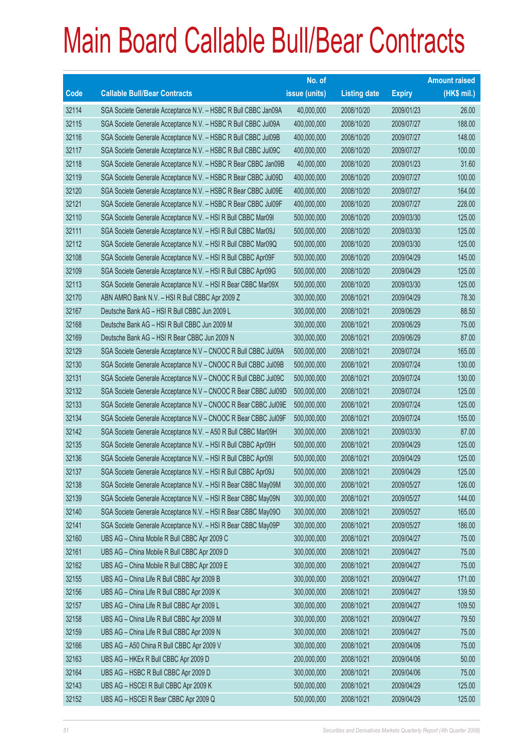|       |                                                                | No. of        |                     |               | <b>Amount raised</b> |
|-------|----------------------------------------------------------------|---------------|---------------------|---------------|----------------------|
| Code  | <b>Callable Bull/Bear Contracts</b>                            | issue (units) | <b>Listing date</b> | <b>Expiry</b> | (HK\$ mil.)          |
| 32114 | SGA Societe Generale Acceptance N.V. - HSBC R Bull CBBC Jan09A | 40,000,000    | 2008/10/20          | 2009/01/23    | 26.00                |
| 32115 | SGA Societe Generale Acceptance N.V. - HSBC R Bull CBBC Jul09A | 400,000,000   | 2008/10/20          | 2009/07/27    | 188.00               |
| 32116 | SGA Societe Generale Acceptance N.V. - HSBC R Bull CBBC Jul09B | 400,000,000   | 2008/10/20          | 2009/07/27    | 148.00               |
| 32117 | SGA Societe Generale Acceptance N.V. - HSBC R Bull CBBC Jul09C | 400,000,000   | 2008/10/20          | 2009/07/27    | 100.00               |
| 32118 | SGA Societe Generale Acceptance N.V. - HSBC R Bear CBBC Jan09B | 40,000,000    | 2008/10/20          | 2009/01/23    | 31.60                |
| 32119 | SGA Societe Generale Acceptance N.V. - HSBC R Bear CBBC Jul09D | 400,000,000   | 2008/10/20          | 2009/07/27    | 100.00               |
| 32120 | SGA Societe Generale Acceptance N.V. - HSBC R Bear CBBC Jul09E | 400,000,000   | 2008/10/20          | 2009/07/27    | 164.00               |
| 32121 | SGA Societe Generale Acceptance N.V. - HSBC R Bear CBBC Jul09F | 400,000,000   | 2008/10/20          | 2009/07/27    | 228.00               |
| 32110 | SGA Societe Generale Acceptance N.V. - HSI R Bull CBBC Mar09I  | 500,000,000   | 2008/10/20          | 2009/03/30    | 125.00               |
| 32111 | SGA Societe Generale Acceptance N.V. - HSI R Bull CBBC Mar09J  | 500,000,000   | 2008/10/20          | 2009/03/30    | 125.00               |
| 32112 | SGA Societe Generale Acceptance N.V. - HSI R Bull CBBC Mar09Q  | 500,000,000   | 2008/10/20          | 2009/03/30    | 125.00               |
| 32108 | SGA Societe Generale Acceptance N.V. - HSI R Bull CBBC Apr09F  | 500,000,000   | 2008/10/20          | 2009/04/29    | 145.00               |
| 32109 | SGA Societe Generale Acceptance N.V. - HSI R Bull CBBC Apr09G  | 500,000,000   | 2008/10/20          | 2009/04/29    | 125.00               |
| 32113 | SGA Societe Generale Acceptance N.V. - HSI R Bear CBBC Mar09X  | 500,000,000   | 2008/10/20          | 2009/03/30    | 125.00               |
| 32170 | ABN AMRO Bank N.V. - HSI R Bull CBBC Apr 2009 Z                | 300,000,000   | 2008/10/21          | 2009/04/29    | 78.30                |
| 32167 | Deutsche Bank AG - HSI R Bull CBBC Jun 2009 L                  | 300,000,000   | 2008/10/21          | 2009/06/29    | 88.50                |
| 32168 | Deutsche Bank AG - HSI R Bull CBBC Jun 2009 M                  | 300,000,000   | 2008/10/21          | 2009/06/29    | 75.00                |
| 32169 | Deutsche Bank AG - HSI R Bear CBBC Jun 2009 N                  | 300,000,000   | 2008/10/21          | 2009/06/29    | 87.00                |
| 32129 | SGA Societe Generale Acceptance N.V - CNOOC R Bull CBBC Jul09A | 500,000,000   | 2008/10/21          | 2009/07/24    | 165.00               |
| 32130 | SGA Societe Generale Acceptance N.V - CNOOC R Bull CBBC Jul09B | 500,000,000   | 2008/10/21          | 2009/07/24    | 130.00               |
| 32131 | SGA Societe Generale Acceptance N.V - CNOOC R Bull CBBC Jul09C | 500,000,000   | 2008/10/21          | 2009/07/24    | 130.00               |
| 32132 | SGA Societe Generale Acceptance N.V - CNOOC R Bear CBBC Jul09D | 500,000,000   | 2008/10/21          | 2009/07/24    | 125.00               |
| 32133 | SGA Societe Generale Acceptance N.V - CNOOC R Bear CBBC Jul09E | 500,000,000   | 2008/10/21          | 2009/07/24    | 125.00               |
| 32134 | SGA Societe Generale Acceptance N.V - CNOOC R Bear CBBC Jul09F | 500,000,000   | 2008/10/21          | 2009/07/24    | 155.00               |
| 32142 | SGA Societe Generale Acceptance N.V. - A50 R Bull CBBC Mar09H  | 300,000,000   | 2008/10/21          | 2009/03/30    | 87.00                |
| 32135 | SGA Societe Generale Acceptance N.V. - HSI R Bull CBBC Apr09H  | 500,000,000   | 2008/10/21          | 2009/04/29    | 125.00               |
| 32136 | SGA Societe Generale Acceptance N.V. - HSI R Bull CBBC Apr091  | 500,000,000   | 2008/10/21          | 2009/04/29    | 125.00               |
| 32137 | SGA Societe Generale Acceptance N.V. - HSI R Bull CBBC Apr09J  | 500,000,000   | 2008/10/21          | 2009/04/29    | 125.00               |
| 32138 | SGA Societe Generale Acceptance N.V. - HSI R Bear CBBC May09M  | 300,000,000   | 2008/10/21          | 2009/05/27    | 126.00               |
| 32139 | SGA Societe Generale Acceptance N.V. - HSI R Bear CBBC May09N  | 300,000,000   | 2008/10/21          | 2009/05/27    | 144.00               |
| 32140 | SGA Societe Generale Acceptance N.V. - HSI R Bear CBBC May090  | 300,000,000   | 2008/10/21          | 2009/05/27    | 165.00               |
| 32141 | SGA Societe Generale Acceptance N.V. - HSI R Bear CBBC May09P  | 300,000,000   | 2008/10/21          | 2009/05/27    | 186.00               |
| 32160 | UBS AG - China Mobile R Bull CBBC Apr 2009 C                   | 300,000,000   | 2008/10/21          | 2009/04/27    | 75.00                |
| 32161 | UBS AG - China Mobile R Bull CBBC Apr 2009 D                   | 300,000,000   | 2008/10/21          | 2009/04/27    | 75.00                |
| 32162 | UBS AG - China Mobile R Bull CBBC Apr 2009 E                   | 300,000,000   | 2008/10/21          | 2009/04/27    | 75.00                |
| 32155 | UBS AG - China Life R Bull CBBC Apr 2009 B                     | 300,000,000   | 2008/10/21          | 2009/04/27    | 171.00               |
| 32156 | UBS AG - China Life R Bull CBBC Apr 2009 K                     | 300,000,000   | 2008/10/21          | 2009/04/27    | 139.50               |
| 32157 | UBS AG - China Life R Bull CBBC Apr 2009 L                     | 300,000,000   | 2008/10/21          | 2009/04/27    | 109.50               |
| 32158 | UBS AG - China Life R Bull CBBC Apr 2009 M                     | 300,000,000   | 2008/10/21          | 2009/04/27    | 79.50                |
| 32159 | UBS AG - China Life R Bull CBBC Apr 2009 N                     | 300,000,000   | 2008/10/21          | 2009/04/27    | 75.00                |
| 32166 | UBS AG - A50 China R Bull CBBC Apr 2009 V                      | 300,000,000   | 2008/10/21          | 2009/04/06    | 75.00                |
| 32163 | UBS AG - HKEx R Bull CBBC Apr 2009 D                           | 200,000,000   | 2008/10/21          | 2009/04/06    | 50.00                |
| 32164 | UBS AG - HSBC R Bull CBBC Apr 2009 D                           | 300,000,000   | 2008/10/21          | 2009/04/06    | 75.00                |
| 32143 | UBS AG - HSCEI R Bull CBBC Apr 2009 K                          | 500,000,000   | 2008/10/21          | 2009/04/29    | 125.00               |
| 32152 | UBS AG - HSCEI R Bear CBBC Apr 2009 Q                          | 500,000,000   | 2008/10/21          | 2009/04/29    | 125.00               |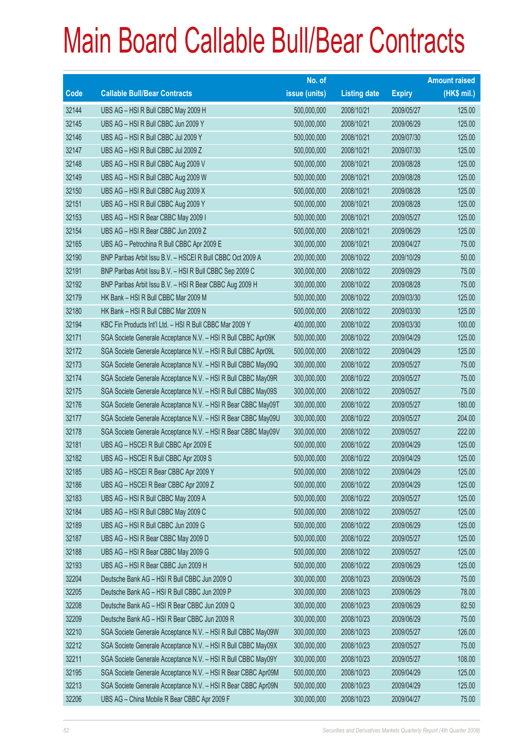|             |                                                               | No. of        |                     |               | <b>Amount raised</b> |
|-------------|---------------------------------------------------------------|---------------|---------------------|---------------|----------------------|
| <b>Code</b> | <b>Callable Bull/Bear Contracts</b>                           | issue (units) | <b>Listing date</b> | <b>Expiry</b> | $(HK$$ mil.)         |
| 32144       | UBS AG - HSI R Bull CBBC May 2009 H                           | 500,000,000   | 2008/10/21          | 2009/05/27    | 125.00               |
| 32145       | UBS AG - HSI R Bull CBBC Jun 2009 Y                           | 500,000,000   | 2008/10/21          | 2009/06/29    | 125.00               |
| 32146       | UBS AG - HSI R Bull CBBC Jul 2009 Y                           | 500,000,000   | 2008/10/21          | 2009/07/30    | 125.00               |
| 32147       | UBS AG - HSI R Bull CBBC Jul 2009 Z                           | 500,000,000   | 2008/10/21          | 2009/07/30    | 125.00               |
| 32148       | UBS AG - HSI R Bull CBBC Aug 2009 V                           | 500,000,000   | 2008/10/21          | 2009/08/28    | 125.00               |
| 32149       | UBS AG - HSI R Bull CBBC Aug 2009 W                           | 500,000,000   | 2008/10/21          | 2009/08/28    | 125.00               |
| 32150       | UBS AG - HSI R Bull CBBC Aug 2009 X                           | 500,000,000   | 2008/10/21          | 2009/08/28    | 125.00               |
| 32151       | UBS AG - HSI R Bull CBBC Aug 2009 Y                           | 500,000,000   | 2008/10/21          | 2009/08/28    | 125.00               |
| 32153       | UBS AG - HSI R Bear CBBC May 2009 I                           | 500,000,000   | 2008/10/21          | 2009/05/27    | 125.00               |
| 32154       | UBS AG - HSI R Bear CBBC Jun 2009 Z                           | 500,000,000   | 2008/10/21          | 2009/06/29    | 125.00               |
| 32165       | UBS AG - Petrochina R Bull CBBC Apr 2009 E                    | 300,000,000   | 2008/10/21          | 2009/04/27    | 75.00                |
| 32190       | BNP Paribas Arbit Issu B.V. - HSCEI R Bull CBBC Oct 2009 A    | 200,000,000   | 2008/10/22          | 2009/10/29    | 50.00                |
| 32191       | BNP Paribas Arbit Issu B.V. - HSI R Bull CBBC Sep 2009 C      | 300,000,000   | 2008/10/22          | 2009/09/29    | 75.00                |
| 32192       | BNP Paribas Arbit Issu B.V. - HSI R Bear CBBC Aug 2009 H      | 300,000,000   | 2008/10/22          | 2009/08/28    | 75.00                |
| 32179       | HK Bank - HSI R Bull CBBC Mar 2009 M                          | 500,000,000   | 2008/10/22          | 2009/03/30    | 125.00               |
| 32180       | HK Bank - HSI R Bull CBBC Mar 2009 N                          | 500,000,000   | 2008/10/22          | 2009/03/30    | 125.00               |
| 32194       | KBC Fin Products Int'l Ltd. - HSI R Bull CBBC Mar 2009 Y      | 400,000,000   | 2008/10/22          | 2009/03/30    | 100.00               |
| 32171       | SGA Societe Generale Acceptance N.V. - HSI R Bull CBBC Apr09K | 500,000,000   | 2008/10/22          | 2009/04/29    | 125.00               |
| 32172       | SGA Societe Generale Acceptance N.V. - HSI R Bull CBBC Apr09L | 500,000,000   | 2008/10/22          | 2009/04/29    | 125.00               |
| 32173       | SGA Societe Generale Acceptance N.V. - HSI R Bull CBBC May09Q | 300,000,000   | 2008/10/22          | 2009/05/27    | 75.00                |
| 32174       | SGA Societe Generale Acceptance N.V. - HSI R Bull CBBC May09R | 300,000,000   | 2008/10/22          | 2009/05/27    | 75.00                |
| 32175       | SGA Societe Generale Acceptance N.V. - HSI R Bull CBBC May09S | 300,000,000   | 2008/10/22          | 2009/05/27    | 75.00                |
| 32176       | SGA Societe Generale Acceptance N.V. - HSI R Bear CBBC May09T | 300,000,000   | 2008/10/22          | 2009/05/27    | 180.00               |
| 32177       | SGA Societe Generale Acceptance N.V. - HSI R Bear CBBC May09U | 300,000,000   | 2008/10/22          | 2009/05/27    | 204.00               |
| 32178       | SGA Societe Generale Acceptance N.V. - HSI R Bear CBBC May09V | 300,000,000   | 2008/10/22          | 2009/05/27    | 222.00               |
| 32181       | UBS AG - HSCEI R Bull CBBC Apr 2009 E                         | 500,000,000   | 2008/10/22          | 2009/04/29    | 125.00               |
| 32182       | UBS AG - HSCEI R Bull CBBC Apr 2009 S                         | 500,000,000   | 2008/10/22          | 2009/04/29    | 125.00               |
| 32185       | UBS AG - HSCEI R Bear CBBC Apr 2009 Y                         | 500,000,000   | 2008/10/22          | 2009/04/29    | 125.00               |
| 32186       | UBS AG - HSCEI R Bear CBBC Apr 2009 Z                         | 500,000,000   | 2008/10/22          | 2009/04/29    | 125.00               |
| 32183       | UBS AG - HSI R Bull CBBC May 2009 A                           | 500,000,000   | 2008/10/22          | 2009/05/27    | 125.00               |
| 32184       | UBS AG - HSI R Bull CBBC May 2009 C                           | 500,000,000   | 2008/10/22          | 2009/05/27    | 125.00               |
| 32189       | UBS AG - HSI R Bull CBBC Jun 2009 G                           | 500,000,000   | 2008/10/22          | 2009/06/29    | 125.00               |
| 32187       | UBS AG - HSI R Bear CBBC May 2009 D                           | 500,000,000   | 2008/10/22          | 2009/05/27    | 125.00               |
| 32188       | UBS AG - HSI R Bear CBBC May 2009 G                           | 500,000,000   | 2008/10/22          | 2009/05/27    | 125.00               |
| 32193       | UBS AG - HSI R Bear CBBC Jun 2009 H                           | 500,000,000   | 2008/10/22          | 2009/06/29    | 125.00               |
| 32204       | Deutsche Bank AG - HSI R Bull CBBC Jun 2009 O                 | 300,000,000   | 2008/10/23          | 2009/06/29    | 75.00                |
| 32205       | Deutsche Bank AG - HSI R Bull CBBC Jun 2009 P                 | 300,000,000   | 2008/10/23          | 2009/06/29    | 78.00                |
| 32208       | Deutsche Bank AG - HSI R Bear CBBC Jun 2009 Q                 | 300,000,000   | 2008/10/23          | 2009/06/29    | 82.50                |
| 32209       | Deutsche Bank AG - HSI R Bear CBBC Jun 2009 R                 | 300,000,000   | 2008/10/23          | 2009/06/29    | 75.00                |
| 32210       | SGA Societe Generale Acceptance N.V. - HSI R Bull CBBC May09W | 300,000,000   | 2008/10/23          | 2009/05/27    | 126.00               |
| 32212       | SGA Societe Generale Acceptance N.V. - HSI R Bull CBBC May09X | 300,000,000   | 2008/10/23          | 2009/05/27    | 75.00                |
| 32211       | SGA Societe Generale Acceptance N.V. - HSI R Bull CBBC May09Y | 300,000,000   | 2008/10/23          | 2009/05/27    | 108.00               |
| 32195       | SGA Societe Generale Acceptance N.V. - HSI R Bear CBBC Apr09M | 500,000,000   | 2008/10/23          | 2009/04/29    | 125.00               |
| 32213       | SGA Societe Generale Acceptance N.V. - HSI R Bear CBBC Apr09N | 500,000,000   | 2008/10/23          | 2009/04/29    | 125.00               |
| 32206       | UBS AG - China Mobile R Bear CBBC Apr 2009 F                  | 300,000,000   | 2008/10/23          | 2009/04/27    | 75.00                |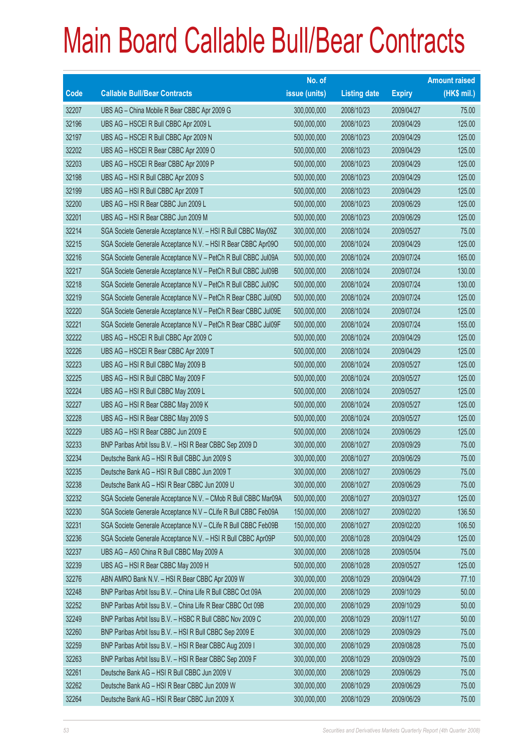|                          |                                                                | No. of        |                     |               | <b>Amount raised</b> |
|--------------------------|----------------------------------------------------------------|---------------|---------------------|---------------|----------------------|
| $\overline{\text{Code}}$ | <b>Callable Bull/Bear Contracts</b>                            | issue (units) | <b>Listing date</b> | <b>Expiry</b> | (HK\$ mil.)          |
| 32207                    | UBS AG - China Mobile R Bear CBBC Apr 2009 G                   | 300,000,000   | 2008/10/23          | 2009/04/27    | 75.00                |
| 32196                    | UBS AG - HSCEI R Bull CBBC Apr 2009 L                          | 500,000,000   | 2008/10/23          | 2009/04/29    | 125.00               |
| 32197                    | UBS AG - HSCEI R Bull CBBC Apr 2009 N                          | 500,000,000   | 2008/10/23          | 2009/04/29    | 125.00               |
| 32202                    | UBS AG - HSCEI R Bear CBBC Apr 2009 O                          | 500,000,000   | 2008/10/23          | 2009/04/29    | 125.00               |
| 32203                    | UBS AG - HSCEI R Bear CBBC Apr 2009 P                          | 500,000,000   | 2008/10/23          | 2009/04/29    | 125.00               |
| 32198                    | UBS AG - HSI R Bull CBBC Apr 2009 S                            | 500,000,000   | 2008/10/23          | 2009/04/29    | 125.00               |
| 32199                    | UBS AG - HSI R Bull CBBC Apr 2009 T                            | 500,000,000   | 2008/10/23          | 2009/04/29    | 125.00               |
| 32200                    | UBS AG - HSI R Bear CBBC Jun 2009 L                            | 500,000,000   | 2008/10/23          | 2009/06/29    | 125.00               |
| 32201                    | UBS AG - HSI R Bear CBBC Jun 2009 M                            | 500,000,000   | 2008/10/23          | 2009/06/29    | 125.00               |
| 32214                    | SGA Societe Generale Acceptance N.V. - HSI R Bull CBBC May09Z  | 300,000,000   | 2008/10/24          | 2009/05/27    | 75.00                |
| 32215                    | SGA Societe Generale Acceptance N.V. - HSI R Bear CBBC Apr090  | 500,000,000   | 2008/10/24          | 2009/04/29    | 125.00               |
| 32216                    | SGA Societe Generale Acceptance N.V - PetCh R Bull CBBC Jul09A | 500,000,000   | 2008/10/24          | 2009/07/24    | 165.00               |
| 32217                    | SGA Societe Generale Acceptance N.V - PetCh R Bull CBBC Jul09B | 500,000,000   | 2008/10/24          | 2009/07/24    | 130.00               |
| 32218                    | SGA Societe Generale Acceptance N.V - PetCh R Bull CBBC Jul09C | 500,000,000   | 2008/10/24          | 2009/07/24    | 130.00               |
| 32219                    | SGA Societe Generale Acceptance N.V - PetCh R Bear CBBC Jul09D | 500,000,000   | 2008/10/24          | 2009/07/24    | 125.00               |
| 32220                    | SGA Societe Generale Acceptance N.V - PetCh R Bear CBBC Jul09E | 500,000,000   | 2008/10/24          | 2009/07/24    | 125.00               |
| 32221                    | SGA Societe Generale Acceptance N.V - PetCh R Bear CBBC Jul09F | 500,000,000   | 2008/10/24          | 2009/07/24    | 155.00               |
| 32222                    | UBS AG - HSCEI R Bull CBBC Apr 2009 C                          | 500,000,000   | 2008/10/24          | 2009/04/29    | 125.00               |
| 32226                    | UBS AG - HSCEI R Bear CBBC Apr 2009 T                          | 500,000,000   | 2008/10/24          | 2009/04/29    | 125.00               |
| 32223                    | UBS AG - HSI R Bull CBBC May 2009 B                            | 500,000,000   | 2008/10/24          | 2009/05/27    | 125.00               |
| 32225                    | UBS AG - HSI R Bull CBBC May 2009 F                            | 500,000,000   | 2008/10/24          | 2009/05/27    | 125.00               |
| 32224                    | UBS AG - HSI R Bull CBBC May 2009 L                            | 500,000,000   | 2008/10/24          | 2009/05/27    | 125.00               |
| 32227                    | UBS AG - HSI R Bear CBBC May 2009 K                            | 500,000,000   | 2008/10/24          | 2009/05/27    | 125.00               |
| 32228                    | UBS AG - HSI R Bear CBBC May 2009 S                            | 500,000,000   | 2008/10/24          | 2009/05/27    | 125.00               |
| 32229                    | UBS AG - HSI R Bear CBBC Jun 2009 E                            | 500,000,000   | 2008/10/24          | 2009/06/29    | 125.00               |
| 32233                    | BNP Paribas Arbit Issu B.V. - HSI R Bear CBBC Sep 2009 D       | 300,000,000   | 2008/10/27          | 2009/09/29    | 75.00                |
| 32234                    | Deutsche Bank AG - HSI R Bull CBBC Jun 2009 S                  | 300,000,000   | 2008/10/27          | 2009/06/29    | 75.00                |
| 32235                    | Deutsche Bank AG - HSI R Bull CBBC Jun 2009 T                  | 300,000,000   | 2008/10/27          | 2009/06/29    | 75.00                |
| 32238                    | Deutsche Bank AG - HSI R Bear CBBC Jun 2009 U                  | 300,000,000   | 2008/10/27          | 2009/06/29    | 75.00                |
| 32232                    | SGA Societe Generale Acceptance N.V. - CMob R Bull CBBC Mar09A | 500,000,000   | 2008/10/27          | 2009/03/27    | 125.00               |
| 32230                    | SGA Societe Generale Acceptance N.V - CLife R Bull CBBC Feb09A | 150,000,000   | 2008/10/27          | 2009/02/20    | 136.50               |
| 32231                    | SGA Societe Generale Acceptance N.V - CLife R Bull CBBC Feb09B | 150,000,000   | 2008/10/27          | 2009/02/20    | 106.50               |
| 32236                    | SGA Societe Generale Acceptance N.V. - HSI R Bull CBBC Apr09P  | 500,000,000   | 2008/10/28          | 2009/04/29    | 125.00               |
| 32237                    | UBS AG - A50 China R Bull CBBC May 2009 A                      | 300,000,000   | 2008/10/28          | 2009/05/04    | 75.00                |
| 32239                    | UBS AG - HSI R Bear CBBC May 2009 H                            | 500,000,000   | 2008/10/28          | 2009/05/27    | 125.00               |
| 32276                    | ABN AMRO Bank N.V. - HSI R Bear CBBC Apr 2009 W                | 300,000,000   | 2008/10/29          | 2009/04/29    | 77.10                |
| 32248                    | BNP Paribas Arbit Issu B.V. - China Life R Bull CBBC Oct 09A   | 200,000,000   | 2008/10/29          | 2009/10/29    | 50.00                |
| 32252                    | BNP Paribas Arbit Issu B.V. - China Life R Bear CBBC Oct 09B   | 200,000,000   | 2008/10/29          | 2009/10/29    | 50.00                |
| 32249                    | BNP Paribas Arbit Issu B.V. - HSBC R Bull CBBC Nov 2009 C      | 200,000,000   | 2008/10/29          | 2009/11/27    | 50.00                |
| 32260                    | BNP Paribas Arbit Issu B.V. - HSI R Bull CBBC Sep 2009 E       | 300,000,000   | 2008/10/29          | 2009/09/29    | 75.00                |
| 32259                    | BNP Paribas Arbit Issu B.V. - HSI R Bear CBBC Aug 2009 I       | 300,000,000   | 2008/10/29          | 2009/08/28    | 75.00                |
| 32263                    | BNP Paribas Arbit Issu B.V. - HSI R Bear CBBC Sep 2009 F       | 300,000,000   | 2008/10/29          | 2009/09/29    | 75.00                |
| 32261                    | Deutsche Bank AG - HSI R Bull CBBC Jun 2009 V                  | 300,000,000   | 2008/10/29          | 2009/06/29    | 75.00                |
| 32262                    | Deutsche Bank AG - HSI R Bear CBBC Jun 2009 W                  | 300,000,000   | 2008/10/29          | 2009/06/29    | 75.00                |
| 32264                    | Deutsche Bank AG - HSI R Bear CBBC Jun 2009 X                  | 300,000,000   | 2008/10/29          | 2009/06/29    | 75.00                |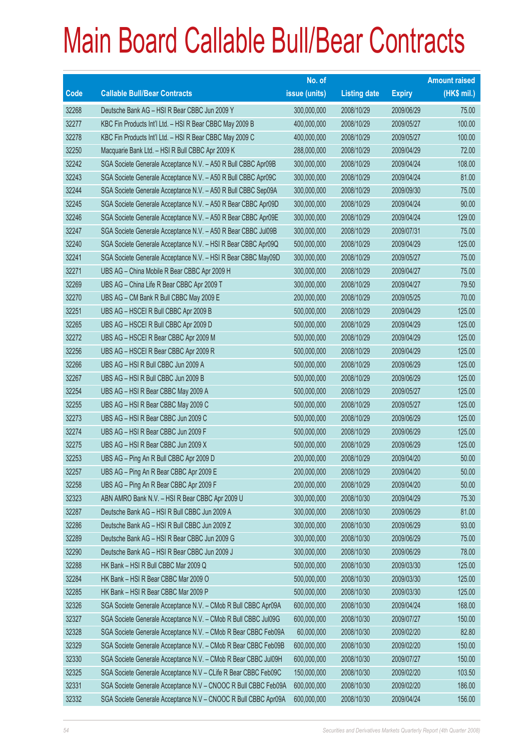|       |                                                                | No. of        |                     |               | <b>Amount raised</b> |
|-------|----------------------------------------------------------------|---------------|---------------------|---------------|----------------------|
| Code  | <b>Callable Bull/Bear Contracts</b>                            | issue (units) | <b>Listing date</b> | <b>Expiry</b> | (HK\$ mil.)          |
| 32268 | Deutsche Bank AG - HSI R Bear CBBC Jun 2009 Y                  | 300,000,000   | 2008/10/29          | 2009/06/29    | 75.00                |
| 32277 | KBC Fin Products Int'l Ltd. - HSI R Bear CBBC May 2009 B       | 400,000,000   | 2008/10/29          | 2009/05/27    | 100.00               |
| 32278 | KBC Fin Products Int'l Ltd. - HSI R Bear CBBC May 2009 C       | 400,000,000   | 2008/10/29          | 2009/05/27    | 100.00               |
| 32250 | Macquarie Bank Ltd. - HSI R Bull CBBC Apr 2009 K               | 288,000,000   | 2008/10/29          | 2009/04/29    | 72.00                |
| 32242 | SGA Societe Generale Acceptance N.V. - A50 R Bull CBBC Apr09B  | 300,000,000   | 2008/10/29          | 2009/04/24    | 108.00               |
| 32243 | SGA Societe Generale Acceptance N.V. - A50 R Bull CBBC Apr09C  | 300,000,000   | 2008/10/29          | 2009/04/24    | 81.00                |
| 32244 | SGA Societe Generale Acceptance N.V. - A50 R Bull CBBC Sep09A  | 300,000,000   | 2008/10/29          | 2009/09/30    | 75.00                |
| 32245 | SGA Societe Generale Acceptance N.V. - A50 R Bear CBBC Apr09D  | 300,000,000   | 2008/10/29          | 2009/04/24    | 90.00                |
| 32246 | SGA Societe Generale Acceptance N.V. - A50 R Bear CBBC Apr09E  | 300,000,000   | 2008/10/29          | 2009/04/24    | 129.00               |
| 32247 | SGA Societe Generale Acceptance N.V. - A50 R Bear CBBC Jul09B  | 300,000,000   | 2008/10/29          | 2009/07/31    | 75.00                |
| 32240 | SGA Societe Generale Acceptance N.V. - HSI R Bear CBBC Apr09Q  | 500,000,000   | 2008/10/29          | 2009/04/29    | 125.00               |
| 32241 | SGA Societe Generale Acceptance N.V. - HSI R Bear CBBC May09D  | 300,000,000   | 2008/10/29          | 2009/05/27    | 75.00                |
| 32271 | UBS AG - China Mobile R Bear CBBC Apr 2009 H                   | 300,000,000   | 2008/10/29          | 2009/04/27    | 75.00                |
| 32269 | UBS AG - China Life R Bear CBBC Apr 2009 T                     | 300,000,000   | 2008/10/29          | 2009/04/27    | 79.50                |
| 32270 | UBS AG - CM Bank R Bull CBBC May 2009 E                        | 200,000,000   | 2008/10/29          | 2009/05/25    | 70.00                |
| 32251 | UBS AG - HSCEI R Bull CBBC Apr 2009 B                          | 500,000,000   | 2008/10/29          | 2009/04/29    | 125.00               |
| 32265 | UBS AG - HSCEI R Bull CBBC Apr 2009 D                          | 500,000,000   | 2008/10/29          | 2009/04/29    | 125.00               |
| 32272 | UBS AG - HSCEI R Bear CBBC Apr 2009 M                          | 500,000,000   | 2008/10/29          | 2009/04/29    | 125.00               |
| 32256 | UBS AG - HSCEI R Bear CBBC Apr 2009 R                          | 500,000,000   | 2008/10/29          | 2009/04/29    | 125.00               |
| 32266 | UBS AG - HSI R Bull CBBC Jun 2009 A                            | 500,000,000   | 2008/10/29          | 2009/06/29    | 125.00               |
| 32267 | UBS AG - HSI R Bull CBBC Jun 2009 B                            | 500,000,000   | 2008/10/29          | 2009/06/29    | 125.00               |
| 32254 | UBS AG - HSI R Bear CBBC May 2009 A                            | 500,000,000   | 2008/10/29          | 2009/05/27    | 125.00               |
| 32255 | UBS AG - HSI R Bear CBBC May 2009 C                            | 500,000,000   | 2008/10/29          | 2009/05/27    | 125.00               |
| 32273 | UBS AG - HSI R Bear CBBC Jun 2009 C                            | 500,000,000   | 2008/10/29          | 2009/06/29    | 125.00               |
| 32274 | UBS AG - HSI R Bear CBBC Jun 2009 F                            | 500,000,000   | 2008/10/29          | 2009/06/29    | 125.00               |
| 32275 | UBS AG - HSI R Bear CBBC Jun 2009 X                            | 500,000,000   | 2008/10/29          | 2009/06/29    | 125.00               |
| 32253 | UBS AG - Ping An R Bull CBBC Apr 2009 D                        | 200,000,000   | 2008/10/29          | 2009/04/20    | 50.00                |
| 32257 | UBS AG - Ping An R Bear CBBC Apr 2009 E                        | 200,000,000   | 2008/10/29          | 2009/04/20    | 50.00                |
| 32258 | UBS AG - Ping An R Bear CBBC Apr 2009 F                        | 200,000,000   | 2008/10/29          | 2009/04/20    | 50.00                |
| 32323 | ABN AMRO Bank N.V. - HSI R Bear CBBC Apr 2009 U                | 300,000,000   | 2008/10/30          | 2009/04/29    | 75.30                |
| 32287 | Deutsche Bank AG - HSI R Bull CBBC Jun 2009 A                  | 300,000,000   | 2008/10/30          | 2009/06/29    | 81.00                |
| 32286 | Deutsche Bank AG - HSI R Bull CBBC Jun 2009 Z                  | 300,000,000   | 2008/10/30          | 2009/06/29    | 93.00                |
| 32289 | Deutsche Bank AG - HSI R Bear CBBC Jun 2009 G                  | 300,000,000   | 2008/10/30          | 2009/06/29    | 75.00                |
| 32290 | Deutsche Bank AG - HSI R Bear CBBC Jun 2009 J                  | 300,000,000   | 2008/10/30          | 2009/06/29    | 78.00                |
| 32288 | HK Bank - HSI R Bull CBBC Mar 2009 Q                           | 500,000,000   | 2008/10/30          | 2009/03/30    | 125.00               |
| 32284 | HK Bank - HSI R Bear CBBC Mar 2009 O                           | 500,000,000   | 2008/10/30          | 2009/03/30    | 125.00               |
| 32285 | HK Bank - HSI R Bear CBBC Mar 2009 P                           | 500,000,000   | 2008/10/30          | 2009/03/30    | 125.00               |
| 32326 | SGA Societe Generale Acceptance N.V. - CMob R Bull CBBC Apr09A | 600,000,000   | 2008/10/30          | 2009/04/24    | 168.00               |
| 32327 | SGA Societe Generale Acceptance N.V. - CMob R Bull CBBC Jul09G | 600,000,000   | 2008/10/30          | 2009/07/27    | 150.00               |
| 32328 | SGA Societe Generale Acceptance N.V. - CMob R Bear CBBC Feb09A | 60,000,000    | 2008/10/30          | 2009/02/20    | 82.80                |
| 32329 | SGA Societe Generale Acceptance N.V. - CMob R Bear CBBC Feb09B | 600,000,000   | 2008/10/30          | 2009/02/20    | 150.00               |
| 32330 | SGA Societe Generale Acceptance N.V. - CMob R Bear CBBC Jul09H | 600,000,000   | 2008/10/30          | 2009/07/27    | 150.00               |
| 32325 | SGA Societe Generale Acceptance N.V - CLife R Bear CBBC Feb09C | 150,000,000   | 2008/10/30          | 2009/02/20    | 103.50               |
| 32331 | SGA Societe Generale Acceptance N.V - CNOOC R Bull CBBC Feb09A | 600,000,000   | 2008/10/30          | 2009/02/20    | 186.00               |
| 32332 | SGA Societe Generale Acceptance N.V - CNOOC R Bull CBBC Apr09A | 600,000,000   | 2008/10/30          | 2009/04/24    | 156.00               |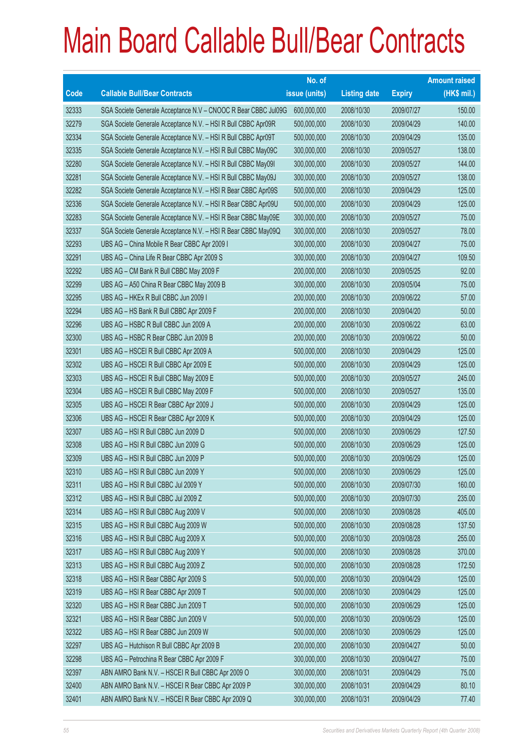|       |                                                                | No. of        |                     |               | <b>Amount raised</b> |
|-------|----------------------------------------------------------------|---------------|---------------------|---------------|----------------------|
| Code  | <b>Callable Bull/Bear Contracts</b>                            | issue (units) | <b>Listing date</b> | <b>Expiry</b> | $(HK$$ mil.)         |
| 32333 | SGA Societe Generale Acceptance N.V - CNOOC R Bear CBBC Jul09G | 600,000,000   | 2008/10/30          | 2009/07/27    | 150.00               |
| 32279 | SGA Societe Generale Acceptance N.V. - HSI R Bull CBBC Apr09R  | 500,000,000   | 2008/10/30          | 2009/04/29    | 140.00               |
| 32334 | SGA Societe Generale Acceptance N.V. - HSI R Bull CBBC Apr09T  | 500,000,000   | 2008/10/30          | 2009/04/29    | 135.00               |
| 32335 | SGA Societe Generale Acceptance N.V. - HSI R Bull CBBC May09C  | 300,000,000   | 2008/10/30          | 2009/05/27    | 138.00               |
| 32280 | SGA Societe Generale Acceptance N.V. - HSI R Bull CBBC May091  | 300,000,000   | 2008/10/30          | 2009/05/27    | 144.00               |
| 32281 | SGA Societe Generale Acceptance N.V. - HSI R Bull CBBC May09J  | 300,000,000   | 2008/10/30          | 2009/05/27    | 138.00               |
| 32282 | SGA Societe Generale Acceptance N.V. - HSI R Bear CBBC Apr09S  | 500,000,000   | 2008/10/30          | 2009/04/29    | 125.00               |
| 32336 | SGA Societe Generale Acceptance N.V. - HSI R Bear CBBC Apr09U  | 500,000,000   | 2008/10/30          | 2009/04/29    | 125.00               |
| 32283 | SGA Societe Generale Acceptance N.V. - HSI R Bear CBBC May09E  | 300,000,000   | 2008/10/30          | 2009/05/27    | 75.00                |
| 32337 | SGA Societe Generale Acceptance N.V. - HSI R Bear CBBC May09Q  | 300,000,000   | 2008/10/30          | 2009/05/27    | 78.00                |
| 32293 | UBS AG - China Mobile R Bear CBBC Apr 2009 I                   | 300,000,000   | 2008/10/30          | 2009/04/27    | 75.00                |
| 32291 | UBS AG - China Life R Bear CBBC Apr 2009 S                     | 300,000,000   | 2008/10/30          | 2009/04/27    | 109.50               |
| 32292 | UBS AG - CM Bank R Bull CBBC May 2009 F                        | 200,000,000   | 2008/10/30          | 2009/05/25    | 92.00                |
| 32299 | UBS AG - A50 China R Bear CBBC May 2009 B                      | 300,000,000   | 2008/10/30          | 2009/05/04    | 75.00                |
| 32295 | UBS AG - HKEx R Bull CBBC Jun 2009 I                           | 200,000,000   | 2008/10/30          | 2009/06/22    | 57.00                |
| 32294 | UBS AG - HS Bank R Bull CBBC Apr 2009 F                        | 200,000,000   | 2008/10/30          | 2009/04/20    | 50.00                |
| 32296 | UBS AG - HSBC R Bull CBBC Jun 2009 A                           | 200,000,000   | 2008/10/30          | 2009/06/22    | 63.00                |
| 32300 | UBS AG - HSBC R Bear CBBC Jun 2009 B                           | 200,000,000   | 2008/10/30          | 2009/06/22    | 50.00                |
| 32301 | UBS AG - HSCEI R Bull CBBC Apr 2009 A                          | 500,000,000   | 2008/10/30          | 2009/04/29    | 125.00               |
| 32302 | UBS AG - HSCEI R Bull CBBC Apr 2009 E                          | 500,000,000   | 2008/10/30          | 2009/04/29    | 125.00               |
| 32303 | UBS AG - HSCEI R Bull CBBC May 2009 E                          | 500,000,000   | 2008/10/30          | 2009/05/27    | 245.00               |
| 32304 | UBS AG - HSCEI R Bull CBBC May 2009 F                          | 500,000,000   | 2008/10/30          | 2009/05/27    | 135.00               |
| 32305 | UBS AG - HSCEI R Bear CBBC Apr 2009 J                          | 500,000,000   | 2008/10/30          | 2009/04/29    | 125.00               |
| 32306 | UBS AG - HSCEI R Bear CBBC Apr 2009 K                          | 500,000,000   | 2008/10/30          | 2009/04/29    | 125.00               |
| 32307 | UBS AG - HSI R Bull CBBC Jun 2009 D                            | 500,000,000   | 2008/10/30          | 2009/06/29    | 127.50               |
| 32308 | UBS AG - HSI R Bull CBBC Jun 2009 G                            | 500,000,000   | 2008/10/30          | 2009/06/29    | 125.00               |
| 32309 | UBS AG - HSI R Bull CBBC Jun 2009 P                            | 500,000,000   | 2008/10/30          | 2009/06/29    | 125.00               |
| 32310 | UBS AG - HSI R Bull CBBC Jun 2009 Y                            | 500,000,000   | 2008/10/30          | 2009/06/29    | 125.00               |
| 32311 | UBS AG - HSI R Bull CBBC Jul 2009 Y                            | 500,000,000   | 2008/10/30          | 2009/07/30    | 160.00               |
| 32312 | UBS AG - HSI R Bull CBBC Jul 2009 Z                            | 500,000,000   | 2008/10/30          | 2009/07/30    | 235.00               |
| 32314 | UBS AG - HSI R Bull CBBC Aug 2009 V                            | 500,000,000   | 2008/10/30          | 2009/08/28    | 405.00               |
| 32315 | UBS AG - HSI R Bull CBBC Aug 2009 W                            | 500,000,000   | 2008/10/30          | 2009/08/28    | 137.50               |
| 32316 | UBS AG - HSI R Bull CBBC Aug 2009 X                            | 500,000,000   | 2008/10/30          | 2009/08/28    | 255.00               |
| 32317 | UBS AG - HSI R Bull CBBC Aug 2009 Y                            | 500,000,000   | 2008/10/30          | 2009/08/28    | 370.00               |
| 32313 | UBS AG - HSI R Bull CBBC Aug 2009 Z                            | 500,000,000   | 2008/10/30          | 2009/08/28    | 172.50               |
| 32318 | UBS AG - HSI R Bear CBBC Apr 2009 S                            | 500,000,000   | 2008/10/30          | 2009/04/29    | 125.00               |
| 32319 | UBS AG - HSI R Bear CBBC Apr 2009 T                            | 500,000,000   | 2008/10/30          | 2009/04/29    | 125.00               |
| 32320 | UBS AG - HSI R Bear CBBC Jun 2009 T                            | 500,000,000   | 2008/10/30          | 2009/06/29    | 125.00               |
| 32321 | UBS AG - HSI R Bear CBBC Jun 2009 V                            | 500,000,000   | 2008/10/30          | 2009/06/29    | 125.00               |
| 32322 | UBS AG - HSI R Bear CBBC Jun 2009 W                            | 500,000,000   | 2008/10/30          | 2009/06/29    | 125.00               |
| 32297 | UBS AG - Hutchison R Bull CBBC Apr 2009 B                      | 200,000,000   | 2008/10/30          | 2009/04/27    | 50.00                |
| 32298 | UBS AG - Petrochina R Bear CBBC Apr 2009 F                     | 300,000,000   | 2008/10/30          | 2009/04/27    | 75.00                |
| 32397 | ABN AMRO Bank N.V. - HSCEI R Bull CBBC Apr 2009 O              | 300,000,000   | 2008/10/31          | 2009/04/29    | 75.00                |
| 32400 | ABN AMRO Bank N.V. - HSCEI R Bear CBBC Apr 2009 P              | 300,000,000   | 2008/10/31          | 2009/04/29    | 80.10                |
| 32401 | ABN AMRO Bank N.V. - HSCEI R Bear CBBC Apr 2009 Q              | 300,000,000   | 2008/10/31          | 2009/04/29    | 77.40                |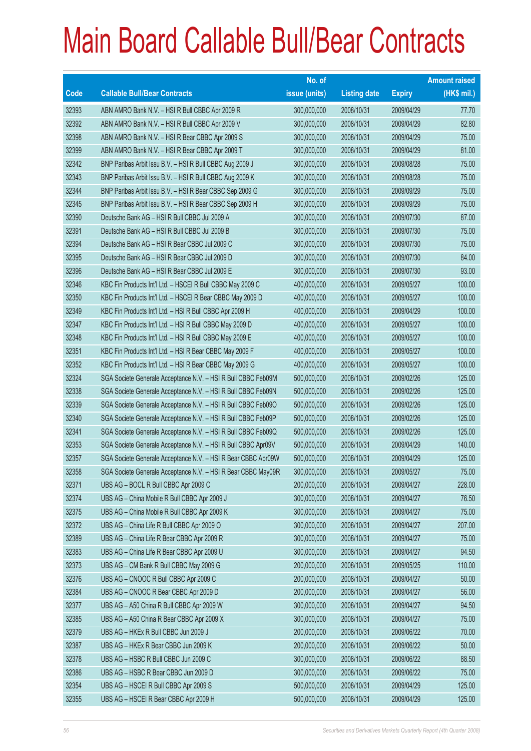|       |                                                               | No. of        |                     |               | <b>Amount raised</b> |
|-------|---------------------------------------------------------------|---------------|---------------------|---------------|----------------------|
| Code  | <b>Callable Bull/Bear Contracts</b>                           | issue (units) | <b>Listing date</b> | <b>Expiry</b> | $(HK$$ mil.)         |
| 32393 | ABN AMRO Bank N.V. - HSI R Bull CBBC Apr 2009 R               | 300,000,000   | 2008/10/31          | 2009/04/29    | 77.70                |
| 32392 | ABN AMRO Bank N.V. - HSI R Bull CBBC Apr 2009 V               | 300,000,000   | 2008/10/31          | 2009/04/29    | 82.80                |
| 32398 | ABN AMRO Bank N.V. - HSI R Bear CBBC Apr 2009 S               | 300,000,000   | 2008/10/31          | 2009/04/29    | 75.00                |
| 32399 | ABN AMRO Bank N.V. - HSI R Bear CBBC Apr 2009 T               | 300,000,000   | 2008/10/31          | 2009/04/29    | 81.00                |
| 32342 | BNP Paribas Arbit Issu B.V. - HSI R Bull CBBC Aug 2009 J      | 300,000,000   | 2008/10/31          | 2009/08/28    | 75.00                |
| 32343 | BNP Paribas Arbit Issu B.V. - HSI R Bull CBBC Aug 2009 K      | 300,000,000   | 2008/10/31          | 2009/08/28    | 75.00                |
| 32344 | BNP Paribas Arbit Issu B.V. - HSI R Bear CBBC Sep 2009 G      | 300,000,000   | 2008/10/31          | 2009/09/29    | 75.00                |
| 32345 | BNP Paribas Arbit Issu B.V. - HSI R Bear CBBC Sep 2009 H      | 300,000,000   | 2008/10/31          | 2009/09/29    | 75.00                |
| 32390 | Deutsche Bank AG - HSI R Bull CBBC Jul 2009 A                 | 300,000,000   | 2008/10/31          | 2009/07/30    | 87.00                |
| 32391 | Deutsche Bank AG - HSI R Bull CBBC Jul 2009 B                 | 300,000,000   | 2008/10/31          | 2009/07/30    | 75.00                |
| 32394 | Deutsche Bank AG - HSI R Bear CBBC Jul 2009 C                 | 300,000,000   | 2008/10/31          | 2009/07/30    | 75.00                |
| 32395 | Deutsche Bank AG - HSI R Bear CBBC Jul 2009 D                 | 300,000,000   | 2008/10/31          | 2009/07/30    | 84.00                |
| 32396 | Deutsche Bank AG - HSI R Bear CBBC Jul 2009 E                 | 300,000,000   | 2008/10/31          | 2009/07/30    | 93.00                |
| 32346 | KBC Fin Products Int'l Ltd. - HSCEI R Bull CBBC May 2009 C    | 400,000,000   | 2008/10/31          | 2009/05/27    | 100.00               |
| 32350 | KBC Fin Products Int'l Ltd. - HSCEI R Bear CBBC May 2009 D    | 400,000,000   | 2008/10/31          | 2009/05/27    | 100.00               |
| 32349 | KBC Fin Products Int'l Ltd. - HSI R Bull CBBC Apr 2009 H      | 400,000,000   | 2008/10/31          | 2009/04/29    | 100.00               |
| 32347 | KBC Fin Products Int'l Ltd. - HSI R Bull CBBC May 2009 D      | 400,000,000   | 2008/10/31          | 2009/05/27    | 100.00               |
| 32348 | KBC Fin Products Int'l Ltd. - HSI R Bull CBBC May 2009 E      | 400,000,000   | 2008/10/31          | 2009/05/27    | 100.00               |
| 32351 | KBC Fin Products Int'l Ltd. - HSI R Bear CBBC May 2009 F      | 400,000,000   | 2008/10/31          | 2009/05/27    | 100.00               |
| 32352 | KBC Fin Products Int'l Ltd. - HSI R Bear CBBC May 2009 G      | 400,000,000   | 2008/10/31          | 2009/05/27    | 100.00               |
| 32324 | SGA Societe Generale Acceptance N.V. - HSI R Bull CBBC Feb09M | 500,000,000   | 2008/10/31          | 2009/02/26    | 125.00               |
| 32338 | SGA Societe Generale Acceptance N.V. - HSI R Bull CBBC Feb09N | 500,000,000   | 2008/10/31          | 2009/02/26    | 125.00               |
| 32339 | SGA Societe Generale Acceptance N.V. - HSI R Bull CBBC Feb090 | 500,000,000   | 2008/10/31          | 2009/02/26    | 125.00               |
| 32340 | SGA Societe Generale Acceptance N.V. - HSI R Bull CBBC Feb09P | 500,000,000   | 2008/10/31          | 2009/02/26    | 125.00               |
| 32341 | SGA Societe Generale Acceptance N.V. - HSI R Bull CBBC Feb09Q | 500,000,000   | 2008/10/31          | 2009/02/26    | 125.00               |
| 32353 | SGA Societe Generale Acceptance N.V. - HSI R Bull CBBC Apr09V | 500,000,000   | 2008/10/31          | 2009/04/29    | 140.00               |
| 32357 | SGA Societe Generale Acceptance N.V. - HSI R Bear CBBC Apr09W | 500,000,000   | 2008/10/31          | 2009/04/29    | 125.00               |
| 32358 | SGA Societe Generale Acceptance N.V. - HSI R Bear CBBC May09R | 300,000,000   | 2008/10/31          | 2009/05/27    | 75.00                |
| 32371 | UBS AG - BOCL R Bull CBBC Apr 2009 C                          | 200,000,000   | 2008/10/31          | 2009/04/27    | 228.00               |
| 32374 | UBS AG - China Mobile R Bull CBBC Apr 2009 J                  | 300,000,000   | 2008/10/31          | 2009/04/27    | 76.50                |
| 32375 | UBS AG - China Mobile R Bull CBBC Apr 2009 K                  | 300,000,000   | 2008/10/31          | 2009/04/27    | 75.00                |
| 32372 | UBS AG - China Life R Bull CBBC Apr 2009 O                    | 300,000,000   | 2008/10/31          | 2009/04/27    | 207.00               |
| 32389 | UBS AG - China Life R Bear CBBC Apr 2009 R                    | 300,000,000   | 2008/10/31          | 2009/04/27    | 75.00                |
| 32383 | UBS AG - China Life R Bear CBBC Apr 2009 U                    | 300,000,000   | 2008/10/31          | 2009/04/27    | 94.50                |
| 32373 | UBS AG - CM Bank R Bull CBBC May 2009 G                       | 200,000,000   | 2008/10/31          | 2009/05/25    | 110.00               |
| 32376 | UBS AG - CNOOC R Bull CBBC Apr 2009 C                         | 200,000,000   | 2008/10/31          | 2009/04/27    | 50.00                |
| 32384 | UBS AG - CNOOC R Bear CBBC Apr 2009 D                         | 200,000,000   | 2008/10/31          | 2009/04/27    | 56.00                |
| 32377 | UBS AG - A50 China R Bull CBBC Apr 2009 W                     | 300,000,000   | 2008/10/31          | 2009/04/27    | 94.50                |
| 32385 | UBS AG - A50 China R Bear CBBC Apr 2009 X                     | 300,000,000   | 2008/10/31          | 2009/04/27    | 75.00                |
| 32379 | UBS AG - HKEx R Bull CBBC Jun 2009 J                          | 200,000,000   | 2008/10/31          | 2009/06/22    | 70.00                |
| 32387 | UBS AG - HKEx R Bear CBBC Jun 2009 K                          | 200,000,000   | 2008/10/31          | 2009/06/22    | 50.00                |
| 32378 | UBS AG - HSBC R Bull CBBC Jun 2009 C                          | 300,000,000   | 2008/10/31          | 2009/06/22    | 88.50                |
| 32386 | UBS AG - HSBC R Bear CBBC Jun 2009 D                          | 300,000,000   | 2008/10/31          | 2009/06/22    | 75.00                |
| 32354 | UBS AG - HSCEI R Bull CBBC Apr 2009 S                         | 500,000,000   | 2008/10/31          | 2009/04/29    | 125.00               |
| 32355 | UBS AG - HSCEI R Bear CBBC Apr 2009 H                         | 500,000,000   | 2008/10/31          | 2009/04/29    | 125.00               |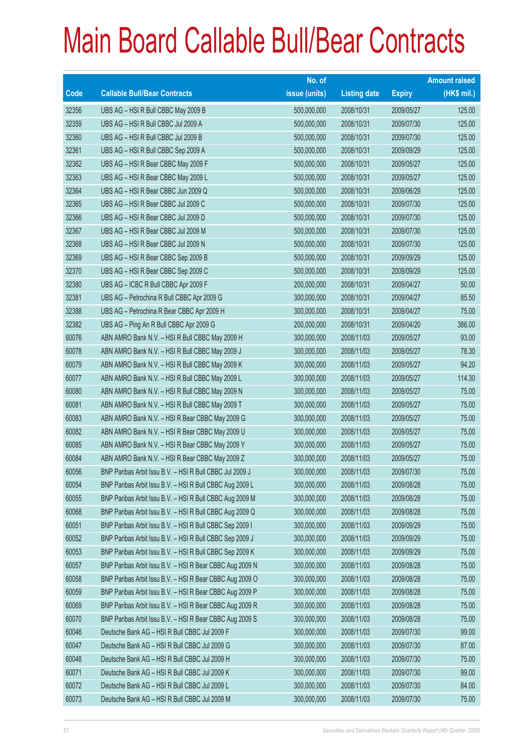|       |                                                          | No. of        |                     |               | <b>Amount raised</b> |
|-------|----------------------------------------------------------|---------------|---------------------|---------------|----------------------|
| Code  | <b>Callable Bull/Bear Contracts</b>                      | issue (units) | <b>Listing date</b> | <b>Expiry</b> | $(HK$$ mil.)         |
| 32356 | UBS AG - HSI R Bull CBBC May 2009 B                      | 500,000,000   | 2008/10/31          | 2009/05/27    | 125.00               |
| 32359 | UBS AG - HSI R Bull CBBC Jul 2009 A                      | 500,000,000   | 2008/10/31          | 2009/07/30    | 125.00               |
| 32360 | UBS AG - HSI R Bull CBBC Jul 2009 B                      | 500,000,000   | 2008/10/31          | 2009/07/30    | 125.00               |
| 32361 | UBS AG - HSI R Bull CBBC Sep 2009 A                      | 500,000,000   | 2008/10/31          | 2009/09/29    | 125.00               |
| 32362 | UBS AG - HSI R Bear CBBC May 2009 F                      | 500,000,000   | 2008/10/31          | 2009/05/27    | 125.00               |
| 32363 | UBS AG - HSI R Bear CBBC May 2009 L                      | 500,000,000   | 2008/10/31          | 2009/05/27    | 125.00               |
| 32364 | UBS AG - HSI R Bear CBBC Jun 2009 Q                      | 500,000,000   | 2008/10/31          | 2009/06/29    | 125.00               |
| 32365 | UBS AG - HSI R Bear CBBC Jul 2009 C                      | 500,000,000   | 2008/10/31          | 2009/07/30    | 125.00               |
| 32366 | UBS AG - HSI R Bear CBBC Jul 2009 D                      | 500,000,000   | 2008/10/31          | 2009/07/30    | 125.00               |
| 32367 | UBS AG - HSI R Bear CBBC Jul 2009 M                      | 500,000,000   | 2008/10/31          | 2009/07/30    | 125.00               |
| 32368 | UBS AG - HSI R Bear CBBC Jul 2009 N                      | 500,000,000   | 2008/10/31          | 2009/07/30    | 125.00               |
| 32369 | UBS AG - HSI R Bear CBBC Sep 2009 B                      | 500,000,000   | 2008/10/31          | 2009/09/29    | 125.00               |
| 32370 | UBS AG - HSI R Bear CBBC Sep 2009 C                      | 500,000,000   | 2008/10/31          | 2009/09/29    | 125.00               |
| 32380 | UBS AG - ICBC R Bull CBBC Apr 2009 F                     | 200,000,000   | 2008/10/31          | 2009/04/27    | 50.00                |
| 32381 | UBS AG - Petrochina R Bull CBBC Apr 2009 G               | 300,000,000   | 2008/10/31          | 2009/04/27    | 85.50                |
| 32388 | UBS AG - Petrochina R Bear CBBC Apr 2009 H               | 300,000,000   | 2008/10/31          | 2009/04/27    | 75.00                |
| 32382 | UBS AG - Ping An R Bull CBBC Apr 2009 G                  | 200,000,000   | 2008/10/31          | 2009/04/20    | 386.00               |
| 60076 | ABN AMRO Bank N.V. - HSI R Bull CBBC May 2009 H          | 300,000,000   | 2008/11/03          | 2009/05/27    | 93.00                |
| 60078 | ABN AMRO Bank N.V. - HSI R Bull CBBC May 2009 J          | 300,000,000   | 2008/11/03          | 2009/05/27    | 78.30                |
| 60079 | ABN AMRO Bank N.V. - HSI R Bull CBBC May 2009 K          | 300,000,000   | 2008/11/03          | 2009/05/27    | 94.20                |
| 60077 | ABN AMRO Bank N.V. - HSI R Bull CBBC May 2009 L          | 300,000,000   | 2008/11/03          | 2009/05/27    | 114.30               |
| 60080 | ABN AMRO Bank N.V. - HSI R Bull CBBC May 2009 N          | 300,000,000   | 2008/11/03          | 2009/05/27    | 75.00                |
| 60081 | ABN AMRO Bank N.V. - HSI R Bull CBBC May 2009 T          | 300,000,000   | 2008/11/03          | 2009/05/27    | 75.00                |
| 60083 | ABN AMRO Bank N.V. - HSI R Bear CBBC May 2009 G          | 300,000,000   | 2008/11/03          | 2009/05/27    | 75.00                |
| 60082 | ABN AMRO Bank N.V. - HSI R Bear CBBC May 2009 U          | 300,000,000   | 2008/11/03          | 2009/05/27    | 75.00                |
| 60085 | ABN AMRO Bank N.V. - HSI R Bear CBBC May 2009 Y          | 300,000,000   | 2008/11/03          | 2009/05/27    | 75.00                |
| 60084 | ABN AMRO Bank N.V. - HSI R Bear CBBC May 2009 Z          | 300,000,000   | 2008/11/03          | 2009/05/27    | 75.00                |
| 60056 | BNP Paribas Arbit Issu B.V. - HSI R Bull CBBC Jul 2009 J | 300,000,000   | 2008/11/03          | 2009/07/30    | 75.00                |
| 60054 | BNP Paribas Arbit Issu B.V. - HSI R Bull CBBC Aug 2009 L | 300,000,000   | 2008/11/03          | 2009/08/28    | 75.00                |
| 60055 | BNP Paribas Arbit Issu B.V. - HSI R Bull CBBC Aug 2009 M | 300,000,000   | 2008/11/03          | 2009/08/28    | 75.00                |
| 60068 | BNP Paribas Arbit Issu B.V. - HSI R Bull CBBC Aug 2009 Q | 300,000,000   | 2008/11/03          | 2009/08/28    | 75.00                |
| 60051 | BNP Paribas Arbit Issu B.V. - HSI R Bull CBBC Sep 2009 I | 300,000,000   | 2008/11/03          | 2009/09/29    | 75.00                |
| 60052 | BNP Paribas Arbit Issu B.V. - HSI R Bull CBBC Sep 2009 J | 300,000,000   | 2008/11/03          | 2009/09/29    | 75.00                |
| 60053 | BNP Paribas Arbit Issu B.V. - HSI R Bull CBBC Sep 2009 K | 300,000,000   | 2008/11/03          | 2009/09/29    | 75.00                |
| 60057 | BNP Paribas Arbit Issu B.V. - HSI R Bear CBBC Aug 2009 N | 300,000,000   | 2008/11/03          | 2009/08/28    | 75.00                |
| 60058 | BNP Paribas Arbit Issu B.V. - HSI R Bear CBBC Aug 2009 O | 300,000,000   | 2008/11/03          | 2009/08/28    | 75.00                |
| 60059 | BNP Paribas Arbit Issu B.V. - HSI R Bear CBBC Aug 2009 P | 300,000,000   | 2008/11/03          | 2009/08/28    | 75.00                |
| 60069 | BNP Paribas Arbit Issu B.V. - HSI R Bear CBBC Aug 2009 R | 300,000,000   | 2008/11/03          | 2009/08/28    | 75.00                |
| 60070 | BNP Paribas Arbit Issu B.V. - HSI R Bear CBBC Aug 2009 S | 300,000,000   | 2008/11/03          | 2009/08/28    | 75.00                |
| 60046 | Deutsche Bank AG - HSI R Bull CBBC Jul 2009 F            | 300,000,000   | 2008/11/03          | 2009/07/30    | 99.00                |
| 60047 | Deutsche Bank AG - HSI R Bull CBBC Jul 2009 G            | 300,000,000   | 2008/11/03          | 2009/07/30    | 87.00                |
| 60048 | Deutsche Bank AG - HSI R Bull CBBC Jul 2009 H            | 300,000,000   | 2008/11/03          | 2009/07/30    | 75.00                |
| 60071 | Deutsche Bank AG - HSI R Bull CBBC Jul 2009 K            | 300,000,000   | 2008/11/03          | 2009/07/30    | 99.00                |
| 60072 | Deutsche Bank AG - HSI R Bull CBBC Jul 2009 L            | 300,000,000   | 2008/11/03          | 2009/07/30    | 84.00                |
| 60073 | Deutsche Bank AG - HSI R Bull CBBC Jul 2009 M            | 300,000,000   | 2008/11/03          | 2009/07/30    | 75.00                |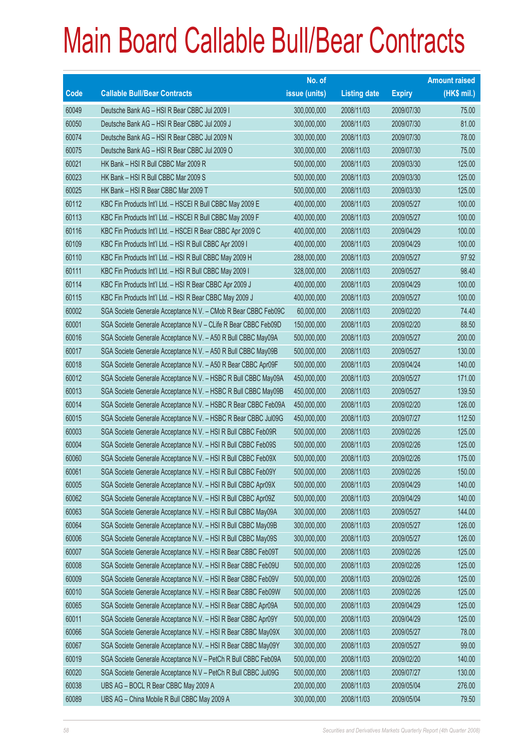|             |                                                                | No. of        |                     |               | <b>Amount raised</b> |
|-------------|----------------------------------------------------------------|---------------|---------------------|---------------|----------------------|
| <b>Code</b> | <b>Callable Bull/Bear Contracts</b>                            | issue (units) | <b>Listing date</b> | <b>Expiry</b> | $(HK$$ mil.)         |
| 60049       | Deutsche Bank AG - HSI R Bear CBBC Jul 2009 I                  | 300,000,000   | 2008/11/03          | 2009/07/30    | 75.00                |
| 60050       | Deutsche Bank AG - HSI R Bear CBBC Jul 2009 J                  | 300,000,000   | 2008/11/03          | 2009/07/30    | 81.00                |
| 60074       | Deutsche Bank AG - HSI R Bear CBBC Jul 2009 N                  | 300,000,000   | 2008/11/03          | 2009/07/30    | 78.00                |
| 60075       | Deutsche Bank AG - HSI R Bear CBBC Jul 2009 O                  | 300,000,000   | 2008/11/03          | 2009/07/30    | 75.00                |
| 60021       | HK Bank - HSI R Bull CBBC Mar 2009 R                           | 500,000,000   | 2008/11/03          | 2009/03/30    | 125.00               |
| 60023       | HK Bank - HSI R Bull CBBC Mar 2009 S                           | 500,000,000   | 2008/11/03          | 2009/03/30    | 125.00               |
| 60025       | HK Bank - HSI R Bear CBBC Mar 2009 T                           | 500,000,000   | 2008/11/03          | 2009/03/30    | 125.00               |
| 60112       | KBC Fin Products Int'l Ltd. - HSCEI R Bull CBBC May 2009 E     | 400,000,000   | 2008/11/03          | 2009/05/27    | 100.00               |
| 60113       | KBC Fin Products Int'l Ltd. - HSCEI R Bull CBBC May 2009 F     | 400,000,000   | 2008/11/03          | 2009/05/27    | 100.00               |
| 60116       | KBC Fin Products Int'l Ltd. - HSCEI R Bear CBBC Apr 2009 C     | 400,000,000   | 2008/11/03          | 2009/04/29    | 100.00               |
| 60109       | KBC Fin Products Int'l Ltd. - HSI R Bull CBBC Apr 2009 I       | 400,000,000   | 2008/11/03          | 2009/04/29    | 100.00               |
| 60110       | KBC Fin Products Int'l Ltd. - HSI R Bull CBBC May 2009 H       | 288,000,000   | 2008/11/03          | 2009/05/27    | 97.92                |
| 60111       | KBC Fin Products Int'l Ltd. - HSI R Bull CBBC May 2009 I       | 328,000,000   | 2008/11/03          | 2009/05/27    | 98.40                |
| 60114       | KBC Fin Products Int'l Ltd. - HSI R Bear CBBC Apr 2009 J       | 400,000,000   | 2008/11/03          | 2009/04/29    | 100.00               |
| 60115       | KBC Fin Products Int'l Ltd. - HSI R Bear CBBC May 2009 J       | 400,000,000   | 2008/11/03          | 2009/05/27    | 100.00               |
| 60002       | SGA Societe Generale Acceptance N.V. - CMob R Bear CBBC Feb09C | 60,000,000    | 2008/11/03          | 2009/02/20    | 74.40                |
| 60001       | SGA Societe Generale Acceptance N.V - CLife R Bear CBBC Feb09D | 150,000,000   | 2008/11/03          | 2009/02/20    | 88.50                |
| 60016       | SGA Societe Generale Acceptance N.V. - A50 R Bull CBBC May09A  | 500,000,000   | 2008/11/03          | 2009/05/27    | 200.00               |
| 60017       | SGA Societe Generale Acceptance N.V. - A50 R Bull CBBC May09B  | 500,000,000   | 2008/11/03          | 2009/05/27    | 130.00               |
| 60018       | SGA Societe Generale Acceptance N.V. - A50 R Bear CBBC Apr09F  | 500,000,000   | 2008/11/03          | 2009/04/24    | 140.00               |
| 60012       | SGA Societe Generale Acceptance N.V. - HSBC R Bull CBBC May09A | 450,000,000   | 2008/11/03          | 2009/05/27    | 171.00               |
| 60013       | SGA Societe Generale Acceptance N.V. - HSBC R Bull CBBC May09B | 450,000,000   | 2008/11/03          | 2009/05/27    | 139.50               |
| 60014       | SGA Societe Generale Acceptance N.V. - HSBC R Bear CBBC Feb09A | 450,000,000   | 2008/11/03          | 2009/02/20    | 126.00               |
| 60015       | SGA Societe Generale Acceptance N.V. - HSBC R Bear CBBC Jul09G | 450,000,000   | 2008/11/03          | 2009/07/27    | 112.50               |
| 60003       | SGA Societe Generale Acceptance N.V. - HSI R Bull CBBC Feb09R  | 500,000,000   | 2008/11/03          | 2009/02/26    | 125.00               |
| 60004       | SGA Societe Generale Acceptance N.V. - HSI R Bull CBBC Feb09S  | 500,000,000   | 2008/11/03          | 2009/02/26    | 125.00               |
| 60060       | SGA Societe Generale Acceptance N.V. - HSI R Bull CBBC Feb09X  | 500,000,000   | 2008/11/03          | 2009/02/26    | 175.00               |
| 60061       | SGA Societe Generale Acceptance N.V. - HSI R Bull CBBC Feb09Y  | 500,000,000   | 2008/11/03          | 2009/02/26    | 150.00               |
| 60005       | SGA Societe Generale Acceptance N.V. - HSI R Bull CBBC Apr09X  | 500,000,000   | 2008/11/03          | 2009/04/29    | 140.00               |
| 60062       | SGA Societe Generale Acceptance N.V. - HSI R Bull CBBC Apr09Z  | 500,000,000   | 2008/11/03          | 2009/04/29    | 140.00               |
| 60063       | SGA Societe Generale Acceptance N.V. - HSI R Bull CBBC May09A  | 300,000,000   | 2008/11/03          | 2009/05/27    | 144.00               |
| 60064       | SGA Societe Generale Acceptance N.V. - HSI R Bull CBBC May09B  | 300,000,000   | 2008/11/03          | 2009/05/27    | 126.00               |
| 60006       | SGA Societe Generale Acceptance N.V. - HSI R Bull CBBC May09S  | 300,000,000   | 2008/11/03          | 2009/05/27    | 126.00               |
| 60007       | SGA Societe Generale Acceptance N.V. - HSI R Bear CBBC Feb09T  | 500,000,000   | 2008/11/03          | 2009/02/26    | 125.00               |
| 60008       | SGA Societe Generale Acceptance N.V. - HSI R Bear CBBC Feb09U  | 500,000,000   | 2008/11/03          | 2009/02/26    | 125.00               |
| 60009       | SGA Societe Generale Acceptance N.V. - HSI R Bear CBBC Feb09V  | 500,000,000   | 2008/11/03          | 2009/02/26    | 125.00               |
| 60010       | SGA Societe Generale Acceptance N.V. - HSI R Bear CBBC Feb09W  | 500,000,000   | 2008/11/03          | 2009/02/26    | 125.00               |
| 60065       | SGA Societe Generale Acceptance N.V. - HSI R Bear CBBC Apr09A  | 500,000,000   | 2008/11/03          | 2009/04/29    | 125.00               |
| 60011       | SGA Societe Generale Acceptance N.V. - HSI R Bear CBBC Apr09Y  | 500,000,000   | 2008/11/03          | 2009/04/29    | 125.00               |
| 60066       | SGA Societe Generale Acceptance N.V. - HSI R Bear CBBC May09X  | 300,000,000   | 2008/11/03          | 2009/05/27    | 78.00                |
| 60067       | SGA Societe Generale Acceptance N.V. - HSI R Bear CBBC May09Y  | 300,000,000   | 2008/11/03          | 2009/05/27    | 99.00                |
| 60019       | SGA Societe Generale Acceptance N.V - PetCh R Bull CBBC Feb09A | 500,000,000   | 2008/11/03          | 2009/02/20    | 140.00               |
| 60020       | SGA Societe Generale Acceptance N.V - PetCh R Bull CBBC Jul09G | 500,000,000   | 2008/11/03          | 2009/07/27    | 130.00               |
| 60038       | UBS AG - BOCL R Bear CBBC May 2009 A                           | 200,000,000   | 2008/11/03          | 2009/05/04    | 276.00               |
| 60089       | UBS AG - China Mobile R Bull CBBC May 2009 A                   | 300,000,000   | 2008/11/03          | 2009/05/04    | 79.50                |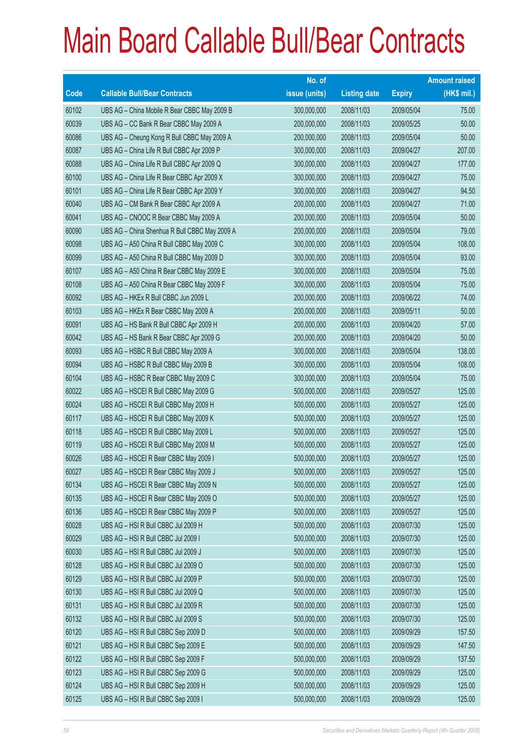|       |                                               | No. of        |                     |               | <b>Amount raised</b> |
|-------|-----------------------------------------------|---------------|---------------------|---------------|----------------------|
| Code  | <b>Callable Bull/Bear Contracts</b>           | issue (units) | <b>Listing date</b> | <b>Expiry</b> | $(HK$$ mil.)         |
| 60102 | UBS AG - China Mobile R Bear CBBC May 2009 B  | 300,000,000   | 2008/11/03          | 2009/05/04    | 75.00                |
| 60039 | UBS AG - CC Bank R Bear CBBC May 2009 A       | 200,000,000   | 2008/11/03          | 2009/05/25    | 50.00                |
| 60086 | UBS AG - Cheung Kong R Bull CBBC May 2009 A   | 200,000,000   | 2008/11/03          | 2009/05/04    | 50.00                |
| 60087 | UBS AG - China Life R Bull CBBC Apr 2009 P    | 300,000,000   | 2008/11/03          | 2009/04/27    | 207.00               |
| 60088 | UBS AG - China Life R Bull CBBC Apr 2009 Q    | 300,000,000   | 2008/11/03          | 2009/04/27    | 177.00               |
| 60100 | UBS AG - China Life R Bear CBBC Apr 2009 X    | 300,000,000   | 2008/11/03          | 2009/04/27    | 75.00                |
| 60101 | UBS AG - China Life R Bear CBBC Apr 2009 Y    | 300,000,000   | 2008/11/03          | 2009/04/27    | 94.50                |
| 60040 | UBS AG - CM Bank R Bear CBBC Apr 2009 A       | 200,000,000   | 2008/11/03          | 2009/04/27    | 71.00                |
| 60041 | UBS AG - CNOOC R Bear CBBC May 2009 A         | 200,000,000   | 2008/11/03          | 2009/05/04    | 50.00                |
| 60090 | UBS AG - China Shenhua R Bull CBBC May 2009 A | 200,000,000   | 2008/11/03          | 2009/05/04    | 79.00                |
| 60098 | UBS AG - A50 China R Bull CBBC May 2009 C     | 300,000,000   | 2008/11/03          | 2009/05/04    | 108.00               |
| 60099 | UBS AG - A50 China R Bull CBBC May 2009 D     | 300,000,000   | 2008/11/03          | 2009/05/04    | 93.00                |
| 60107 | UBS AG - A50 China R Bear CBBC May 2009 E     | 300,000,000   | 2008/11/03          | 2009/05/04    | 75.00                |
| 60108 | UBS AG - A50 China R Bear CBBC May 2009 F     | 300,000,000   | 2008/11/03          | 2009/05/04    | 75.00                |
| 60092 | UBS AG - HKEx R Bull CBBC Jun 2009 L          | 200,000,000   | 2008/11/03          | 2009/06/22    | 74.00                |
| 60103 | UBS AG - HKEx R Bear CBBC May 2009 A          | 200,000,000   | 2008/11/03          | 2009/05/11    | 50.00                |
| 60091 | UBS AG - HS Bank R Bull CBBC Apr 2009 H       | 200,000,000   | 2008/11/03          | 2009/04/20    | 57.00                |
| 60042 | UBS AG - HS Bank R Bear CBBC Apr 2009 G       | 200,000,000   | 2008/11/03          | 2009/04/20    | 50.00                |
| 60093 | UBS AG - HSBC R Bull CBBC May 2009 A          | 300,000,000   | 2008/11/03          | 2009/05/04    | 138.00               |
| 60094 | UBS AG - HSBC R Bull CBBC May 2009 B          | 300,000,000   | 2008/11/03          | 2009/05/04    | 108.00               |
| 60104 | UBS AG - HSBC R Bear CBBC May 2009 C          | 300,000,000   | 2008/11/03          | 2009/05/04    | 75.00                |
| 60022 | UBS AG - HSCEI R Bull CBBC May 2009 G         | 500,000,000   | 2008/11/03          | 2009/05/27    | 125.00               |
| 60024 | UBS AG - HSCEI R Bull CBBC May 2009 H         | 500,000,000   | 2008/11/03          | 2009/05/27    | 125.00               |
| 60117 | UBS AG - HSCEI R Bull CBBC May 2009 K         | 500,000,000   | 2008/11/03          | 2009/05/27    | 125.00               |
| 60118 | UBS AG - HSCEI R Bull CBBC May 2009 L         | 500,000,000   | 2008/11/03          | 2009/05/27    | 125.00               |
| 60119 | UBS AG - HSCEI R Bull CBBC May 2009 M         | 500,000,000   | 2008/11/03          | 2009/05/27    | 125.00               |
| 60026 | UBS AG - HSCEI R Bear CBBC May 2009 I         | 500,000,000   | 2008/11/03          | 2009/05/27    | 125.00               |
| 60027 | UBS AG - HSCEI R Bear CBBC May 2009 J         | 500,000,000   | 2008/11/03          | 2009/05/27    | 125.00               |
| 60134 | UBS AG - HSCEI R Bear CBBC May 2009 N         | 500,000,000   | 2008/11/03          | 2009/05/27    | 125.00               |
| 60135 | UBS AG - HSCEI R Bear CBBC May 2009 O         | 500,000,000   | 2008/11/03          | 2009/05/27    | 125.00               |
| 60136 | UBS AG - HSCEI R Bear CBBC May 2009 P         | 500,000,000   | 2008/11/03          | 2009/05/27    | 125.00               |
| 60028 | UBS AG - HSI R Bull CBBC Jul 2009 H           | 500,000,000   | 2008/11/03          | 2009/07/30    | 125.00               |
| 60029 | UBS AG - HSI R Bull CBBC Jul 2009 I           | 500,000,000   | 2008/11/03          | 2009/07/30    | 125.00               |
| 60030 | UBS AG - HSI R Bull CBBC Jul 2009 J           | 500,000,000   | 2008/11/03          | 2009/07/30    | 125.00               |
| 60128 | UBS AG - HSI R Bull CBBC Jul 2009 O           | 500,000,000   | 2008/11/03          | 2009/07/30    | 125.00               |
| 60129 | UBS AG - HSI R Bull CBBC Jul 2009 P           | 500,000,000   | 2008/11/03          | 2009/07/30    | 125.00               |
| 60130 | UBS AG - HSI R Bull CBBC Jul 2009 Q           | 500,000,000   | 2008/11/03          | 2009/07/30    | 125.00               |
| 60131 | UBS AG - HSI R Bull CBBC Jul 2009 R           | 500,000,000   | 2008/11/03          | 2009/07/30    | 125.00               |
| 60132 | UBS AG - HSI R Bull CBBC Jul 2009 S           | 500,000,000   | 2008/11/03          | 2009/07/30    | 125.00               |
| 60120 | UBS AG - HSI R Bull CBBC Sep 2009 D           | 500,000,000   | 2008/11/03          | 2009/09/29    | 157.50               |
| 60121 | UBS AG - HSI R Bull CBBC Sep 2009 E           | 500,000,000   | 2008/11/03          | 2009/09/29    | 147.50               |
| 60122 | UBS AG - HSI R Bull CBBC Sep 2009 F           | 500,000,000   | 2008/11/03          | 2009/09/29    | 137.50               |
| 60123 | UBS AG - HSI R Bull CBBC Sep 2009 G           | 500,000,000   | 2008/11/03          | 2009/09/29    | 125.00               |
| 60124 | UBS AG - HSI R Bull CBBC Sep 2009 H           | 500,000,000   | 2008/11/03          | 2009/09/29    | 125.00               |
| 60125 | UBS AG - HSI R Bull CBBC Sep 2009 I           | 500,000,000   | 2008/11/03          | 2009/09/29    | 125.00               |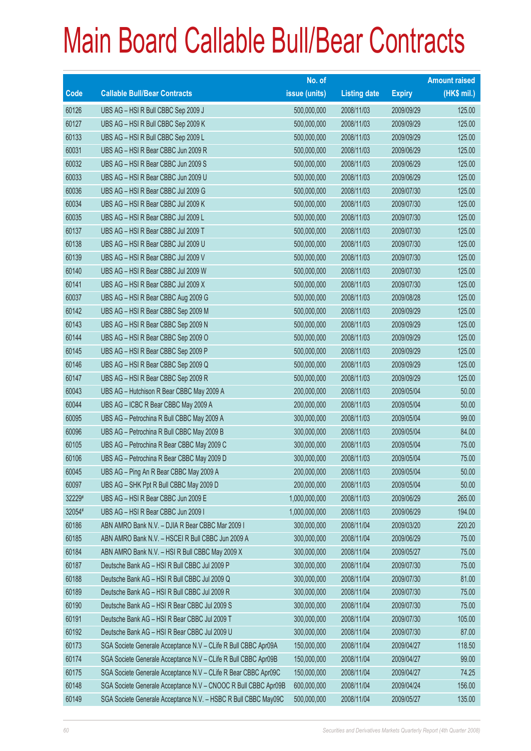|        |                                                                | No. of        |                     |               | <b>Amount raised</b> |
|--------|----------------------------------------------------------------|---------------|---------------------|---------------|----------------------|
| Code   | <b>Callable Bull/Bear Contracts</b>                            | issue (units) | <b>Listing date</b> | <b>Expiry</b> | $(HK$$ mil.)         |
| 60126  | UBS AG - HSI R Bull CBBC Sep 2009 J                            | 500,000,000   | 2008/11/03          | 2009/09/29    | 125.00               |
| 60127  | UBS AG - HSI R Bull CBBC Sep 2009 K                            | 500,000,000   | 2008/11/03          | 2009/09/29    | 125.00               |
| 60133  | UBS AG - HSI R Bull CBBC Sep 2009 L                            | 500,000,000   | 2008/11/03          | 2009/09/29    | 125.00               |
| 60031  | UBS AG - HSI R Bear CBBC Jun 2009 R                            | 500,000,000   | 2008/11/03          | 2009/06/29    | 125.00               |
| 60032  | UBS AG - HSI R Bear CBBC Jun 2009 S                            | 500,000,000   | 2008/11/03          | 2009/06/29    | 125.00               |
| 60033  | UBS AG - HSI R Bear CBBC Jun 2009 U                            | 500,000,000   | 2008/11/03          | 2009/06/29    | 125.00               |
| 60036  | UBS AG - HSI R Bear CBBC Jul 2009 G                            | 500,000,000   | 2008/11/03          | 2009/07/30    | 125.00               |
| 60034  | UBS AG - HSI R Bear CBBC Jul 2009 K                            | 500,000,000   | 2008/11/03          | 2009/07/30    | 125.00               |
| 60035  | UBS AG - HSI R Bear CBBC Jul 2009 L                            | 500,000,000   | 2008/11/03          | 2009/07/30    | 125.00               |
| 60137  | UBS AG - HSI R Bear CBBC Jul 2009 T                            | 500,000,000   | 2008/11/03          | 2009/07/30    | 125.00               |
| 60138  | UBS AG - HSI R Bear CBBC Jul 2009 U                            | 500,000,000   | 2008/11/03          | 2009/07/30    | 125.00               |
| 60139  | UBS AG - HSI R Bear CBBC Jul 2009 V                            | 500,000,000   | 2008/11/03          | 2009/07/30    | 125.00               |
| 60140  | UBS AG - HSI R Bear CBBC Jul 2009 W                            | 500,000,000   | 2008/11/03          | 2009/07/30    | 125.00               |
| 60141  | UBS AG - HSI R Bear CBBC Jul 2009 X                            | 500,000,000   | 2008/11/03          | 2009/07/30    | 125.00               |
| 60037  | UBS AG - HSI R Bear CBBC Aug 2009 G                            | 500,000,000   | 2008/11/03          | 2009/08/28    | 125.00               |
| 60142  | UBS AG - HSI R Bear CBBC Sep 2009 M                            | 500,000,000   | 2008/11/03          | 2009/09/29    | 125.00               |
| 60143  | UBS AG - HSI R Bear CBBC Sep 2009 N                            | 500,000,000   | 2008/11/03          | 2009/09/29    | 125.00               |
| 60144  | UBS AG - HSI R Bear CBBC Sep 2009 O                            | 500,000,000   | 2008/11/03          | 2009/09/29    | 125.00               |
| 60145  | UBS AG - HSI R Bear CBBC Sep 2009 P                            | 500,000,000   | 2008/11/03          | 2009/09/29    | 125.00               |
| 60146  | UBS AG - HSI R Bear CBBC Sep 2009 Q                            | 500,000,000   | 2008/11/03          | 2009/09/29    | 125.00               |
| 60147  | UBS AG - HSI R Bear CBBC Sep 2009 R                            | 500,000,000   | 2008/11/03          | 2009/09/29    | 125.00               |
| 60043  | UBS AG - Hutchison R Bear CBBC May 2009 A                      | 200,000,000   | 2008/11/03          | 2009/05/04    | 50.00                |
| 60044  | UBS AG - ICBC R Bear CBBC May 2009 A                           | 200,000,000   | 2008/11/03          | 2009/05/04    | 50.00                |
| 60095  | UBS AG - Petrochina R Bull CBBC May 2009 A                     | 300,000,000   | 2008/11/03          | 2009/05/04    | 99.00                |
| 60096  | UBS AG - Petrochina R Bull CBBC May 2009 B                     | 300,000,000   | 2008/11/03          | 2009/05/04    | 84.00                |
| 60105  | UBS AG - Petrochina R Bear CBBC May 2009 C                     | 300,000,000   | 2008/11/03          | 2009/05/04    | 75.00                |
| 60106  | UBS AG - Petrochina R Bear CBBC May 2009 D                     | 300,000,000   | 2008/11/03          | 2009/05/04    | 75.00                |
| 60045  | UBS AG - Ping An R Bear CBBC May 2009 A                        | 200,000,000   | 2008/11/03          | 2009/05/04    | 50.00                |
| 60097  | UBS AG - SHK Ppt R Bull CBBC May 2009 D                        | 200,000,000   | 2008/11/03          | 2009/05/04    | 50.00                |
| 32229# | UBS AG - HSI R Bear CBBC Jun 2009 E                            | 1,000,000,000 | 2008/11/03          | 2009/06/29    | 265.00               |
| 32054# | UBS AG - HSI R Bear CBBC Jun 2009 I                            | 1,000,000,000 | 2008/11/03          | 2009/06/29    | 194.00               |
| 60186  | ABN AMRO Bank N.V. - DJIA R Bear CBBC Mar 2009 I               | 300,000,000   | 2008/11/04          | 2009/03/20    | 220.20               |
| 60185  | ABN AMRO Bank N.V. - HSCEI R Bull CBBC Jun 2009 A              | 300,000,000   | 2008/11/04          | 2009/06/29    | 75.00                |
| 60184  | ABN AMRO Bank N.V. - HSI R Bull CBBC May 2009 X                | 300,000,000   | 2008/11/04          | 2009/05/27    | 75.00                |
| 60187  | Deutsche Bank AG - HSI R Bull CBBC Jul 2009 P                  | 300,000,000   | 2008/11/04          | 2009/07/30    | 75.00                |
| 60188  | Deutsche Bank AG - HSI R Bull CBBC Jul 2009 Q                  | 300,000,000   | 2008/11/04          | 2009/07/30    | 81.00                |
| 60189  | Deutsche Bank AG - HSI R Bull CBBC Jul 2009 R                  | 300,000,000   | 2008/11/04          | 2009/07/30    | 75.00                |
| 60190  | Deutsche Bank AG - HSI R Bear CBBC Jul 2009 S                  | 300,000,000   | 2008/11/04          | 2009/07/30    | 75.00                |
| 60191  | Deutsche Bank AG - HSI R Bear CBBC Jul 2009 T                  | 300,000,000   | 2008/11/04          | 2009/07/30    | 105.00               |
| 60192  | Deutsche Bank AG - HSI R Bear CBBC Jul 2009 U                  | 300,000,000   | 2008/11/04          | 2009/07/30    | 87.00                |
| 60173  | SGA Societe Generale Acceptance N.V - CLife R Bull CBBC Apr09A | 150,000,000   | 2008/11/04          | 2009/04/27    | 118.50               |
| 60174  | SGA Societe Generale Acceptance N.V - CLife R Bull CBBC Apr09B | 150,000,000   | 2008/11/04          | 2009/04/27    | 99.00                |
| 60175  | SGA Societe Generale Acceptance N.V - CLife R Bear CBBC Apr09C | 150,000,000   | 2008/11/04          | 2009/04/27    | 74.25                |
| 60148  | SGA Societe Generale Acceptance N.V - CNOOC R Bull CBBC Apr09B | 600,000,000   | 2008/11/04          | 2009/04/24    | 156.00               |
| 60149  | SGA Societe Generale Acceptance N.V. - HSBC R Bull CBBC May09C | 500,000,000   | 2008/11/04          | 2009/05/27    | 135.00               |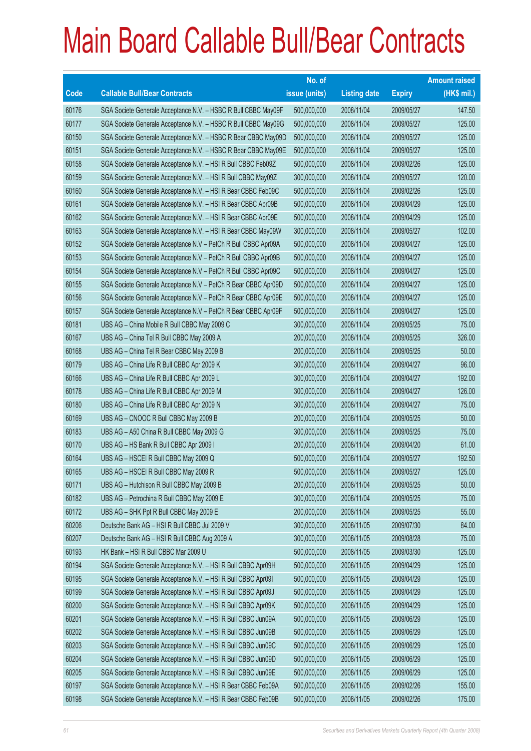|             |                                                                | No. of        |                     |               | <b>Amount raised</b> |
|-------------|----------------------------------------------------------------|---------------|---------------------|---------------|----------------------|
| <b>Code</b> | <b>Callable Bull/Bear Contracts</b>                            | issue (units) | <b>Listing date</b> | <b>Expiry</b> | (HK\$ mil.)          |
| 60176       | SGA Societe Generale Acceptance N.V. - HSBC R Bull CBBC May09F | 500,000,000   | 2008/11/04          | 2009/05/27    | 147.50               |
| 60177       | SGA Societe Generale Acceptance N.V. - HSBC R Bull CBBC May09G | 500,000,000   | 2008/11/04          | 2009/05/27    | 125.00               |
| 60150       | SGA Societe Generale Acceptance N.V. - HSBC R Bear CBBC May09D | 500,000,000   | 2008/11/04          | 2009/05/27    | 125.00               |
| 60151       | SGA Societe Generale Acceptance N.V. - HSBC R Bear CBBC May09E | 500,000,000   | 2008/11/04          | 2009/05/27    | 125.00               |
| 60158       | SGA Societe Generale Acceptance N.V. - HSI R Bull CBBC Feb09Z  | 500,000,000   | 2008/11/04          | 2009/02/26    | 125.00               |
| 60159       | SGA Societe Generale Acceptance N.V. - HSI R Bull CBBC May09Z  | 300,000,000   | 2008/11/04          | 2009/05/27    | 120.00               |
| 60160       | SGA Societe Generale Acceptance N.V. - HSI R Bear CBBC Feb09C  | 500,000,000   | 2008/11/04          | 2009/02/26    | 125.00               |
| 60161       | SGA Societe Generale Acceptance N.V. - HSI R Bear CBBC Apr09B  | 500,000,000   | 2008/11/04          | 2009/04/29    | 125.00               |
| 60162       | SGA Societe Generale Acceptance N.V. - HSI R Bear CBBC Apr09E  | 500,000,000   | 2008/11/04          | 2009/04/29    | 125.00               |
| 60163       | SGA Societe Generale Acceptance N.V. - HSI R Bear CBBC May09W  | 300,000,000   | 2008/11/04          | 2009/05/27    | 102.00               |
| 60152       | SGA Societe Generale Acceptance N.V - PetCh R Bull CBBC Apr09A | 500,000,000   | 2008/11/04          | 2009/04/27    | 125.00               |
| 60153       | SGA Societe Generale Acceptance N.V - PetCh R Bull CBBC Apr09B | 500,000,000   | 2008/11/04          | 2009/04/27    | 125.00               |
| 60154       | SGA Societe Generale Acceptance N.V - PetCh R Bull CBBC Apr09C | 500,000,000   | 2008/11/04          | 2009/04/27    | 125.00               |
| 60155       | SGA Societe Generale Acceptance N.V - PetCh R Bear CBBC Apr09D | 500,000,000   | 2008/11/04          | 2009/04/27    | 125.00               |
| 60156       | SGA Societe Generale Acceptance N.V - PetCh R Bear CBBC Apr09E | 500,000,000   | 2008/11/04          | 2009/04/27    | 125.00               |
| 60157       | SGA Societe Generale Acceptance N.V - PetCh R Bear CBBC Apr09F | 500,000,000   | 2008/11/04          | 2009/04/27    | 125.00               |
| 60181       | UBS AG - China Mobile R Bull CBBC May 2009 C                   | 300,000,000   | 2008/11/04          | 2009/05/25    | 75.00                |
| 60167       | UBS AG - China Tel R Bull CBBC May 2009 A                      | 200,000,000   | 2008/11/04          | 2009/05/25    | 326.00               |
| 60168       | UBS AG - China Tel R Bear CBBC May 2009 B                      | 200,000,000   | 2008/11/04          | 2009/05/25    | 50.00                |
| 60179       | UBS AG - China Life R Bull CBBC Apr 2009 K                     | 300,000,000   | 2008/11/04          | 2009/04/27    | 96.00                |
| 60166       | UBS AG - China Life R Bull CBBC Apr 2009 L                     | 300,000,000   | 2008/11/04          | 2009/04/27    | 192.00               |
| 60178       | UBS AG - China Life R Bull CBBC Apr 2009 M                     | 300,000,000   | 2008/11/04          | 2009/04/27    | 126.00               |
| 60180       | UBS AG - China Life R Bull CBBC Apr 2009 N                     | 300,000,000   | 2008/11/04          | 2009/04/27    | 75.00                |
| 60169       | UBS AG - CNOOC R Bull CBBC May 2009 B                          | 200,000,000   | 2008/11/04          | 2009/05/25    | 50.00                |
| 60183       | UBS AG - A50 China R Bull CBBC May 2009 G                      | 300,000,000   | 2008/11/04          | 2009/05/25    | 75.00                |
| 60170       | UBS AG - HS Bank R Bull CBBC Apr 2009 I                        | 200,000,000   | 2008/11/04          | 2009/04/20    | 61.00                |
| 60164       | UBS AG - HSCEI R Bull CBBC May 2009 Q                          | 500,000,000   | 2008/11/04          | 2009/05/27    | 192.50               |
| 60165       | UBS AG - HSCEI R Bull CBBC May 2009 R                          | 500,000,000   | 2008/11/04          | 2009/05/27    | 125.00               |
| 60171       | UBS AG - Hutchison R Bull CBBC May 2009 B                      | 200,000,000   | 2008/11/04          | 2009/05/25    | 50.00                |
| 60182       | UBS AG - Petrochina R Bull CBBC May 2009 E                     | 300,000,000   | 2008/11/04          | 2009/05/25    | 75.00                |
| 60172       | UBS AG - SHK Ppt R Bull CBBC May 2009 E                        | 200,000,000   | 2008/11/04          | 2009/05/25    | 55.00                |
| 60206       | Deutsche Bank AG - HSI R Bull CBBC Jul 2009 V                  | 300,000,000   | 2008/11/05          | 2009/07/30    | 84.00                |
| 60207       | Deutsche Bank AG - HSI R Bull CBBC Aug 2009 A                  | 300,000,000   | 2008/11/05          | 2009/08/28    | 75.00                |
| 60193       | HK Bank - HSI R Bull CBBC Mar 2009 U                           | 500,000,000   | 2008/11/05          | 2009/03/30    | 125.00               |
| 60194       | SGA Societe Generale Acceptance N.V. - HSI R Bull CBBC Apr09H  | 500,000,000   | 2008/11/05          | 2009/04/29    | 125.00               |
| 60195       | SGA Societe Generale Acceptance N.V. - HSI R Bull CBBC Apr09I  | 500,000,000   | 2008/11/05          | 2009/04/29    | 125.00               |
| 60199       | SGA Societe Generale Acceptance N.V. - HSI R Bull CBBC Apr09J  | 500,000,000   | 2008/11/05          | 2009/04/29    | 125.00               |
| 60200       | SGA Societe Generale Acceptance N.V. - HSI R Bull CBBC Apr09K  | 500,000,000   | 2008/11/05          | 2009/04/29    | 125.00               |
| 60201       | SGA Societe Generale Acceptance N.V. - HSI R Bull CBBC Jun09A  | 500,000,000   | 2008/11/05          | 2009/06/29    | 125.00               |
| 60202       | SGA Societe Generale Acceptance N.V. - HSI R Bull CBBC Jun09B  | 500,000,000   | 2008/11/05          | 2009/06/29    | 125.00               |
| 60203       | SGA Societe Generale Acceptance N.V. - HSI R Bull CBBC Jun09C  | 500,000,000   | 2008/11/05          | 2009/06/29    | 125.00               |
| 60204       | SGA Societe Generale Acceptance N.V. - HSI R Bull CBBC Jun09D  | 500,000,000   | 2008/11/05          | 2009/06/29    | 125.00               |
| 60205       | SGA Societe Generale Acceptance N.V. - HSI R Bull CBBC Jun09E  | 500,000,000   | 2008/11/05          | 2009/06/29    | 125.00               |
| 60197       | SGA Societe Generale Acceptance N.V. - HSI R Bear CBBC Feb09A  | 500,000,000   | 2008/11/05          | 2009/02/26    | 155.00               |
| 60198       | SGA Societe Generale Acceptance N.V. - HSI R Bear CBBC Feb09B  | 500,000,000   | 2008/11/05          | 2009/02/26    | 175.00               |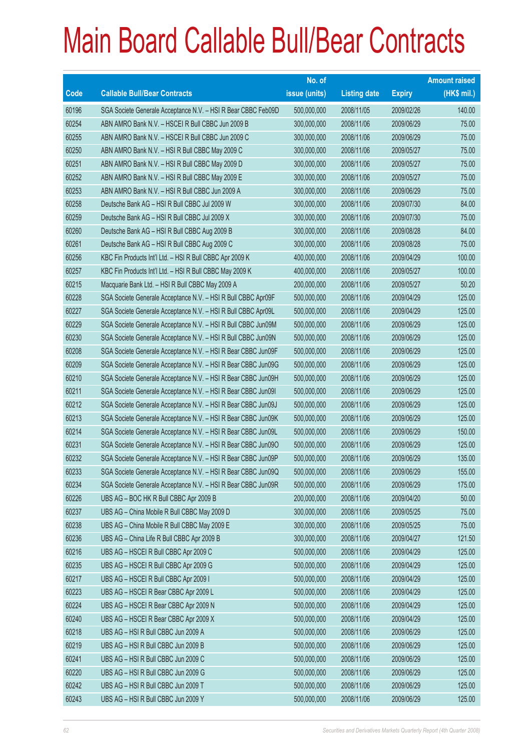|             |                                                               | No. of        |                     |               | <b>Amount raised</b> |
|-------------|---------------------------------------------------------------|---------------|---------------------|---------------|----------------------|
| <b>Code</b> | <b>Callable Bull/Bear Contracts</b>                           | issue (units) | <b>Listing date</b> | <b>Expiry</b> | (HK\$ mil.)          |
| 60196       | SGA Societe Generale Acceptance N.V. - HSI R Bear CBBC Feb09D | 500,000,000   | 2008/11/05          | 2009/02/26    | 140.00               |
| 60254       | ABN AMRO Bank N.V. - HSCEI R Bull CBBC Jun 2009 B             | 300,000,000   | 2008/11/06          | 2009/06/29    | 75.00                |
| 60255       | ABN AMRO Bank N.V. - HSCEI R Bull CBBC Jun 2009 C             | 300,000,000   | 2008/11/06          | 2009/06/29    | 75.00                |
| 60250       | ABN AMRO Bank N.V. - HSI R Bull CBBC May 2009 C               | 300,000,000   | 2008/11/06          | 2009/05/27    | 75.00                |
| 60251       | ABN AMRO Bank N.V. - HSI R Bull CBBC May 2009 D               | 300,000,000   | 2008/11/06          | 2009/05/27    | 75.00                |
| 60252       | ABN AMRO Bank N.V. - HSI R Bull CBBC May 2009 E               | 300,000,000   | 2008/11/06          | 2009/05/27    | 75.00                |
| 60253       | ABN AMRO Bank N.V. - HSI R Bull CBBC Jun 2009 A               | 300,000,000   | 2008/11/06          | 2009/06/29    | 75.00                |
| 60258       | Deutsche Bank AG - HSI R Bull CBBC Jul 2009 W                 | 300,000,000   | 2008/11/06          | 2009/07/30    | 84.00                |
| 60259       | Deutsche Bank AG - HSI R Bull CBBC Jul 2009 X                 | 300,000,000   | 2008/11/06          | 2009/07/30    | 75.00                |
| 60260       | Deutsche Bank AG - HSI R Bull CBBC Aug 2009 B                 | 300,000,000   | 2008/11/06          | 2009/08/28    | 84.00                |
| 60261       | Deutsche Bank AG - HSI R Bull CBBC Aug 2009 C                 | 300,000,000   | 2008/11/06          | 2009/08/28    | 75.00                |
| 60256       | KBC Fin Products Int'l Ltd. - HSI R Bull CBBC Apr 2009 K      | 400,000,000   | 2008/11/06          | 2009/04/29    | 100.00               |
| 60257       | KBC Fin Products Int'l Ltd. - HSI R Bull CBBC May 2009 K      | 400,000,000   | 2008/11/06          | 2009/05/27    | 100.00               |
| 60215       | Macquarie Bank Ltd. - HSI R Bull CBBC May 2009 A              | 200,000,000   | 2008/11/06          | 2009/05/27    | 50.20                |
| 60228       | SGA Societe Generale Acceptance N.V. - HSI R Bull CBBC Apr09F | 500,000,000   | 2008/11/06          | 2009/04/29    | 125.00               |
| 60227       | SGA Societe Generale Acceptance N.V. - HSI R Bull CBBC Apr09L | 500,000,000   | 2008/11/06          | 2009/04/29    | 125.00               |
| 60229       | SGA Societe Generale Acceptance N.V. - HSI R Bull CBBC Jun09M | 500,000,000   | 2008/11/06          | 2009/06/29    | 125.00               |
| 60230       | SGA Societe Generale Acceptance N.V. - HSI R Bull CBBC Jun09N | 500,000,000   | 2008/11/06          | 2009/06/29    | 125.00               |
| 60208       | SGA Societe Generale Acceptance N.V. - HSI R Bear CBBC Jun09F | 500,000,000   | 2008/11/06          | 2009/06/29    | 125.00               |
| 60209       | SGA Societe Generale Acceptance N.V. - HSI R Bear CBBC Jun09G | 500,000,000   | 2008/11/06          | 2009/06/29    | 125.00               |
| 60210       | SGA Societe Generale Acceptance N.V. - HSI R Bear CBBC Jun09H | 500,000,000   | 2008/11/06          | 2009/06/29    | 125.00               |
| 60211       | SGA Societe Generale Acceptance N.V. - HSI R Bear CBBC Jun09I | 500,000,000   | 2008/11/06          | 2009/06/29    | 125.00               |
| 60212       | SGA Societe Generale Acceptance N.V. - HSI R Bear CBBC Jun09J | 500,000,000   | 2008/11/06          | 2009/06/29    | 125.00               |
| 60213       | SGA Societe Generale Acceptance N.V. - HSI R Bear CBBC Jun09K | 500,000,000   | 2008/11/06          | 2009/06/29    | 125.00               |
| 60214       | SGA Societe Generale Acceptance N.V. - HSI R Bear CBBC Jun09L | 500,000,000   | 2008/11/06          | 2009/06/29    | 150.00               |
| 60231       | SGA Societe Generale Acceptance N.V. - HSI R Bear CBBC Jun09O | 500,000,000   | 2008/11/06          | 2009/06/29    | 125.00               |
| 60232       | SGA Societe Generale Acceptance N.V. - HSI R Bear CBBC Jun09P | 500,000,000   | 2008/11/06          | 2009/06/29    | 135.00               |
| 60233       | SGA Societe Generale Acceptance N.V. - HSI R Bear CBBC Jun09Q | 500,000,000   | 2008/11/06          | 2009/06/29    | 155.00               |
| 60234       | SGA Societe Generale Acceptance N.V. - HSI R Bear CBBC Jun09R | 500,000,000   | 2008/11/06          | 2009/06/29    | 175.00               |
| 60226       | UBS AG - BOC HK R Bull CBBC Apr 2009 B                        | 200,000,000   | 2008/11/06          | 2009/04/20    | 50.00                |
| 60237       | UBS AG - China Mobile R Bull CBBC May 2009 D                  | 300,000,000   | 2008/11/06          | 2009/05/25    | 75.00                |
| 60238       | UBS AG - China Mobile R Bull CBBC May 2009 E                  | 300,000,000   | 2008/11/06          | 2009/05/25    | 75.00                |
| 60236       | UBS AG - China Life R Bull CBBC Apr 2009 B                    | 300,000,000   | 2008/11/06          | 2009/04/27    | 121.50               |
| 60216       | UBS AG - HSCEI R Bull CBBC Apr 2009 C                         | 500,000,000   | 2008/11/06          | 2009/04/29    | 125.00               |
| 60235       | UBS AG - HSCEI R Bull CBBC Apr 2009 G                         | 500,000,000   | 2008/11/06          | 2009/04/29    | 125.00               |
| 60217       | UBS AG - HSCEI R Bull CBBC Apr 2009 I                         | 500,000,000   | 2008/11/06          | 2009/04/29    | 125.00               |
| 60223       | UBS AG - HSCEI R Bear CBBC Apr 2009 L                         | 500,000,000   | 2008/11/06          | 2009/04/29    | 125.00               |
| 60224       | UBS AG - HSCEI R Bear CBBC Apr 2009 N                         | 500,000,000   | 2008/11/06          | 2009/04/29    | 125.00               |
| 60240       | UBS AG - HSCEI R Bear CBBC Apr 2009 X                         | 500,000,000   | 2008/11/06          | 2009/04/29    | 125.00               |
| 60218       | UBS AG - HSI R Bull CBBC Jun 2009 A                           | 500,000,000   | 2008/11/06          | 2009/06/29    | 125.00               |
| 60219       | UBS AG - HSI R Bull CBBC Jun 2009 B                           | 500,000,000   | 2008/11/06          | 2009/06/29    | 125.00               |
| 60241       | UBS AG - HSI R Bull CBBC Jun 2009 C                           | 500,000,000   | 2008/11/06          | 2009/06/29    | 125.00               |
| 60220       | UBS AG - HSI R Bull CBBC Jun 2009 G                           | 500,000,000   | 2008/11/06          | 2009/06/29    | 125.00               |
| 60242       | UBS AG - HSI R Bull CBBC Jun 2009 T                           | 500,000,000   | 2008/11/06          | 2009/06/29    | 125.00               |
| 60243       | UBS AG - HSI R Bull CBBC Jun 2009 Y                           | 500,000,000   | 2008/11/06          | 2009/06/29    | 125.00               |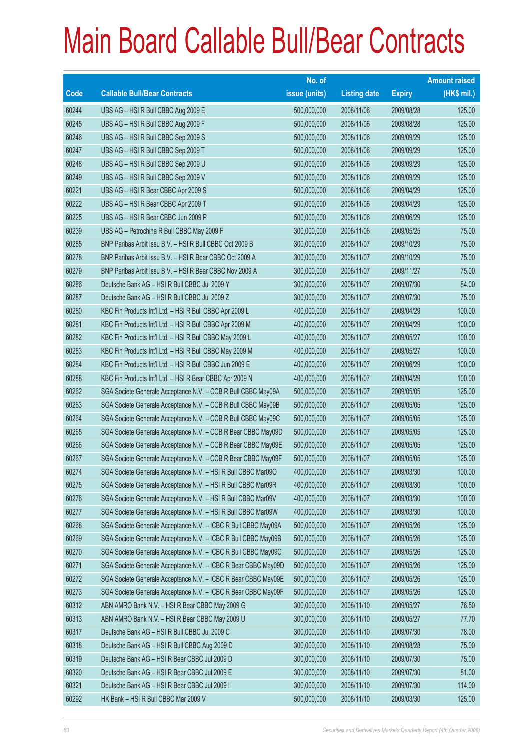|       |                                                                | No. of        |                     |               | <b>Amount raised</b> |
|-------|----------------------------------------------------------------|---------------|---------------------|---------------|----------------------|
| Code  | <b>Callable Bull/Bear Contracts</b>                            | issue (units) | <b>Listing date</b> | <b>Expiry</b> | (HK\$ mil.)          |
| 60244 | UBS AG - HSI R Bull CBBC Aug 2009 E                            | 500,000,000   | 2008/11/06          | 2009/08/28    | 125.00               |
| 60245 | UBS AG - HSI R Bull CBBC Aug 2009 F                            | 500,000,000   | 2008/11/06          | 2009/08/28    | 125.00               |
| 60246 | UBS AG - HSI R Bull CBBC Sep 2009 S                            | 500,000,000   | 2008/11/06          | 2009/09/29    | 125.00               |
| 60247 | UBS AG - HSI R Bull CBBC Sep 2009 T                            | 500,000,000   | 2008/11/06          | 2009/09/29    | 125.00               |
| 60248 | UBS AG - HSI R Bull CBBC Sep 2009 U                            | 500,000,000   | 2008/11/06          | 2009/09/29    | 125.00               |
| 60249 | UBS AG - HSI R Bull CBBC Sep 2009 V                            | 500,000,000   | 2008/11/06          | 2009/09/29    | 125.00               |
| 60221 | UBS AG - HSI R Bear CBBC Apr 2009 S                            | 500,000,000   | 2008/11/06          | 2009/04/29    | 125.00               |
| 60222 | UBS AG - HSI R Bear CBBC Apr 2009 T                            | 500,000,000   | 2008/11/06          | 2009/04/29    | 125.00               |
| 60225 | UBS AG - HSI R Bear CBBC Jun 2009 P                            | 500,000,000   | 2008/11/06          | 2009/06/29    | 125.00               |
| 60239 | UBS AG - Petrochina R Bull CBBC May 2009 F                     | 300,000,000   | 2008/11/06          | 2009/05/25    | 75.00                |
| 60285 | BNP Paribas Arbit Issu B.V. - HSI R Bull CBBC Oct 2009 B       | 300,000,000   | 2008/11/07          | 2009/10/29    | 75.00                |
| 60278 | BNP Paribas Arbit Issu B.V. - HSI R Bear CBBC Oct 2009 A       | 300,000,000   | 2008/11/07          | 2009/10/29    | 75.00                |
| 60279 | BNP Paribas Arbit Issu B.V. - HSI R Bear CBBC Nov 2009 A       | 300,000,000   | 2008/11/07          | 2009/11/27    | 75.00                |
| 60286 | Deutsche Bank AG - HSI R Bull CBBC Jul 2009 Y                  | 300,000,000   | 2008/11/07          | 2009/07/30    | 84.00                |
| 60287 | Deutsche Bank AG - HSI R Bull CBBC Jul 2009 Z                  | 300,000,000   | 2008/11/07          | 2009/07/30    | 75.00                |
| 60280 | KBC Fin Products Int'l Ltd. - HSI R Bull CBBC Apr 2009 L       | 400,000,000   | 2008/11/07          | 2009/04/29    | 100.00               |
| 60281 | KBC Fin Products Int'l Ltd. - HSI R Bull CBBC Apr 2009 M       | 400,000,000   | 2008/11/07          | 2009/04/29    | 100.00               |
| 60282 | KBC Fin Products Int'l Ltd. - HSI R Bull CBBC May 2009 L       | 400,000,000   | 2008/11/07          | 2009/05/27    | 100.00               |
| 60283 | KBC Fin Products Int'l Ltd. - HSI R Bull CBBC May 2009 M       | 400,000,000   | 2008/11/07          | 2009/05/27    | 100.00               |
| 60284 | KBC Fin Products Int'l Ltd. - HSI R Bull CBBC Jun 2009 E       | 400,000,000   | 2008/11/07          | 2009/06/29    | 100.00               |
| 60288 | KBC Fin Products Int'l Ltd. - HSI R Bear CBBC Apr 2009 N       | 400,000,000   | 2008/11/07          | 2009/04/29    | 100.00               |
| 60262 | SGA Societe Generale Acceptance N.V. - CCB R Bull CBBC May09A  | 500,000,000   | 2008/11/07          | 2009/05/05    | 125.00               |
| 60263 | SGA Societe Generale Acceptance N.V. - CCB R Bull CBBC May09B  | 500,000,000   | 2008/11/07          | 2009/05/05    | 125.00               |
| 60264 | SGA Societe Generale Acceptance N.V. - CCB R Bull CBBC May09C  | 500,000,000   | 2008/11/07          | 2009/05/05    | 125.00               |
| 60265 | SGA Societe Generale Acceptance N.V. - CCB R Bear CBBC May09D  | 500,000,000   | 2008/11/07          | 2009/05/05    | 125.00               |
| 60266 | SGA Societe Generale Acceptance N.V. - CCB R Bear CBBC May09E  | 500,000,000   | 2008/11/07          | 2009/05/05    | 125.00               |
| 60267 | SGA Societe Generale Acceptance N.V. - CCB R Bear CBBC May09F  | 500,000,000   | 2008/11/07          | 2009/05/05    | 125.00               |
| 60274 | SGA Societe Generale Acceptance N.V. - HSI R Bull CBBC Mar09O  | 400,000,000   | 2008/11/07          | 2009/03/30    | 100.00               |
| 60275 | SGA Societe Generale Acceptance N.V. - HSI R Bull CBBC Mar09R  | 400,000,000   | 2008/11/07          | 2009/03/30    | 100.00               |
| 60276 | SGA Societe Generale Acceptance N.V. - HSI R Bull CBBC Mar09V  | 400,000,000   | 2008/11/07          | 2009/03/30    | 100.00               |
| 60277 | SGA Societe Generale Acceptance N.V. - HSI R Bull CBBC Mar09W  | 400,000,000   | 2008/11/07          | 2009/03/30    | 100.00               |
| 60268 | SGA Societe Generale Acceptance N.V. - ICBC R Bull CBBC May09A | 500,000,000   | 2008/11/07          | 2009/05/26    | 125.00               |
| 60269 | SGA Societe Generale Acceptance N.V. - ICBC R Bull CBBC May09B | 500,000,000   | 2008/11/07          | 2009/05/26    | 125.00               |
| 60270 | SGA Societe Generale Acceptance N.V. - ICBC R Bull CBBC May09C | 500,000,000   | 2008/11/07          | 2009/05/26    | 125.00               |
| 60271 | SGA Societe Generale Acceptance N.V. - ICBC R Bear CBBC May09D | 500,000,000   | 2008/11/07          | 2009/05/26    | 125.00               |
| 60272 | SGA Societe Generale Acceptance N.V. - ICBC R Bear CBBC May09E | 500,000,000   | 2008/11/07          | 2009/05/26    | 125.00               |
| 60273 | SGA Societe Generale Acceptance N.V. - ICBC R Bear CBBC May09F | 500,000,000   | 2008/11/07          | 2009/05/26    | 125.00               |
| 60312 | ABN AMRO Bank N.V. - HSI R Bear CBBC May 2009 G                | 300,000,000   | 2008/11/10          | 2009/05/27    | 76.50                |
| 60313 | ABN AMRO Bank N.V. - HSI R Bear CBBC May 2009 U                | 300,000,000   | 2008/11/10          | 2009/05/27    | 77.70                |
| 60317 | Deutsche Bank AG - HSI R Bull CBBC Jul 2009 C                  | 300,000,000   | 2008/11/10          | 2009/07/30    | 78.00                |
| 60318 | Deutsche Bank AG - HSI R Bull CBBC Aug 2009 D                  | 300,000,000   | 2008/11/10          | 2009/08/28    | 75.00                |
| 60319 | Deutsche Bank AG - HSI R Bear CBBC Jul 2009 D                  | 300,000,000   | 2008/11/10          | 2009/07/30    | 75.00                |
| 60320 | Deutsche Bank AG - HSI R Bear CBBC Jul 2009 E                  | 300,000,000   | 2008/11/10          | 2009/07/30    | 81.00                |
| 60321 | Deutsche Bank AG - HSI R Bear CBBC Jul 2009 I                  | 300,000,000   | 2008/11/10          | 2009/07/30    | 114.00               |
| 60292 | HK Bank - HSI R Bull CBBC Mar 2009 V                           | 500,000,000   | 2008/11/10          | 2009/03/30    | 125.00               |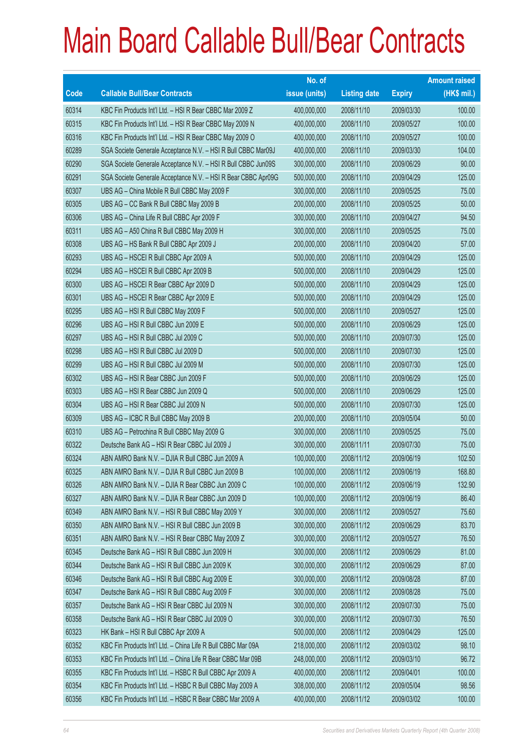|       |                                                               | No. of        |                     |               | <b>Amount raised</b> |
|-------|---------------------------------------------------------------|---------------|---------------------|---------------|----------------------|
| Code  | <b>Callable Bull/Bear Contracts</b>                           | issue (units) | <b>Listing date</b> | <b>Expiry</b> | (HK\$ mil.)          |
| 60314 | KBC Fin Products Int'l Ltd. - HSI R Bear CBBC Mar 2009 Z      | 400,000,000   | 2008/11/10          | 2009/03/30    | 100.00               |
| 60315 | KBC Fin Products Int'l Ltd. - HSI R Bear CBBC May 2009 N      | 400,000,000   | 2008/11/10          | 2009/05/27    | 100.00               |
| 60316 | KBC Fin Products Int'l Ltd. - HSI R Bear CBBC May 2009 O      | 400,000,000   | 2008/11/10          | 2009/05/27    | 100.00               |
| 60289 | SGA Societe Generale Acceptance N.V. - HSI R Bull CBBC Mar09J | 400,000,000   | 2008/11/10          | 2009/03/30    | 104.00               |
| 60290 | SGA Societe Generale Acceptance N.V. - HSI R Bull CBBC Jun09S | 300,000,000   | 2008/11/10          | 2009/06/29    | 90.00                |
| 60291 | SGA Societe Generale Acceptance N.V. - HSI R Bear CBBC Apr09G | 500,000,000   | 2008/11/10          | 2009/04/29    | 125.00               |
| 60307 | UBS AG - China Mobile R Bull CBBC May 2009 F                  | 300,000,000   | 2008/11/10          | 2009/05/25    | 75.00                |
| 60305 | UBS AG - CC Bank R Bull CBBC May 2009 B                       | 200,000,000   | 2008/11/10          | 2009/05/25    | 50.00                |
| 60306 | UBS AG - China Life R Bull CBBC Apr 2009 F                    | 300,000,000   | 2008/11/10          | 2009/04/27    | 94.50                |
| 60311 | UBS AG - A50 China R Bull CBBC May 2009 H                     | 300,000,000   | 2008/11/10          | 2009/05/25    | 75.00                |
| 60308 | UBS AG - HS Bank R Bull CBBC Apr 2009 J                       | 200,000,000   | 2008/11/10          | 2009/04/20    | 57.00                |
| 60293 | UBS AG - HSCEI R Bull CBBC Apr 2009 A                         | 500,000,000   | 2008/11/10          | 2009/04/29    | 125.00               |
| 60294 | UBS AG - HSCEI R Bull CBBC Apr 2009 B                         | 500,000,000   | 2008/11/10          | 2009/04/29    | 125.00               |
| 60300 | UBS AG - HSCEI R Bear CBBC Apr 2009 D                         | 500,000,000   | 2008/11/10          | 2009/04/29    | 125.00               |
| 60301 | UBS AG - HSCEI R Bear CBBC Apr 2009 E                         | 500,000,000   | 2008/11/10          | 2009/04/29    | 125.00               |
| 60295 | UBS AG - HSI R Bull CBBC May 2009 F                           | 500,000,000   | 2008/11/10          | 2009/05/27    | 125.00               |
| 60296 | UBS AG - HSI R Bull CBBC Jun 2009 E                           | 500,000,000   | 2008/11/10          | 2009/06/29    | 125.00               |
| 60297 | UBS AG - HSI R Bull CBBC Jul 2009 C                           | 500,000,000   | 2008/11/10          | 2009/07/30    | 125.00               |
| 60298 | UBS AG - HSI R Bull CBBC Jul 2009 D                           | 500,000,000   | 2008/11/10          | 2009/07/30    | 125.00               |
| 60299 | UBS AG - HSI R Bull CBBC Jul 2009 M                           | 500,000,000   | 2008/11/10          | 2009/07/30    | 125.00               |
| 60302 | UBS AG - HSI R Bear CBBC Jun 2009 F                           | 500,000,000   | 2008/11/10          | 2009/06/29    | 125.00               |
| 60303 | UBS AG - HSI R Bear CBBC Jun 2009 Q                           | 500,000,000   | 2008/11/10          | 2009/06/29    | 125.00               |
| 60304 | UBS AG - HSI R Bear CBBC Jul 2009 N                           | 500,000,000   | 2008/11/10          | 2009/07/30    | 125.00               |
| 60309 | UBS AG - ICBC R Bull CBBC May 2009 B                          | 200,000,000   | 2008/11/10          | 2009/05/04    | 50.00                |
| 60310 | UBS AG - Petrochina R Bull CBBC May 2009 G                    | 300,000,000   | 2008/11/10          | 2009/05/25    | 75.00                |
| 60322 | Deutsche Bank AG - HSI R Bear CBBC Jul 2009 J                 | 300,000,000   | 2008/11/11          | 2009/07/30    | 75.00                |
| 60324 | ABN AMRO Bank N.V. - DJIA R Bull CBBC Jun 2009 A              | 100,000,000   | 2008/11/12          | 2009/06/19    | 102.50               |
| 60325 | ABN AMRO Bank N.V. - DJIA R Bull CBBC Jun 2009 B              | 100,000,000   | 2008/11/12          | 2009/06/19    | 168.80               |
| 60326 | ABN AMRO Bank N.V. - DJIA R Bear CBBC Jun 2009 C              | 100,000,000   | 2008/11/12          | 2009/06/19    | 132.90               |
| 60327 | ABN AMRO Bank N.V. - DJIA R Bear CBBC Jun 2009 D              | 100,000,000   | 2008/11/12          | 2009/06/19    | 86.40                |
| 60349 | ABN AMRO Bank N.V. - HSI R Bull CBBC May 2009 Y               | 300,000,000   | 2008/11/12          | 2009/05/27    | 75.60                |
| 60350 | ABN AMRO Bank N.V. - HSI R Bull CBBC Jun 2009 B               | 300,000,000   | 2008/11/12          | 2009/06/29    | 83.70                |
| 60351 | ABN AMRO Bank N.V. - HSI R Bear CBBC May 2009 Z               | 300,000,000   | 2008/11/12          | 2009/05/27    | 76.50                |
| 60345 | Deutsche Bank AG - HSI R Bull CBBC Jun 2009 H                 | 300,000,000   | 2008/11/12          | 2009/06/29    | 81.00                |
| 60344 | Deutsche Bank AG - HSI R Bull CBBC Jun 2009 K                 | 300,000,000   | 2008/11/12          | 2009/06/29    | 87.00                |
| 60346 | Deutsche Bank AG - HSI R Bull CBBC Aug 2009 E                 | 300,000,000   | 2008/11/12          | 2009/08/28    | 87.00                |
| 60347 | Deutsche Bank AG - HSI R Bull CBBC Aug 2009 F                 | 300,000,000   | 2008/11/12          | 2009/08/28    | 75.00                |
| 60357 | Deutsche Bank AG - HSI R Bear CBBC Jul 2009 N                 | 300,000,000   | 2008/11/12          | 2009/07/30    | 75.00                |
| 60358 | Deutsche Bank AG - HSI R Bear CBBC Jul 2009 O                 | 300,000,000   | 2008/11/12          | 2009/07/30    | 76.50                |
| 60323 | HK Bank - HSI R Bull CBBC Apr 2009 A                          | 500,000,000   | 2008/11/12          | 2009/04/29    | 125.00               |
| 60352 | KBC Fin Products Int'l Ltd. - China Life R Bull CBBC Mar 09A  | 218,000,000   | 2008/11/12          | 2009/03/02    | 98.10                |
| 60353 | KBC Fin Products Int'l Ltd. - China Life R Bear CBBC Mar 09B  | 248,000,000   | 2008/11/12          | 2009/03/10    | 96.72                |
| 60355 | KBC Fin Products Int'l Ltd. - HSBC R Bull CBBC Apr 2009 A     | 400,000,000   | 2008/11/12          | 2009/04/01    | 100.00               |
| 60354 | KBC Fin Products Int'l Ltd. - HSBC R Bull CBBC May 2009 A     | 308,000,000   | 2008/11/12          | 2009/05/04    | 98.56                |
| 60356 | KBC Fin Products Int'l Ltd. - HSBC R Bear CBBC Mar 2009 A     | 400,000,000   | 2008/11/12          | 2009/03/02    | 100.00               |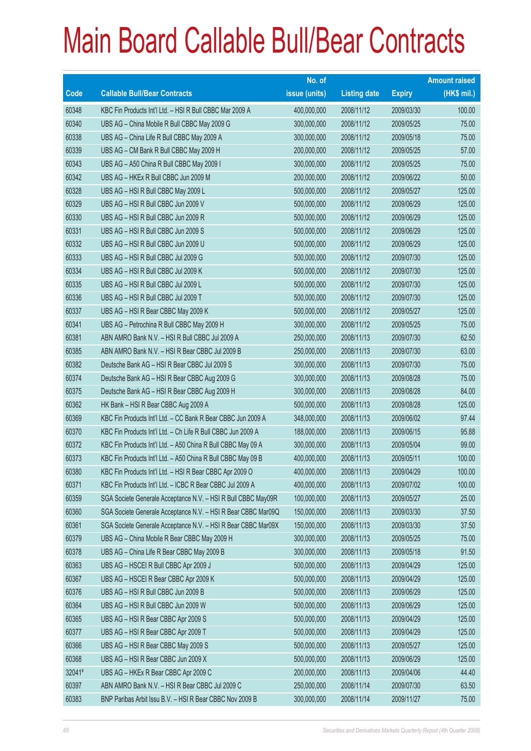|        |                                                               | No. of        |                     |               | <b>Amount raised</b> |
|--------|---------------------------------------------------------------|---------------|---------------------|---------------|----------------------|
| Code   | <b>Callable Bull/Bear Contracts</b>                           | issue (units) | <b>Listing date</b> | <b>Expiry</b> | $(HK$$ mil.)         |
| 60348  | KBC Fin Products Int'l Ltd. - HSI R Bull CBBC Mar 2009 A      | 400,000,000   | 2008/11/12          | 2009/03/30    | 100.00               |
| 60340  | UBS AG - China Mobile R Bull CBBC May 2009 G                  | 300,000,000   | 2008/11/12          | 2009/05/25    | 75.00                |
| 60338  | UBS AG - China Life R Bull CBBC May 2009 A                    | 300,000,000   | 2008/11/12          | 2009/05/18    | 75.00                |
| 60339  | UBS AG - CM Bank R Bull CBBC May 2009 H                       | 200,000,000   | 2008/11/12          | 2009/05/25    | 57.00                |
| 60343  | UBS AG - A50 China R Bull CBBC May 2009 I                     | 300,000,000   | 2008/11/12          | 2009/05/25    | 75.00                |
| 60342  | UBS AG - HKEx R Bull CBBC Jun 2009 M                          | 200,000,000   | 2008/11/12          | 2009/06/22    | 50.00                |
| 60328  | UBS AG - HSI R Bull CBBC May 2009 L                           | 500,000,000   | 2008/11/12          | 2009/05/27    | 125.00               |
| 60329  | UBS AG - HSI R Bull CBBC Jun 2009 V                           | 500,000,000   | 2008/11/12          | 2009/06/29    | 125.00               |
| 60330  | UBS AG - HSI R Bull CBBC Jun 2009 R                           | 500,000,000   | 2008/11/12          | 2009/06/29    | 125.00               |
| 60331  | UBS AG - HSI R Bull CBBC Jun 2009 S                           | 500,000,000   | 2008/11/12          | 2009/06/29    | 125.00               |
| 60332  | UBS AG - HSI R Bull CBBC Jun 2009 U                           | 500,000,000   | 2008/11/12          | 2009/06/29    | 125.00               |
| 60333  | UBS AG - HSI R Bull CBBC Jul 2009 G                           | 500,000,000   | 2008/11/12          | 2009/07/30    | 125.00               |
| 60334  | UBS AG - HSI R Bull CBBC Jul 2009 K                           | 500,000,000   | 2008/11/12          | 2009/07/30    | 125.00               |
| 60335  | UBS AG - HSI R Bull CBBC Jul 2009 L                           | 500,000,000   | 2008/11/12          | 2009/07/30    | 125.00               |
| 60336  | UBS AG - HSI R Bull CBBC Jul 2009 T                           | 500,000,000   | 2008/11/12          | 2009/07/30    | 125.00               |
| 60337  | UBS AG - HSI R Bear CBBC May 2009 K                           | 500,000,000   | 2008/11/12          | 2009/05/27    | 125.00               |
| 60341  | UBS AG - Petrochina R Bull CBBC May 2009 H                    | 300,000,000   | 2008/11/12          | 2009/05/25    | 75.00                |
| 60381  | ABN AMRO Bank N.V. - HSI R Bull CBBC Jul 2009 A               | 250,000,000   | 2008/11/13          | 2009/07/30    | 62.50                |
| 60385  | ABN AMRO Bank N.V. - HSI R Bear CBBC Jul 2009 B               | 250,000,000   | 2008/11/13          | 2009/07/30    | 63.00                |
| 60382  | Deutsche Bank AG - HSI R Bear CBBC Jul 2009 S                 | 300,000,000   | 2008/11/13          | 2009/07/30    | 75.00                |
| 60374  | Deutsche Bank AG - HSI R Bear CBBC Aug 2009 G                 | 300,000,000   | 2008/11/13          | 2009/08/28    | 75.00                |
| 60375  | Deutsche Bank AG - HSI R Bear CBBC Aug 2009 H                 | 300,000,000   | 2008/11/13          | 2009/08/28    | 84.00                |
| 60362  | HK Bank - HSI R Bear CBBC Aug 2009 A                          | 500,000,000   | 2008/11/13          | 2009/08/28    | 125.00               |
| 60369  | KBC Fin Products Int'l Ltd. - CC Bank R Bear CBBC Jun 2009 A  | 348,000,000   | 2008/11/13          | 2009/06/02    | 97.44                |
| 60370  | KBC Fin Products Int'l Ltd. - Ch Life R Bull CBBC Jun 2009 A  | 188,000,000   | 2008/11/13          | 2009/06/15    | 95.88                |
| 60372  | KBC Fin Products Int'l Ltd. - A50 China R Bull CBBC May 09 A  | 300,000,000   | 2008/11/13          | 2009/05/04    | 99.00                |
| 60373  | KBC Fin Products Int'l Ltd. - A50 China R Bull CBBC May 09 B  | 400,000,000   | 2008/11/13          | 2009/05/11    | 100.00               |
| 60380  | KBC Fin Products Int'l Ltd. - HSI R Bear CBBC Apr 2009 O      | 400,000,000   | 2008/11/13          | 2009/04/29    | 100.00               |
| 60371  | KBC Fin Products Int'l Ltd. - ICBC R Bear CBBC Jul 2009 A     | 400,000,000   | 2008/11/13          | 2009/07/02    | 100.00               |
| 60359  | SGA Societe Generale Acceptance N.V. - HSI R Bull CBBC May09R | 100,000,000   | 2008/11/13          | 2009/05/27    | 25.00                |
| 60360  | SGA Societe Generale Acceptance N.V. - HSI R Bear CBBC Mar09Q | 150,000,000   | 2008/11/13          | 2009/03/30    | 37.50                |
| 60361  | SGA Societe Generale Acceptance N.V. - HSI R Bear CBBC Mar09X | 150,000,000   | 2008/11/13          | 2009/03/30    | 37.50                |
| 60379  | UBS AG - China Mobile R Bear CBBC May 2009 H                  | 300,000,000   | 2008/11/13          | 2009/05/25    | 75.00                |
| 60378  | UBS AG - China Life R Bear CBBC May 2009 B                    | 300,000,000   | 2008/11/13          | 2009/05/18    | 91.50                |
| 60363  | UBS AG - HSCEI R Bull CBBC Apr 2009 J                         | 500,000,000   | 2008/11/13          | 2009/04/29    | 125.00               |
| 60367  | UBS AG - HSCEI R Bear CBBC Apr 2009 K                         | 500,000,000   | 2008/11/13          | 2009/04/29    | 125.00               |
| 60376  | UBS AG - HSI R Bull CBBC Jun 2009 B                           | 500,000,000   | 2008/11/13          | 2009/06/29    | 125.00               |
| 60364  | UBS AG - HSI R Bull CBBC Jun 2009 W                           | 500,000,000   | 2008/11/13          | 2009/06/29    | 125.00               |
| 60365  | UBS AG - HSI R Bear CBBC Apr 2009 S                           | 500,000,000   | 2008/11/13          | 2009/04/29    | 125.00               |
| 60377  | UBS AG - HSI R Bear CBBC Apr 2009 T                           | 500,000,000   | 2008/11/13          | 2009/04/29    | 125.00               |
| 60366  | UBS AG - HSI R Bear CBBC May 2009 S                           | 500,000,000   | 2008/11/13          | 2009/05/27    | 125.00               |
| 60368  | UBS AG - HSI R Bear CBBC Jun 2009 X                           | 500,000,000   | 2008/11/13          | 2009/06/29    | 125.00               |
| 32041# | UBS AG - HKEx R Bear CBBC Apr 2009 C                          | 200,000,000   | 2008/11/13          | 2009/04/06    | 44.40                |
| 60397  | ABN AMRO Bank N.V. - HSI R Bear CBBC Jul 2009 C               | 250,000,000   | 2008/11/14          | 2009/07/30    | 63.50                |
| 60383  | BNP Paribas Arbit Issu B.V. - HSI R Bear CBBC Nov 2009 B      | 300,000,000   | 2008/11/14          | 2009/11/27    | 75.00                |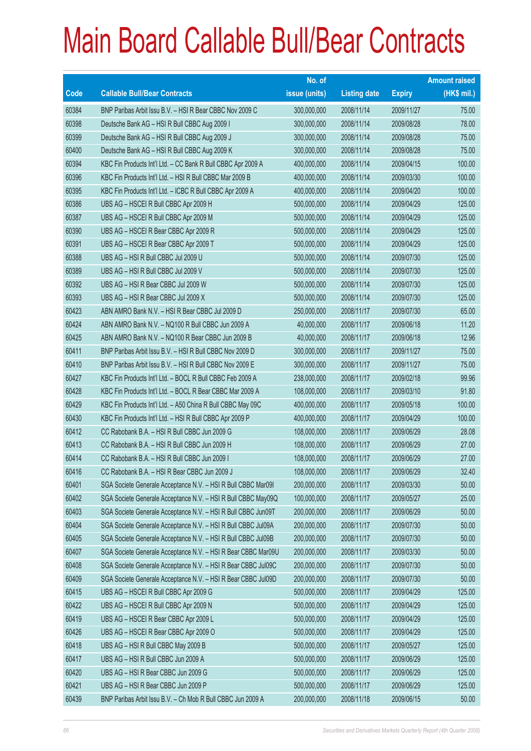|       |                                                               | No. of        |                     |               | <b>Amount raised</b> |
|-------|---------------------------------------------------------------|---------------|---------------------|---------------|----------------------|
| Code  | <b>Callable Bull/Bear Contracts</b>                           | issue (units) | <b>Listing date</b> | <b>Expiry</b> | (HK\$ mil.)          |
| 60384 | BNP Paribas Arbit Issu B.V. - HSI R Bear CBBC Nov 2009 C      | 300,000,000   | 2008/11/14          | 2009/11/27    | 75.00                |
| 60398 | Deutsche Bank AG - HSI R Bull CBBC Aug 2009 I                 | 300,000,000   | 2008/11/14          | 2009/08/28    | 78.00                |
| 60399 | Deutsche Bank AG - HSI R Bull CBBC Aug 2009 J                 | 300,000,000   | 2008/11/14          | 2009/08/28    | 75.00                |
| 60400 | Deutsche Bank AG - HSI R Bull CBBC Aug 2009 K                 | 300,000,000   | 2008/11/14          | 2009/08/28    | 75.00                |
| 60394 | KBC Fin Products Int'l Ltd. - CC Bank R Bull CBBC Apr 2009 A  | 400,000,000   | 2008/11/14          | 2009/04/15    | 100.00               |
| 60396 | KBC Fin Products Int'l Ltd. - HSI R Bull CBBC Mar 2009 B      | 400,000,000   | 2008/11/14          | 2009/03/30    | 100.00               |
| 60395 | KBC Fin Products Int'l Ltd. - ICBC R Bull CBBC Apr 2009 A     | 400,000,000   | 2008/11/14          | 2009/04/20    | 100.00               |
| 60386 | UBS AG - HSCEI R Bull CBBC Apr 2009 H                         | 500,000,000   | 2008/11/14          | 2009/04/29    | 125.00               |
| 60387 | UBS AG - HSCEI R Bull CBBC Apr 2009 M                         | 500,000,000   | 2008/11/14          | 2009/04/29    | 125.00               |
| 60390 | UBS AG - HSCEI R Bear CBBC Apr 2009 R                         | 500,000,000   | 2008/11/14          | 2009/04/29    | 125.00               |
| 60391 | UBS AG - HSCEI R Bear CBBC Apr 2009 T                         | 500,000,000   | 2008/11/14          | 2009/04/29    | 125.00               |
| 60388 | UBS AG - HSI R Bull CBBC Jul 2009 U                           | 500,000,000   | 2008/11/14          | 2009/07/30    | 125.00               |
| 60389 | UBS AG - HSI R Bull CBBC Jul 2009 V                           | 500,000,000   | 2008/11/14          | 2009/07/30    | 125.00               |
| 60392 | UBS AG - HSI R Bear CBBC Jul 2009 W                           | 500,000,000   | 2008/11/14          | 2009/07/30    | 125.00               |
| 60393 | UBS AG - HSI R Bear CBBC Jul 2009 X                           | 500,000,000   | 2008/11/14          | 2009/07/30    | 125.00               |
| 60423 | ABN AMRO Bank N.V. - HSI R Bear CBBC Jul 2009 D               | 250,000,000   | 2008/11/17          | 2009/07/30    | 65.00                |
| 60424 | ABN AMRO Bank N.V. - NQ100 R Bull CBBC Jun 2009 A             | 40,000,000    | 2008/11/17          | 2009/06/18    | 11.20                |
| 60425 | ABN AMRO Bank N.V. - NQ100 R Bear CBBC Jun 2009 B             | 40,000,000    | 2008/11/17          | 2009/06/18    | 12.96                |
| 60411 | BNP Paribas Arbit Issu B.V. - HSI R Bull CBBC Nov 2009 D      | 300,000,000   | 2008/11/17          | 2009/11/27    | 75.00                |
| 60410 | BNP Paribas Arbit Issu B.V. - HSI R Bull CBBC Nov 2009 E      | 300,000,000   | 2008/11/17          | 2009/11/27    | 75.00                |
| 60427 | KBC Fin Products Int'l Ltd. - BOCL R Bull CBBC Feb 2009 A     | 238,000,000   | 2008/11/17          | 2009/02/18    | 99.96                |
| 60428 | KBC Fin Products Int'l Ltd. - BOCL R Bear CBBC Mar 2009 A     | 108,000,000   | 2008/11/17          | 2009/03/10    | 91.80                |
| 60429 | KBC Fin Products Int'l Ltd. - A50 China R Bull CBBC May 09C   | 400,000,000   | 2008/11/17          | 2009/05/18    | 100.00               |
| 60430 | KBC Fin Products Int'l Ltd. - HSI R Bull CBBC Apr 2009 P      | 400,000,000   | 2008/11/17          | 2009/04/29    | 100.00               |
| 60412 | CC Rabobank B.A. - HSI R Bull CBBC Jun 2009 G                 | 108,000,000   | 2008/11/17          | 2009/06/29    | 28.08                |
| 60413 | CC Rabobank B.A. - HSI R Bull CBBC Jun 2009 H                 | 108,000,000   | 2008/11/17          | 2009/06/29    | 27.00                |
| 60414 | CC Rabobank B.A. - HSI R Bull CBBC Jun 2009 I                 | 108,000,000   | 2008/11/17          | 2009/06/29    | 27.00                |
| 60416 | CC Rabobank B.A. - HSI R Bear CBBC Jun 2009 J                 | 108,000,000   | 2008/11/17          | 2009/06/29    | 32.40                |
| 60401 | SGA Societe Generale Acceptance N.V. - HSI R Bull CBBC Mar09I | 200,000,000   | 2008/11/17          | 2009/03/30    | 50.00                |
| 60402 | SGA Societe Generale Acceptance N.V. - HSI R Bull CBBC May09Q | 100,000,000   | 2008/11/17          | 2009/05/27    | 25.00                |
| 60403 | SGA Societe Generale Acceptance N.V. - HSI R Bull CBBC Jun09T | 200,000,000   | 2008/11/17          | 2009/06/29    | 50.00                |
| 60404 | SGA Societe Generale Acceptance N.V. - HSI R Bull CBBC Jul09A | 200,000,000   | 2008/11/17          | 2009/07/30    | 50.00                |
| 60405 | SGA Societe Generale Acceptance N.V. - HSI R Bull CBBC Jul09B | 200,000,000   | 2008/11/17          | 2009/07/30    | 50.00                |
| 60407 | SGA Societe Generale Acceptance N.V. - HSI R Bear CBBC Mar09U | 200,000,000   | 2008/11/17          | 2009/03/30    | 50.00                |
| 60408 | SGA Societe Generale Acceptance N.V. - HSI R Bear CBBC Jul09C | 200,000,000   | 2008/11/17          | 2009/07/30    | 50.00                |
| 60409 | SGA Societe Generale Acceptance N.V. - HSI R Bear CBBC Jul09D | 200,000,000   | 2008/11/17          | 2009/07/30    | 50.00                |
| 60415 | UBS AG - HSCEI R Bull CBBC Apr 2009 G                         | 500,000,000   | 2008/11/17          | 2009/04/29    | 125.00               |
| 60422 | UBS AG - HSCEI R Bull CBBC Apr 2009 N                         | 500,000,000   | 2008/11/17          | 2009/04/29    | 125.00               |
| 60419 | UBS AG - HSCEI R Bear CBBC Apr 2009 L                         | 500,000,000   | 2008/11/17          | 2009/04/29    | 125.00               |
| 60426 | UBS AG - HSCEI R Bear CBBC Apr 2009 O                         | 500,000,000   | 2008/11/17          | 2009/04/29    | 125.00               |
| 60418 | UBS AG - HSI R Bull CBBC May 2009 B                           | 500,000,000   | 2008/11/17          | 2009/05/27    | 125.00               |
| 60417 | UBS AG - HSI R Bull CBBC Jun 2009 A                           | 500,000,000   | 2008/11/17          | 2009/06/29    | 125.00               |
| 60420 | UBS AG - HSI R Bear CBBC Jun 2009 G                           | 500,000,000   | 2008/11/17          | 2009/06/29    | 125.00               |
| 60421 | UBS AG - HSI R Bear CBBC Jun 2009 P                           | 500,000,000   | 2008/11/17          | 2009/06/29    | 125.00               |
| 60439 | BNP Paribas Arbit Issu B.V. - Ch Mob R Bull CBBC Jun 2009 A   | 200,000,000   | 2008/11/18          | 2009/06/15    | 50.00                |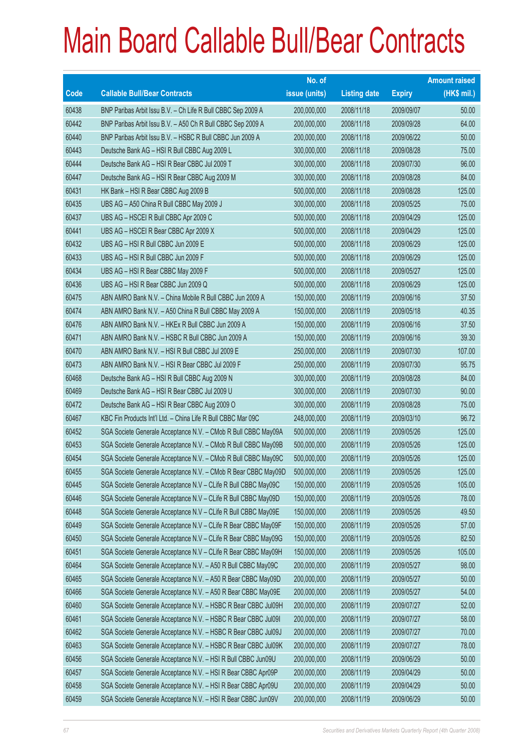|       |                                                                | No. of        |                     |               | <b>Amount raised</b> |
|-------|----------------------------------------------------------------|---------------|---------------------|---------------|----------------------|
| Code  | <b>Callable Bull/Bear Contracts</b>                            | issue (units) | <b>Listing date</b> | <b>Expiry</b> | $(HK$$ mil.)         |
| 60438 | BNP Paribas Arbit Issu B.V. - Ch Life R Bull CBBC Sep 2009 A   | 200,000,000   | 2008/11/18          | 2009/09/07    | 50.00                |
| 60442 | BNP Paribas Arbit Issu B.V. - A50 Ch R Bull CBBC Sep 2009 A    | 200,000,000   | 2008/11/18          | 2009/09/28    | 64.00                |
| 60440 | BNP Paribas Arbit Issu B.V. - HSBC R Bull CBBC Jun 2009 A      | 200,000,000   | 2008/11/18          | 2009/06/22    | 50.00                |
| 60443 | Deutsche Bank AG - HSI R Bull CBBC Aug 2009 L                  | 300,000,000   | 2008/11/18          | 2009/08/28    | 75.00                |
| 60444 | Deutsche Bank AG - HSI R Bear CBBC Jul 2009 T                  | 300,000,000   | 2008/11/18          | 2009/07/30    | 96.00                |
| 60447 | Deutsche Bank AG - HSI R Bear CBBC Aug 2009 M                  | 300,000,000   | 2008/11/18          | 2009/08/28    | 84.00                |
| 60431 | HK Bank - HSI R Bear CBBC Aug 2009 B                           | 500,000,000   | 2008/11/18          | 2009/08/28    | 125.00               |
| 60435 | UBS AG - A50 China R Bull CBBC May 2009 J                      | 300,000,000   | 2008/11/18          | 2009/05/25    | 75.00                |
| 60437 | UBS AG - HSCEI R Bull CBBC Apr 2009 C                          | 500,000,000   | 2008/11/18          | 2009/04/29    | 125.00               |
| 60441 | UBS AG - HSCEI R Bear CBBC Apr 2009 X                          | 500,000,000   | 2008/11/18          | 2009/04/29    | 125.00               |
| 60432 | UBS AG - HSI R Bull CBBC Jun 2009 E                            | 500,000,000   | 2008/11/18          | 2009/06/29    | 125.00               |
| 60433 | UBS AG - HSI R Bull CBBC Jun 2009 F                            | 500,000,000   | 2008/11/18          | 2009/06/29    | 125.00               |
| 60434 | UBS AG - HSI R Bear CBBC May 2009 F                            | 500,000,000   | 2008/11/18          | 2009/05/27    | 125.00               |
| 60436 | UBS AG - HSI R Bear CBBC Jun 2009 Q                            | 500,000,000   | 2008/11/18          | 2009/06/29    | 125.00               |
| 60475 | ABN AMRO Bank N.V. - China Mobile R Bull CBBC Jun 2009 A       | 150,000,000   | 2008/11/19          | 2009/06/16    | 37.50                |
| 60474 | ABN AMRO Bank N.V. - A50 China R Bull CBBC May 2009 A          | 150,000,000   | 2008/11/19          | 2009/05/18    | 40.35                |
| 60476 | ABN AMRO Bank N.V. - HKEx R Bull CBBC Jun 2009 A               | 150,000,000   | 2008/11/19          | 2009/06/16    | 37.50                |
| 60471 | ABN AMRO Bank N.V. - HSBC R Bull CBBC Jun 2009 A               | 150,000,000   | 2008/11/19          | 2009/06/16    | 39.30                |
| 60470 | ABN AMRO Bank N.V. - HSI R Bull CBBC Jul 2009 E                | 250,000,000   | 2008/11/19          | 2009/07/30    | 107.00               |
| 60473 | ABN AMRO Bank N.V. - HSI R Bear CBBC Jul 2009 F                | 250,000,000   | 2008/11/19          | 2009/07/30    | 95.75                |
| 60468 | Deutsche Bank AG - HSI R Bull CBBC Aug 2009 N                  | 300,000,000   | 2008/11/19          | 2009/08/28    | 84.00                |
| 60469 | Deutsche Bank AG - HSI R Bear CBBC Jul 2009 U                  | 300,000,000   | 2008/11/19          | 2009/07/30    | 90.00                |
| 60472 | Deutsche Bank AG - HSI R Bear CBBC Aug 2009 O                  | 300,000,000   | 2008/11/19          | 2009/08/28    | 75.00                |
| 60467 | KBC Fin Products Int'l Ltd. - China Life R Bull CBBC Mar 09C   | 248,000,000   | 2008/11/19          | 2009/03/10    | 96.72                |
| 60452 | SGA Societe Generale Acceptance N.V. - CMob R Bull CBBC May09A | 500,000,000   | 2008/11/19          | 2009/05/26    | 125.00               |
| 60453 | SGA Societe Generale Acceptance N.V. - CMob R Bull CBBC May09B | 500,000,000   | 2008/11/19          | 2009/05/26    | 125.00               |
| 60454 | SGA Societe Generale Acceptance N.V. - CMob R Bull CBBC May09C | 500,000,000   | 2008/11/19          | 2009/05/26    | 125.00               |
| 60455 | SGA Societe Generale Acceptance N.V. - CMob R Bear CBBC May09D | 500,000,000   | 2008/11/19          | 2009/05/26    | 125.00               |
| 60445 | SGA Societe Generale Acceptance N.V - CLife R Bull CBBC May09C | 150,000,000   | 2008/11/19          | 2009/05/26    | 105.00               |
| 60446 | SGA Societe Generale Acceptance N.V - CLife R Bull CBBC May09D | 150,000,000   | 2008/11/19          | 2009/05/26    | 78.00                |
| 60448 | SGA Societe Generale Acceptance N.V - CLife R Bull CBBC May09E | 150,000,000   | 2008/11/19          | 2009/05/26    | 49.50                |
| 60449 | SGA Societe Generale Acceptance N.V - CLife R Bear CBBC May09F | 150,000,000   | 2008/11/19          | 2009/05/26    | 57.00                |
| 60450 | SGA Societe Generale Acceptance N.V - CLife R Bear CBBC May09G | 150,000,000   | 2008/11/19          | 2009/05/26    | 82.50                |
| 60451 | SGA Societe Generale Acceptance N.V - CLife R Bear CBBC May09H | 150,000,000   | 2008/11/19          | 2009/05/26    | 105.00               |
| 60464 | SGA Societe Generale Acceptance N.V. - A50 R Bull CBBC May09C  | 200,000,000   | 2008/11/19          | 2009/05/27    | 98.00                |
| 60465 | SGA Societe Generale Acceptance N.V. - A50 R Bear CBBC May09D  | 200,000,000   | 2008/11/19          | 2009/05/27    | 50.00                |
| 60466 | SGA Societe Generale Acceptance N.V. - A50 R Bear CBBC May09E  | 200,000,000   | 2008/11/19          | 2009/05/27    | 54.00                |
| 60460 | SGA Societe Generale Acceptance N.V. - HSBC R Bear CBBC Jul09H | 200,000,000   | 2008/11/19          | 2009/07/27    | 52.00                |
| 60461 | SGA Societe Generale Acceptance N.V. - HSBC R Bear CBBC Jul091 | 200,000,000   | 2008/11/19          | 2009/07/27    | 58.00                |
| 60462 | SGA Societe Generale Acceptance N.V. - HSBC R Bear CBBC Jul09J | 200,000,000   | 2008/11/19          | 2009/07/27    | 70.00                |
| 60463 | SGA Societe Generale Acceptance N.V. - HSBC R Bear CBBC Jul09K | 200,000,000   | 2008/11/19          | 2009/07/27    | 78.00                |
| 60456 | SGA Societe Generale Acceptance N.V. - HSI R Bull CBBC Jun09U  | 200,000,000   | 2008/11/19          | 2009/06/29    | 50.00                |
| 60457 | SGA Societe Generale Acceptance N.V. - HSI R Bear CBBC Apr09P  | 200,000,000   | 2008/11/19          | 2009/04/29    | 50.00                |
| 60458 | SGA Societe Generale Acceptance N.V. - HSI R Bear CBBC Apr09U  | 200,000,000   | 2008/11/19          | 2009/04/29    | 50.00                |
| 60459 | SGA Societe Generale Acceptance N.V. - HSI R Bear CBBC Jun09V  | 200,000,000   | 2008/11/19          | 2009/06/29    | 50.00                |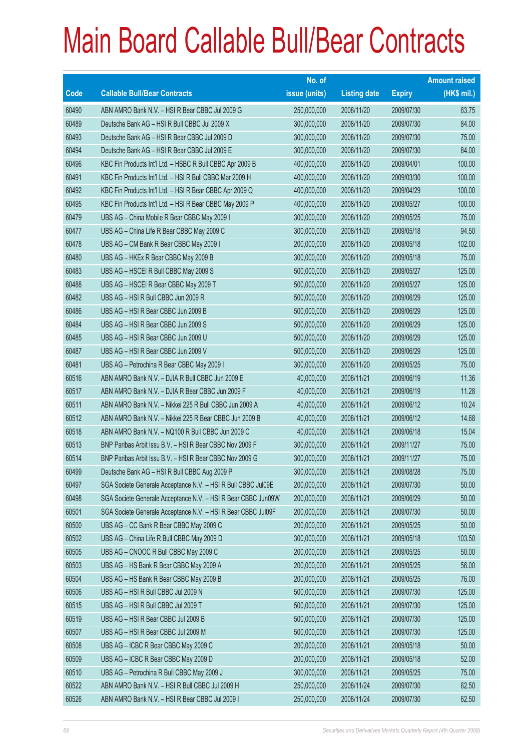|       |                                                               | No. of        |                     |               | <b>Amount raised</b> |
|-------|---------------------------------------------------------------|---------------|---------------------|---------------|----------------------|
| Code  | <b>Callable Bull/Bear Contracts</b>                           | issue (units) | <b>Listing date</b> | <b>Expiry</b> | (HK\$ mil.)          |
| 60490 | ABN AMRO Bank N.V. - HSI R Bear CBBC Jul 2009 G               | 250,000,000   | 2008/11/20          | 2009/07/30    | 63.75                |
| 60489 | Deutsche Bank AG - HSI R Bull CBBC Jul 2009 X                 | 300,000,000   | 2008/11/20          | 2009/07/30    | 84.00                |
| 60493 | Deutsche Bank AG - HSI R Bear CBBC Jul 2009 D                 | 300,000,000   | 2008/11/20          | 2009/07/30    | 75.00                |
| 60494 | Deutsche Bank AG - HSI R Bear CBBC Jul 2009 E                 | 300,000,000   | 2008/11/20          | 2009/07/30    | 84.00                |
| 60496 | KBC Fin Products Int'l Ltd. - HSBC R Bull CBBC Apr 2009 B     | 400,000,000   | 2008/11/20          | 2009/04/01    | 100.00               |
| 60491 | KBC Fin Products Int'l Ltd. - HSI R Bull CBBC Mar 2009 H      | 400,000,000   | 2008/11/20          | 2009/03/30    | 100.00               |
| 60492 | KBC Fin Products Int'l Ltd. - HSI R Bear CBBC Apr 2009 Q      | 400,000,000   | 2008/11/20          | 2009/04/29    | 100.00               |
| 60495 | KBC Fin Products Int'l Ltd. - HSI R Bear CBBC May 2009 P      | 400,000,000   | 2008/11/20          | 2009/05/27    | 100.00               |
| 60479 | UBS AG - China Mobile R Bear CBBC May 2009 I                  | 300,000,000   | 2008/11/20          | 2009/05/25    | 75.00                |
| 60477 | UBS AG - China Life R Bear CBBC May 2009 C                    | 300,000,000   | 2008/11/20          | 2009/05/18    | 94.50                |
| 60478 | UBS AG - CM Bank R Bear CBBC May 2009 I                       | 200,000,000   | 2008/11/20          | 2009/05/18    | 102.00               |
| 60480 | UBS AG - HKEx R Bear CBBC May 2009 B                          | 300,000,000   | 2008/11/20          | 2009/05/18    | 75.00                |
| 60483 | UBS AG - HSCEI R Bull CBBC May 2009 S                         | 500,000,000   | 2008/11/20          | 2009/05/27    | 125.00               |
| 60488 | UBS AG - HSCEI R Bear CBBC May 2009 T                         | 500,000,000   | 2008/11/20          | 2009/05/27    | 125.00               |
| 60482 | UBS AG - HSI R Bull CBBC Jun 2009 R                           | 500,000,000   | 2008/11/20          | 2009/06/29    | 125.00               |
| 60486 | UBS AG - HSI R Bear CBBC Jun 2009 B                           | 500,000,000   | 2008/11/20          | 2009/06/29    | 125.00               |
| 60484 | UBS AG - HSI R Bear CBBC Jun 2009 S                           | 500,000,000   | 2008/11/20          | 2009/06/29    | 125.00               |
| 60485 | UBS AG - HSI R Bear CBBC Jun 2009 U                           | 500,000,000   | 2008/11/20          | 2009/06/29    | 125.00               |
| 60487 | UBS AG - HSI R Bear CBBC Jun 2009 V                           | 500,000,000   | 2008/11/20          | 2009/06/29    | 125.00               |
| 60481 | UBS AG - Petrochina R Bear CBBC May 2009 I                    | 300,000,000   | 2008/11/20          | 2009/05/25    | 75.00                |
| 60516 | ABN AMRO Bank N.V. - DJIA R Bull CBBC Jun 2009 E              | 40,000,000    | 2008/11/21          | 2009/06/19    | 11.36                |
| 60517 | ABN AMRO Bank N.V. - DJIA R Bear CBBC Jun 2009 F              | 40,000,000    | 2008/11/21          | 2009/06/19    | 11.28                |
| 60511 | ABN AMRO Bank N.V. - Nikkei 225 R Bull CBBC Jun 2009 A        | 40,000,000    | 2008/11/21          | 2009/06/12    | 10.24                |
| 60512 | ABN AMRO Bank N.V. - Nikkei 225 R Bear CBBC Jun 2009 B        | 40,000,000    | 2008/11/21          | 2009/06/12    | 14.68                |
| 60518 | ABN AMRO Bank N.V. - NQ100 R Bull CBBC Jun 2009 C             | 40,000,000    | 2008/11/21          | 2009/06/18    | 15.04                |
| 60513 | BNP Paribas Arbit Issu B.V. - HSI R Bear CBBC Nov 2009 F      | 300,000,000   | 2008/11/21          | 2009/11/27    | 75.00                |
| 60514 | BNP Paribas Arbit Issu B.V. - HSI R Bear CBBC Nov 2009 G      | 300,000,000   | 2008/11/21          | 2009/11/27    | 75.00                |
| 60499 | Deutsche Bank AG - HSI R Bull CBBC Aug 2009 P                 | 300,000,000   | 2008/11/21          | 2009/08/28    | 75.00                |
| 60497 | SGA Societe Generale Acceptance N.V. - HSI R Bull CBBC Jul09E | 200,000,000   | 2008/11/21          | 2009/07/30    | 50.00                |
| 60498 | SGA Societe Generale Acceptance N.V. - HSI R Bear CBBC Jun09W | 200,000,000   | 2008/11/21          | 2009/06/29    | 50.00                |
| 60501 | SGA Societe Generale Acceptance N.V. - HSI R Bear CBBC Jul09F | 200,000,000   | 2008/11/21          | 2009/07/30    | 50.00                |
| 60500 | UBS AG - CC Bank R Bear CBBC May 2009 C                       | 200,000,000   | 2008/11/21          | 2009/05/25    | 50.00                |
| 60502 | UBS AG - China Life R Bull CBBC May 2009 D                    | 300,000,000   | 2008/11/21          | 2009/05/18    | 103.50               |
| 60505 | UBS AG - CNOOC R Bull CBBC May 2009 C                         | 200,000,000   | 2008/11/21          | 2009/05/25    | 50.00                |
| 60503 | UBS AG - HS Bank R Bear CBBC May 2009 A                       | 200,000,000   | 2008/11/21          | 2009/05/25    | 56.00                |
| 60504 | UBS AG - HS Bank R Bear CBBC May 2009 B                       | 200,000,000   | 2008/11/21          | 2009/05/25    | 76.00                |
| 60506 | UBS AG - HSI R Bull CBBC Jul 2009 N                           | 500,000,000   | 2008/11/21          | 2009/07/30    | 125.00               |
| 60515 | UBS AG - HSI R Bull CBBC Jul 2009 T                           | 500,000,000   | 2008/11/21          | 2009/07/30    | 125.00               |
| 60519 | UBS AG - HSI R Bear CBBC Jul 2009 B                           | 500,000,000   | 2008/11/21          | 2009/07/30    | 125.00               |
| 60507 | UBS AG - HSI R Bear CBBC Jul 2009 M                           | 500,000,000   | 2008/11/21          | 2009/07/30    | 125.00               |
| 60508 | UBS AG - ICBC R Bear CBBC May 2009 C                          | 200,000,000   | 2008/11/21          | 2009/05/18    | 50.00                |
| 60509 | UBS AG - ICBC R Bear CBBC May 2009 D                          | 200,000,000   | 2008/11/21          | 2009/05/18    | 52.00                |
| 60510 | UBS AG - Petrochina R Bull CBBC May 2009 J                    | 300,000,000   | 2008/11/21          | 2009/05/25    | 75.00                |
| 60522 | ABN AMRO Bank N.V. - HSI R Bull CBBC Jul 2009 H               | 250,000,000   | 2008/11/24          | 2009/07/30    | 62.50                |
| 60526 | ABN AMRO Bank N.V. - HSI R Bear CBBC Jul 2009 I               | 250,000,000   | 2008/11/24          | 2009/07/30    | 62.50                |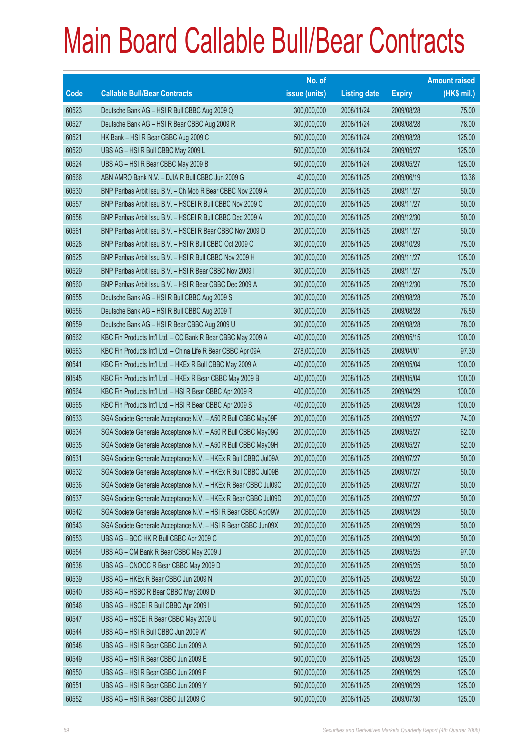|       |                                                                | No. of        |                     |               | <b>Amount raised</b> |
|-------|----------------------------------------------------------------|---------------|---------------------|---------------|----------------------|
| Code  | <b>Callable Bull/Bear Contracts</b>                            | issue (units) | <b>Listing date</b> | <b>Expiry</b> | (HK\$ mil.)          |
| 60523 | Deutsche Bank AG - HSI R Bull CBBC Aug 2009 Q                  | 300,000,000   | 2008/11/24          | 2009/08/28    | 75.00                |
| 60527 | Deutsche Bank AG - HSI R Bear CBBC Aug 2009 R                  | 300,000,000   | 2008/11/24          | 2009/08/28    | 78.00                |
| 60521 | HK Bank - HSI R Bear CBBC Aug 2009 C                           | 500,000,000   | 2008/11/24          | 2009/08/28    | 125.00               |
| 60520 | UBS AG - HSI R Bull CBBC May 2009 L                            | 500,000,000   | 2008/11/24          | 2009/05/27    | 125.00               |
| 60524 | UBS AG - HSI R Bear CBBC May 2009 B                            | 500,000,000   | 2008/11/24          | 2009/05/27    | 125.00               |
| 60566 | ABN AMRO Bank N.V. - DJIA R Bull CBBC Jun 2009 G               | 40,000,000    | 2008/11/25          | 2009/06/19    | 13.36                |
| 60530 | BNP Paribas Arbit Issu B.V. - Ch Mob R Bear CBBC Nov 2009 A    | 200,000,000   | 2008/11/25          | 2009/11/27    | 50.00                |
| 60557 | BNP Paribas Arbit Issu B.V. - HSCEI R Bull CBBC Nov 2009 C     | 200,000,000   | 2008/11/25          | 2009/11/27    | 50.00                |
| 60558 | BNP Paribas Arbit Issu B.V. - HSCEI R Bull CBBC Dec 2009 A     | 200,000,000   | 2008/11/25          | 2009/12/30    | 50.00                |
| 60561 | BNP Paribas Arbit Issu B.V. - HSCEI R Bear CBBC Nov 2009 D     | 200,000,000   | 2008/11/25          | 2009/11/27    | 50.00                |
| 60528 | BNP Paribas Arbit Issu B.V. - HSI R Bull CBBC Oct 2009 C       | 300,000,000   | 2008/11/25          | 2009/10/29    | 75.00                |
| 60525 | BNP Paribas Arbit Issu B.V. - HSI R Bull CBBC Nov 2009 H       | 300,000,000   | 2008/11/25          | 2009/11/27    | 105.00               |
| 60529 | BNP Paribas Arbit Issu B.V. - HSI R Bear CBBC Nov 2009 I       | 300,000,000   | 2008/11/25          | 2009/11/27    | 75.00                |
| 60560 | BNP Paribas Arbit Issu B.V. - HSI R Bear CBBC Dec 2009 A       | 300,000,000   | 2008/11/25          | 2009/12/30    | 75.00                |
| 60555 | Deutsche Bank AG - HSI R Bull CBBC Aug 2009 S                  | 300,000,000   | 2008/11/25          | 2009/08/28    | 75.00                |
| 60556 | Deutsche Bank AG - HSI R Bull CBBC Aug 2009 T                  | 300,000,000   | 2008/11/25          | 2009/08/28    | 76.50                |
| 60559 | Deutsche Bank AG - HSI R Bear CBBC Aug 2009 U                  | 300,000,000   | 2008/11/25          | 2009/08/28    | 78.00                |
| 60562 | KBC Fin Products Int'l Ltd. - CC Bank R Bear CBBC May 2009 A   | 400,000,000   | 2008/11/25          | 2009/05/15    | 100.00               |
| 60563 | KBC Fin Products Int'l Ltd. - China Life R Bear CBBC Apr 09A   | 278,000,000   | 2008/11/25          | 2009/04/01    | 97.30                |
| 60541 | KBC Fin Products Int'l Ltd. - HKEx R Bull CBBC May 2009 A      | 400,000,000   | 2008/11/25          | 2009/05/04    | 100.00               |
| 60545 | KBC Fin Products Int'l Ltd. - HKEx R Bear CBBC May 2009 B      | 400,000,000   | 2008/11/25          | 2009/05/04    | 100.00               |
| 60564 | KBC Fin Products Int'l Ltd. - HSI R Bear CBBC Apr 2009 R       | 400,000,000   | 2008/11/25          | 2009/04/29    | 100.00               |
| 60565 | KBC Fin Products Int'l Ltd. - HSI R Bear CBBC Apr 2009 S       | 400,000,000   | 2008/11/25          | 2009/04/29    | 100.00               |
| 60533 | SGA Societe Generale Acceptance N.V. - A50 R Bull CBBC May09F  | 200,000,000   | 2008/11/25          | 2009/05/27    | 74.00                |
| 60534 | SGA Societe Generale Acceptance N.V. - A50 R Bull CBBC May09G  | 200,000,000   | 2008/11/25          | 2009/05/27    | 62.00                |
| 60535 | SGA Societe Generale Acceptance N.V. - A50 R Bull CBBC May09H  | 200,000,000   | 2008/11/25          | 2009/05/27    | 52.00                |
| 60531 | SGA Societe Generale Acceptance N.V. - HKEx R Bull CBBC Jul09A | 200,000,000   | 2008/11/25          | 2009/07/27    | 50.00                |
| 60532 | SGA Societe Generale Acceptance N.V. - HKEx R Bull CBBC Jul09B | 200,000,000   | 2008/11/25          | 2009/07/27    | 50.00                |
| 60536 | SGA Societe Generale Acceptance N.V. - HKEx R Bear CBBC Jul09C | 200,000,000   | 2008/11/25          | 2009/07/27    | 50.00                |
| 60537 | SGA Societe Generale Acceptance N.V. - HKEx R Bear CBBC Jul09D | 200,000,000   | 2008/11/25          | 2009/07/27    | 50.00                |
| 60542 | SGA Societe Generale Acceptance N.V. - HSI R Bear CBBC Apr09W  | 200,000,000   | 2008/11/25          | 2009/04/29    | 50.00                |
| 60543 | SGA Societe Generale Acceptance N.V. - HSI R Bear CBBC Jun09X  | 200,000,000   | 2008/11/25          | 2009/06/29    | 50.00                |
| 60553 | UBS AG - BOC HK R Bull CBBC Apr 2009 C                         | 200,000,000   | 2008/11/25          | 2009/04/20    | 50.00                |
| 60554 | UBS AG - CM Bank R Bear CBBC May 2009 J                        | 200,000,000   | 2008/11/25          | 2009/05/25    | 97.00                |
| 60538 | UBS AG - CNOOC R Bear CBBC May 2009 D                          | 200,000,000   | 2008/11/25          | 2009/05/25    | 50.00                |
| 60539 | UBS AG - HKEx R Bear CBBC Jun 2009 N                           | 200,000,000   | 2008/11/25          | 2009/06/22    | 50.00                |
| 60540 | UBS AG - HSBC R Bear CBBC May 2009 D                           | 300,000,000   | 2008/11/25          | 2009/05/25    | 75.00                |
| 60546 | UBS AG - HSCEI R Bull CBBC Apr 2009 I                          | 500,000,000   | 2008/11/25          | 2009/04/29    | 125.00               |
| 60547 | UBS AG - HSCEI R Bear CBBC May 2009 U                          | 500,000,000   | 2008/11/25          | 2009/05/27    | 125.00               |
| 60544 | UBS AG - HSI R Bull CBBC Jun 2009 W                            | 500,000,000   | 2008/11/25          | 2009/06/29    | 125.00               |
| 60548 | UBS AG - HSI R Bear CBBC Jun 2009 A                            | 500,000,000   | 2008/11/25          | 2009/06/29    | 125.00               |
| 60549 | UBS AG - HSI R Bear CBBC Jun 2009 E                            | 500,000,000   | 2008/11/25          | 2009/06/29    | 125.00               |
| 60550 | UBS AG - HSI R Bear CBBC Jun 2009 F                            | 500,000,000   | 2008/11/25          | 2009/06/29    | 125.00               |
| 60551 | UBS AG - HSI R Bear CBBC Jun 2009 Y                            | 500,000,000   | 2008/11/25          | 2009/06/29    | 125.00               |
| 60552 | UBS AG - HSI R Bear CBBC Jul 2009 C                            | 500,000,000   | 2008/11/25          | 2009/07/30    | 125.00               |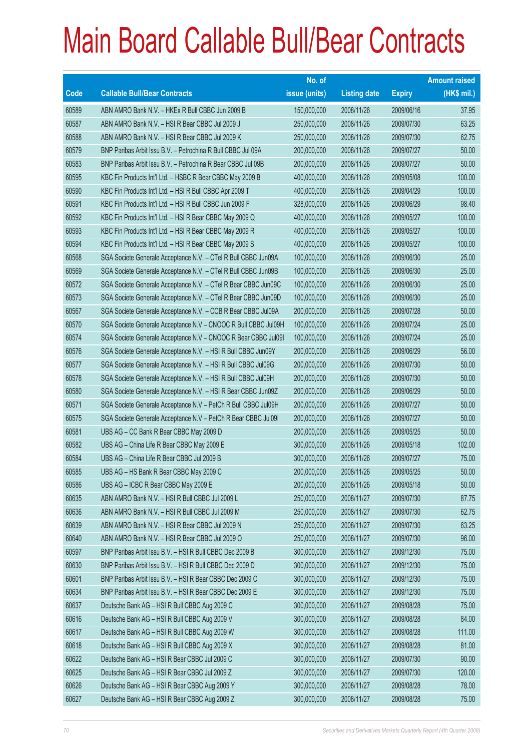|       |                                                                | No. of        |                     |               | <b>Amount raised</b> |
|-------|----------------------------------------------------------------|---------------|---------------------|---------------|----------------------|
| Code  | <b>Callable Bull/Bear Contracts</b>                            | issue (units) | <b>Listing date</b> | <b>Expiry</b> | (HK\$ mil.)          |
| 60589 | ABN AMRO Bank N.V. - HKEx R Bull CBBC Jun 2009 B               | 150,000,000   | 2008/11/26          | 2009/06/16    | 37.95                |
| 60587 | ABN AMRO Bank N.V. - HSI R Bear CBBC Jul 2009 J                | 250,000,000   | 2008/11/26          | 2009/07/30    | 63.25                |
| 60588 | ABN AMRO Bank N.V. - HSI R Bear CBBC Jul 2009 K                | 250,000,000   | 2008/11/26          | 2009/07/30    | 62.75                |
| 60579 | BNP Paribas Arbit Issu B.V. - Petrochina R Bull CBBC Jul 09A   | 200,000,000   | 2008/11/26          | 2009/07/27    | 50.00                |
| 60583 | BNP Paribas Arbit Issu B.V. - Petrochina R Bear CBBC Jul 09B   | 200,000,000   | 2008/11/26          | 2009/07/27    | 50.00                |
| 60595 | KBC Fin Products Int'l Ltd. - HSBC R Bear CBBC May 2009 B      | 400,000,000   | 2008/11/26          | 2009/05/08    | 100.00               |
| 60590 | KBC Fin Products Int'l Ltd. - HSI R Bull CBBC Apr 2009 T       | 400,000,000   | 2008/11/26          | 2009/04/29    | 100.00               |
| 60591 | KBC Fin Products Int'l Ltd. - HSI R Bull CBBC Jun 2009 F       | 328,000,000   | 2008/11/26          | 2009/06/29    | 98.40                |
| 60592 | KBC Fin Products Int'l Ltd. - HSI R Bear CBBC May 2009 Q       | 400,000,000   | 2008/11/26          | 2009/05/27    | 100.00               |
| 60593 | KBC Fin Products Int'l Ltd. - HSI R Bear CBBC May 2009 R       | 400,000,000   | 2008/11/26          | 2009/05/27    | 100.00               |
| 60594 | KBC Fin Products Int'l Ltd. - HSI R Bear CBBC May 2009 S       | 400,000,000   | 2008/11/26          | 2009/05/27    | 100.00               |
| 60568 | SGA Societe Generale Acceptance N.V. - CTel R Bull CBBC Jun09A | 100,000,000   | 2008/11/26          | 2009/06/30    | 25.00                |
| 60569 | SGA Societe Generale Acceptance N.V. - CTel R Bull CBBC Jun09B | 100,000,000   | 2008/11/26          | 2009/06/30    | 25.00                |
| 60572 | SGA Societe Generale Acceptance N.V. - CTel R Bear CBBC Jun09C | 100,000,000   | 2008/11/26          | 2009/06/30    | 25.00                |
| 60573 | SGA Societe Generale Acceptance N.V. - CTel R Bear CBBC Jun09D | 100,000,000   | 2008/11/26          | 2009/06/30    | 25.00                |
| 60567 | SGA Societe Generale Acceptance N.V. - CCB R Bear CBBC Jul09A  | 200,000,000   | 2008/11/26          | 2009/07/28    | 50.00                |
| 60570 | SGA Societe Generale Acceptance N.V - CNOOC R Bull CBBC Jul09H | 100,000,000   | 2008/11/26          | 2009/07/24    | 25.00                |
| 60574 | SGA Societe Generale Acceptance N.V - CNOOC R Bear CBBC Jul091 | 100,000,000   | 2008/11/26          | 2009/07/24    | 25.00                |
| 60576 | SGA Societe Generale Acceptance N.V. - HSI R Bull CBBC Jun09Y  | 200,000,000   | 2008/11/26          | 2009/06/29    | 56.00                |
| 60577 | SGA Societe Generale Acceptance N.V. - HSI R Bull CBBC Jul09G  | 200,000,000   | 2008/11/26          | 2009/07/30    | 50.00                |
| 60578 | SGA Societe Generale Acceptance N.V. - HSI R Bull CBBC Jul09H  | 200,000,000   | 2008/11/26          | 2009/07/30    | 50.00                |
| 60580 | SGA Societe Generale Acceptance N.V. - HSI R Bear CBBC Jun09Z  | 200,000,000   | 2008/11/26          | 2009/06/29    | 50.00                |
| 60571 | SGA Societe Generale Acceptance N.V - PetCh R Bull CBBC Jul09H | 200,000,000   | 2008/11/26          | 2009/07/27    | 50.00                |
| 60575 | SGA Societe Generale Acceptance N.V - PetCh R Bear CBBC Jul091 | 200,000,000   | 2008/11/26          | 2009/07/27    | 50.00                |
| 60581 | UBS AG - CC Bank R Bear CBBC May 2009 D                        | 200,000,000   | 2008/11/26          | 2009/05/25    | 50.00                |
| 60582 | UBS AG - China Life R Bear CBBC May 2009 E                     | 300,000,000   | 2008/11/26          | 2009/05/18    | 102.00               |
| 60584 | UBS AG - China Life R Bear CBBC Jul 2009 B                     | 300,000,000   | 2008/11/26          | 2009/07/27    | 75.00                |
| 60585 | UBS AG - HS Bank R Bear CBBC May 2009 C                        | 200,000,000   | 2008/11/26          | 2009/05/25    | 50.00                |
| 60586 | UBS AG - ICBC R Bear CBBC May 2009 E                           | 200,000,000   | 2008/11/26          | 2009/05/18    | 50.00                |
| 60635 | ABN AMRO Bank N.V. - HSI R Bull CBBC Jul 2009 L                | 250,000,000   | 2008/11/27          | 2009/07/30    | 87.75                |
| 60636 | ABN AMRO Bank N.V. - HSI R Bull CBBC Jul 2009 M                | 250,000,000   | 2008/11/27          | 2009/07/30    | 62.75                |
| 60639 | ABN AMRO Bank N.V. - HSI R Bear CBBC Jul 2009 N                | 250,000,000   | 2008/11/27          | 2009/07/30    | 63.25                |
| 60640 | ABN AMRO Bank N.V. - HSI R Bear CBBC Jul 2009 O                | 250,000,000   | 2008/11/27          | 2009/07/30    | 96.00                |
| 60597 | BNP Paribas Arbit Issu B.V. - HSI R Bull CBBC Dec 2009 B       | 300,000,000   | 2008/11/27          | 2009/12/30    | 75.00                |
| 60630 | BNP Paribas Arbit Issu B.V. - HSI R Bull CBBC Dec 2009 D       | 300,000,000   | 2008/11/27          | 2009/12/30    | 75.00                |
| 60601 | BNP Paribas Arbit Issu B.V. - HSI R Bear CBBC Dec 2009 C       | 300,000,000   | 2008/11/27          | 2009/12/30    | 75.00                |
| 60634 | BNP Paribas Arbit Issu B.V. - HSI R Bear CBBC Dec 2009 E       | 300,000,000   | 2008/11/27          | 2009/12/30    | 75.00                |
| 60637 | Deutsche Bank AG - HSI R Bull CBBC Aug 2009 C                  | 300,000,000   | 2008/11/27          | 2009/08/28    | 75.00                |
| 60616 | Deutsche Bank AG - HSI R Bull CBBC Aug 2009 V                  | 300,000,000   | 2008/11/27          | 2009/08/28    | 84.00                |
| 60617 | Deutsche Bank AG - HSI R Bull CBBC Aug 2009 W                  | 300,000,000   | 2008/11/27          | 2009/08/28    | 111.00               |
| 60618 | Deutsche Bank AG - HSI R Bull CBBC Aug 2009 X                  | 300,000,000   | 2008/11/27          | 2009/08/28    | 81.00                |
| 60622 | Deutsche Bank AG - HSI R Bear CBBC Jul 2009 C                  | 300,000,000   | 2008/11/27          | 2009/07/30    | 90.00                |
| 60625 | Deutsche Bank AG - HSI R Bear CBBC Jul 2009 Z                  | 300,000,000   | 2008/11/27          | 2009/07/30    | 120.00               |
| 60626 | Deutsche Bank AG - HSI R Bear CBBC Aug 2009 Y                  | 300,000,000   | 2008/11/27          | 2009/08/28    | 78.00                |
| 60627 | Deutsche Bank AG - HSI R Bear CBBC Aug 2009 Z                  | 300,000,000   | 2008/11/27          | 2009/08/28    | 75.00                |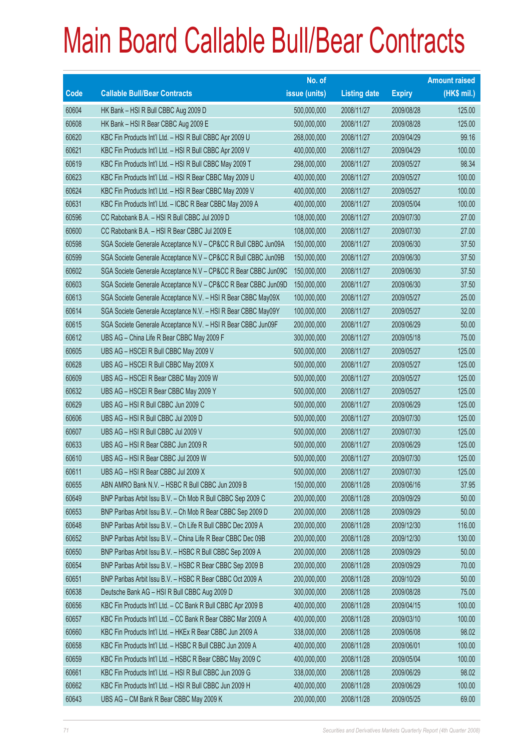|       |                                                                | No. of        |                     |               | <b>Amount raised</b> |
|-------|----------------------------------------------------------------|---------------|---------------------|---------------|----------------------|
| Code  | <b>Callable Bull/Bear Contracts</b>                            | issue (units) | <b>Listing date</b> | <b>Expiry</b> | (HK\$ mil.)          |
| 60604 | HK Bank - HSI R Bull CBBC Aug 2009 D                           | 500,000,000   | 2008/11/27          | 2009/08/28    | 125.00               |
| 60608 | HK Bank - HSI R Bear CBBC Aug 2009 E                           | 500,000,000   | 2008/11/27          | 2009/08/28    | 125.00               |
| 60620 | KBC Fin Products Int'l Ltd. - HSI R Bull CBBC Apr 2009 U       | 268,000,000   | 2008/11/27          | 2009/04/29    | 99.16                |
| 60621 | KBC Fin Products Int'l Ltd. - HSI R Bull CBBC Apr 2009 V       | 400,000,000   | 2008/11/27          | 2009/04/29    | 100.00               |
| 60619 | KBC Fin Products Int'l Ltd. - HSI R Bull CBBC May 2009 T       | 298,000,000   | 2008/11/27          | 2009/05/27    | 98.34                |
| 60623 | KBC Fin Products Int'l Ltd. - HSI R Bear CBBC May 2009 U       | 400,000,000   | 2008/11/27          | 2009/05/27    | 100.00               |
| 60624 | KBC Fin Products Int'l Ltd. - HSI R Bear CBBC May 2009 V       | 400,000,000   | 2008/11/27          | 2009/05/27    | 100.00               |
| 60631 | KBC Fin Products Int'l Ltd. - ICBC R Bear CBBC May 2009 A      | 400,000,000   | 2008/11/27          | 2009/05/04    | 100.00               |
| 60596 | CC Rabobank B.A. - HSI R Bull CBBC Jul 2009 D                  | 108,000,000   | 2008/11/27          | 2009/07/30    | 27.00                |
| 60600 | CC Rabobank B.A. - HSI R Bear CBBC Jul 2009 E                  | 108,000,000   | 2008/11/27          | 2009/07/30    | 27.00                |
| 60598 | SGA Societe Generale Acceptance N.V - CP&CC R Bull CBBC Jun09A | 150,000,000   | 2008/11/27          | 2009/06/30    | 37.50                |
| 60599 | SGA Societe Generale Acceptance N.V - CP&CC R Bull CBBC Jun09B | 150,000,000   | 2008/11/27          | 2009/06/30    | 37.50                |
| 60602 | SGA Societe Generale Acceptance N.V - CP&CC R Bear CBBC Jun09C | 150,000,000   | 2008/11/27          | 2009/06/30    | 37.50                |
| 60603 | SGA Societe Generale Acceptance N.V - CP&CC R Bear CBBC Jun09D | 150,000,000   | 2008/11/27          | 2009/06/30    | 37.50                |
| 60613 | SGA Societe Generale Acceptance N.V. - HSI R Bear CBBC May09X  | 100,000,000   | 2008/11/27          | 2009/05/27    | 25.00                |
| 60614 | SGA Societe Generale Acceptance N.V. - HSI R Bear CBBC May09Y  | 100,000,000   | 2008/11/27          | 2009/05/27    | 32.00                |
| 60615 | SGA Societe Generale Acceptance N.V. - HSI R Bear CBBC Jun09F  | 200,000,000   | 2008/11/27          | 2009/06/29    | 50.00                |
| 60612 | UBS AG - China Life R Bear CBBC May 2009 F                     | 300,000,000   | 2008/11/27          | 2009/05/18    | 75.00                |
| 60605 | UBS AG - HSCEI R Bull CBBC May 2009 V                          | 500,000,000   | 2008/11/27          | 2009/05/27    | 125.00               |
| 60628 | UBS AG - HSCEI R Bull CBBC May 2009 X                          | 500,000,000   | 2008/11/27          | 2009/05/27    | 125.00               |
| 60609 | UBS AG - HSCEI R Bear CBBC May 2009 W                          | 500,000,000   | 2008/11/27          | 2009/05/27    | 125.00               |
| 60632 | UBS AG - HSCEI R Bear CBBC May 2009 Y                          | 500,000,000   | 2008/11/27          | 2009/05/27    | 125.00               |
| 60629 | UBS AG - HSI R Bull CBBC Jun 2009 C                            | 500,000,000   | 2008/11/27          | 2009/06/29    | 125.00               |
| 60606 | UBS AG - HSI R Bull CBBC Jul 2009 D                            | 500,000,000   | 2008/11/27          | 2009/07/30    | 125.00               |
| 60607 | UBS AG - HSI R Bull CBBC Jul 2009 V                            | 500,000,000   | 2008/11/27          | 2009/07/30    | 125.00               |
| 60633 | UBS AG - HSI R Bear CBBC Jun 2009 R                            | 500,000,000   | 2008/11/27          | 2009/06/29    | 125.00               |
| 60610 | UBS AG - HSI R Bear CBBC Jul 2009 W                            | 500,000,000   | 2008/11/27          | 2009/07/30    | 125.00               |
| 60611 | UBS AG - HSI R Bear CBBC Jul 2009 X                            | 500,000,000   | 2008/11/27          | 2009/07/30    | 125.00               |
| 60655 | ABN AMRO Bank N.V. - HSBC R Bull CBBC Jun 2009 B               | 150,000,000   | 2008/11/28          | 2009/06/16    | 37.95                |
| 60649 | BNP Paribas Arbit Issu B.V. - Ch Mob R Bull CBBC Sep 2009 C    | 200,000,000   | 2008/11/28          | 2009/09/29    | 50.00                |
| 60653 | BNP Paribas Arbit Issu B.V. - Ch Mob R Bear CBBC Sep 2009 D    | 200,000,000   | 2008/11/28          | 2009/09/29    | 50.00                |
| 60648 | BNP Paribas Arbit Issu B.V. - Ch Life R Bull CBBC Dec 2009 A   | 200,000,000   | 2008/11/28          | 2009/12/30    | 116.00               |
| 60652 | BNP Paribas Arbit Issu B.V. - China Life R Bear CBBC Dec 09B   | 200,000,000   | 2008/11/28          | 2009/12/30    | 130.00               |
| 60650 | BNP Paribas Arbit Issu B.V. - HSBC R Bull CBBC Sep 2009 A      | 200,000,000   | 2008/11/28          | 2009/09/29    | 50.00                |
| 60654 | BNP Paribas Arbit Issu B.V. - HSBC R Bear CBBC Sep 2009 B      | 200,000,000   | 2008/11/28          | 2009/09/29    | 70.00                |
| 60651 | BNP Paribas Arbit Issu B.V. - HSBC R Bear CBBC Oct 2009 A      | 200,000,000   | 2008/11/28          | 2009/10/29    | 50.00                |
| 60638 | Deutsche Bank AG - HSI R Bull CBBC Aug 2009 D                  | 300,000,000   | 2008/11/28          | 2009/08/28    | 75.00                |
| 60656 | KBC Fin Products Int'l Ltd. - CC Bank R Bull CBBC Apr 2009 B   | 400,000,000   | 2008/11/28          | 2009/04/15    | 100.00               |
| 60657 | KBC Fin Products Int'l Ltd. - CC Bank R Bear CBBC Mar 2009 A   | 400,000,000   | 2008/11/28          | 2009/03/10    | 100.00               |
| 60660 | KBC Fin Products Int'l Ltd. - HKEx R Bear CBBC Jun 2009 A      | 338,000,000   | 2008/11/28          | 2009/06/08    | 98.02                |
| 60658 | KBC Fin Products Int'l Ltd. - HSBC R Bull CBBC Jun 2009 A      | 400,000,000   | 2008/11/28          | 2009/06/01    | 100.00               |
| 60659 | KBC Fin Products Int'l Ltd. - HSBC R Bear CBBC May 2009 C      | 400,000,000   | 2008/11/28          | 2009/05/04    | 100.00               |
| 60661 | KBC Fin Products Int'l Ltd. - HSI R Bull CBBC Jun 2009 G       | 338,000,000   | 2008/11/28          | 2009/06/29    | 98.02                |
| 60662 | KBC Fin Products Int'l Ltd. - HSI R Bull CBBC Jun 2009 H       | 400,000,000   | 2008/11/28          | 2009/06/29    | 100.00               |
| 60643 | UBS AG - CM Bank R Bear CBBC May 2009 K                        | 200,000,000   | 2008/11/28          | 2009/05/25    | 69.00                |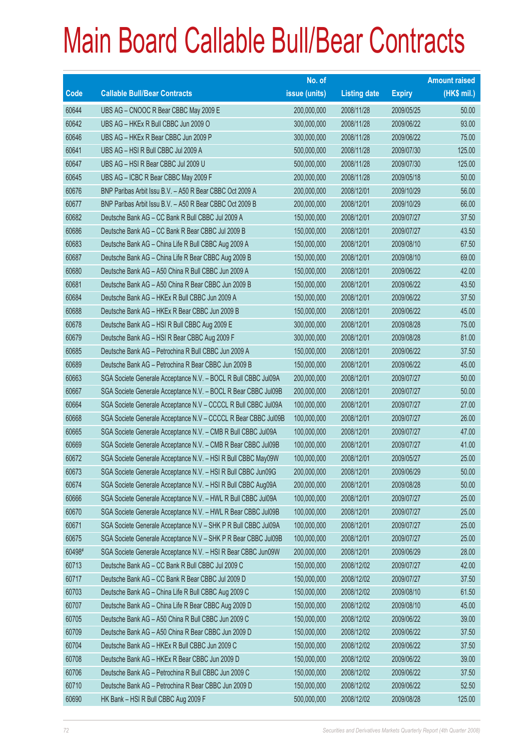|        |                                                                | No. of        |                     |               | <b>Amount raised</b> |
|--------|----------------------------------------------------------------|---------------|---------------------|---------------|----------------------|
| Code   | <b>Callable Bull/Bear Contracts</b>                            | issue (units) | <b>Listing date</b> | <b>Expiry</b> | (HK\$ mil.)          |
| 60644  | UBS AG - CNOOC R Bear CBBC May 2009 E                          | 200,000,000   | 2008/11/28          | 2009/05/25    | 50.00                |
| 60642  | UBS AG - HKEx R Bull CBBC Jun 2009 O                           | 300,000,000   | 2008/11/28          | 2009/06/22    | 93.00                |
| 60646  | UBS AG - HKEx R Bear CBBC Jun 2009 P                           | 300,000,000   | 2008/11/28          | 2009/06/22    | 75.00                |
| 60641  | UBS AG - HSI R Bull CBBC Jul 2009 A                            | 500,000,000   | 2008/11/28          | 2009/07/30    | 125.00               |
| 60647  | UBS AG - HSI R Bear CBBC Jul 2009 U                            | 500,000,000   | 2008/11/28          | 2009/07/30    | 125.00               |
| 60645  | UBS AG - ICBC R Bear CBBC May 2009 F                           | 200,000,000   | 2008/11/28          | 2009/05/18    | 50.00                |
| 60676  | BNP Paribas Arbit Issu B.V. - A50 R Bear CBBC Oct 2009 A       | 200,000,000   | 2008/12/01          | 2009/10/29    | 56.00                |
| 60677  | BNP Paribas Arbit Issu B.V. - A50 R Bear CBBC Oct 2009 B       | 200,000,000   | 2008/12/01          | 2009/10/29    | 66.00                |
| 60682  | Deutsche Bank AG - CC Bank R Bull CBBC Jul 2009 A              | 150,000,000   | 2008/12/01          | 2009/07/27    | 37.50                |
| 60686  | Deutsche Bank AG - CC Bank R Bear CBBC Jul 2009 B              | 150,000,000   | 2008/12/01          | 2009/07/27    | 43.50                |
| 60683  | Deutsche Bank AG - China Life R Bull CBBC Aug 2009 A           | 150,000,000   | 2008/12/01          | 2009/08/10    | 67.50                |
| 60687  | Deutsche Bank AG - China Life R Bear CBBC Aug 2009 B           | 150,000,000   | 2008/12/01          | 2009/08/10    | 69.00                |
| 60680  | Deutsche Bank AG - A50 China R Bull CBBC Jun 2009 A            | 150,000,000   | 2008/12/01          | 2009/06/22    | 42.00                |
| 60681  | Deutsche Bank AG - A50 China R Bear CBBC Jun 2009 B            | 150,000,000   | 2008/12/01          | 2009/06/22    | 43.50                |
| 60684  | Deutsche Bank AG - HKEx R Bull CBBC Jun 2009 A                 | 150,000,000   | 2008/12/01          | 2009/06/22    | 37.50                |
| 60688  | Deutsche Bank AG - HKEx R Bear CBBC Jun 2009 B                 | 150,000,000   | 2008/12/01          | 2009/06/22    | 45.00                |
| 60678  | Deutsche Bank AG - HSI R Bull CBBC Aug 2009 E                  | 300,000,000   | 2008/12/01          | 2009/08/28    | 75.00                |
| 60679  | Deutsche Bank AG - HSI R Bear CBBC Aug 2009 F                  | 300,000,000   | 2008/12/01          | 2009/08/28    | 81.00                |
| 60685  | Deutsche Bank AG - Petrochina R Bull CBBC Jun 2009 A           | 150,000,000   | 2008/12/01          | 2009/06/22    | 37.50                |
| 60689  | Deutsche Bank AG - Petrochina R Bear CBBC Jun 2009 B           | 150,000,000   | 2008/12/01          | 2009/06/22    | 45.00                |
| 60663  | SGA Societe Generale Acceptance N.V. - BOCL R Bull CBBC Jul09A | 200,000,000   | 2008/12/01          | 2009/07/27    | 50.00                |
| 60667  | SGA Societe Generale Acceptance N.V. - BOCL R Bear CBBC Jul09B | 200,000,000   | 2008/12/01          | 2009/07/27    | 50.00                |
| 60664  | SGA Societe Generale Acceptance N.V - CCCCL R Bull CBBC Jul09A | 100,000,000   | 2008/12/01          | 2009/07/27    | 27.00                |
| 60668  | SGA Societe Generale Acceptance N.V - CCCCL R Bear CBBC Jul09B | 100,000,000   | 2008/12/01          | 2009/07/27    | 26.00                |
| 60665  | SGA Societe Generale Acceptance N.V. - CMB R Bull CBBC Jul09A  | 100,000,000   | 2008/12/01          | 2009/07/27    | 47.00                |
| 60669  | SGA Societe Generale Acceptance N.V. - CMB R Bear CBBC Jul09B  | 100,000,000   | 2008/12/01          | 2009/07/27    | 41.00                |
| 60672  | SGA Societe Generale Acceptance N.V. - HSI R Bull CBBC May09W  | 100,000,000   | 2008/12/01          | 2009/05/27    | 25.00                |
| 60673  | SGA Societe Generale Acceptance N.V. - HSI R Bull CBBC Jun09G  | 200,000,000   | 2008/12/01          | 2009/06/29    | 50.00                |
| 60674  | SGA Societe Generale Acceptance N.V. - HSI R Bull CBBC Aug09A  | 200,000,000   | 2008/12/01          | 2009/08/28    | 50.00                |
| 60666  | SGA Societe Generale Acceptance N.V. - HWL R Bull CBBC Jul09A  | 100,000,000   | 2008/12/01          | 2009/07/27    | 25.00                |
| 60670  | SGA Societe Generale Acceptance N.V. - HWL R Bear CBBC Jul09B  | 100,000,000   | 2008/12/01          | 2009/07/27    | 25.00                |
| 60671  | SGA Societe Generale Acceptance N.V - SHK P R Bull CBBC Jul09A | 100,000,000   | 2008/12/01          | 2009/07/27    | 25.00                |
| 60675  | SGA Societe Generale Acceptance N.V - SHK P R Bear CBBC Jul09B | 100,000,000   | 2008/12/01          | 2009/07/27    | 25.00                |
| 60498# | SGA Societe Generale Acceptance N.V. - HSI R Bear CBBC Jun09W  | 200,000,000   | 2008/12/01          | 2009/06/29    | 28.00                |
| 60713  | Deutsche Bank AG - CC Bank R Bull CBBC Jul 2009 C              | 150,000,000   | 2008/12/02          | 2009/07/27    | 42.00                |
| 60717  | Deutsche Bank AG - CC Bank R Bear CBBC Jul 2009 D              | 150,000,000   | 2008/12/02          | 2009/07/27    | 37.50                |
| 60703  | Deutsche Bank AG - China Life R Bull CBBC Aug 2009 C           | 150,000,000   | 2008/12/02          | 2009/08/10    | 61.50                |
| 60707  | Deutsche Bank AG - China Life R Bear CBBC Aug 2009 D           | 150,000,000   | 2008/12/02          | 2009/08/10    | 45.00                |
| 60705  | Deutsche Bank AG - A50 China R Bull CBBC Jun 2009 C            | 150,000,000   | 2008/12/02          | 2009/06/22    | 39.00                |
| 60709  | Deutsche Bank AG - A50 China R Bear CBBC Jun 2009 D            | 150,000,000   | 2008/12/02          | 2009/06/22    | 37.50                |
| 60704  | Deutsche Bank AG - HKEx R Bull CBBC Jun 2009 C                 | 150,000,000   | 2008/12/02          | 2009/06/22    | 37.50                |
| 60708  | Deutsche Bank AG - HKEx R Bear CBBC Jun 2009 D                 | 150,000,000   | 2008/12/02          | 2009/06/22    | 39.00                |
| 60706  | Deutsche Bank AG - Petrochina R Bull CBBC Jun 2009 C           | 150,000,000   | 2008/12/02          | 2009/06/22    | 37.50                |
| 60710  | Deutsche Bank AG - Petrochina R Bear CBBC Jun 2009 D           | 150,000,000   | 2008/12/02          | 2009/06/22    | 52.50                |
| 60690  | HK Bank - HSI R Bull CBBC Aug 2009 F                           | 500,000,000   | 2008/12/02          | 2009/08/28    | 125.00               |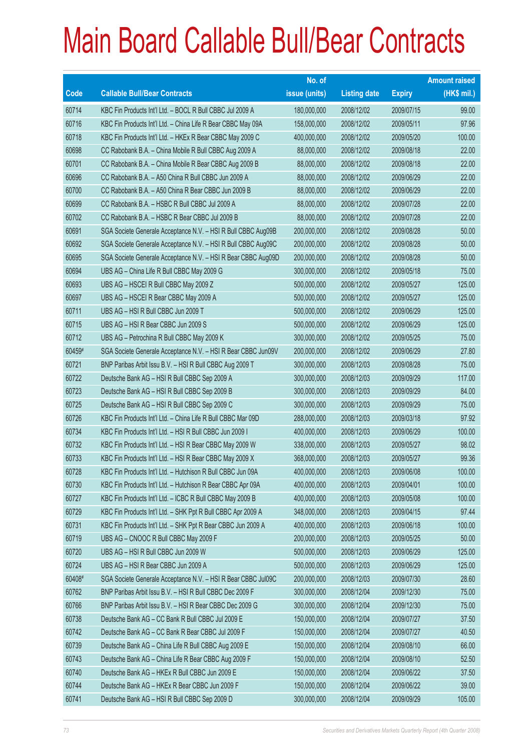|        |                                                               | No. of        |                     |               | <b>Amount raised</b> |
|--------|---------------------------------------------------------------|---------------|---------------------|---------------|----------------------|
| Code   | <b>Callable Bull/Bear Contracts</b>                           | issue (units) | <b>Listing date</b> | <b>Expiry</b> | $(HK$$ mil.)         |
| 60714  | KBC Fin Products Int'l Ltd. - BOCL R Bull CBBC Jul 2009 A     | 180,000,000   | 2008/12/02          | 2009/07/15    | 99.00                |
| 60716  | KBC Fin Products Int'l Ltd. - China Life R Bear CBBC May 09A  | 158,000,000   | 2008/12/02          | 2009/05/11    | 97.96                |
| 60718  | KBC Fin Products Int'l Ltd. - HKEx R Bear CBBC May 2009 C     | 400,000,000   | 2008/12/02          | 2009/05/20    | 100.00               |
| 60698  | CC Rabobank B.A. - China Mobile R Bull CBBC Aug 2009 A        | 88,000,000    | 2008/12/02          | 2009/08/18    | 22.00                |
| 60701  | CC Rabobank B.A. - China Mobile R Bear CBBC Aug 2009 B        | 88,000,000    | 2008/12/02          | 2009/08/18    | 22.00                |
| 60696  | CC Rabobank B.A. - A50 China R Bull CBBC Jun 2009 A           | 88,000,000    | 2008/12/02          | 2009/06/29    | 22.00                |
| 60700  | CC Rabobank B.A. - A50 China R Bear CBBC Jun 2009 B           | 88,000,000    | 2008/12/02          | 2009/06/29    | 22.00                |
| 60699  | CC Rabobank B.A. - HSBC R Bull CBBC Jul 2009 A                | 88,000,000    | 2008/12/02          | 2009/07/28    | 22.00                |
| 60702  | CC Rabobank B.A. - HSBC R Bear CBBC Jul 2009 B                | 88,000,000    | 2008/12/02          | 2009/07/28    | 22.00                |
| 60691  | SGA Societe Generale Acceptance N.V. - HSI R Bull CBBC Aug09B | 200,000,000   | 2008/12/02          | 2009/08/28    | 50.00                |
| 60692  | SGA Societe Generale Acceptance N.V. - HSI R Bull CBBC Aug09C | 200,000,000   | 2008/12/02          | 2009/08/28    | 50.00                |
| 60695  | SGA Societe Generale Acceptance N.V. - HSI R Bear CBBC Aug09D | 200,000,000   | 2008/12/02          | 2009/08/28    | 50.00                |
| 60694  | UBS AG - China Life R Bull CBBC May 2009 G                    | 300,000,000   | 2008/12/02          | 2009/05/18    | 75.00                |
| 60693  | UBS AG - HSCEI R Bull CBBC May 2009 Z                         | 500,000,000   | 2008/12/02          | 2009/05/27    | 125.00               |
| 60697  | UBS AG - HSCEI R Bear CBBC May 2009 A                         | 500,000,000   | 2008/12/02          | 2009/05/27    | 125.00               |
| 60711  | UBS AG - HSI R Bull CBBC Jun 2009 T                           | 500,000,000   | 2008/12/02          | 2009/06/29    | 125.00               |
| 60715  | UBS AG - HSI R Bear CBBC Jun 2009 S                           | 500,000,000   | 2008/12/02          | 2009/06/29    | 125.00               |
| 60712  | UBS AG - Petrochina R Bull CBBC May 2009 K                    | 300,000,000   | 2008/12/02          | 2009/05/25    | 75.00                |
| 60459# | SGA Societe Generale Acceptance N.V. - HSI R Bear CBBC Jun09V | 200,000,000   | 2008/12/02          | 2009/06/29    | 27.80                |
| 60721  | BNP Paribas Arbit Issu B.V. - HSI R Bull CBBC Aug 2009 T      | 300,000,000   | 2008/12/03          | 2009/08/28    | 75.00                |
| 60722  | Deutsche Bank AG - HSI R Bull CBBC Sep 2009 A                 | 300,000,000   | 2008/12/03          | 2009/09/29    | 117.00               |
| 60723  | Deutsche Bank AG - HSI R Bull CBBC Sep 2009 B                 | 300,000,000   | 2008/12/03          | 2009/09/29    | 84.00                |
| 60725  | Deutsche Bank AG - HSI R Bull CBBC Sep 2009 C                 | 300,000,000   | 2008/12/03          | 2009/09/29    | 75.00                |
| 60726  | KBC Fin Products Int'l Ltd. - China Life R Bull CBBC Mar 09D  | 288,000,000   | 2008/12/03          | 2009/03/18    | 97.92                |
| 60734  | KBC Fin Products Int'l Ltd. - HSI R Bull CBBC Jun 2009 I      | 400,000,000   | 2008/12/03          | 2009/06/29    | 100.00               |
| 60732  | KBC Fin Products Int'l Ltd. - HSI R Bear CBBC May 2009 W      | 338,000,000   | 2008/12/03          | 2009/05/27    | 98.02                |
| 60733  | KBC Fin Products Int'l Ltd. - HSI R Bear CBBC May 2009 X      | 368,000,000   | 2008/12/03          | 2009/05/27    | 99.36                |
| 60728  | KBC Fin Products Int'l Ltd. - Hutchison R Bull CBBC Jun 09A   | 400,000,000   | 2008/12/03          | 2009/06/08    | 100.00               |
| 60730  | KBC Fin Products Int'l Ltd. - Hutchison R Bear CBBC Apr 09A   | 400,000,000   | 2008/12/03          | 2009/04/01    | 100.00               |
| 60727  | KBC Fin Products Int'l Ltd. - ICBC R Bull CBBC May 2009 B     | 400,000,000   | 2008/12/03          | 2009/05/08    | 100.00               |
| 60729  | KBC Fin Products Int'l Ltd. - SHK Ppt R Bull CBBC Apr 2009 A  | 348,000,000   | 2008/12/03          | 2009/04/15    | 97.44                |
| 60731  | KBC Fin Products Int'l Ltd. - SHK Ppt R Bear CBBC Jun 2009 A  | 400,000,000   | 2008/12/03          | 2009/06/18    | 100.00               |
| 60719  | UBS AG - CNOOC R Bull CBBC May 2009 F                         | 200,000,000   | 2008/12/03          | 2009/05/25    | 50.00                |
| 60720  | UBS AG - HSI R Bull CBBC Jun 2009 W                           | 500,000,000   | 2008/12/03          | 2009/06/29    | 125.00               |
| 60724  | UBS AG - HSI R Bear CBBC Jun 2009 A                           | 500,000,000   | 2008/12/03          | 2009/06/29    | 125.00               |
| 60408# | SGA Societe Generale Acceptance N.V. - HSI R Bear CBBC Jul09C | 200,000,000   | 2008/12/03          | 2009/07/30    | 28.60                |
| 60762  | BNP Paribas Arbit Issu B.V. - HSI R Bull CBBC Dec 2009 F      | 300,000,000   | 2008/12/04          | 2009/12/30    | 75.00                |
| 60766  | BNP Paribas Arbit Issu B.V. - HSI R Bear CBBC Dec 2009 G      | 300,000,000   | 2008/12/04          | 2009/12/30    | 75.00                |
| 60738  | Deutsche Bank AG - CC Bank R Bull CBBC Jul 2009 E             | 150,000,000   | 2008/12/04          | 2009/07/27    | 37.50                |
| 60742  | Deutsche Bank AG - CC Bank R Bear CBBC Jul 2009 F             | 150,000,000   | 2008/12/04          | 2009/07/27    | 40.50                |
| 60739  | Deutsche Bank AG - China Life R Bull CBBC Aug 2009 E          | 150,000,000   | 2008/12/04          | 2009/08/10    | 66.00                |
| 60743  | Deutsche Bank AG - China Life R Bear CBBC Aug 2009 F          | 150,000,000   | 2008/12/04          | 2009/08/10    | 52.50                |
| 60740  | Deutsche Bank AG - HKEx R Bull CBBC Jun 2009 E                | 150,000,000   | 2008/12/04          | 2009/06/22    | 37.50                |
| 60744  | Deutsche Bank AG - HKEx R Bear CBBC Jun 2009 F                | 150,000,000   | 2008/12/04          | 2009/06/22    | 39.00                |
| 60741  | Deutsche Bank AG - HSI R Bull CBBC Sep 2009 D                 | 300,000,000   | 2008/12/04          | 2009/09/29    | 105.00               |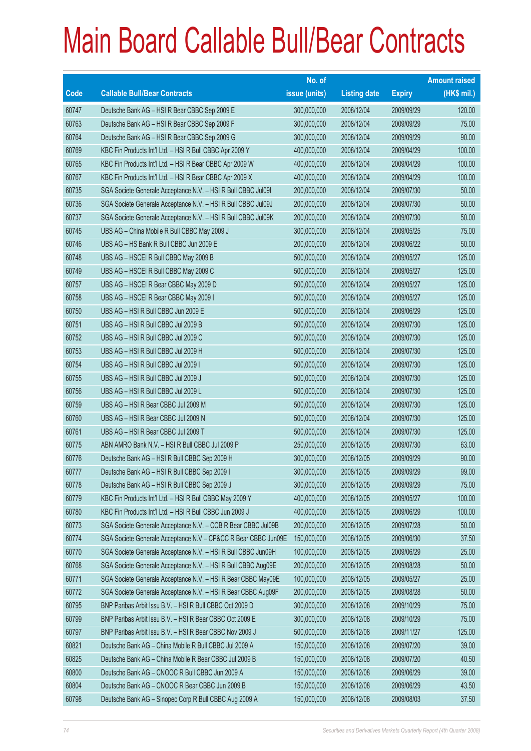|       |                                                                | No. of        |                     |               | <b>Amount raised</b> |
|-------|----------------------------------------------------------------|---------------|---------------------|---------------|----------------------|
| Code  | <b>Callable Bull/Bear Contracts</b>                            | issue (units) | <b>Listing date</b> | <b>Expiry</b> | (HK\$ mil.)          |
| 60747 | Deutsche Bank AG - HSI R Bear CBBC Sep 2009 E                  | 300,000,000   | 2008/12/04          | 2009/09/29    | 120.00               |
| 60763 | Deutsche Bank AG - HSI R Bear CBBC Sep 2009 F                  | 300,000,000   | 2008/12/04          | 2009/09/29    | 75.00                |
| 60764 | Deutsche Bank AG - HSI R Bear CBBC Sep 2009 G                  | 300,000,000   | 2008/12/04          | 2009/09/29    | 90.00                |
| 60769 | KBC Fin Products Int'l Ltd. - HSI R Bull CBBC Apr 2009 Y       | 400,000,000   | 2008/12/04          | 2009/04/29    | 100.00               |
| 60765 | KBC Fin Products Int'l Ltd. - HSI R Bear CBBC Apr 2009 W       | 400,000,000   | 2008/12/04          | 2009/04/29    | 100.00               |
| 60767 | KBC Fin Products Int'l Ltd. - HSI R Bear CBBC Apr 2009 X       | 400,000,000   | 2008/12/04          | 2009/04/29    | 100.00               |
| 60735 | SGA Societe Generale Acceptance N.V. - HSI R Bull CBBC Jul091  | 200,000,000   | 2008/12/04          | 2009/07/30    | 50.00                |
| 60736 | SGA Societe Generale Acceptance N.V. - HSI R Bull CBBC Jul09J  | 200,000,000   | 2008/12/04          | 2009/07/30    | 50.00                |
| 60737 | SGA Societe Generale Acceptance N.V. - HSI R Bull CBBC Jul09K  | 200,000,000   | 2008/12/04          | 2009/07/30    | 50.00                |
| 60745 | UBS AG - China Mobile R Bull CBBC May 2009 J                   | 300,000,000   | 2008/12/04          | 2009/05/25    | 75.00                |
| 60746 | UBS AG - HS Bank R Bull CBBC Jun 2009 E                        | 200,000,000   | 2008/12/04          | 2009/06/22    | 50.00                |
| 60748 | UBS AG - HSCEI R Bull CBBC May 2009 B                          | 500,000,000   | 2008/12/04          | 2009/05/27    | 125.00               |
| 60749 | UBS AG - HSCEI R Bull CBBC May 2009 C                          | 500,000,000   | 2008/12/04          | 2009/05/27    | 125.00               |
| 60757 | UBS AG - HSCEI R Bear CBBC May 2009 D                          | 500,000,000   | 2008/12/04          | 2009/05/27    | 125.00               |
| 60758 | UBS AG - HSCEI R Bear CBBC May 2009 I                          | 500,000,000   | 2008/12/04          | 2009/05/27    | 125.00               |
| 60750 | UBS AG - HSI R Bull CBBC Jun 2009 E                            | 500,000,000   | 2008/12/04          | 2009/06/29    | 125.00               |
| 60751 | UBS AG - HSI R Bull CBBC Jul 2009 B                            | 500,000,000   | 2008/12/04          | 2009/07/30    | 125.00               |
| 60752 | UBS AG - HSI R Bull CBBC Jul 2009 C                            | 500,000,000   | 2008/12/04          | 2009/07/30    | 125.00               |
| 60753 | UBS AG - HSI R Bull CBBC Jul 2009 H                            | 500,000,000   | 2008/12/04          | 2009/07/30    | 125.00               |
| 60754 | UBS AG - HSI R Bull CBBC Jul 2009 I                            | 500,000,000   | 2008/12/04          | 2009/07/30    | 125.00               |
| 60755 | UBS AG - HSI R Bull CBBC Jul 2009 J                            | 500,000,000   | 2008/12/04          | 2009/07/30    | 125.00               |
| 60756 | UBS AG - HSI R Bull CBBC Jul 2009 L                            | 500,000,000   | 2008/12/04          | 2009/07/30    | 125.00               |
| 60759 | UBS AG - HSI R Bear CBBC Jul 2009 M                            | 500,000,000   | 2008/12/04          | 2009/07/30    | 125.00               |
| 60760 | UBS AG - HSI R Bear CBBC Jul 2009 N                            | 500,000,000   | 2008/12/04          | 2009/07/30    | 125.00               |
| 60761 | UBS AG - HSI R Bear CBBC Jul 2009 T                            | 500,000,000   | 2008/12/04          | 2009/07/30    | 125.00               |
| 60775 | ABN AMRO Bank N.V. - HSI R Bull CBBC Jul 2009 P                | 250,000,000   | 2008/12/05          | 2009/07/30    | 63.00                |
| 60776 | Deutsche Bank AG - HSI R Bull CBBC Sep 2009 H                  | 300,000,000   | 2008/12/05          | 2009/09/29    | 90.00                |
| 60777 | Deutsche Bank AG - HSI R Bull CBBC Sep 2009 I                  | 300,000,000   | 2008/12/05          | 2009/09/29    | 99.00                |
| 60778 | Deutsche Bank AG - HSI R Bull CBBC Sep 2009 J                  | 300,000,000   | 2008/12/05          | 2009/09/29    | 75.00                |
| 60779 | KBC Fin Products Int'l Ltd. - HSI R Bull CBBC May 2009 Y       | 400,000,000   | 2008/12/05          | 2009/05/27    | 100.00               |
| 60780 | KBC Fin Products Int'l Ltd. - HSI R Bull CBBC Jun 2009 J       | 400,000,000   | 2008/12/05          | 2009/06/29    | 100.00               |
| 60773 | SGA Societe Generale Acceptance N.V. - CCB R Bear CBBC Jul09B  | 200,000,000   | 2008/12/05          | 2009/07/28    | 50.00                |
| 60774 | SGA Societe Generale Acceptance N.V - CP&CC R Bear CBBC Jun09E | 150,000,000   | 2008/12/05          | 2009/06/30    | 37.50                |
| 60770 | SGA Societe Generale Acceptance N.V. - HSI R Bull CBBC Jun09H  | 100,000,000   | 2008/12/05          | 2009/06/29    | 25.00                |
| 60768 | SGA Societe Generale Acceptance N.V. - HSI R Bull CBBC Aug09E  | 200,000,000   | 2008/12/05          | 2009/08/28    | 50.00                |
| 60771 | SGA Societe Generale Acceptance N.V. - HSI R Bear CBBC May09E  | 100,000,000   | 2008/12/05          | 2009/05/27    | 25.00                |
| 60772 | SGA Societe Generale Acceptance N.V. - HSI R Bear CBBC Aug09F  | 200,000,000   | 2008/12/05          | 2009/08/28    | 50.00                |
| 60795 | BNP Paribas Arbit Issu B.V. - HSI R Bull CBBC Oct 2009 D       | 300,000,000   | 2008/12/08          | 2009/10/29    | 75.00                |
| 60799 | BNP Paribas Arbit Issu B.V. - HSI R Bear CBBC Oct 2009 E       | 300,000,000   | 2008/12/08          | 2009/10/29    | 75.00                |
| 60797 | BNP Paribas Arbit Issu B.V. - HSI R Bear CBBC Nov 2009 J       | 500,000,000   | 2008/12/08          | 2009/11/27    | 125.00               |
| 60821 | Deutsche Bank AG - China Mobile R Bull CBBC Jul 2009 A         | 150,000,000   | 2008/12/08          | 2009/07/20    | 39.00                |
| 60825 | Deutsche Bank AG - China Mobile R Bear CBBC Jul 2009 B         | 150,000,000   | 2008/12/08          | 2009/07/20    | 40.50                |
| 60800 | Deutsche Bank AG - CNOOC R Bull CBBC Jun 2009 A                | 150,000,000   | 2008/12/08          | 2009/06/29    | 39.00                |
| 60804 | Deutsche Bank AG - CNOOC R Bear CBBC Jun 2009 B                | 150,000,000   | 2008/12/08          | 2009/06/29    | 43.50                |
| 60798 | Deutsche Bank AG - Sinopec Corp R Bull CBBC Aug 2009 A         | 150,000,000   | 2008/12/08          | 2009/08/03    | 37.50                |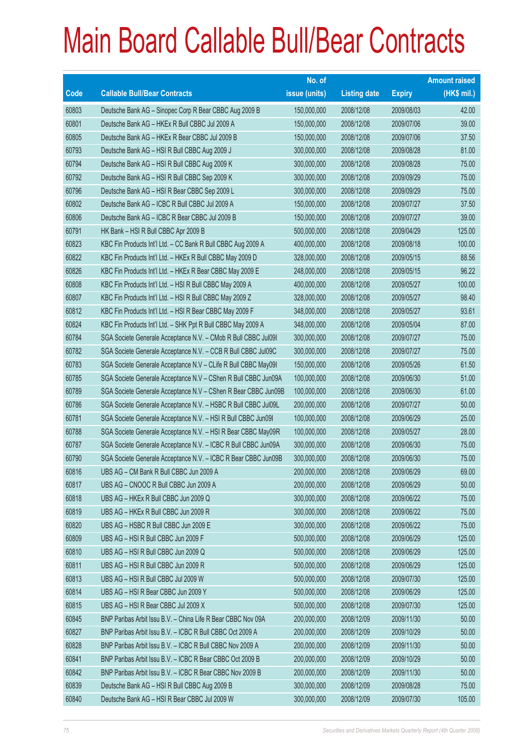|             |                                                                | No. of        |                     |               | <b>Amount raised</b> |
|-------------|----------------------------------------------------------------|---------------|---------------------|---------------|----------------------|
| <b>Code</b> | <b>Callable Bull/Bear Contracts</b>                            | issue (units) | <b>Listing date</b> | <b>Expiry</b> | $(HK$$ mil.)         |
| 60803       | Deutsche Bank AG - Sinopec Corp R Bear CBBC Aug 2009 B         | 150,000,000   | 2008/12/08          | 2009/08/03    | 42.00                |
| 60801       | Deutsche Bank AG - HKEx R Bull CBBC Jul 2009 A                 | 150,000,000   | 2008/12/08          | 2009/07/06    | 39.00                |
| 60805       | Deutsche Bank AG - HKEx R Bear CBBC Jul 2009 B                 | 150,000,000   | 2008/12/08          | 2009/07/06    | 37.50                |
| 60793       | Deutsche Bank AG - HSI R Bull CBBC Aug 2009 J                  | 300,000,000   | 2008/12/08          | 2009/08/28    | 81.00                |
| 60794       | Deutsche Bank AG - HSI R Bull CBBC Aug 2009 K                  | 300,000,000   | 2008/12/08          | 2009/08/28    | 75.00                |
| 60792       | Deutsche Bank AG - HSI R Bull CBBC Sep 2009 K                  | 300,000,000   | 2008/12/08          | 2009/09/29    | 75.00                |
| 60796       | Deutsche Bank AG - HSI R Bear CBBC Sep 2009 L                  | 300,000,000   | 2008/12/08          | 2009/09/29    | 75.00                |
| 60802       | Deutsche Bank AG - ICBC R Bull CBBC Jul 2009 A                 | 150,000,000   | 2008/12/08          | 2009/07/27    | 37.50                |
| 60806       | Deutsche Bank AG - ICBC R Bear CBBC Jul 2009 B                 | 150,000,000   | 2008/12/08          | 2009/07/27    | 39.00                |
| 60791       | HK Bank - HSI R Bull CBBC Apr 2009 B                           | 500,000,000   | 2008/12/08          | 2009/04/29    | 125.00               |
| 60823       | KBC Fin Products Int'l Ltd. - CC Bank R Bull CBBC Aug 2009 A   | 400,000,000   | 2008/12/08          | 2009/08/18    | 100.00               |
| 60822       | KBC Fin Products Int'l Ltd. - HKEx R Bull CBBC May 2009 D      | 328,000,000   | 2008/12/08          | 2009/05/15    | 88.56                |
| 60826       | KBC Fin Products Int'l Ltd. - HKEx R Bear CBBC May 2009 E      | 248,000,000   | 2008/12/08          | 2009/05/15    | 96.22                |
| 60808       | KBC Fin Products Int'l Ltd. - HSI R Bull CBBC May 2009 A       | 400,000,000   | 2008/12/08          | 2009/05/27    | 100.00               |
| 60807       | KBC Fin Products Int'l Ltd. - HSI R Bull CBBC May 2009 Z       | 328,000,000   | 2008/12/08          | 2009/05/27    | 98.40                |
| 60812       | KBC Fin Products Int'l Ltd. - HSI R Bear CBBC May 2009 F       | 348,000,000   | 2008/12/08          | 2009/05/27    | 93.61                |
| 60824       | KBC Fin Products Int'l Ltd. - SHK Ppt R Bull CBBC May 2009 A   | 348,000,000   | 2008/12/08          | 2009/05/04    | 87.00                |
| 60784       | SGA Societe Generale Acceptance N.V. - CMob R Bull CBBC Jul091 | 300,000,000   | 2008/12/08          | 2009/07/27    | 75.00                |
| 60782       | SGA Societe Generale Acceptance N.V. - CCB R Bull CBBC Jul09C  | 300,000,000   | 2008/12/08          | 2009/07/27    | 75.00                |
| 60783       | SGA Societe Generale Acceptance N.V - CLife R Bull CBBC May091 | 150,000,000   | 2008/12/08          | 2009/05/26    | 61.50                |
| 60785       | SGA Societe Generale Acceptance N.V - CShen R Bull CBBC Jun09A | 100,000,000   | 2008/12/08          | 2009/06/30    | 51.00                |
| 60789       | SGA Societe Generale Acceptance N.V - CShen R Bear CBBC Jun09B | 100,000,000   | 2008/12/08          | 2009/06/30    | 61.00                |
| 60786       | SGA Societe Generale Acceptance N.V. - HSBC R Bull CBBC Jul09L | 200,000,000   | 2008/12/08          | 2009/07/27    | 50.00                |
| 60781       | SGA Societe Generale Acceptance N.V. - HSI R Bull CBBC Jun09I  | 100,000,000   | 2008/12/08          | 2009/06/29    | 25.00                |
| 60788       | SGA Societe Generale Acceptance N.V. - HSI R Bear CBBC May09R  | 100,000,000   | 2008/12/08          | 2009/05/27    | 28.00                |
| 60787       | SGA Societe Generale Acceptance N.V. - ICBC R Bull CBBC Jun09A | 300,000,000   | 2008/12/08          | 2009/06/30    | 75.00                |
| 60790       | SGA Societe Generale Acceptance N.V. - ICBC R Bear CBBC Jun09B | 300,000,000   | 2008/12/08          | 2009/06/30    | 75.00                |
| 60816       | UBS AG - CM Bank R Bull CBBC Jun 2009 A                        | 200,000,000   | 2008/12/08          | 2009/06/29    | 69.00                |
| 60817       | UBS AG - CNOOC R Bull CBBC Jun 2009 A                          | 200,000,000   | 2008/12/08          | 2009/06/29    | 50.00                |
| 60818       | UBS AG - HKEx R Bull CBBC Jun 2009 Q                           | 300,000,000   | 2008/12/08          | 2009/06/22    | 75.00                |
| 60819       | UBS AG - HKEx R Bull CBBC Jun 2009 R                           | 300,000,000   | 2008/12/08          | 2009/06/22    | 75.00                |
| 60820       | UBS AG - HSBC R Bull CBBC Jun 2009 E                           | 300,000,000   | 2008/12/08          | 2009/06/22    | 75.00                |
| 60809       | UBS AG - HSI R Bull CBBC Jun 2009 F                            | 500,000,000   | 2008/12/08          | 2009/06/29    | 125.00               |
| 60810       | UBS AG - HSI R Bull CBBC Jun 2009 Q                            | 500,000,000   | 2008/12/08          | 2009/06/29    | 125.00               |
| 60811       | UBS AG - HSI R Bull CBBC Jun 2009 R                            | 500,000,000   | 2008/12/08          | 2009/06/29    | 125.00               |
| 60813       | UBS AG - HSI R Bull CBBC Jul 2009 W                            | 500,000,000   | 2008/12/08          | 2009/07/30    | 125.00               |
| 60814       | UBS AG - HSI R Bear CBBC Jun 2009 Y                            | 500,000,000   | 2008/12/08          | 2009/06/29    | 125.00               |
| 60815       | UBS AG - HSI R Bear CBBC Jul 2009 X                            | 500,000,000   | 2008/12/08          | 2009/07/30    | 125.00               |
| 60845       | BNP Paribas Arbit Issu B.V. - China Life R Bear CBBC Nov 09A   | 200,000,000   | 2008/12/09          | 2009/11/30    | 50.00                |
| 60827       | BNP Paribas Arbit Issu B.V. - ICBC R Bull CBBC Oct 2009 A      | 200,000,000   | 2008/12/09          | 2009/10/29    | 50.00                |
| 60828       | BNP Paribas Arbit Issu B.V. - ICBC R Bull CBBC Nov 2009 A      | 200,000,000   | 2008/12/09          | 2009/11/30    | 50.00                |
| 60841       | BNP Paribas Arbit Issu B.V. - ICBC R Bear CBBC Oct 2009 B      | 200,000,000   | 2008/12/09          | 2009/10/29    | 50.00                |
| 60842       | BNP Paribas Arbit Issu B.V. - ICBC R Bear CBBC Nov 2009 B      | 200,000,000   | 2008/12/09          | 2009/11/30    | 50.00                |
| 60839       | Deutsche Bank AG - HSI R Bull CBBC Aug 2009 B                  | 300,000,000   | 2008/12/09          | 2009/08/28    | 75.00                |
| 60840       | Deutsche Bank AG - HSI R Bear CBBC Jul 2009 W                  | 300,000,000   | 2008/12/09          | 2009/07/30    | 105.00               |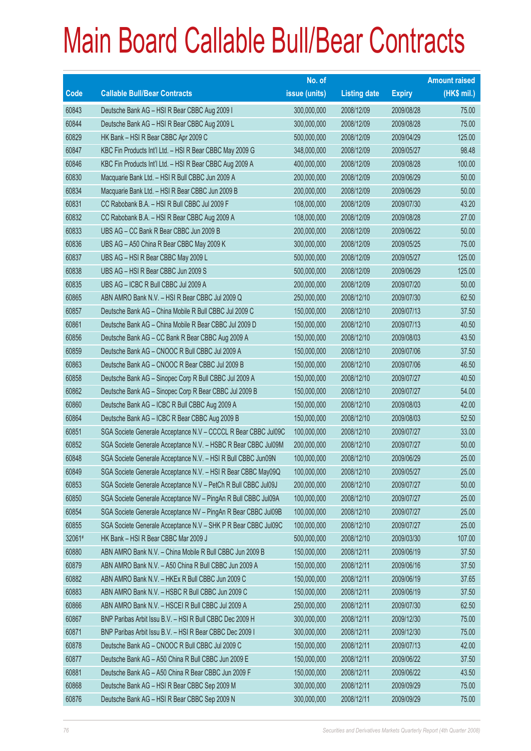|        |                                                                | No. of        |                     |               | <b>Amount raised</b> |
|--------|----------------------------------------------------------------|---------------|---------------------|---------------|----------------------|
| Code   | <b>Callable Bull/Bear Contracts</b>                            | issue (units) | <b>Listing date</b> | <b>Expiry</b> | (HK\$ mil.)          |
| 60843  | Deutsche Bank AG - HSI R Bear CBBC Aug 2009 I                  | 300,000,000   | 2008/12/09          | 2009/08/28    | 75.00                |
| 60844  | Deutsche Bank AG - HSI R Bear CBBC Aug 2009 L                  | 300,000,000   | 2008/12/09          | 2009/08/28    | 75.00                |
| 60829  | HK Bank – HSI R Bear CBBC Apr 2009 C                           | 500,000,000   | 2008/12/09          | 2009/04/29    | 125.00               |
| 60847  | KBC Fin Products Int'l Ltd. - HSI R Bear CBBC May 2009 G       | 348,000,000   | 2008/12/09          | 2009/05/27    | 98.48                |
| 60846  | KBC Fin Products Int'l Ltd. - HSI R Bear CBBC Aug 2009 A       | 400,000,000   | 2008/12/09          | 2009/08/28    | 100.00               |
| 60830  | Macquarie Bank Ltd. - HSI R Bull CBBC Jun 2009 A               | 200,000,000   | 2008/12/09          | 2009/06/29    | 50.00                |
| 60834  | Macquarie Bank Ltd. - HSI R Bear CBBC Jun 2009 B               | 200,000,000   | 2008/12/09          | 2009/06/29    | 50.00                |
| 60831  | CC Rabobank B.A. - HSI R Bull CBBC Jul 2009 F                  | 108,000,000   | 2008/12/09          | 2009/07/30    | 43.20                |
| 60832  | CC Rabobank B.A. - HSI R Bear CBBC Aug 2009 A                  | 108,000,000   | 2008/12/09          | 2009/08/28    | 27.00                |
| 60833  | UBS AG - CC Bank R Bear CBBC Jun 2009 B                        | 200,000,000   | 2008/12/09          | 2009/06/22    | 50.00                |
| 60836  | UBS AG - A50 China R Bear CBBC May 2009 K                      | 300,000,000   | 2008/12/09          | 2009/05/25    | 75.00                |
| 60837  | UBS AG - HSI R Bear CBBC May 2009 L                            | 500,000,000   | 2008/12/09          | 2009/05/27    | 125.00               |
| 60838  | UBS AG - HSI R Bear CBBC Jun 2009 S                            | 500,000,000   | 2008/12/09          | 2009/06/29    | 125.00               |
| 60835  | UBS AG - ICBC R Bull CBBC Jul 2009 A                           | 200,000,000   | 2008/12/09          | 2009/07/20    | 50.00                |
| 60865  | ABN AMRO Bank N.V. - HSI R Bear CBBC Jul 2009 Q                | 250,000,000   | 2008/12/10          | 2009/07/30    | 62.50                |
| 60857  | Deutsche Bank AG - China Mobile R Bull CBBC Jul 2009 C         | 150,000,000   | 2008/12/10          | 2009/07/13    | 37.50                |
| 60861  | Deutsche Bank AG - China Mobile R Bear CBBC Jul 2009 D         | 150,000,000   | 2008/12/10          | 2009/07/13    | 40.50                |
| 60856  | Deutsche Bank AG - CC Bank R Bear CBBC Aug 2009 A              | 150,000,000   | 2008/12/10          | 2009/08/03    | 43.50                |
| 60859  | Deutsche Bank AG - CNOOC R Bull CBBC Jul 2009 A                | 150,000,000   | 2008/12/10          | 2009/07/06    | 37.50                |
| 60863  | Deutsche Bank AG - CNOOC R Bear CBBC Jul 2009 B                | 150,000,000   | 2008/12/10          | 2009/07/06    | 46.50                |
| 60858  | Deutsche Bank AG - Sinopec Corp R Bull CBBC Jul 2009 A         | 150,000,000   | 2008/12/10          | 2009/07/27    | 40.50                |
| 60862  | Deutsche Bank AG - Sinopec Corp R Bear CBBC Jul 2009 B         | 150,000,000   | 2008/12/10          | 2009/07/27    | 54.00                |
| 60860  | Deutsche Bank AG - ICBC R Bull CBBC Aug 2009 A                 | 150,000,000   | 2008/12/10          | 2009/08/03    | 42.00                |
| 60864  | Deutsche Bank AG - ICBC R Bear CBBC Aug 2009 B                 | 150,000,000   | 2008/12/10          | 2009/08/03    | 52.50                |
| 60851  | SGA Societe Generale Acceptance N.V - CCCCL R Bear CBBC Jul09C | 100,000,000   | 2008/12/10          | 2009/07/27    | 33.00                |
| 60852  | SGA Societe Generale Acceptance N.V. - HSBC R Bear CBBC Jul09M | 200,000,000   | 2008/12/10          | 2009/07/27    | 50.00                |
| 60848  | SGA Societe Generale Acceptance N.V. - HSI R Bull CBBC Jun09N  | 100,000,000   | 2008/12/10          | 2009/06/29    | 25.00                |
| 60849  | SGA Societe Generale Acceptance N.V. - HSI R Bear CBBC May09Q  | 100,000,000   | 2008/12/10          | 2009/05/27    | 25.00                |
| 60853  | SGA Societe Generale Acceptance N.V - PetCh R Bull CBBC Jul09J | 200,000,000   | 2008/12/10          | 2009/07/27    | 50.00                |
| 60850  | SGA Societe Generale Acceptance NV - PingAn R Bull CBBC Jul09A | 100,000,000   | 2008/12/10          | 2009/07/27    | 25.00                |
| 60854  | SGA Societe Generale Acceptance NV - PingAn R Bear CBBC Jul09B | 100,000,000   | 2008/12/10          | 2009/07/27    | 25.00                |
| 60855  | SGA Societe Generale Acceptance N.V - SHK P R Bear CBBC Jul09C | 100,000,000   | 2008/12/10          | 2009/07/27    | 25.00                |
| 32061# | HK Bank - HSI R Bear CBBC Mar 2009 J                           | 500,000,000   | 2008/12/10          | 2009/03/30    | 107.00               |
| 60880  | ABN AMRO Bank N.V. - China Mobile R Bull CBBC Jun 2009 B       | 150,000,000   | 2008/12/11          | 2009/06/19    | 37.50                |
| 60879  | ABN AMRO Bank N.V. - A50 China R Bull CBBC Jun 2009 A          | 150,000,000   | 2008/12/11          | 2009/06/16    | 37.50                |
| 60882  | ABN AMRO Bank N.V. - HKEx R Bull CBBC Jun 2009 C               | 150,000,000   | 2008/12/11          | 2009/06/19    | 37.65                |
| 60883  | ABN AMRO Bank N.V. - HSBC R Bull CBBC Jun 2009 C               | 150,000,000   | 2008/12/11          | 2009/06/19    | 37.50                |
| 60866  | ABN AMRO Bank N.V. - HSCEI R Bull CBBC Jul 2009 A              | 250,000,000   | 2008/12/11          | 2009/07/30    | 62.50                |
| 60867  | BNP Paribas Arbit Issu B.V. - HSI R Bull CBBC Dec 2009 H       | 300,000,000   | 2008/12/11          | 2009/12/30    | 75.00                |
| 60871  | BNP Paribas Arbit Issu B.V. - HSI R Bear CBBC Dec 2009 I       | 300,000,000   | 2008/12/11          | 2009/12/30    | 75.00                |
| 60878  | Deutsche Bank AG - CNOOC R Bull CBBC Jul 2009 C                | 150,000,000   | 2008/12/11          | 2009/07/13    | 42.00                |
| 60877  | Deutsche Bank AG - A50 China R Bull CBBC Jun 2009 E            | 150,000,000   | 2008/12/11          | 2009/06/22    | 37.50                |
| 60881  | Deutsche Bank AG - A50 China R Bear CBBC Jun 2009 F            | 150,000,000   | 2008/12/11          | 2009/06/22    | 43.50                |
| 60868  | Deutsche Bank AG - HSI R Bear CBBC Sep 2009 M                  | 300,000,000   | 2008/12/11          | 2009/09/29    | 75.00                |
| 60876  | Deutsche Bank AG - HSI R Bear CBBC Sep 2009 N                  | 300,000,000   | 2008/12/11          | 2009/09/29    | 75.00                |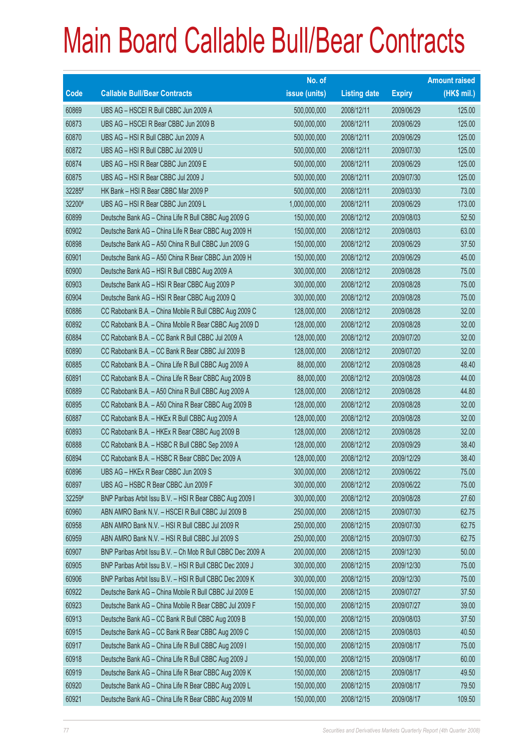|        |                                                             | No. of        |                     |               | <b>Amount raised</b> |
|--------|-------------------------------------------------------------|---------------|---------------------|---------------|----------------------|
| Code   | <b>Callable Bull/Bear Contracts</b>                         | issue (units) | <b>Listing date</b> | <b>Expiry</b> | $(HK$$ mil.)         |
| 60869  | UBS AG - HSCEI R Bull CBBC Jun 2009 A                       | 500,000,000   | 2008/12/11          | 2009/06/29    | 125.00               |
| 60873  | UBS AG - HSCEI R Bear CBBC Jun 2009 B                       | 500,000,000   | 2008/12/11          | 2009/06/29    | 125.00               |
| 60870  | UBS AG - HSI R Bull CBBC Jun 2009 A                         | 500,000,000   | 2008/12/11          | 2009/06/29    | 125.00               |
| 60872  | UBS AG - HSI R Bull CBBC Jul 2009 U                         | 500,000,000   | 2008/12/11          | 2009/07/30    | 125.00               |
| 60874  | UBS AG - HSI R Bear CBBC Jun 2009 E                         | 500,000,000   | 2008/12/11          | 2009/06/29    | 125.00               |
| 60875  | UBS AG - HSI R Bear CBBC Jul 2009 J                         | 500,000,000   | 2008/12/11          | 2009/07/30    | 125.00               |
| 32285# | HK Bank - HSI R Bear CBBC Mar 2009 P                        | 500,000,000   | 2008/12/11          | 2009/03/30    | 73.00                |
| 32200# | UBS AG - HSI R Bear CBBC Jun 2009 L                         | 1,000,000,000 | 2008/12/11          | 2009/06/29    | 173.00               |
| 60899  | Deutsche Bank AG - China Life R Bull CBBC Aug 2009 G        | 150,000,000   | 2008/12/12          | 2009/08/03    | 52.50                |
| 60902  | Deutsche Bank AG - China Life R Bear CBBC Aug 2009 H        | 150,000,000   | 2008/12/12          | 2009/08/03    | 63.00                |
| 60898  | Deutsche Bank AG - A50 China R Bull CBBC Jun 2009 G         | 150,000,000   | 2008/12/12          | 2009/06/29    | 37.50                |
| 60901  | Deutsche Bank AG - A50 China R Bear CBBC Jun 2009 H         | 150,000,000   | 2008/12/12          | 2009/06/29    | 45.00                |
| 60900  | Deutsche Bank AG - HSI R Bull CBBC Aug 2009 A               | 300,000,000   | 2008/12/12          | 2009/08/28    | 75.00                |
| 60903  | Deutsche Bank AG - HSI R Bear CBBC Aug 2009 P               | 300,000,000   | 2008/12/12          | 2009/08/28    | 75.00                |
| 60904  | Deutsche Bank AG - HSI R Bear CBBC Aug 2009 Q               | 300,000,000   | 2008/12/12          | 2009/08/28    | 75.00                |
| 60886  | CC Rabobank B.A. - China Mobile R Bull CBBC Aug 2009 C      | 128,000,000   | 2008/12/12          | 2009/08/28    | 32.00                |
| 60892  | CC Rabobank B.A. - China Mobile R Bear CBBC Aug 2009 D      | 128,000,000   | 2008/12/12          | 2009/08/28    | 32.00                |
| 60884  | CC Rabobank B.A. - CC Bank R Bull CBBC Jul 2009 A           | 128,000,000   | 2008/12/12          | 2009/07/20    | 32.00                |
| 60890  | CC Rabobank B.A. - CC Bank R Bear CBBC Jul 2009 B           | 128,000,000   | 2008/12/12          | 2009/07/20    | 32.00                |
| 60885  | CC Rabobank B.A. - China Life R Bull CBBC Aug 2009 A        | 88,000,000    | 2008/12/12          | 2009/08/28    | 48.40                |
| 60891  | CC Rabobank B.A. - China Life R Bear CBBC Aug 2009 B        | 88,000,000    | 2008/12/12          | 2009/08/28    | 44.00                |
| 60889  | CC Rabobank B.A. - A50 China R Bull CBBC Aug 2009 A         | 128,000,000   | 2008/12/12          | 2009/08/28    | 44.80                |
| 60895  | CC Rabobank B.A. - A50 China R Bear CBBC Aug 2009 B         | 128,000,000   | 2008/12/12          | 2009/08/28    | 32.00                |
| 60887  | CC Rabobank B.A. - HKEx R Bull CBBC Aug 2009 A              | 128,000,000   | 2008/12/12          | 2009/08/28    | 32.00                |
| 60893  | CC Rabobank B.A. - HKEx R Bear CBBC Aug 2009 B              | 128,000,000   | 2008/12/12          | 2009/08/28    | 32.00                |
| 60888  | CC Rabobank B.A. - HSBC R Bull CBBC Sep 2009 A              | 128,000,000   | 2008/12/12          | 2009/09/29    | 38.40                |
| 60894  | CC Rabobank B.A. - HSBC R Bear CBBC Dec 2009 A              | 128,000,000   | 2008/12/12          | 2009/12/29    | 38.40                |
| 60896  | UBS AG - HKEx R Bear CBBC Jun 2009 S                        | 300,000,000   | 2008/12/12          | 2009/06/22    | 75.00                |
| 60897  | UBS AG - HSBC R Bear CBBC Jun 2009 F                        | 300,000,000   | 2008/12/12          | 2009/06/22    | 75.00                |
| 32259# | BNP Paribas Arbit Issu B.V. - HSI R Bear CBBC Aug 2009 I    | 300,000,000   | 2008/12/12          | 2009/08/28    | 27.60                |
| 60960  | ABN AMRO Bank N.V. - HSCEI R Bull CBBC Jul 2009 B           | 250,000,000   | 2008/12/15          | 2009/07/30    | 62.75                |
| 60958  | ABN AMRO Bank N.V. - HSI R Bull CBBC Jul 2009 R             | 250,000,000   | 2008/12/15          | 2009/07/30    | 62.75                |
| 60959  | ABN AMRO Bank N.V. - HSI R Bull CBBC Jul 2009 S             | 250,000,000   | 2008/12/15          | 2009/07/30    | 62.75                |
| 60907  | BNP Paribas Arbit Issu B.V. - Ch Mob R Bull CBBC Dec 2009 A | 200,000,000   | 2008/12/15          | 2009/12/30    | 50.00                |
| 60905  | BNP Paribas Arbit Issu B.V. - HSI R Bull CBBC Dec 2009 J    | 300,000,000   | 2008/12/15          | 2009/12/30    | 75.00                |
| 60906  | BNP Paribas Arbit Issu B.V. - HSI R Bull CBBC Dec 2009 K    | 300,000,000   | 2008/12/15          | 2009/12/30    | 75.00                |
| 60922  | Deutsche Bank AG - China Mobile R Bull CBBC Jul 2009 E      | 150,000,000   | 2008/12/15          | 2009/07/27    | 37.50                |
| 60923  | Deutsche Bank AG - China Mobile R Bear CBBC Jul 2009 F      | 150,000,000   | 2008/12/15          | 2009/07/27    | 39.00                |
| 60913  | Deutsche Bank AG - CC Bank R Bull CBBC Aug 2009 B           | 150,000,000   | 2008/12/15          | 2009/08/03    | 37.50                |
| 60915  | Deutsche Bank AG - CC Bank R Bear CBBC Aug 2009 C           | 150,000,000   | 2008/12/15          | 2009/08/03    | 40.50                |
| 60917  | Deutsche Bank AG - China Life R Bull CBBC Aug 2009 I        | 150,000,000   | 2008/12/15          | 2009/08/17    | 75.00                |
| 60918  | Deutsche Bank AG - China Life R Bull CBBC Aug 2009 J        | 150,000,000   | 2008/12/15          | 2009/08/17    | 60.00                |
| 60919  | Deutsche Bank AG - China Life R Bear CBBC Aug 2009 K        | 150,000,000   | 2008/12/15          | 2009/08/17    | 49.50                |
| 60920  | Deutsche Bank AG - China Life R Bear CBBC Aug 2009 L        | 150,000,000   | 2008/12/15          | 2009/08/17    | 79.50                |
| 60921  | Deutsche Bank AG - China Life R Bear CBBC Aug 2009 M        | 150,000,000   | 2008/12/15          | 2009/08/17    | 109.50               |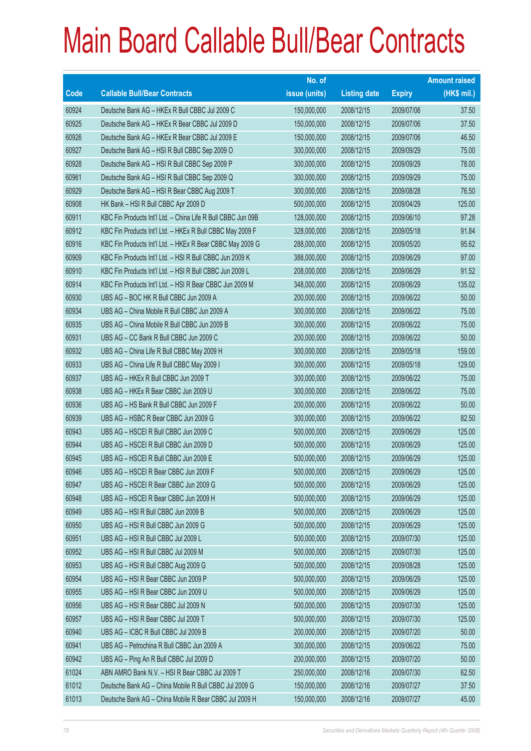|       |                                                              | No. of        |                     |               | <b>Amount raised</b> |
|-------|--------------------------------------------------------------|---------------|---------------------|---------------|----------------------|
| Code  | <b>Callable Bull/Bear Contracts</b>                          | issue (units) | <b>Listing date</b> | <b>Expiry</b> | (HK\$ mil.)          |
| 60924 | Deutsche Bank AG - HKEx R Bull CBBC Jul 2009 C               | 150,000,000   | 2008/12/15          | 2009/07/06    | 37.50                |
| 60925 | Deutsche Bank AG - HKEx R Bear CBBC Jul 2009 D               | 150,000,000   | 2008/12/15          | 2009/07/06    | 37.50                |
| 60926 | Deutsche Bank AG - HKEx R Bear CBBC Jul 2009 E               | 150,000,000   | 2008/12/15          | 2009/07/06    | 46.50                |
| 60927 | Deutsche Bank AG - HSI R Bull CBBC Sep 2009 O                | 300,000,000   | 2008/12/15          | 2009/09/29    | 75.00                |
| 60928 | Deutsche Bank AG - HSI R Bull CBBC Sep 2009 P                | 300,000,000   | 2008/12/15          | 2009/09/29    | 78.00                |
| 60961 | Deutsche Bank AG - HSI R Bull CBBC Sep 2009 Q                | 300,000,000   | 2008/12/15          | 2009/09/29    | 75.00                |
| 60929 | Deutsche Bank AG - HSI R Bear CBBC Aug 2009 T                | 300,000,000   | 2008/12/15          | 2009/08/28    | 76.50                |
| 60908 | HK Bank - HSI R Bull CBBC Apr 2009 D                         | 500,000,000   | 2008/12/15          | 2009/04/29    | 125.00               |
| 60911 | KBC Fin Products Int'l Ltd. - China Life R Bull CBBC Jun 09B | 128,000,000   | 2008/12/15          | 2009/06/10    | 97.28                |
| 60912 | KBC Fin Products Int'l Ltd. - HKEx R Bull CBBC May 2009 F    | 328,000,000   | 2008/12/15          | 2009/05/18    | 91.84                |
| 60916 | KBC Fin Products Int'l Ltd. - HKEx R Bear CBBC May 2009 G    | 288,000,000   | 2008/12/15          | 2009/05/20    | 95.62                |
| 60909 | KBC Fin Products Int'l Ltd. - HSI R Bull CBBC Jun 2009 K     | 388,000,000   | 2008/12/15          | 2009/06/29    | 97.00                |
| 60910 | KBC Fin Products Int'l Ltd. - HSI R Bull CBBC Jun 2009 L     | 208,000,000   | 2008/12/15          | 2009/06/29    | 91.52                |
| 60914 | KBC Fin Products Int'l Ltd. - HSI R Bear CBBC Jun 2009 M     | 348,000,000   | 2008/12/15          | 2009/06/29    | 135.02               |
| 60930 | UBS AG - BOC HK R Bull CBBC Jun 2009 A                       | 200,000,000   | 2008/12/15          | 2009/06/22    | 50.00                |
| 60934 | UBS AG - China Mobile R Bull CBBC Jun 2009 A                 | 300,000,000   | 2008/12/15          | 2009/06/22    | 75.00                |
| 60935 | UBS AG - China Mobile R Bull CBBC Jun 2009 B                 | 300,000,000   | 2008/12/15          | 2009/06/22    | 75.00                |
| 60931 | UBS AG - CC Bank R Bull CBBC Jun 2009 C                      | 200,000,000   | 2008/12/15          | 2009/06/22    | 50.00                |
| 60932 | UBS AG - China Life R Bull CBBC May 2009 H                   | 300,000,000   | 2008/12/15          | 2009/05/18    | 159.00               |
| 60933 | UBS AG - China Life R Bull CBBC May 2009 I                   | 300,000,000   | 2008/12/15          | 2009/05/18    | 129.00               |
| 60937 | UBS AG - HKEx R Bull CBBC Jun 2009 T                         | 300,000,000   | 2008/12/15          | 2009/06/22    | 75.00                |
| 60938 | UBS AG - HKEx R Bear CBBC Jun 2009 U                         | 300,000,000   | 2008/12/15          | 2009/06/22    | 75.00                |
| 60936 | UBS AG - HS Bank R Bull CBBC Jun 2009 F                      | 200,000,000   | 2008/12/15          | 2009/06/22    | 50.00                |
| 60939 | UBS AG - HSBC R Bear CBBC Jun 2009 G                         | 300,000,000   | 2008/12/15          | 2009/06/22    | 82.50                |
| 60943 | UBS AG - HSCEI R Bull CBBC Jun 2009 C                        | 500,000,000   | 2008/12/15          | 2009/06/29    | 125.00               |
| 60944 | UBS AG - HSCEI R Bull CBBC Jun 2009 D                        | 500,000,000   | 2008/12/15          | 2009/06/29    | 125.00               |
| 60945 | UBS AG - HSCEI R Bull CBBC Jun 2009 E                        | 500,000,000   | 2008/12/15          | 2009/06/29    | 125.00               |
| 60946 | UBS AG - HSCEI R Bear CBBC Jun 2009 F                        | 500,000,000   | 2008/12/15          | 2009/06/29    | 125.00               |
| 60947 | UBS AG - HSCEI R Bear CBBC Jun 2009 G                        | 500,000,000   | 2008/12/15          | 2009/06/29    | 125.00               |
| 60948 | UBS AG - HSCEI R Bear CBBC Jun 2009 H                        | 500,000,000   | 2008/12/15          | 2009/06/29    | 125.00               |
| 60949 | UBS AG - HSI R Bull CBBC Jun 2009 B                          | 500,000,000   | 2008/12/15          | 2009/06/29    | 125.00               |
| 60950 | UBS AG - HSI R Bull CBBC Jun 2009 G                          | 500,000,000   | 2008/12/15          | 2009/06/29    | 125.00               |
| 60951 | UBS AG - HSI R Bull CBBC Jul 2009 L                          | 500,000,000   | 2008/12/15          | 2009/07/30    | 125.00               |
| 60952 | UBS AG - HSI R Bull CBBC Jul 2009 M                          | 500,000,000   | 2008/12/15          | 2009/07/30    | 125.00               |
| 60953 | UBS AG - HSI R Bull CBBC Aug 2009 G                          | 500,000,000   | 2008/12/15          | 2009/08/28    | 125.00               |
| 60954 | UBS AG - HSI R Bear CBBC Jun 2009 P                          | 500,000,000   | 2008/12/15          | 2009/06/29    | 125.00               |
| 60955 | UBS AG - HSI R Bear CBBC Jun 2009 U                          | 500,000,000   | 2008/12/15          | 2009/06/29    | 125.00               |
| 60956 | UBS AG - HSI R Bear CBBC Jul 2009 N                          | 500,000,000   | 2008/12/15          | 2009/07/30    | 125.00               |
| 60957 | UBS AG - HSI R Bear CBBC Jul 2009 T                          | 500,000,000   | 2008/12/15          | 2009/07/30    | 125.00               |
| 60940 | UBS AG - ICBC R Bull CBBC Jul 2009 B                         | 200,000,000   | 2008/12/15          | 2009/07/20    | 50.00                |
| 60941 | UBS AG - Petrochina R Bull CBBC Jun 2009 A                   | 300,000,000   | 2008/12/15          | 2009/06/22    | 75.00                |
| 60942 | UBS AG - Ping An R Bull CBBC Jul 2009 D                      | 200,000,000   | 2008/12/15          | 2009/07/20    | 50.00                |
| 61024 | ABN AMRO Bank N.V. - HSI R Bear CBBC Jul 2009 T              | 250,000,000   | 2008/12/16          | 2009/07/30    | 62.50                |
| 61012 | Deutsche Bank AG - China Mobile R Bull CBBC Jul 2009 G       | 150,000,000   | 2008/12/16          | 2009/07/27    | 37.50                |
| 61013 | Deutsche Bank AG - China Mobile R Bear CBBC Jul 2009 H       | 150,000,000   | 2008/12/16          | 2009/07/27    | 45.00                |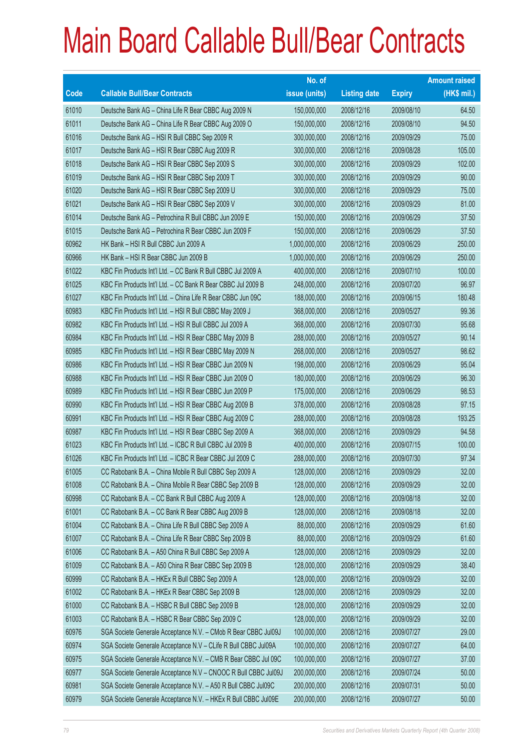|       |                                                                | No. of        |                     |               | <b>Amount raised</b> |
|-------|----------------------------------------------------------------|---------------|---------------------|---------------|----------------------|
| Code  | <b>Callable Bull/Bear Contracts</b>                            | issue (units) | <b>Listing date</b> | <b>Expiry</b> | (HK\$ mil.)          |
| 61010 | Deutsche Bank AG - China Life R Bear CBBC Aug 2009 N           | 150,000,000   | 2008/12/16          | 2009/08/10    | 64.50                |
| 61011 | Deutsche Bank AG - China Life R Bear CBBC Aug 2009 O           | 150,000,000   | 2008/12/16          | 2009/08/10    | 94.50                |
| 61016 | Deutsche Bank AG - HSI R Bull CBBC Sep 2009 R                  | 300,000,000   | 2008/12/16          | 2009/09/29    | 75.00                |
| 61017 | Deutsche Bank AG - HSI R Bear CBBC Aug 2009 R                  | 300,000,000   | 2008/12/16          | 2009/08/28    | 105.00               |
| 61018 | Deutsche Bank AG - HSI R Bear CBBC Sep 2009 S                  | 300,000,000   | 2008/12/16          | 2009/09/29    | 102.00               |
| 61019 | Deutsche Bank AG - HSI R Bear CBBC Sep 2009 T                  | 300,000,000   | 2008/12/16          | 2009/09/29    | 90.00                |
| 61020 | Deutsche Bank AG - HSI R Bear CBBC Sep 2009 U                  | 300,000,000   | 2008/12/16          | 2009/09/29    | 75,00                |
| 61021 | Deutsche Bank AG - HSI R Bear CBBC Sep 2009 V                  | 300,000,000   | 2008/12/16          | 2009/09/29    | 81.00                |
| 61014 | Deutsche Bank AG - Petrochina R Bull CBBC Jun 2009 E           | 150,000,000   | 2008/12/16          | 2009/06/29    | 37.50                |
| 61015 | Deutsche Bank AG - Petrochina R Bear CBBC Jun 2009 F           | 150,000,000   | 2008/12/16          | 2009/06/29    | 37.50                |
| 60962 | HK Bank - HSI R Bull CBBC Jun 2009 A                           | 1,000,000,000 | 2008/12/16          | 2009/06/29    | 250.00               |
| 60966 | HK Bank - HSI R Bear CBBC Jun 2009 B                           | 1,000,000,000 | 2008/12/16          | 2009/06/29    | 250.00               |
| 61022 | KBC Fin Products Int'l Ltd. - CC Bank R Bull CBBC Jul 2009 A   | 400,000,000   | 2008/12/16          | 2009/07/10    | 100.00               |
| 61025 | KBC Fin Products Int'l Ltd. - CC Bank R Bear CBBC Jul 2009 B   | 248,000,000   | 2008/12/16          | 2009/07/20    | 96.97                |
| 61027 | KBC Fin Products Int'l Ltd. - China Life R Bear CBBC Jun 09C   | 188,000,000   | 2008/12/16          | 2009/06/15    | 180.48               |
| 60983 | KBC Fin Products Int'l Ltd. - HSI R Bull CBBC May 2009 J       | 368,000,000   | 2008/12/16          | 2009/05/27    | 99.36                |
| 60982 | KBC Fin Products Int'l Ltd. - HSI R Bull CBBC Jul 2009 A       | 368,000,000   | 2008/12/16          | 2009/07/30    | 95.68                |
| 60984 | KBC Fin Products Int'l Ltd. - HSI R Bear CBBC May 2009 B       | 288,000,000   | 2008/12/16          | 2009/05/27    | 90.14                |
| 60985 | KBC Fin Products Int'l Ltd. - HSI R Bear CBBC May 2009 N       | 268,000,000   | 2008/12/16          | 2009/05/27    | 98.62                |
| 60986 | KBC Fin Products Int'l Ltd. - HSI R Bear CBBC Jun 2009 N       | 198,000,000   | 2008/12/16          | 2009/06/29    | 95.04                |
| 60988 | KBC Fin Products Int'l Ltd. - HSI R Bear CBBC Jun 2009 O       | 180,000,000   | 2008/12/16          | 2009/06/29    | 96.30                |
| 60989 | KBC Fin Products Int'l Ltd. - HSI R Bear CBBC Jun 2009 P       | 175,000,000   | 2008/12/16          | 2009/06/29    | 98.53                |
| 60990 | KBC Fin Products Int'l Ltd. - HSI R Bear CBBC Aug 2009 B       | 378,000,000   | 2008/12/16          | 2009/08/28    | 97.15                |
| 60991 | KBC Fin Products Int'l Ltd. - HSI R Bear CBBC Aug 2009 C       | 288,000,000   | 2008/12/16          | 2009/08/28    | 193.25               |
| 60987 | KBC Fin Products Int'l Ltd. - HSI R Bear CBBC Sep 2009 A       | 368,000,000   | 2008/12/16          | 2009/09/29    | 94.58                |
| 61023 | KBC Fin Products Int'l Ltd. - ICBC R Bull CBBC Jul 2009 B      | 400,000,000   | 2008/12/16          | 2009/07/15    | 100.00               |
| 61026 | KBC Fin Products Int'l Ltd. - ICBC R Bear CBBC Jul 2009 C      | 288,000,000   | 2008/12/16          | 2009/07/30    | 97.34                |
| 61005 | CC Rabobank B.A. - China Mobile R Bull CBBC Sep 2009 A         | 128,000,000   | 2008/12/16          | 2009/09/29    | 32.00                |
| 61008 | CC Rabobank B.A. - China Mobile R Bear CBBC Sep 2009 B         | 128,000,000   | 2008/12/16          | 2009/09/29    | 32.00                |
| 60998 | CC Rabobank B.A. - CC Bank R Bull CBBC Aug 2009 A              | 128,000,000   | 2008/12/16          | 2009/08/18    | 32.00                |
| 61001 | CC Rabobank B.A. - CC Bank R Bear CBBC Aug 2009 B              | 128,000,000   | 2008/12/16          | 2009/08/18    | 32.00                |
| 61004 | CC Rabobank B.A. - China Life R Bull CBBC Sep 2009 A           | 88,000,000    | 2008/12/16          | 2009/09/29    | 61.60                |
| 61007 | CC Rabobank B.A. - China Life R Bear CBBC Sep 2009 B           | 88,000,000    | 2008/12/16          | 2009/09/29    | 61.60                |
| 61006 | CC Rabobank B.A. - A50 China R Bull CBBC Sep 2009 A            | 128,000,000   | 2008/12/16          | 2009/09/29    | 32.00                |
| 61009 | CC Rabobank B.A. - A50 China R Bear CBBC Sep 2009 B            | 128,000,000   | 2008/12/16          | 2009/09/29    | 38.40                |
| 60999 | CC Rabobank B.A. - HKEx R Bull CBBC Sep 2009 A                 | 128,000,000   | 2008/12/16          | 2009/09/29    | 32.00                |
| 61002 | CC Rabobank B.A. - HKEx R Bear CBBC Sep 2009 B                 | 128,000,000   | 2008/12/16          | 2009/09/29    | 32.00                |
| 61000 | CC Rabobank B.A. - HSBC R Bull CBBC Sep 2009 B                 | 128,000,000   | 2008/12/16          | 2009/09/29    | 32.00                |
| 61003 | CC Rabobank B.A. - HSBC R Bear CBBC Sep 2009 C                 | 128,000,000   | 2008/12/16          | 2009/09/29    | 32.00                |
| 60976 | SGA Societe Generale Acceptance N.V. - CMob R Bear CBBC Jul09J | 100,000,000   | 2008/12/16          | 2009/07/27    | 29.00                |
| 60974 | SGA Societe Generale Acceptance N.V - CLife R Bull CBBC Jul09A | 100,000,000   | 2008/12/16          | 2009/07/27    | 64.00                |
| 60975 | SGA Societe Generale Acceptance N.V. - CMB R Bear CBBC Jul 09C | 100,000,000   | 2008/12/16          | 2009/07/27    | 37.00                |
| 60977 | SGA Societe Generale Acceptance N.V - CNOOC R Bull CBBC Jul09J | 200,000,000   | 2008/12/16          | 2009/07/24    | 50.00                |
| 60981 | SGA Societe Generale Acceptance N.V. - A50 R Bull CBBC Jul09C  | 200,000,000   | 2008/12/16          | 2009/07/31    | 50.00                |
| 60979 | SGA Societe Generale Acceptance N.V. - HKEx R Bull CBBC Jul09E | 200,000,000   | 2008/12/16          | 2009/07/27    | 50.00                |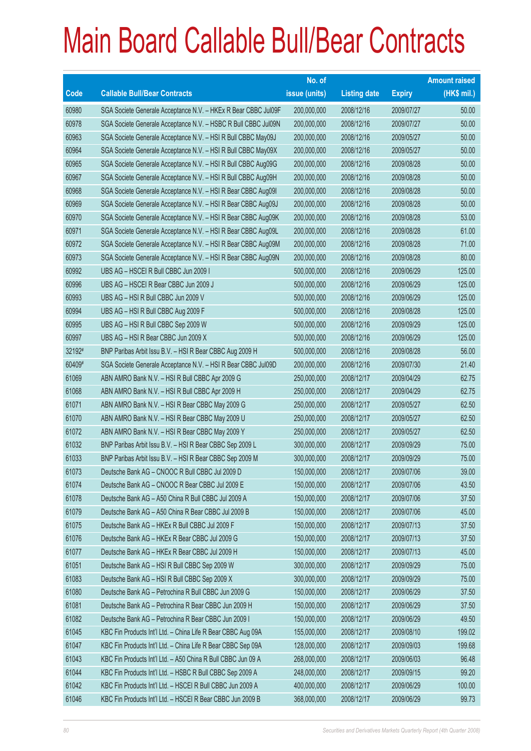|        |                                                                | No. of        |                     |               | <b>Amount raised</b> |
|--------|----------------------------------------------------------------|---------------|---------------------|---------------|----------------------|
| Code   | <b>Callable Bull/Bear Contracts</b>                            | issue (units) | <b>Listing date</b> | <b>Expiry</b> | $(HK$$ mil.)         |
| 60980  | SGA Societe Generale Acceptance N.V. - HKEx R Bear CBBC Jul09F | 200,000,000   | 2008/12/16          | 2009/07/27    | 50.00                |
| 60978  | SGA Societe Generale Acceptance N.V. - HSBC R Bull CBBC Jul09N | 200,000,000   | 2008/12/16          | 2009/07/27    | 50.00                |
| 60963  | SGA Societe Generale Acceptance N.V. - HSI R Bull CBBC May09J  | 200,000,000   | 2008/12/16          | 2009/05/27    | 50.00                |
| 60964  | SGA Societe Generale Acceptance N.V. - HSI R Bull CBBC May09X  | 200,000,000   | 2008/12/16          | 2009/05/27    | 50.00                |
| 60965  | SGA Societe Generale Acceptance N.V. - HSI R Bull CBBC Aug09G  | 200,000,000   | 2008/12/16          | 2009/08/28    | 50.00                |
| 60967  | SGA Societe Generale Acceptance N.V. - HSI R Bull CBBC Aug09H  | 200,000,000   | 2008/12/16          | 2009/08/28    | 50.00                |
| 60968  | SGA Societe Generale Acceptance N.V. - HSI R Bear CBBC Aug091  | 200,000,000   | 2008/12/16          | 2009/08/28    | 50.00                |
| 60969  | SGA Societe Generale Acceptance N.V. - HSI R Bear CBBC Aug09J  | 200,000,000   | 2008/12/16          | 2009/08/28    | 50.00                |
| 60970  | SGA Societe Generale Acceptance N.V. - HSI R Bear CBBC Aug09K  | 200,000,000   | 2008/12/16          | 2009/08/28    | 53.00                |
| 60971  | SGA Societe Generale Acceptance N.V. - HSI R Bear CBBC Aug09L  | 200,000,000   | 2008/12/16          | 2009/08/28    | 61.00                |
| 60972  | SGA Societe Generale Acceptance N.V. - HSI R Bear CBBC Aug09M  | 200,000,000   | 2008/12/16          | 2009/08/28    | 71.00                |
| 60973  | SGA Societe Generale Acceptance N.V. - HSI R Bear CBBC Aug09N  | 200,000,000   | 2008/12/16          | 2009/08/28    | 80.00                |
| 60992  | UBS AG - HSCEI R Bull CBBC Jun 2009 I                          | 500,000,000   | 2008/12/16          | 2009/06/29    | 125.00               |
| 60996  | UBS AG - HSCEI R Bear CBBC Jun 2009 J                          | 500,000,000   | 2008/12/16          | 2009/06/29    | 125.00               |
| 60993  | UBS AG - HSI R Bull CBBC Jun 2009 V                            | 500,000,000   | 2008/12/16          | 2009/06/29    | 125.00               |
| 60994  | UBS AG - HSI R Bull CBBC Aug 2009 F                            | 500,000,000   | 2008/12/16          | 2009/08/28    | 125.00               |
| 60995  | UBS AG - HSI R Bull CBBC Sep 2009 W                            | 500,000,000   | 2008/12/16          | 2009/09/29    | 125.00               |
| 60997  | UBS AG - HSI R Bear CBBC Jun 2009 X                            | 500,000,000   | 2008/12/16          | 2009/06/29    | 125.00               |
| 32192# | BNP Paribas Arbit Issu B.V. - HSI R Bear CBBC Aug 2009 H       | 500,000,000   | 2008/12/16          | 2009/08/28    | 56.00                |
| 60409# | SGA Societe Generale Acceptance N.V. - HSI R Bear CBBC Jul09D  | 200,000,000   | 2008/12/16          | 2009/07/30    | 21.40                |
| 61069  | ABN AMRO Bank N.V. - HSI R Bull CBBC Apr 2009 G                | 250,000,000   | 2008/12/17          | 2009/04/29    | 62.75                |
| 61068  | ABN AMRO Bank N.V. - HSI R Bull CBBC Apr 2009 H                | 250,000,000   | 2008/12/17          | 2009/04/29    | 62.75                |
| 61071  | ABN AMRO Bank N.V. - HSI R Bear CBBC May 2009 G                | 250,000,000   | 2008/12/17          | 2009/05/27    | 62.50                |
| 61070  | ABN AMRO Bank N.V. - HSI R Bear CBBC May 2009 U                | 250,000,000   | 2008/12/17          | 2009/05/27    | 62.50                |
| 61072  | ABN AMRO Bank N.V. - HSI R Bear CBBC May 2009 Y                | 250,000,000   | 2008/12/17          | 2009/05/27    | 62.50                |
| 61032  | BNP Paribas Arbit Issu B.V. - HSI R Bear CBBC Sep 2009 L       | 300,000,000   | 2008/12/17          | 2009/09/29    | 75.00                |
| 61033  | BNP Paribas Arbit Issu B.V. - HSI R Bear CBBC Sep 2009 M       | 300,000,000   | 2008/12/17          | 2009/09/29    | 75.00                |
| 61073  | Deutsche Bank AG - CNOOC R Bull CBBC Jul 2009 D                | 150,000,000   | 2008/12/17          | 2009/07/06    | 39.00                |
| 61074  | Deutsche Bank AG - CNOOC R Bear CBBC Jul 2009 E                | 150,000,000   | 2008/12/17          | 2009/07/06    | 43.50                |
| 61078  | Deutsche Bank AG - A50 China R Bull CBBC Jul 2009 A            | 150,000,000   | 2008/12/17          | 2009/07/06    | 37.50                |
| 61079  | Deutsche Bank AG - A50 China R Bear CBBC Jul 2009 B            | 150,000,000   | 2008/12/17          | 2009/07/06    | 45.00                |
| 61075  | Deutsche Bank AG - HKEx R Bull CBBC Jul 2009 F                 | 150,000,000   | 2008/12/17          | 2009/07/13    | 37.50                |
| 61076  | Deutsche Bank AG - HKEx R Bear CBBC Jul 2009 G                 | 150,000,000   | 2008/12/17          | 2009/07/13    | 37.50                |
| 61077  | Deutsche Bank AG - HKEx R Bear CBBC Jul 2009 H                 | 150,000,000   | 2008/12/17          | 2009/07/13    | 45.00                |
| 61051  | Deutsche Bank AG - HSI R Bull CBBC Sep 2009 W                  | 300,000,000   | 2008/12/17          | 2009/09/29    | 75.00                |
| 61083  | Deutsche Bank AG - HSI R Bull CBBC Sep 2009 X                  | 300,000,000   | 2008/12/17          | 2009/09/29    | 75.00                |
| 61080  | Deutsche Bank AG - Petrochina R Bull CBBC Jun 2009 G           | 150,000,000   | 2008/12/17          | 2009/06/29    | 37.50                |
| 61081  | Deutsche Bank AG - Petrochina R Bear CBBC Jun 2009 H           | 150,000,000   | 2008/12/17          | 2009/06/29    | 37.50                |
| 61082  | Deutsche Bank AG - Petrochina R Bear CBBC Jun 2009 I           | 150,000,000   | 2008/12/17          | 2009/06/29    | 49.50                |
| 61045  | KBC Fin Products Int'l Ltd. - China Life R Bear CBBC Aug 09A   | 155,000,000   | 2008/12/17          | 2009/08/10    | 199.02               |
| 61047  | KBC Fin Products Int'l Ltd. - China Life R Bear CBBC Sep 09A   | 128,000,000   | 2008/12/17          | 2009/09/03    | 199.68               |
| 61043  | KBC Fin Products Int'l Ltd. - A50 China R Bull CBBC Jun 09 A   | 268,000,000   | 2008/12/17          | 2009/06/03    | 96.48                |
| 61044  | KBC Fin Products Int'l Ltd. - HSBC R Bull CBBC Sep 2009 A      | 248,000,000   | 2008/12/17          | 2009/09/15    | 99.20                |
| 61042  | KBC Fin Products Int'l Ltd. - HSCEI R Bull CBBC Jun 2009 A     | 400,000,000   | 2008/12/17          | 2009/06/29    | 100.00               |
| 61046  | KBC Fin Products Int'l Ltd. - HSCEI R Bear CBBC Jun 2009 B     | 368,000,000   | 2008/12/17          | 2009/06/29    | 99.73                |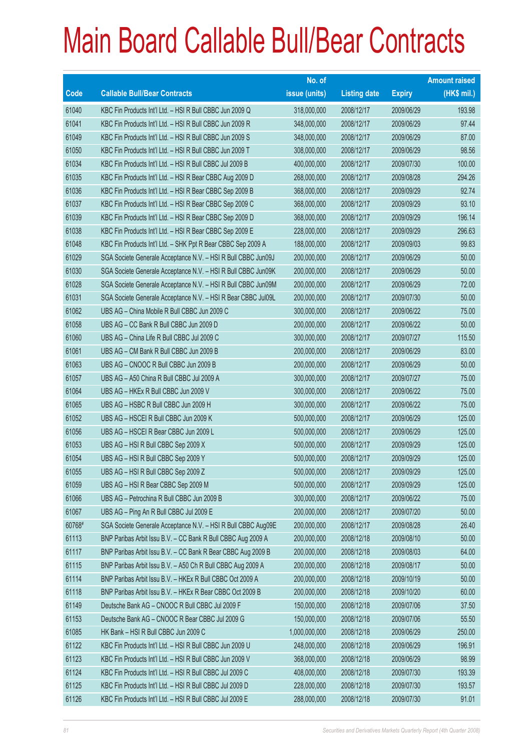|             |                                                               | No. of        |                     |               | <b>Amount raised</b> |
|-------------|---------------------------------------------------------------|---------------|---------------------|---------------|----------------------|
| <b>Code</b> | <b>Callable Bull/Bear Contracts</b>                           | issue (units) | <b>Listing date</b> | <b>Expiry</b> | $(HK$$ mil.)         |
| 61040       | KBC Fin Products Int'l Ltd. - HSI R Bull CBBC Jun 2009 Q      | 318,000,000   | 2008/12/17          | 2009/06/29    | 193.98               |
| 61041       | KBC Fin Products Int'l Ltd. - HSI R Bull CBBC Jun 2009 R      | 348,000,000   | 2008/12/17          | 2009/06/29    | 97.44                |
| 61049       | KBC Fin Products Int'l Ltd. - HSI R Bull CBBC Jun 2009 S      | 348,000,000   | 2008/12/17          | 2009/06/29    | 87.00                |
| 61050       | KBC Fin Products Int'l Ltd. - HSI R Bull CBBC Jun 2009 T      | 308,000,000   | 2008/12/17          | 2009/06/29    | 98.56                |
| 61034       | KBC Fin Products Int'l Ltd. - HSI R Bull CBBC Jul 2009 B      | 400,000,000   | 2008/12/17          | 2009/07/30    | 100.00               |
| 61035       | KBC Fin Products Int'l Ltd. - HSI R Bear CBBC Aug 2009 D      | 268,000,000   | 2008/12/17          | 2009/08/28    | 294.26               |
| 61036       | KBC Fin Products Int'l Ltd. - HSI R Bear CBBC Sep 2009 B      | 368,000,000   | 2008/12/17          | 2009/09/29    | 92.74                |
| 61037       | KBC Fin Products Int'l Ltd. - HSI R Bear CBBC Sep 2009 C      | 368,000,000   | 2008/12/17          | 2009/09/29    | 93.10                |
| 61039       | KBC Fin Products Int'l Ltd. - HSI R Bear CBBC Sep 2009 D      | 368,000,000   | 2008/12/17          | 2009/09/29    | 196.14               |
| 61038       | KBC Fin Products Int'l Ltd. - HSI R Bear CBBC Sep 2009 E      | 228,000,000   | 2008/12/17          | 2009/09/29    | 296.63               |
| 61048       | KBC Fin Products Int'l Ltd. - SHK Ppt R Bear CBBC Sep 2009 A  | 188,000,000   | 2008/12/17          | 2009/09/03    | 99.83                |
| 61029       | SGA Societe Generale Acceptance N.V. - HSI R Bull CBBC Jun09J | 200,000,000   | 2008/12/17          | 2009/06/29    | 50.00                |
| 61030       | SGA Societe Generale Acceptance N.V. - HSI R Bull CBBC Jun09K | 200,000,000   | 2008/12/17          | 2009/06/29    | 50.00                |
| 61028       | SGA Societe Generale Acceptance N.V. - HSI R Bull CBBC Jun09M | 200,000,000   | 2008/12/17          | 2009/06/29    | 72.00                |
| 61031       | SGA Societe Generale Acceptance N.V. - HSI R Bear CBBC Jul09L | 200,000,000   | 2008/12/17          | 2009/07/30    | 50.00                |
| 61062       | UBS AG - China Mobile R Bull CBBC Jun 2009 C                  | 300,000,000   | 2008/12/17          | 2009/06/22    | 75.00                |
| 61058       | UBS AG - CC Bank R Bull CBBC Jun 2009 D                       | 200,000,000   | 2008/12/17          | 2009/06/22    | 50.00                |
| 61060       | UBS AG - China Life R Bull CBBC Jul 2009 C                    | 300,000,000   | 2008/12/17          | 2009/07/27    | 115.50               |
| 61061       | UBS AG - CM Bank R Bull CBBC Jun 2009 B                       | 200,000,000   | 2008/12/17          | 2009/06/29    | 83.00                |
| 61063       | UBS AG - CNOOC R Bull CBBC Jun 2009 B                         | 200,000,000   | 2008/12/17          | 2009/06/29    | 50.00                |
| 61057       | UBS AG - A50 China R Bull CBBC Jul 2009 A                     | 300,000,000   | 2008/12/17          | 2009/07/27    | 75.00                |
| 61064       | UBS AG - HKEx R Bull CBBC Jun 2009 V                          | 300,000,000   | 2008/12/17          | 2009/06/22    | 75.00                |
| 61065       | UBS AG - HSBC R Bull CBBC Jun 2009 H                          | 300,000,000   | 2008/12/17          | 2009/06/22    | 75.00                |
| 61052       | UBS AG - HSCEI R Bull CBBC Jun 2009 K                         | 500,000,000   | 2008/12/17          | 2009/06/29    | 125.00               |
| 61056       | UBS AG - HSCEI R Bear CBBC Jun 2009 L                         | 500,000,000   | 2008/12/17          | 2009/06/29    | 125.00               |
| 61053       | UBS AG - HSI R Bull CBBC Sep 2009 X                           | 500,000,000   | 2008/12/17          | 2009/09/29    | 125.00               |
| 61054       | UBS AG - HSI R Bull CBBC Sep 2009 Y                           | 500,000,000   | 2008/12/17          | 2009/09/29    | 125.00               |
| 61055       | UBS AG - HSI R Bull CBBC Sep 2009 Z                           | 500,000,000   | 2008/12/17          | 2009/09/29    | 125.00               |
| 61059       | UBS AG - HSI R Bear CBBC Sep 2009 M                           | 500,000,000   | 2008/12/17          | 2009/09/29    | 125.00               |
| 61066       | UBS AG - Petrochina R Bull CBBC Jun 2009 B                    | 300,000,000   | 2008/12/17          | 2009/06/22    | 75.00                |
| 61067       | UBS AG - Ping An R Bull CBBC Jul 2009 E                       | 200,000,000   | 2008/12/17          | 2009/07/20    | 50.00                |
| 60768#      | SGA Societe Generale Acceptance N.V. - HSI R Bull CBBC Aug09E | 200,000,000   | 2008/12/17          | 2009/08/28    | 26.40                |
| 61113       | BNP Paribas Arbit Issu B.V. - CC Bank R Bull CBBC Aug 2009 A  | 200,000,000   | 2008/12/18          | 2009/08/10    | 50.00                |
| 61117       | BNP Paribas Arbit Issu B.V. - CC Bank R Bear CBBC Aug 2009 B  | 200,000,000   | 2008/12/18          | 2009/08/03    | 64.00                |
| 61115       | BNP Paribas Arbit Issu B.V. - A50 Ch R Bull CBBC Aug 2009 A   | 200,000,000   | 2008/12/18          | 2009/08/17    | 50.00                |
| 61114       | BNP Paribas Arbit Issu B.V. - HKEx R Bull CBBC Oct 2009 A     | 200,000,000   | 2008/12/18          | 2009/10/19    | 50.00                |
| 61118       | BNP Paribas Arbit Issu B.V. - HKEx R Bear CBBC Oct 2009 B     | 200,000,000   | 2008/12/18          | 2009/10/20    | 60.00                |
| 61149       | Deutsche Bank AG - CNOOC R Bull CBBC Jul 2009 F               | 150,000,000   | 2008/12/18          | 2009/07/06    | 37.50                |
| 61153       | Deutsche Bank AG - CNOOC R Bear CBBC Jul 2009 G               | 150,000,000   | 2008/12/18          | 2009/07/06    | 55.50                |
| 61085       | HK Bank - HSI R Bull CBBC Jun 2009 C                          | 1,000,000,000 | 2008/12/18          | 2009/06/29    | 250.00               |
| 61122       | KBC Fin Products Int'l Ltd. - HSI R Bull CBBC Jun 2009 U      | 248,000,000   | 2008/12/18          | 2009/06/29    | 196.91               |
| 61123       | KBC Fin Products Int'l Ltd. - HSI R Bull CBBC Jun 2009 V      | 368,000,000   | 2008/12/18          | 2009/06/29    | 98.99                |
| 61124       | KBC Fin Products Int'l Ltd. - HSI R Bull CBBC Jul 2009 C      | 408,000,000   | 2008/12/18          | 2009/07/30    | 193.39               |
| 61125       | KBC Fin Products Int'l Ltd. - HSI R Bull CBBC Jul 2009 D      | 228,000,000   | 2008/12/18          | 2009/07/30    | 193.57               |
| 61126       | KBC Fin Products Int'l Ltd. - HSI R Bull CBBC Jul 2009 E      | 288,000,000   | 2008/12/18          | 2009/07/30    | 91.01                |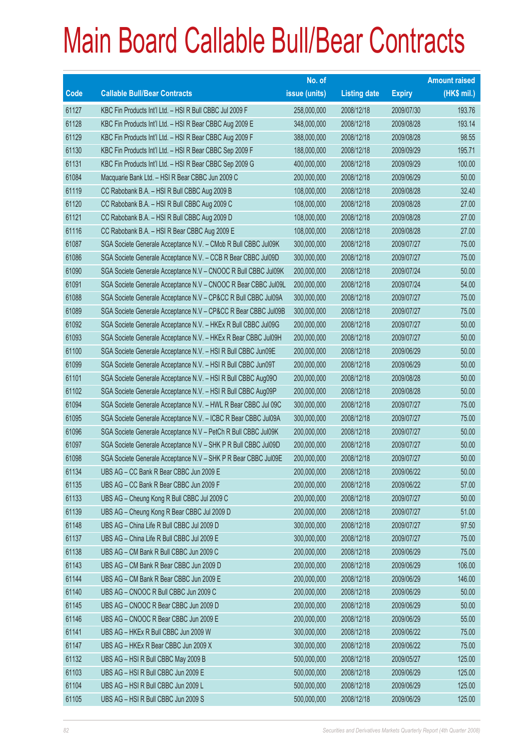|       |                                                                | No. of        |                     |               | <b>Amount raised</b> |
|-------|----------------------------------------------------------------|---------------|---------------------|---------------|----------------------|
| Code  | <b>Callable Bull/Bear Contracts</b>                            | issue (units) | <b>Listing date</b> | <b>Expiry</b> | $(HK$$ mil.)         |
| 61127 | KBC Fin Products Int'l Ltd. - HSI R Bull CBBC Jul 2009 F       | 258,000,000   | 2008/12/18          | 2009/07/30    | 193.76               |
| 61128 | KBC Fin Products Int'l Ltd. - HSI R Bear CBBC Aug 2009 E       | 348,000,000   | 2008/12/18          | 2009/08/28    | 193.14               |
| 61129 | KBC Fin Products Int'l Ltd. - HSI R Bear CBBC Aug 2009 F       | 388,000,000   | 2008/12/18          | 2009/08/28    | 98.55                |
| 61130 | KBC Fin Products Int'l Ltd. - HSI R Bear CBBC Sep 2009 F       | 188,000,000   | 2008/12/18          | 2009/09/29    | 195.71               |
| 61131 | KBC Fin Products Int'l Ltd. - HSI R Bear CBBC Sep 2009 G       | 400,000,000   | 2008/12/18          | 2009/09/29    | 100.00               |
| 61084 | Macquarie Bank Ltd. - HSI R Bear CBBC Jun 2009 C               | 200,000,000   | 2008/12/18          | 2009/06/29    | 50.00                |
| 61119 | CC Rabobank B.A. - HSI R Bull CBBC Aug 2009 B                  | 108,000,000   | 2008/12/18          | 2009/08/28    | 32.40                |
| 61120 | CC Rabobank B.A. - HSI R Bull CBBC Aug 2009 C                  | 108,000,000   | 2008/12/18          | 2009/08/28    | 27.00                |
| 61121 | CC Rabobank B.A. - HSI R Bull CBBC Aug 2009 D                  | 108,000,000   | 2008/12/18          | 2009/08/28    | 27.00                |
| 61116 | CC Rabobank B.A. - HSI R Bear CBBC Aug 2009 E                  | 108,000,000   | 2008/12/18          | 2009/08/28    | 27.00                |
| 61087 | SGA Societe Generale Acceptance N.V. - CMob R Bull CBBC Jul09K | 300,000,000   | 2008/12/18          | 2009/07/27    | 75.00                |
| 61086 | SGA Societe Generale Acceptance N.V. - CCB R Bear CBBC Jul09D  | 300,000,000   | 2008/12/18          | 2009/07/27    | 75.00                |
| 61090 | SGA Societe Generale Acceptance N.V - CNOOC R Bull CBBC Jul09K | 200,000,000   | 2008/12/18          | 2009/07/24    | 50.00                |
| 61091 | SGA Societe Generale Acceptance N.V - CNOOC R Bear CBBC Jul09L | 200,000,000   | 2008/12/18          | 2009/07/24    | 54.00                |
| 61088 | SGA Societe Generale Acceptance N.V - CP&CC R Bull CBBC Jul09A | 300,000,000   | 2008/12/18          | 2009/07/27    | 75.00                |
| 61089 | SGA Societe Generale Acceptance N.V - CP&CC R Bear CBBC Jul09B | 300,000,000   | 2008/12/18          | 2009/07/27    | 75.00                |
| 61092 | SGA Societe Generale Acceptance N.V. - HKEx R Bull CBBC Jul09G | 200,000,000   | 2008/12/18          | 2009/07/27    | 50.00                |
| 61093 | SGA Societe Generale Acceptance N.V. - HKEx R Bear CBBC Jul09H | 200,000,000   | 2008/12/18          | 2009/07/27    | 50.00                |
| 61100 | SGA Societe Generale Acceptance N.V. - HSI R Bull CBBC Jun09E  | 200,000,000   | 2008/12/18          | 2009/06/29    | 50.00                |
| 61099 | SGA Societe Generale Acceptance N.V. - HSI R Bull CBBC Jun09T  | 200,000,000   | 2008/12/18          | 2009/06/29    | 50.00                |
| 61101 | SGA Societe Generale Acceptance N.V. - HSI R Bull CBBC Aug090  | 200,000,000   | 2008/12/18          | 2009/08/28    | 50.00                |
| 61102 | SGA Societe Generale Acceptance N.V. - HSI R Bull CBBC Aug09P  | 200,000,000   | 2008/12/18          | 2009/08/28    | 50.00                |
| 61094 | SGA Societe Generale Acceptance N.V. - HWL R Bear CBBC Jul 09C | 300,000,000   | 2008/12/18          | 2009/07/27    | 75.00                |
| 61095 | SGA Societe Generale Acceptance N.V. - ICBC R Bear CBBC Jul09A | 300,000,000   | 2008/12/18          | 2009/07/27    | 75.00                |
| 61096 | SGA Societe Generale Acceptance N.V - PetCh R Bull CBBC Jul09K | 200,000,000   | 2008/12/18          | 2009/07/27    | 50.00                |
| 61097 | SGA Societe Generale Acceptance N.V - SHK P R Bull CBBC Jul09D | 200,000,000   | 2008/12/18          | 2009/07/27    | 50.00                |
| 61098 | SGA Societe Generale Acceptance N.V - SHK P R Bear CBBC Jul09E | 200,000,000   | 2008/12/18          | 2009/07/27    | 50.00                |
| 61134 | UBS AG - CC Bank R Bear CBBC Jun 2009 E                        | 200,000,000   | 2008/12/18          | 2009/06/22    | 50.00                |
| 61135 | UBS AG - CC Bank R Bear CBBC Jun 2009 F                        | 200,000,000   | 2008/12/18          | 2009/06/22    | 57.00                |
| 61133 | UBS AG - Cheung Kong R Bull CBBC Jul 2009 C                    | 200,000,000   | 2008/12/18          | 2009/07/27    | 50.00                |
| 61139 | UBS AG - Cheung Kong R Bear CBBC Jul 2009 D                    | 200,000,000   | 2008/12/18          | 2009/07/27    | 51.00                |
| 61148 | UBS AG - China Life R Bull CBBC Jul 2009 D                     | 300,000,000   | 2008/12/18          | 2009/07/27    | 97.50                |
| 61137 | UBS AG - China Life R Bull CBBC Jul 2009 E                     | 300,000,000   | 2008/12/18          | 2009/07/27    | 75.00                |
| 61138 | UBS AG - CM Bank R Bull CBBC Jun 2009 C                        | 200,000,000   | 2008/12/18          | 2009/06/29    | 75.00                |
| 61143 | UBS AG - CM Bank R Bear CBBC Jun 2009 D                        | 200,000,000   | 2008/12/18          | 2009/06/29    | 106.00               |
| 61144 | UBS AG - CM Bank R Bear CBBC Jun 2009 E                        | 200,000,000   | 2008/12/18          | 2009/06/29    | 146.00               |
| 61140 | UBS AG - CNOOC R Bull CBBC Jun 2009 C                          | 200,000,000   | 2008/12/18          | 2009/06/29    | 50.00                |
| 61145 | UBS AG - CNOOC R Bear CBBC Jun 2009 D                          | 200,000,000   | 2008/12/18          | 2009/06/29    | 50.00                |
| 61146 | UBS AG - CNOOC R Bear CBBC Jun 2009 E                          | 200,000,000   | 2008/12/18          | 2009/06/29    | 55.00                |
| 61141 | UBS AG - HKEx R Bull CBBC Jun 2009 W                           | 300,000,000   | 2008/12/18          | 2009/06/22    | 75.00                |
| 61147 | UBS AG - HKEx R Bear CBBC Jun 2009 X                           | 300,000,000   | 2008/12/18          | 2009/06/22    | 75.00                |
| 61132 | UBS AG - HSI R Bull CBBC May 2009 B                            | 500,000,000   | 2008/12/18          | 2009/05/27    | 125.00               |
| 61103 | UBS AG - HSI R Bull CBBC Jun 2009 E                            | 500,000,000   | 2008/12/18          | 2009/06/29    | 125.00               |
| 61104 | UBS AG - HSI R Bull CBBC Jun 2009 L                            | 500,000,000   | 2008/12/18          | 2009/06/29    | 125.00               |
| 61105 | UBS AG - HSI R Bull CBBC Jun 2009 S                            | 500,000,000   | 2008/12/18          | 2009/06/29    | 125.00               |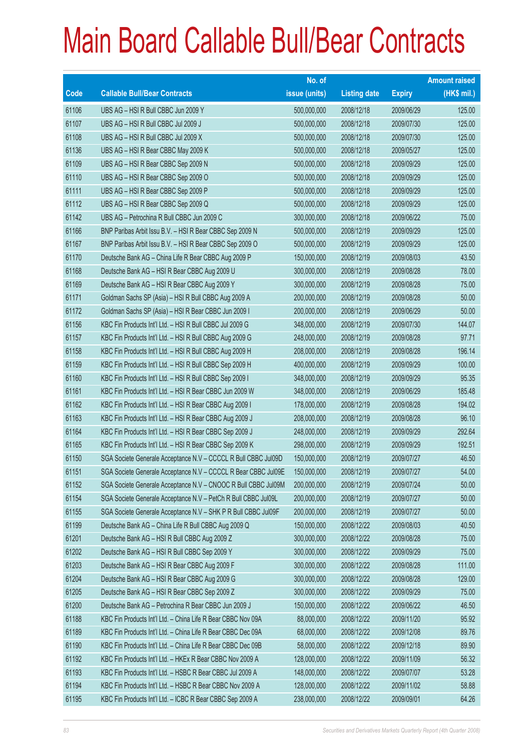|       |                                                                | No. of        |                     |               | <b>Amount raised</b> |
|-------|----------------------------------------------------------------|---------------|---------------------|---------------|----------------------|
| Code  | <b>Callable Bull/Bear Contracts</b>                            | issue (units) | <b>Listing date</b> | <b>Expiry</b> | $(HK$$ mil.)         |
| 61106 | UBS AG - HSI R Bull CBBC Jun 2009 Y                            | 500,000,000   | 2008/12/18          | 2009/06/29    | 125.00               |
| 61107 | UBS AG - HSI R Bull CBBC Jul 2009 J                            | 500,000,000   | 2008/12/18          | 2009/07/30    | 125.00               |
| 61108 | UBS AG - HSI R Bull CBBC Jul 2009 X                            | 500,000,000   | 2008/12/18          | 2009/07/30    | 125.00               |
| 61136 | UBS AG - HSI R Bear CBBC May 2009 K                            | 500,000,000   | 2008/12/18          | 2009/05/27    | 125.00               |
| 61109 | UBS AG - HSI R Bear CBBC Sep 2009 N                            | 500,000,000   | 2008/12/18          | 2009/09/29    | 125.00               |
| 61110 | UBS AG - HSI R Bear CBBC Sep 2009 O                            | 500,000,000   | 2008/12/18          | 2009/09/29    | 125.00               |
| 61111 | UBS AG - HSI R Bear CBBC Sep 2009 P                            | 500,000,000   | 2008/12/18          | 2009/09/29    | 125.00               |
| 61112 | UBS AG - HSI R Bear CBBC Sep 2009 Q                            | 500,000,000   | 2008/12/18          | 2009/09/29    | 125.00               |
| 61142 | UBS AG - Petrochina R Bull CBBC Jun 2009 C                     | 300,000,000   | 2008/12/18          | 2009/06/22    | 75.00                |
| 61166 | BNP Paribas Arbit Issu B.V. - HSI R Bear CBBC Sep 2009 N       | 500,000,000   | 2008/12/19          | 2009/09/29    | 125.00               |
| 61167 | BNP Paribas Arbit Issu B.V. - HSI R Bear CBBC Sep 2009 O       | 500,000,000   | 2008/12/19          | 2009/09/29    | 125.00               |
| 61170 | Deutsche Bank AG - China Life R Bear CBBC Aug 2009 P           | 150,000,000   | 2008/12/19          | 2009/08/03    | 43.50                |
| 61168 | Deutsche Bank AG - HSI R Bear CBBC Aug 2009 U                  | 300,000,000   | 2008/12/19          | 2009/08/28    | 78.00                |
| 61169 | Deutsche Bank AG - HSI R Bear CBBC Aug 2009 Y                  | 300,000,000   | 2008/12/19          | 2009/08/28    | 75.00                |
| 61171 | Goldman Sachs SP (Asia) - HSI R Bull CBBC Aug 2009 A           | 200,000,000   | 2008/12/19          | 2009/08/28    | 50.00                |
| 61172 | Goldman Sachs SP (Asia) - HSI R Bear CBBC Jun 2009 I           | 200,000,000   | 2008/12/19          | 2009/06/29    | 50.00                |
| 61156 | KBC Fin Products Int'l Ltd. - HSI R Bull CBBC Jul 2009 G       | 348,000,000   | 2008/12/19          | 2009/07/30    | 144.07               |
| 61157 | KBC Fin Products Int'l Ltd. - HSI R Bull CBBC Aug 2009 G       | 248,000,000   | 2008/12/19          | 2009/08/28    | 97.71                |
| 61158 | KBC Fin Products Int'l Ltd. - HSI R Bull CBBC Aug 2009 H       | 208,000,000   | 2008/12/19          | 2009/08/28    | 196.14               |
| 61159 | KBC Fin Products Int'l Ltd. - HSI R Bull CBBC Sep 2009 H       | 400,000,000   | 2008/12/19          | 2009/09/29    | 100.00               |
| 61160 | KBC Fin Products Int'l Ltd. - HSI R Bull CBBC Sep 2009 I       | 348,000,000   | 2008/12/19          | 2009/09/29    | 95.35                |
| 61161 | KBC Fin Products Int'l Ltd. - HSI R Bear CBBC Jun 2009 W       | 348,000,000   | 2008/12/19          | 2009/06/29    | 185.48               |
| 61162 | KBC Fin Products Int'l Ltd. - HSI R Bear CBBC Aug 2009 I       | 178,000,000   | 2008/12/19          | 2009/08/28    | 194.02               |
| 61163 | KBC Fin Products Int'l Ltd. - HSI R Bear CBBC Aug 2009 J       | 208,000,000   | 2008/12/19          | 2009/08/28    | 96.10                |
| 61164 | KBC Fin Products Int'l Ltd. - HSI R Bear CBBC Sep 2009 J       | 248,000,000   | 2008/12/19          | 2009/09/29    | 292.64               |
| 61165 | KBC Fin Products Int'l Ltd. - HSI R Bear CBBC Sep 2009 K       | 298,000,000   | 2008/12/19          | 2009/09/29    | 192.51               |
| 61150 | SGA Societe Generale Acceptance N.V - CCCCL R Bull CBBC Jul09D | 150,000,000   | 2008/12/19          | 2009/07/27    | 46.50                |
| 61151 | SGA Societe Generale Acceptance N.V - CCCCL R Bear CBBC Jul09E | 150,000,000   | 2008/12/19          | 2009/07/27    | 54.00                |
| 61152 | SGA Societe Generale Acceptance N.V - CNOOC R Bull CBBC Jul09M | 200,000,000   | 2008/12/19          | 2009/07/24    | 50.00                |
| 61154 | SGA Societe Generale Acceptance N.V - PetCh R Bull CBBC Jul09L | 200,000,000   | 2008/12/19          | 2009/07/27    | 50.00                |
| 61155 | SGA Societe Generale Acceptance N.V - SHK P R Bull CBBC Jul09F | 200,000,000   | 2008/12/19          | 2009/07/27    | 50.00                |
| 61199 | Deutsche Bank AG - China Life R Bull CBBC Aug 2009 Q           | 150,000,000   | 2008/12/22          | 2009/08/03    | 40.50                |
| 61201 | Deutsche Bank AG - HSI R Bull CBBC Aug 2009 Z                  | 300,000,000   | 2008/12/22          | 2009/08/28    | 75.00                |
| 61202 | Deutsche Bank AG - HSI R Bull CBBC Sep 2009 Y                  | 300,000,000   | 2008/12/22          | 2009/09/29    | 75.00                |
| 61203 | Deutsche Bank AG - HSI R Bear CBBC Aug 2009 F                  | 300,000,000   | 2008/12/22          | 2009/08/28    | 111.00               |
| 61204 | Deutsche Bank AG - HSI R Bear CBBC Aug 2009 G                  | 300,000,000   | 2008/12/22          | 2009/08/28    | 129.00               |
| 61205 | Deutsche Bank AG - HSI R Bear CBBC Sep 2009 Z                  | 300,000,000   | 2008/12/22          | 2009/09/29    | 75.00                |
| 61200 | Deutsche Bank AG - Petrochina R Bear CBBC Jun 2009 J           | 150,000,000   | 2008/12/22          | 2009/06/22    | 46.50                |
| 61188 | KBC Fin Products Int'l Ltd. - China Life R Bear CBBC Nov 09A   | 88,000,000    | 2008/12/22          | 2009/11/20    | 95.92                |
| 61189 | KBC Fin Products Int'l Ltd. - China Life R Bear CBBC Dec 09A   | 68,000,000    | 2008/12/22          | 2009/12/08    | 89.76                |
| 61190 | KBC Fin Products Int'l Ltd. - China Life R Bear CBBC Dec 09B   | 58,000,000    | 2008/12/22          | 2009/12/18    | 89.90                |
| 61192 | KBC Fin Products Int'l Ltd. - HKEx R Bear CBBC Nov 2009 A      | 128,000,000   | 2008/12/22          | 2009/11/09    | 56.32                |
| 61193 | KBC Fin Products Int'l Ltd. - HSBC R Bear CBBC Jul 2009 A      | 148,000,000   | 2008/12/22          | 2009/07/07    | 53.28                |
| 61194 | KBC Fin Products Int'l Ltd. - HSBC R Bear CBBC Nov 2009 A      | 128,000,000   | 2008/12/22          | 2009/11/02    | 58.88                |
| 61195 | KBC Fin Products Int'l Ltd. - ICBC R Bear CBBC Sep 2009 A      | 238,000,000   | 2008/12/22          | 2009/09/01    | 64.26                |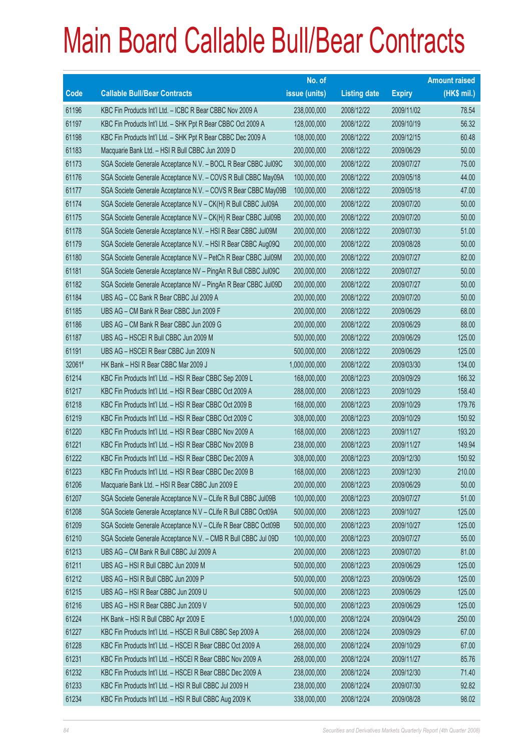|             |                                                                | No. of        |                     |               | <b>Amount raised</b> |
|-------------|----------------------------------------------------------------|---------------|---------------------|---------------|----------------------|
| <b>Code</b> | <b>Callable Bull/Bear Contracts</b>                            | issue (units) | <b>Listing date</b> | <b>Expiry</b> | $(HK$$ mil.)         |
| 61196       | KBC Fin Products Int'l Ltd. - ICBC R Bear CBBC Nov 2009 A      | 238,000,000   | 2008/12/22          | 2009/11/02    | 78.54                |
| 61197       | KBC Fin Products Int'l Ltd. - SHK Ppt R Bear CBBC Oct 2009 A   | 128,000,000   | 2008/12/22          | 2009/10/19    | 56.32                |
| 61198       | KBC Fin Products Int'l Ltd. - SHK Ppt R Bear CBBC Dec 2009 A   | 108,000,000   | 2008/12/22          | 2009/12/15    | 60.48                |
| 61183       | Macquarie Bank Ltd. - HSI R Bull CBBC Jun 2009 D               | 200,000,000   | 2008/12/22          | 2009/06/29    | 50.00                |
| 61173       | SGA Societe Generale Acceptance N.V. - BOCL R Bear CBBC Jul09C | 300,000,000   | 2008/12/22          | 2009/07/27    | 75.00                |
| 61176       | SGA Societe Generale Acceptance N.V. - COVS R Bull CBBC May09A | 100,000,000   | 2008/12/22          | 2009/05/18    | 44.00                |
| 61177       | SGA Societe Generale Acceptance N.V. - COVS R Bear CBBC May09B | 100,000,000   | 2008/12/22          | 2009/05/18    | 47.00                |
| 61174       | SGA Societe Generale Acceptance N.V - CK(H) R Bull CBBC Jul09A | 200,000,000   | 2008/12/22          | 2009/07/20    | 50.00                |
| 61175       | SGA Societe Generale Acceptance N.V - CK(H) R Bear CBBC Jul09B | 200,000,000   | 2008/12/22          | 2009/07/20    | 50.00                |
| 61178       | SGA Societe Generale Acceptance N.V. - HSI R Bear CBBC Jul09M  | 200,000,000   | 2008/12/22          | 2009/07/30    | 51.00                |
| 61179       | SGA Societe Generale Acceptance N.V. - HSI R Bear CBBC Aug09Q  | 200,000,000   | 2008/12/22          | 2009/08/28    | 50.00                |
| 61180       | SGA Societe Generale Acceptance N.V - PetCh R Bear CBBC Jul09M | 200,000,000   | 2008/12/22          | 2009/07/27    | 82.00                |
| 61181       | SGA Societe Generale Acceptance NV - PingAn R Bull CBBC Jul09C | 200,000,000   | 2008/12/22          | 2009/07/27    | 50.00                |
| 61182       | SGA Societe Generale Acceptance NV - PingAn R Bear CBBC Jul09D | 200,000,000   | 2008/12/22          | 2009/07/27    | 50.00                |
| 61184       | UBS AG - CC Bank R Bear CBBC Jul 2009 A                        | 200,000,000   | 2008/12/22          | 2009/07/20    | 50.00                |
| 61185       | UBS AG - CM Bank R Bear CBBC Jun 2009 F                        | 200,000,000   | 2008/12/22          | 2009/06/29    | 68.00                |
| 61186       | UBS AG - CM Bank R Bear CBBC Jun 2009 G                        | 200,000,000   | 2008/12/22          | 2009/06/29    | 88.00                |
| 61187       | UBS AG - HSCEI R Bull CBBC Jun 2009 M                          | 500,000,000   | 2008/12/22          | 2009/06/29    | 125.00               |
| 61191       | UBS AG - HSCEI R Bear CBBC Jun 2009 N                          | 500,000,000   | 2008/12/22          | 2009/06/29    | 125.00               |
| 32061#      | HK Bank - HSI R Bear CBBC Mar 2009 J                           | 1,000,000,000 | 2008/12/22          | 2009/03/30    | 134.00               |
| 61214       | KBC Fin Products Int'l Ltd. - HSI R Bear CBBC Sep 2009 L       | 168,000,000   | 2008/12/23          | 2009/09/29    | 166.32               |
| 61217       | KBC Fin Products Int'l Ltd. - HSI R Bear CBBC Oct 2009 A       | 288,000,000   | 2008/12/23          | 2009/10/29    | 158.40               |
| 61218       | KBC Fin Products Int'l Ltd. - HSI R Bear CBBC Oct 2009 B       | 168,000,000   | 2008/12/23          | 2009/10/29    | 179.76               |
| 61219       | KBC Fin Products Int'l Ltd. - HSI R Bear CBBC Oct 2009 C       | 308,000,000   | 2008/12/23          | 2009/10/29    | 150.92               |
| 61220       | KBC Fin Products Int'l Ltd. - HSI R Bear CBBC Nov 2009 A       | 168,000,000   | 2008/12/23          | 2009/11/27    | 193.20               |
| 61221       | KBC Fin Products Int'l Ltd. - HSI R Bear CBBC Nov 2009 B       | 238,000,000   | 2008/12/23          | 2009/11/27    | 149.94               |
| 61222       | KBC Fin Products Int'l Ltd. - HSI R Bear CBBC Dec 2009 A       | 308,000,000   | 2008/12/23          | 2009/12/30    | 150.92               |
| 61223       | KBC Fin Products Int'l Ltd. - HSI R Bear CBBC Dec 2009 B       | 168,000,000   | 2008/12/23          | 2009/12/30    | 210.00               |
| 61206       | Macquarie Bank Ltd. - HSI R Bear CBBC Jun 2009 E               | 200,000,000   | 2008/12/23          | 2009/06/29    | 50.00                |
| 61207       | SGA Societe Generale Acceptance N.V - CLife R Bull CBBC Jul09B | 100,000,000   | 2008/12/23          | 2009/07/27    | 51.00                |
| 61208       | SGA Societe Generale Acceptance N.V - CLife R Bull CBBC Oct09A | 500,000,000   | 2008/12/23          | 2009/10/27    | 125.00               |
| 61209       | SGA Societe Generale Acceptance N.V - CLife R Bear CBBC Oct09B | 500,000,000   | 2008/12/23          | 2009/10/27    | 125.00               |
| 61210       | SGA Societe Generale Acceptance N.V. - CMB R Bull CBBC Jul 09D | 100,000,000   | 2008/12/23          | 2009/07/27    | 55.00                |
| 61213       | UBS AG - CM Bank R Bull CBBC Jul 2009 A                        | 200,000,000   | 2008/12/23          | 2009/07/20    | 81.00                |
| 61211       | UBS AG - HSI R Bull CBBC Jun 2009 M                            | 500,000,000   | 2008/12/23          | 2009/06/29    | 125.00               |
| 61212       | UBS AG - HSI R Bull CBBC Jun 2009 P                            | 500,000,000   | 2008/12/23          | 2009/06/29    | 125.00               |
| 61215       | UBS AG - HSI R Bear CBBC Jun 2009 U                            | 500,000,000   | 2008/12/23          | 2009/06/29    | 125.00               |
| 61216       | UBS AG - HSI R Bear CBBC Jun 2009 V                            | 500,000,000   | 2008/12/23          | 2009/06/29    | 125.00               |
| 61224       | HK Bank - HSI R Bull CBBC Apr 2009 E                           | 1,000,000,000 | 2008/12/24          | 2009/04/29    | 250.00               |
| 61227       | KBC Fin Products Int'l Ltd. - HSCEI R Bull CBBC Sep 2009 A     | 268,000,000   | 2008/12/24          | 2009/09/29    | 67.00                |
| 61228       | KBC Fin Products Int'l Ltd. - HSCEI R Bear CBBC Oct 2009 A     | 268,000,000   | 2008/12/24          | 2009/10/29    | 67.00                |
| 61231       | KBC Fin Products Int'l Ltd. - HSCEI R Bear CBBC Nov 2009 A     | 268,000,000   | 2008/12/24          | 2009/11/27    | 85.76                |
| 61232       | KBC Fin Products Int'l Ltd. - HSCEI R Bear CBBC Dec 2009 A     | 238,000,000   | 2008/12/24          | 2009/12/30    | 71.40                |
| 61233       | KBC Fin Products Int'l Ltd. - HSI R Bull CBBC Jul 2009 H       | 238,000,000   | 2008/12/24          | 2009/07/30    | 92.82                |
| 61234       | KBC Fin Products Int'l Ltd. - HSI R Bull CBBC Aug 2009 K       | 338,000,000   | 2008/12/24          | 2009/08/28    | 98.02                |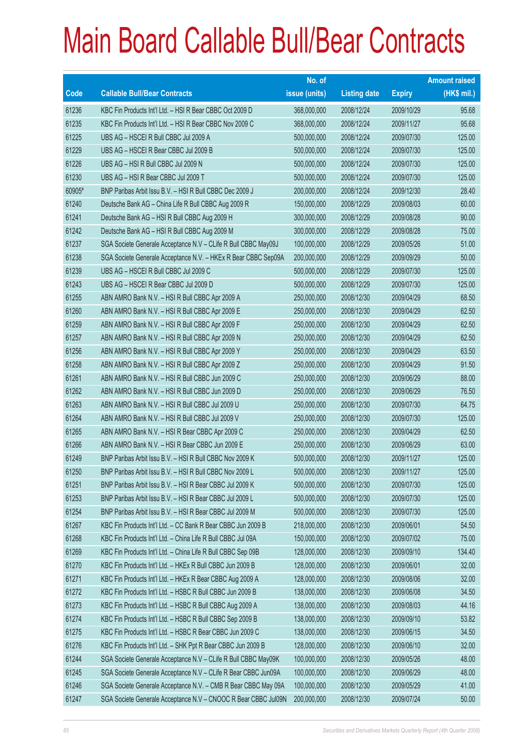|        |                                                                | No. of        |                     |               | <b>Amount raised</b> |
|--------|----------------------------------------------------------------|---------------|---------------------|---------------|----------------------|
| Code   | <b>Callable Bull/Bear Contracts</b>                            | issue (units) | <b>Listing date</b> | <b>Expiry</b> | $(HK$$ mil.)         |
| 61236  | KBC Fin Products Int'l Ltd. - HSI R Bear CBBC Oct 2009 D       | 368,000,000   | 2008/12/24          | 2009/10/29    | 95.68                |
| 61235  | KBC Fin Products Int'l Ltd. - HSI R Bear CBBC Nov 2009 C       | 368,000,000   | 2008/12/24          | 2009/11/27    | 95.68                |
| 61225  | UBS AG - HSCEI R Bull CBBC Jul 2009 A                          | 500,000,000   | 2008/12/24          | 2009/07/30    | 125.00               |
| 61229  | UBS AG - HSCEI R Bear CBBC Jul 2009 B                          | 500,000,000   | 2008/12/24          | 2009/07/30    | 125.00               |
| 61226  | UBS AG - HSI R Bull CBBC Jul 2009 N                            | 500,000,000   | 2008/12/24          | 2009/07/30    | 125.00               |
| 61230  | UBS AG - HSI R Bear CBBC Jul 2009 T                            | 500,000,000   | 2008/12/24          | 2009/07/30    | 125.00               |
| 60905# | BNP Paribas Arbit Issu B.V. - HSI R Bull CBBC Dec 2009 J       | 200,000,000   | 2008/12/24          | 2009/12/30    | 28.40                |
| 61240  | Deutsche Bank AG - China Life R Bull CBBC Aug 2009 R           | 150,000,000   | 2008/12/29          | 2009/08/03    | 60.00                |
| 61241  | Deutsche Bank AG - HSI R Bull CBBC Aug 2009 H                  | 300,000,000   | 2008/12/29          | 2009/08/28    | 90.00                |
| 61242  | Deutsche Bank AG - HSI R Bull CBBC Aug 2009 M                  | 300,000,000   | 2008/12/29          | 2009/08/28    | 75.00                |
| 61237  | SGA Societe Generale Acceptance N.V - CLife R Bull CBBC May09J | 100,000,000   | 2008/12/29          | 2009/05/26    | 51.00                |
| 61238  | SGA Societe Generale Acceptance N.V. - HKEx R Bear CBBC Sep09A | 200,000,000   | 2008/12/29          | 2009/09/29    | 50.00                |
| 61239  | UBS AG - HSCEI R Bull CBBC Jul 2009 C                          | 500,000,000   | 2008/12/29          | 2009/07/30    | 125.00               |
| 61243  | UBS AG - HSCEI R Bear CBBC Jul 2009 D                          | 500,000,000   | 2008/12/29          | 2009/07/30    | 125.00               |
| 61255  | ABN AMRO Bank N.V. - HSI R Bull CBBC Apr 2009 A                | 250,000,000   | 2008/12/30          | 2009/04/29    | 68.50                |
| 61260  | ABN AMRO Bank N.V. - HSI R Bull CBBC Apr 2009 E                | 250,000,000   | 2008/12/30          | 2009/04/29    | 62.50                |
| 61259  | ABN AMRO Bank N.V. - HSI R Bull CBBC Apr 2009 F                | 250,000,000   | 2008/12/30          | 2009/04/29    | 62.50                |
| 61257  | ABN AMRO Bank N.V. - HSI R Bull CBBC Apr 2009 N                | 250,000,000   | 2008/12/30          | 2009/04/29    | 62.50                |
| 61256  | ABN AMRO Bank N.V. - HSI R Bull CBBC Apr 2009 Y                | 250,000,000   | 2008/12/30          | 2009/04/29    | 63.50                |
| 61258  | ABN AMRO Bank N.V. - HSI R Bull CBBC Apr 2009 Z                | 250,000,000   | 2008/12/30          | 2009/04/29    | 91.50                |
| 61261  | ABN AMRO Bank N.V. - HSI R Bull CBBC Jun 2009 C                | 250,000,000   | 2008/12/30          | 2009/06/29    | 88.00                |
| 61262  | ABN AMRO Bank N.V. - HSI R Bull CBBC Jun 2009 D                | 250,000,000   | 2008/12/30          | 2009/06/29    | 76.50                |
| 61263  | ABN AMRO Bank N.V. - HSI R Bull CBBC Jul 2009 U                | 250,000,000   | 2008/12/30          | 2009/07/30    | 64.75                |
| 61264  | ABN AMRO Bank N.V. - HSI R Bull CBBC Jul 2009 V                | 250,000,000   | 2008/12/30          | 2009/07/30    | 125.00               |
| 61265  | ABN AMRO Bank N.V. - HSI R Bear CBBC Apr 2009 C                | 250,000,000   | 2008/12/30          | 2009/04/29    | 62.50                |
| 61266  | ABN AMRO Bank N.V. - HSI R Bear CBBC Jun 2009 E                | 250,000,000   | 2008/12/30          | 2009/06/29    | 63.00                |
| 61249  | BNP Paribas Arbit Issu B.V. - HSI R Bull CBBC Nov 2009 K       | 500,000,000   | 2008/12/30          | 2009/11/27    | 125.00               |
| 61250  | BNP Paribas Arbit Issu B.V. - HSI R Bull CBBC Nov 2009 L       | 500,000,000   | 2008/12/30          | 2009/11/27    | 125.00               |
| 61251  | BNP Paribas Arbit Issu B.V. - HSI R Bear CBBC Jul 2009 K       | 500,000,000   | 2008/12/30          | 2009/07/30    | 125.00               |
| 61253  | BNP Paribas Arbit Issu B.V. - HSI R Bear CBBC Jul 2009 L       | 500,000,000   | 2008/12/30          | 2009/07/30    | 125.00               |
| 61254  | BNP Paribas Arbit Issu B.V. - HSI R Bear CBBC Jul 2009 M       | 500,000,000   | 2008/12/30          | 2009/07/30    | 125.00               |
| 61267  | KBC Fin Products Int'l Ltd. - CC Bank R Bear CBBC Jun 2009 B   | 218,000,000   | 2008/12/30          | 2009/06/01    | 54.50                |
| 61268  | KBC Fin Products Int'l Ltd. - China Life R Bull CBBC Jul 09A   | 150,000,000   | 2008/12/30          | 2009/07/02    | 75.00                |
| 61269  | KBC Fin Products Int'l Ltd. - China Life R Bull CBBC Sep 09B   | 128,000,000   | 2008/12/30          | 2009/09/10    | 134.40               |
| 61270  | KBC Fin Products Int'l Ltd. - HKEx R Bull CBBC Jun 2009 B      | 128,000,000   | 2008/12/30          | 2009/06/01    | 32.00                |
| 61271  | KBC Fin Products Int'l Ltd. - HKEx R Bear CBBC Aug 2009 A      | 128,000,000   | 2008/12/30          | 2009/08/06    | 32.00                |
| 61272  | KBC Fin Products Int'l Ltd. - HSBC R Bull CBBC Jun 2009 B      | 138,000,000   | 2008/12/30          | 2009/06/08    | 34.50                |
| 61273  | KBC Fin Products Int'l Ltd. - HSBC R Bull CBBC Aug 2009 A      | 138,000,000   | 2008/12/30          | 2009/08/03    | 44.16                |
| 61274  | KBC Fin Products Int'l Ltd. - HSBC R Bull CBBC Sep 2009 B      | 138,000,000   | 2008/12/30          | 2009/09/10    | 53.82                |
| 61275  | KBC Fin Products Int'l Ltd. - HSBC R Bear CBBC Jun 2009 C      | 138,000,000   | 2008/12/30          | 2009/06/15    | 34.50                |
| 61276  | KBC Fin Products Int'l Ltd. - SHK Ppt R Bear CBBC Jun 2009 B   | 128,000,000   | 2008/12/30          | 2009/06/10    | 32.00                |
| 61244  | SGA Societe Generale Acceptance N.V - CLife R Bull CBBC May09K | 100,000,000   | 2008/12/30          | 2009/05/26    | 48.00                |
| 61245  | SGA Societe Generale Acceptance N.V - CLife R Bear CBBC Jun09A | 100,000,000   | 2008/12/30          | 2009/06/29    | 48.00                |
| 61246  | SGA Societe Generale Acceptance N.V. - CMB R Bear CBBC May 09A | 100,000,000   | 2008/12/30          | 2009/05/29    | 41.00                |
| 61247  | SGA Societe Generale Acceptance N.V - CNOOC R Bear CBBC Jul09N | 200,000,000   | 2008/12/30          | 2009/07/24    | 50.00                |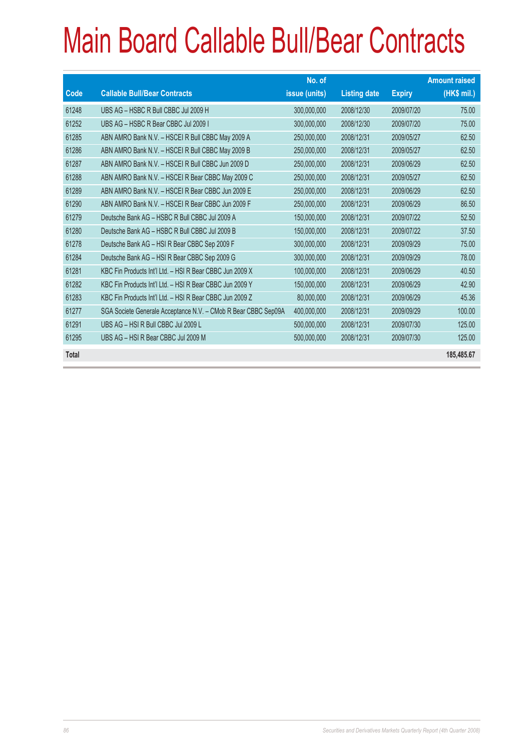|       |                                                                | No. of        |                     |               | <b>Amount raised</b> |
|-------|----------------------------------------------------------------|---------------|---------------------|---------------|----------------------|
| Code  | <b>Callable Bull/Bear Contracts</b>                            | issue (units) | <b>Listing date</b> | <b>Expiry</b> | (HK\$ mil.)          |
| 61248 | UBS AG - HSBC R Bull CBBC Jul 2009 H                           | 300,000,000   | 2008/12/30          | 2009/07/20    | 75.00                |
| 61252 | UBS AG - HSBC R Bear CBBC Jul 2009 I                           | 300,000,000   | 2008/12/30          | 2009/07/20    | 75.00                |
| 61285 | ABN AMRO Bank N.V. - HSCEI R Bull CBBC May 2009 A              | 250,000,000   | 2008/12/31          | 2009/05/27    | 62.50                |
| 61286 | ABN AMRO Bank N.V. - HSCEI R Bull CBBC May 2009 B              | 250,000,000   | 2008/12/31          | 2009/05/27    | 62.50                |
| 61287 | ABN AMRO Bank N.V. - HSCEI R Bull CBBC Jun 2009 D              | 250,000,000   | 2008/12/31          | 2009/06/29    | 62.50                |
| 61288 | ABN AMRO Bank N.V. - HSCEIR Bear CBBC May 2009 C               | 250,000,000   | 2008/12/31          | 2009/05/27    | 62.50                |
| 61289 | ABN AMRO Bank N.V. - HSCEI R Bear CBBC Jun 2009 E              | 250,000,000   | 2008/12/31          | 2009/06/29    | 62.50                |
| 61290 | ABN AMRO Bank N.V. - HSCEI R Bear CBBC Jun 2009 F              | 250,000,000   | 2008/12/31          | 2009/06/29    | 86.50                |
| 61279 | Deutsche Bank AG - HSBC R Bull CBBC Jul 2009 A                 | 150,000,000   | 2008/12/31          | 2009/07/22    | 52.50                |
| 61280 | Deutsche Bank AG - HSBC R Bull CBBC Jul 2009 B                 | 150,000,000   | 2008/12/31          | 2009/07/22    | 37.50                |
| 61278 | Deutsche Bank AG - HSI R Bear CBBC Sep 2009 F                  | 300,000,000   | 2008/12/31          | 2009/09/29    | 75.00                |
| 61284 | Deutsche Bank AG - HSI R Bear CBBC Sep 2009 G                  | 300,000,000   | 2008/12/31          | 2009/09/29    | 78.00                |
| 61281 | KBC Fin Products Int'l Ltd. - HSI R Bear CBBC Jun 2009 X       | 100,000,000   | 2008/12/31          | 2009/06/29    | 40.50                |
| 61282 | KBC Fin Products Int'l Ltd. - HSI R Bear CBBC Jun 2009 Y       | 150,000,000   | 2008/12/31          | 2009/06/29    | 42.90                |
| 61283 | KBC Fin Products Int'l Ltd. - HSI R Bear CBBC Jun 2009 Z       | 80,000,000    | 2008/12/31          | 2009/06/29    | 45.36                |
| 61277 | SGA Societe Generale Acceptance N.V. - CMob R Bear CBBC Sep09A | 400,000,000   | 2008/12/31          | 2009/09/29    | 100.00               |
| 61291 | UBS AG - HSI R Bull CBBC Jul 2009 L                            | 500,000,000   | 2008/12/31          | 2009/07/30    | 125.00               |
| 61295 | UBS AG - HSI R Bear CBBC Jul 2009 M                            | 500,000,000   | 2008/12/31          | 2009/07/30    | 125.00               |
| Total |                                                                |               |                     |               | 185,485.67           |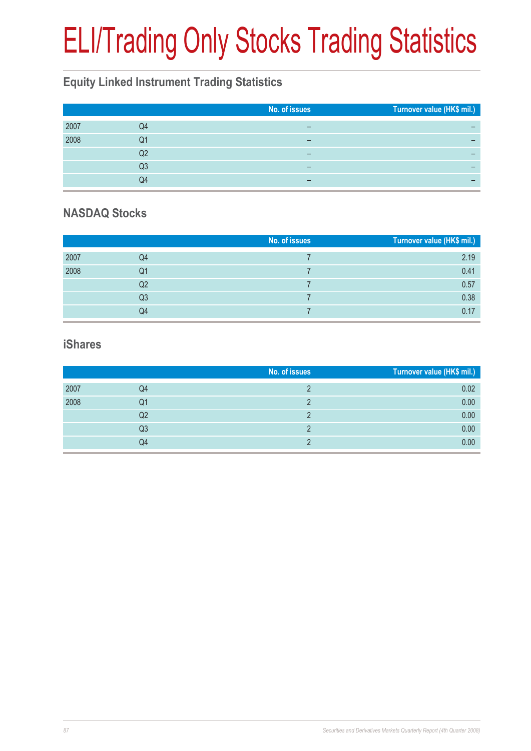# ELI/Trading Only Stocks Trading Statistics

## **Equity Linked Instrument Trading Statistics**

|      |    | No. of issues | Turnover value (HK\$ mil.) |
|------|----|---------------|----------------------------|
| 2007 | Q4 |               |                            |
| 2008 | Q1 |               |                            |
|      | Q2 | -             |                            |
|      | Q3 | -             | -                          |
|      | Q4 | -             |                            |

### **NASDAQ Stocks**

|      |    | No. of issues | Turnover value (HK\$ mil.) |
|------|----|---------------|----------------------------|
| 2007 | Q4 |               | 2.19                       |
| 2008 | Q1 |               | 0.41                       |
|      | Q2 |               | 0.57                       |
|      | Q3 |               | 0.38                       |
|      | Q4 |               | 0.17                       |

#### **iShares**

|      |    | No. of issues | Turnover value (HK\$ mil.) |
|------|----|---------------|----------------------------|
| 2007 | Q4 |               | 0.02                       |
| 2008 | Q1 |               | 0.00                       |
|      | Q2 |               | 0.00                       |
|      | Q3 |               | 0.00                       |
|      | Q4 |               | 0.00                       |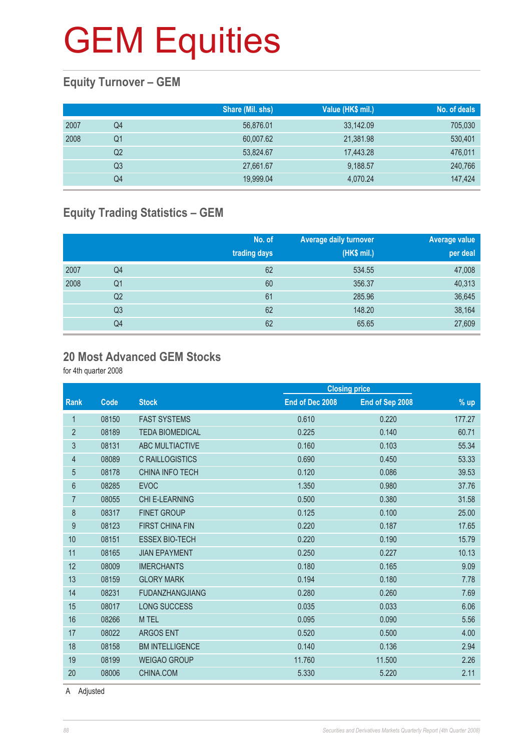### **Equity Turnover – GEM**

|      |    | Share (Mil. shs) | Value (HK\$ mil.) | No. of deals |
|------|----|------------------|-------------------|--------------|
| 2007 | Q4 | 56,876.01        | 33,142.09         | 705,030      |
| 2008 | Q1 | 60,007.62        | 21,381.98         | 530,401      |
|      | Q2 | 53,824.67        | 17,443.28         | 476,011      |
|      | Q3 | 27,661.67        | 9,188.57          | 240,766      |
|      | Q4 | 19,999.04        | 4,070.24          | 147,424      |

### **Equity Trading Statistics – GEM**

|      |                | No. of<br>trading days | <b>Average daily turnover</b><br>(HK\$ mil.) | Average value<br>per deal |
|------|----------------|------------------------|----------------------------------------------|---------------------------|
| 2007 | Q4             | 62                     | 534.55                                       | 47,008                    |
| 2008 | Q <sub>1</sub> | 60                     | 356.37                                       | 40,313                    |
|      | Q2             | 61                     | 285.96                                       | 36,645                    |
|      | Q <sub>3</sub> | 62                     | 148.20                                       | 38,164                    |
|      | Q4             | 62                     | 65.65                                        | 27,609                    |

#### **20 Most Advanced GEM Stocks**

for 4th quarter 2008

|                |       |                        |                 | <b>Closing price</b> |        |
|----------------|-------|------------------------|-----------------|----------------------|--------|
| <b>Rank</b>    | Code  | <b>Stock</b>           | End of Dec 2008 | End of Sep 2008      | % up   |
| 1              | 08150 | <b>FAST SYSTEMS</b>    | 0.610           | 0.220                | 177.27 |
| $\overline{2}$ | 08189 | <b>TEDA BIOMEDICAL</b> | 0.225           | 0.140                | 60.71  |
| 3              | 08131 | ABC MULTIACTIVE        | 0.160           | 0.103                | 55.34  |
| 4              | 08089 | <b>C RAILLOGISTICS</b> | 0.690           | 0.450                | 53.33  |
| 5              | 08178 | <b>CHINA INFO TECH</b> | 0.120           | 0.086                | 39.53  |
| 6              | 08285 | <b>EVOC</b>            | 1.350           | 0.980                | 37.76  |
| $\overline{7}$ | 08055 | <b>CHI E-LEARNING</b>  | 0.500           | 0.380                | 31.58  |
| 8              | 08317 | <b>FINET GROUP</b>     | 0.125           | 0.100                | 25.00  |
| 9              | 08123 | <b>FIRST CHINA FIN</b> | 0.220           | 0.187                | 17.65  |
| 10             | 08151 | <b>ESSEX BIO-TECH</b>  | 0.220           | 0.190                | 15.79  |
| 11             | 08165 | <b>JIAN EPAYMENT</b>   | 0.250           | 0.227                | 10.13  |
| 12             | 08009 | <b>IMERCHANTS</b>      | 0.180           | 0.165                | 9.09   |
| 13             | 08159 | <b>GLORY MARK</b>      | 0.194           | 0.180                | 7.78   |
| 14             | 08231 | <b>FUDANZHANGJIANG</b> | 0.280           | 0.260                | 7.69   |
| 15             | 08017 | <b>LONG SUCCESS</b>    | 0.035           | 0.033                | 6.06   |
| 16             | 08266 | M TEL                  | 0.095           | 0.090                | 5.56   |
| 17             | 08022 | <b>ARGOS ENT</b>       | 0.520           | 0.500                | 4.00   |
| 18             | 08158 | <b>BM INTELLIGENCE</b> | 0.140           | 0.136                | 2.94   |
| 19             | 08199 | <b>WEIGAO GROUP</b>    | 11.760          | 11.500               | 2.26   |
| 20             | 08006 | CHINA.COM              | 5.330           | 5.220                | 2.11   |
|                |       |                        |                 |                      |        |

A Adjusted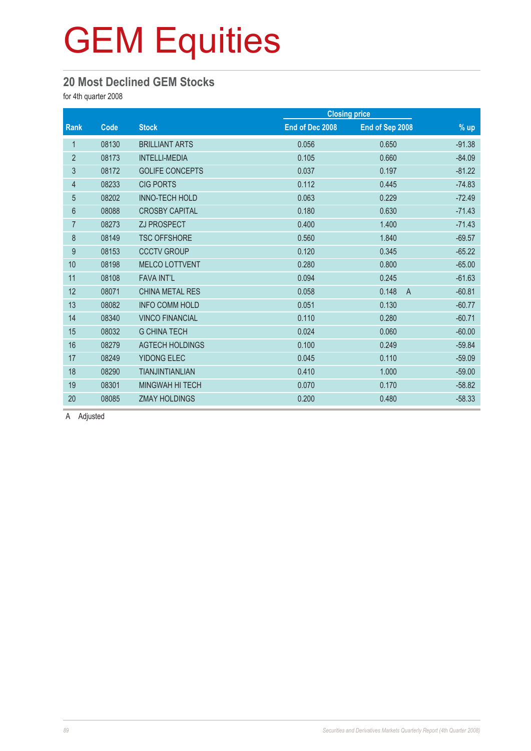### **20 Most Declined GEM Stocks**

for 4th quarter 2008

| Code  | <b>Stock</b>           | End of Dec 2008 | End of Sep 2008         | $%$ up               |
|-------|------------------------|-----------------|-------------------------|----------------------|
| 08130 | <b>BRILLIANT ARTS</b>  | 0.056           | 0.650                   | $-91.38$             |
| 08173 | <b>INTELLI-MEDIA</b>   | 0.105           | 0.660                   | $-84.09$             |
| 08172 | <b>GOLIFE CONCEPTS</b> | 0.037           | 0.197                   | $-81.22$             |
| 08233 | <b>CIG PORTS</b>       | 0.112           | 0.445                   | $-74.83$             |
| 08202 | <b>INNO-TECH HOLD</b>  | 0.063           | 0.229                   | $-72.49$             |
| 08088 | <b>CROSBY CAPITAL</b>  | 0.180           | 0.630                   | $-71.43$             |
| 08273 | ZJ PROSPECT            | 0.400           | 1.400                   | $-71.43$             |
| 08149 | <b>TSC OFFSHORE</b>    | 0.560           | 1.840                   | $-69.57$             |
| 08153 | <b>CCCTV GROUP</b>     | 0.120           | 0.345                   | $-65.22$             |
| 08198 | <b>MELCO LOTTVENT</b>  | 0.280           | 0.800                   | $-65.00$             |
| 08108 | <b>FAVA INT'L</b>      | 0.094           | 0.245                   | $-61.63$             |
| 08071 | <b>CHINA METAL RES</b> | 0.058           | 0.148<br>$\overline{A}$ | $-60.81$             |
| 08082 | <b>INFO COMM HOLD</b>  | 0.051           | 0.130                   | $-60.77$             |
| 08340 | <b>VINCO FINANCIAL</b> | 0.110           | 0.280                   | $-60.71$             |
| 08032 | <b>G CHINA TECH</b>    | 0.024           | 0.060                   | $-60.00$             |
| 08279 | <b>AGTECH HOLDINGS</b> | 0.100           | 0.249                   | $-59.84$             |
| 08249 | <b>YIDONG ELEC</b>     | 0.045           | 0.110                   | $-59.09$             |
| 08290 | <b>TIANJINTIANLIAN</b> | 0.410           | 1.000                   | $-59.00$             |
| 08301 | <b>MINGWAH HI TECH</b> | 0.070           | 0.170                   | $-58.82$             |
| 08085 | <b>ZMAY HOLDINGS</b>   | 0.200           | 0.480                   | $-58.33$             |
|       |                        |                 |                         | <b>Closing price</b> |

A Adjusted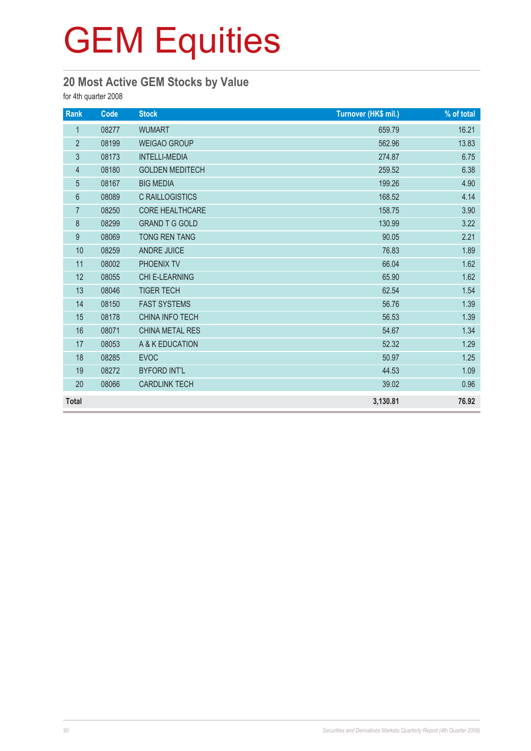### **20 Most Active GEM Stocks by Value**

for 4th quarter 2008

| Rank           | Code  | <b>Stock</b>           | Turnover (HK\$ mil.) | % of total |
|----------------|-------|------------------------|----------------------|------------|
| $\mathbf{1}$   | 08277 | <b>WUMART</b>          | 659.79               | 16.21      |
| $\overline{2}$ | 08199 | <b>WEIGAO GROUP</b>    | 562.96               | 13.83      |
| $\mathfrak{S}$ | 08173 | <b>INTELLI-MEDIA</b>   | 274.87               | 6.75       |
| $\overline{4}$ | 08180 | <b>GOLDEN MEDITECH</b> | 259.52               | 6.38       |
| 5              | 08167 | <b>BIG MEDIA</b>       | 199.26               | 4.90       |
| 6              | 08089 | <b>C RAILLOGISTICS</b> | 168.52               | 4.14       |
| $\overline{7}$ | 08250 | CORE HEALTHCARE        | 158.75               | 3.90       |
| $\bf 8$        | 08299 | <b>GRAND T G GOLD</b>  | 130.99               | 3.22       |
| 9              | 08069 | <b>TONG REN TANG</b>   | 90.05                | 2.21       |
| 10             | 08259 | <b>ANDRE JUICE</b>     | 76.83                | 1.89       |
| 11             | 08002 | PHOENIX TV             | 66.04                | 1.62       |
| 12             | 08055 | <b>CHI E-LEARNING</b>  | 65.90                | 1.62       |
| 13             | 08046 | <b>TIGER TECH</b>      | 62.54                | 1.54       |
| 14             | 08150 | <b>FAST SYSTEMS</b>    | 56.76                | 1.39       |
| 15             | 08178 | <b>CHINA INFO TECH</b> | 56.53                | 1.39       |
| 16             | 08071 | <b>CHINA METAL RES</b> | 54.67                | 1.34       |
| 17             | 08053 | A & K EDUCATION        | 52.32                | 1.29       |
| 18             | 08285 | <b>EVOC</b>            | 50.97                | 1.25       |
| 19             | 08272 | <b>BYFORD INT'L</b>    | 44.53                | 1.09       |
| 20             | 08066 | <b>CARDLINK TECH</b>   | 39.02                | 0.96       |
| <b>Total</b>   |       |                        | 3,130.81             | 76.92      |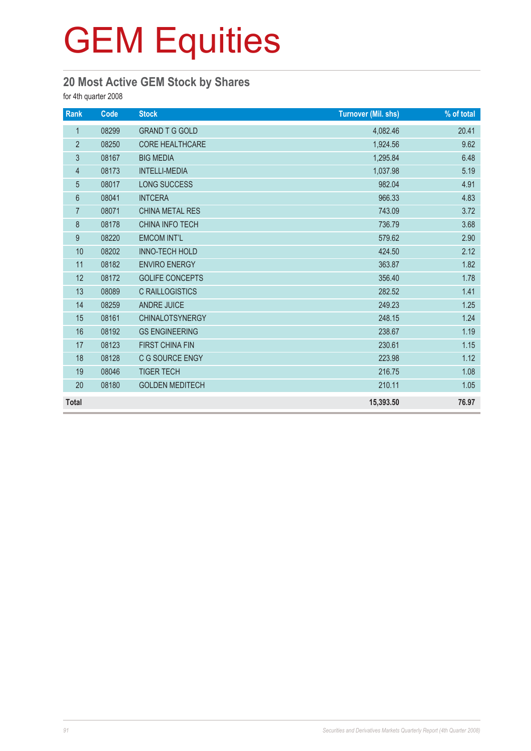### **20 Most Active GEM Stock by Shares**

for 4th quarter 2008

| Rank           | Code  | <b>Stock</b>           | <b>Turnover (Mil. shs)</b> | % of total |
|----------------|-------|------------------------|----------------------------|------------|
| $\mathbf{1}$   | 08299 | <b>GRAND T G GOLD</b>  | 4,082.46                   | 20.41      |
| $\overline{2}$ | 08250 | <b>CORE HEALTHCARE</b> | 1,924.56                   | 9.62       |
| $\mathfrak{S}$ | 08167 | <b>BIG MEDIA</b>       | 1,295.84                   | 6.48       |
| $\overline{4}$ | 08173 | <b>INTELLI-MEDIA</b>   | 1,037.98                   | 5.19       |
| 5              | 08017 | LONG SUCCESS           | 982.04                     | 4.91       |
| $6\phantom{a}$ | 08041 | <b>INTCERA</b>         | 966.33                     | 4.83       |
| $\overline{7}$ | 08071 | <b>CHINA METAL RES</b> | 743.09                     | 3.72       |
| $\,8\,$        | 08178 | CHINA INFO TECH        | 736.79                     | 3.68       |
| 9              | 08220 | <b>EMCOM INT'L</b>     | 579.62                     | 2.90       |
| 10             | 08202 | INNO-TECH HOLD         | 424.50                     | 2.12       |
| 11             | 08182 | <b>ENVIRO ENERGY</b>   | 363.87                     | 1.82       |
| 12             | 08172 | <b>GOLIFE CONCEPTS</b> | 356.40                     | 1.78       |
| 13             | 08089 | <b>C RAILLOGISTICS</b> | 282.52                     | 1.41       |
| 14             | 08259 | <b>ANDRE JUICE</b>     | 249.23                     | 1.25       |
| 15             | 08161 | <b>CHINALOTSYNERGY</b> | 248.15                     | 1.24       |
| 16             | 08192 | <b>GS ENGINEERING</b>  | 238.67                     | 1.19       |
| 17             | 08123 | <b>FIRST CHINA FIN</b> | 230.61                     | 1.15       |
| 18             | 08128 | C G SOURCE ENGY        | 223.98                     | 1.12       |
| 19             | 08046 | <b>TIGER TECH</b>      | 216.75                     | 1.08       |
| 20             | 08180 | <b>GOLDEN MEDITECH</b> | 210.11                     | 1.05       |
| <b>Total</b>   |       |                        | 15,393.50                  | 76.97      |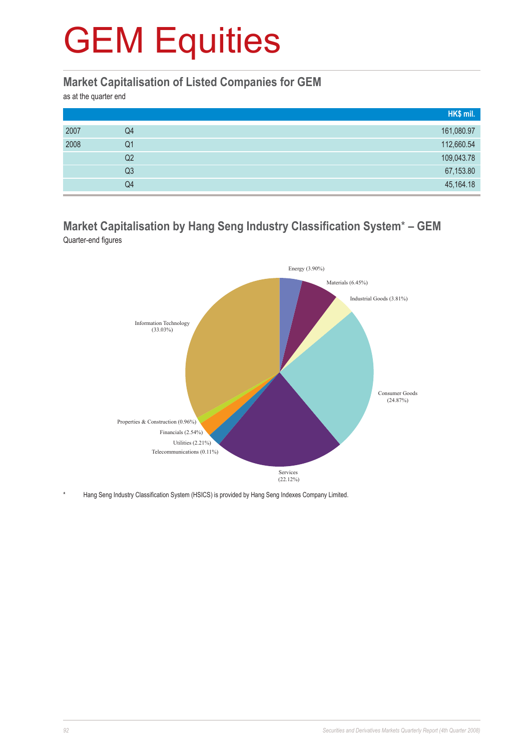#### **Market Capitalisation of Listed Companies for GEM**

as at the quarter end

|      |                | HK\$ mil.  |
|------|----------------|------------|
| 2007 | Q4             | 161,080.97 |
| 2008 | Q1             | 112,660.54 |
|      | Q2             | 109,043.78 |
|      | Q <sub>3</sub> | 67,153.80  |
|      | Q4             | 45,164.18  |

#### **Market Capitalisation by Hang Seng Industry Classification System**\* **– GEM** Quarter-end figures



Hang Seng Industry Classification System (HSICS) is provided by Hang Seng Indexes Company Limited.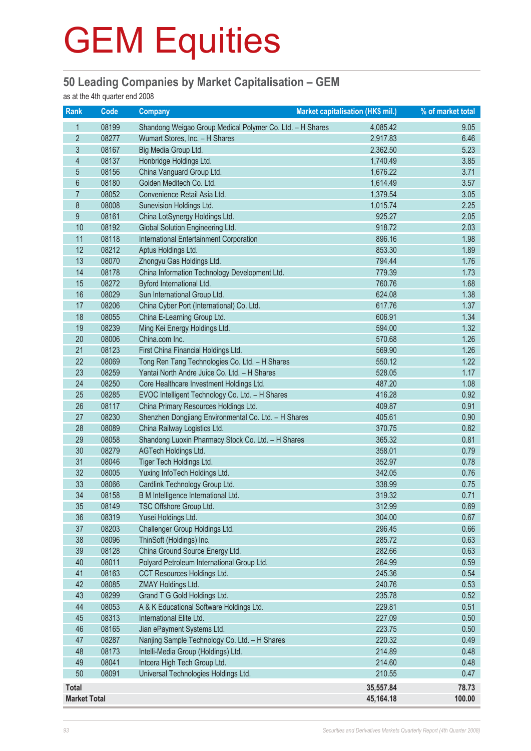### **50 Leading Companies by Market Capitalisation – GEM**

as at the 4th quarter end 2008

| Rank                | Code  | <b>Company</b>                                            | Market capitalisation (HK\$ mil.) | % of market total |
|---------------------|-------|-----------------------------------------------------------|-----------------------------------|-------------------|
| 1                   | 08199 | Shandong Weigao Group Medical Polymer Co. Ltd. - H Shares | 4,085.42                          | 9.05              |
| $\overline{2}$      | 08277 | Wumart Stores, Inc. - H Shares                            | 2,917.83                          | 6.46              |
| 3                   | 08167 | Big Media Group Ltd.                                      | 2,362.50                          | 5.23              |
| $\overline{4}$      | 08137 | Honbridge Holdings Ltd.                                   | 1,740.49                          | 3.85              |
| 5                   | 08156 | China Vanguard Group Ltd.                                 | 1,676.22                          | 3.71              |
| $6\phantom{1}6$     | 08180 | Golden Meditech Co. Ltd.                                  | 1,614.49                          | 3.57              |
| $\overline{7}$      | 08052 | Convenience Retail Asia Ltd.                              | 1,379.54                          | 3.05              |
| 8                   | 08008 | Sunevision Holdings Ltd.                                  | 1,015.74                          | 2.25              |
| 9                   | 08161 | China LotSynergy Holdings Ltd.                            | 925.27                            | 2.05              |
| 10                  | 08192 | Global Solution Engineering Ltd.                          | 918.72                            | 2.03              |
| 11                  | 08118 | <b>International Entertainment Corporation</b>            | 896.16                            | 1.98              |
| 12                  | 08212 | Aptus Holdings Ltd.                                       | 853.30                            | 1.89              |
| 13                  | 08070 | Zhongyu Gas Holdings Ltd.                                 | 794.44                            | 1.76              |
| 14                  | 08178 | China Information Technology Development Ltd.             | 779.39                            | 1.73              |
| 15                  | 08272 | Byford International Ltd.                                 | 760.76                            | 1.68              |
| 16                  | 08029 | Sun International Group Ltd.                              | 624.08                            | 1.38              |
| 17                  | 08206 | China Cyber Port (International) Co. Ltd.                 | 617.76                            | 1.37              |
| 18                  | 08055 | China E-Learning Group Ltd.                               | 606.91                            | 1.34              |
| 19                  | 08239 | Ming Kei Energy Holdings Ltd.                             | 594.00                            | 1.32              |
| 20                  | 08006 | China.com Inc.                                            | 570.68                            | 1.26              |
| 21                  | 08123 | First China Financial Holdings Ltd.                       | 569.90                            | 1.26              |
| 22                  | 08069 | Tong Ren Tang Technologies Co. Ltd. - H Shares            | 550.12                            | 1.22              |
| 23                  | 08259 | Yantai North Andre Juice Co. Ltd. - H Shares              | 528.05                            | 1.17              |
| 24                  | 08250 | Core Healthcare Investment Holdings Ltd.                  | 487.20                            | 1.08              |
| 25                  | 08285 | EVOC Intelligent Technology Co. Ltd. - H Shares           | 416.28                            | 0.92              |
| 26                  | 08117 | China Primary Resources Holdings Ltd.                     | 409.87                            | 0.91              |
| 27                  | 08230 | Shenzhen Dongjiang Environmental Co. Ltd. - H Shares      | 405.61                            | 0.90              |
| 28                  | 08089 | China Railway Logistics Ltd.                              | 370.75                            | 0.82              |
| 29                  | 08058 | Shandong Luoxin Pharmacy Stock Co. Ltd. - H Shares        | 365.32                            | 0.81              |
| 30                  | 08279 | AGTech Holdings Ltd.                                      | 358.01                            | 0.79              |
| 31                  | 08046 | Tiger Tech Holdings Ltd.                                  | 352.97                            | 0.78              |
| 32                  | 08005 | Yuxing InfoTech Holdings Ltd.                             | 342.05                            | 0.76              |
| 33                  | 08066 | Cardlink Technology Group Ltd.                            | 338.99                            | 0.75              |
| 34                  | 08158 | B M Intelligence International Ltd.                       | 319.32                            | 0.71              |
| 35                  | 08149 | TSC Offshore Group Ltd.                                   | 312.99                            | 0.69              |
| 36                  | 08319 | Yusei Holdings Ltd.                                       | 304.00                            | 0.67              |
| 37                  | 08203 | Challenger Group Holdings Ltd.                            | 296.45                            | 0.66              |
| 38                  | 08096 | ThinSoft (Holdings) Inc.                                  | 285.72                            | 0.63              |
| 39                  | 08128 | China Ground Source Energy Ltd.                           | 282.66                            | 0.63              |
| 40                  | 08011 | Polyard Petroleum International Group Ltd.                | 264.99                            | 0.59              |
| 41                  | 08163 | CCT Resources Holdings Ltd.                               | 245.36                            | 0.54              |
| 42                  | 08085 | ZMAY Holdings Ltd.                                        | 240.76                            | 0.53              |
| 43                  | 08299 | Grand T G Gold Holdings Ltd.                              | 235.78                            | 0.52              |
| 44                  | 08053 | A & K Educational Software Holdings Ltd.                  | 229.81                            | 0.51              |
| 45                  | 08313 | International Elite Ltd.                                  | 227.09                            | 0.50              |
| 46                  | 08165 | Jian ePayment Systems Ltd.                                | 223.75                            | 0.50              |
| 47                  | 08287 | Nanjing Sample Technology Co. Ltd. - H Shares             | 220.32                            | 0.49              |
| 48                  | 08173 | Intelli-Media Group (Holdings) Ltd.                       | 214.89                            | 0.48              |
| 49                  | 08041 | Intcera High Tech Group Ltd.                              | 214.60                            | 0.48              |
| 50                  | 08091 | Universal Technologies Holdings Ltd.                      | 210.55                            | 0.47              |
| <b>Total</b>        |       |                                                           | 35,557.84                         | 78.73             |
| <b>Market Total</b> |       |                                                           | 45, 164. 18                       | 100.00            |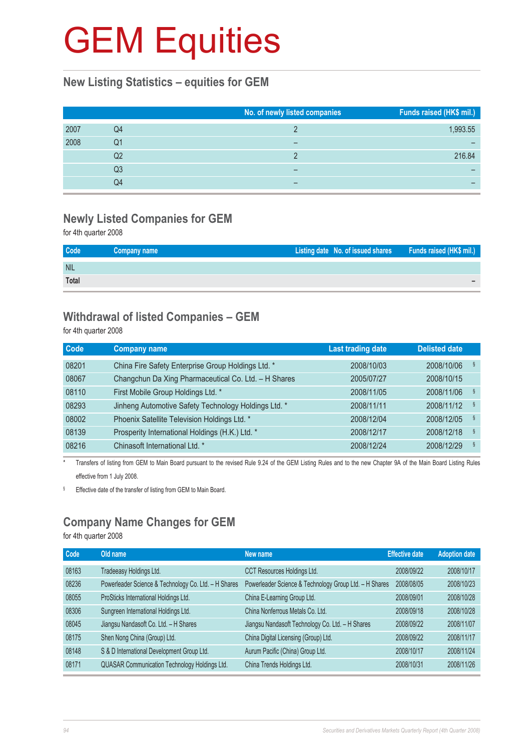### **New Listing Statistics – equities for GEM**

|      |    | No. of newly listed companies | Funds raised (HK\$ mil.) |
|------|----|-------------------------------|--------------------------|
| 2007 | Q4 |                               | 1,993.55                 |
| 2008 | Q1 |                               |                          |
|      | Q2 |                               | 216.84                   |
|      | Q3 |                               |                          |
|      | Q4 | -                             |                          |

## **Newly Listed Companies for GEM**

for 4th quarter 2008

| Code       | Company name | Listing date No. of issued shares Funds raised (HK\$ mil.) |  |
|------------|--------------|------------------------------------------------------------|--|
| <b>NIL</b> |              |                                                            |  |
| Total      |              |                                                            |  |

### **Withdrawal of listed Companies – GEM**

for 4th quarter 2008

| <b>Company name</b>                                  | <b>Last trading date</b> | <b>Delisted date</b> |  |
|------------------------------------------------------|--------------------------|----------------------|--|
| China Fire Safety Enterprise Group Holdings Ltd. *   | 2008/10/03               | ş<br>2008/10/06      |  |
| Changchun Da Xing Pharmaceutical Co. Ltd. - H Shares | 2005/07/27               | 2008/10/15           |  |
| First Mobile Group Holdings Ltd. *                   | 2008/11/05               | ş<br>2008/11/06      |  |
| Jinheng Automotive Safety Technology Holdings Ltd. * | 2008/11/11               | ş<br>2008/11/12      |  |
| Phoenix Satellite Television Holdings Ltd. *         | 2008/12/04               | ş<br>2008/12/05      |  |
| Prosperity International Holdings (H.K.) Ltd. *      | 2008/12/17               | ş<br>2008/12/18      |  |
| Chinasoft International Ltd. *                       | 2008/12/24               | $\S$<br>2008/12/29   |  |
|                                                      |                          |                      |  |

\* Transfers of listing from GEM to Main Board pursuant to the revised Rule 9.24 of the GEM Listing Rules and to the new Chapter 9A of the Main Board Listing Rules effective from 1 July 2008.

§ Effective date of the transfer of listing from GEM to Main Board.

### **Company Name Changes for GEM**

for 4th quarter 2008

| Code  | Old name                                             | New name                                               | <b>Effective date</b> | <b>Adoption date</b> |
|-------|------------------------------------------------------|--------------------------------------------------------|-----------------------|----------------------|
| 08163 | Tradeeasy Holdings Ltd.                              | CCT Resources Holdings Ltd.                            | 2008/09/22            | 2008/10/17           |
| 08236 | Powerleader Science & Technology Co. Ltd. - H Shares | Powerleader Science & Technology Group Ltd. - H Shares | 2008/08/05            | 2008/10/23           |
| 08055 | ProSticks International Holdings Ltd.                | China E-Learning Group Ltd.                            | 2008/09/01            | 2008/10/28           |
| 08306 | Sungreen International Holdings Ltd.                 | China Nonferrous Metals Co. Ltd.                       | 2008/09/18            | 2008/10/28           |
| 08045 | Jiangsu Nandasoft Co. Ltd. - H Shares                | Jiangsu Nandasoft Technology Co. Ltd. - H Shares       | 2008/09/22            | 2008/11/07           |
| 08175 | Shen Nong China (Group) Ltd.                         | China Digital Licensing (Group) Ltd.                   | 2008/09/22            | 2008/11/17           |
| 08148 | S & D International Development Group Ltd.           | Aurum Pacific (China) Group Ltd.                       | 2008/10/17            | 2008/11/24           |
| 08171 | QUASAR Communication Technology Holdings Ltd.        | China Trends Holdings Ltd.                             | 2008/10/31            | 2008/11/26           |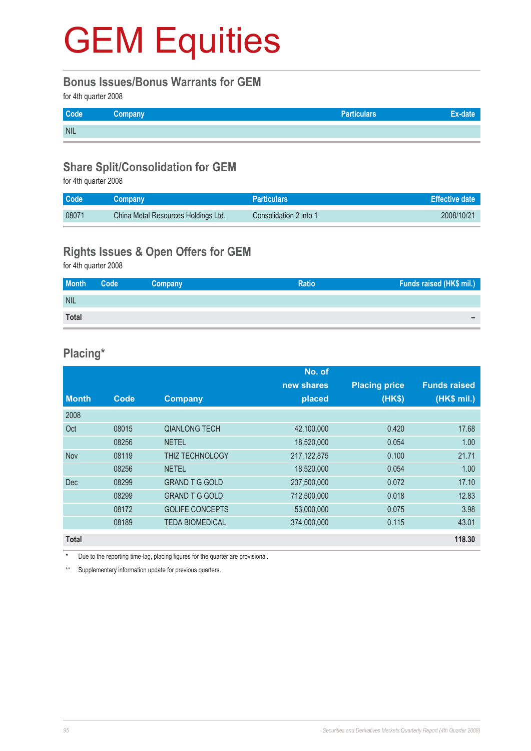#### **Bonus Issues/Bonus Warrants for GEM**

for 4th quarter 2008

| Code       | Company | <b>Particulars</b> |  |
|------------|---------|--------------------|--|
| <b>NIL</b> |         |                    |  |

### **Share Split/Consolidation for GEM**

for 4th quarter 2008

| <b>Code</b> | <b>Company</b>                      | <b>Particulars</b>     | Effective date |
|-------------|-------------------------------------|------------------------|----------------|
| 08071       | China Metal Resources Holdings Ltd. | Consolidation 2 into 1 | 2008/10/21     |

### **Rights Issues & Open Offers for GEM**

for 4th quarter 2008

| <b>Month</b> | Code <sup>1</sup> | Company | <b>Ratio</b> | Funds raised (HK\$ mil.) |
|--------------|-------------------|---------|--------------|--------------------------|
| <b>NIL</b>   |                   |         |              |                          |
| <b>Total</b> |                   |         |              | -                        |

### **Placing\***

|              |       |                        | No. of        |                      |                     |
|--------------|-------|------------------------|---------------|----------------------|---------------------|
|              |       |                        | new shares    | <b>Placing price</b> | <b>Funds raised</b> |
| <b>Month</b> | Code  | <b>Company</b>         | placed        | (HK\$)               | (HK\$ mil.)         |
| 2008         |       |                        |               |                      |                     |
| Oct          | 08015 | <b>QIANLONG TECH</b>   | 42,100,000    | 0.420                | 17.68               |
|              | 08256 | <b>NETEL</b>           | 18,520,000    | 0.054                | 1.00                |
| <b>Nov</b>   | 08119 | THIZ TECHNOLOGY        | 217, 122, 875 | 0.100                | 21.71               |
|              | 08256 | <b>NETEL</b>           | 18,520,000    | 0.054                | 1.00                |
| <b>Dec</b>   | 08299 | <b>GRAND T G GOLD</b>  | 237,500,000   | 0.072                | 17.10               |
|              | 08299 | <b>GRAND T G GOLD</b>  | 712,500,000   | 0.018                | 12.83               |
|              | 08172 | <b>GOLIFE CONCEPTS</b> | 53,000,000    | 0.075                | 3.98                |
|              | 08189 | <b>TEDA BIOMEDICAL</b> | 374,000,000   | 0.115                | 43.01               |
| <b>Total</b> |       |                        |               |                      | 118.30              |

Due to the reporting time-lag, placing figures for the quarter are provisional.

\*\* Supplementary information update for previous quarters.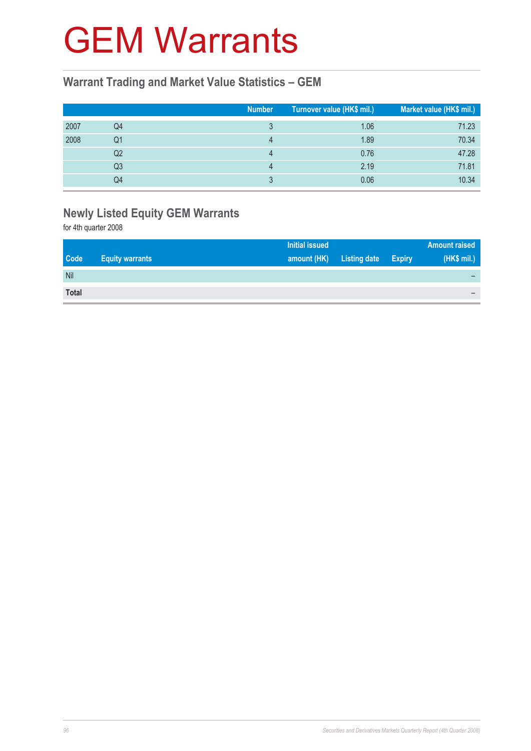## GEM Warrants

### **Warrant Trading and Market Value Statistics – GEM**

|      |                | <b>Number</b> | Turnover value (HK\$ mil.) | Market value (HK\$ mil.) |
|------|----------------|---------------|----------------------------|--------------------------|
| 2007 | Q4             |               | 1.06                       | 71.23                    |
| 2008 | Q1             |               | 1.89                       | 70.34                    |
|      | Q2             |               | 0.76                       | 47.28                    |
|      | Q <sub>3</sub> |               | 2.19                       | 71.81                    |
|      | Q4             |               | 0.06                       | 10.34                    |

## **Newly Listed Equity GEM Warrants**

for 4th quarter 2008

|              |                        | <b>Initial issued</b> |                     |               | <b>Amount raised</b> |
|--------------|------------------------|-----------------------|---------------------|---------------|----------------------|
| <b>Code</b>  | <b>Equity warrants</b> | amount (HK)           | <b>Listing date</b> | <b>Expiry</b> | (HK\$ mil.)          |
| Nil          |                        |                       |                     |               |                      |
| <b>Total</b> |                        |                       |                     |               |                      |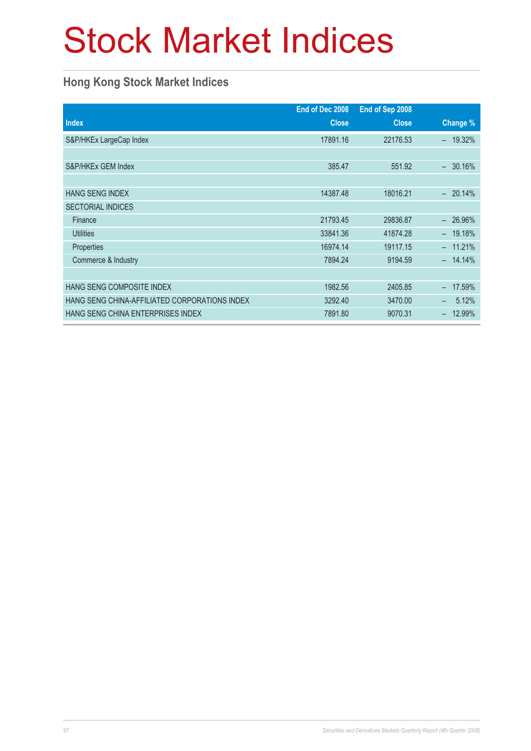## Stock Market Indices

### **Hong Kong Stock Market Indices**

|                                               | End of Dec 2008 | End of Sep 2008 |                    |
|-----------------------------------------------|-----------------|-----------------|--------------------|
| <b>Index</b>                                  | <b>Close</b>    | <b>Close</b>    | Change %           |
| S&P/HKEx LargeCap Index                       | 17891.16        | 22176.53        | 19.32%<br>$\equiv$ |
|                                               |                 |                 |                    |
| S&P/HKEx GEM Index                            | 385.47          | 551.92          | 30.16%             |
|                                               |                 |                 |                    |
| <b>HANG SENG INDEX</b>                        | 14387.48        | 18016.21        | $-20.14%$          |
| <b>SECTORIAL INDICES</b>                      |                 |                 |                    |
| Finance                                       | 21793.45        | 29836.87        | 26.96%<br>$-$      |
| <b>Utilities</b>                              | 33841.36        | 41874.28        | $-19.18%$          |
| Properties                                    | 16974.14        | 19117.15        | 11.21%             |
| Commerce & Industry                           | 7894.24         | 9194.59         | $-14.14\%$         |
|                                               |                 |                 |                    |
| <b>HANG SENG COMPOSITE INDEX</b>              | 1982.56         | 2405.85         | 17.59%             |
| HANG SENG CHINA-AFFILIATED CORPORATIONS INDEX | 3292.40         | 3470.00         | 5.12%              |
| <b>HANG SENG CHINA ENTERPRISES INDEX</b>      | 7891.80         | 9070.31         | 12.99%             |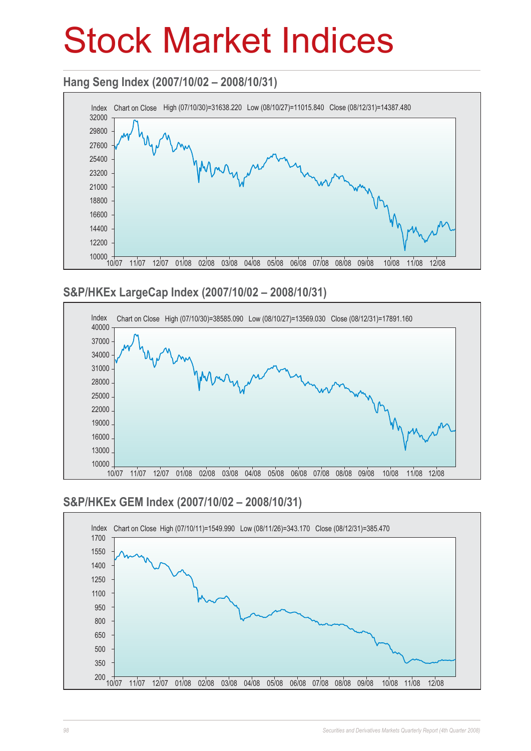## Stock Market Indices

### **Hang Seng Index (2007/10/02 – 2008/10/31)**



### **S&P/HKEx LargeCap Index (2007/10/02 – 2008/10/31)**



### **S&P/HKEx GEM Index (2007/10/02 – 2008/10/31)**

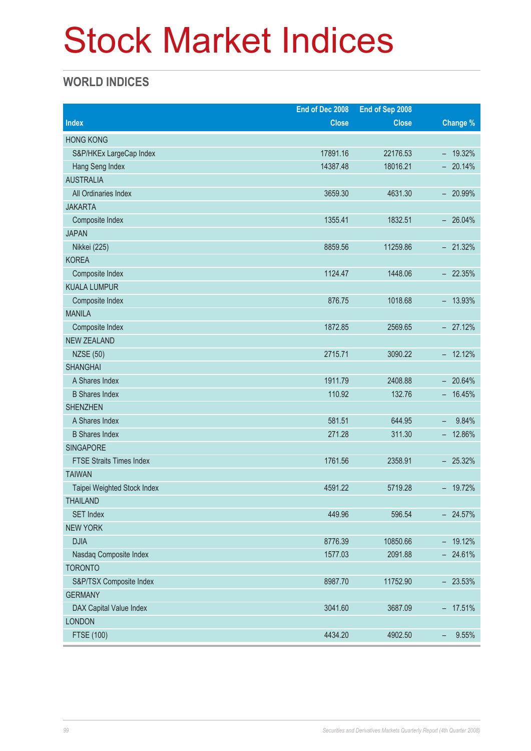## Stock Market Indices

### **WORLD INDICES**

|                                 | End of Dec 2008 | End of Sep 2008 |                                   |
|---------------------------------|-----------------|-----------------|-----------------------------------|
| <b>Index</b>                    | <b>Close</b>    | <b>Close</b>    | Change %                          |
| <b>HONG KONG</b>                |                 |                 |                                   |
| S&P/HKEx LargeCap Index         | 17891.16        | 22176.53        | $-19.32%$                         |
| Hang Seng Index                 | 14387.48        | 18016.21        | $-20.14%$                         |
| <b>AUSTRALIA</b>                |                 |                 |                                   |
| All Ordinaries Index            | 3659.30         | 4631.30         | $-20.99%$                         |
| <b>JAKARTA</b>                  |                 |                 |                                   |
| Composite Index                 | 1355.41         | 1832.51         | $-26.04\%$                        |
| <b>JAPAN</b>                    |                 |                 |                                   |
| Nikkei (225)                    | 8859.56         | 11259.86        | $-21.32%$                         |
| <b>KOREA</b>                    |                 |                 |                                   |
| Composite Index                 | 1124.47         | 1448.06         | $-22.35%$                         |
| <b>KUALA LUMPUR</b>             |                 |                 |                                   |
| Composite Index                 | 876.75          | 1018.68         | $-13.93\%$                        |
| <b>MANILA</b>                   |                 |                 |                                   |
| Composite Index                 | 1872.85         | 2569.65         | $-27.12%$                         |
| <b>NEW ZEALAND</b>              |                 |                 |                                   |
| <b>NZSE (50)</b>                | 2715.71         | 3090.22         | $-12.12%$                         |
| <b>SHANGHAI</b>                 |                 |                 |                                   |
| A Shares Index                  | 1911.79         | 2408.88         | $-20.64%$                         |
| <b>B</b> Shares Index           | 110.92          | 132.76          | $-16.45%$                         |
| <b>SHENZHEN</b>                 |                 |                 |                                   |
| A Shares Index                  | 581.51          | 644.95          | 9.84%<br>$\overline{\phantom{a}}$ |
| <b>B</b> Shares Index           | 271.28          | 311.30          | $-12.86%$                         |
| <b>SINGAPORE</b>                |                 |                 |                                   |
| <b>FTSE Straits Times Index</b> | 1761.56         | 2358.91         | $-25.32%$                         |
| <b>TAIWAN</b>                   |                 |                 |                                   |
| Taipei Weighted Stock Index     | 4591.22         | 5719.28         | $-19.72%$                         |
| <b>THAILAND</b>                 |                 |                 |                                   |
| <b>SET Index</b>                | 449.96          | 596.54          | $-24.57%$                         |
| <b>NEW YORK</b>                 |                 |                 |                                   |
| <b>DJIA</b>                     | 8776.39         | 10850.66        | $-19.12%$                         |
| Nasdaq Composite Index          | 1577.03         | 2091.88         | $-24.61%$                         |
| <b>TORONTO</b>                  |                 |                 |                                   |
| S&P/TSX Composite Index         | 8987.70         | 11752.90        | $-23.53%$                         |
| <b>GERMANY</b>                  |                 |                 |                                   |
| DAX Capital Value Index         | 3041.60         | 3687.09         | $-17.51%$                         |
| <b>LONDON</b>                   |                 |                 |                                   |
| <b>FTSE (100)</b>               | 4434.20         | 4902.50         | 9.55%<br>-                        |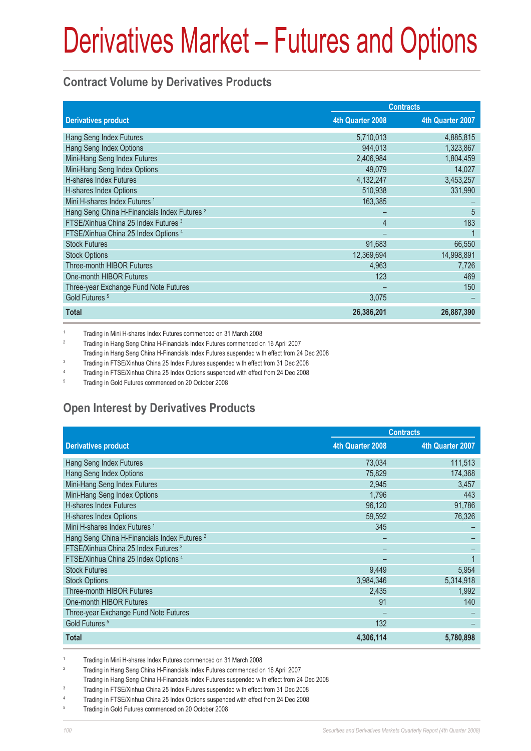### **Contract Volume by Derivatives Products**

|                                                         | <b>Contracts</b> |                  |  |
|---------------------------------------------------------|------------------|------------------|--|
| <b>Derivatives product</b>                              | 4th Quarter 2008 | 4th Quarter 2007 |  |
| Hang Seng Index Futures                                 | 5,710,013        | 4,885,815        |  |
| Hang Seng Index Options                                 | 944,013          | 1,323,867        |  |
| Mini-Hang Seng Index Futures                            | 2,406,984        | 1,804,459        |  |
| Mini-Hang Seng Index Options                            | 49,079           | 14,027           |  |
| H-shares Index Futures                                  | 4,132,247        | 3,453,257        |  |
| H-shares Index Options                                  | 510,938          | 331,990          |  |
| Mini H-shares Index Futures <sup>1</sup>                | 163,385          |                  |  |
| Hang Seng China H-Financials Index Futures <sup>2</sup> |                  | 5                |  |
| FTSE/Xinhua China 25 Index Futures 3                    | $\overline{4}$   | 183              |  |
| FTSE/Xinhua China 25 Index Options 4                    |                  |                  |  |
| <b>Stock Futures</b>                                    | 91,683           | 66,550           |  |
| <b>Stock Options</b>                                    | 12,369,694       | 14,998,891       |  |
| <b>Three-month HIBOR Futures</b>                        | 4,963            | 7,726            |  |
| One-month HIBOR Futures                                 | 123              | 469              |  |
| Three-year Exchange Fund Note Futures                   |                  | 150              |  |
| Gold Futures <sup>5</sup>                               | 3,075            |                  |  |
| <b>Total</b>                                            | 26,386,201       | 26,887,390       |  |

1 Trading in Mini H-shares Index Futures commenced on 31 March 2008

 $\overline{2}$ Trading in Hang Seng China H-Financials Index Futures commenced on 16 April 2007

 Trading in Hang Seng China H-Financials Index Futures suspended with effect from 24 Dec 2008  $\overline{3}$ 

Trading in FTSE/Xinhua China 25 Index Futures suspended with effect from 31 Dec 2008

4 Trading in FTSE/Xinhua China 25 Index Options suspended with effect from 24 Dec 2008

5 Trading in Gold Futures commenced on 20 October 2008

### **Open Interest by Derivatives Products**

|                                                         | <b>Contracts</b> |                  |  |
|---------------------------------------------------------|------------------|------------------|--|
| <b>Derivatives product</b>                              | 4th Quarter 2008 | 4th Quarter 2007 |  |
| Hang Seng Index Futures                                 | 73,034           | 111,513          |  |
| Hang Seng Index Options                                 | 75,829           | 174,368          |  |
| Mini-Hang Seng Index Futures                            | 2,945            | 3,457            |  |
| Mini-Hang Seng Index Options                            | 1.796            | 443              |  |
| H-shares Index Futures                                  | 96,120           | 91,786           |  |
| H-shares Index Options                                  | 59,592           | 76,326           |  |
| Mini H-shares Index Futures <sup>1</sup>                | 345              |                  |  |
| Hang Seng China H-Financials Index Futures <sup>2</sup> |                  |                  |  |
| FTSE/Xinhua China 25 Index Futures 3                    |                  |                  |  |
| FTSE/Xinhua China 25 Index Options 4                    |                  |                  |  |
| <b>Stock Futures</b>                                    | 9,449            | 5,954            |  |
| <b>Stock Options</b>                                    | 3,984,346        | 5,314,918        |  |
| Three-month HIBOR Futures                               | 2,435            | 1,992            |  |
| One-month HIBOR Futures                                 | 91               | 140              |  |
| Three-year Exchange Fund Note Futures                   |                  |                  |  |
| Gold Futures <sup>5</sup>                               | 132              |                  |  |
| <b>Total</b>                                            | 4,306,114        | 5,780,898        |  |

1 Trading in Mini H-shares Index Futures commenced on 31 March 2008

- 2 Trading in Hang Seng China H-Financials Index Futures commenced on 16 April 2007
- Trading in Hang Seng China H-Financials Index Futures suspended with effect from 24 Dec 2008

3 Trading in FTSE/Xinhua China 25 Index Futures suspended with effect from 31 Dec 2008

4 Trading in FTSE/Xinhua China 25 Index Options suspended with effect from 24 Dec 2008

5 Trading in Gold Futures commenced on 20 October 2008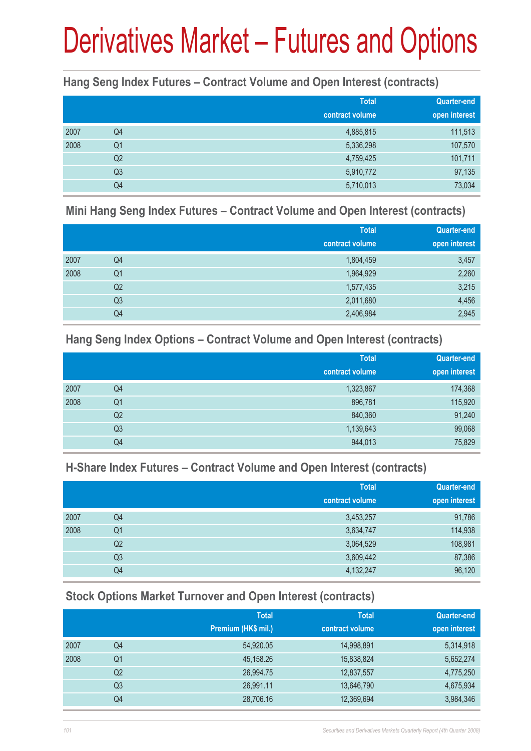### **Hang Seng Index Futures – Contract Volume and Open Interest (contracts)**

|      |                | <b>Total</b><br>contract volume | <b>Quarter-end</b><br>open interest |
|------|----------------|---------------------------------|-------------------------------------|
| 2007 | Q4             | 4,885,815                       | 111,513                             |
| 2008 | Q <sub>1</sub> | 5,336,298                       | 107,570                             |
|      | Q <sub>2</sub> | 4,759,425                       | 101,711                             |
|      | Q <sub>3</sub> | 5,910,772                       | 97,135                              |
|      | Q4             | 5,710,013                       | 73,034                              |

#### **Mini Hang Seng Index Futures – Contract Volume and Open Interest (contracts)**

|      |                | <b>Total</b><br>contract volume | <b>Quarter-end</b><br>open interest |
|------|----------------|---------------------------------|-------------------------------------|
| 2007 | Q4             | 1,804,459                       | 3,457                               |
| 2008 | Q <sub>1</sub> | 1,964,929                       | 2,260                               |
|      | Q <sub>2</sub> | 1,577,435                       | 3,215                               |
|      | Q <sub>3</sub> | 2,011,680                       | 4,456                               |
|      | Q4             | 2,406,984                       | 2,945                               |

### **Hang Seng Index Options – Contract Volume and Open Interest (contracts)**

|      |                | <b>Total</b>    | Quarter-end   |
|------|----------------|-----------------|---------------|
|      |                | contract volume | open interest |
| 2007 | Q4             | 1,323,867       | 174,368       |
| 2008 | Q <sub>1</sub> | 896,781         | 115,920       |
|      | Q <sub>2</sub> | 840,360         | 91,240        |
|      | Q <sub>3</sub> | 1,139,643       | 99,068        |
|      | Q4             | 944,013         | 75,829        |

### **H-Share Index Futures – Contract Volume and Open Interest (contracts)**

|      |                | <b>Total</b>    | <b>Quarter-end</b> |
|------|----------------|-----------------|--------------------|
|      |                | contract volume | open interest      |
| 2007 | Q4             | 3,453,257       | 91,786             |
| 2008 | Q <sub>1</sub> | 3,634,747       | 114,938            |
|      | Q2             | 3,064,529       | 108,981            |
|      | Q <sub>3</sub> | 3,609,442       | 87,386             |
|      | Q4             | 4,132,247       | 96,120             |

### **Stock Options Market Turnover and Open Interest (contracts)**

|      |    | <b>Total</b>        | <b>Total</b>    | <b>Quarter-end</b> |
|------|----|---------------------|-----------------|--------------------|
|      |    | Premium (HK\$ mil.) | contract volume | open interest      |
| 2007 | Q4 | 54,920.05           | 14,998,891      | 5,314,918          |
| 2008 | Q1 | 45,158.26           | 15,838,824      | 5,652,274          |
|      | Q2 | 26,994.75           | 12,837,557      | 4,775,250          |
|      | Q3 | 26,991.11           | 13,646,790      | 4,675,934          |
|      | Q4 | 28,706.16           | 12,369,694      | 3,984,346          |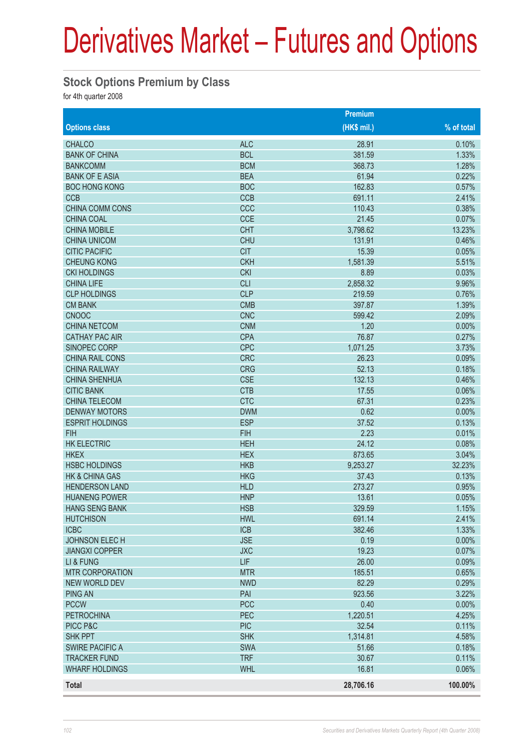### **Stock Options Premium by Class**

for 4th quarter 2008

|                        |            | Premium     |              |
|------------------------|------------|-------------|--------------|
| <b>Options class</b>   |            | (HK\$ mil.) | $%$ of total |
| <b>CHALCO</b>          | <b>ALC</b> | 28.91       | 0.10%        |
| <b>BANK OF CHINA</b>   | <b>BCL</b> | 381.59      | 1.33%        |
| <b>BANKCOMM</b>        | <b>BCM</b> | 368.73      | 1.28%        |
| <b>BANK OF E ASIA</b>  | <b>BEA</b> | 61.94       | 0.22%        |
| <b>BOC HONG KONG</b>   | <b>BOC</b> | 162.83      | 0.57%        |
| <b>CCB</b>             | <b>CCB</b> | 691.11      | 2.41%        |
| <b>CHINA COMM CONS</b> | CCC        | 110.43      | 0.38%        |
| <b>CHINA COAL</b>      | <b>CCE</b> | 21.45       | 0.07%        |
| <b>CHINA MOBILE</b>    | <b>CHT</b> | 3,798.62    | 13.23%       |
| <b>CHINA UNICOM</b>    | <b>CHU</b> | 131.91      | 0.46%        |
| <b>CITIC PACIFIC</b>   | <b>CIT</b> | 15.39       | 0.05%        |
| <b>CHEUNG KONG</b>     | <b>CKH</b> | 1,581.39    | 5.51%        |
| <b>CKI HOLDINGS</b>    | <b>CKI</b> | 8.89        | 0.03%        |
| <b>CHINA LIFE</b>      | <b>CLI</b> | 2,858.32    | 9.96%        |
| <b>CLP HOLDINGS</b>    | <b>CLP</b> | 219.59      | 0.76%        |
| <b>CM BANK</b>         | <b>CMB</b> | 397.87      | 1.39%        |
| <b>CNOOC</b>           | <b>CNC</b> | 599.42      | 2.09%        |
| <b>CHINA NETCOM</b>    | <b>CNM</b> | 1.20        | 0.00%        |
| <b>CATHAY PAC AIR</b>  | <b>CPA</b> | 76.87       | 0.27%        |
| <b>SINOPEC CORP</b>    | <b>CPC</b> | 1,071.25    | 3.73%        |
| CHINA RAIL CONS        | <b>CRC</b> | 26.23       | 0.09%        |
| <b>CHINA RAILWAY</b>   | <b>CRG</b> | 52.13       | 0.18%        |
| <b>CHINA SHENHUA</b>   | <b>CSE</b> | 132.13      | 0.46%        |
| <b>CITIC BANK</b>      | <b>CTB</b> | 17.55       | 0.06%        |
| <b>CHINA TELECOM</b>   | <b>CTC</b> | 67.31       | 0.23%        |
| <b>DENWAY MOTORS</b>   | <b>DWM</b> | 0.62        | 0.00%        |
| <b>ESPRIT HOLDINGS</b> | <b>ESP</b> | 37.52       | 0.13%        |
| <b>FIH</b>             | <b>FIH</b> | 2.23        | 0.01%        |
| <b>HK ELECTRIC</b>     | <b>HEH</b> | 24.12       | 0.08%        |
| <b>HKEX</b>            | <b>HEX</b> | 873.65      | 3.04%        |
| <b>HSBC HOLDINGS</b>   | <b>HKB</b> | 9,253.27    | 32.23%       |
| HK & CHINA GAS         | <b>HKG</b> | 37.43       | 0.13%        |
| <b>HENDERSON LAND</b>  | <b>HLD</b> | 273.27      | 0.95%        |
| <b>HUANENG POWER</b>   | <b>HNP</b> | 13.61       | 0.05%        |
| <b>HANG SENG BANK</b>  | <b>HSB</b> | 329.59      | 1.15%        |
| <b>HUTCHISON</b>       | <b>HWL</b> | 691.14      | 2.41%        |
| <b>ICBC</b>            | <b>ICB</b> | 382.46      | 1.33%        |
| JOHNSON ELECH          | <b>JSE</b> | 0.19        | 0.00%        |
| <b>JIANGXI COPPER</b>  | <b>JXC</b> | 19.23       | 0.07%        |
| LI & FUNG              | LIF        | 26.00       | 0.09%        |
| <b>MTR CORPORATION</b> | <b>MTR</b> | 185.51      | 0.65%        |
| NEW WORLD DEV          | <b>NWD</b> | 82.29       | 0.29%        |
| <b>PING AN</b>         | PAI        | 923.56      | 3.22%        |
| <b>PCCW</b>            | <b>PCC</b> | 0.40        | 0.00%        |
| <b>PETROCHINA</b>      | PEC        | 1,220.51    | 4.25%        |
| PICC P&C               | <b>PIC</b> | 32.54       | 0.11%        |
| <b>SHK PPT</b>         | <b>SHK</b> | 1,314.81    | 4.58%        |
| <b>SWIRE PACIFIC A</b> | <b>SWA</b> | 51.66       | 0.18%        |
| <b>TRACKER FUND</b>    | <b>TRF</b> | 30.67       | 0.11%        |
| <b>WHARF HOLDINGS</b>  | <b>WHL</b> | 16.81       | 0.06%        |
| <b>Total</b>           |            | 28,706.16   | 100.00%      |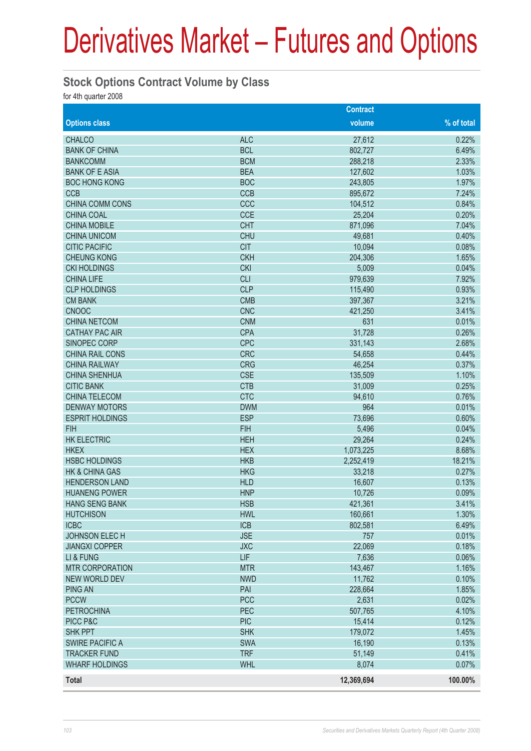### **Stock Options Contract Volume by Class**

for 4th quarter 2008

|                        |            | <b>Contract</b> |              |
|------------------------|------------|-----------------|--------------|
| <b>Options class</b>   |            | volume          | $%$ of total |
| <b>CHALCO</b>          | <b>ALC</b> | 27,612          | 0.22%        |
| <b>BANK OF CHINA</b>   | <b>BCL</b> | 802,727         | 6.49%        |
| <b>BANKCOMM</b>        | <b>BCM</b> | 288,218         | 2.33%        |
| <b>BANK OF E ASIA</b>  | <b>BEA</b> | 127,602         | 1.03%        |
| <b>BOC HONG KONG</b>   | <b>BOC</b> | 243,805         | 1.97%        |
| <b>CCB</b>             | <b>CCB</b> | 895,672         | 7.24%        |
| <b>CHINA COMM CONS</b> | CCC        | 104,512         | 0.84%        |
| <b>CHINA COAL</b>      | <b>CCE</b> | 25,204          | 0.20%        |
| <b>CHINA MOBILE</b>    | <b>CHT</b> | 871,096         | 7.04%        |
| <b>CHINA UNICOM</b>    | <b>CHU</b> | 49,681          | 0.40%        |
| <b>CITIC PACIFIC</b>   | <b>CIT</b> | 10,094          | 0.08%        |
| <b>CHEUNG KONG</b>     | <b>CKH</b> | 204,306         | 1.65%        |
| <b>CKI HOLDINGS</b>    | <b>CKI</b> | 5,009           | 0.04%        |
| <b>CHINA LIFE</b>      | <b>CLI</b> | 979,639         | 7.92%        |
| <b>CLP HOLDINGS</b>    | <b>CLP</b> | 115,490         | 0.93%        |
| <b>CM BANK</b>         | <b>CMB</b> | 397,367         | 3.21%        |
| <b>CNOOC</b>           | <b>CNC</b> | 421,250         | 3.41%        |
| <b>CHINA NETCOM</b>    | <b>CNM</b> | 631             | 0.01%        |
| <b>CATHAY PAC AIR</b>  | <b>CPA</b> | 31,728          | 0.26%        |
| <b>SINOPEC CORP</b>    | <b>CPC</b> | 331,143         | 2.68%        |
| CHINA RAIL CONS        | <b>CRC</b> | 54,658          | 0.44%        |
| <b>CHINA RAILWAY</b>   | <b>CRG</b> | 46,254          | 0.37%        |
| <b>CHINA SHENHUA</b>   | <b>CSE</b> | 135,509         | 1.10%        |
| <b>CITIC BANK</b>      | <b>CTB</b> | 31,009          | 0.25%        |
| <b>CHINA TELECOM</b>   | <b>CTC</b> | 94,610          | 0.76%        |
| <b>DENWAY MOTORS</b>   | <b>DWM</b> | 964             | 0.01%        |
| <b>ESPRIT HOLDINGS</b> | <b>ESP</b> | 73,696          | 0.60%        |
| <b>FIH</b>             | <b>FIH</b> | 5,496           | 0.04%        |
| <b>HK ELECTRIC</b>     | <b>HEH</b> | 29,264          | 0.24%        |
| <b>HKEX</b>            | <b>HEX</b> | 1,073,225       | 8.68%        |
| <b>HSBC HOLDINGS</b>   | <b>HKB</b> | 2,252,419       | 18.21%       |
| HK & CHINA GAS         | <b>HKG</b> | 33,218          | 0.27%        |
| <b>HENDERSON LAND</b>  | <b>HLD</b> | 16,607          | 0.13%        |
| <b>HUANENG POWER</b>   | <b>HNP</b> | 10,726          | 0.09%        |
| <b>HANG SENG BANK</b>  | <b>HSB</b> | 421,361         | 3.41%        |
| <b>HUTCHISON</b>       | <b>HWL</b> | 160,661         | 1.30%        |
| <b>ICBC</b>            | <b>ICB</b> | 802,581         | 6.49%        |
| JOHNSON ELECH          | <b>JSE</b> | 757             | 0.01%        |
| <b>JIANGXI COPPER</b>  | <b>JXC</b> | 22,069          | 0.18%        |
| LI & FUNG              | LIF        | 7,636           | 0.06%        |
| <b>MTR CORPORATION</b> | <b>MTR</b> | 143,467         | 1.16%        |
| <b>NEW WORLD DEV</b>   | <b>NWD</b> | 11,762          | 0.10%        |
| <b>PING AN</b>         | PAI        | 228,664         | 1.85%        |
| <b>PCCW</b>            | <b>PCC</b> | 2,631           | 0.02%        |
| <b>PETROCHINA</b>      | PEC        | 507,765         | 4.10%        |
| PICC P&C               | <b>PIC</b> | 15,414          | 0.12%        |
| <b>SHK PPT</b>         | <b>SHK</b> | 179,072         | 1.45%        |
| <b>SWIRE PACIFIC A</b> | <b>SWA</b> | 16,190          | 0.13%        |
| <b>TRACKER FUND</b>    | <b>TRF</b> | 51,149          | 0.41%        |
| <b>WHARF HOLDINGS</b>  | <b>WHL</b> | 8,074           | 0.07%        |
| <b>Total</b>           |            | 12,369,694      | 100.00%      |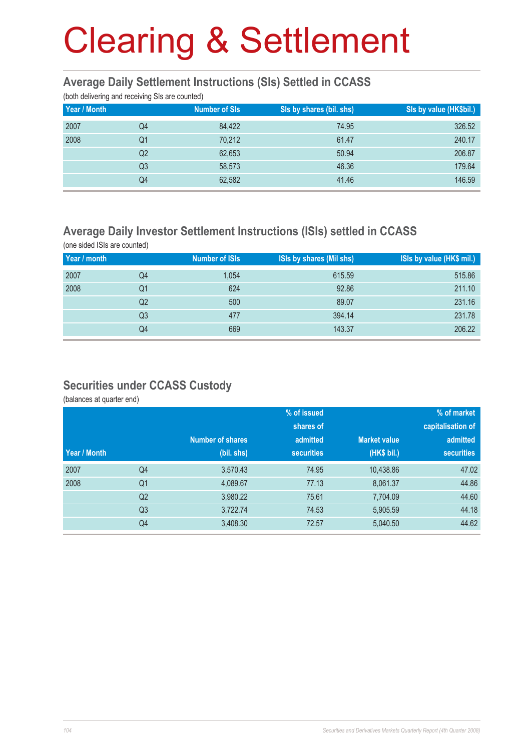#### **Average Daily Settlement Instructions (SIs) Settled in CCASS**

(both delivering and receiving SIs are counted)

| ັ<br>Year / Month | ັ              | <b>Number of SIs</b> | Sis by shares (bil. shs) | Sis by value (HK\$bil.) |
|-------------------|----------------|----------------------|--------------------------|-------------------------|
| 2007              | Q4             | 84.422               | 74.95                    | 326.52                  |
| 2008              | Q1             | 70,212               | 61.47                    | 240.17                  |
|                   | Q2             | 62,653               | 50.94                    | 206.87                  |
|                   | Q <sub>3</sub> | 58,573               | 46.36                    | 179.64                  |
|                   | Q4             | 62,582               | 41.46                    | 146.59                  |

### **Average Daily Investor Settlement Instructions (ISIs) settled in CCASS**

(one sided ISIs are counted) **Year / month** Number of ISIs ISIs by shares (Mil shs) ISIs by value (HK\$ mil.) 2007 Q4 1,054 615.59 515.86 2008 Q1 624 92.86 211.10 . The contract of the contract of the contract of the contract of the contract of the contract of the contract of the contract of the contract of the contract of the contract of the contract of the contract of the contrac . The contract of the contract of the contract of the contract of the contract of the contract of the contract of the contract of the contract of the contract of the contract of the contract of the contract of the contrac . The contract of the contract of the contract of the contract of the contract of the contract of the contract of the contract of the contract of the contract of the contract of the contract of the contract of the contrac

### **Securities under CCASS Custody**

(balances at quarter end)

|              |                |                         | % of issued       |                     | % of market       |
|--------------|----------------|-------------------------|-------------------|---------------------|-------------------|
|              |                |                         | shares of         |                     | capitalisation of |
|              |                | <b>Number of shares</b> | admitted          | <b>Market value</b> | admitted          |
| Year / Month |                | (bil. shs)              | <b>securities</b> | (HK\$ bil.)         | <b>securities</b> |
| 2007         | Q4             | 3,570.43                | 74.95             | 10,438.86           | 47.02             |
| 2008         | Q <sub>1</sub> | 4,089.67                | 77.13             | 8,061.37            | 44.86             |
|              | Q <sub>2</sub> | 3,980.22                | 75.61             | 7,704.09            | 44.60             |
|              | Q <sub>3</sub> | 3,722.74                | 74.53             | 5,905.59            | 44.18             |
|              | Q4             | 3,408.30                | 72.57             | 5,040.50            | 44.62             |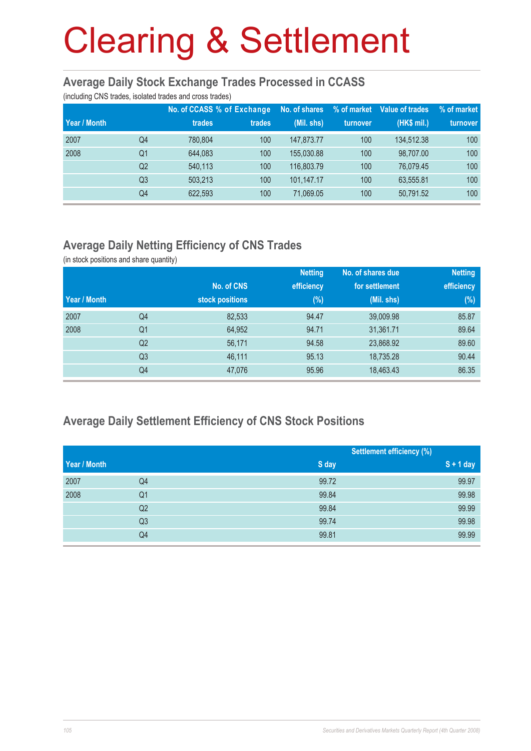#### **Average Daily Stock Exchange Trades Processed in CCASS**

(including CNS trades, isolated trades and cross trades)

|              |                | No. of CCASS % of Exchange |        | No. of shares | % of market | Value of trades | % of market |
|--------------|----------------|----------------------------|--------|---------------|-------------|-----------------|-------------|
| Year / Month |                | trades                     | trades | (Mil. shs)    | turnover    | (HK\$ mil.)     | turnover    |
| 2007         | Q4             | 780.804                    | 100    | 147.873.77    | 100         | 134.512.38      | 100         |
| 2008         | Q <sub>1</sub> | 644.083                    | 100    | 155,030.88    | 100         | 98.707.00       | 100         |
|              | Q <sub>2</sub> | 540.113                    | 100    | 116,803.79    | 100         | 76.079.45       | 100         |
|              | Q <sub>3</sub> | 503.213                    | 100    | 101,147.17    | 100         | 63,555.81       | 100         |
|              | Q4             | 622,593                    | 100    | 71,069.05     | 100         | 50.791.52       | 100         |

### **Average Daily Netting Efficiency of CNS Trades**

(in stock positions and share quantity)

|              |                |                 | <b>Netting</b> | No. of shares due | <b>Netting</b> |
|--------------|----------------|-----------------|----------------|-------------------|----------------|
|              |                | No. of CNS      | efficiency     | for settlement    | efficiency     |
| Year / Month |                | stock positions | $(\%)$         | (Mil. shs)        | $(\%)$         |
| 2007         | Q4             | 82,533          | 94.47          | 39,009.98         | 85.87          |
| 2008         | Q <sub>1</sub> | 64,952          | 94.71          | 31,361.71         | 89.64          |
|              | Q <sub>2</sub> | 56,171          | 94.58          | 23,868.92         | 89.60          |
|              | Q <sub>3</sub> | 46,111          | 95.13          | 18,735.28         | 90.44          |
|              | Q4             | 47,076          | 95.96          | 18,463.43         | 86.35          |

### **Average Daily Settlement Efficiency of CNS Stock Positions**

|              |                |       | <b>Settlement efficiency (%)</b> |  |
|--------------|----------------|-------|----------------------------------|--|
| Year / Month |                | S day | $S + 1$ day                      |  |
| 2007         | Q4             | 99.72 | 99.97                            |  |
| 2008         | Q <sub>1</sub> | 99.84 | 99.98                            |  |
|              | Q <sub>2</sub> | 99.84 | 99.99                            |  |
|              | Q <sub>3</sub> | 99.74 | 99.98                            |  |
|              | Q4             | 99.81 | 99.99                            |  |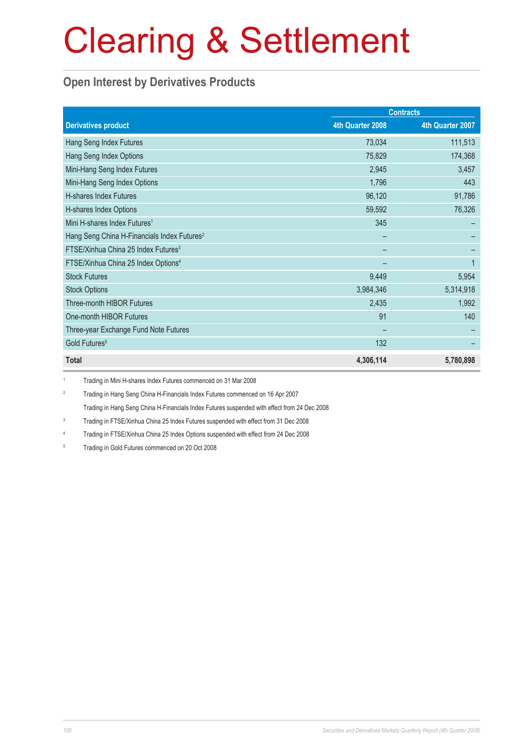### **Open Interest by Derivatives Products**

|                                                         | <b>Contracts</b> |                  |  |
|---------------------------------------------------------|------------------|------------------|--|
| <b>Derivatives product</b>                              | 4th Quarter 2008 | 4th Quarter 2007 |  |
| Hang Seng Index Futures                                 | 73,034           | 111,513          |  |
| Hang Seng Index Options                                 | 75,829           | 174,368          |  |
| Mini-Hang Seng Index Futures                            | 2,945            | 3,457            |  |
| Mini-Hang Seng Index Options                            | 1,796            | 443              |  |
| H-shares Index Futures                                  | 96,120           | 91,786           |  |
| H-shares Index Options                                  | 59,592           | 76,326           |  |
| Mini H-shares Index Futures <sup>1</sup>                | 345              |                  |  |
| Hang Seng China H-Financials Index Futures <sup>2</sup> |                  |                  |  |
| FTSE/Xinhua China 25 Index Futures <sup>3</sup>         |                  |                  |  |
| FTSE/Xinhua China 25 Index Options <sup>4</sup>         |                  | 1                |  |
| <b>Stock Futures</b>                                    | 9,449            | 5,954            |  |
| <b>Stock Options</b>                                    | 3,984,346        | 5,314,918        |  |
| Three-month HIBOR Futures                               | 2,435            | 1,992            |  |
| One-month HIBOR Futures                                 | 91               | 140              |  |
| Three-year Exchange Fund Note Futures                   |                  |                  |  |
| Gold Futures <sup>5</sup>                               | 132              |                  |  |
| <b>Total</b>                                            | 4,306,114        | 5,780,898        |  |

1 Trading in Mini H-shares Index Futures commenced on 31 Mar 2008

2 Trading in Hang Seng China H-Financials Index Futures commenced on 16 Apr 2007

Trading in Hang Seng China H-Financials Index Futures suspended with effect from 24 Dec 2008

3 Trading in FTSE/Xinhua China 25 Index Futures suspended with effect from 31 Dec 2008

4 Trading in FTSE/Xinhua China 25 Index Options suspended with effect from 24 Dec 2008

5 Trading in Gold Futures commenced on 20 Oct 2008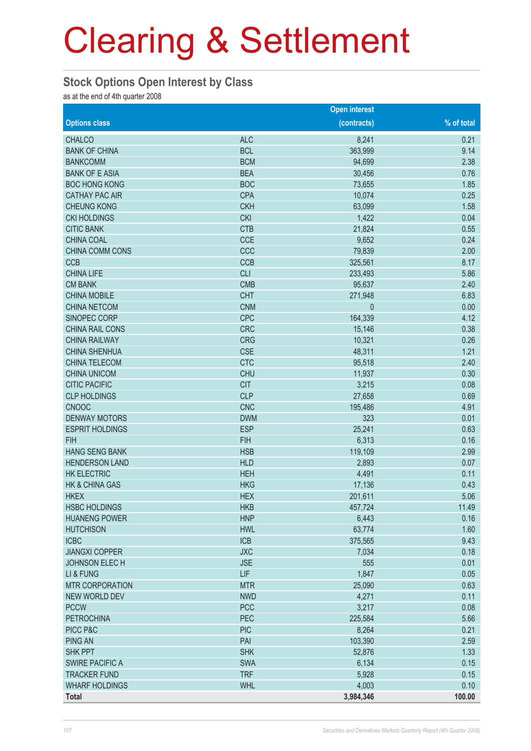#### **Stock Options Open Interest by Class**

as at the end of 4th quarter 2008

|                           |            | <b>Open interest</b> |            |
|---------------------------|------------|----------------------|------------|
| <b>Options class</b>      |            | (contracts)          | % of total |
| <b>CHALCO</b>             | <b>ALC</b> | 8,241                | 0.21       |
| <b>BANK OF CHINA</b>      | <b>BCL</b> | 363,999              | 9.14       |
| <b>BANKCOMM</b>           | <b>BCM</b> | 94,699               | 2.38       |
| <b>BANK OF E ASIA</b>     | <b>BEA</b> | 30,456               | 0.76       |
| <b>BOC HONG KONG</b>      | <b>BOC</b> | 73,655               | 1.85       |
| <b>CATHAY PAC AIR</b>     | <b>CPA</b> | 10,074               | 0.25       |
| <b>CHEUNG KONG</b>        | <b>CKH</b> | 63,099               | 1.58       |
| <b>CKI HOLDINGS</b>       | <b>CKI</b> | 1,422                | 0.04       |
| <b>CITIC BANK</b>         | <b>CTB</b> | 21,824               | 0.55       |
| <b>CHINA COAL</b>         | <b>CCE</b> | 9,652                | 0.24       |
| CHINA COMM CONS           | CCC        | 79,839               | 2.00       |
| <b>CCB</b>                | <b>CCB</b> | 325,561              | 8.17       |
| <b>CHINA LIFE</b>         | <b>CLI</b> | 233,493              | 5.86       |
| <b>CM BANK</b>            | <b>CMB</b> | 95,637               | 2.40       |
| <b>CHINA MOBILE</b>       | <b>CHT</b> | 271,948              | 6.83       |
| <b>CHINA NETCOM</b>       | <b>CNM</b> | 0                    | 0.00       |
| SINOPEC CORP              | <b>CPC</b> | 164,339              | 4.12       |
| <b>CHINA RAIL CONS</b>    | <b>CRC</b> | 15,146               | 0.38       |
| <b>CHINA RAILWAY</b>      | <b>CRG</b> | 10,321               | 0.26       |
| <b>CHINA SHENHUA</b>      | <b>CSE</b> | 48,311               | 1.21       |
| <b>CHINA TELECOM</b>      | <b>CTC</b> | 95,518               | 2.40       |
| <b>CHINA UNICOM</b>       | <b>CHU</b> | 11,937               | 0.30       |
| <b>CITIC PACIFIC</b>      | <b>CIT</b> | 3,215                | 0.08       |
| <b>CLP HOLDINGS</b>       | <b>CLP</b> | 27,658               | 0.69       |
| <b>CNOOC</b>              | <b>CNC</b> | 195,486              | 4.91       |
| <b>DENWAY MOTORS</b>      | <b>DWM</b> | 323                  | 0.01       |
| <b>ESPRIT HOLDINGS</b>    | <b>ESP</b> | 25,241               | 0.63       |
| <b>FIH</b>                | <b>FIH</b> | 6,313                | 0.16       |
| <b>HANG SENG BANK</b>     | <b>HSB</b> | 119,109              | 2.99       |
| <b>HENDERSON LAND</b>     | <b>HLD</b> | 2,893                | 0.07       |
| <b>HK ELECTRIC</b>        | <b>HEH</b> | 4,491                | 0.11       |
| <b>HK &amp; CHINA GAS</b> | <b>HKG</b> | 17,136               | 0.43       |
| <b>HKEX</b>               | <b>HEX</b> | 201,611              | 5.06       |
| <b>HSBC HOLDINGS</b>      | <b>HKB</b> | 457,724              | 11.49      |
| <b>HUANENG POWER</b>      | <b>HNP</b> | 6,443                | 0.16       |
| <b>HUTCHISON</b>          | <b>HWL</b> | 63,774               | 1.60       |
| <b>ICBC</b>               | <b>ICB</b> | 375,565              | 9.43       |
| <b>JIANGXI COPPER</b>     | <b>JXC</b> | 7,034                | 0.18       |
| <b>JOHNSON ELECH</b>      | <b>JSE</b> | 555                  | 0.01       |
| LI & FUNG                 | LIF        | 1,847                | 0.05       |
| <b>MTR CORPORATION</b>    | <b>MTR</b> | 25,090               | 0.63       |
| <b>NEW WORLD DEV</b>      | <b>NWD</b> | 4,271                | 0.11       |
| <b>PCCW</b>               | <b>PCC</b> | 3,217                | 0.08       |
| <b>PETROCHINA</b>         | PEC        | 225,584              | 5.66       |
| PICC P&C                  | <b>PIC</b> | 8,264                | 0.21       |
| <b>PING AN</b>            | PAI        | 103,390              | 2.59       |
| <b>SHK PPT</b>            | <b>SHK</b> | 52,876               | 1.33       |
| <b>SWIRE PACIFIC A</b>    | <b>SWA</b> | 6,134                | 0.15       |
| <b>TRACKER FUND</b>       | <b>TRF</b> | 5,928                | 0.15       |
| <b>WHARF HOLDINGS</b>     | <b>WHL</b> | 4,003                | 0.10       |
| <b>Total</b>              |            | 3,984,346            | 100.00     |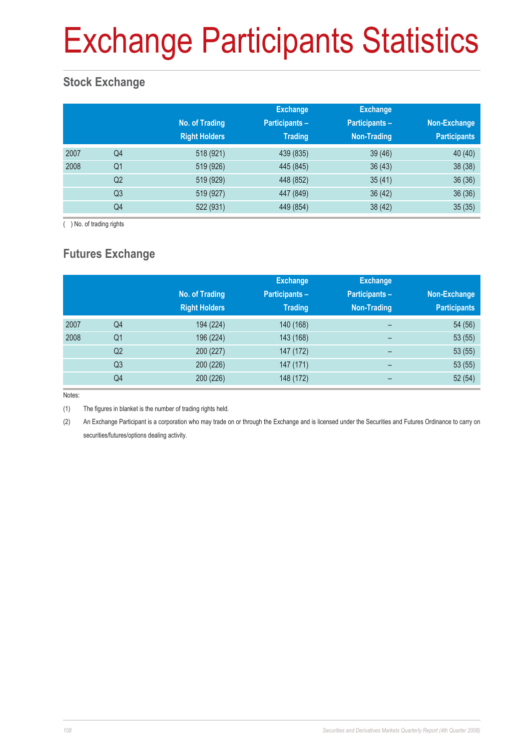# Exchange Participants Statistics

### **Stock Exchange**

|      |                | No. of Trading<br><b>Right Holders</b> | <b>Exchange</b><br><b>Participants -</b><br><b>Trading</b> | <b>Exchange</b><br>Participants-<br>Non-Trading | Non-Exchange<br><b>Participants</b> |
|------|----------------|----------------------------------------|------------------------------------------------------------|-------------------------------------------------|-------------------------------------|
| 2007 | Q4             | 518 (921)                              | 439 (835)                                                  | 39(46)                                          | 40 (40)                             |
| 2008 | Q <sub>1</sub> | 519 (926)                              | 445 (845)                                                  | 36(43)                                          | 38 (38)                             |
|      | Q <sub>2</sub> | 519 (929)                              | 448 (852)                                                  | 35(41)                                          | 36(36)                              |
|      | Q <sub>3</sub> | 519 (927)                              | 447 (849)                                                  | 36(42)                                          | 36(36)                              |
|      | Q4             | 522 (931)                              | 449 (854)                                                  | 38 (42)                                         | 35(35)                              |

( ) No. of trading rights

## **Futures Exchange**

|      |                | No. of Trading<br><b>Right Holders</b> | <b>Exchange</b><br><b>Participants -</b><br><b>Trading</b> | <b>Exchange</b><br><b>Participants -</b><br>Non-Trading | Non-Exchange<br><b>Participants</b> |
|------|----------------|----------------------------------------|------------------------------------------------------------|---------------------------------------------------------|-------------------------------------|
| 2007 | Q4             | 194 (224)                              | 140 (168)                                                  | -                                                       | 54 (56)                             |
| 2008 | Q <sub>1</sub> | 196 (224)                              | 143 (168)                                                  | -                                                       | 53(55)                              |
|      | Q <sub>2</sub> | 200 (227)                              | 147 (172)                                                  | $\overline{\phantom{0}}$                                | 53(55)                              |
|      | Q <sub>3</sub> | 200 (226)                              | 147 (171)                                                  | $\overline{\phantom{0}}$                                | 53(55)                              |
|      | Q4             | 200 (226)                              | 148 (172)                                                  |                                                         | 52(54)                              |

Notes:

(1) The figures in blanket is the number of trading rights held.

(2) An Exchange Participant is a corporation who may trade on or through the Exchange and is licensed under the Securities and Futures Ordinance to carry on securities/futures/options dealing activity.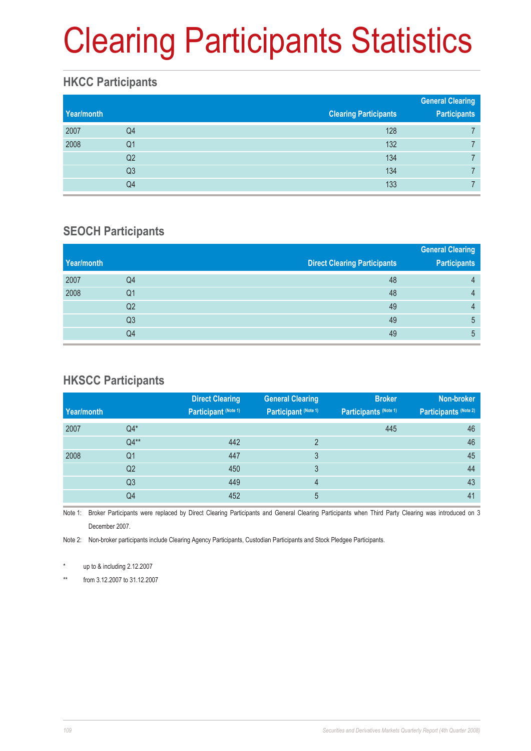# Clearing Participants Statistics

#### **HKCC Participants**

| Year/month |                | <b>Clearing Participants</b> | <b>General Clearing</b><br><b>Participants</b> |  |  |
|------------|----------------|------------------------------|------------------------------------------------|--|--|
| 2007       | Q4             | 128                          |                                                |  |  |
| 2008       | Q1             | 132                          |                                                |  |  |
|            | Q2             | 134                          |                                                |  |  |
|            | Q <sub>3</sub> | 134                          |                                                |  |  |
|            | Q4             | 133                          |                                                |  |  |

#### **SEOCH Participants**

|                |                                     | <b>General Clearing</b> |
|----------------|-------------------------------------|-------------------------|
|                | <b>Direct Clearing Participants</b> | <b>Participants</b>     |
| Q4             | 48                                  | 4                       |
| Q1             | 48                                  | 4                       |
| Q <sub>2</sub> | 49                                  | 4                       |
| Q <sub>3</sub> | 49                                  | 5                       |
| Q4             | 49                                  | 5                       |
|                |                                     |                         |

### **HKSCC Participants**

|            |                | <b>Direct Clearing</b> | <b>General Clearing</b> | <b>Broker</b>         | Non-broker            |
|------------|----------------|------------------------|-------------------------|-----------------------|-----------------------|
| Year/month |                | Participant (Note 1)   | Participant (Note 1)    | Participants (Note 1) | Participants (Note 2) |
| 2007       | $Q4*$          |                        |                         | 445                   | 46                    |
|            | $Q4**$         | 442                    | C                       |                       | 46                    |
| 2008       | Q1             | 447                    | 3                       |                       | 45                    |
|            | Q <sub>2</sub> | 450                    | 3                       |                       | 44                    |
|            | Q <sub>3</sub> | 449                    | 4                       |                       | 43                    |
|            | Q4             | 452                    | 5                       |                       | 41                    |
|            |                |                        |                         |                       |                       |

Note 1: Broker Participants were replaced by Direct Clearing Participants and General Clearing Participants when Third Party Clearing was introduced on 3 December 2007.

Note 2: Non-broker participants include Clearing Agency Participants, Custodian Participants and Stock Pledgee Participants.

up to  $&$  including 2.12.2007

\*\* from 3.12.2007 to 31.12.2007